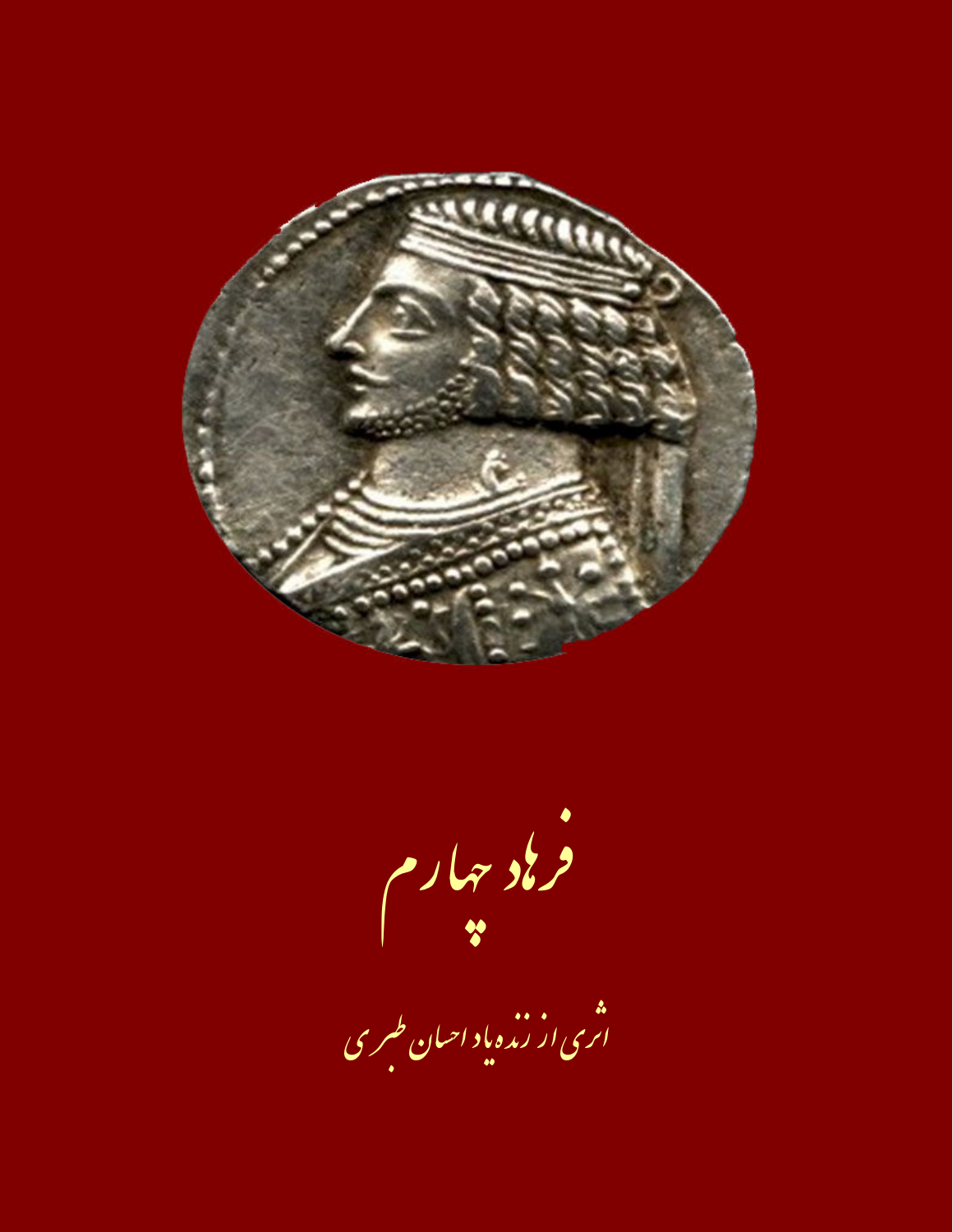

فر باد حمار م<br>\*\*<br>اری از نده باد احمان طبری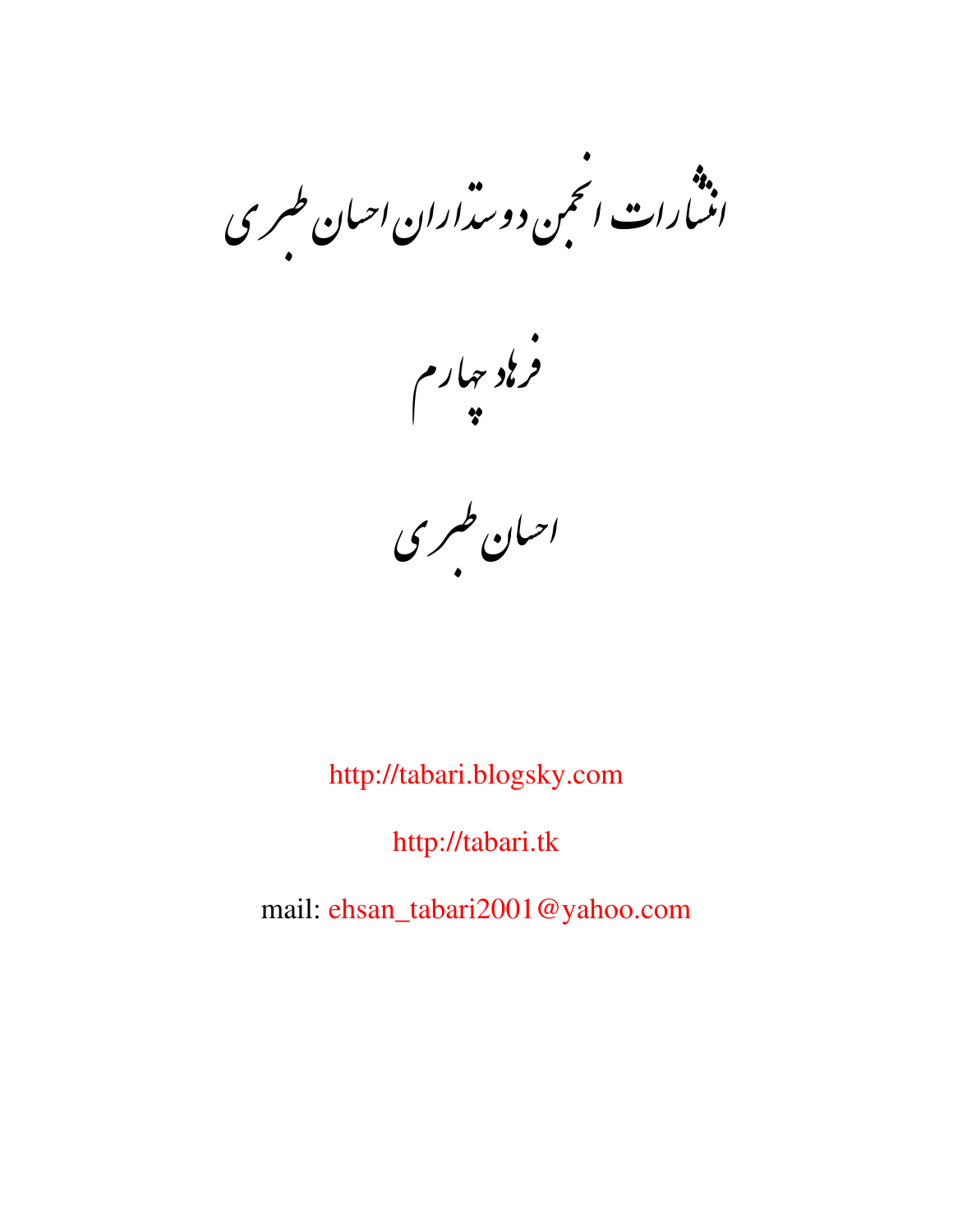.»<br>انسارات انجمن دوسداران احبان طسری

.<br>فرناد سارم<br>\*

احبان طبری<br>احبان طبری

http://tabari.blogsky.com

http://tabari.tk

mail: ehsan\_tabari2001@yahoo.com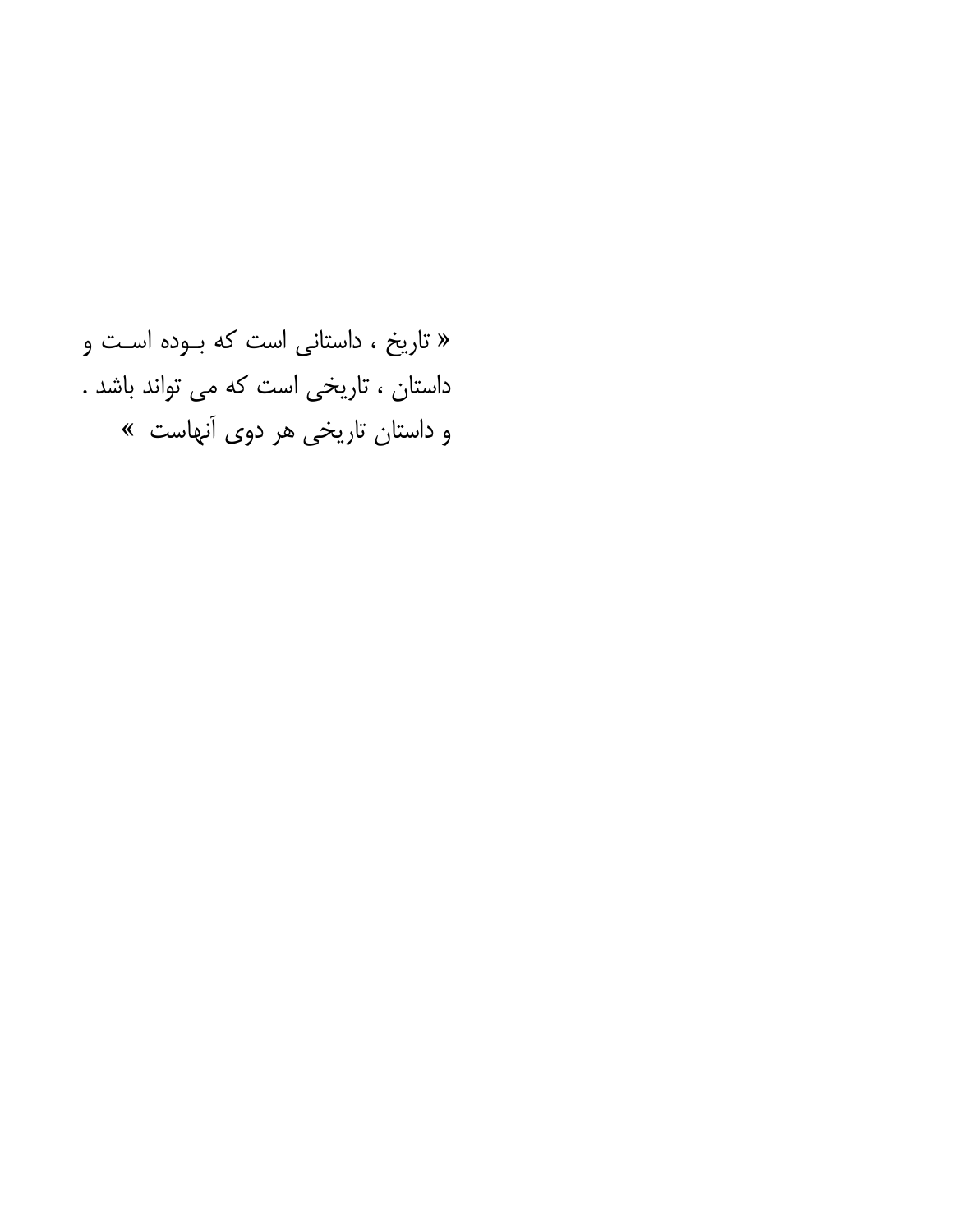« تاریخ ، داستانی است که بـوده اسـت و داستان ، تاریخی است که می تواند باشد . و داستان تاریخی هر دوی آنهاست »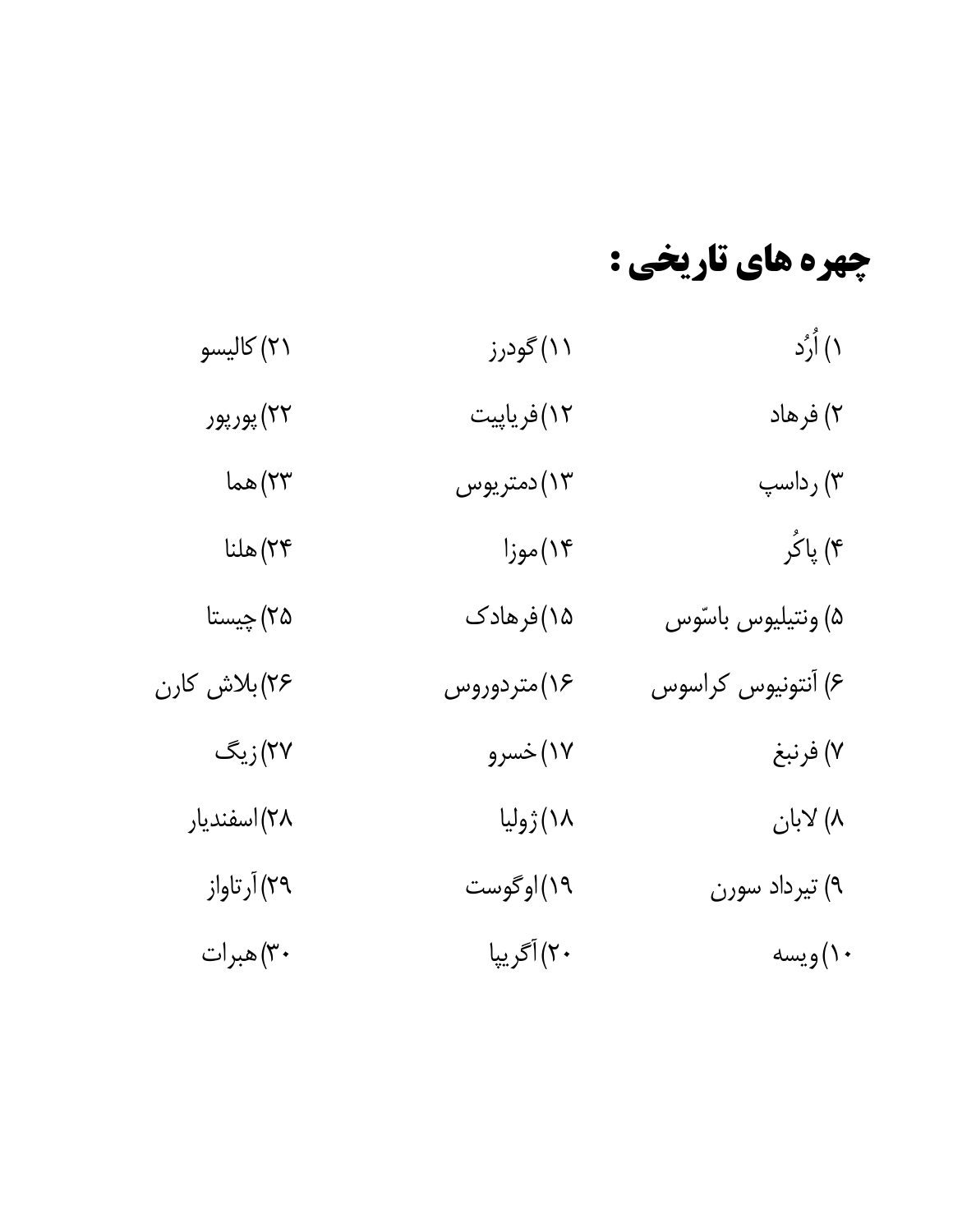# چهره های تاریخی :

| ۱) اُرُد           | ۱۱)گودرز    | ۲۱) کالیسو   |
|--------------------|-------------|--------------|
| ۲) فرهاد           | ۱۲)فریاپیت  | ۲۲) پورپور   |
| ۳) رداسپ           | ۱۳)دمتریوس  | ۲۳) هما      |
| ۴) پاکُر           | ۱۴)موزا     | ۲۴) هلنا     |
| ۵) ونتيليوس باسّوس | ۱۵)فرهادک   | ۲۵) چیستا    |
| ۶) آنتونیوس کراسوس | ۱۶)متردوروس | ۲۶)بلاش کارن |
| ۷) فرنبغ           | ۱۷)خسرو     | ۲۷)زیگ       |
| ۸) لابان           | ١٨) ژوليا   | ۲۸)اسفندیار  |
| ۹) تیرداد سورن     | ۱۹)اوگوست   | ۲۹) آرتاواز  |
| ۱۰) ويسه           | ۲۰) آگریپا  | ۳۰)هبرات     |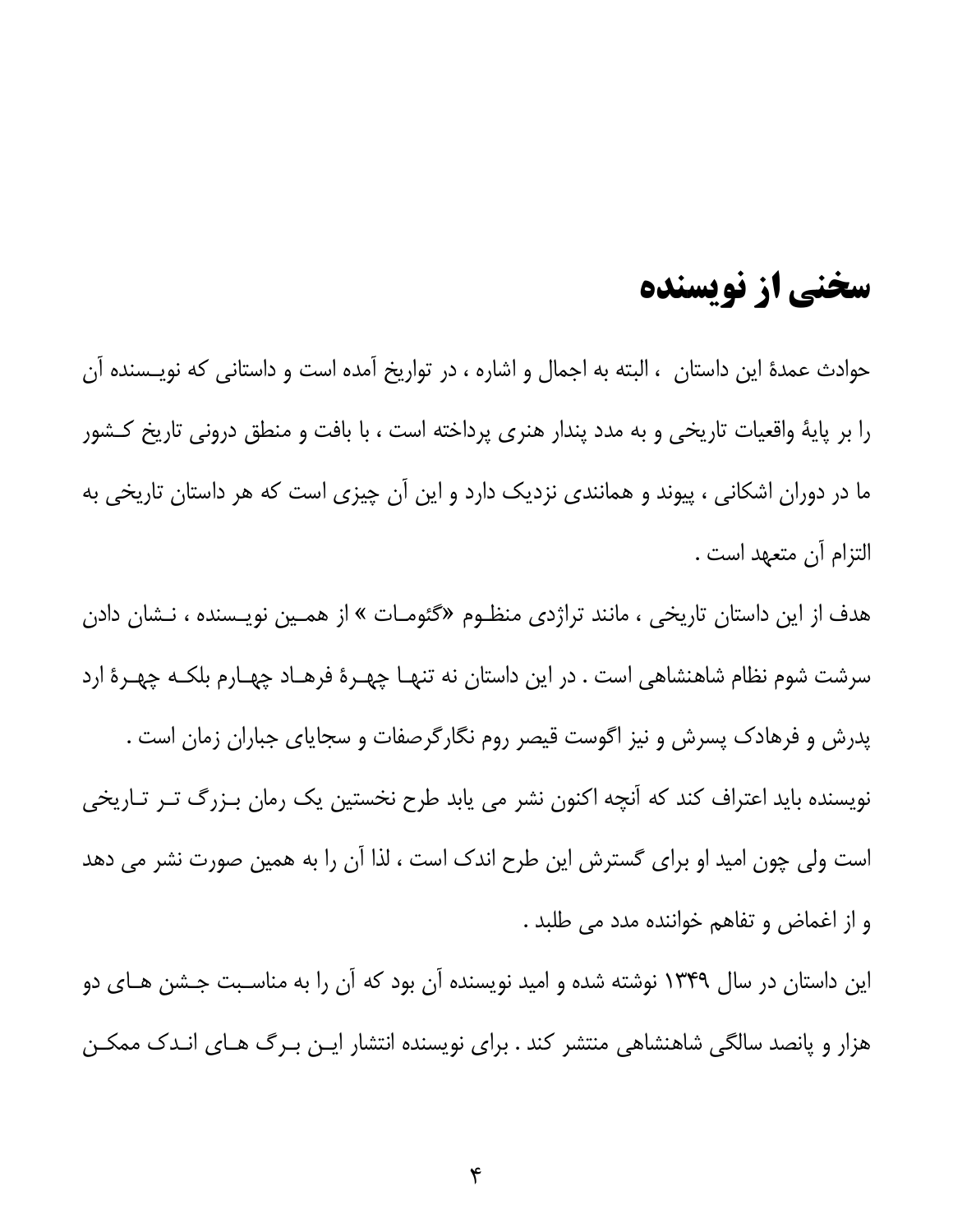## سخنی از نویسنده

حوادث عمدهٔ این داستان ، البته به اجمال و اشاره ، در تواریخ آمده است و داستانی که نویـسنده آن را بر پایهٔ واقعیات تاریخی و به مدد پندار هنری پرداخته است ، با بافت و منطق درونی تاریخ کشور ما در دوران اشکانی ، پیوند و همانندی نزدیک دارد و این آن چیزی است که هر داستان تاریخی به التزام آن متعهد است .

هدف از این داستان تاریخی ، مانند تراژدی منظـوم «گئومـات » از همـین نویـسنده ، نـشان دادن سرشت شوم نظام شاهنشاهی است . در این داستان نه تنهـا چهـرهٔ فرهـاد چهـارم بلکـه چهـرهٔ ارد پدرش و فرهادک پسرش و نیز اگوست قیصر روم نگارگرصفات و سجایای جباران زمان است . نویسنده باید اعتراف کند که آنچه اکنون نشر می یابد طرح نخستین یک رمان بـزرگ تـر تـاریخی است ولی چون امید او برای گسترش این طرح اندک است ، لذا آن را به همین صورت نشر می دهد و از اغماض و تفاهم خواننده مدد می طلبد .

این داستان در سال ۱۳۴۹ نوشته شده و امید نویسنده آن بود که آن را به مناسـبت جـشن هـای دو هزار و پانصد سالگی شاهنشاهی منتشر کند . برای نویسنده انتشار ایـن بـرگ هـای انـدک ممکـن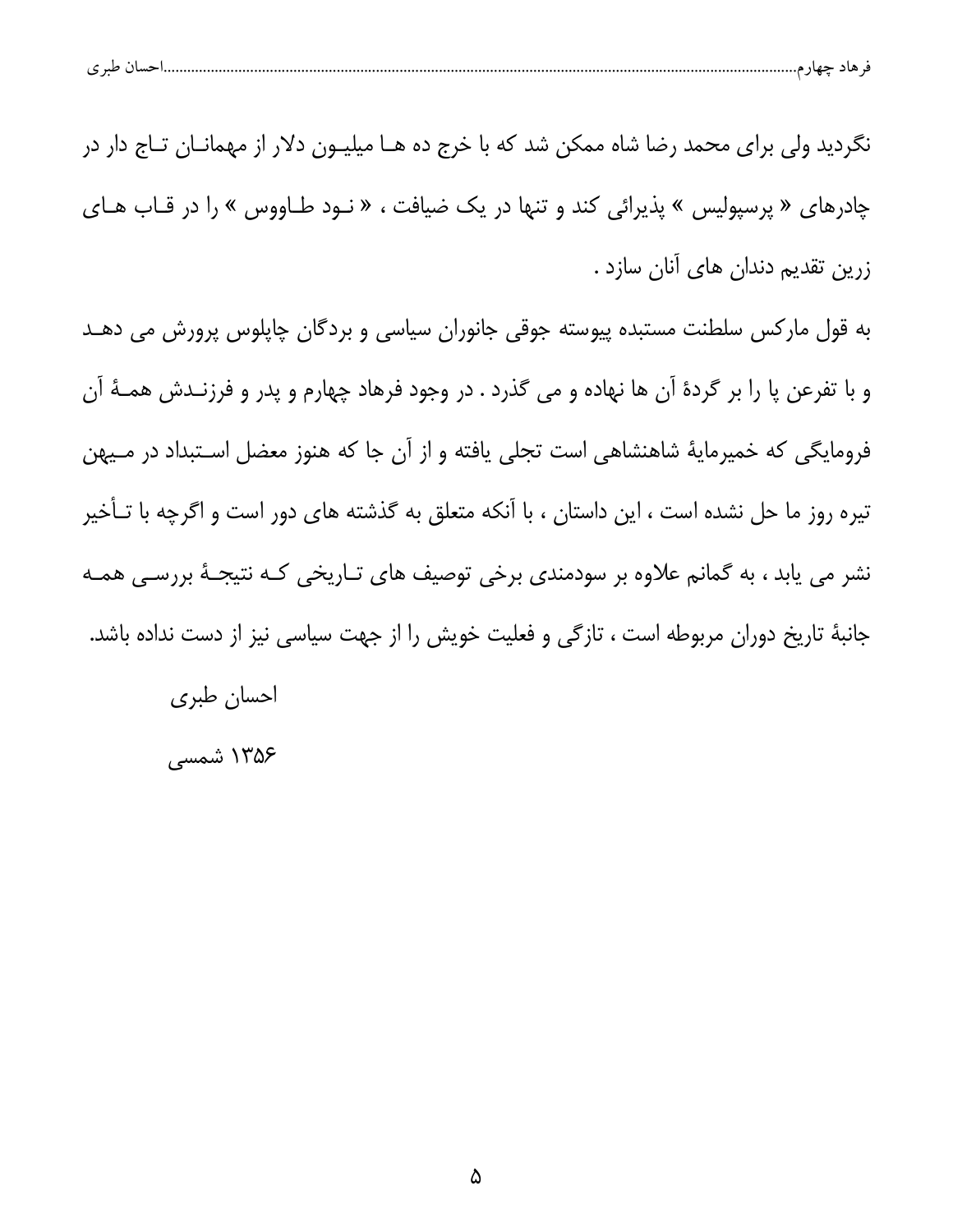|  | $\sim$ | حسا |  | مت∟د |  |
|--|--------|-----|--|------|--|
|--|--------|-----|--|------|--|

نگردید ولی برای محمد رضا شاه ممکن شد که با خرج ده هــا میلیــون دلار از مهمانــان تــاج دار در چادرهای « پرسپولیس » پذیرائی کند و تنها در یک ضیافت ، « نـود طـاووس » را در قـاب هـای زرین تقدیم دندان های آنان سازد .

به قول مارکس سلطنت مستبده پیوسته جوقی جانوران سیاسی و بردگان چاپلوس پرورش می دهـد و با تفرعن پا را بر گردهٔ آن ها نهاده و می گذرد . در وجود فرهاد چهارم و پدر و فرزنـدش همـهٔ آن فرومایگی که خمیرمایهٔ شاهنشاهی است تجلی یافته و از آن جا که هنوز معضل استبداد در مـیهن تیره روز ما حل نشده است ، این داستان ، با آنکه متعلق به گذشته های دور است و اگرچه با تـأخیر نشر می یابد ، به گمانم علاوه بر سودمندی برخی توصیف های تـاریخی کـه نتیجـهٔ بررسـی همـه جانبهٔ تاریخ دوران مربوطه است ، تازگی و فعلیت خویش را از جهت سیاسی نیز از دست نداده باشد.

احسان طبري ۱۳۵۶ شمسی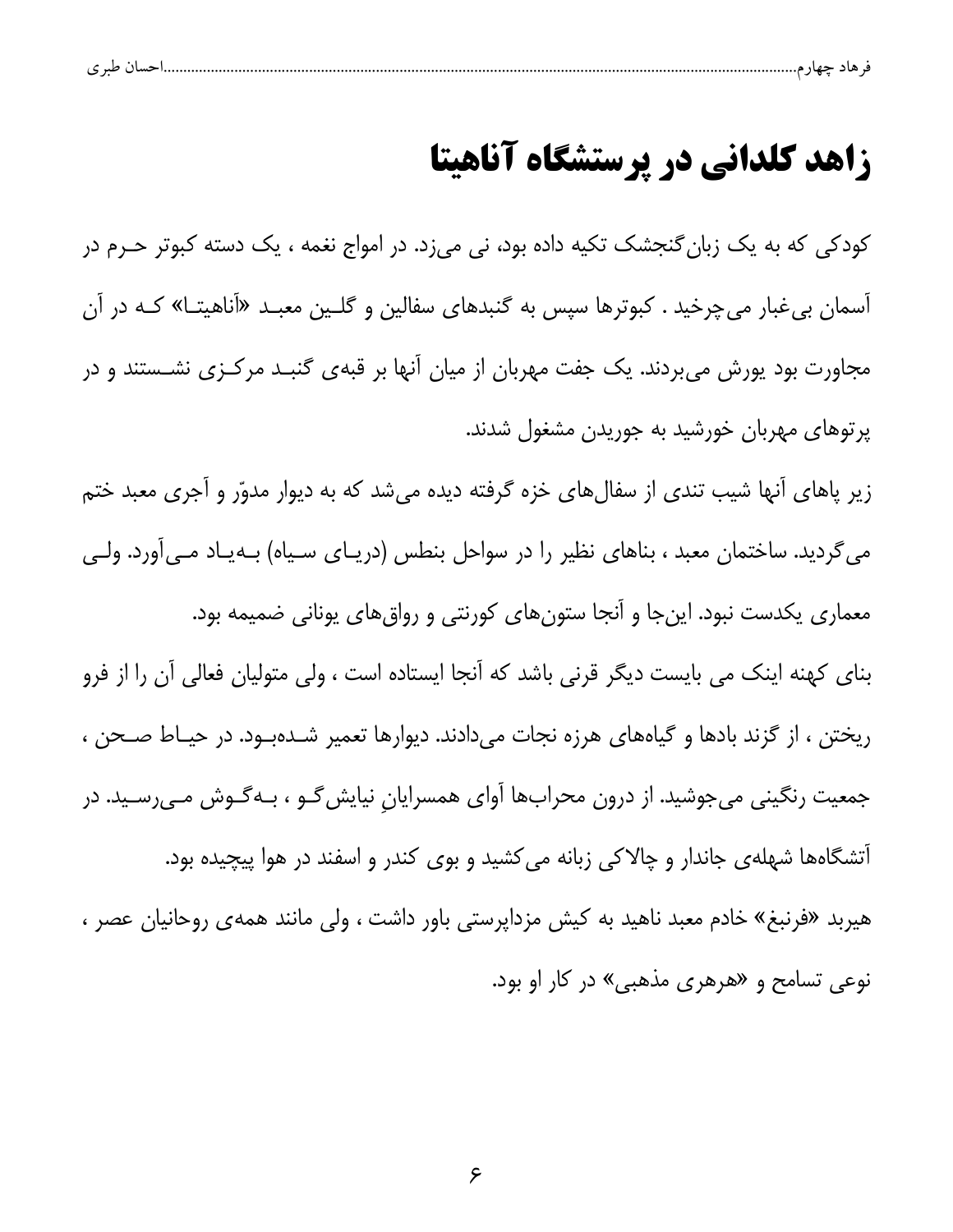#### زاهد کلدانی در پرستشگاه آناهیتا

کودکی که به یک زبان گنجشک تکیه داده بود، نی میزد. در امواج نغمه ، یک دسته کبوتر حـرم در آسمان بی غبار میچرخید . کبوترها سپس به گنبدهای سفالین و گلـین معبـد «آناهیتـا» کـه در آن مجاورت بود پورش می بردند. یک جفت مهربان از میان آنها بر قبهی گنبـد مرکـزی نشــستند و در پرتوهای مهربان خورشید به جوریدن مشغول شدند.

زیر پاهای آنها شیب تندی از سفالهای خزه گرفته دیده میشد که به دیوار مدوّر و آجری معبد ختم میگردید. ساختمان معبد ، بناهای نظیر را در سواحل بنطس (دریـای سـیاه) بــهیـاد مــی[ورد. ولــی معماری یکدست نبود. اینجا و آنجا ستونهای کورنتی و رواق های یونانی ضمیمه بود. بنای کهنه اینک می بایست دیگر قرنی باشد که آنجا ایستاده است ، ولی متولیان فعالی آن را از فرو ریختن ، از گزند بادها و گیاههای هرزه نجات میدادند. دیوارها تعمیر شـدهبـود. در حیـاط صـحن ، جمعیت رنگینی میجوشید. از درون محرابها آوای همسرایان نیایش *گ*ـو ، بـهگـوش مـیرسـید. در آتشگاهها شهلهی جاندار و چالاکی زبانه میکشید و بوی کندر و اسفند در هوا پیچیده بود. هیربد «فرنبغ» خادم معبد ناهید به کیش مزداپرستی باور داشت ، ولی مانند همهی روحانیان عصر ،

نوعی تسامح و «هرهری مذهبی» در کار او بود.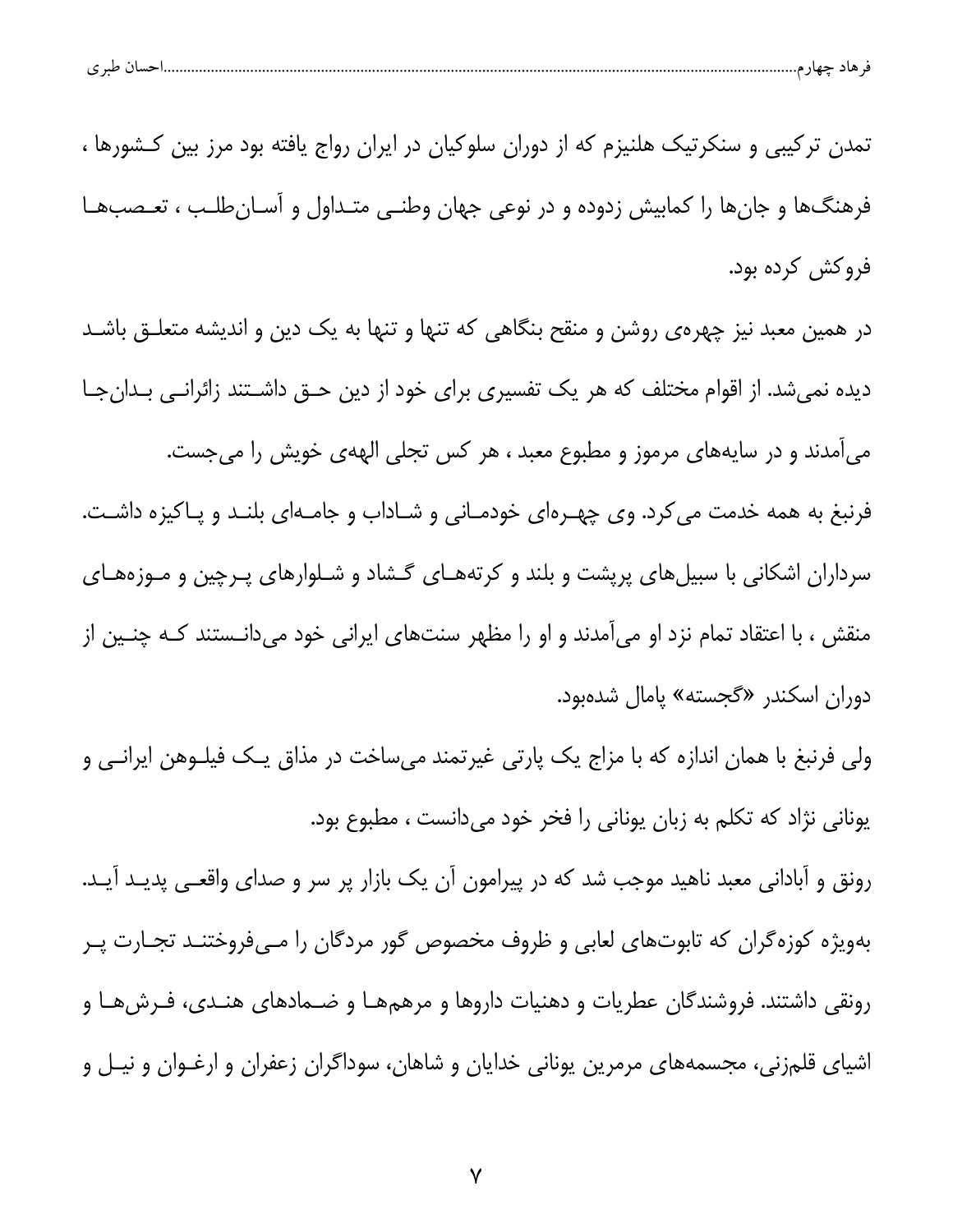| ۔ ص ۔ | . |  |  |
|-------|---|--|--|
|       |   |  |  |

تمدن ترکیبی و سنکرتیک هلنیزم که از دوران سلوکیان در ایران رواج یافته بود مرز بین کـشورها ، فرهنگها و جانها را کمابیش زدوده و در نوعی جهان وطنبی متـداول و آسـانطلـب ، تعـصبهـا فروكش كرده بود.

در همین معبد نیز چهرهی روشن و منقح بنگاهی که تنها و تنها به یک دین و اندیشه متعلـق باشـد دیده نمیشد. از اقوام مختلف که هر یک تفسیری برای خود از دین حـق داشـتند زائرانـی بـدانجـا میآمدند و در سایههای مرموز و مطبوع معبد ، هر کس تجلی الههی خویش را می جست. فرنبغ به همه خدمت می کرد. وی چهـرهای خودمـانی و شـاداب و جامـهای بلنـد و پـاکیزه داشـت. سرداران اشکانی با سبیلهای پریشت و بلند و کرتههـای گـشاد و شـلوارهای پـرچین و مـوزههـای منقش ، با اعتقاد تمام نزد او میِ آمدند و او را مظهر سنتهای ایرانی خود میِ دانـستند کـه چنـین از دوران اسكندر «گجسته» پامال شدهبود.

ولی فرنبغ با همان اندازه که با مزاج یک پارتی غیرتمند میساخت در مذاق یـک فیلــوهن ایرانــی و یونانی نژاد که تکلم به زبان یونانی را فخر خود میدانست ، مطبوع بود.

رونق و آبادانی معبد ناهید موجب شد که در پیرامون آن یک بازار پر سر و صدای واقعی پدیـد آیـد. بهویژه کوزهگران که تابوتهای لعابی و ظروف مخصوص گور مردگان را مـیفروختنـد تجـارت پـر رونقی داشتند. فروشندگان عطریات و دهنیات داروها و مرهمهـا و ضــمادهای هنــدی، فــرشهــا و اشیای قلمزنی، مجسمههای مرمرین یونانی خدایان و شاهان، سوداگران زعفران و ارغـوان و نیـل و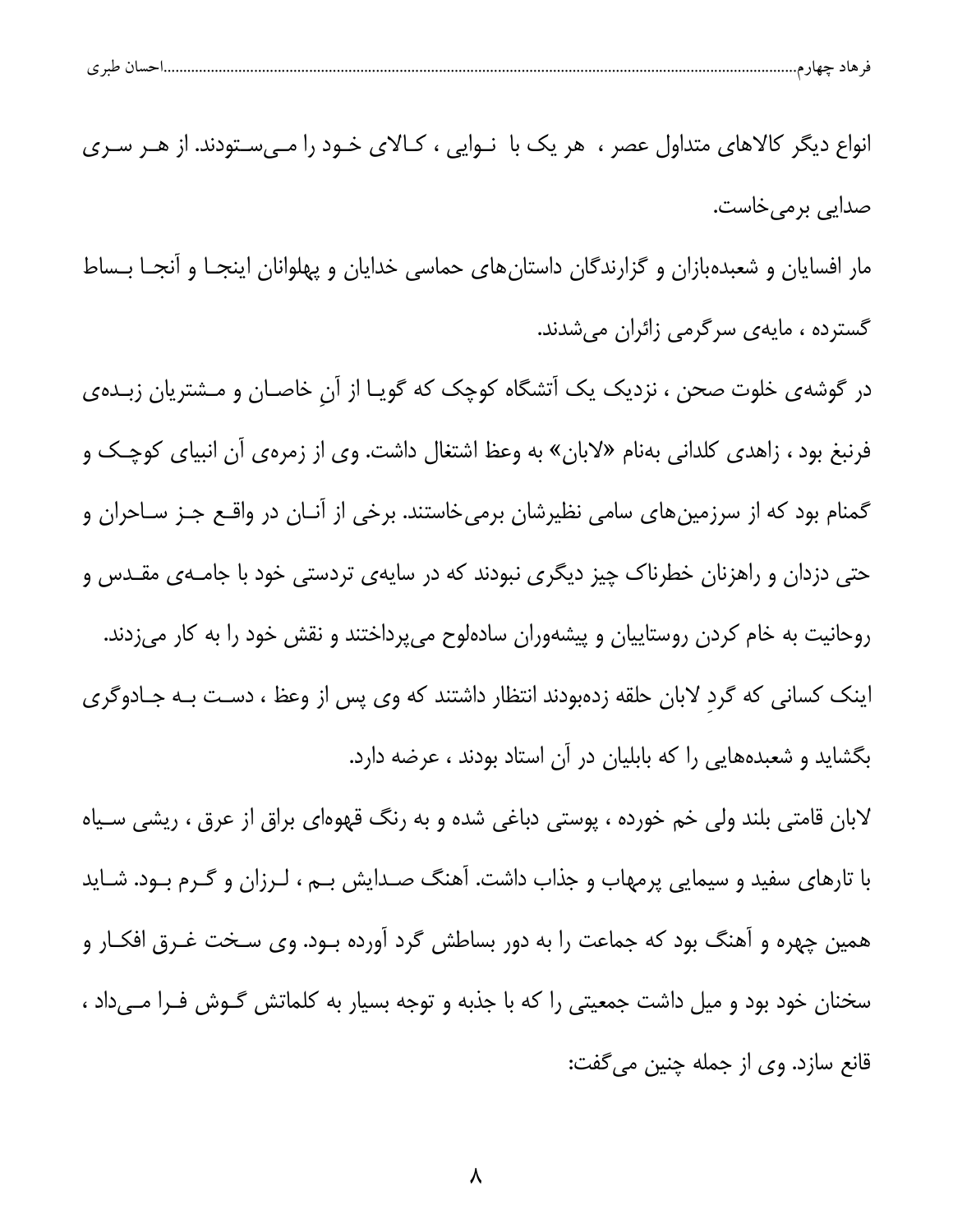| انواع دیگر کالاهای متداول عصر ،  هر یک با  نـوایی ، کـالای خـود را مـیسـتودند. از هـر سـری  |  |
|---------------------------------------------------------------------------------------------|--|
| صدایی برمیخاست.                                                                             |  |
| مار افسایان و شعبدهبازان و گزارندگان داستانهای حماسی خدایان و پهلوانان اینجـا و آنجـا بـساط |  |

گسترده ، مایهی سرگرمی زائران میشدند.

در گوشهی خلوت صحن ، نزدیک یک آتشگاه کوچک که گویـا از آنِ خاصـان و مـشتریان زبـدهی فرنبغ بود ، زاهدی کلدانی بهنام «لابان» به وعظ اشتغال داشت. وی از زمرهی آن انبیای کوچک و گمنام بود که از سرزمینهای سامی نظیرشان برمیخاستند. برخی از آنـان در واقــع جـز سـاحران و حتی دزدان و راهزنان خطرناک چیز دیگری نبودند که در سایهی تردستی خود با جامـهی مقـدس و روحانیت به خام کردن روستاییان و پیشهوران سادهلوح میپرداختند و نقش خود را به کار میزدند. اینک کسانی که گرد لابان حلقه زدهبودند انتظار داشتند که وی پس از وعظ ، دست بـه جـادوگری بگشاید و شعبدههایی را که بابلیان در آن استاد بودند ، عرضه دارد.

لابان قامتی بلند ولی خم خورده ، پوستی دباغی شده و به رنگ قهوهای براق از عرق ، ریشی سـیاه با تارهای سفید و سیمایی پرمهاب و جذاب داشت. آهنگ صـدایش بـم ، لـرزان و گـرم بـود. شـاید همین چهره و آهنگ بود که جماعت را به دور بساطش گرد آورده بــود. وی سـخت غــرق افکــار و سخنان خود بود و میل داشت جمعیتی را که با جذبه و توجه بسیار به کلماتش گــوش فــرا مــی۱داد ، قانع سازد. وي از جمله چنين مي گفت: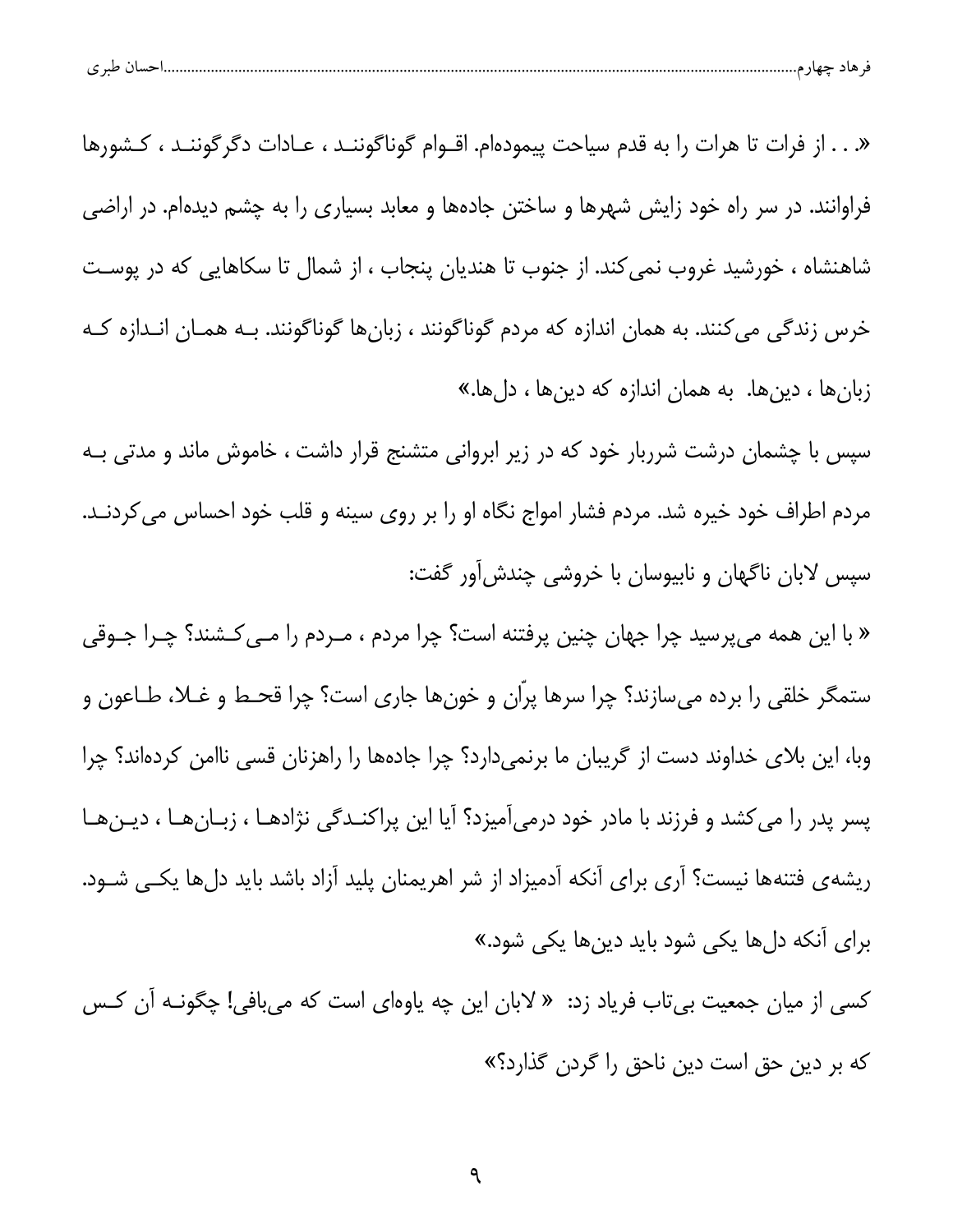| $\overline{\phantom{a}}$<br>. . |
|---------------------------------|
|---------------------------------|

«. . . از فرات تا هرات را به قدم سياحت پيمودهام. اقــوام گوناگوننــد ، عــادات دگرگوننــد ، كــشورها فراوانند. در سر راه خود زایش شهرها و ساختن جادهها و معابد بسیاری را به چشم دیدهام. در اراضی شاهنشاه ، خورشید غروب نمی کند. از جنوب تا هندیان پنجاب ، از شمال تا سکاهایی که در پوست خرس زندگی می کنند. به همان اندازه که مردم گوناگونند ، زبانها گوناگونند. بـه همـان انـدازه کـه زبانها ، دینها. به همان اندازه که دینها ، دلها.»

سپس با چشمان درشت شرربار خود که در زیر ابروانی متشنج قرار داشت ، خاموش ماند و مدتی بـه مردم اطراف خود خیره شد. مردم فشار امواج نگاه او را بر روی سینه و قلب خود احساس می کردنـد. سپس لابان ناگهان و نابیوسان با خروشی چندش[ور گفت:

« با این همه میپرسید چرا جهان چنین پرفتنه است؟ چرا مردم ، مـردم را مـی *ک*ـشند؟ چـرا جـوقی ستمگر خلقی را برده میسازند؟ چرا سرها پرّان و خونها جاری است؟ چرا قحـط و غــلا، طــاعون و وبا، این بلای خداوند دست از گریبان ما برنمیدارد؟ چرا جادهها را راهزنان قسی ناامن کردهاند؟ چرا پسر پدر را می کشد و فرزند با مادر خود درمیآمیزد؟ آیا این پراکنـدگی نژادهـا ، زبـانهـا ، دیـنهـا ریشهی فتنهها نیست؟ آری برای آنکه آدمیزاد از شر اهریمنان پلید آزاد باشد باید دلها یکـی شـود. برای آنکه دلها یکی شود باید دینها یکی شود.»

کسی از میان جمعیت بیتاب فریاد زد: « لابان این چه یاوهای است که می،بافی! چگونـه آن کـس که بر دین حق است دین ناحق را گردن گذارد؟»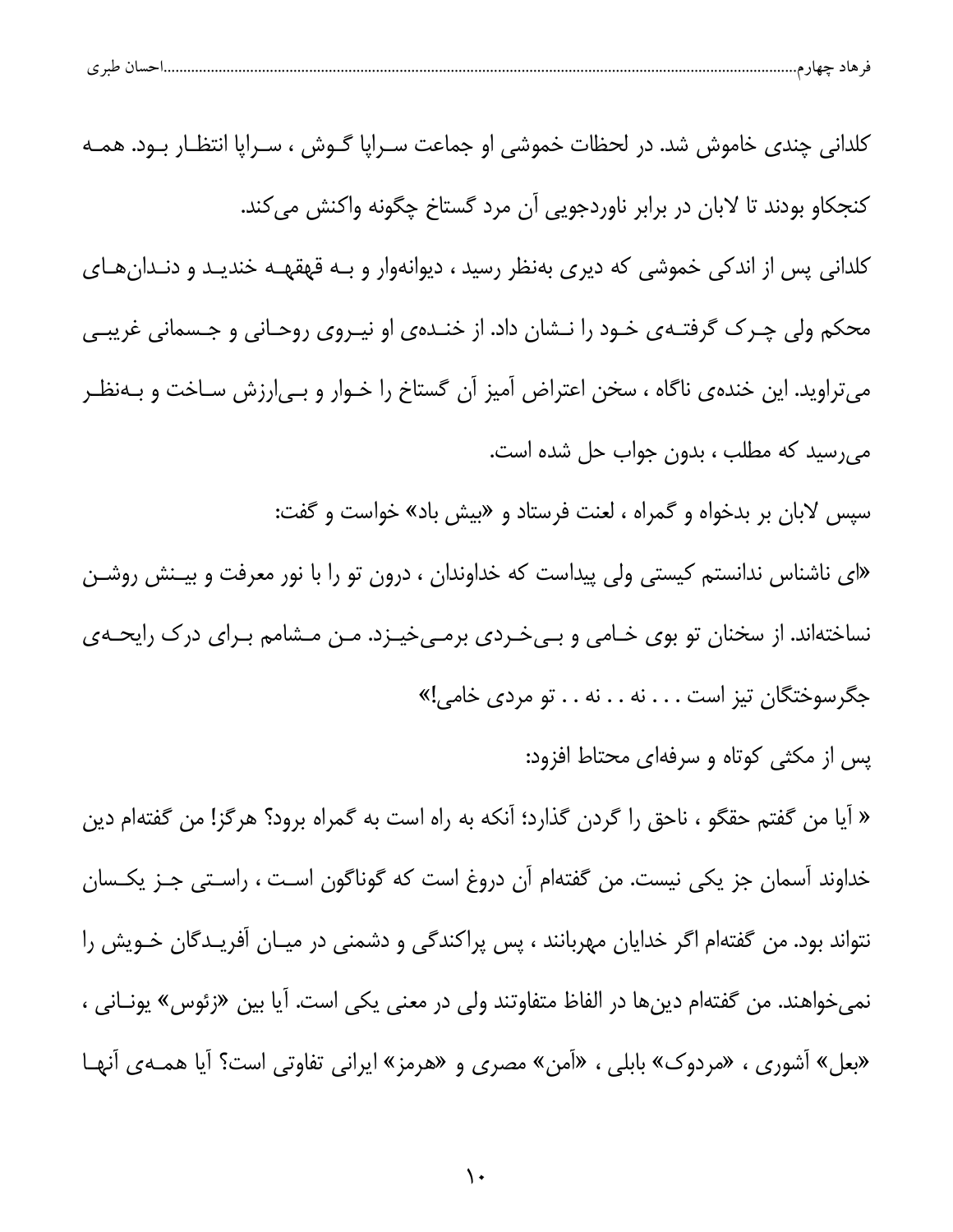| طب ی<br>ັ | حساد | ماد<br>$\sim$ |  |
|-----------|------|---------------|--|
|           |      |               |  |

كلداني چندي خاموش شد. در لحظات خموشي او جماعت سـراپا گــوش ، سـراپا انتظـار بــود. همــه كنجكاو بودند تا لابان در برابر ناوردجويي آن مرد گستاخ چگونه واكنش مي كند. كلداني پس از اندكي خموشي كه ديري بهنظر رسيد ، ديوانهوار و بـه قهقهـه خنديـد و دنـدانهـاي محکم ولی چـرک گرفتـهی خـود را نـشان داد. از خنـدهی او نیـروی روحـانی و جـسمانی غریبـی میتراوید. این خندهی ناگاه ، سخن اعتراض آمیز آن گستاخ را خـوار و بـی|رزش سـاخت و بـهنظـر می رسید که مطلب ، بدون جواب حل شده است. سپس لابان بر بدخواه و گمراه ، لعنت فرستاد و «بیش باد» خواست و گفت: «ای ناشناس ندانستم کیستی ولی پیداست که خداوندان ، درون تو را با نور معرفت و بیـنش روشـن نساختهاند. از سخنان تو بوی خـامی و بـی خـردی برمـی خیـزد. مـن مـشامم بـرای درک رایحـهی جگرسوختگان تيز است . . . نه . . نه . . تو مردى خامي!» پس از مکثی کوتاه و سرفهای محتاط افزود: « آيا من گفتم حقگو ، ناحق را گردن گذارد؛ آنكه به راه است به گمراه برود؟ هرگز! من گفتهام دين خداوند آسمان جز یکی نیست. من گفتهام آن دروغ است که گوناگون اسـت ، راسـتی جـز یکـسان

نتواند بود. من گفتهام اگر خدایان مهربانند ، پس پراکندگی و دشمنی در میـان آفریـدگان خـویش را نمي خواهند. من گفتهام دينها در الفاظ متفاوتند ولي در معني يكي است. أيا بين «زئوس» يونــاني ، «بعل» آشوری ، «مردوک» بابلی ، «آمن» مصری و «هرمز» ایرانی تفاوتی است؟ آیا همـهی آنهـا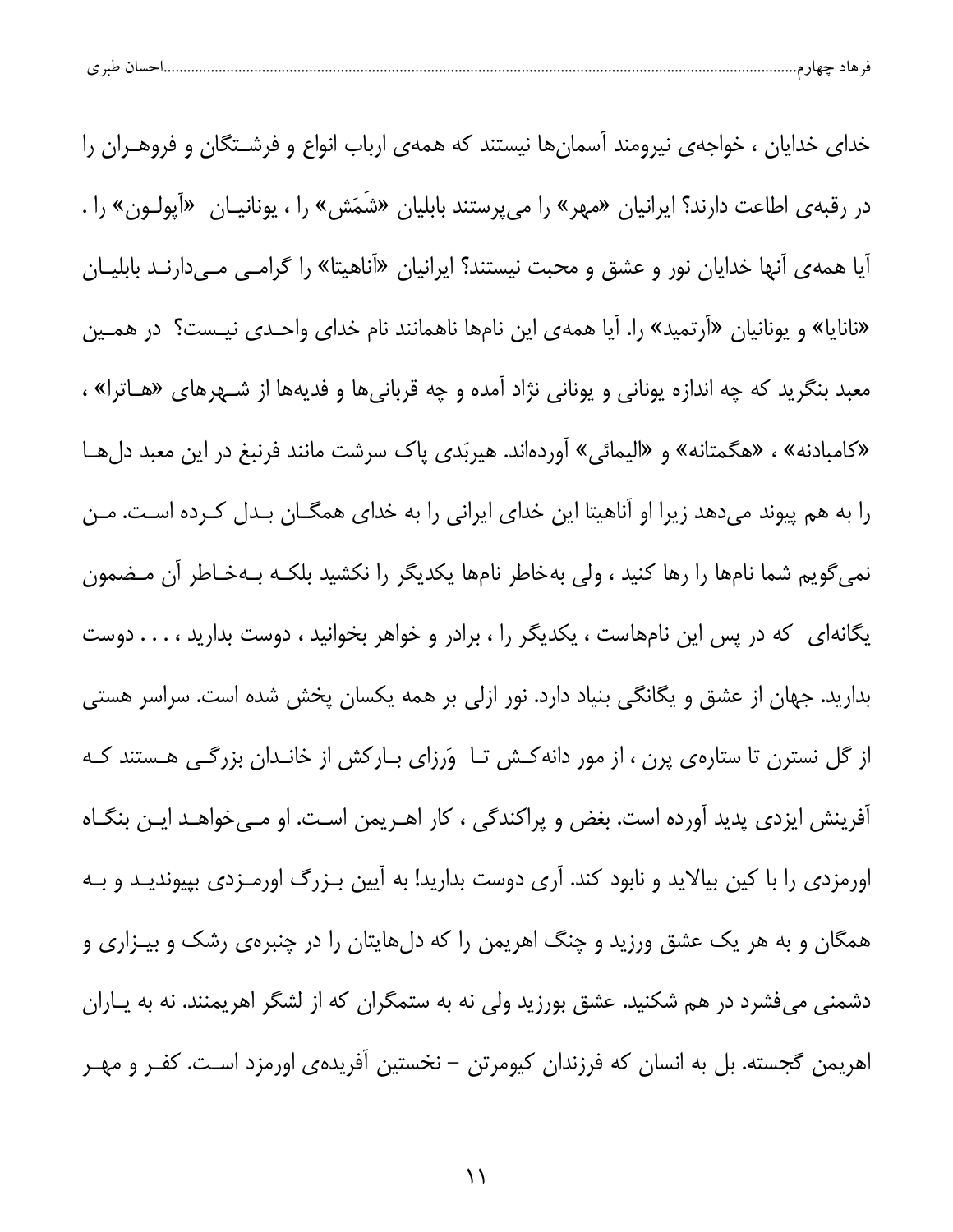| حسال طبر ی<br>حصاد م |  |  |
|----------------------|--|--|
|                      |  |  |

خدای خدایان ، خواجهی نیرومند آسمانها نیستند که همهی ارباب انواع و فرشـتگان و فروهــران را در رقبهی اطاعت دارند؟ ایرانیان «مهر» را میپرستند بابلیان «شَمَش» را ، یونانیـان «آپولـون» را . اًیا همه ی اًنها خدایان نور و عشق و محبت نیستند؟ ایرانیان «اَناهیتا» را گرامــی مــیدارنــد بابلیــان «نانایا» و یونانیان «آرتمید» را. آیا همهی این نامها ناهمانند نام خدای واحـدی نیـست؟ در همـین معبد بنگرید که چه اندازه یونانی و یونانی نژاد آمده و چه قربانیها و فدیهها از شـهرهای «هــاترا» ، «كامبادنه» ، «هگمتانه» و «اليمائي» آوردهاند. هيربَدي پاك سرشت مانند فرنبغ در اين معبد دلها را به هم پیوند میدهد زیرا او آناهیتا این خدای ایرانی را به خدای همگــان بــدل کــرده اسـت. مــن نمیگویم شما نامها را رها کنید ، ولی بهخاطر نامها یکدیگر را نکشید بلکـه بـهخـاطر آن مـضمون یگانهای که در پس این نامهاست ، یکدیگر را ، برادر و خواهر بخوانید ، دوست بدارید ، . . . دوست بدارید. جهان از عشق و یگانگی بنیاد دارد. نور ازلی بر همه یکسان پخش شده است. سراسر هستی از گل نسترن تا ستارهی پرن ، از مور دانه کـش تـا وَرزای بـارکش از خانـدان بزرگـی هـستند کـه آفرینش ایزدی پدید آورده است. بغض و پراکندگی ، کار اهـریمن اسـت. او مـیخواهـد ایـن بنگـاه اورمزدی را با کین بیالاید و نابود کند. آری دوست بدارید! به آیین بـزرگ اورمـزدی بپیوندیـد و بـه همگان و به هر یک عشق ورزید و چنگ اهریمن را که دلهایتان را در چنبرهی رشک و بیـزاری و دشمنی میفشرد در هم شکنید. عشق بورزید ولی نه به ستمگران که از لشگر اهریمنند. نه به پـاران اهریمن گجسته. بل به انسان که فرزندان کیومرتن – نخستین آفریدهی اورمزد اسـت. کفـر و مهـر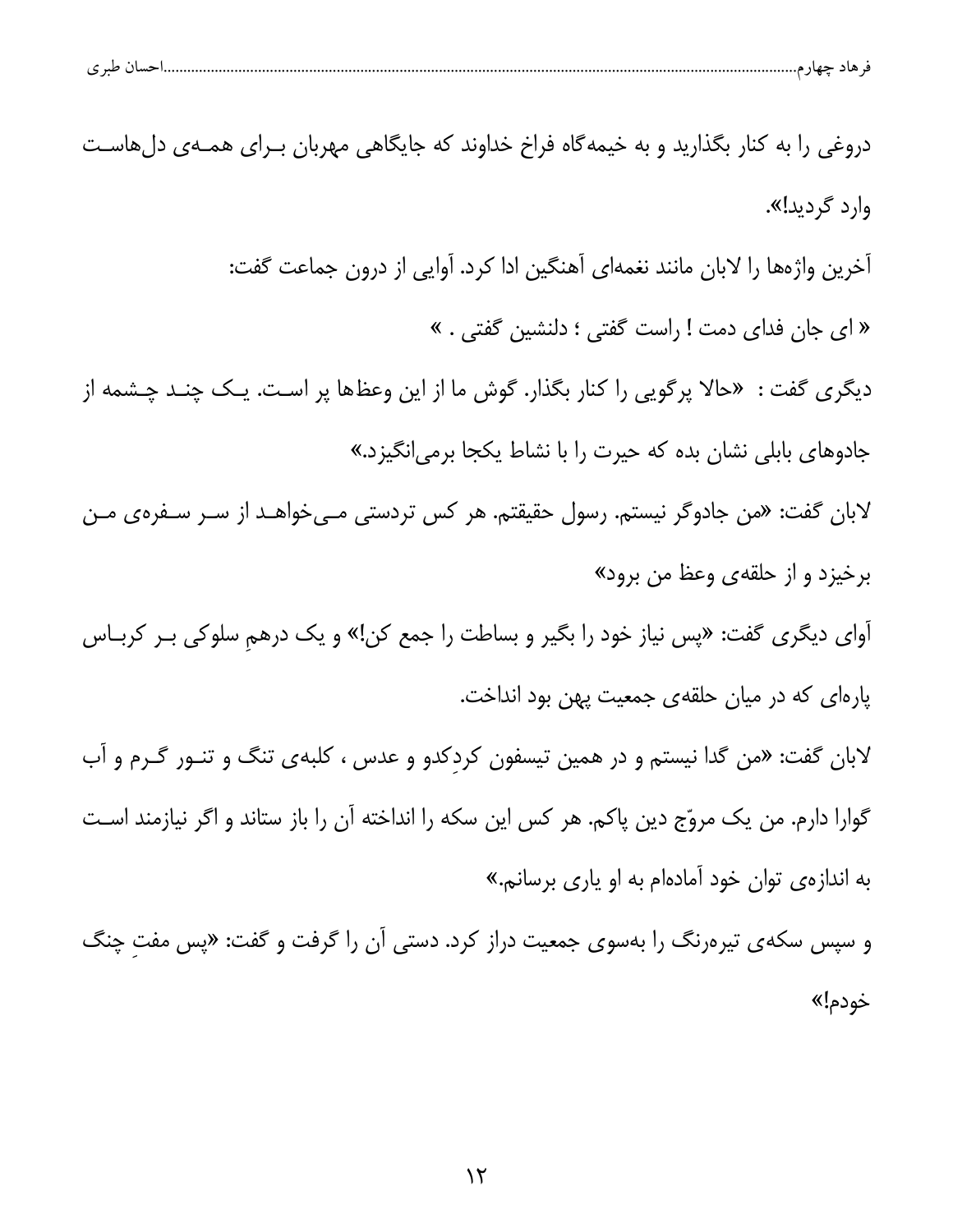| دروغی را به کنار بگذارید و به خیمهگاه فراخ خداوند که جایگاهی مهربان بـرای همـهی دلهاسـت        |
|------------------------------------------------------------------------------------------------|
| وارد گردید!».                                                                                  |
| أخرين واژهها را لابان مانند نغمهاى أهنگين ادا كرد. أوايى از درون جماعت گفت:                    |
| « ای جان فدای دمت ! راست گفتی ؛ دلنشین گفتی . »                                                |
| دیگر <i>ی</i> گفت :  «حالا پرگویی را کنار بگذار. گوش ما از این وعظها پر است. یـک چنـد چـشمه از |
| جادوها <i>ی</i> بابلی نشان بده که حیرت را با نشاط یکجا برمی نگیزد.»                            |
| لابان گفت: «من جادوگر نیستم. رسول حقیقتم. هر کس تردستی مـیخواهـد از سـر سـفرهی مـن             |
| برخیزد و از حلقه <i>ی</i> وعظ من برود»                                                         |
| اَوای دیگری گفت: «پس نیاز خود را بگیر و بساطت را جمع کن!» و یک درهمِ سلوکی بـر کربـاس          |
| پارهای که در میان حلقهی جمعیت پهن بود انداخت.                                                  |
| لابان گفت: «من گدا نیستم و در همین تیسفون کردِکدو و عدس ، کلبهی تنگ و تنـور گـرم و آب          |
| گوارا دارم. من یک مروّج دین پاکم. هر کس این سکه را انداخته آن را باز ستاند و اگر نیازمند است   |
| به اندازهی توان خود آمادهام به او یاری برسانم.»                                                |
| و سپس سکهی تیرهرنگ را بهسوی جمعیت دراز کرد. دستی آن را گرفت و گفت: «پس مفت چنگ                 |
| خودم!»                                                                                         |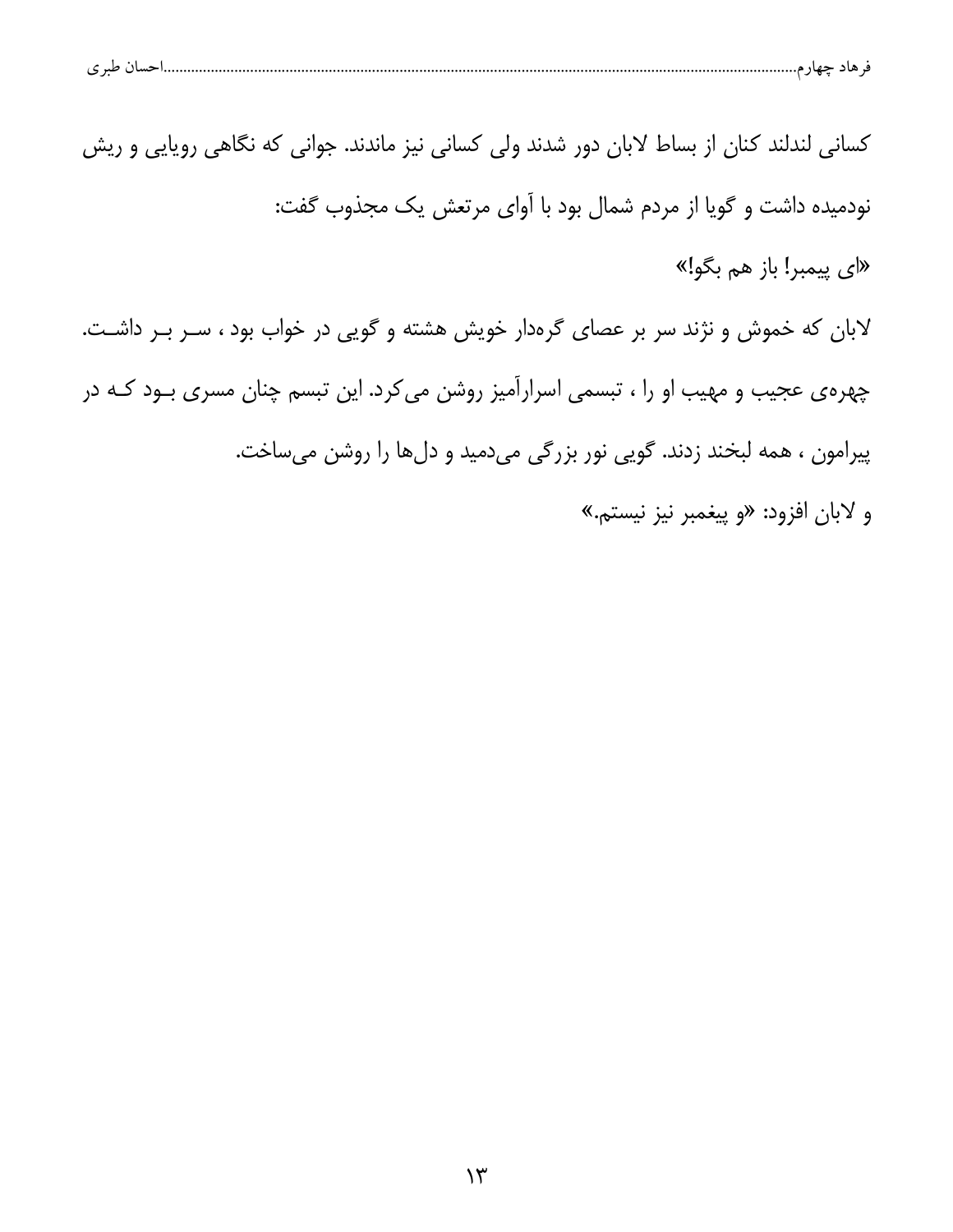| حساں طبر ی |
|------------|
|------------|

کسانی لندلند کنان از بساط لابان دور شدند ولی کسانی نیز ماندند. جوانی که نگاهی رویایی و ریش نودمیده داشت و گویا از مردم شمال بود با آوای مرتعش یک مجذوب گفت:

«ای پیمبر! باز هم بگو!»

لابان که خموش و نژند سر بر عصای گرهدار خویش هشته و گویی در خواب بود ، سـر بـر داشـت. چهرهی عجیب و مهیب او را ، تبسمی اسرارآمیز روشن می کرد. این تبسم چنان مسری بـود کـه در پیرامون ، همه لبخند زدند. گویی نور بزرگی میدمید و دلها را روشن میساخت.

و لابان افزود: «و پیغمبر نیز نیستم.»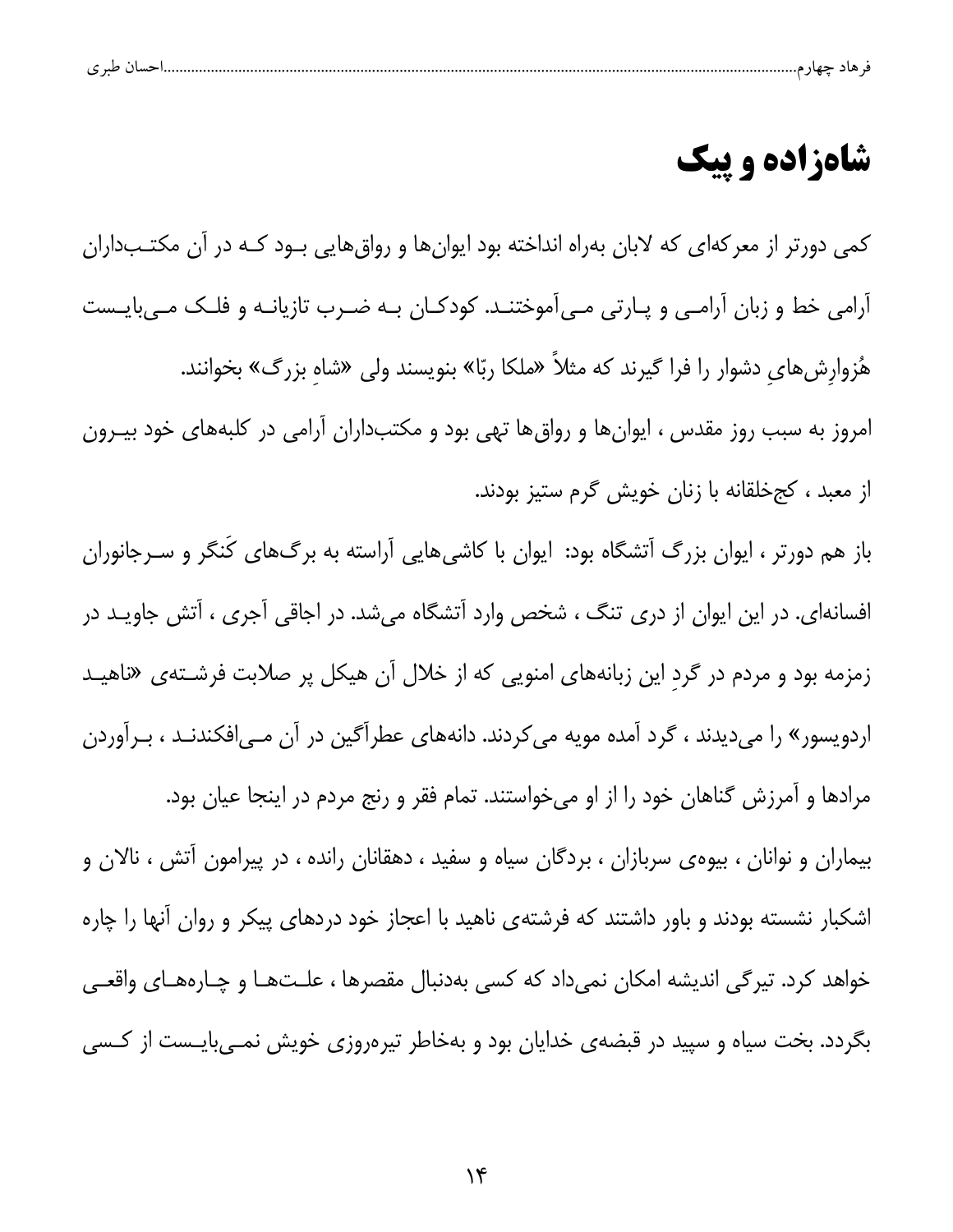| $\sim$<br>ت |  |  |  |  |
|-------------|--|--|--|--|
|             |  |  |  |  |

#### شاهزاده و پیک

کمی دورتر از معرکهای که لابان بهراه انداخته بود ایوانها و رواق هایی بود کـه در آن مکتـبداران آرامی خط و زبان آرامـی و پـارتی مـیآموختنـد. کودکـان بـه ضـرب تازیانـه و فلـک مـیبایـست هٔزوارشهای دشوار را فرا گیرند که مثلاً «ملکا ربّا» بنویسند ولی «شاه بزرگ» بخوانند. امروز به سبب روز مقدس ، ایوان ها و رواق ها تهی بود و مکتبداران آرامی در کلبههای خود بیــرون از معبد ، کجخلقانه با زنان خویش گرم ستیز بودند. باز هم دورتر ، ایوان بزرگ آتشگاه بود: ایوان با کاشیهایی آراسته به برگهای کَنگر و سـرجانوران افسانهای. در این ایوان از دری تنگ ، شخص وارد آتشگاه میشد. در اجاقی آجری ، آتش جاویـد در زمزمه بود و مردم در گرد این زبانههای امنویی که از خلال آن هیکل پر صلابت فرشـتهی «ناهیـد اردویسور» را میدیدند ، گرد آمده مویه می کردند. دانههای عطرآگین در آن مـی|فکندنـد ، بـرآوردن مرادها و آمرزش گناهان خود را از او میخواستند. تمام فقر و رنج مردم در اینجا عیان بود. بیماران و نوانان ، بیوهی سربازان ، بردگان سیاه و سفید ، دهقانان رانده ، در پیرامون آتش ، نالان و اشکبار نشسته بودند و باور داشتند که فرشتهی ناهید با اعجاز خود دردهای پیکر و روان آنها را چاره خواهد کرد. تیرگی اندیشه امکان نمیداد که کسی بهدنبال مقصرها ، علـتهـا و چـارههـای واقعـی بگردد. بخت سیاه و سپید در قبضهی خدایان بود و بهخاطر تیرهروزی خویش نمـیبایـست از کـسی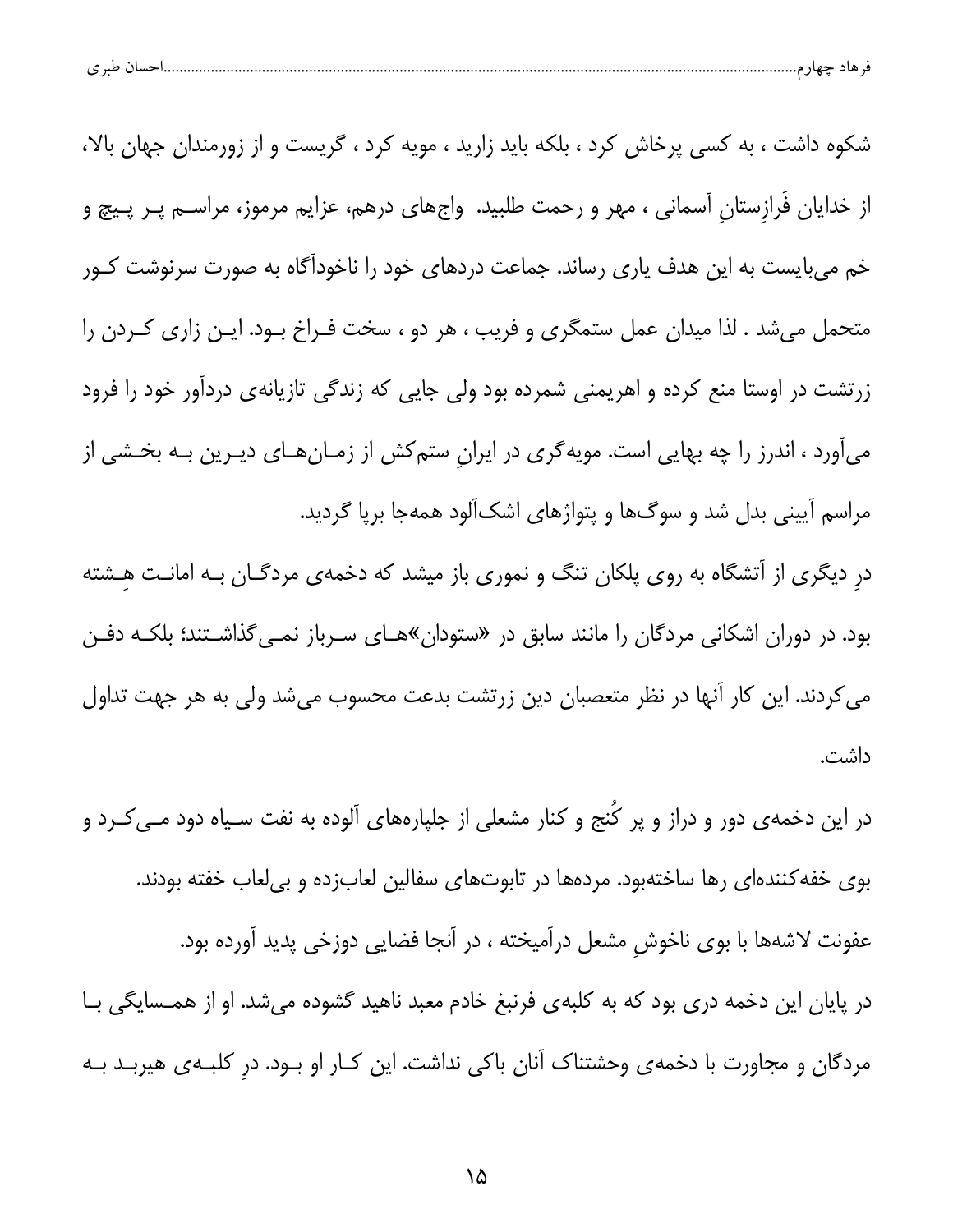| $\sim$ $\sim$<br>ت | . נ |  |
|--------------------|-----|--|
|--------------------|-----|--|

شکوه داشت ، به کسی پرخاش کرد ، بلکه باید زارید ، مویه کرد ، گریست و از زورمندان جهان بالا، از خدایان فَرازستان آسمانی ، مهر و رحمت طلبید. واجهای درهم، عزایم مرموز، مراســم پــر پــیچ و خم میبایست به این هدف یاری رساند. جماعت دردهای خود را ناخودآگاه به صورت سرنوشت کــور متحمل میشد . لذا میدان عمل ستمگری و فریب ، هر دو ، سخت فـراخ بـود. ایـن زاری کـردن را زرتشت در اوستا منع کرده و اهریمنی شمرده بود ولی جایی که زندگی تازیانهی دردآور خود را فرود میآورد ، اندرز را چه بهایی است. مویهگری در ایران ستمکش از زمـانهـای دیـرین بـه بخـشی از مراسم آیینی بدل شد و سوگها و پتواژهای اشکآلود همهجا برپا گردید. در دیگری از آتشگاه به روی پلکان تنگ و نموری باز میشد که دخمهی مردگـان بـه امانـت هـشته بود. در دوران اشکانی مردگان را مانند سابق در «ستودان»هـای سـرباز نمـیeگذاشـتند؛ بلکـه دفـن می کردند. این کار آنها در نظر متعصبان دین زرتشت بدعت محسوب میشد ولی به هر جهت تداول داشت.

در این دخمه ی دور و دراز و پر کُنج و کنار مشعلی از جلپارههای آلوده به نفت سـیاه دود مــی *کــ*رد و بوی خفه کنندهای رها ساختهبود. مردهها در تابوتهای سفالین لعابزده و بیلعاب خفته بودند. عفونت لاشهها با بوى ناخوش مشعل درآميخته ، در آنجا فضايى دوزخى پديد آورده بود. در پایان این دخمه دری بود که به کلبهی فرنبغ خادم معبد ناهید گشوده میشد. او از همـسایگی بـا مردگان و مجاورت با دخمهی وحشتناک آنان باکی نداشت. این کـار او بـود. در کلبـهی هیربـد بـه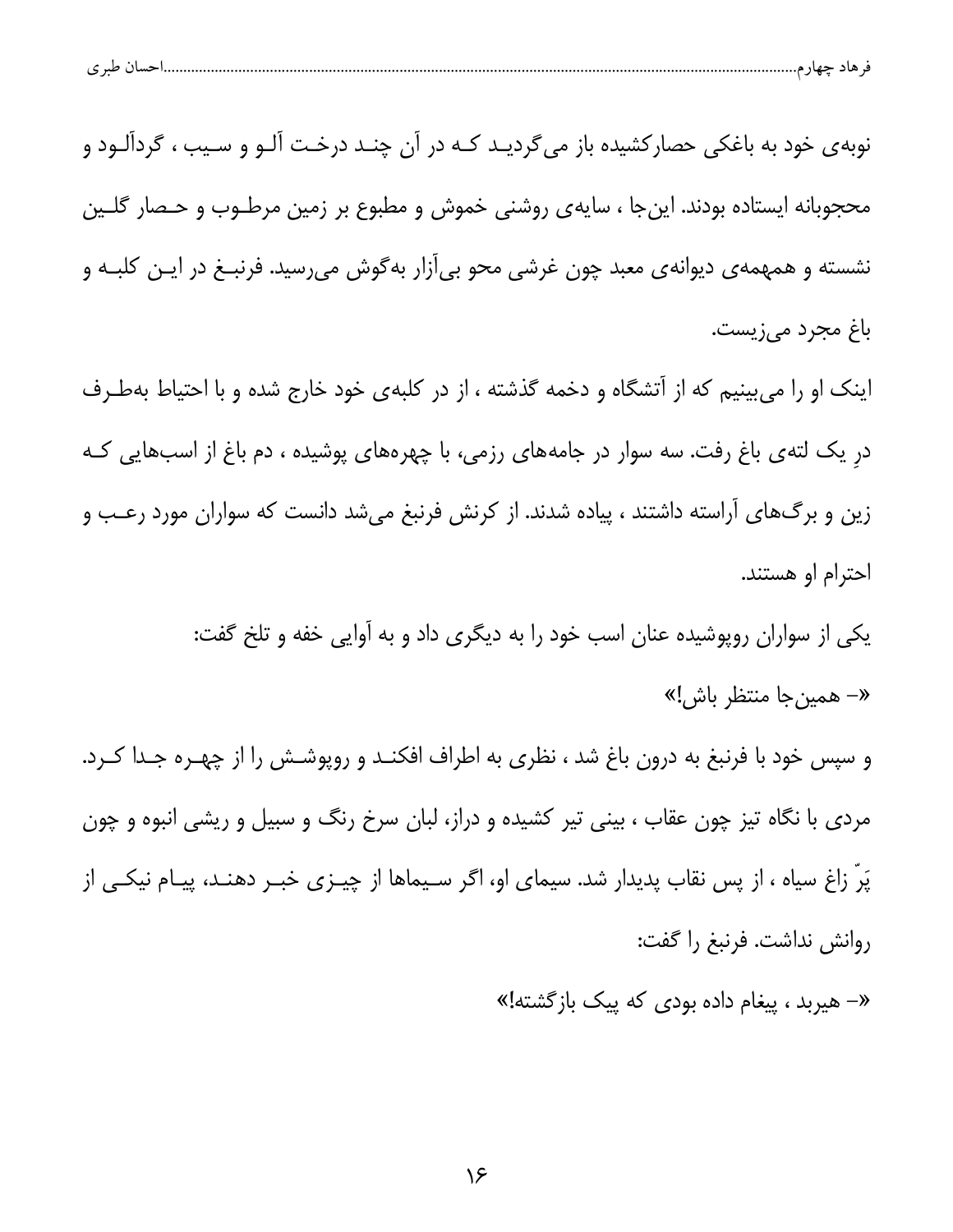| طبہ م<br>ັ | تسب ر |  |  |
|------------|-------|--|--|
|            |       |  |  |

نوبهی خود به باغکی حصارکشیده باز میگردیـد کـه در آن چنـد درخـت آلـو و سـیب ، گردآلـود و محجوبانه ايستاده بودند. اين جا ، سايه ي روشني خموش و مطبوع بر زمين مرطـوب و حـصار گلــين نشسته و همهمه ی دیوانه ی معبد چون غرشی محو بی آزار به گوش می رسید. فرنبـغ در ایـن کلبـه و باغ مجرد میزیست.

اینک او را می بینیم که از آتشگاه و دخمه گذشته ، از در کلبهی خود خارج شده و با احتیاط بهطـرف در یک لتهی باغ رفت. سه سوار در جامههای رزمی، با چهرههای پوشیده ، دم باغ از اسبهایی کـه زین و برگ@ای آراسته داشتند ، پیاده شدند. از کرنش فرنبغ میشد دانست که سواران مورد رعب و احترام او هستند.

> یکی از سواران روپوشیده عنان اسب خود را به دیگری داد و به آوایی خفه و تلخ گفت: «– همينجا منتظر باش!»

و سپس خود با فرنبغ به درون باغ شد ، نظری به اطراف افکنـد و روپوشـش را از چهـره جـدا کـرد. مردی با نگاه تیز چون عقاب ، بینی تیر کشیده و دراز، لبان سرخ رنگ و سبیل و ریشی انبوه و چون پَرٌ زاغ سیاه ، از پس نقاب پدیدار شد. سیمای او، اگر سـیماها از چیــزی خبــر دهنــد، پیــام نیکــی از روانش نداشت. فرنبغ را گفت:

«– هیربد ، پیغام داده بودی که پیک بازگشته!»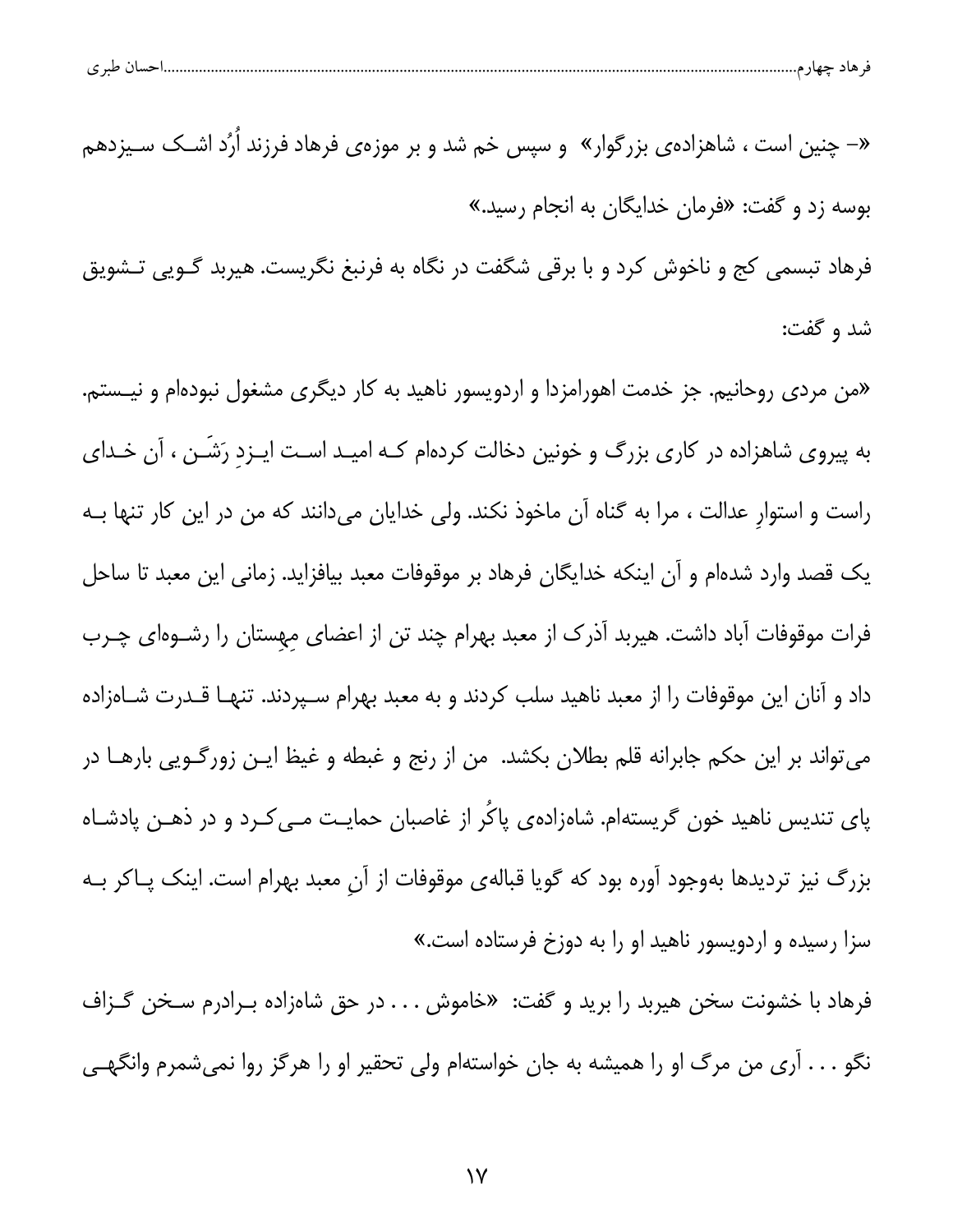| احسال طبر ی |  |  |  |  |  |
|-------------|--|--|--|--|--|
|-------------|--|--|--|--|--|

«– چنین است ، شاهزادهی بزرگوار» و سپس خم شد و بر موزهی فرهاد فرزند اُرُد اشــک ســیزدهم بوسه زد و گفت: «فرمان خدایگان به انجام رسید.»

فرهاد تبسمی کج و ناخوش کرد و با برقی شگفت در نگاه به فرنبغ نگریست. هیربد گــویی تــشویق شد و گفت:

«من مردی روحانیم. جز خدمت اهورامزدا و اردویسور ناهید به کار دیگری مشغول نبودهام و نیـستم. به پیروی شاهزاده در کاری بزرگ و خونین دخالت کردهام کـه امیـد اسـت ایـزد رَشَـن ، آن خـدای راست و استوار عدالت ، مرا به گناه آن ماخوذ نکند. ولی خدایان میدانند که من در این کار تنها بـه یک قصد وارد شدهام و اَن اینکه خدایگان فرهاد بر موقوفات معبد بیافزاید. زمانی این معبد تا ساحل فرات موقوفات آباد داشت. هیربد آذرک از معبد بهرام چند تن از اعضای مهستان را رشـوهای چـرب داد و آنان این موقوفات را از معبد ناهید سلب کردند و به معبد بهرام سـپردند. تنهـا قـدرت شـاهزاده می تواند بر این حکم جابرانه قلم بطلان بکشد. من از رنج و غبطه و غیظ ایـن زورگـویی بارهـا در پای تندیس ناهید خون گریستهام. شاهزادهی پاکُر از غاصبان حمایـت مـی کـرد و در ذهـن پادشـاه بزرگ نیز تردیدها بهوجود آوره بود که گویا قبالهی موقوفات از آن معبد بهرام است. اینک پـاکر بـه سزا رسیده و اردویسور ناهید او را به دوزخ فرستاده است.»

فرهاد با خشونت سخن هیربد را برید و گفت: «خاموش . . . در حق شاهزاده بـرادرم سـخن گـزاف نگو . . . آرى من مرگ او را هميشه به جان خواستهام ولى تحقير او را هرگز روا نمىشمرم وانگهـى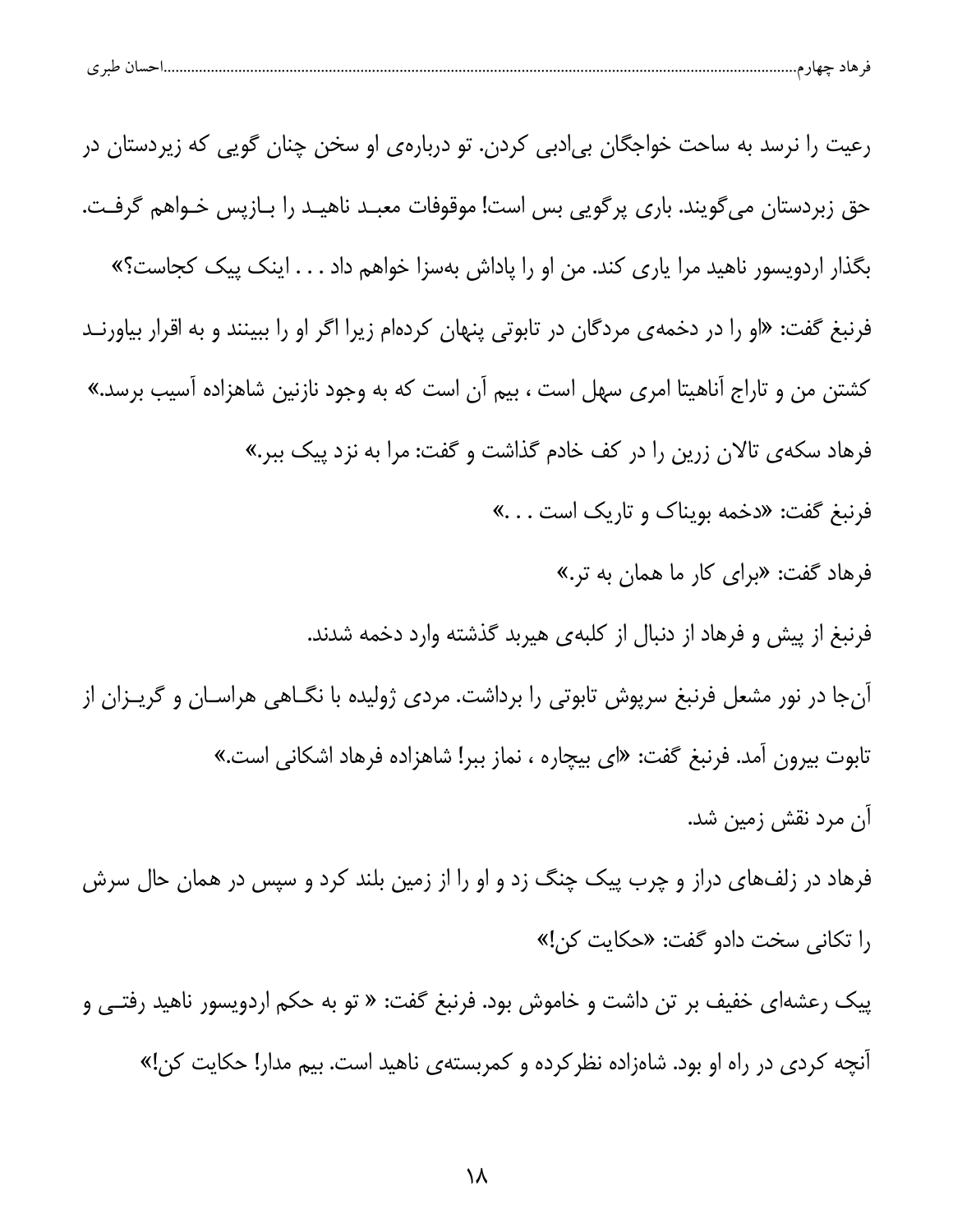|  | $\sim$ $\sim$<br>هاد حهاز م<br>تسب ا<br>ີ |  | $\mathbf{H}$ |  |  |
|--|-------------------------------------------|--|--------------|--|--|
|--|-------------------------------------------|--|--------------|--|--|

| رعیت را نرسد به ساحت خواجگان بی دبی کردن. تو دربارهی او سخن چنان گویی که زیردستان در               |
|----------------------------------------------------------------------------------------------------|
| حق زبردستان می گویند. باری پرگویی بس است! موقوفات معبـد ناهیـد را بــازپس خـواهم گرفـت.            |
| بگذار اردویسور ناهید مرا یاری کند. من او را پاداش بهسزا خواهم داد اینک پیک کجاست؟»                 |
| فرنبغ گفت: «او را در دخمهی مردگان در تابوتی پنهان کردهام زیرا اگر او را ببینند و به اقرار بیاورنـد |
| کشتن من و تاراج آناهیتا امری سهل است ، بیم آن است که به وجود نازنین شاهزاده آسیب برسد.»            |
| فرهاد سکهی تالان زرین را در کف خادم گذاشت و گفت: مرا به نزد پیک ببر.»                              |
| فرنبغ گفت: «دخمه بویناک و تاریک است …»                                                             |
| فرهاد گفت: «برای کار ما همان به تر.»                                                               |
| فرنبغ از پیش و فرهاد از دنبال از کلبهی هیربد گذشته وارد دخمه شدند.                                 |
| آنجا در نور مشعل فرنبغ سرپوش تابوتی را برداشت. مردی ژولیده با نگــاهی هراســان و گریــزان از       |
| تابوت بیرون آمد. فرنبغ گفت: «ای بیچاره ، نماز ببر! شاهزاده فرهاد اشکانی است.»                      |
| آن مرد نقش زمین شد.                                                                                |
| فرهاد در زلفهای دراز و چرب پیک چنگ زد و او را از زمین بلند کرد و سپس در همان حال سرش               |
| را تكانى سخت دادو گفت: «حكايت كن!»                                                                 |
| پیک رعشهای خفیف بر تن داشت و خاموش بود. فرنبغ گفت: « تو به حکم اردویسور ناهید رفتــی و             |
|                                                                                                    |

آنچه کردی در راه او بود. شاهزاده نظرکرده و کمربستهی ناهید است. بیم مدار! حکایت کن!»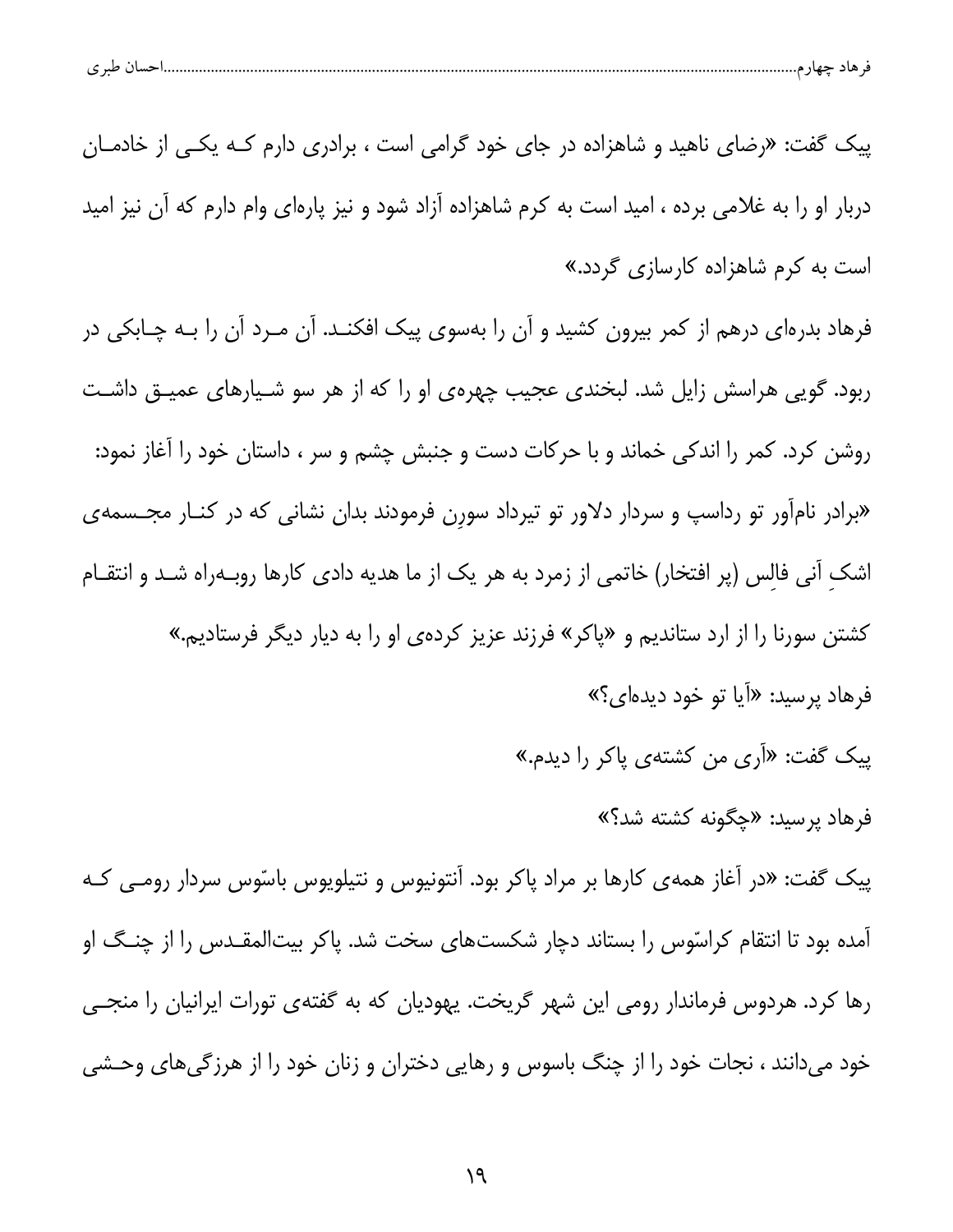| احساں طبر ی |  |  |  |  |  |
|-------------|--|--|--|--|--|
|-------------|--|--|--|--|--|

پیک گفت: «رضای ناهید و شاهزاده در جای خود گرامی است ، برادری دارم کـه یکـی از خادمـان دربار او را به غلامی برده ، امید است به کرم شاهزاده آزاد شود و نیز پارهای وام دارم که آن نیز امید است به کرم شاهزاده کارسازی گردد.»

فرهاد بدرهای درهم از کمر بیرون کشید و آن را بهسوی پیک افکنـد. آن مـرد آن را بـه چـابکی در ربود. گویی هراسش زایل شد. لبخندی عجیب چهرهی او را که از هر سو شـیارهای عمیـق داشـت روشن کرد. کمر را اندکی خماند و با حرکات دست و جنبش چشم و سر ، داستان خود را آغاز نمود: «برادر نامآور تو رداسپ و سردار دلاور تو تیرداد سورن فرمودند بدان نشانی که در کنـار مجـسمهی اشک آنی فالس (پر افتخار) خاتمی از زمرد به هر یک از ما هدیه دادی کارها روبـهراه شـد و انتقـام کشتن سورنا را از ارد ستاندیم و «پاکر» فرزند عزیز کردهی او را به دیار دیگر فرستادیم.» فرهاد پرسید: «اَیا تو خود دیدهای؟»

پیک گفت: «اَری من کشتهی پاکر را دیدم.»

فرهاد پرسید: «چگونه کشته شد؟»

پیک گفت: «در آغاز همهی کارها بر مراد پاکر بود. آنتونیوس و نتیلویوس باسّوس سردار رومــی کـه آمده بود تا انتقام کراسّوس را بستاند دچار شکستهای سخت شد. پاکر بیتالمقـدس را از چنـگ او رها کرد. هردوس فرماندار رومی این شهر گریخت. یهودیان که به گفتهی تورات ایرانیان را منجے خود میدانند ، نجات خود را از چنگ باسوس و رهایی دختران و زنان خود را از هرزگیهای وحشی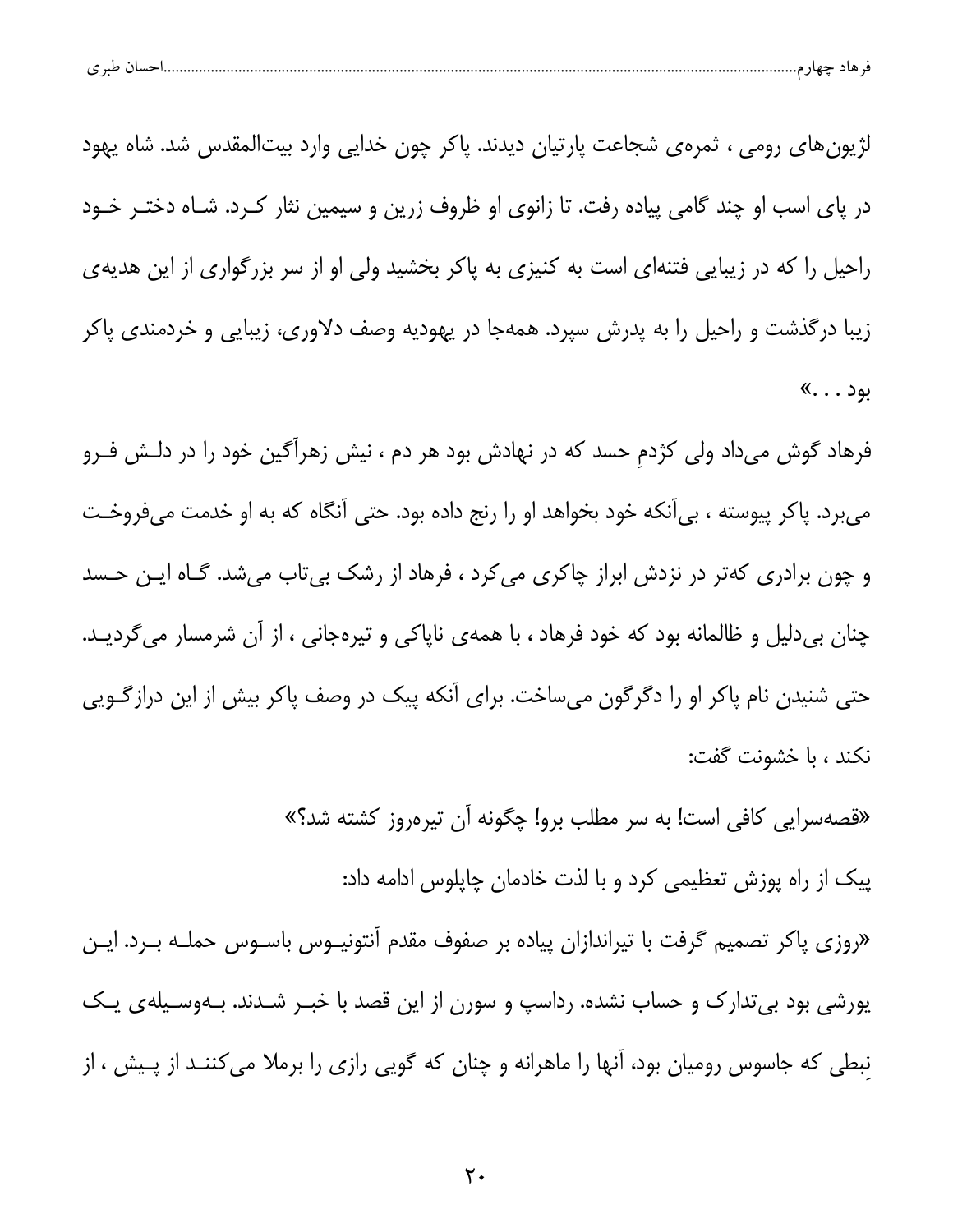|--|--|--|

لژیونهای رومی ، ثمرهی شجاعت پارتیان دیدند. پاکر چون خدایی وارد بیتالمقدس شد. شاه یهود در پای اسب او چند گامی پیاده رفت. تا زانوی او ظروف زرین و سیمین نثار کـرد. شـاه دختـر خـود راحیل را که در زیبایی فتنهای است به کنیزی به پاکر بخشید ولی او از سر بزرگواری از این هدیهی زیبا درگذشت و راحیل را به پدرش سپرد. همهجا در یهودیه وصف دلاوری، زیبایی و خردمندی پاکر بود . . . »

فرهاد گوش میداد ولی کژدم حسد که در نهادش بود هر دم ، نیش زهرآگین خود را در دلـش فـرو میبرد. پاکر پیوسته ، بی[نکه خود بخواهد او را رنج داده بود. حتی آنگاه که به او خدمت میفروخت و چون برادری کهتر در نزدش ابراز چاکری می *ک*رد ، فرهاد از رشک بیتاب میشد. گـاه ایـن حـسد چنان بیدلیل و ظالمانه بود که خود فرهاد ، با همهی ناپاکی و تیرهجانی ، از آن شرمسار میگردیـد. حتی شنیدن نام پاکر او را دگرگون میساخت. برای آنکه پیک در وصف پاکر بیش از این درازگــویی نكند ، با خشونت گفت:

«قصهسرایی کافی است! به سر مطلب برو! چگونه آن تیرهروز کشته شد؟»

پیک از راه پوزش تعظیمی کرد و با لذت خادمان چاپلوس ادامه داد:

«روزی پاکر تصمیم گرفت با تیراندازان پیاده بر صفوف مقدم آنتونیـوس باسـوس حملـه بـرد. ایـن یورشی بود بی تدارک و حساب نشده. رداسپ و سورن از این قصد با خبـر شـدند. بـهوسـیلهی یـک نبطی که جاسوس رومیان بود، آنها را ماهرانه و چنان که گویی رازی را برملا میکننـد از پـیش ، از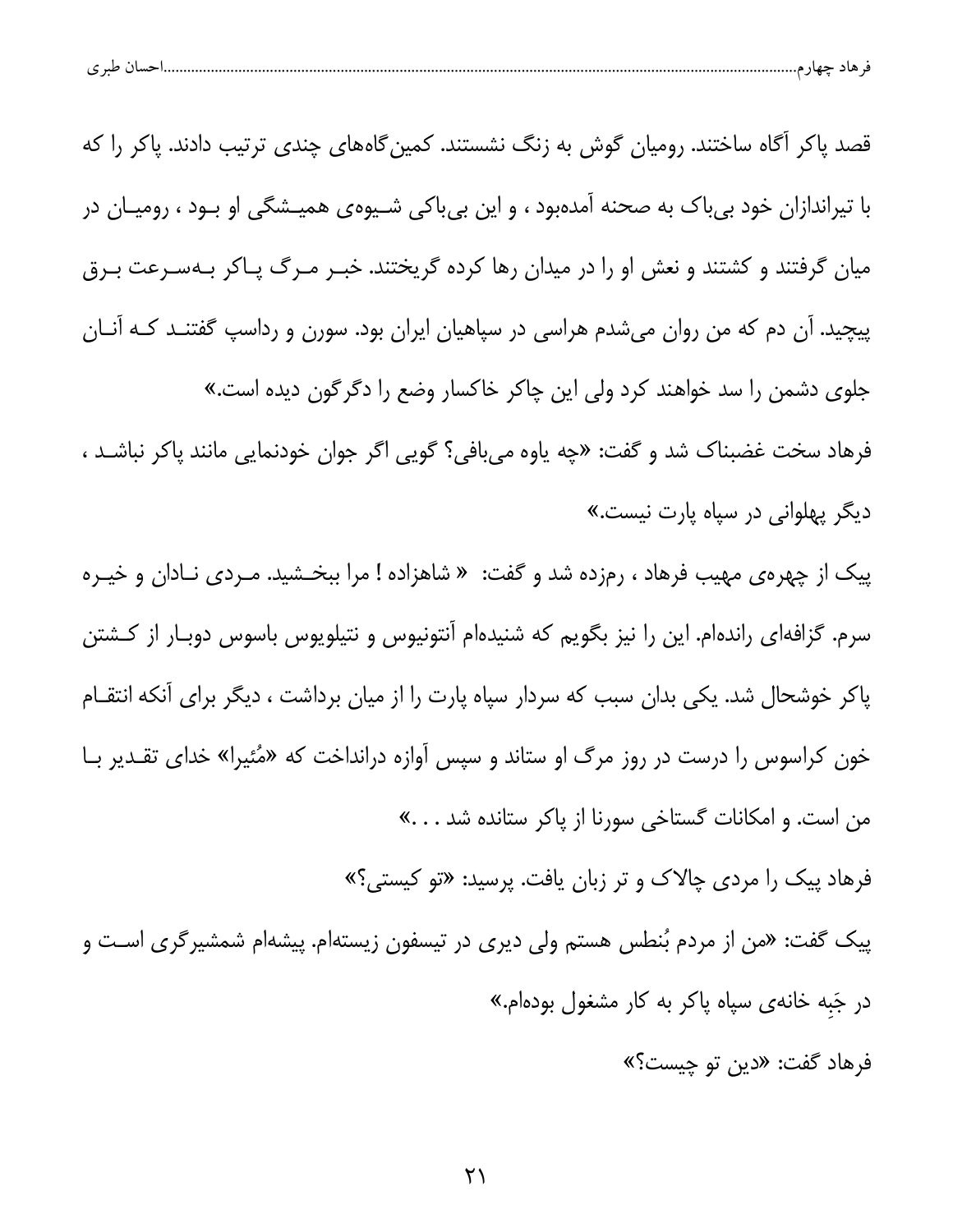| $\sim$ $\sim$<br>ت | יי |  |
|--------------------|----|--|
|--------------------|----|--|

قصد پاکر آگاه ساختند. رومیان گوش به زنگ نشستند. کمین گاههای چندی ترتیب دادند. پاکر را که با تیراندازان خود بی باک به صحنه آمدهبود ، و این بی باکی شـیوهی همیـشگی او بـود ، رومیـان در میان گرفتند و کشتند و نعش او را در میدان رها کرده گریختند. خبـر مـرگ پـاکر بـهسـرعت بـرق پیچید. آن دم که من روان میشدم هراسی در سپاهیان ایران بود. سورن و رداسپ گفتنــد کــه آنــان جلوی دشمن را سد خواهند کرد ولی این چاکر خاکسار وضع را دگرگون دیده است.» فرهاد سخت غضبناک شد و گفت: «چه یاوه میبافی؟ گویی اگر جوان خودنمایی مانند پاکر نباشـد ، دیگر پهلوانی در سپاه پارت نیست.» پیک از چهره ی مهیب فرهاد ، رمزده شد و گفت: « شاهزاده ! مرا ببخـشید. مـردی نـادان و خیـره سرم. گزافهای راندهام. این را نیز بگویم که شنیدهام آنتونیوس و نتیلویوس باسوس دوبـار از کـشتن پاکر خوشحال شد. یکی بدان سبب که سردار سپاه پارت را از میان برداشت ، دیگر برای آنکه انتقـام خون کراسوس را درست در روز مرگ او ستاند و سپس آوازه درانداخت که «مُئیرا» خدای تقـدیر بـا من است. و امكانات گستاخى سورنا از پاكر ستانده شد . . . » فرهاد پیک را مرد*ی* چالاک و تر زبان یافت. پرسید: «تو کیستی؟»

پیک گفت: «من از مردم بُنطس هستم ولی دیری در تیسفون زیستهام. پیشهام شمشیرگری اسـت و در جَبه خانهی سپاه پاکر به کار مشغول بودهام.»

فرهاد گفت: «دين تو چيست؟»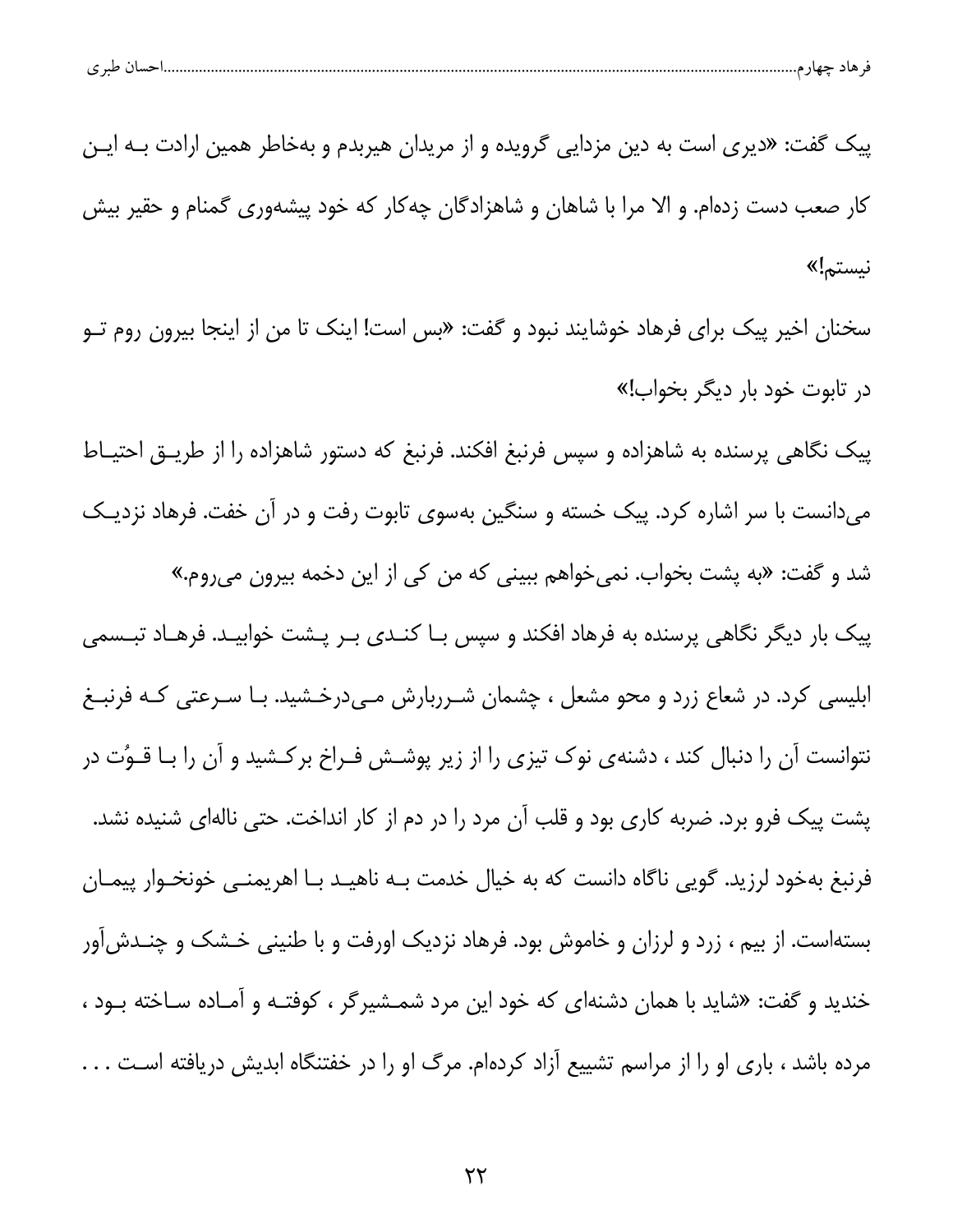| احسال طبر ی<br>قر هاد چهار م |  |  |
|------------------------------|--|--|
|                              |  |  |

پیک گفت: «دیری است به دین مزدایی گرویده و از مریدان هیربدم و بهخاطر همین ارادت بــه ایــن کار صعب دست زدهام. و الا مرا با شاهان و شاهزادگان چه کار که خود پیشهوری گمنام و حقیر بیش نيستم!»

سخنان اخیر پیک برای فرهاد خوشایند نبود و گفت: «بس است! اینک تا من از اینجا بیرون روم تـو در تابوت خود بار دیگر بخواب!»

پیک نگاهی پرسنده به شاهزاده و سپس فرنبغ افکند. فرنبغ که دستور شاهزاده را از طریـق احتیـاط میدانست با سر اشاره کرد. پیک خسته و سنگین بهسوی تابوت رفت و در آن خفت. فرهاد نزدیـک شد و گفت: «به پشت بخواب. نمی خواهم ببینی که من کی از این دخمه بیرون می روم.» پیک بار دیگر نگاهی پرسنده به فرهاد افکند و سپس بـا کنــدی بـر پــشت خوابیــد. فرهــاد تبــسمی ابلیسی کرد. در شعاع زرد و محو مشعل ، چشمان شـرربارش مـیدرخـشید. بـا سـرعتی کـه فرنبـغ نتوانست آن را دنبال کند ، دشنهی نوک تیزی را از زیر پوشـش فـراخ برکـشید و آن را بـا قـوُت در پشت پیک فرو برد. ضربه کاری بود و قلب آن مرد را در دم از کار انداخت. حتی نالهای شنیده نشد. فرنبغ بهخود لرزید. گویی ناگاه دانست که به خیال خدمت بـه ناهیـد بـا اهریمنـی خونخــوار پیمــان بستهاست. از بیم ، زرد و لرزان و خاموش بود. فرهاد نزدیک اورفت و با طنینی خـشک و چنــدش]ور خندید و گفت: «شاید با همان دشنهای که خود این مرد شمــشیرگر ، کوفتــه و آمــاده ســاخته بــود ، مرده باشد ، باری او را از مراسم تشییع آزاد کردهام. مرگ او را در خفتنگاه ابدیش دریافته است . . .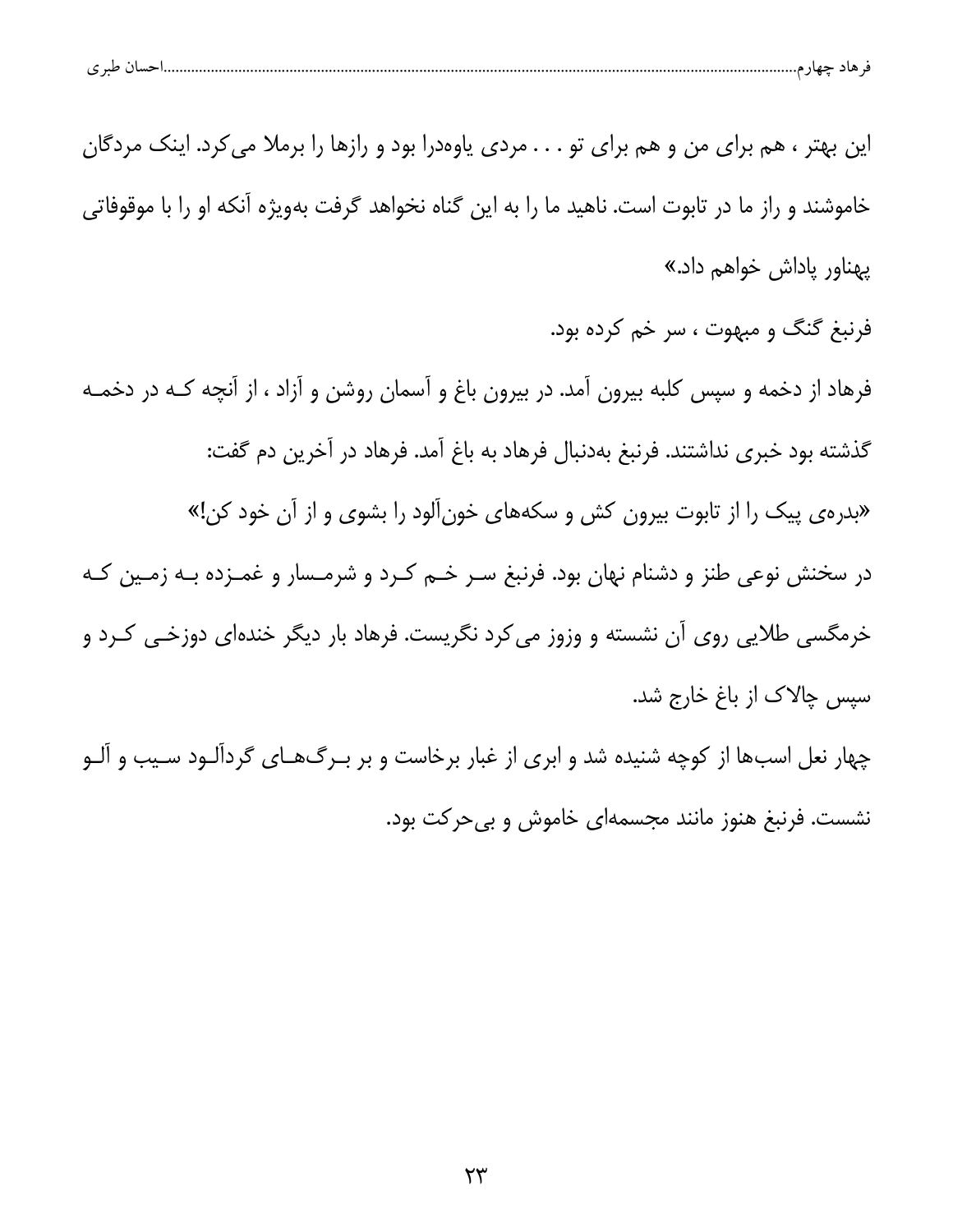| طبر ی | $\sim$<br>. | ماد |  |
|-------|-------------|-----|--|
|       |             |     |  |

این بهتر ، هم برای من و هم برای تو . . . مردی یاوهدرا بود و رازها را برملا می کرد. اینک مردگان خاموشند و راز ما در تابوت است. ناهید ما را به این گناه نخواهد گرفت بهویژه آنکه او را با موقوفاتی پهناور پاداش خواهم داد.»

فرنبغ گنگ و مبهوت ، سر خم کرده بود.

فرهاد از دخمه و سپس کلبه بیرون آمد. در بیرون باغ و آسمان روشن و آزاد ، از آنچه کـه در دخمـه گذشته بود خبری نداشتند. فرنبغ بهدنبال فرهاد به باغ آمد. فرهاد در آخرین دم گفت:

«بدرهی پیک را از تابوت بیرون کش و سکههای خونآلود را بشوی و از آن خود کن!»

در سخنش نوعی طنز و دشنام نهان بود. فرنبغ سـر خـم کـرد و شرمـسار و غمـزده بـه زمـین کـه خرمگسی طلایی روی آن نشسته و وزوز می کرد نگریست. فرهاد بار دیگر خندهای دوزخـی کـرد و سیس چالاک از باغ خارج شد.

چهار نعل اسبها از کوچه شنیده شد و ابری از غبار برخاست و بر بـرگ&ـای گردآلـود سـیب و آلـو نشست. فرنبغ هنوز مانند مجسمهای خاموش و بی حرکت بود.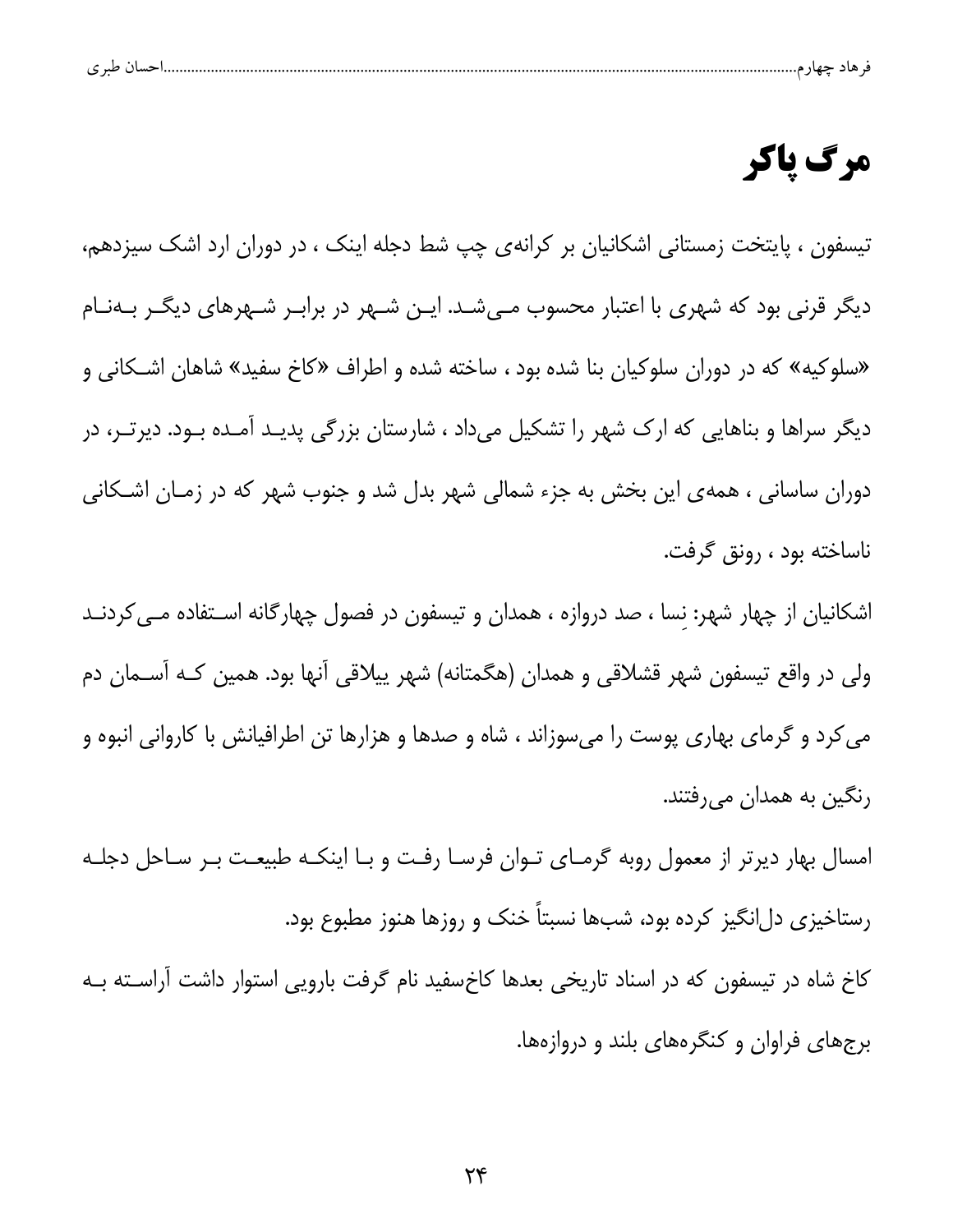| ت | $\cdot$ . Moreover, $\sim$ |  |  |  |
|---|----------------------------|--|--|--|
|   |                            |  |  |  |

# مرگ پاکر

تیسفون ، پایتخت زمستانی اشکانیان بر کرانهی چپ شط دجله اینک ، در دوران ارد اشک سیزدهم، دیگر قرنی بود که شهری با اعتبار محسوب مـیشـد. ایـن شـهر در برابـر شـهرهای دیگـر بـهنـام «سلوكيه» كه در دوران سلوكيان بنا شده بود ، ساخته شده و اطراف «كاخ سفيد» شاهان اشـكاني و دیگر سراها و بناهایی که ارک شهر را تشکیل میداد ، شارستان بزرگی پدیـد آمـده بـود. دیرتـر، در دوران ساسانی ، همهی این بخش به جزء شمالی شهر بدل شد و جنوب شهر که در زمـان اشـکانی ناساخته بود ، رونق گرفت.

اشکانیان از چهار شهر: نسا ، صد دروازه ، همدان و تیسفون در فصول چهارگانه اسـتفاده مـی کردنـد ولی در واقع تیسفون شهر قشلاقی و همدان (هگمتانه) شهر پیلاقی آنها بود. همین کـه آســمان دم می کرد و گرمای بهاری پوست را میسوزاند ، شاه و صدها و هزارها تن اطرافیانش با کاروانی انبوه و رنگین به همدان میرفتند.

امسال بهار دیرتر از معمول روبه گرمـای تـوان فرسـا رفـت و بـا اینکـه طبیعـت بـر سـاحل دجلـه رستاخیزی دلانگیز کرده بود، شبها نسبتاً خنک و روزها هنوز مطبوع بود.

کاخ شاه در تیسفون که در اسناد تاریخی بعدها کاخسفید نام گرفت بارویی استوار داشت آراسـته بـه برجهای فراوان و کنگرههای بلند و دروازهها.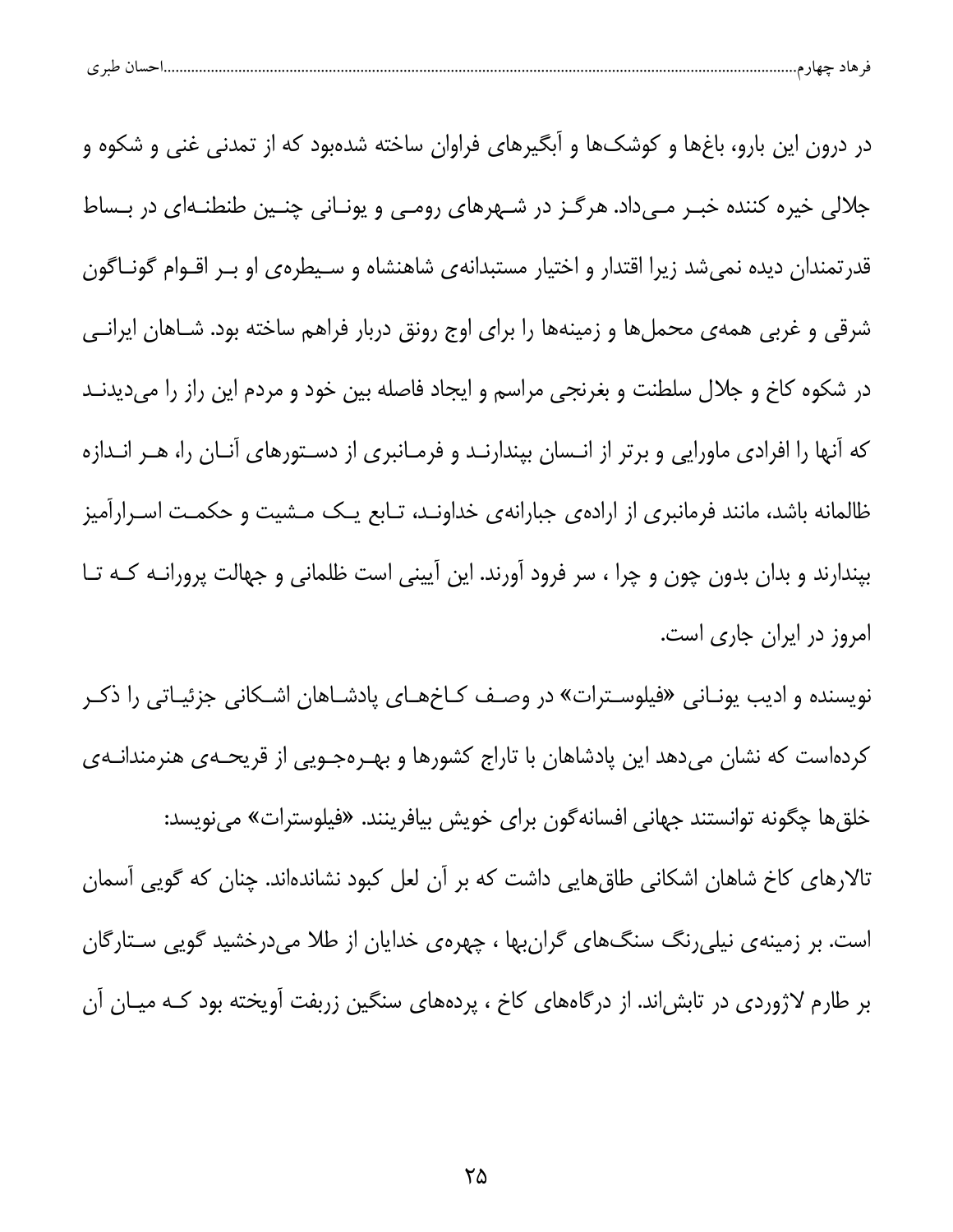| احسال طبر ی |
|-------------|
|-------------|

در درون این بارو، باغِها و کوشکها و آبگیرهای فراوان ساخته شدهبود که از تمدنی غنی و شکوه و جلالی خیره کننده خبـر مـیداد. هرگـز در شـهرهای رومـی و یونـانی چنـین طنطنـهای در بـساط قدرتمندان دیده نمیشد زیرا اقتدار و اختیار مستبدانهی شاهنشاه و سـیطرهی او بـر اقـوام گونـاگون شرقی و غربی همهی محملها و زمینهها را برای اوج رونق دربار فراهم ساخته بود. شـاهان ایرانـی در شکوه کاخ و جلال سلطنت و بغرنجی مراسم و ایجاد فاصله بین خود و مردم این راز را میدیدنـد که آنها را افرادی ماورایی و برتر از انـسان بپندارنـد و فرمـانبری از دسـتورهای آنـان را، هـر انـدازه ظالمانه باشد، مانند فرمانبری از ارادهی جبارانهی خداونـد، تـابع یـک مـشیت و حکمـت اسـرارآمیز بپندارند و بدان بدون چون و چرا ، سر فرود آورند. این آیینی است ظلمانی و جهالت پرورانــه کــه تــا امروز در ایران جاری است.

نویسنده و ادیب یونـانی «فیلوسـترات» در وصـف کـاخهـای پادشـاهان اشـکانی جزئیـاتی را ذکـر کردهاست که نشان میدهد این پادشاهان با تاراج کشورها و بهـرهجـویی از قریحـهی هنرمندانـهی خلق ها چگونه توانستند جهاني افسانهگون براي خويش بيافرينند. «فيلوسترات» مينويسد: تالارهای کاخ شاهان اشکانی طاق&ایی داشت که بر آن لعل کبود نشاندهاند. چنان که گویی آسمان است. بر زمینهی نیلی رنگ سنگ های گران بها ، چهرهی خدایان از طلا می درخشید گویی سـتارگان بر طارم لاژوردی در تابش اند. از درگاههای کاخ ، پردههای سنگین زربفت آویخته بود کـه میـان آن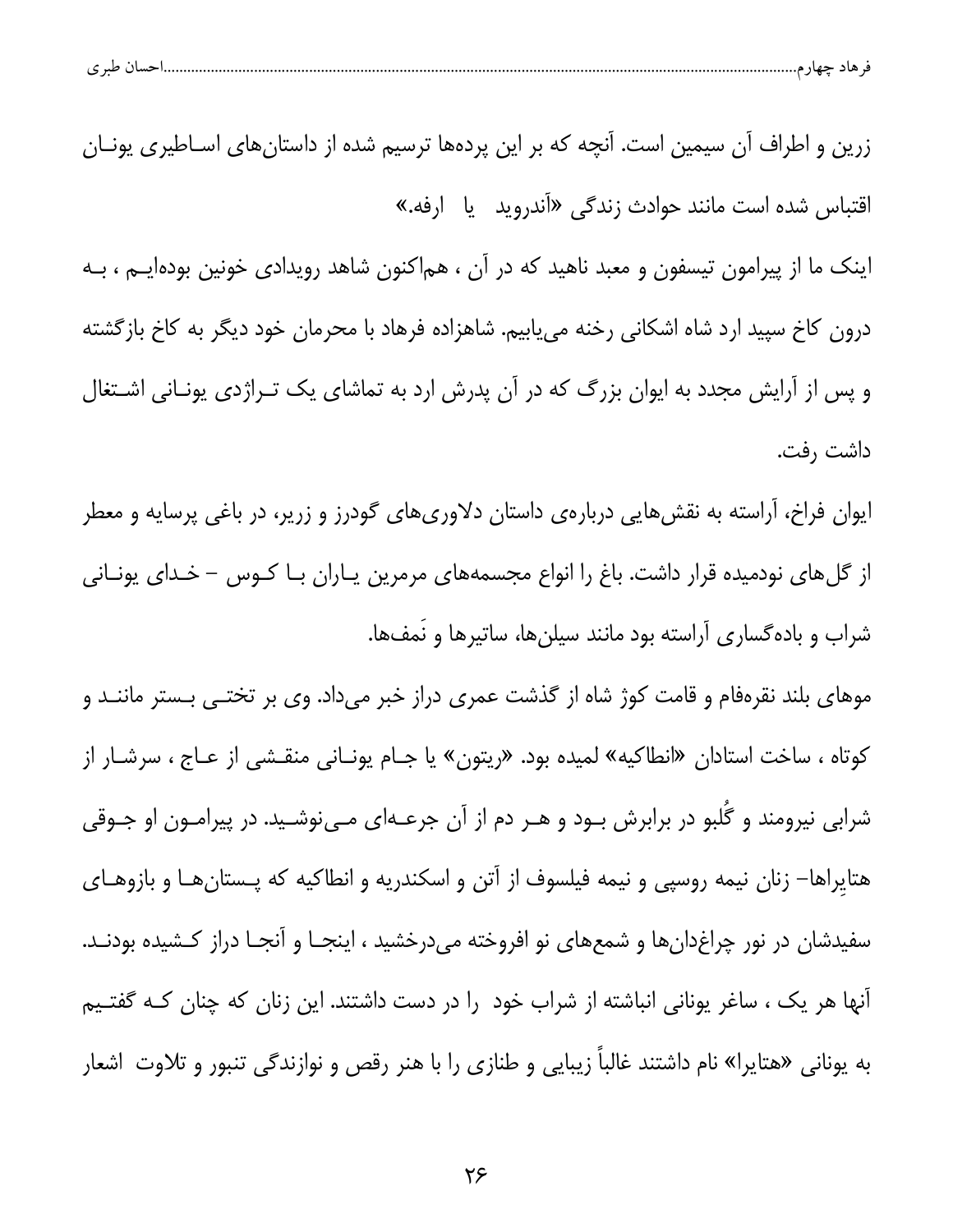| ۱.حسان طبر ی<br>۔ حاد چهارم………………<br>$\checkmark$ |  |  |  |  |  |  |  |
|---------------------------------------------------|--|--|--|--|--|--|--|
|---------------------------------------------------|--|--|--|--|--|--|--|

زرین و اطراف آن سیمین است. آنچه که بر این پردهها ترسیم شده از داستانهای اسـاطیری یونــان اقتباس شده است مانند حوادث زندگی «آندروید یا ارفه.»

اینک ما از پیرامون تیسفون و معبد ناهید که در آن ، هماکنون شاهد رویدادی خونین بودهایــم ، بــه درون كاخ سپيد ارد شاه اشكاني رخنه مي يابيم. شاهزاده فرهاد با محرمان خود ديگر به كاخ بازگشته و پس از آرایش مجدد به ایوان بزرگ که در آن پدرش ارد به تماشای یک تـراژدی یونـانی اشـتغال داشت رفت.

ایوان فراخ، آراسته به نقشهایی دربارهی داستان دلاوریهای گودرز و زریر، در باغی پرسایه و معطر از گلهای نودمیده قرار داشت. باغ را انواع مجسمههای مرمرین یـاران بـا کــوس – خــدای یونــانی شراب و باده گساری آراسته بود مانند سیلنها، ساتیرها و نَمفها.

موهای بلند نقرهفام و قامت کوژ شاه از گذشت عمری دراز خبر میداد. وی بر تختـی بـستر ماننــد و كوتاه ، ساخت استادان «انطاكيه» لميده بود. «ريتون» يا جـام يونـاني منقـشي از عـاج ، سرشـار از شرابی نیرومند و گَلبو در برابرش بـود و هـر دم از آن جرعـهای مـینوشـید. در پیرامـون او جـوقی هتایراها– زنان نیمه روسپی و نیمه فیلسوف از آتن و اسکندریه و انطاکیه که پـستانهـا و بازوهـای سفیدشان در نور چراغدانها و شمعهای نو افروخته میدرخشید ، اینجـا و آنجـا دراز کـشیده بودنـد. آنها هر یک ، ساغر یونانی انباشته از شراب خود را در دست داشتند. این زنان که چنان کـه گفتـیم به یونانی «هتایرا» نام داشتند غالباً زیبایی و طنازی را با هنر رقص و نوازندگی تنبور و تلاوت اشعار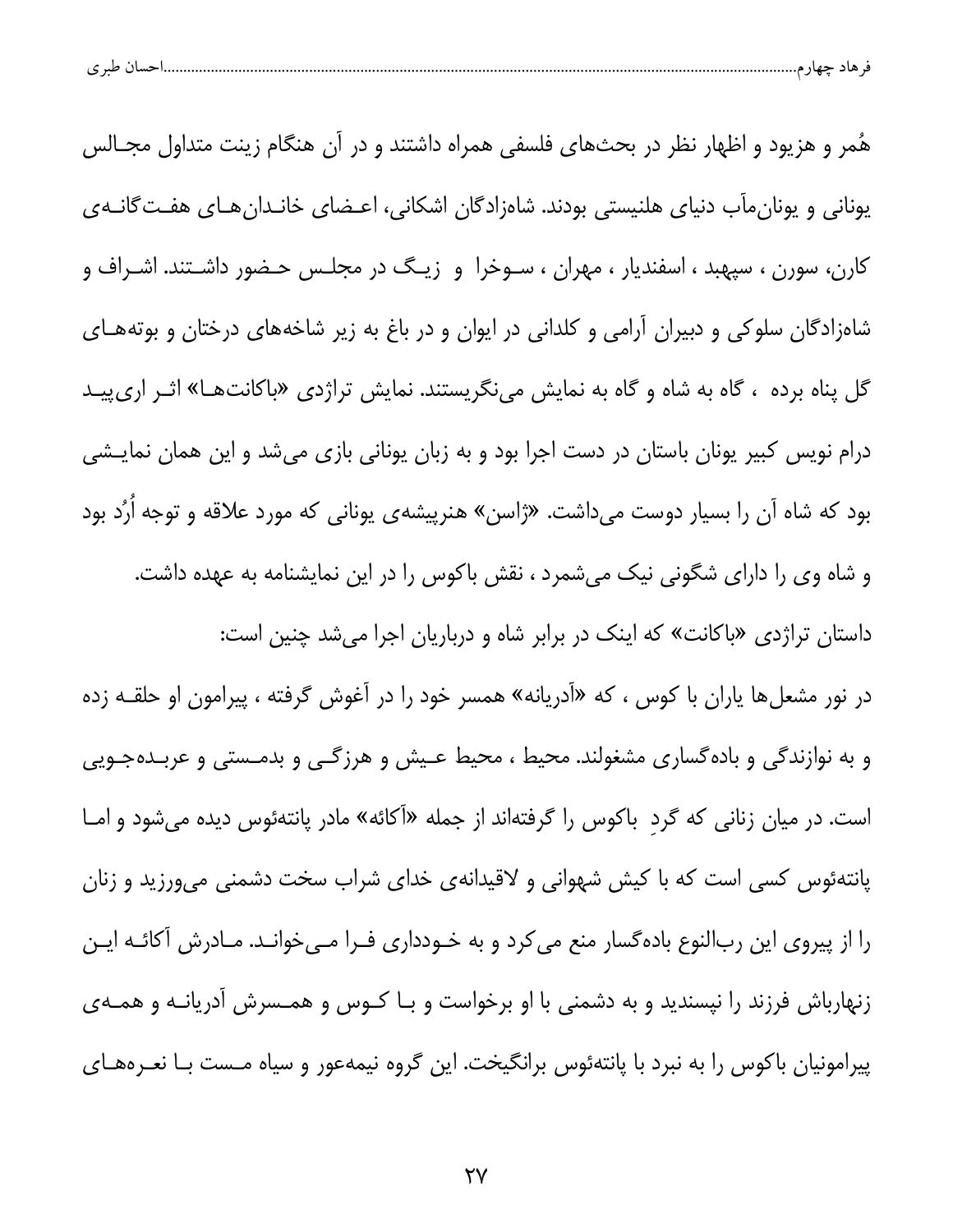| $\sim$ $\sim$<br>تساں<br>عبر ح |
|--------------------------------|
|--------------------------------|

هُمر و هزیود و اظهار نظر در بحثهای فلسفی همراه داشتند و در آن هنگام زینت متداول مجــالس یونانی و یونان مآب دنیای هلنیستی بودند. شاهزادگان اشکانی، اعـضای خانـدان هـای هفـتگانـهی کارن، سورن ، سپهبد ، اسفندیار ، مهران ، سـوخرا و زیـگ در مجلـس حـضور داشـتند. اشـراف و شاهزادگان سلوکی و دبیران آرامی و کلدانی در ایوان و در باغ به زیر شاخههای درختان و بوتههـای گل پناه برده ، گاه به شاه و گاه به نمایش مینگریستند. نمایش تراژدی «باکانتهـا» اثـر اریپیـد درام نویس کبیر یونان باستان در دست اجرا بود و به زبان یونانی بازی میشد و این همان نمایـشی بود که شاه آن را بسیار دوست میداشت. «ژاسن» هنرپیشهی یونانی که مورد علاقه و توجه اُرُد بود و شاه وی را دارای شگونی نیک میشمرد ، نقش باکوس را در این نمایشنامه به عهده داشت. داستان تراژدی «باکانت» که اینک در برابر شاه و درباریان اجرا میشد چنین است:

در نور مشعلها یاران با کوس ، که «آدریانه» همسر خود را در آغوش گرفته ، پیرامون او حلقــه زده و به نوازندگی و باده گساری مشغولند. محیط ، محیط عـیش و هرزگـی و بدمـستی و عربـدهجـویی است. در میان زنانی که گرد باکوس را گرفتهاند از جمله «آکائه» مادر پانتهئوس دیده میشود و امـا پانتهئوس کسی است که با کیش شهوانی و لاقیدانهی خدای شراب سخت دشمنی میورزید و زنان را از پیروی این ربالنوع بادهگسار منع میکرد و به خـودداری فـرا مـیخوانـد. مـادرش آکائـه ایـن زنهارباش فرزند را نپسندید و به دشمنی با او برخواست و بـا کــوس و همــسرش آدریانــه و همــهی پیرامونیان باکوس را به نبرد با پانتهئوس برانگیخت. این گروه نیمهعور و سیاه مـست بـا نعـرههـای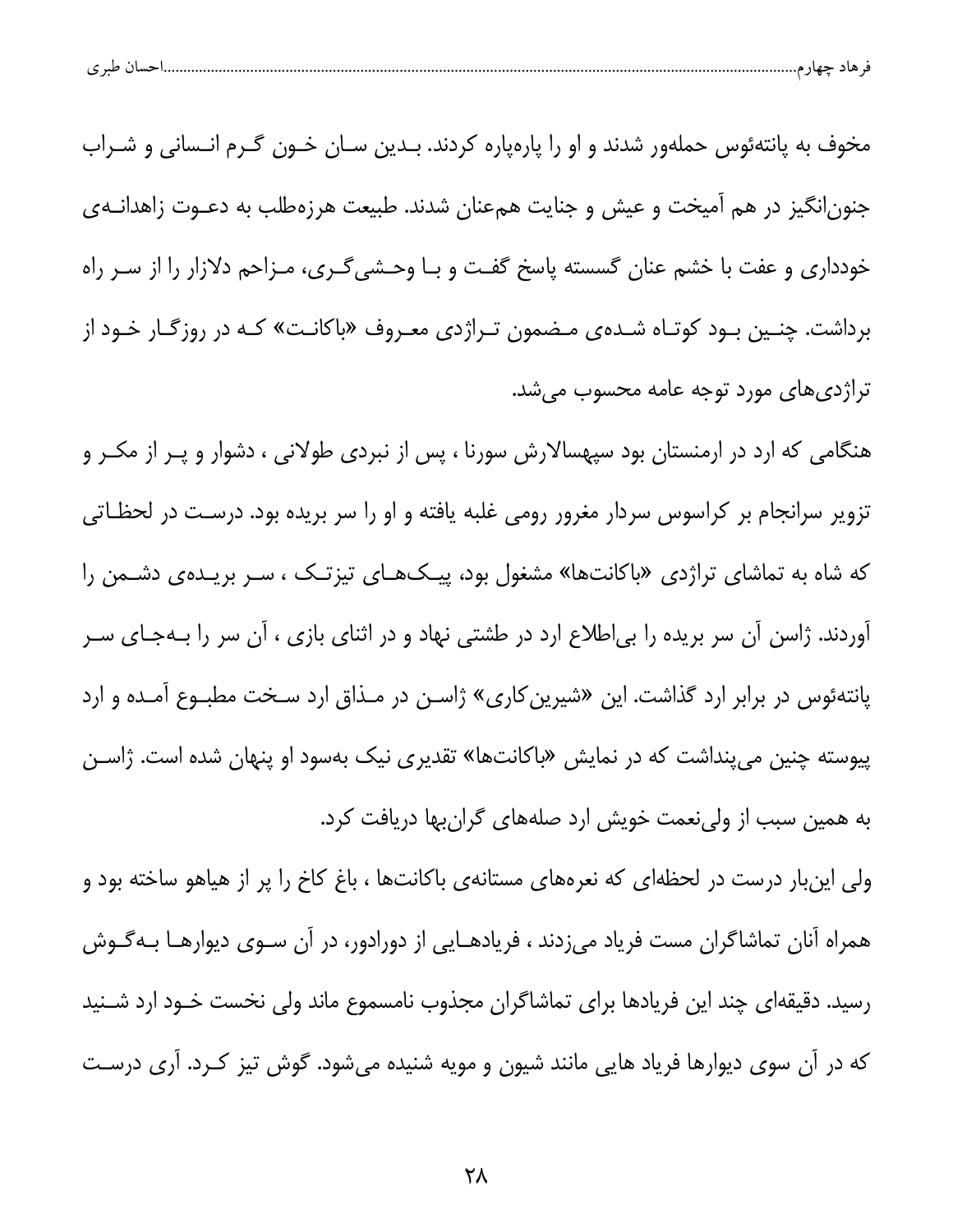| حساب طبري<br>۔ سبر ڪ |  |  |  |
|----------------------|--|--|--|
|----------------------|--|--|--|

مخوف به پانتهئوس حملهور شدند و او را پارهپاره کردند. بــدین ســان خــون گــرم انــسانی و شــراب جنون|نگیز در هم آمیخت و عیش و جنایت همعنان شدند. طبیعت هرزهطلب به دعـوت زاهدانــهی خودداری و عفت با خشم عنان گسسته پاسخ گفت و بـا وحـشیگـری، مـزاحم دلازار را از سـر راه برداشت. چنـین بـود کوتـاه شـدهی مـضمون تـراژدی معـروف «باکانـت» کـه در روزگـار خـود از تراژدی های مورد توجه عامه محسوب می شد.

هنگامی که ارد در ارمنستان بود سپهسالارش سورنا ، پس از نبردی طولانی ، دشوار و پـر از مکـر و تزویر سرانجام بر کراسوس سردار مغرور رومی غلبه یافته و او را سر بریده بود. درست در لحظـاتی که شاه به تماشای تراژدی «باکانتها» مشغول بود، پیکهای تیزتک ، سـر بریـدهی دشـمن را آوردند. ژاسن آن سر بریده را بی|طلاع ارد در طشتی نهاد و در اثنای بازی ، آن سر را بـهجـای سـر پانتهئوس در برابر ارد گذاشت. این «شیرین کاری» ژاسـن در مـذاق ارد سـخت مطبـوع آمـده و ارد پیوسته چنین میپنداشت که در نمایش «باکانتها» تقدیری نیک بهسود او پنهان شده است. ژاسـن به همین سبب از ولینعمت خویش ارد صلههای گرانبها دریافت کرد.

ولی اینبار درست در لحظهای که نعرههای مستانهی باکانتها ، باغ کاخ را پر از هیاهو ساخته بود و همراه آنان تماشاگران مست فریاد میزدند ، فریادهـایی از دورادور، در آن سـوی دیوارهـا بـهگـوش رسید. دقیقهای چند این فریادها برای تماشاگران مجذوب نامسموع ماند ولی نخست خــود ارد شــنید که در آن سوی دیوارها فریاد هایی مانند شیون و مویه شنیده میشود. گوش تیز کـرد. آری درسـت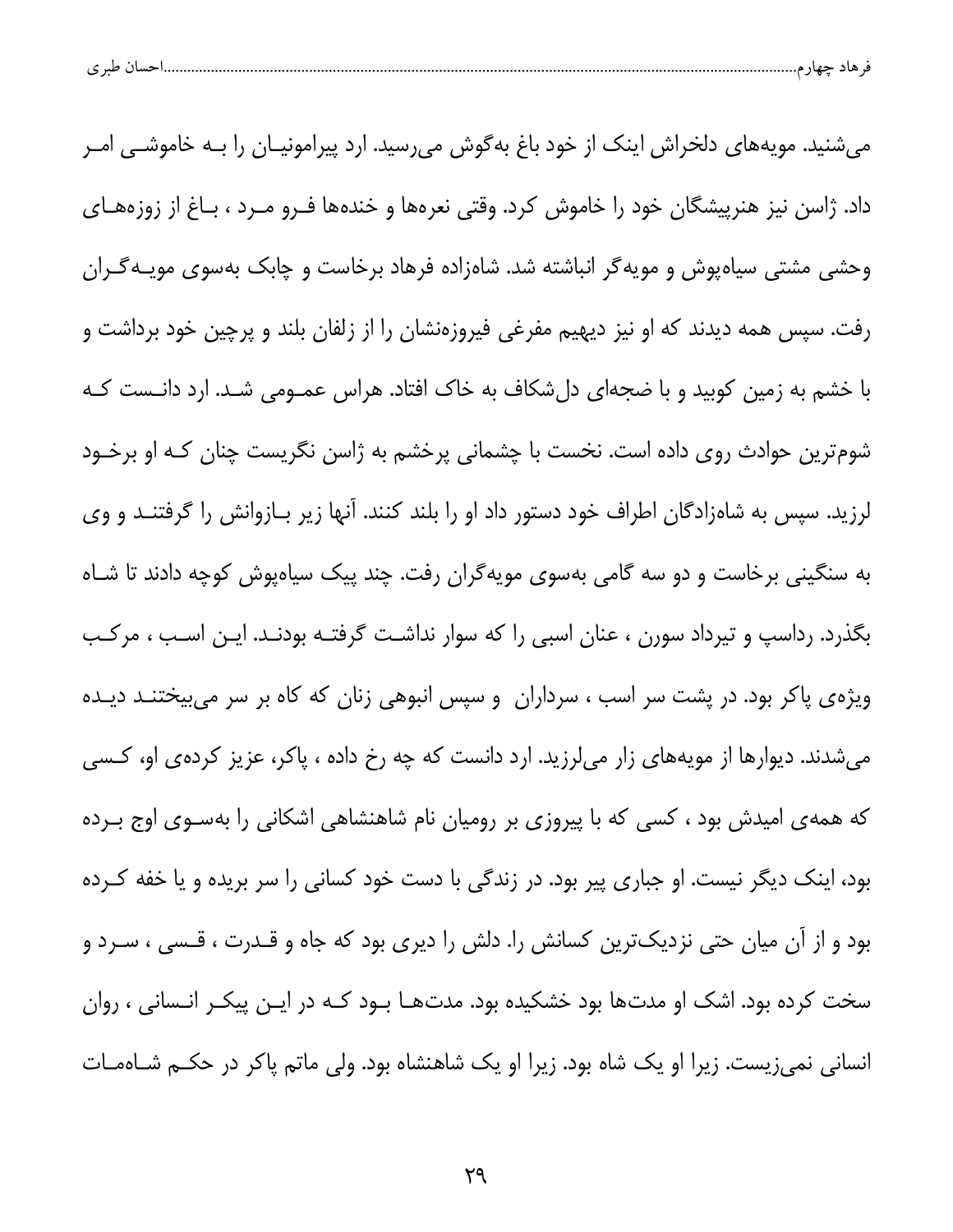| طبری | - حسالا | حصد | حسد |  |
|------|---------|-----|-----|--|
|      |         |     |     |  |

میشنید. مویههای دلخراش اینک از خود باغ بهگوش میرسید. ارد پیرامونیـان را بــه خاموشــی امــر داد. ژاسن نیز هنرپیشگان خود را خاموش کرد. وقتی نعرهها و خندهها فـرو مـرد ، بـاغ از زوزههـای وحشی مشتی سیاهپوش و مویهگر انباشته شد. شاهزاده فرهاد برخاست و چابک بهسوی مویـهگـران رفت. سپس همه دیدند که او نیز دیهیم مفرغی فیروزهنشان را از زلفان بلند و پرچین خود برداشت و با خشم به زمین کوبید و با ضجهای دلشکاف به خاک افتاد. هراس عمـومی شـد. ارد دانـست کـه شوم ترین حوادث روی داده است. نخست با چشمانی پرخشم به ژاسن نگریست چنان کـه او برخـود لرزید. سپس به شاهزادگان اطراف خود دستور داد او را بلند کنند. آنها زیر بـازوانش را گرفتنـد و وی به سنگینی برخاست و دو سه گامی بهسوی مویهگران رفت. چند پیک سیاهپوش کوچه دادند تا شـاه بگذرد. رداسپ و تیرداد سورن ، عنان اسبی را که سوار نداشت گرفتـه بودنـد. ایـن اسـب ، مرکـب ویژهی پاکر بود. در پشت سر اسب ، سرداران و سپس انبوهی زنان که کاه بر سر میبیختنـد دیـده میشدند. دیوارها از مویههای زار میلرزید. ارد دانست که چه رخ داده ، پاکر، عزیز کردهی او، کسی که همهی امیدش بود ، کسی که با پیروزی بر رومیان نام شاهنشاهی اشکانی را بهسـوی اوج بـرده بود، اینک دیگر نیست. او جباری پیر بود. در زندگی با دست خود کسانی را سر بریده و یا خفه کـرده بود و از آن میان حتی نزدیکترین کسانش را. دلش را دیری بود که جاه و قـدرت ، قـسی ، سـرد و سخت کرده بود. اشک او مدتها بود خشکیده بود. مدتهـا بــود کــه در ایــن پیکــر انــسانی ، روان انسانی نمیزیست. زیرا او یک شاه بود. زیرا او یک شاهنشاه بود. ولی ماتم پاکر در حکـم شــاهمــات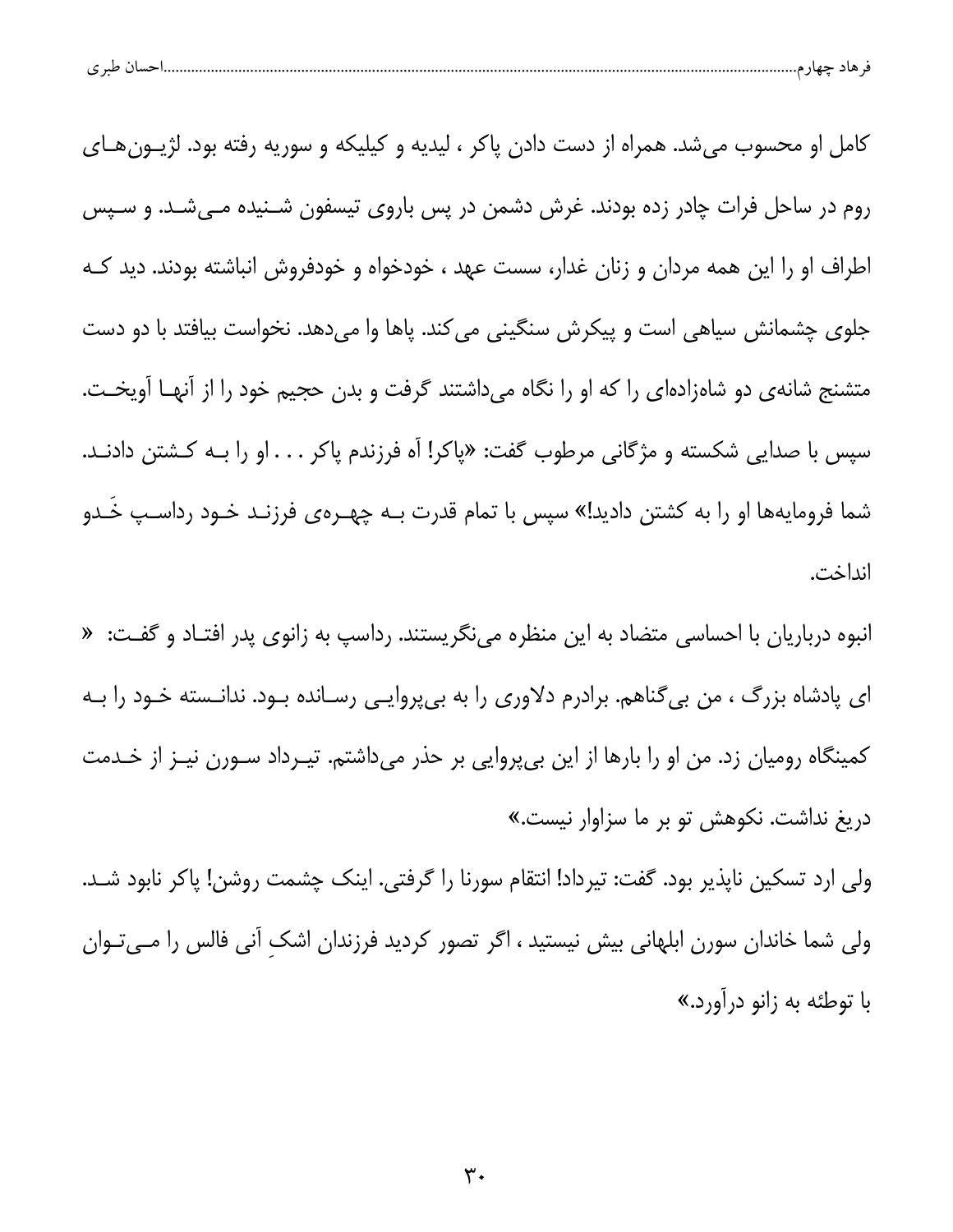| .<br><b>LAA4</b><br>. . |
|-------------------------|
|-------------------------|

کامل او محسوب می شد. همراه از دست دادن پاکر ، لیدیه و کیلیکه و سوریه رفته بود. لژیــون هــای روم در ساحل فرات چادر زده بودند. غرش دشمن در پس باروی تیسفون شـنیده مـیشـد. و سـپس اطراف او را این همه مردان و زنان غدار، سست عهد ، خودخواه و خودفروش انباشته بودند. دید کـه جلوی چشمانش سیاهی است و پیکرش سنگینی می کند. پاها وا میدهد. نخواست بیافتد با دو دست متشنج شانهی دو شاهزادهای را که او را نگاه میداشتند گرفت و بدن حجیم خود را از آنهـا آویخـت. سپس با صدایی شکسته و مژگانی مرطوب گفت: «پاکر! آه فرزندم پاکر . . . او را بـه کـشتن دادنـد. شما فرومایهها او را به کشتن دادید!» سپس با تمام قدرت بـه چهـرهی فرزنـد خـود رداسـپ خَـدو انداخت.

انبوه درباریان با احساسی متضاد به این منظره می،نگریستند. رداسپ به زانوی پدر افتـاد و گفـت: « ای پادشاه بزرگ ، من بیگناهم. برادرم دلاوری را به بیپروایـی رسـانده بـود. ندانـسته خـود را بـه کمینگاه رومیان زد. من او را بارها از این بیپروایی بر حذر میداشتم. تیـرداد سـورن نیـز از خـدمت دریغ نداشت. نکوهش تو بر ما سزاوار نیست.»

ولی ارد تسکین ناپذیر بود. گفت: تیرداد! انتقام سورنا را گرفتی. اینک چشمت روشن! پاکر نابود شـد. ولی شما خاندان سورن ابلهانی بیش نیستید ، اگر تصور کردید فرزندان اشک آنی فالس را مــیتــوان با توطئه به زانو درآورد.»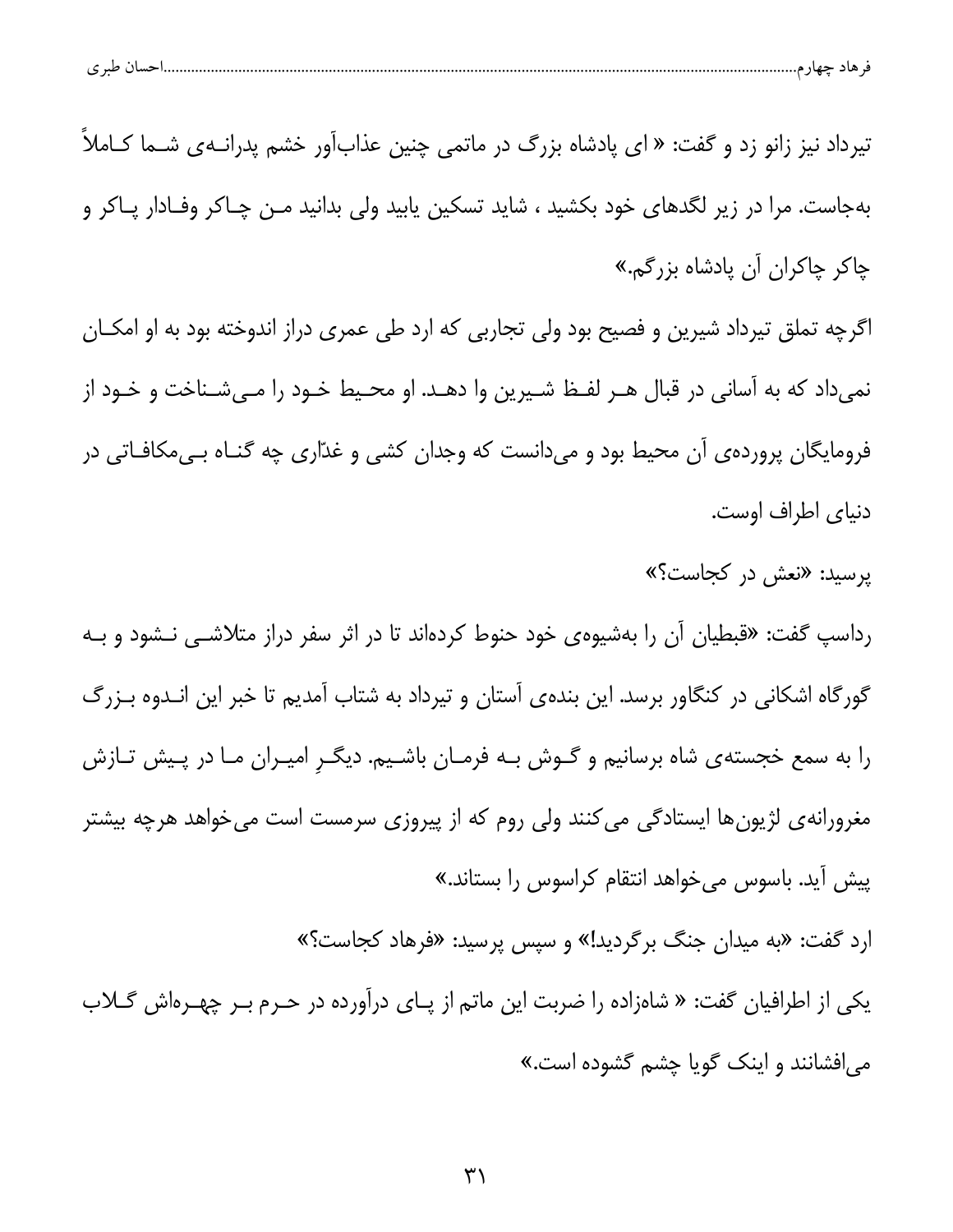| ີ | طب ع ،<br>. حساد |  |  |
|---|------------------|--|--|
|   |                  |  |  |

تیرداد نیز زانو زد و گفت: « ای پادشاه بزرگ در ماتمی چنین عذابآور خشم پدرانــهی شــما کــاملاً بهجاست. مرا در زیر لگدهای خود بکشید ، شاید تسکین پابید ولی بدانید مـن چـاکر وفـادار پـاکر و چاکر چاکران آن پادشاه بزرگم.»

اگرچه تملق تیرداد شیرین و فصیح بود ولی تجاربی که ارد طی عمری دراز اندوخته بود به او امکـان نمیداد که به آسانی در قبال هـر لفـظ شـیرین وا دهـد. او محـیط خـود را مـیشـناخت و خـود از فرومایگان پروردهی آن محیط بود و میدانست که وجدان کشی و غدّاری چه گنــاه بــیمکافــاتی در دنیای اطراف اوست.

یرسید: «نعش در کجاست؟»

رداسپ گفت: «قبطیان آن را بهشیوهی خود حنوط کردهاند تا در اثر سفر دراز متلاشـی نـشود و بـه گورگاه اشکانی در کنگاور برسد. این بندهی آستان و تیرداد به شتاب آمدیم تا خبر این انـدوه بـزرگ را به سمع خجستهی شاه برسانیم و گـوش بـه فرمـان باشـیم. دیگـرِ امیـران مـا در پـیش تـازش مغرورانهی لژیونها ایستادگی می کنند ولی روم که از پیروزی سرمست است میخواهد هرچه بیشتر پیش آید. باسوس میخواهد انتقام کراسوس را بستاند.»

ارد گفت: «به میدان جنگ برگردید!» و سپس پرسید: «فرهاد کجاست؟» یکی از اطرافیان گفت: « شاهزاده را ضربت این ماتم از پای درآورده در حـرم بـر چهـرهاش گـلاب می افشانند و اینک گویا چشم گشوده است.»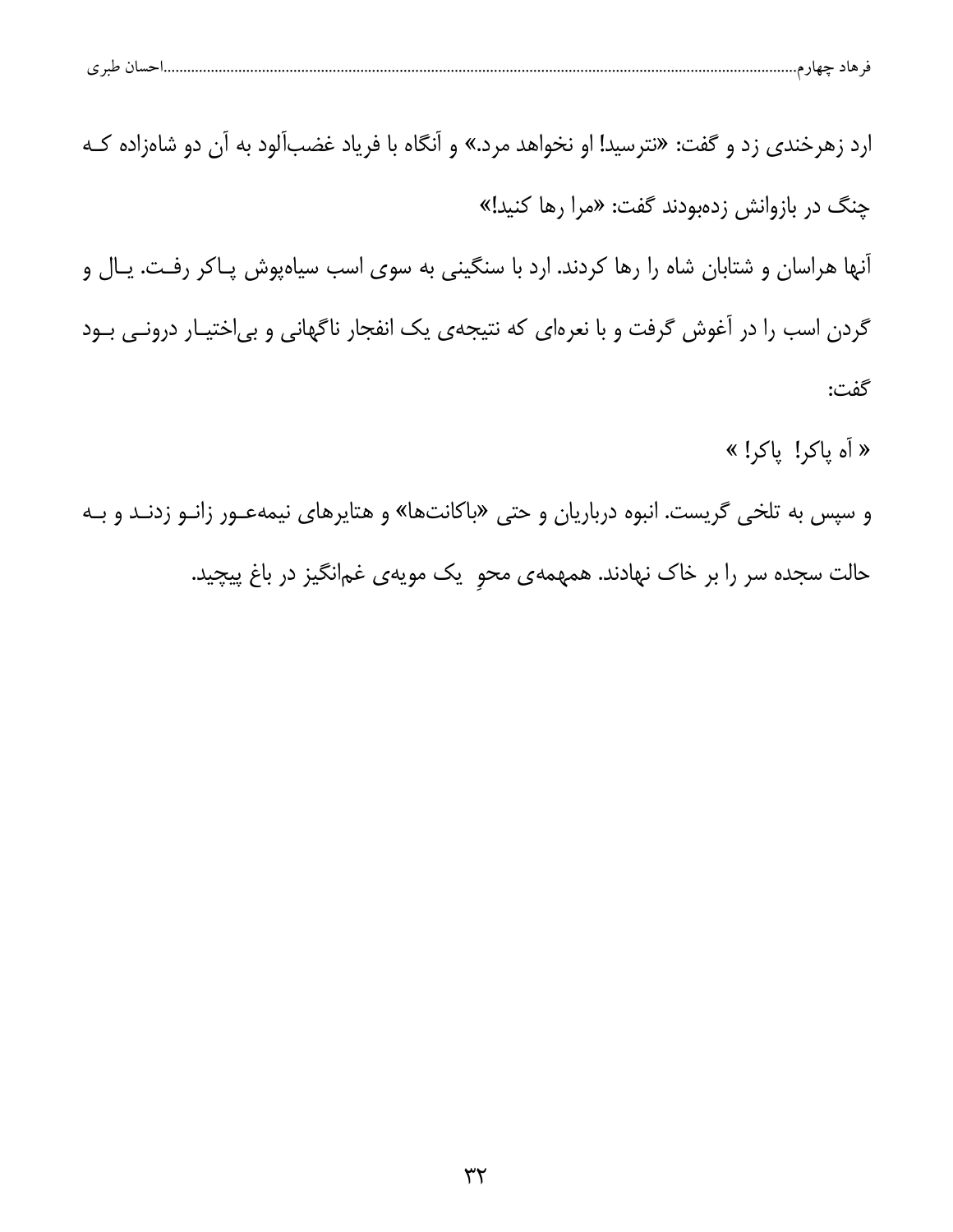| حساں طبر ی<br>۔ ماد جهاز م |  |  |  |  |  |
|----------------------------|--|--|--|--|--|
|----------------------------|--|--|--|--|--|

ارد زهرخندی زد و گفت: «نترسید! او نخواهد مرد.» و آنگاه با فریاد غضبآلود به آن دو شاهزاده کـه چنگ در بازوانش زدهبودند گفت: «مرا رها کنید!» آنها هراسان و شتابان شاه را رها کردند. ارد با سنگینی به سوی اسب سیاهپوش پـاکر رفـت. یـال و گردن اسب را در آغوش گرفت و با نعرهای که نتیجهی یک انفجار ناگهانی و بیاختیـار درونـی بـود گفت: « أه ياكر! ياكر! »

و سپس به تلخی گریست. انبوه درباریان و حتی «باکانتها» و هتایرهای نیمهعـور زانـو زدنـد و بـه حالت سجده سر را بر خاک نهادند. همهمهی محو یک مویهی غمانگیز در باغ پیچید.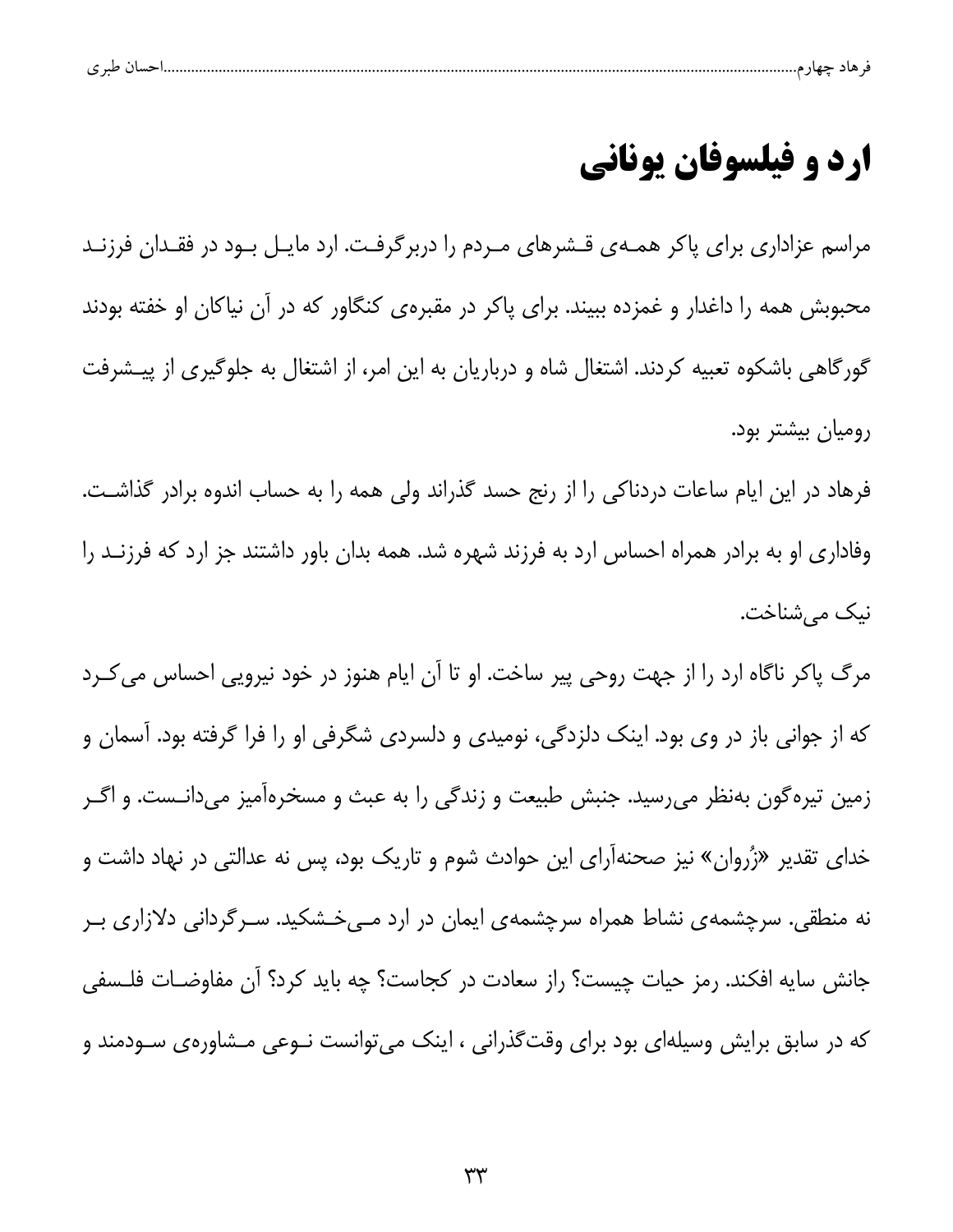| ے |  |  |  |
|---|--|--|--|
|   |  |  |  |

### ارد و فیلسوفان یونانی

مراسم عزاداری برای پاکر همـهی قـشرهای مـردم را دربرگرفـت. ارد مايـل بـود در فقـدان فرزنـد محبوبش همه را داغدار و غمزده ببیند. برای پاکر در مقبرهی کنگاور که در آن نیاکان او خفته بودند گورگاهی باشکوه تعبیه کردند. اشتغال شاه و درباریان به این امر، از اشتغال به جلوگیری از پیــشرفت رومیان بیشتر بود.

فرهاد در این ایام ساعات دردناکی را از رنج حسد گذراند ولی همه را به حساب اندوه برادر گذاشت. وفاداری او به برادر همراه احساس ارد به فرزند شهره شد. همه بدان باور داشتند جز ارد که فرزنـد را نيک میشناخت.

مرگ پاکر ناگاه ارد را از جهت روحی پیر ساخت. او تا آن ایام هنوز در خود نیرویی احساس می کـرد که از جوانی باز در وی بود. اینک دلزدگی، نومیدی و دلسردی شگرفی او را فرا گرفته بود. آسمان و زمین تیرهگون بهنظر میرسید. جنبش طبیعت و زندگی را به عبث و مسخرهآمیز میدانـست. و اگـر خدای تقدیر «زُروان» نیز صحنهآرای این حوادث شوم و تاریک بود، پس نه عدالتی در نهاد داشت و نه منطقی. سرچشمهی نشاط همراه سرچشمهی ایمان در ارد مـیخـشکید. سـرگردانی دلازاری بـر جانش سایه افکند. رمز حیات چیست؟ راز سعادت در کجاست؟ چه باید کرد؟ آن مفاوضـات فلـسفی که در سابق برایش وسیلهای بود برای وقتگذرانی ، اینک می توانست نــوعی مــشاورهی ســودمند و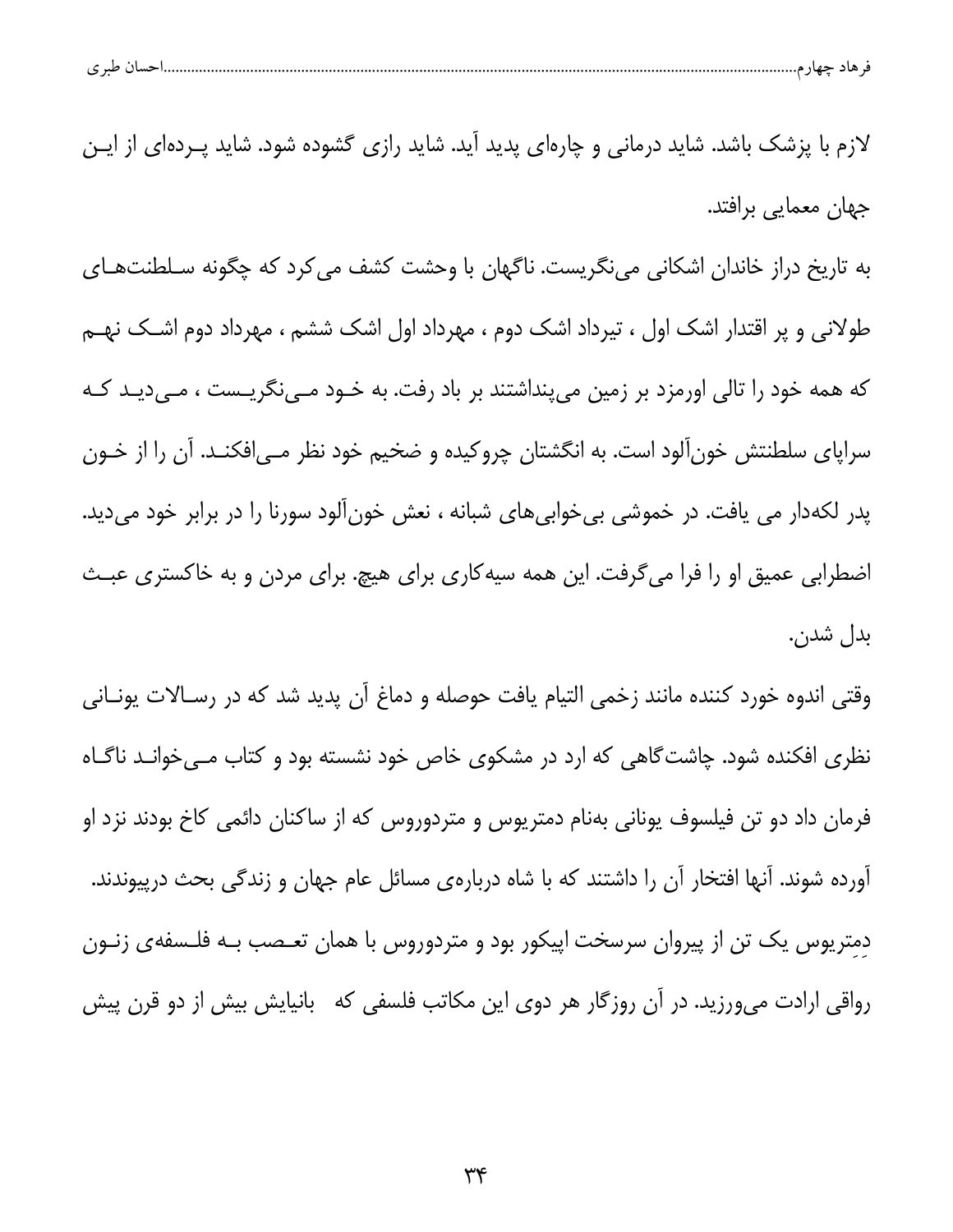|--|--|--|

لازم با پزشک باشد. شاید درمانی و چارهای پدید آید. شاید رازی گشوده شود. شاید پـردهای از ایـن جھان معمایی برافتد. به تاریخ دراز خاندان اشکانی مینگریست. ناگهان با وحشت کشف می کرد که چگونه سـلطنتهـای طولانی و پر اقتدار اشک اول ، تیرداد اشک دوم ، مهرداد اول اشک ششم ، مهرداد دوم اشـک نهـم که همه خود را تالی اورمزد بر زمین میپنداشتند بر باد رفت. به خــود مــینگریــست ، مــیدیــد کــه سراپای سلطنتش خونآلود است. به انگشتان چروکیده و ضخیم خود نظر مـیافکنـد. آن را از خـون پدر لکهدار می یافت. در خموشی بی خوابی های شبانه ، نعش خونآلود سورنا را در برابر خود میدید. اضطرابی عمیق او را فرا می گرفت. این همه سیه کاری برای هیچ. برای مردن و به خاکستری عبـث بدل شدن.

وقتی اندوه خورد کننده مانند زخمی التیام یافت حوصله و دماغ آن پدید شد که در رسـالات یونـانی نظری افکنده شود. چاشت گاهی که ارد در مشکوی خاص خود نشسته بود و کتاب مـیخوانـد ناگـاه فرمان داد دو تن فیلسوف یونانی بهنام دمتریوس و متردوروس که از ساکنان دائمی کاخ بودند نزد او آورده شوند. آنها افتخار آن را داشتند که با شاه دربارهی مسائل عام جهان و زندگی بحث درپیوندند. دمتریوس یک تن از پیروان سرسخت اپیکور بود و متردوروس با همان تعـصب بـه فلـسفهى زنــون رواقی ارادت میورزید. در آن روزگار هر دوی این مکاتب فلسفی که بانیایش بیش از دو قرن پیش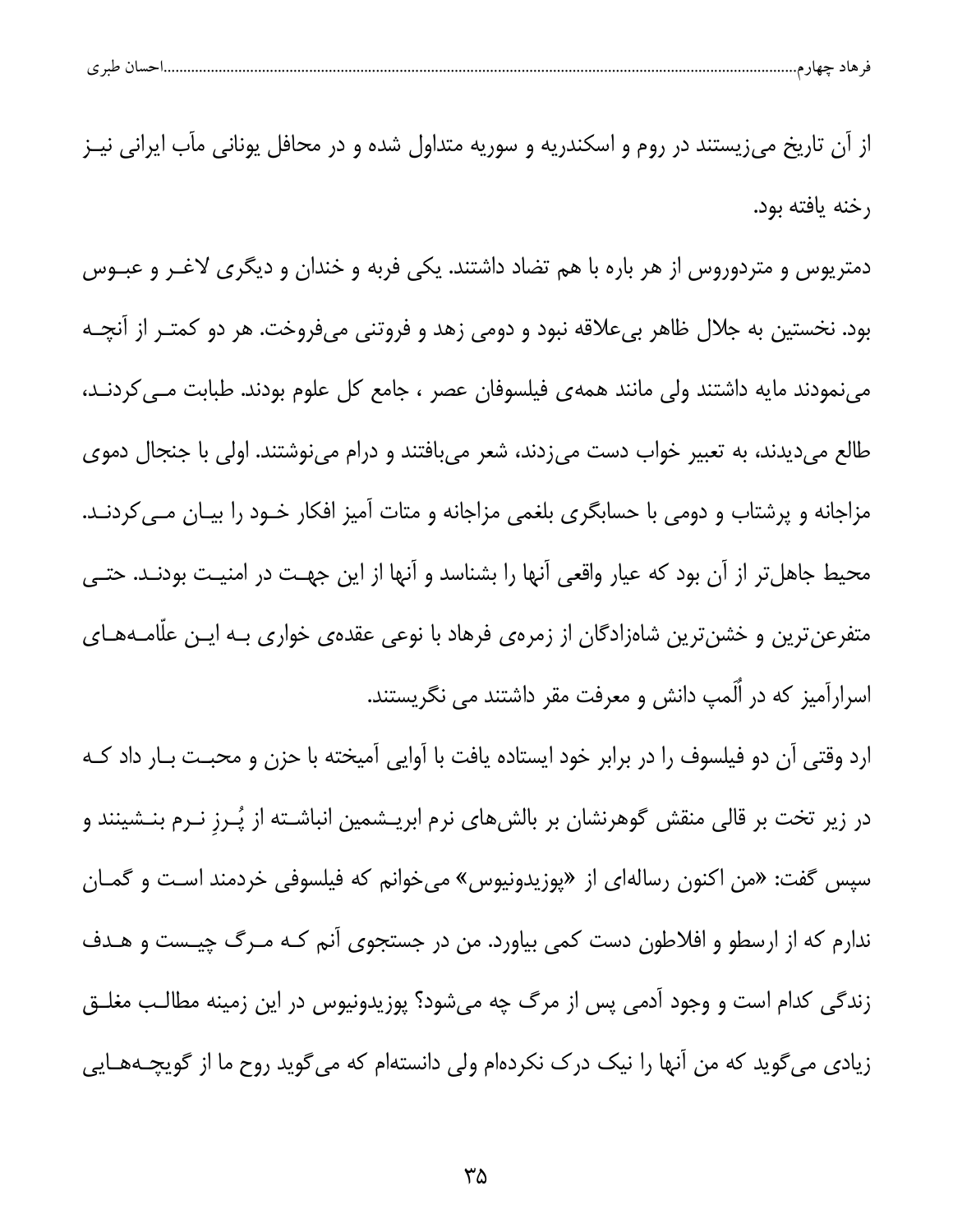از آن تاریخ می;یستند در روم و اسکندریه و سوریه متداول شده و در محافل یونانی مأب ایرانی نیـز رخنه يافته بود. دمتریوس و متردوروس از هر باره با هم تضاد داشتند. یکی فربه و خندان و دیگری لاغـر و عبــوس بود. نخستین به جلال ظاهر بیعلاقه نبود و دومی زهد و فروتنی میفروخت. هر دو کمتـر از آنچـه می نمودند مایه داشتند ولی مانند همه ی فیلسوفان عصر ، جامع کل علوم بودند. طبابت مــی کردنــد، طالع میدیدند، به تعبیر خواب دست میزدند، شعر میبافتند و درام مینوشتند. اولی با جنجال دموی مزاجانه و پرشتاب و دومی با حسابگری بلغمی مزاجانه و متات آمیز افکار خـود را بیـان مـی کردنـد. محیط جاهل تر از آن بود که عیار واقعی آنها را بشناسد و آنها از این جهت در امنیت بودنـد. حتـی متفرعنترین و خشنترین شاهزادگان از زمرهی فرهاد با نوعی عقدهی خواری بـه ایـن عللمـههـای اسرارآمیز که در اُلَمپ دانش و معرفت مقر داشتند می نگریستند.

ارد وقتی آن دو فیلسوف را در برابر خود ایستاده یافت با آوایی آمیخته با حزن و محبـت بـار داد کـه در زیر تخت بر قالی منقش گوهرنشان بر بالشهای نرم ابریـشمین انباشـته از پُـرز نـرم بنـشینند و سپس گفت: «من اکنون رسالهای از «پوزیدونیوس» میخوانم که فیلسوفی خردمند است و گمـان ندارم که از ارسطو و افلاطون دست کمی بیاورد. من در جستجوی آنم کـه مـرگ چیـست و هـدف زندگی کدام است و وجود آدمی پس از مرگ چه میشود؟ پوزیدونیوس در این زمینه مطالـب مغلــق زیادی می گوید که من آنها را نیک درک نکردهام ولی دانستهام که می گوید روح ما از گویچـههـایی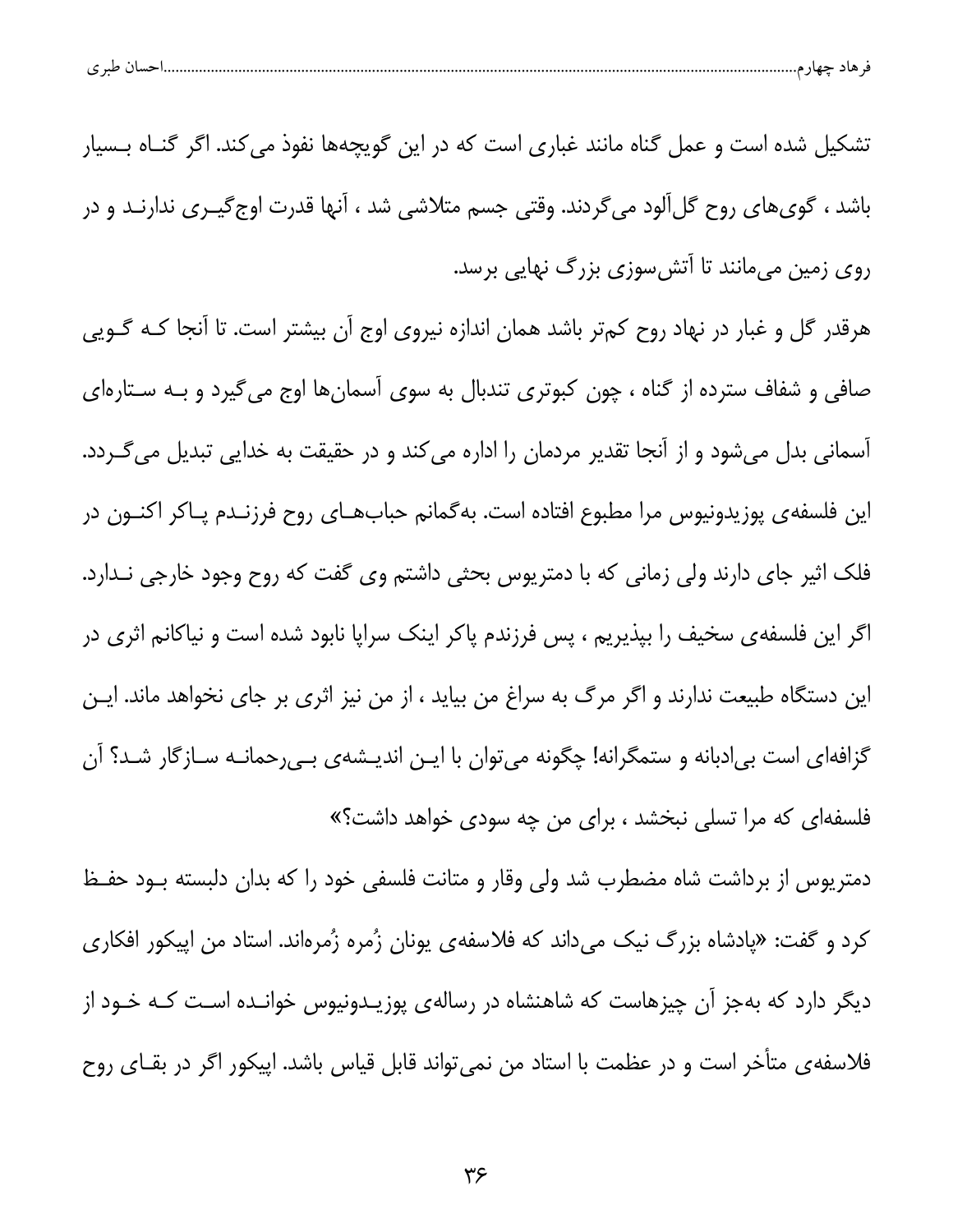| احسال طبر ی<br>۔ هاد حصر م |  |  |  |
|----------------------------|--|--|--|
|----------------------------|--|--|--|

تشکیل شده است و عمل گناه مانند غباری است که در این گویچهها نفوذ می کند. اگر گنـاه بـسیار باشد ، گوی.های روح گلِ آلود می گردند. وقتی جسم متلاشی شد ، آنها قدرت اوج گیـری ندارنــد و در روی زمین میمانند تا آتش سوزی بزرگ نهایی برسد.

هرقدر گل و غبار در نهاد روح کمتر باشد همان اندازه نیروی اوج آن بیشتر است. تا آنجا کـه گـویی صافی و شفاف سترده از گناه ، چون کبوتری تندبال به سوی آسمانها اوج میگیرد و بـه سـتارهای آسمانی بدل میشود و از آنجا تقدیر مردمان را اداره می کند و در حقیقت به خدایی تبدیل می گـردد. این فلسفهی پوزیدونیوس مرا مطبوع افتاده است. بهگمانم حبابهــای روح فرزنــدم پــاکر اکنــون در فلک اثیر جای دارند ولی زمانی که با دمتریوس بحثی داشتم وی گفت که روح وجود خارجی نـدارد. اگر این فلسفهی سخیف را بپذیریم ، پس فرزندم پاکر اینک سراپا نابود شده است و نیاکانم اثری در این دستگاه طبیعت ندارند و اگر مرگ به سراغ من بیاید ، از من نیز اثری بر جای نخواهد ماند. ایـن گزافهای است بی|دبانه و ستمگرانه! چگونه میتوان با ایـن اندیـشهی بـی٫حمانـه سـازگار شـد؟ آن فلسفهای که مرا تسلی نبخشد ، برای من چه سودی خواهد داشت؟»

دمتریوس از برداشت شاه مضطرب شد ولی وقار و متانت فلسفی خود را که بدان دلبسته بـود حفـظ کرد و گفت: «پادشاه بزرگ نیک میداند که فلاسفهی یونان زُمره زُمرهاند. استاد من اپیکور افکاری دیگر دارد که بهجز آن چیزهاست که شاهنشاه در رسالهی پوزیـدونیوس خوانـده اسـت کـه خـود از فلاسفه ی متأخر است و در عظمت با استاد من نمی تواند قابل قیاس باشد. اپیکور اگر در بقــای روح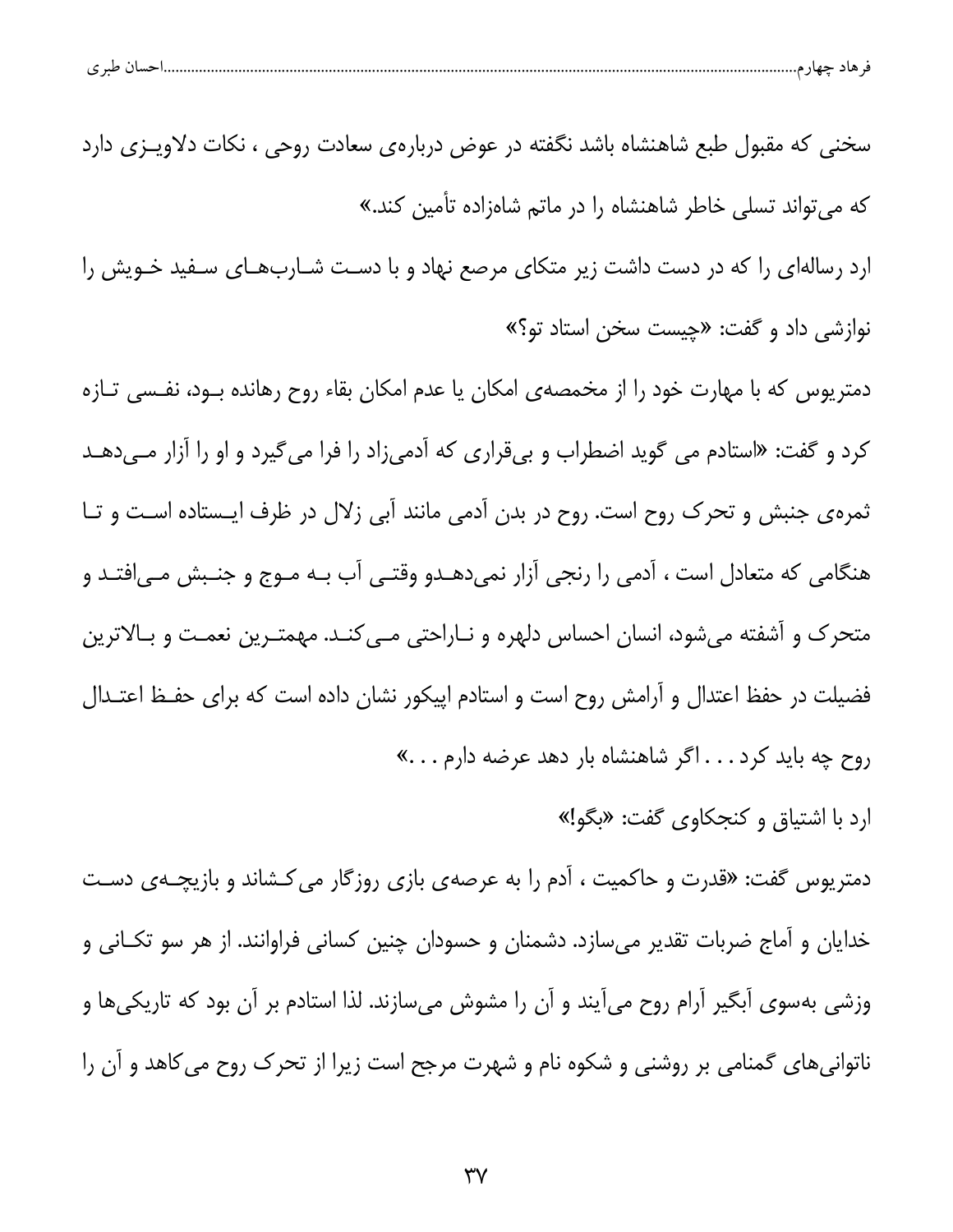| $\sim$ $\sim$<br>. .<br>$\sim$<br>ت<br>- 13 |
|---------------------------------------------|
|---------------------------------------------|

سخنی که مقبول طبع شاهنشاه باشد نگفته در عوض دربارهی سعادت روحی ، نکات دلاویــزی دارد که می تواند تسلی خاطر شاهنشاه را در ماتم شاهزاده تأمین کند.»

ارد رسالهای را که در دست داشت زیر متکای مرصع نهاد و با دست شـاربهـای سـفید خـویش را نوازشي داد و گفت: «چيست سخن استاد تو؟»

دمتریوس که با مهارت خود را از مخمصهی امکان یا عدم امکان بقاء روح رهانده بــود، نفــسی تــازه کرد و گفت: «استادم می گوید اضطراب و بیقراری که آدمیزاد را فرا می گیرد و او را آزار مـیدهـد ثمرهی جنبش و تحرک روح است. روح در بدن آدمی مانند آبی زلال در ظرف ایستاده است و تا هنگامی که متعادل است ، آدمی را رنجی آزار نمیدهدو وقتـی آب بـه مـوج و جنـبش مـی|فتـد و متحرک و آشفته میشود، انسان احساس دلهره و نـاراحتی مـی کنـد. مهمتـرین نعمـت و بـالاترین فضیلت در حفظ اعتدال و آرامش روح است و استادم اپیکور نشان داده است که برای حفـظ اعتـدال روح چه باید کرد . . . اگر شاهنشاه بار دهد عرضه دارم . . .»

ارد با اشتياق و كنجكاوى گفت: «بگو!»

دمتریوس گفت: «قدرت و حاکمیت ، آدم را به عرصهی بازی روزگار می کشاند و بازیچـهی دسـت خدایان و آماج ضربات تقدیر میسازد. دشمنان و حسودان چنین کسانی فراوانند. از هر سو تکــانی و وزشی بهسوی آبگیر آرام روح می]یند و آن را مشوش میسازند. لذا استادم بر آن بود که تاریکیها و ناتوانیهای گمنامی بر روشنی و شکوه نام و شهرت مرجح است زیرا از تحرک روح می کاهد و آن را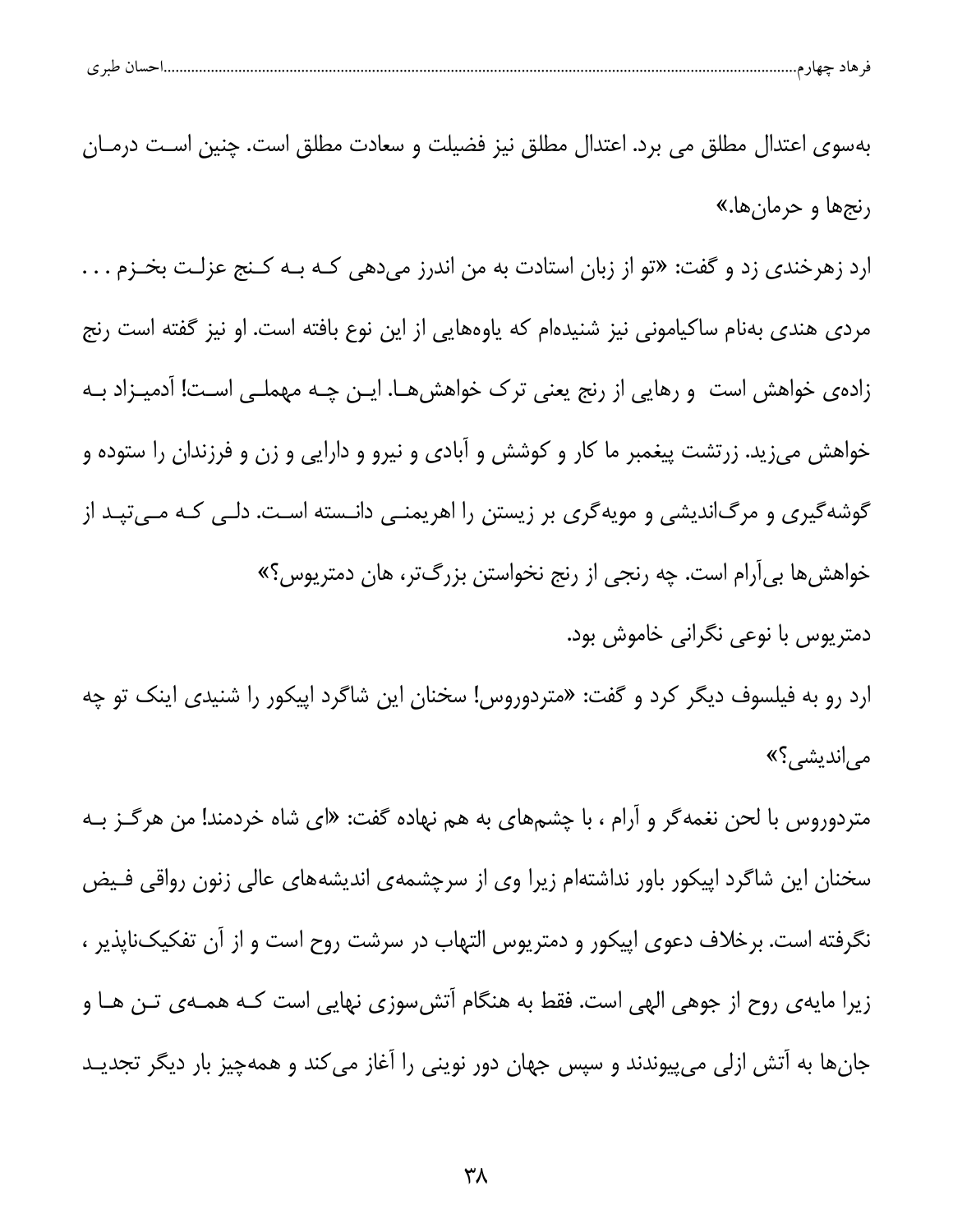| 1.111 |  |
|-------|--|
|       |  |

بهسوی اعتدال مطلق می برد. اعتدال مطلق نیز فضیلت و سعادت مطلق است. چنین است درمـان رنجها و حرمانها.» ارد زهرخندی زد و گفت: «تو از زبان استادت به من اندرز میدهی کـه بـه کـنج عزلـت بخـزم . . . مردی هندی بهنام ساکیامونی نیز شنیدهام که یاوههایی از این نوع بافته است. او نیز گفته است رنج زادهی خواهش است و رهایی از رنج یعنی ترک خواهشها. ایـن چـه مهملـی اسـت! آدمیـزاد بـه خواهش میزید. زرتشت پیغمبر ما کار و کوشش و آبادی و نیرو و دارایی و زن و فرزندان را ستوده و گوشهگیری و مرگ|ندیشی و مویهگری بر زیستن را اهریمنـی دانـسته اسـت. دلـی کـه مـیتپـد از خواهشها بي[رام است. چه رنجي از رنج نخواستن بزرگتر، هان دمتريوس؟» دمتریوس با نوعی نگرانی خاموش بود. ارد رو به فیلسوف دیگر کرد و گفت: «متردوروس! سخنان این شاگرد اپیکور را شنیدی اینک تو چه

می اندیشی؟»

متردوروس با لحن نغمهگر و آرام ، با چشمهای به هم نهاده گفت: «ای شاه خردمند! من هرگـز بـه سخنان این شاگرد اپیکور باور نداشتهام زیرا وی از سرچشمهی اندیشههای عالی زنون رواقی فـیض نگرفته است. برخلاف دعوی اپیکور و دمتریوس التهاب در سرشت روح است و از آن تفکیکناپذیر ، زیرا مایهی روح از جوهی الهی است. فقط به هنگام آتشسوزی نهایی است کـه همـهی تـن هـا و جانها به آتش ازلی میپیوندند و سپس جهان دور نوینی را آغاز می کند و همهچیز بار دیگر تجدیـد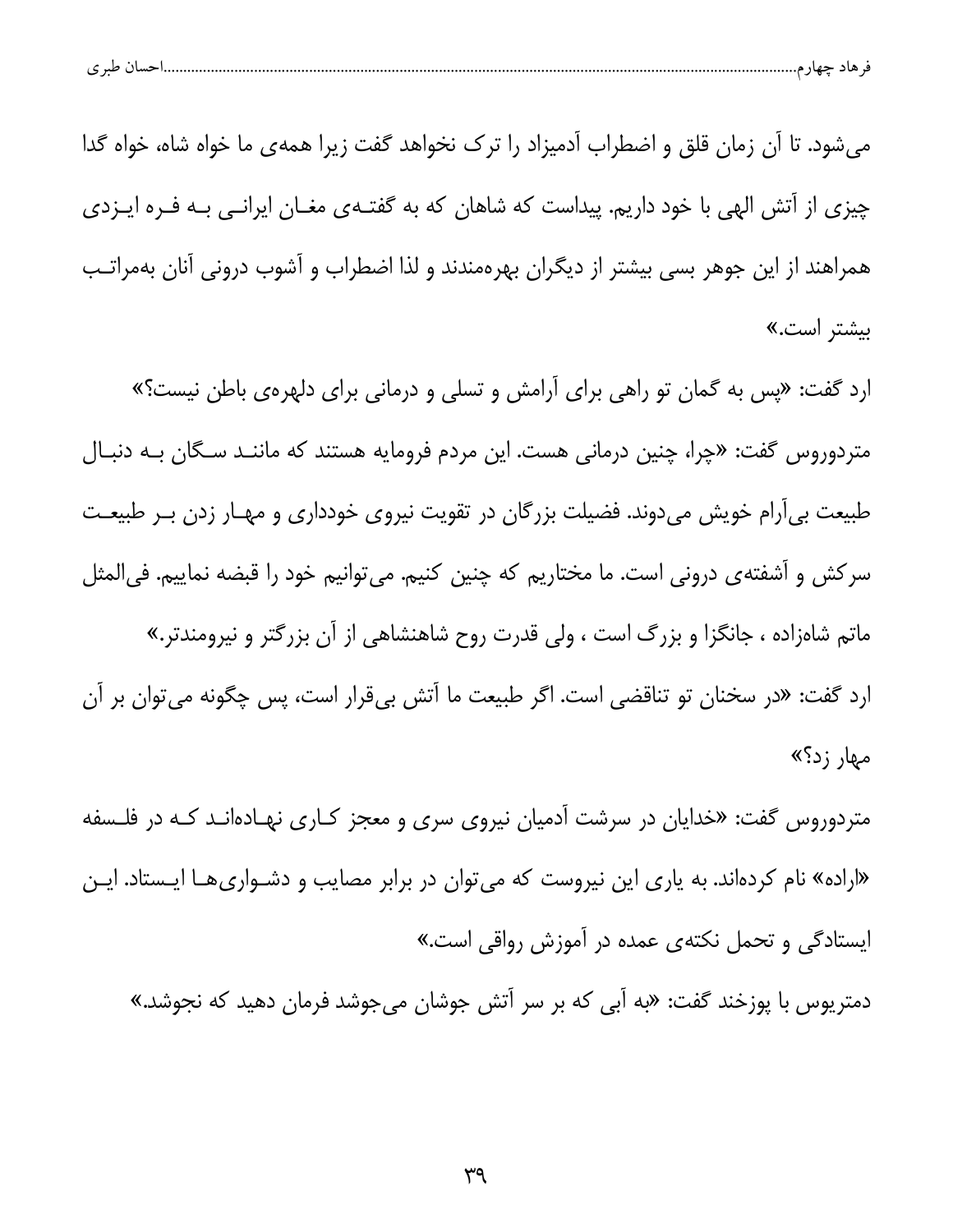| $\sim$ $\sim$<br>سر ٿ |  |  |
|-----------------------|--|--|
|-----------------------|--|--|

می شود. تا آن زمان قلق و اضطراب آدمیزاد را ترک نخواهد گفت زیرا همهی ما خواه شاه، خواه گدا چیزی از آتش الهی با خود داریم. پیداست که شاهان که به گفتـهی مغـان ایرانـی بـه فـره ایـزدی همراهند از این جوهر بسی بیشتر از دیگران بهرهمندند و لذا اضطراب و آشوب درونی آنان بهمراتـب بیشتر است.»

ارد گفت: «پس به گمان تو راهی برای آرامش و تسلی و درمانی برای دلهرهی باطن نیست؟» متردوروس گفت: «چرا، چنین درمانی هست. این مردم فرومایه هستند که ماننـد سـگان بـه دنبـال طبیعت بی آرام خویش میدوند. فضیلت بزرگان در تقویت نیروی خودداری و مهـار زدن بـر طبیعـت سرکش و آشفتهی درونی است. ما مختاریم که چنین کنیم. میتوانیم خود را قبضه نماییم. فی|لمثل ماتم شاهزاده ، جانگزا و بزرگ است ، ولی قدرت روح شاهنشاهی از آن بزرگتر و نیرومندتر.» ارد گفت: «در سخنان تو تناقضی است. اگر طبیعت ما آتش بیقرار است، پس چگونه می توان بر آن مهار زد؟»

متردوروس گفت: «خدایان در سرشت آدمیان نیروی سری و معجز کـاری نهـادهانـد کـه در فلـسفه «اراده» نام کردهاند. به یاری این نیروست که میتوان در برابر مصایب و دشـواریهــا ایــستاد. ایــن ایستادگی و تحمل نکتهی عمده در آموزش رواقی است.»

دمترپوس با پوزخند گفت: «به اَبِي که بر سر اَتش جوشان مي جوشد فرمان دهيد که نجوشد.»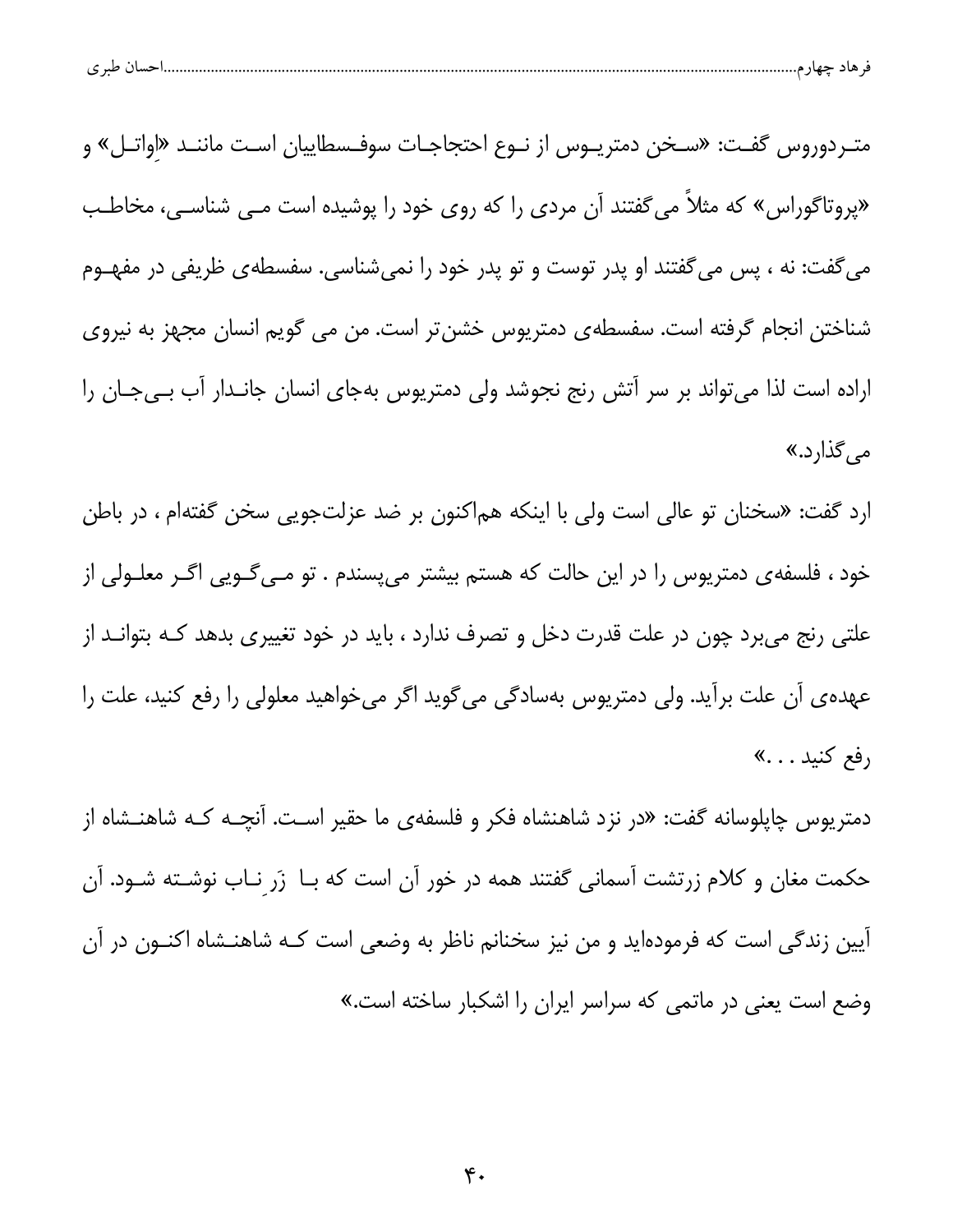| ∽<br>ے |  |  |  |
|--------|--|--|--|
|--------|--|--|--|

متـردوروس گفـت: «سـخن دمتريـوس از نـوع احتجاجـات سوفـسطاييان اسـت ماننـد «اواتـل» و «پروتاگوراس» که مثلاً می گفتند آن مردی را که روی خود را پوشیده است مــی شناســی، مخاطـب می گفت: نه ، پس می گفتند او پدر توست و تو پدر خود را نمیشناسی. سفسطهی ظریفی در مفهــوم شناختن انجام گرفته است. سفسطهی دمتریوس خشنتر است. من می گویم انسان مجهز به نیروی اراده است لذا می تواند بر سر آتش رنج نجوشد ولی دمتریوس بهجای انسان جانـدار آب بـیجـان را مے گذارد.»

ارد گفت: «سخنان تو عالی است ولی با اینکه هم|کنون بر ضد عزلتجویی سخن گفتهام ، در باطن خود ، فلسفه ي دمتريوس را در اين حالت كه هستم بيشتر مي پسندم . تو مــي گــويي اگــر معلــولي از علتي رنج مي,برد چون در علت قدرت دخل و تصرف ندارد ، بايد در خود تغييري بدهد كـه بتوانــد از عهده ی آن علت برآید. ولی دمتریوس بهسادگی میگوید اگر میخواهید معلولی را رفع کنید، علت را رفع كنيد . . .»

دمتریوس چاپلوسانه گفت: «در نزد شاهنشاه فکر و فلسفه ی ما حقیر اسـت. آنچــه کــه شاهنــشاه از حکمت مغان و کلام زرتشت آسمانی گفتند همه در خور آن است که بـا ۖ زَر نـاب نوشــته شــود. آن آیین زندگی است که فرمودهاید و من نیز سخنانم ناظر به وضعی است کـه شاهنــشاه اکنــون در آن وضع است یعنی در ماتمی که سراسر ایران را اشکبار ساخته است.»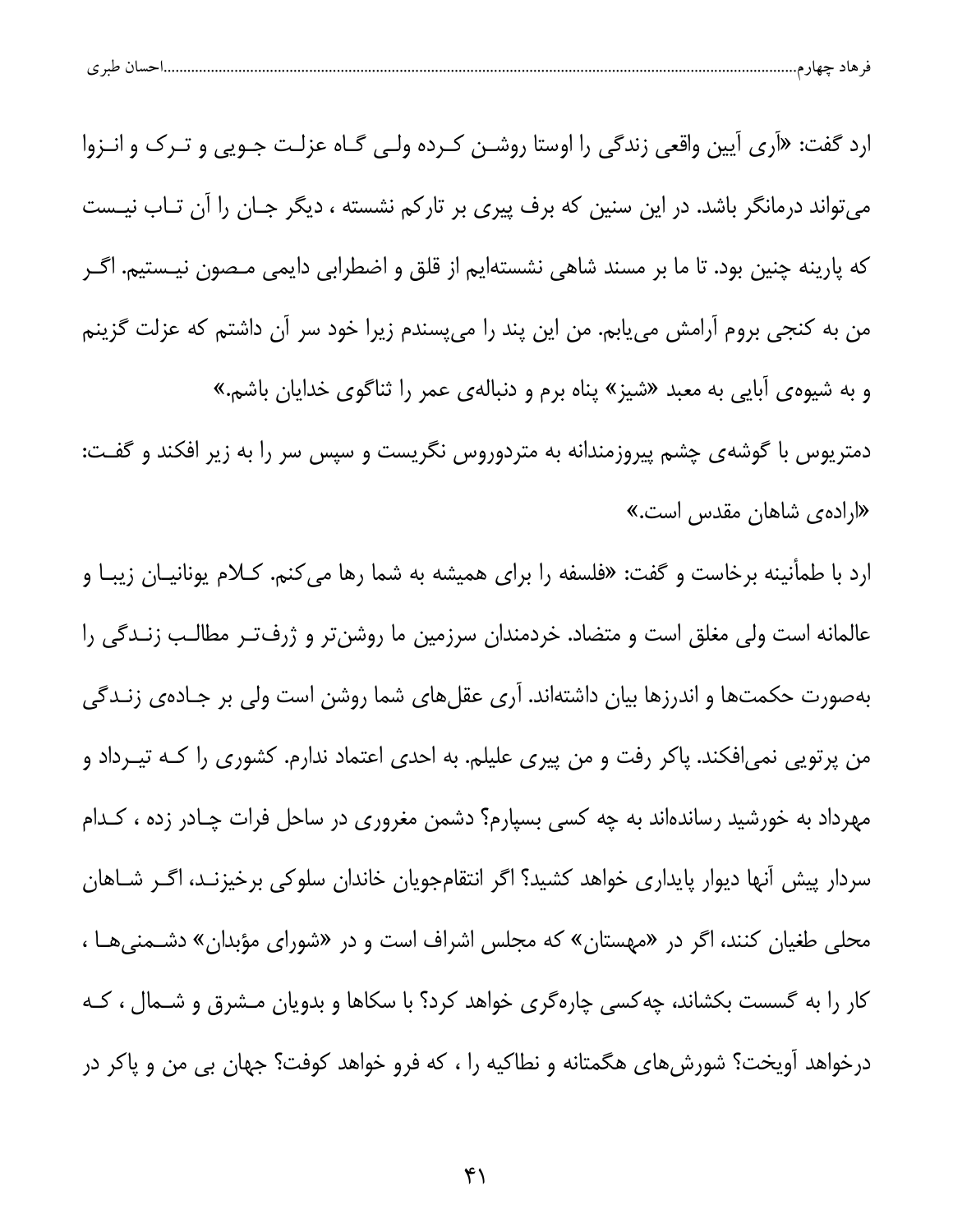| احساں طبری<br>هاد جهار م |  |  |
|--------------------------|--|--|
|                          |  |  |

ارد گفت: «اَرِي اَپين واقعي زندگي را اوستا روشـن كـرده ولـي گـاه عزلـت جـويي و تـرک و انـزوا می تواند درمانگر باشد. در این سنین که برف پیری بر تارکم نشسته ، دیگر جـان را آن تـاب نیـست که پارینه چنین بود. تا ما بر مسند شاهی نشستهایم از قلق و اضطرابی دایمی مـصون نیـستیم. اگـر من به کنجی بروم آرامش مییابم. من این پند را میپسندم زیرا خود سر آن داشتم که عزلت گزینم و به شیوهی آبایی به معبد «شیز» پناه برم و دنبالهی عمر را ثناگوی خدایان باشم.» دمتریوس با گوشهی چشم پیروزمندانه به متردوروس نگریست و سپس سر را به زیر افکند و گفـت: «اراده یشاهان مقدس است.»

ارد با طمأنینه برخاست و گفت: «فلسفه را برای همیشه به شما رها می کنم. کـلام یونانیـان زیبـا و عالمانه است ولی مغلق است و متضاد. خردمندان سرزمین ما روشنتر و ژرفتـر مطالـب زنـدگی را بهصورت حکمتها و اندرزها بیان داشتهاند. آری عقلهای شما روشن است ولی بر جـادهی زنــدگی من پرتویی نمی|فکند. پاکر رفت و من پیری علیلم. به احدی اعتماد ندارم. کشوری را کــه تیــرداد و مهرداد به خورشید رساندهاند به چه کسی بسپارم؟ دشمن مغروری در ساحل فرات چـادر زده ، کـدام سردار پیش آنها دیوار پایداری خواهد کشید؟ اگر انتقامجویان خاندان سلوکی برخیزنـد، اگـر شـاهان محلی طغیان کنند، اگر در «مهستان» که مجلس اشراف است و در «شورای مؤبدان» دشـمنیهـا ، کار را به گسست بکشاند، چه کسی چارهگری خواهد کرد؟ با سکاها و بدویان مـشرق و شـمال ، کـه درخواهد آویخت؟ شورشهای هگمتانه و نطاکیه را ، که فرو خواهد کوفت؟ جهان بی من و پاکر در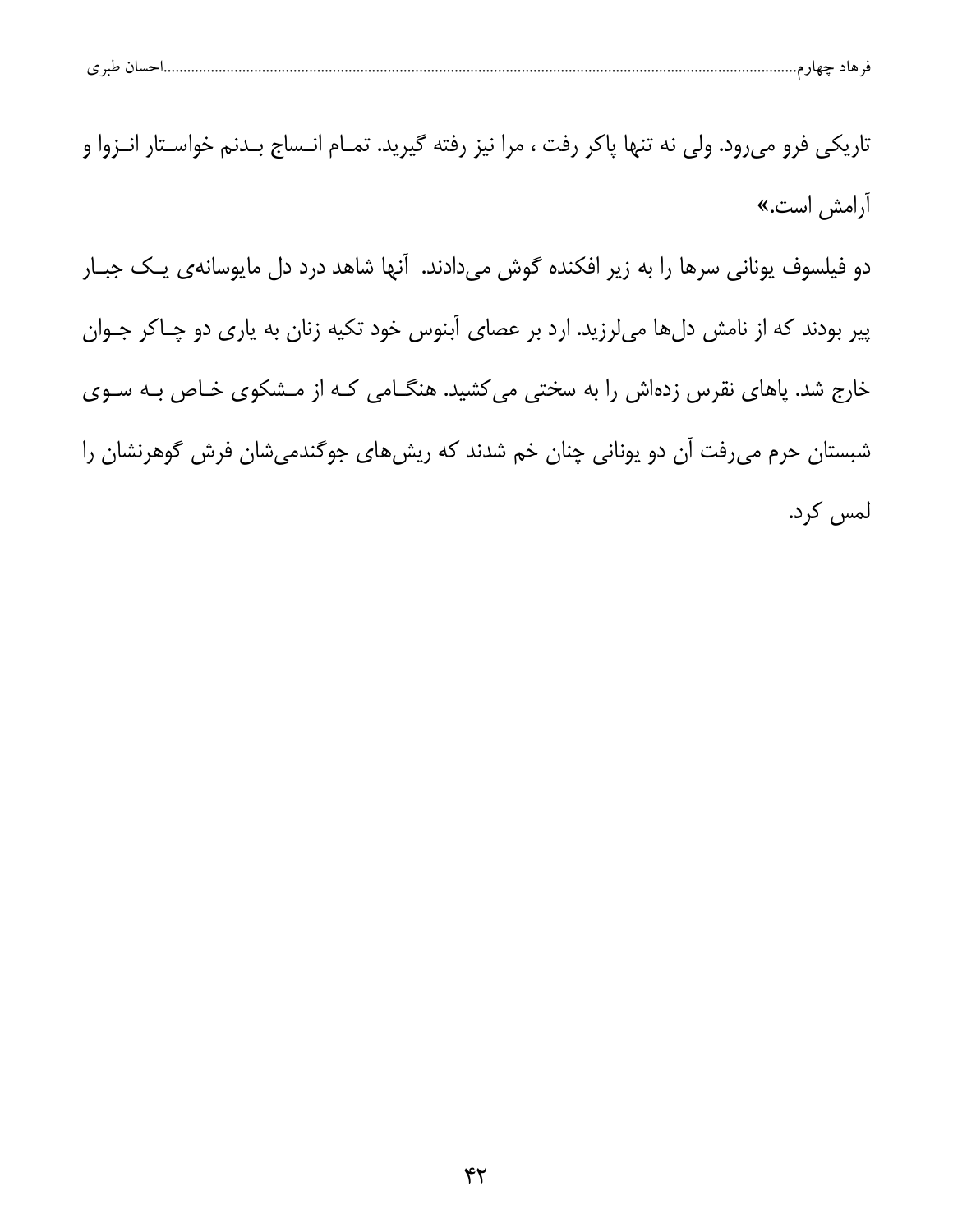| حساں طبر ی |
|------------|
|------------|

تاریکی فرو میرود. ولی نه تنها پاکر رفت ، مرا نیز رفته گیرید. تمـام انـساج بـدنم خواسـتار انـزوا و آرامش است.» دو فیلسوف یونانی سرها را به زیر افکنده گوش میدادند. آنها شاهد درد دل مایوسانهی یک جبار پیر بودند که از نامش دلها میلرزید. ارد بر عصای آبنوس خود تکیه زنان به یاری دو چاکر جـوان خارج شد. پاهای نقرس زدهاش را به سختی میکشید. هنگـامی کـه از مـشکوی خـاص بـه سـوی شبستان حرم می رفت آن دو یونانی چنان خم شدند که ریش های جوگندمی شان فرش گوهرنشان را

لمس كرد.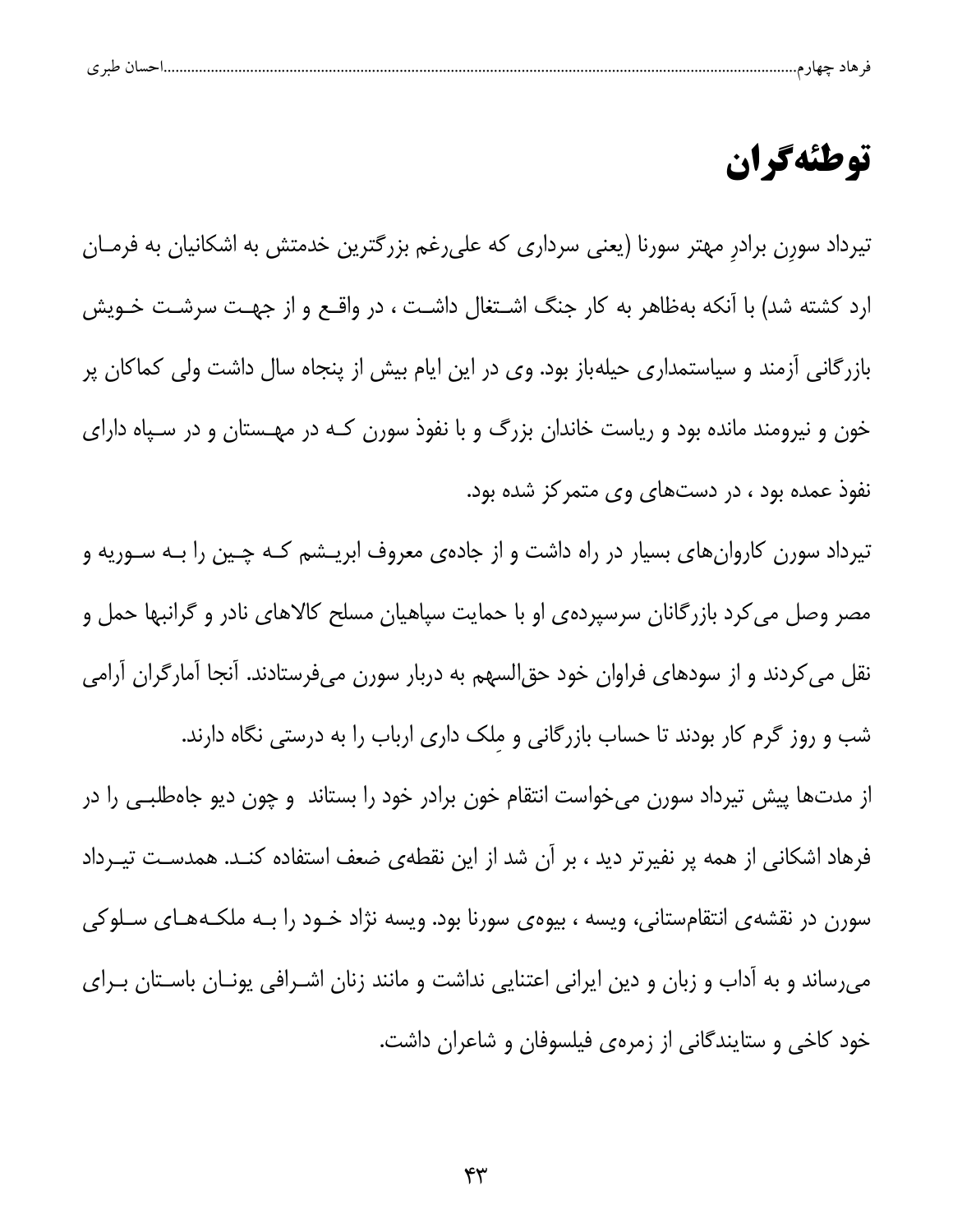|   | $\sim$ |  |  |  |
|---|--------|--|--|--|
| ے |        |  |  |  |

## توطئهگران

تیرداد سورن برادر مهتر سورنا (یعنی سرداری که علی رغم بزرگترین خدمتش به اشکانیان به فرمـان ارد کشته شد) با آنکه بهظاهر به کار جنگ اشـتغال داشـت ، در واقـع و از جهـت سرشـت خـویش بازرگانی آزمند و سیاستمداری حیلهباز بود. وی در این ایام بیش از پنجاه سال داشت ولی کماکان پر خون و نیرومند مانده بود و ریاست خاندان بزرگ و با نفوذ سورن کـه در مهـستان و در سـپاه دارای نفوذ عمده بود ، در دستهای وی متمرکز شده بود.

تیرداد سورن کاروانهای بسیار در راه داشت و از جادهی معروف ابریـشم کـه چـین را بـه سـوریه و مصر وصل می کرد بازرگانان سرسپردهی او با حمایت سپاهیان مسلح کالاهای نادر و گرانبها حمل و نقل می کردند و از سودهای فراوان خود حق|لسهم به دربار سورن میفرستادند. آنجا آمارگران آرامی شب و روز گرم کار بودند تا حساب بازرگانی و ملک داری ارباب را به درستی نگاه دارند.

از مدتها پیش تیرداد سورن میخواست انتقام خون برادر خود را بستاند و چون دیو جاهطلبـی را در فرهاد اشکانی از همه پر نفیرتر دید ، بر آن شد از این نقطهی ضعف استفاده کنـد. همدسـت تیــرداد سورن در نقشهی انتقامستانی، ویسه ، بیوهی سورنا بود. ویسه نژاد خـود را بـه ملکـههـای سـلوکی میرساند و به آداب و زبان و دین ایرانی اعتنایی نداشت و مانند زنان اشـرافی یونــان باســتان بــرای خود کاخی و ستایندگانی از زمرهی فیلسوفان و شاعران داشت.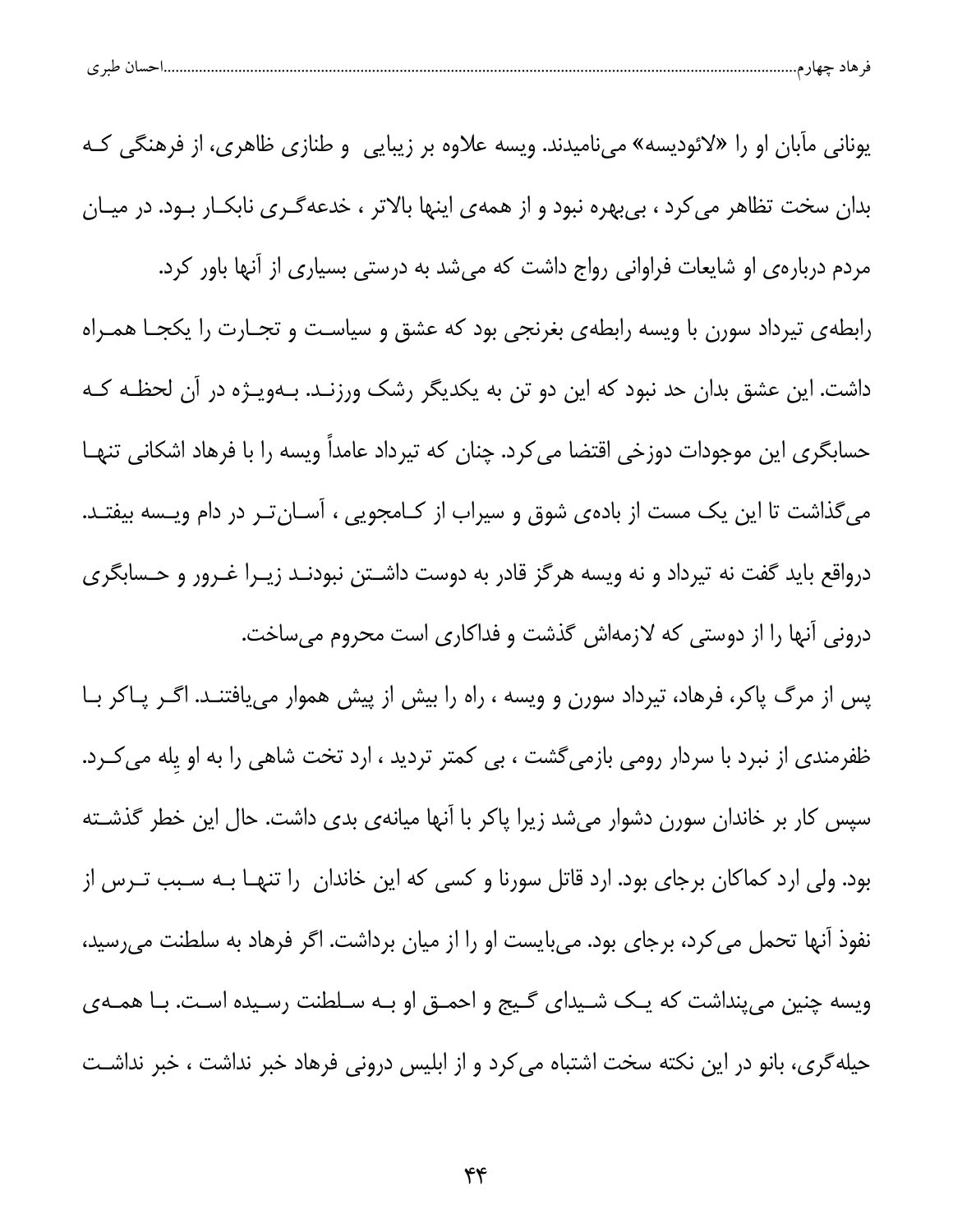| طبہ م<br>. . | حساد |  |  |
|--------------|------|--|--|
|              |      |  |  |

یونانی مآبان او را «لائودیسه» مینامیدند. ویسه علاوه بر زیبایی و طنازی ظاهری، از فرهنگی کـه بدان سخت تظاهر می کرد ، بی بهره نبود و از همهی اینها بالاتر ، خدعهگـری نابکـار بـود. در میـان مردم دربارهی او شایعات فراوانی رواج داشت که میشد به درستی بسیاری از آنها باور کرد. رابطهی تیرداد سورن با ویسه رابطهی بغرنجی بود که عشق و سیاست و تجـارت را یکجـا همـراه داشت. این عشق بدان حد نبود که این دو تن به یکدیگر رشک ورزنـد. بـهویـژه در آن لحظـه کـه حسابگری این موجودات دوزخی اقتضا میکرد. چنان که تیرداد عامداً ویسه را با فرهاد اشکانی تنهـا میگذاشت تا این یک مست از بادهی شوق و سیراب از کـامجویی ، آسـانتـر در دام ویـسه بیفتـد. درواقع باید گفت نه تیرداد و نه ویسه هرگز قادر به دوست داشـتن نبودنـد زیـرا غـرور و حـسابگری درونی آنها را از دوستی که لازمهاش گذشت و فداکاری است محروم میساخت. پس از مرگ پاکر، فرهاد، تیرداد سورن و ویسه ، راه را بیش از پیش هموار مییافتنـد. اگـر پـاکر بـا ظفرمندی از نبرد با سردار رومی بازمیگشت ، بی کمتر تردید ، ارد تخت شاهی را به او یله می کـرد. سپس کار بر خاندان سورن دشوار میشد زیرا پاکر با آنها میانهی بدی داشت. حال این خطر گذشـته بود. ولی ارد کماکان برجای بود. ارد قاتل سورنا و کسی که این خاندان ِ را تنهـا بـه سـبب تـرس از

نفوذ آنها تحمل می کرد، برجای بود. میبایست او را از میان برداشت. اگر فرهاد به سلطنت میرسید، ویسه چنین می پنداشت که یـک شـیدای گـیج و احمـق او بـه سـلطنت رسـیده اسـت. بـا همـهی حیله گری، بانو در این نکته سخت اشتباه می کرد و از ابلیس درونی فرهاد خبر نداشت ، خبر نداشـت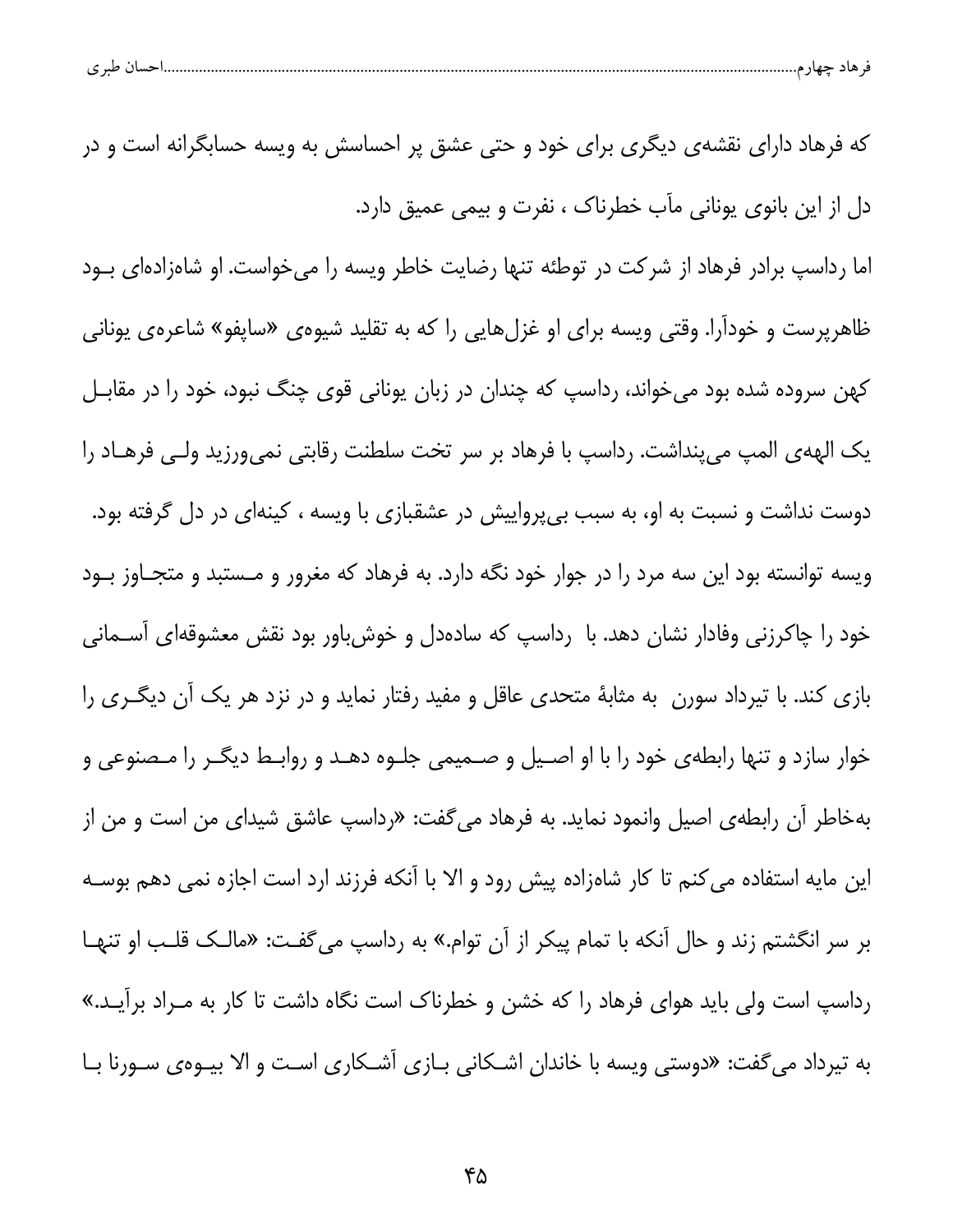|  | که فرهاد دارای نقشهی دیگری برای خود و حتی عشق پر احساسش به ویسه حسابگرانه است و در |
|--|------------------------------------------------------------------------------------|
|  | دل از این بانوی یونانی مآب خطرناک ، نفرت و بیمی عمیق دارد.                         |

اما رداست برادر فرهاد از شرکت در توطئه تنها رضایت خاطر ویسه را می خواست. او شاهزادهای بــود ظاهرپرست و خودآرا. وقتی ویسه برای او غزلهایی را که به تقلید شیوهی «ساپفو» شاعرهی یونانی کهن سروده شده بود می خواند، رداسپ که چندان در زبان یونانی قوی چنگ نبود، خود را در مقابـل يک الهه ي المپ مي پنداشت. رداسپ با فرهاد بر سر تخت سلطنت رقابتي نمي ورزيد ولـي فرهــاد را دوست نداشت و نسبت به او، به سبب بی پرواییش در عشقبازی با ویسه ، کینهای در دل گرفته بود. ویسه توانسته بود این سه مرد را در جوار خود نگه دارد. به فرهاد که مغرور و مـستبد و متجـاوز بــود خود را چاکرزنی وفادار نشان دهد. با رداسپ که سادهدل و خوش باور بود نقش معشوقهای اســمانی بازی کند. با تیرداد سورن به مثابهٔ متحدی عاقل و مفید رفتار نماید و در نزد هر یک آن دیگـری را خوار سازد و تنها رابطهى خود را با او اصـيل و صـميمى جلــوه دهــد و روابــط ديگــر را مـصنوعى و بهخاطر آن رابطهی اصیل وانمود نماید. به فرهاد میگفت: «رداسپ عاشق شیدای من است و من از این مایه استفاده می کنم تا کار شاهزاده پیش رود و الا با آنکه فرزند ارد است اجازه نمی دهم بوسـه بر سر انگشتم زند و حال آنکه با تمام پیکر از آن توام.» به رداسپ میگفت: «مالـک قلـب او تنهـا رداسپ است ولی باید هوای فرهاد را که خشن و خطرناک است نگاه داشت تا کار به مـراد برآیـد.» به تیرداد می گفت: «دوستی ویسه با خاندان اشـکانی بــازی اشــکاری اسـت و الا بیــوهی ســورنا بــا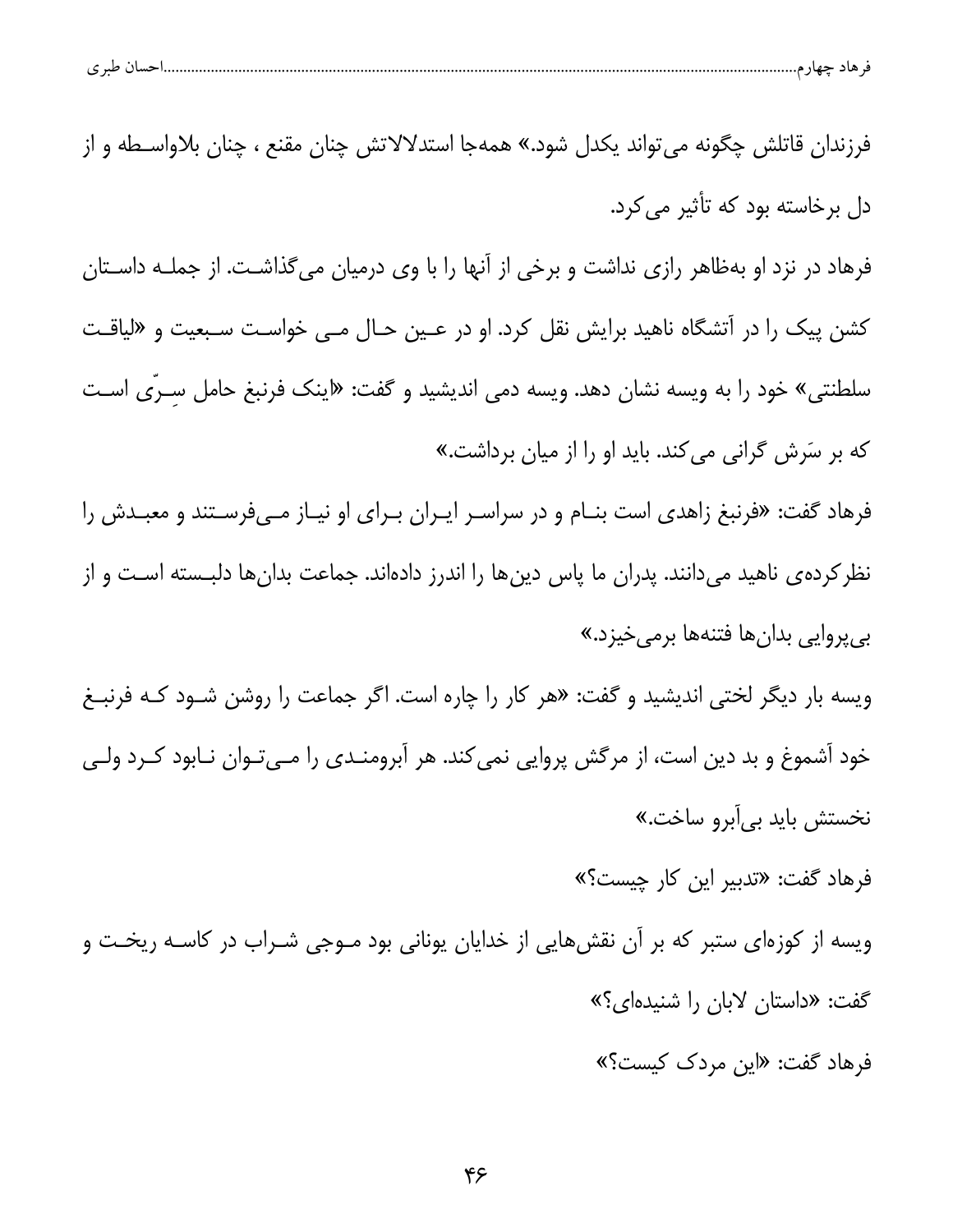| احسال طبري |  | مت د |  |
|------------|--|------|--|
|            |  |      |  |

فرزندان قاتلش چگونه می تواند یکدل شود.» همهجا استدلالاتش چنان مقنع ، چنان بلاواسـطه و از دل برخاسته بود که تأثیر می کرد. فرهاد در نزد او بهظاهر رازی نداشت و برخی از آنها را با وی درمیان میگذاشت. از جملـه داسـتان کشن پیک را در آتشگاه ناهید برایش نقل کرد. او در عـین حـال مـی خواسـت سـبعیت و «لیاقـت سلطنتی» خود را به ویسه نشان دهد. ویسه دمی اندیشید و گفت: «اینک فرنبغ حامل سـرّی اسـت که بر سَرش گرانی می کند. باید او را از میان برداشت.» فرهاد گفت: «فرنبغ زاهدی است بنـام و در سراسـر ایـران بـرای او نیـاز مـیفرسـتند و معبـدش را نظر کرده ی ناهید می دانند. پدران ما پاس دین ها را اندرز دادهاند. جماعت بدان ها دلبـسته اسـت و از بي پروايي بدانها فتنهها برمي خيزد.» ویسه بار دیگر لختی اندیشید و گفت: «هر کار را چاره است. اگر جماعت را روشن شـود کـه فرنبـغ خود آشموغ و بد دین است، از مرگش پروایی نمی کند. هر آبرومنــدی را مــیتــوان نــابود کــرد ولــی نخستش بايد بي[برو ساخت.» فرهاد گفت: «تدبیر این کار چیست؟»

ویسه از کوزهای ستبر که بر آن نقشهایی از خدایان یونانی بود مــوجی شــراب در کاســه ریخــت و گفت: «داستان لابان را شنیدهای؟»

فرهاد گفت: «این مردک کیست؟»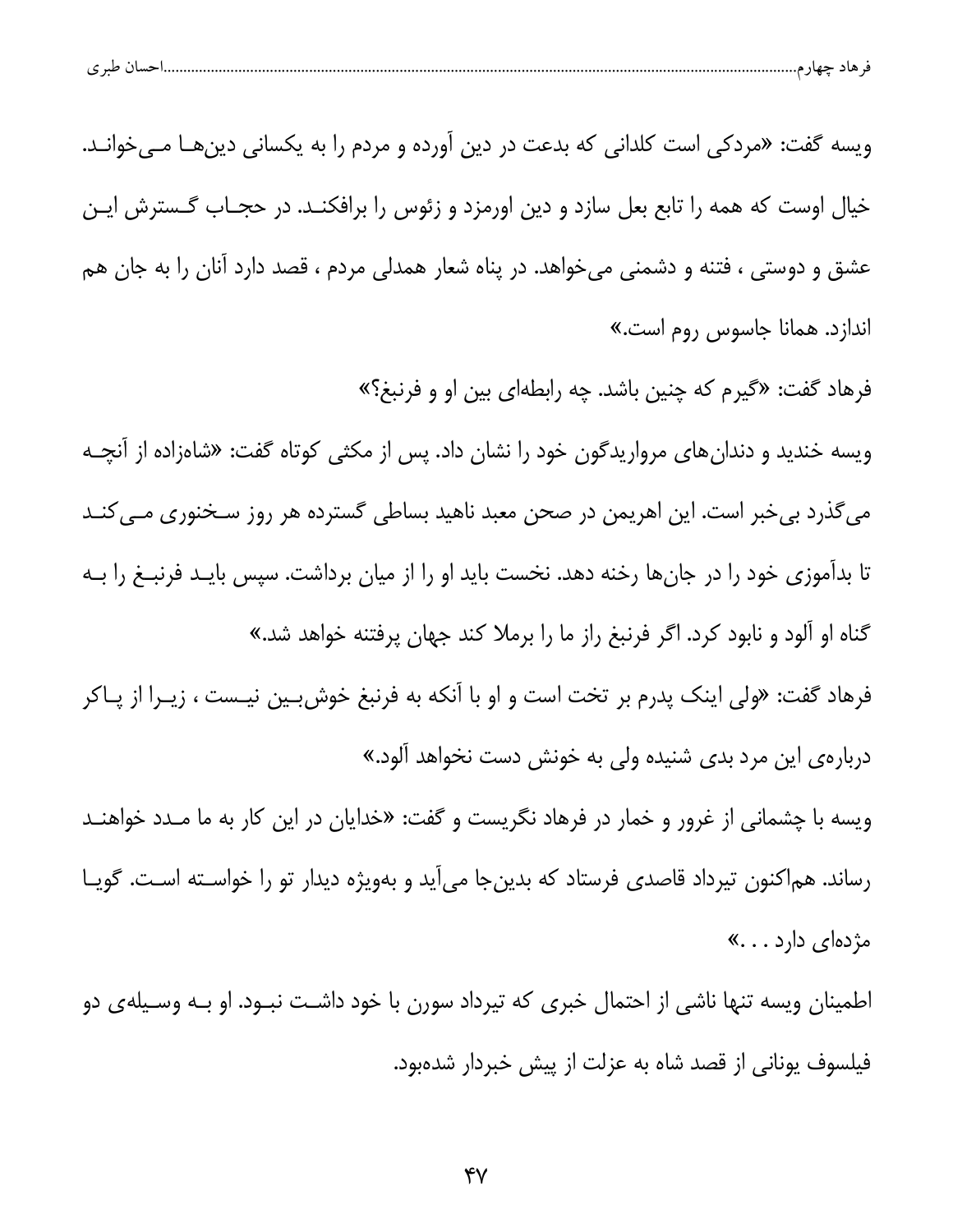| احساں طبری<br>هاد جهار م |  |  |
|--------------------------|--|--|
|                          |  |  |

ويسه گفت: «مردكي است كلداني كه بدعت در دين آورده و مردم را به يكساني دينهــا مــيخوانــد. خیال اوست که همه را تابع بعل سازد و دین اورمزد و زئوس را برافکنــد. در حجــاب گــسترش ایــن عشق و دوستی ، فتنه و دشمنی میخواهد. در پناه شعار همدلی مردم ، قصد دارد آنان را به جان هم اندازد. همانا جاسوس روم است.»

فرهاد گفت: «گیرم که چنین باشد. چه رابطهای بین او و فرنبغ؟»

ویسه خندید و دندانهای مرواریدگون خود را نشان داد. پس از مکثی کوتاه گفت: «شاهزاده از آنچـه میگذرد بیخبر است. این اهریمن در صحن معبد ناهید بساطی گسترده هر روز سـخنوری مــیکنــد تا بدآموزی خود را در جانها رخنه دهد. نخست باید او را از میان برداشت. سپس بایـد فرنبــغ را بــه گناه او آلود و نابود کرد. اگر فرنبغ راز ما را برملا کند جهان پرفتنه خواهد شد.»

فرهاد گفت: «ولی اینک پدرم بر تخت است و او با آنکه به فرنبغ خوشبین نیـست ، زیـرا از پـاکر دربارهی این مرد بدی شنیده ولی به خونش دست نخواهد آلود.»

ویسه با چشمانی از غرور و خمار در فرهاد نگریست و گفت: «خدایان در این کار به ما مـدد خواهنـد رساند. هماکنون تیرداد قاصدی فرستاد که بدینجا می[ید و بهویژه دیدار تو را خواســته اسـت. گویــا مژدهای دارد . . .»

اطمینان ویسه تنها ناشی از احتمال خبری که تیرداد سورن با خود داشـت نبـود. او بـه وسـیلهی دو فیلسوف یونانی از قصد شاه به عزلت از پیش خبردار شدهبود.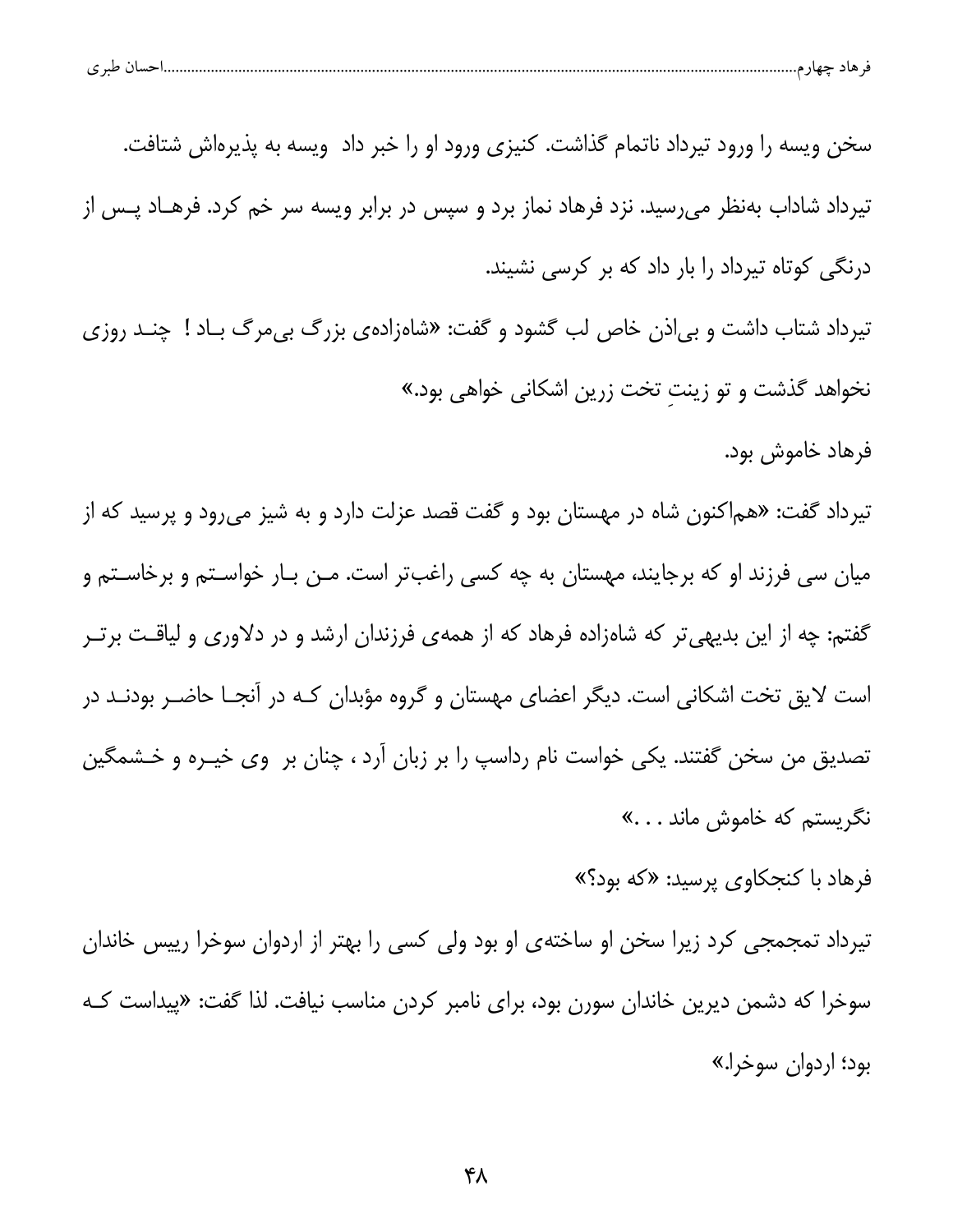| طب ی<br>ັ | تسب ر |  |  |
|-----------|-------|--|--|
|           |       |  |  |

سخن ویسه را ورود تیرداد ناتمام گذاشت. کنیزی ورود او را خبر داد ویسه به پذیرهاش شتافت. تیرداد شاداب بهنظر می٫رسید. نزد فرهاد نماز برد و سپس در برابر ویسه سر خم کرد. فرهــاد پــس از درنگی کوتاه تیرداد را بار داد که بر کرسی نشیند. تیرداد شتاب داشت و بیاذن خاص لب گشود و گفت: «شاهزادهی بزرگ بی مرگ باد ! چنـد روزی

نخواهد گذشت و تو زینت تخت زرین اشکانی خواهی بود.»

فرهاد خاموش بود.

تیرداد گفت: «هم|کنون شاه در مهستان بود و گفت قصد عزلت دارد و به شیز میرود و پرسید که از میان سی فرزند او که برجایند، مهستان به چه کسی راغبتر است. مـن بـار خواسـتم و برخاسـتم و گفتم: چه از این بدیهی تر که شاهزاده فرهاد که از همهی فرزندان ارشد و در دلاوری و لیاقت برتـر است لایق تخت اشکانی است. دیگر اعضای مهستان و گروه مؤبدان کـه در آنجـا حاضـر بودنـد در تصدیق من سخن گفتند. یکی خواست نام رداسپ را بر زبان آرد ، چنان بر وی خیـره و خـشمگین نگریستم که خاموش ماند . . .»

فرهاد با کنجکاوی پرسید: «که بود؟»

تیرداد تمجمجی کرد زیرا سخن او ساختهی او بود ولی کسی را بهتر از اردوان سوخرا رییس خاندان سوخرا که دشمن دیرین خاندان سورن بود، برای نامبر کردن مناسب نیافت. لذا گفت: «پیداست کـه بود؛ اردوان سوخرا.»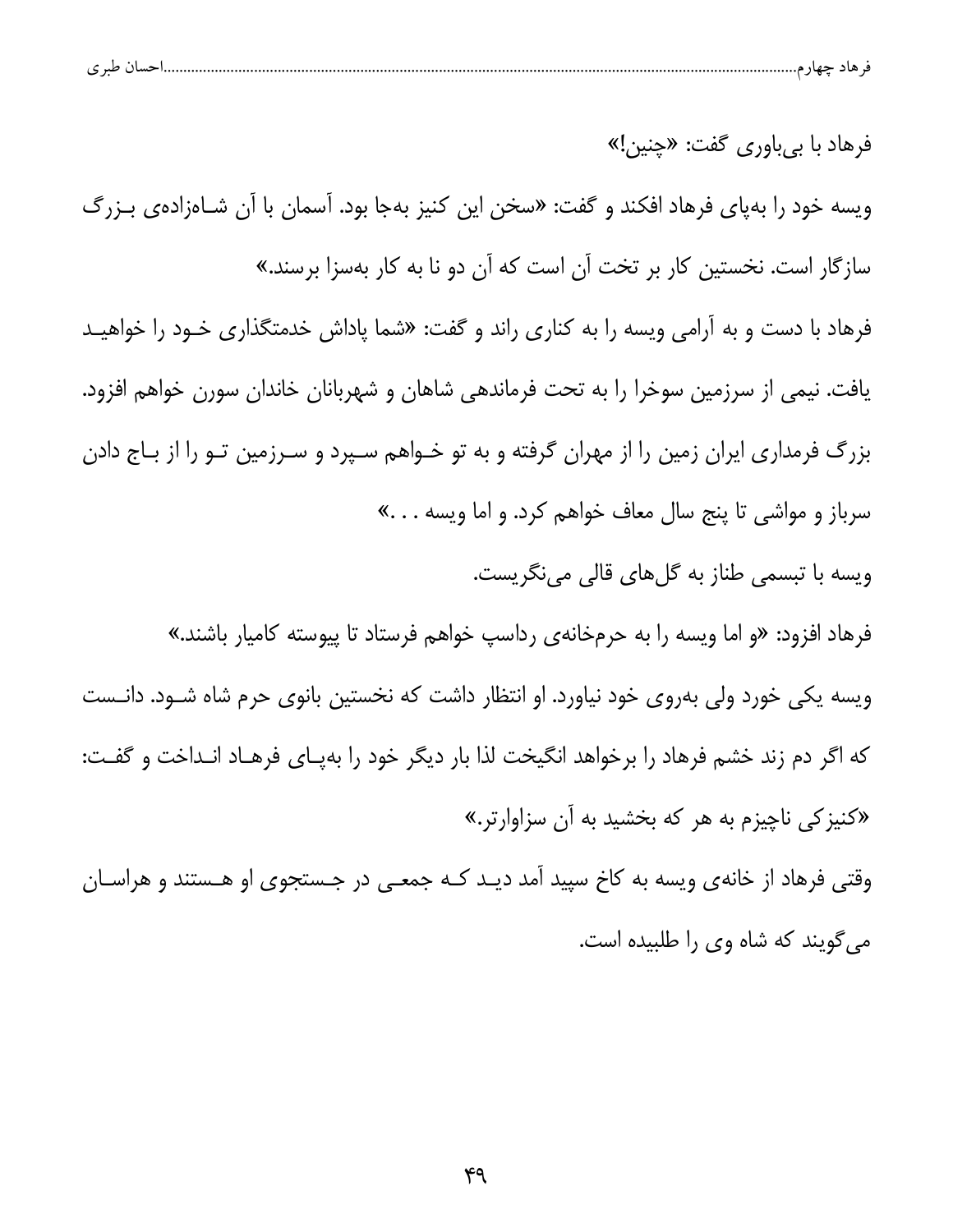| طبری | 1.444 | هاد حصار<br>- 6 |  |
|------|-------|-----------------|--|
|      |       |                 |  |

فرهاد با بي باوري گفت: «چنين!» ویسه خود را بهپای فرهاد افکند و گفت: «سخن این کنیز بهجا بود. آسمان با آن شـاهزادهی بـزرگ سازگار است. نخستین کار بر تخت آن است که آن دو نا به کار بهسزا برسند.» فرهاد با دست و به آرامی ویسه را به کناری راند و گفت: «شما پاداش خدمتگذاری خـود را خواهیـد یافت. نیمی از سرزمین سوخرا را به تحت فرماندهی شاهان و شهربانان خاندان سورن خواهم افزود. بزرگ فرمداری ایران زمین را از مهران گرفته و به تو خـواهم سـپرد و سـرزمین تـو را از بـاج دادن سرباز و مواشی تا پنج سال معاف خواهم کرد. و اما ویسه . . .» ويسه با تبسمي طناز به گلهاي قالي مي نگريست. فرهاد افزود: «و اما ويسه را به حرمخانهى رداسپ خواهم فرستاد تا پيوسته كاميار باشند.» ویسه یکی خورد ولی بهروی خود نیاورد. او انتظار داشت که نخستین بانوی حرم شاه شــود. دانــست که اگر دم زند خشم فرهاد را برخواهد انگیخت لذا بار دیگر خود را بهپـای فرهـاد انـداخت و گفـت: «کنیز کی ناچیزم به هر که بخشید به آن سزاوارتر.»

وقتی فرهاد از خانهی ویسه به کاخ سپید آمد دیـد کـه جمعـی در جـستجوی او هـستند و هراسـان می گویند که شاه وی را طلبیده است.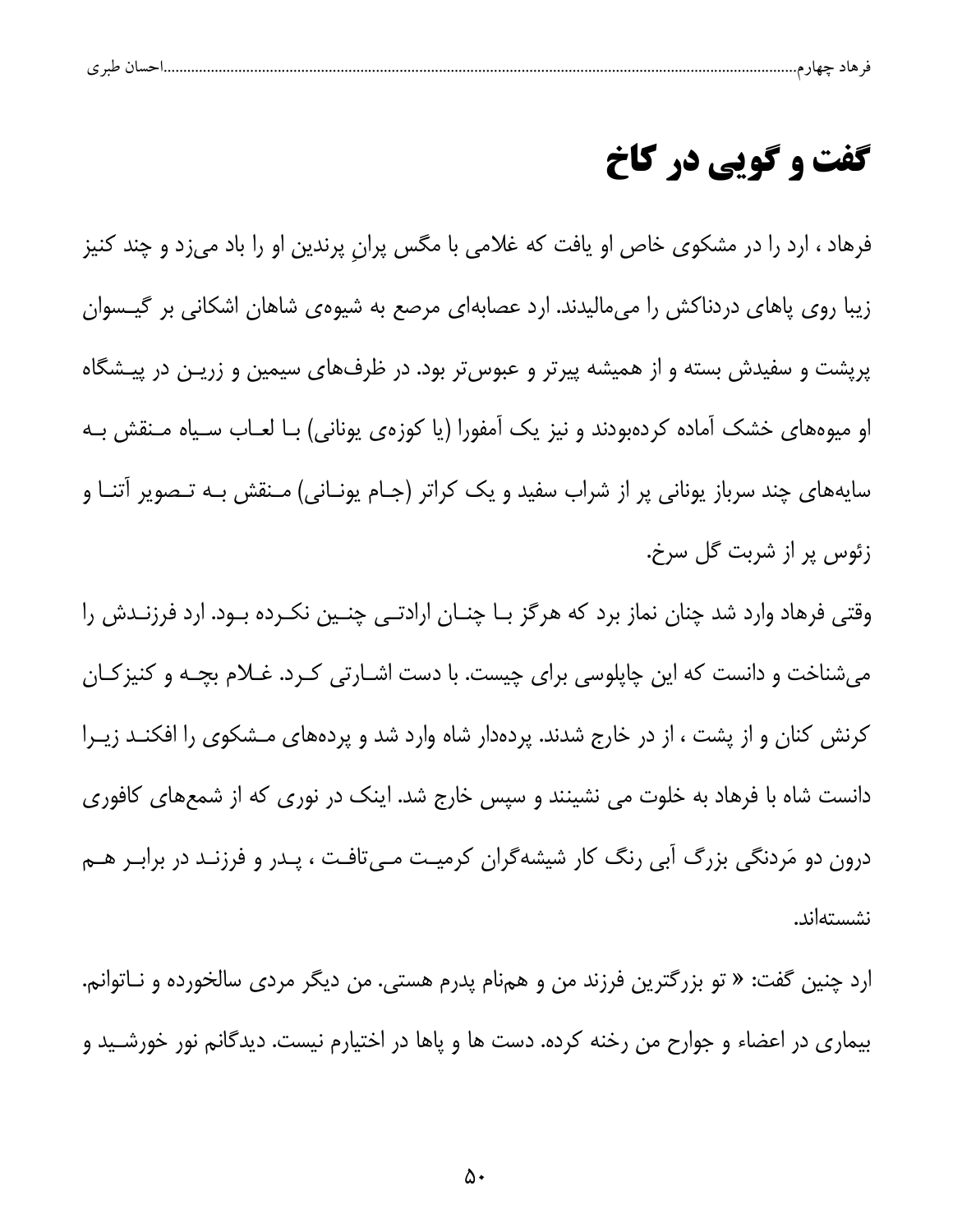| ے |  |  |  |  |
|---|--|--|--|--|
|   |  |  |  |  |

## **گفت و گویی در کاخ**

فرهاد ، ارد را در مشکوی خاص او یافت که غلامی با مگس پران پرندین او را باد میزد و چند کنیز زیبا روی پاهای دردناکش را می،مالیدند. ارد عصابهای مرصع به شیوهی شاهان اشکانی بر گیــسوان پریشت و سفیدش بسته و از همیشه پیرتر و عبوس تر بود. در ظرفهای سیمین و زریـن در پیـشگاه او میوههای خشک آماده کردهبودند و نیز یک آمفورا (یا کوزهی یونانی) بـا لعـاب سـیاه مـنقش بـه سایههای چند سرباز یونانی پر از شراب سفید و یک کراتر (جـام یونــانی) مــنقش بــه تــصویر آتنــا و زئوس پر از شربت گل سرخ.

وقتی فرهاد وارد شد چنان نماز برد که هرگز بـا چنـان ارادتـی چنـین نکـرده بـود. ارد فرزنـدش را میشناخت و دانست که این چاپلوسی برای چیست. با دست اشـارتی کـرد. غـلام بچـه و کنیز کـان کرنش کنان و از پشت ، از در خارج شدند. پردهدار شاه وارد شد و پردههای مـشکوی را افکنــد زیــرا دانست شاه با فرهاد به خلوت می نشینند و سپس خارج شد. اینک در نوری که از شمعهای کافوری درون دو مَردنگی بزرگ آبی رنگ کار شیشهگران کرمیت مـیتافت ، پـدر و فرزنـد در برابـر هـم نشستهاند.

ارد چنین گفت: « تو بزرگترین فرزند من و همiام پدرم هستی. من دیگر مرد*ی* سالخورده و نــاتوانم. بیماری در اعضاء و جوارح من رخنه کرده. دست ها و پاها در اختیارم نیست. دیدگانم نور خورشـید و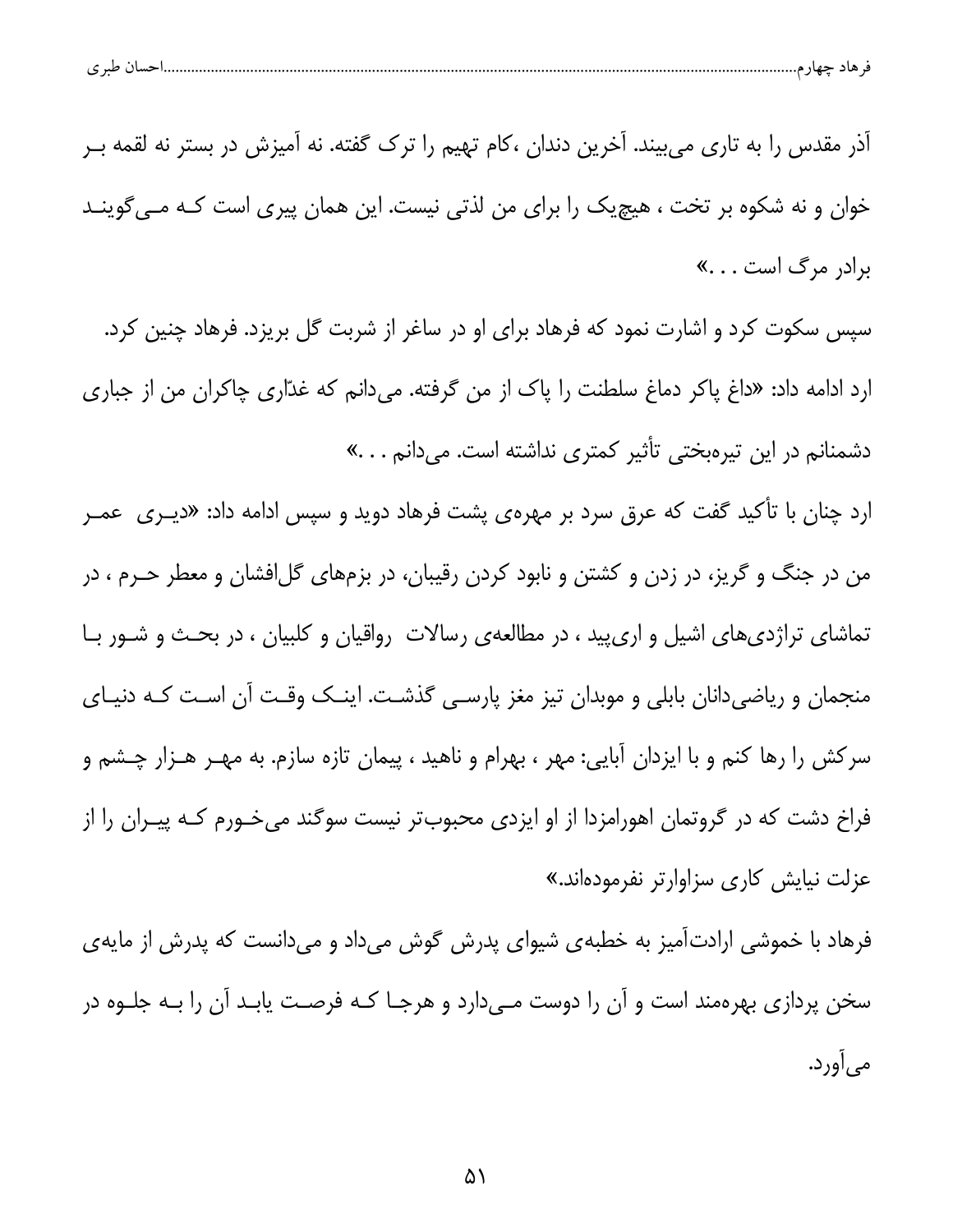| طبر ی | $\sim$<br>. | ماد |  |
|-------|-------------|-----|--|
|       |             |     |  |

آذر مقدس را به تاری میبیند. آخرین دندان ،کام تهیم را ترک گفته. نه آمیزش در بستر نه لقمه بـر خوان و نه شکوه بر تخت ، هیچیک را برای من لذتی نیست. این همان پیری است کـه مـی گوینـد برادر مرگ است . . . »

سپس سکوت کرد و اشارت نمود که فرهاد برای او در ساغر از شربت گل بریزد. فرهاد چنین کرد. ارد ادامه داد: «داغ پاکر دماغ سلطنت را پاک از من گرفته. میدانم که غدّاری چاکران من از جباری دشمنانم در این تیرهبختی تأثیر کمتری نداشته است. میدانم . . .»

ارد چنان با تأکید گفت که عرق سرد بر مهرهی پشت فرهاد دوید و سپس ادامه داد: «دیـری عمـر من در جنگ و گریز، در زدن و کشتن و نابود کردن رقیبان، در بزمهای گلافشان و معطر حـرم ، در تماشای تراژدی های اشیل و اریپید ، در مطالعهی رسالات رواقیان و کلبیان ، در بحث و شور با منجمان و ریاضیدانان بابلی و موبدان تیز مغز پارسے گذشت. اینک وقت آن است کـه دنیـای سرکش را رها کنم و با ایزدان آبایی: مهر ، بهرام و ناهید ، پیمان تازه سازم. به مهـر هـزار چـشم و فراخ دشت که در گروتمان اهورامزدا از او ایزدی محبوبتر نیست سوگند میخورم کـه پیـران را از عزلت نیایش کاری سزاوارتر نفرمودهاند.»

فرهاد با خموشی ارادت[میز به خطبهی شیوای پدرش گوش میداد و میدانست که پدرش از مایهی سخن پردازی بهرهمند است و آن را دوست مے دارد و هرجـا کـه فرصـت پابـد آن را بـه جلـوه در مي آورد.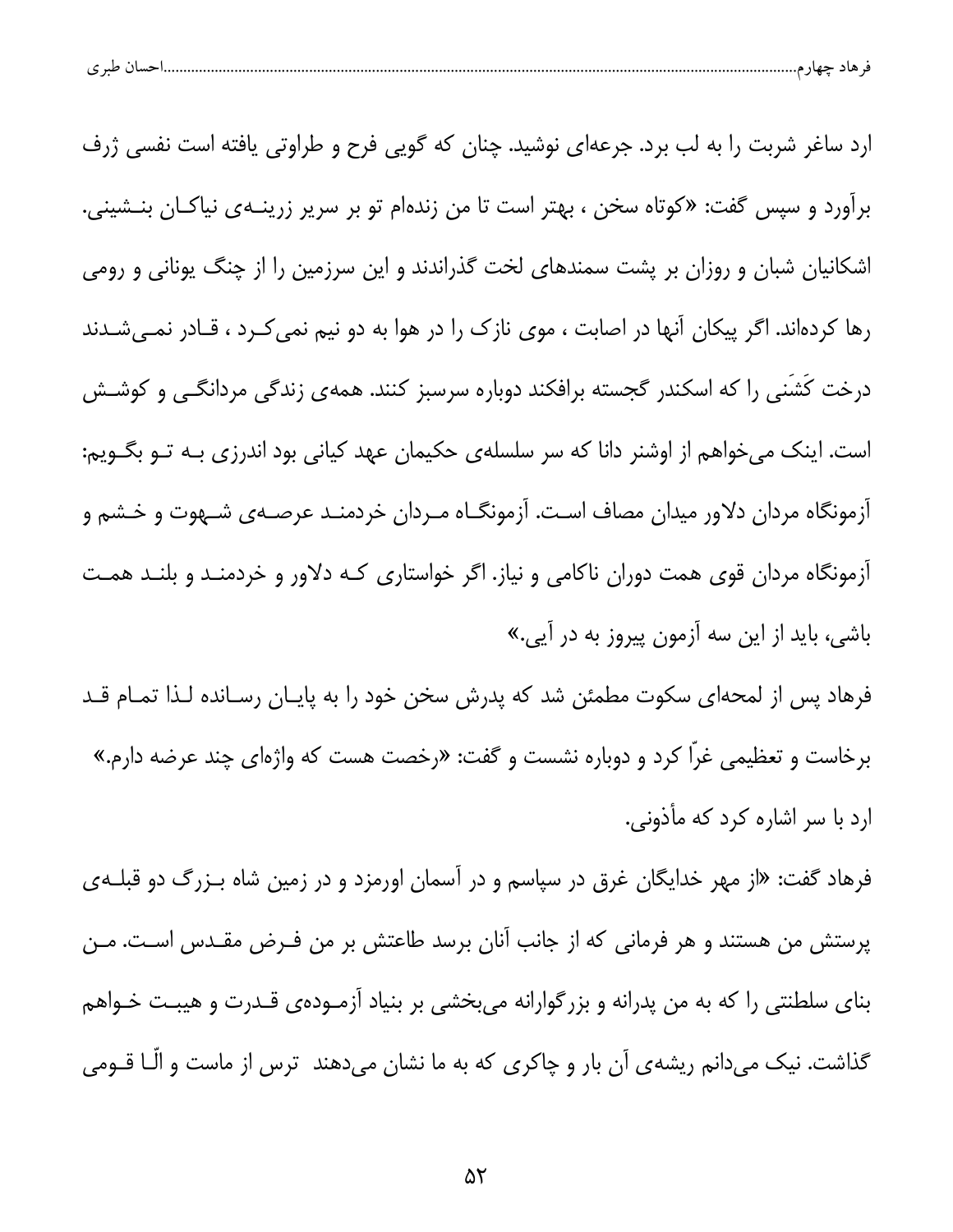|  | طبہ م<br>. . | حساد | $-$ |  |  |
|--|--------------|------|-----|--|--|
|--|--------------|------|-----|--|--|

ارد ساغر شربت را به لب برد. جرعهای نوشید. چنان که گویی فرح و طراوتی یافته است نفسی ژرف برآورد و سپس گفت: «کوتاه سخن ، بهتر است تا من زندهام تو بر سرپر زرینــهی نیاکــان بنــشینی. اشکانیان شبان و روزان بر پشت سمندهای لخت گذراندند و این سرزمین را از چنگ یونانی و رومی رها کردهاند. اگر پیکان آنها در اصابت ، موی نازک را در هوا به دو نیم نمی کـرد ، قـادر نمـیشـدند درخت کَشَنی را که اسکندر گجسته برافکند دوباره سرسبز کنند. همهی زندگی مردانگـی و کوشـش است. اینک می خواهم از اوشنر دانا که سر سلسلهی حکیمان عهد کیانی بود اندرزی بـه تـو بگـویم: آزمونگاه مردان دلاور میدان مصاف است. آزمونگـاه مـردان خردمنـد عرصـهى شـهوت و خـشم و آزمونگاه مردان قوی همت دوران ناکامی و نیاز. اگر خواستاری کـه دلاور و خردمنـد و بلنـد همـت باشی، باید از این سه آزمون پیروز به در آیی.»

فرهاد پس از لمحهای سکوت مطمئن شد که پدرش سخن خود را به پایـان رسـانده لـذا تمـام قـد برخاست و تعظیمی غرّاً کرد و دوباره نشست و گفت: «رخصت هست که واژهای چند عرضه دارم.» ارد با سر اشاره کرد که مأذوني.

فرهاد گفت: «از مهر خدایگان غرق در سپاسم و در آسمان اورمزد و در زمین شاه بـزرگ دو قبلـهی پرستش من هستند و هر فرمانی که از جانب آنان برسد طاعتش بر من فـرض مقـدس اسـت. مـن بنای سلطنتی را که به من پدرانه و بزرگوارانه میبخشی بر بنیاد آزمـودهی قـدرت و هیبـت خـواهم گذاشت. نیک میدانم ریشهی آن بار و چاکری که به ما نشان میدهند ترس از ماست و الّـا قــومی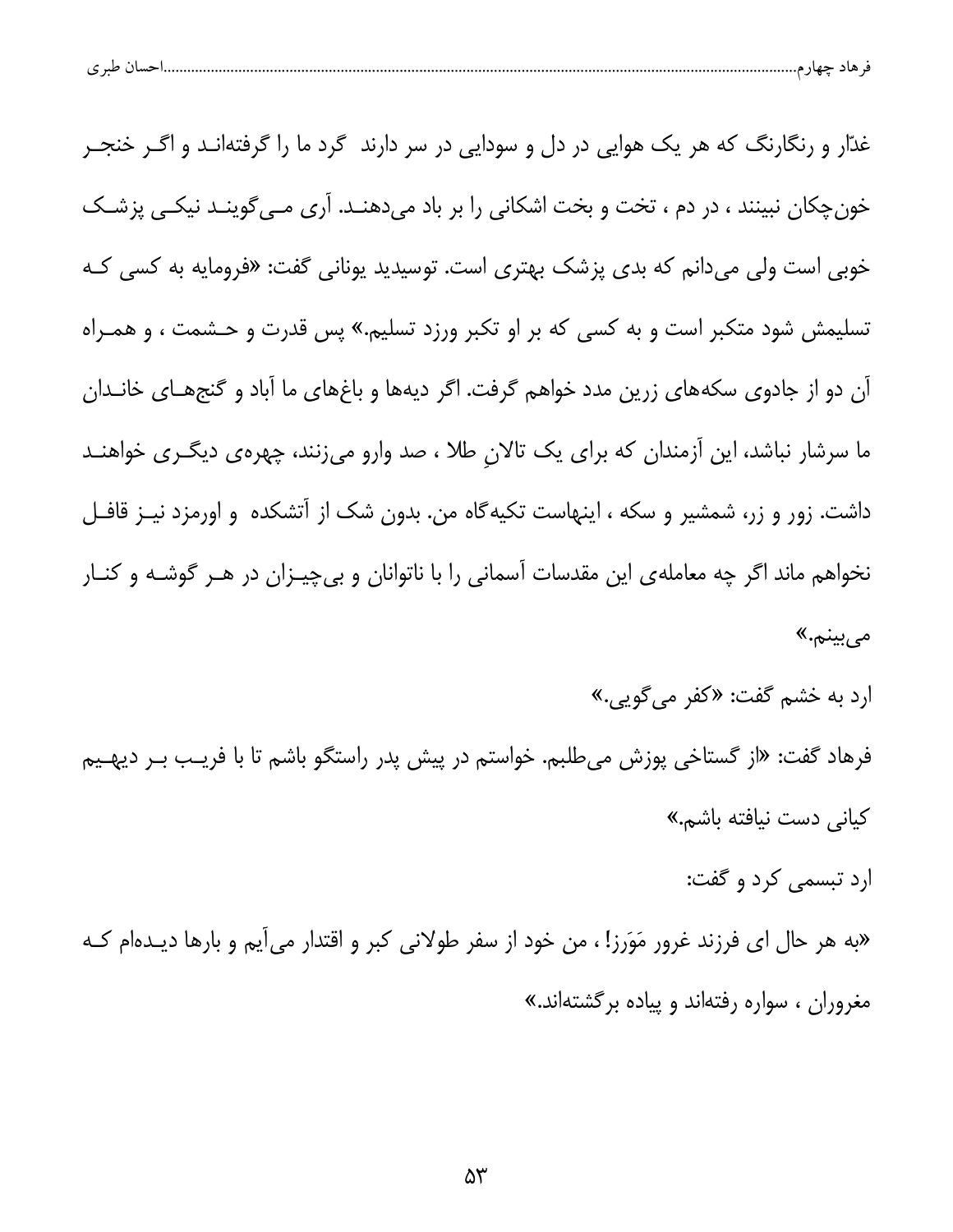| پ | $\sim$ $\sim$ |  |  |  |  |
|---|---------------|--|--|--|--|
|---|---------------|--|--|--|--|

غدّار و رنگارنگ که هر یک هوایی در دل و سودایی در سر دارند گرد ما را گرفتهانـد و اگــر خنجــر خونچکان نبینند ، در دم ، تخت و بخت اشکانی را بر باد میدهنـد. آری مـی گوینـد نیکـی پزشـک خوبی است ولی میدانم که بدی پزشک بهتری است. توسیدید یونانی گفت: «فرومایه به کسی کـه تسلیمش شود متکبر است و به کسی که بر او تکبر ورزد تسلیم.» پس قدرت و حـشمت ، و همـراه آن دو از جادوی سکههای زرین مدد خواهم گرفت. اگر دیهها و باغهای ما آباد و گنجهـای خانـدان ما سرشار نباشد، این آزمندان که برای یک تالان طلا ، صد وارو میزنند، چهرهی دیگـری خواهنـد داشت. زور و زر، شمشیر و سکه ، اینهاست تکیهگاه من. بدون شک از آتشکده و اورمزد نیـز قافـل نخواهم ماند اگر چه معاملهی این مقدسات آسمانی را با ناتوانان و بی چیـزان در هـر گوشـه و کنـار میبینم.»

ارد به خشم گفت: «کفر می گویی.»

فرهاد گفت: «از گستاخی پوزش میطلبم. خواستم در پیش پدر راستگو باشم تا با فریـب بـر دیهـیم كياني دست نيافته باشم.»

ارد تبسمي كرد و گفت:

«به هر حال ای فرزند غرور مَوَرز! ، من خود از سفر طولانی کبر و اقتدار میآیم و بارها دیـدهام کـه مغروران ، سواره رفتهاند و پیاده برگشتهاند.»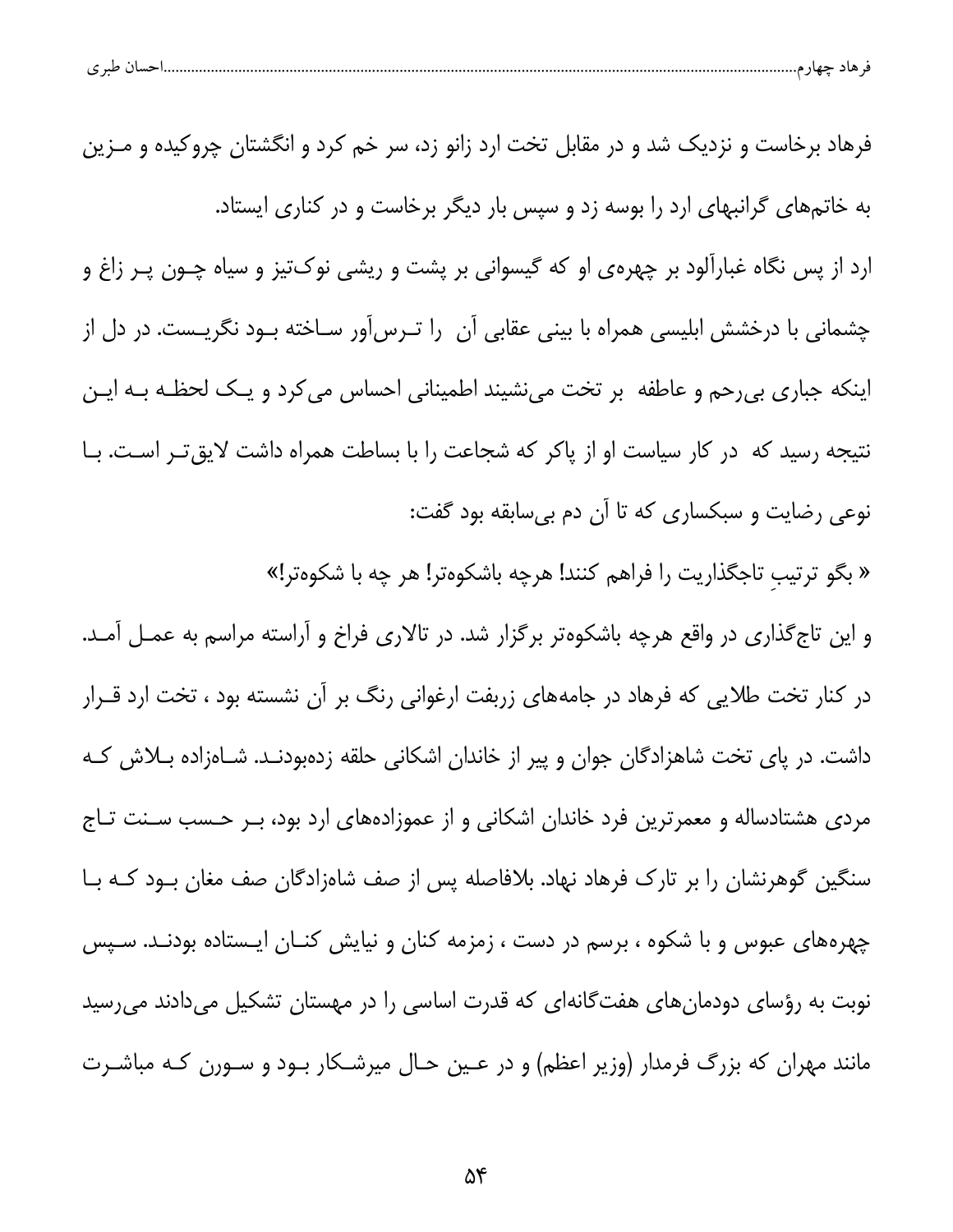| طب کی<br><b>LAAA</b><br>$\check{ }$ |
|-------------------------------------|
|-------------------------------------|

فرهاد برخاست و نزدیک شد و در مقابل تخت ارد زانو زد، سر خم کرد و انگشتان چروکیده و مــزین به خاتمهای گرانبهای ارد را بوسه زد و سپس بار دیگر برخاست و در کناری ایستاد. ارد از پس نگاه غبارآلود بر چهرهی او که گیسوانی بر پشت و ریشی نوکتیز و سیاه چـون پـر زاغ و چشمانی با درخشش ابلیسی همراه با بینی عقابی آن را تـرس[ور سـاخته بـود نگریـست. در دل از اینکه جباری بی رحم و عاطفه بر تخت می نشیند اطمینانی احساس می کرد و یـک لحظـه بـه ایـن نتیجه رسید که در کار سیاست او از پاکر که شجاعت را با بساطت همراه داشت لایق تـر اسـت. بـا نوعی رضایت و سبکساری که تا آن دم بی سابقه بود گفت: « بگو ترتیب تاجگذاریت را فراهم کنند! هرچه باشکوهتر! هر چه با شکوهتر!» و این تاج گذاری در واقع هرچه باشکوهتر برگزار شد. در تالاری فراخ و آراسته مراسم به عمـل آمـد. در کنار تخت طلایی که فرهاد در جامههای زربفت ارغوانی رنگ بر آن نشسته بود ، تخت ارد قــرار داشت. در پای تخت شاهزادگان جوان و پیر از خاندان اشکانی حلقه زدهبودنـد. شـاهزاده بـلاش کـه مردی هشتادساله و معمرترین فرد خاندان اشکانی و از عموزادههای ارد بود، بـر حـسب سـنت تـاج سنگین گوهرنشان را بر تارک فرهاد نهاد. بلافاصله پس از صف شاهزادگان صف مغان بـود کـه بـا چهرههای عبوس و با شکوه ، برسم در دست ، زمزمه کنان و نیایش کنــان ایــستاده بودنــد. ســپس نوبت به رؤسای دودمانهای هفتگانهای که قدرت اساسی را در مهستان تشکیل میدادند میرسید مانند مهران که بزرگ فرمدار (وزیر اعظم) و در عـین حـال میرشـکار بـود و سـورن کـه مباشـرت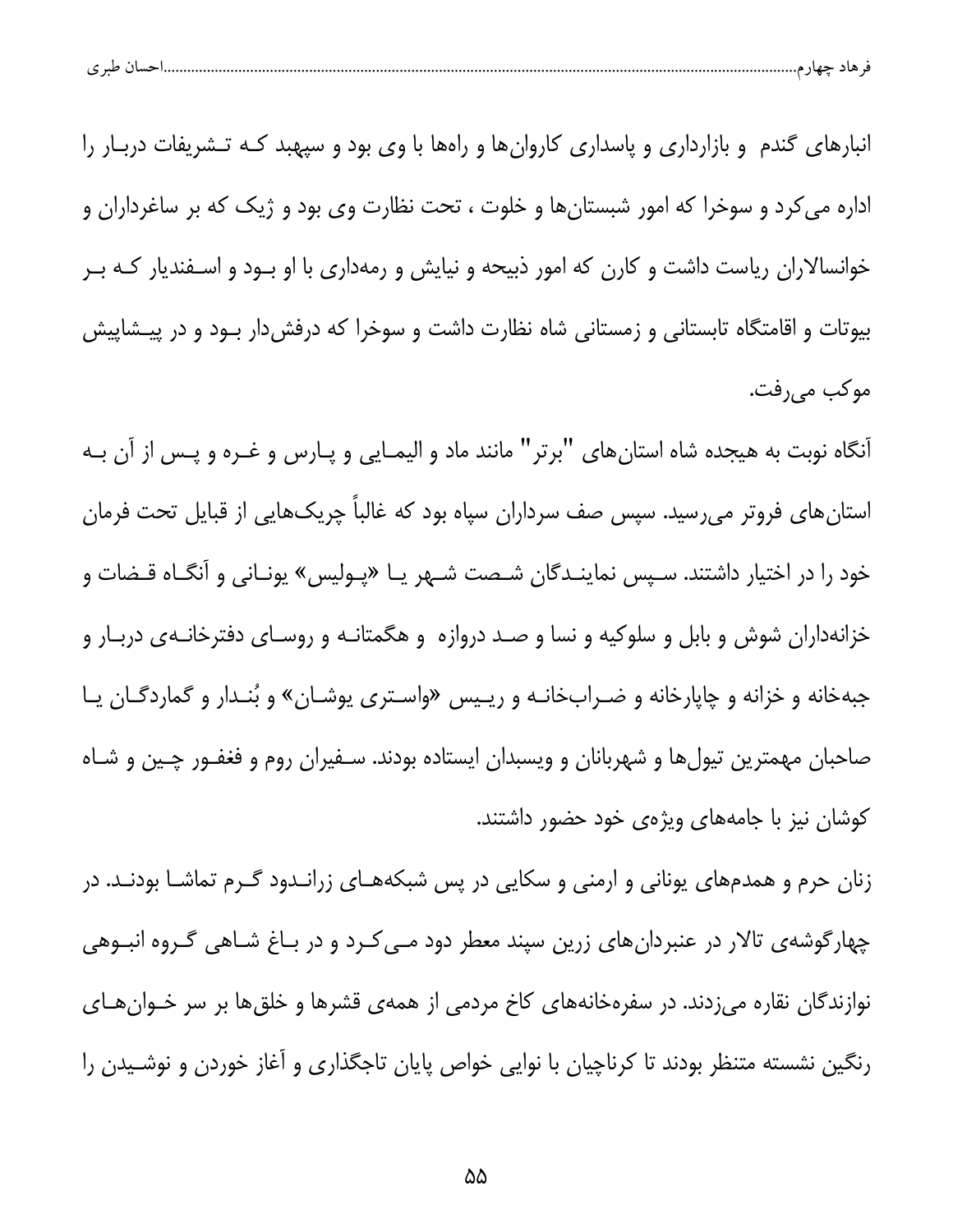| احسال طبر ی<br>قر هاد چهار م |  |  |
|------------------------------|--|--|
|                              |  |  |

انبارهای گندم و بازارداری و پاسداری کاروانها و راهها با وی بود و سپهبد کـه تـشریفات دربـار را اداره می کرد و سوخرا که امور شبستانها و خلوت ، تحت نظارت وی بود و ژیک که بر ساغرداران و خوانسالاران ریاست داشت و کارن که امور ذبیحه و نیایش و رمهداری با او بـود و اسـفندیار کـه بـر بیوتات و اقامتگاه تابستانی و زمستانی شاه نظارت داشت و سوخرا که درفشدار بود و در پیشاییش موكب مىرفت.

آنگاه نوبت به هیجده شاه استانهای "برتر" مانند ماد و الیمـایی و پـارس و غـره و پـس از آن بـه استان های فروتر میرسید. سپس صف سرداران سپاه بود که غالباً چریکهایی از قبایل تحت فرمان خود را در اختیار داشتند. سـپس نماینـدگان شـصت شـهر یـا «پـولیس» یونـانی و آنگـاه قـضات و خزانهداران شوش و بابل و سلوکیه و نسا و صـد دروازه و هگمتانـه و روسـای دفترخانـهی دربـار و جبهخانه و خزانه و چاپارخانه و ضـرابخانـه و ریـیس «واسـتری یوشـان» و بُنـدار و گماردگـان یـا صاحبان مهمترین تیولها و شهربانان و ویسبدان ایستاده بودند. سـفیران روم و فغفـور چـین و شـاه کوشان نیز با جامههای ویژهی خود حضور داشتند.

زنان حرم و همدمهای یونانی و ارمنی و سکایی در پس شبکههـای زرانـدود گـرم تماشـا بودنـد. در چهارگوشهی تالار در عنبردانهای زرین سپند معطر دود مے کرد و در باغ شـاهی گـروه انبـوهی نوازندگان نقاره میزدند. در سفرهخانههای کاخ مردمی از همهی قشرها و خلقها بر سر خـوانهـای رنگین نشسته متنظر بودند تا کرناچیان با نوایی خواص پایان تاجگذاری و آغاز خوردن و نوشـیدن را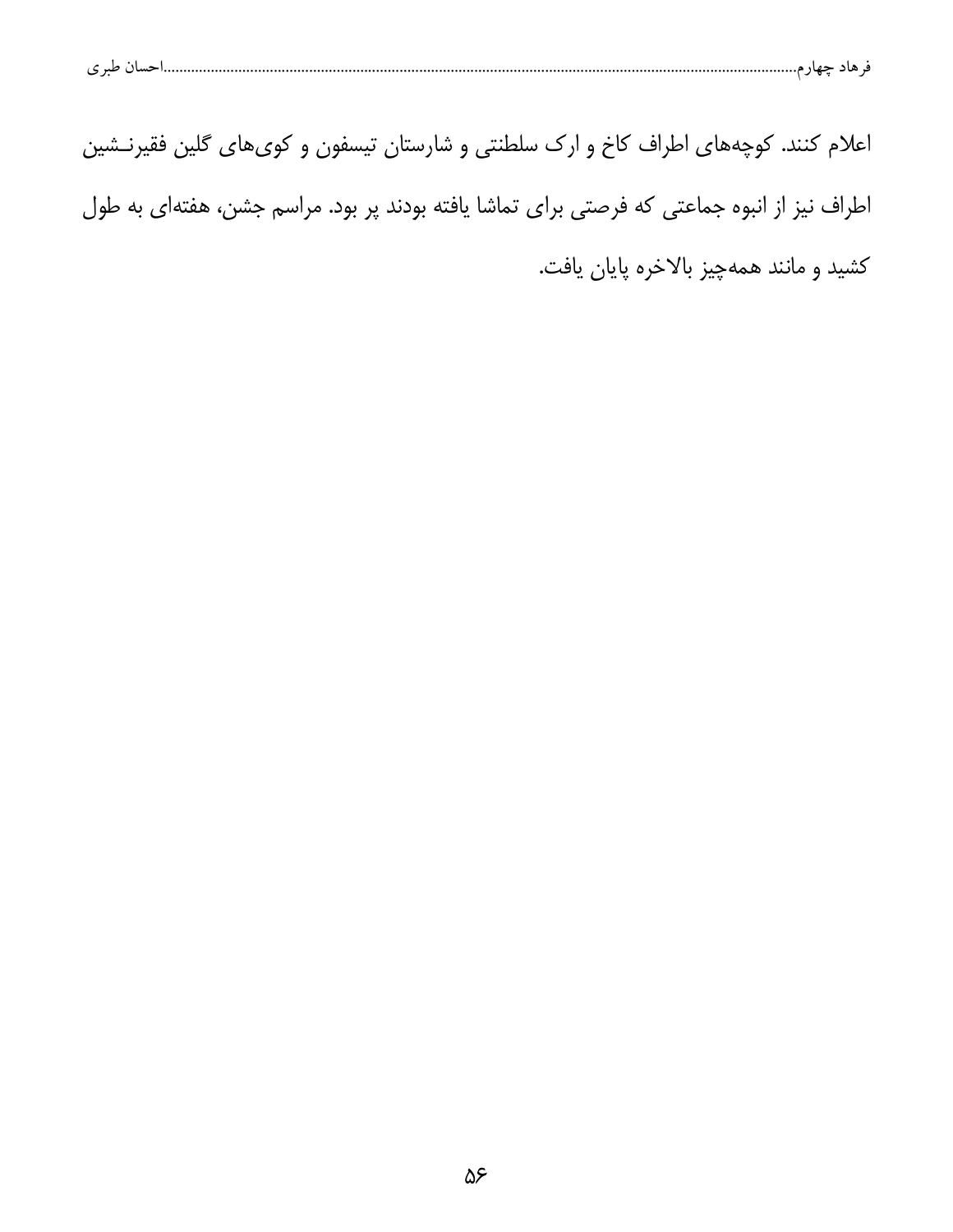|--|--|--|

| اعلام کنند. کوچههای اطراف کاخ و ارک سلطنتی و شارستان تیسفون و کویهای گلین فقیرنـشین        |                                         |
|--------------------------------------------------------------------------------------------|-----------------------------------------|
| اطراف نیز از انبوه جماعتی که فرصتی برای تماشا یافته بودند پر بود. مراسم جشن، هفتهای به طول |                                         |
|                                                                                            | كشيد و مانند همهچيز بالاخره پايان يافت. |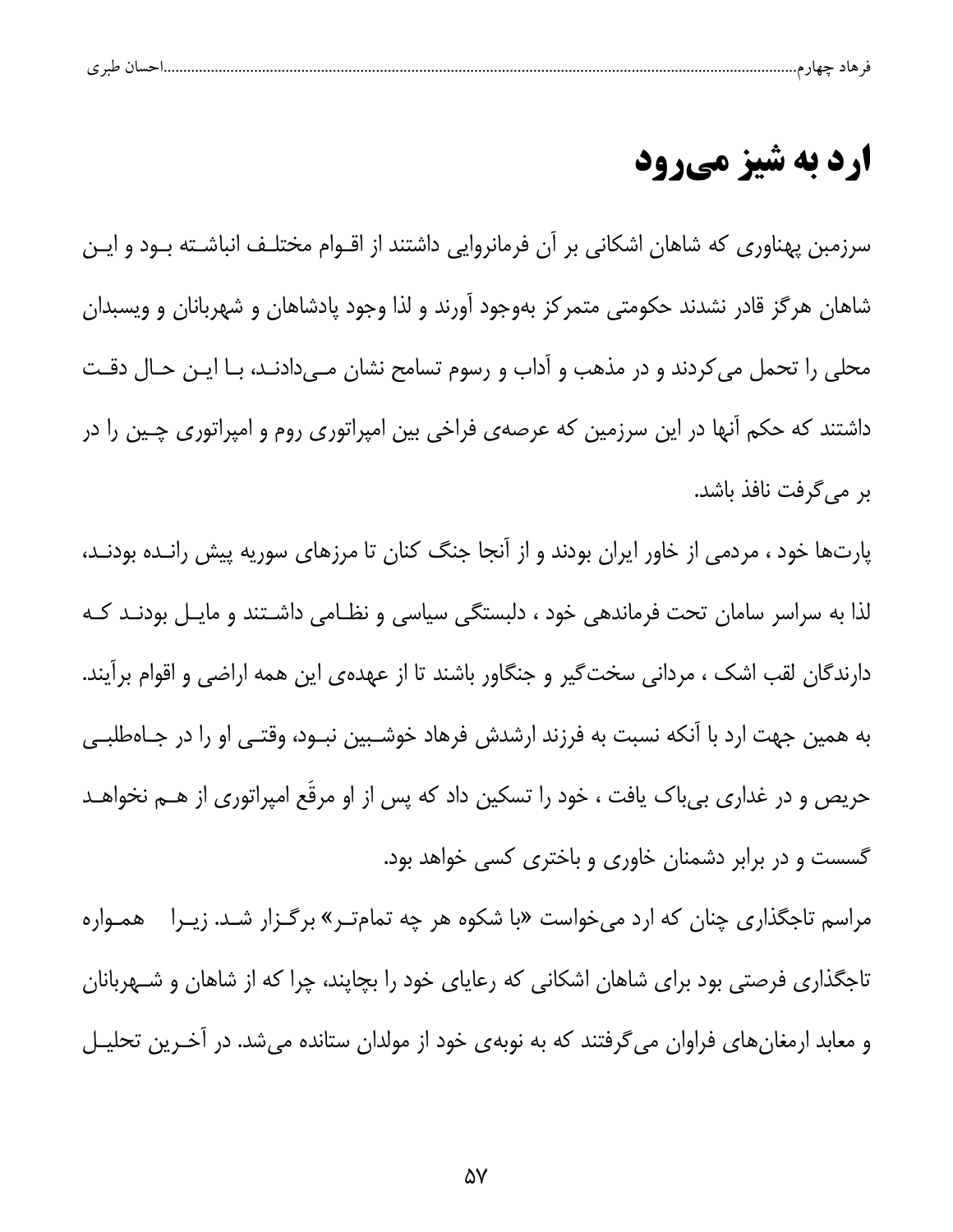| $\overline{\phantom{a}}$ |  |  |  |
|--------------------------|--|--|--|
|                          |  |  |  |

## **ارد به شیز میرود**

سرزمبن پهناوری که شاهان اشکانی بر آن فرمانروایی داشتند از اقــوام مختلــف انباشــته بــود و ایــن شاهان هرگز قادر نشدند حکومتی متمرکز بهوجود آورند و لذا وجود پادشاهان و شهربانان و ویسبدان محلی را تحمل می کردند و در مذهب و آداب و رسوم تسامح نشان مـیدادنـد، بـا ایـن حـال دقـت داشتند که حکم آنها در این سرزمین که عرصهی فراخی بین امپراتوری روم و امپراتوری چـین را در بر مے گرفت نافذ باشد.

پارتها خود ، مردمی از خاور ایران بودند و از آنجا جنگ کنان تا مرزهای سوریه پیش رانـده بودنـد، لذا به سراسر سامان تحت فرماندهی خود ، دلبستگی سیاسی و نظـامی داشـتند و مایـل بودنـد کـه دارندگان لقب اشک ، مردانی سختگیر و جنگاور باشند تا از عهدهی این همه اراضی و اقوام برآیند. به همین جهت ارد با آنکه نسبت به فرزند ارشدش فرهاد خوشـبین نبــود، وقتــی او را در جــاهطلبــی حریص و در غداری بیباک یافت ، خود را تسکین داد که پس از او مرقّع امپراتوری از هــم نخواهــد گسست و در برابر دشمنان خاوری و باختری کسی خواهد بود.

مراسم تاجگذاری چنان که ارد میخواست «با شکوه هر چه تمامتـر» برگـزار شـد. زيـرا مهمـواره تاجگذاری فرصتی بود برای شاهان اشکانی که رعایای خود را بچاپند، چرا که از شاهان و شـهربانان و معابد ارمغانهای فراوان میگرفتند که به نوبهی خود از مولدان ستانده میشد. در آخـرین تحلیـل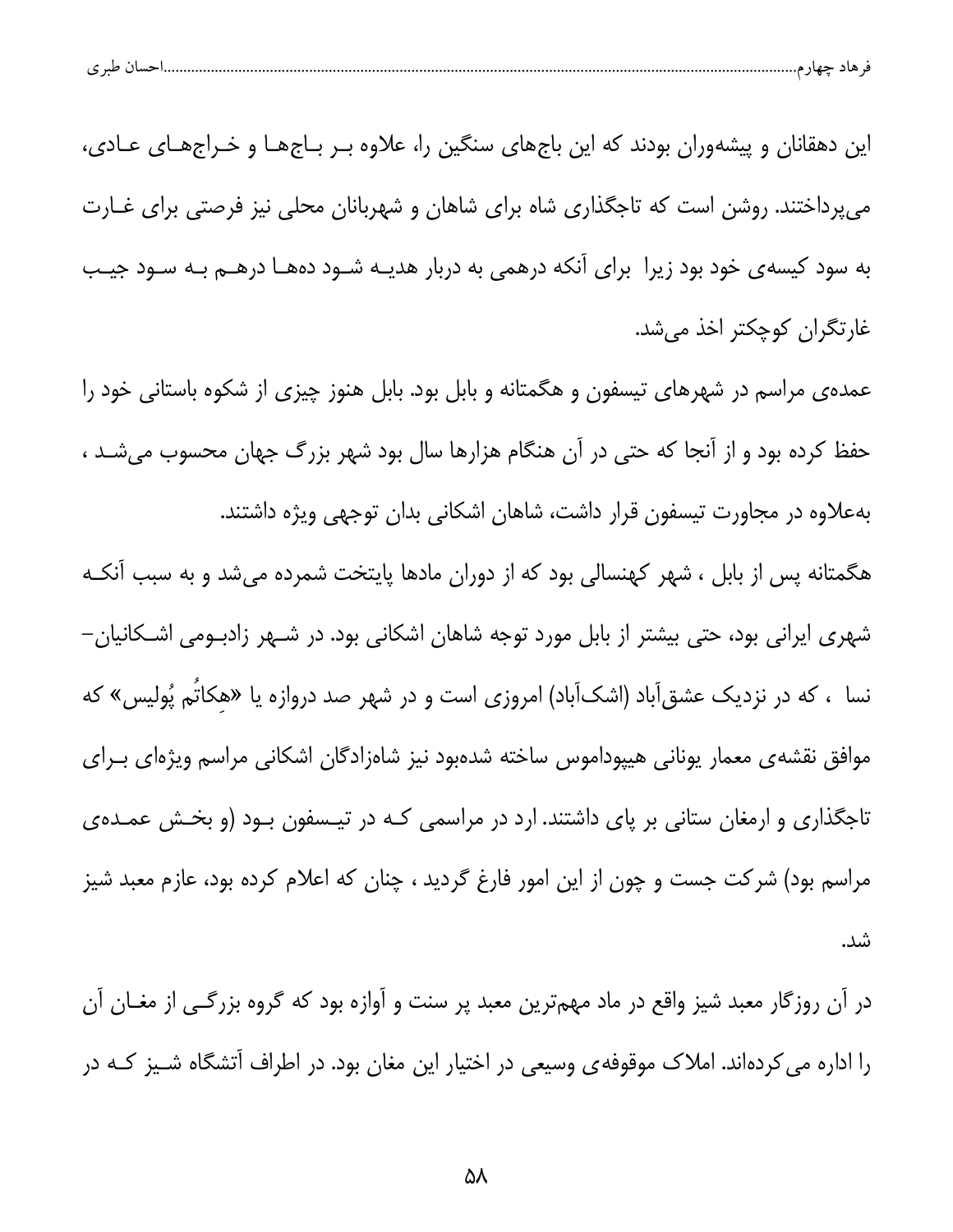|  | $\sim$<br>نسب<br>້ |  |  |  |  |
|--|--------------------|--|--|--|--|
|--|--------------------|--|--|--|--|

این دهقانان و پیشهوران بودند که این باجهای سنگین را، علاوه بـر بـاجهـا و خـراجهـای عـادی، می پرداختند. روشن است که تاجگذاری شاه برای شاهان و شهربانان محلی نیز فرصتی برای غــارت به سود کیسهی خود بود زیرا برای آنکه درهمی به دربار هدیـه شـود دههـا درهــم بـه سـود جیـب غارتگران کوچکتر اخذ میشد.

عمده ی مراسم در شهرهای تیسفون و هگمتانه و بابل بود. بابل هنوز چیزی از شکوه باستانی خود را حفظ کرده بود و از آنجا که حتی در آن هنگام هزارها سال بود شهر بزرگ جهان محسوب میشـد ، بهعلاوه در مجاورت تیسفون قرار داشت، شاهان اشکانی بدان توجهی ویژه داشتند.

هگمتانه پس از بابل ، شهر کهنسالی بود که از دوران مادها پایتخت شمرده میشد و به سبب آنکـه شهری ایرانی بود، حتی بیشتر از بابل مورد توجه شاهان اشکانی بود. در شــهر زادبــومی اشــکانیان– نسا ، که در نزدیک عشق[باد (اشک[باد) امروزی است و در شهر صد دروازه یا «هکاتُم پُولیس» که موافق نقشهى معمار يوناني هيپوداموس ساخته شدهبود نيز شاهزادگان اشكاني مراسم ويژهاى بـراى تاجگذاری و ارمغان ستانی بر پای داشتند. ارد در مراسمی کـه در تیـسفون بـود (و بخـش عمـدهی مراسم بود) شرکت جست و چون از این امور فارغ گردید ، چنان که اعلام کرده بود، عازم معبد شیز شد.

در أن روزگار معبد شیز واقع در ماد مهمترین معبد پر سنت و أوازه بود که گروه بزرگــی از مغــان أن را اداره می کردهاند. املاک موقوفهی وسیعی در اختیار این مغان بود. در اطراف آتشگاه شـیز کـه در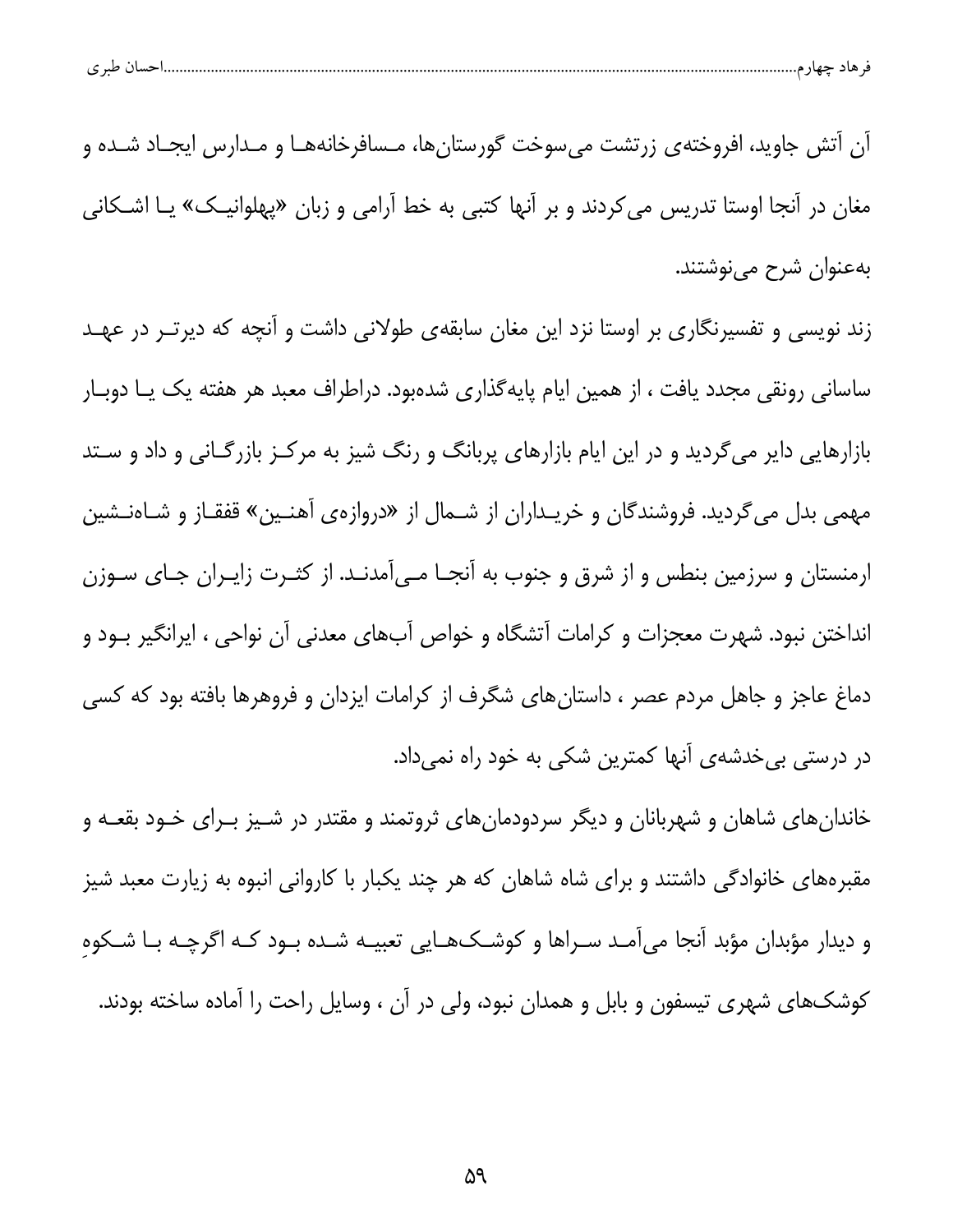| احسال طبر ی |
|-------------|
|-------------|

آن آتش جاوید، افروختهی زرتشت میسوخت گورستانها، مـسافرخانههـا و مـدارس ایجـاد شـده و مغان در آنجا اوستا تدریس می کردند و بر آنها کتبی به خط آرامی و زبان «پهلوانیـک» یـا اشـکانی بەعنوان شرح می نوشتند.

زند نویسی و تفسیرنگاری بر اوستا نزد این مغان سابقهی طولانی داشت و آنچه که دیرتـر در عهـد ساسانی رونقی مجدد یافت ، از همین ایام پایه گذاری شدهبود. دراطراف معبد هر هفته یک یـا دوبـار بازارهایی دایر میگردید و در این ایام بازارهای پربانگ و رنگ شیز به مرکـز بازرگـانی و داد و سـتد مهمی بدل میگردید. فروشندگان و خریـداران از شـمال از «دروازهی آهنـین» قفقـاز و شـاهنـشین ارمنستان و سرزمین بنطس و از شرق و جنوب به آنجـا مـیآمدنـد. از کثـرت زایـران جـای سـوزن انداختن نبود. شهرت معجزات و کرامات آتشگاه و خواص آبهای معدنی آن نواحی ، ایرانگیر بــود و دماغ عاجز و جاهل مردم عصر ، داستانهای شگرف از کرامات ایزدان و فروهرها بافته بود که کسی در درستی بی خدشهی آنها کمترین شکی به خود راه نمیداد.

خاندانهای شاهان و شهربانان و دیگر سردودمانهای ثروتمند و مقتدر در شـیز بـرای خـود بقعـه و مقبرههای خانوادگی داشتند و برای شاه شاهان که هر چند یکبار با کاروانی انبوه به زیارت معبد شیز و دیدار مؤبدان مؤبد آنجا میآمـد سـراها و کوشــک&ــایی تعبیــه شــده بــود کــه اگرچــه بــا شــکوهِ کوشکـهای شهری تیسفون و بابل و همدان نبود، ولی در آن ، وسایل راحت را آماده ساخته بودند.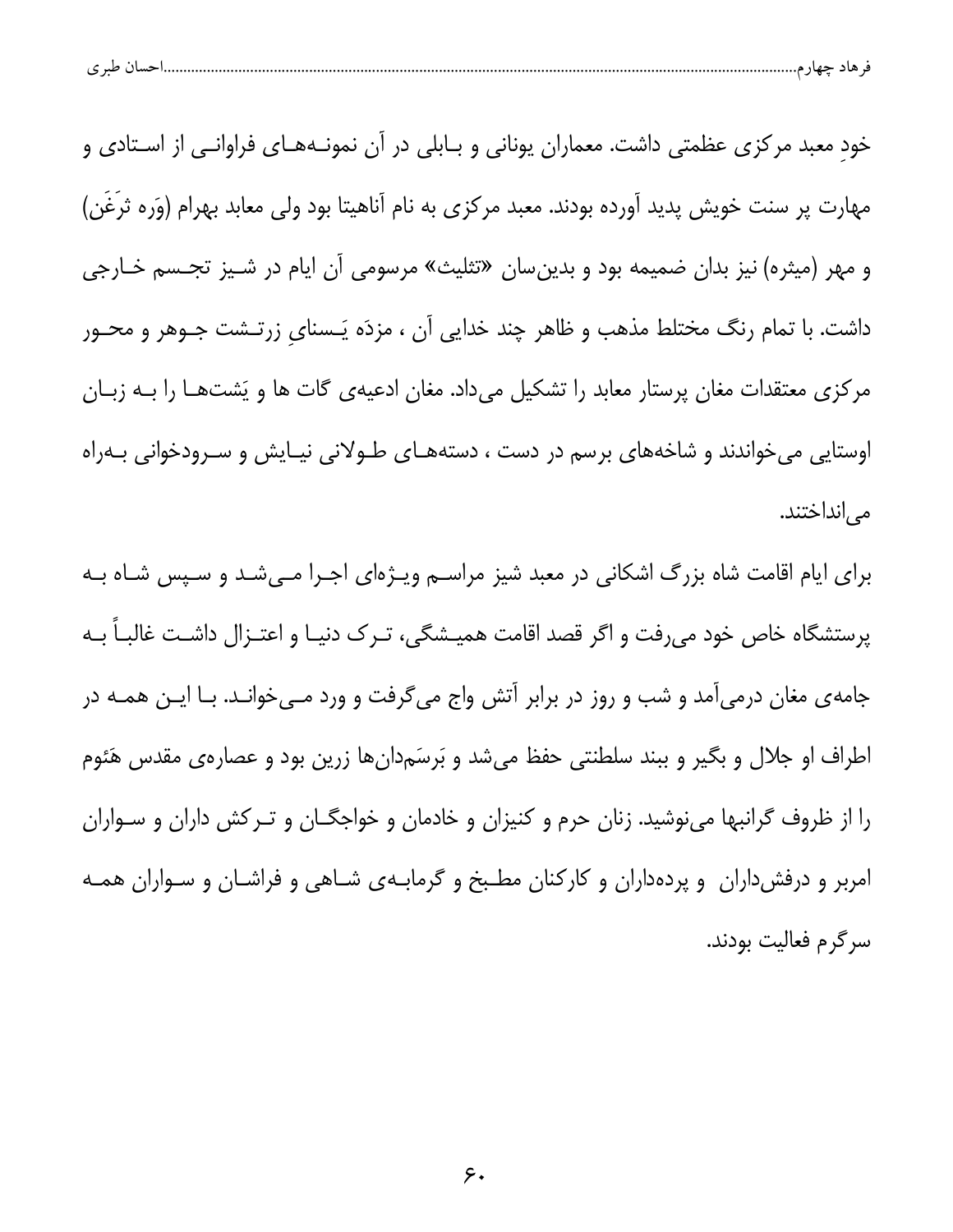|  | طبہ م<br>. . | حساد | $-$ |  |  |
|--|--------------|------|-----|--|--|
|--|--------------|------|-----|--|--|

خود معبد مرکزی عظمتی داشت. معماران یونانی و بـابلی در آن نمونــههــای فراوانــی از اســتادی و مهارت پر سنت خویش پدید آورده بودند. معبد مرکزی به نام آناهیتا بود ولی معابد بهرام (وَره ثرغَن) و مهر (میثره) نیز بدان ضمیمه بود و بدینِسان «تثلیث» مرسومی آن ایام در شـیز تجـسم خـارجی داشت. با تمام رنگ مختلط مذهب و ظاهر چند خدایی آن ، مزدَه یَـسنای زرتـشت جـوهر و محـور مرکزی معتقدات مغان پرستار معابد را تشکیل میداد. مغان ادعیهی گات ها و یَشتهـا را بــه زبــان اوستایی می خواندند و شاخههای برسم در دست ، دستههـای طـولانی نیـایش و سـرودخوانی بـهراه می انداختند.

برای ایام اقامت شاه بزرگ اشکانی در معبد شیز مراسـم ویـژهای اجـرا مـیشـد و سـپس شـاه بـه پرستشگاه خاص خود میرفت و اگر قصد اقامت همیـشگی، تـرک دنیـا و اعتـزال داشـت غالبـاً بـه جامهی مغان درمیآمد و شب و روز در برابر آتش واج میگرفت و ورد مـیخوانـد. بـا ایـن همـه در اطراف او جلال و بگیر و ببند سلطنتی حفظ میشد و بَرسَمدانِها زرین بود و عصارهی مقدس هَئوم را از ظروف گرانبها مینوشید. زنان حرم و کنیزان و خادمان و خواجگـان و تـرکش داران و سـواران امربر و درفش داران و پردهداران و کارکنان مطبخ و گرمابهی شاهی و فراشـان و سـواران همـه سرگرم فعالیت بودند.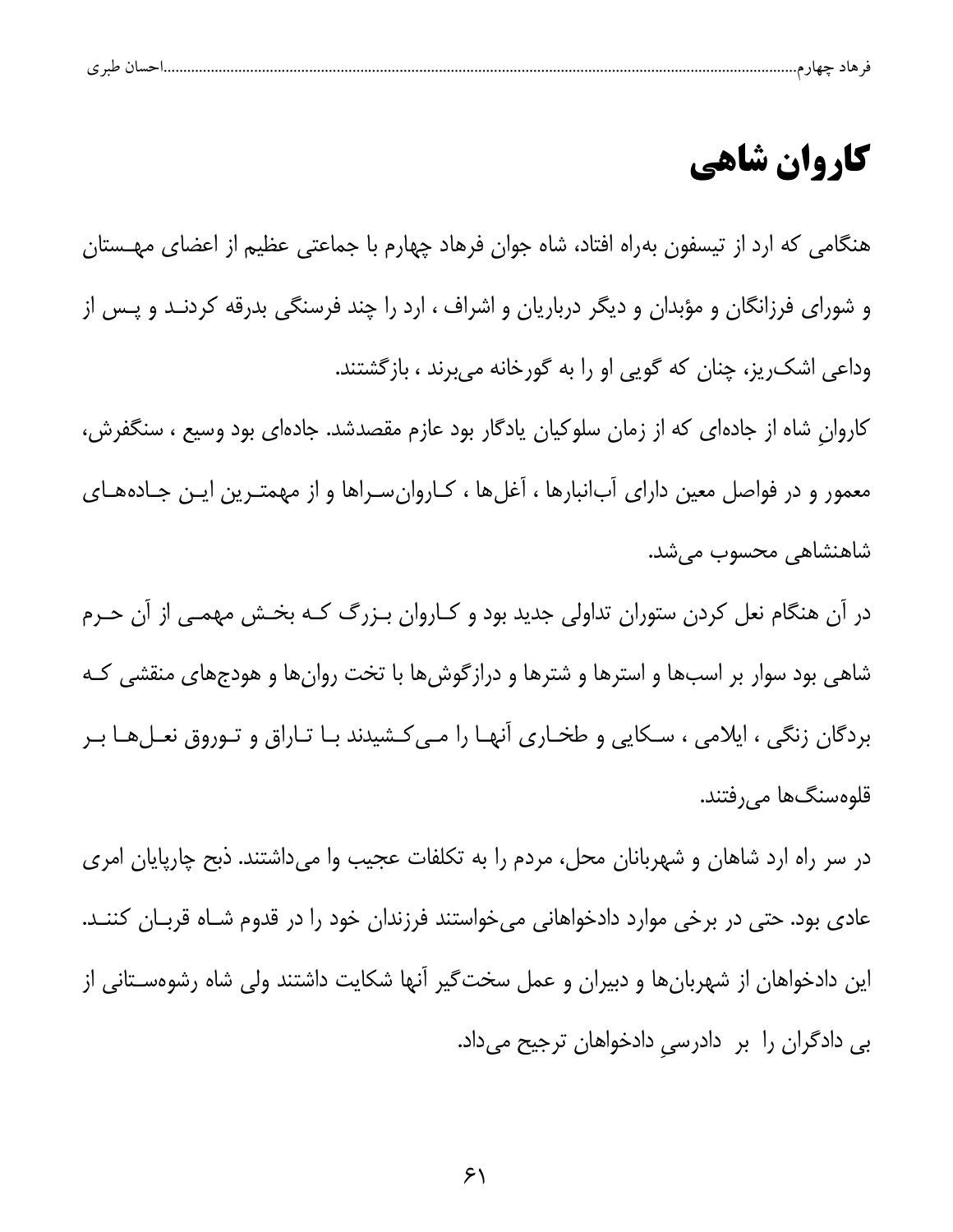| ت | $\sim$ $\sim$ |  |  |  |
|---|---------------|--|--|--|
|   |               |  |  |  |

## كاروان شاهي

هنگامی که ارد از تیسفون بهراه افتاد، شاه جوان فرهاد چهارم با جماعتی عظیم از اعضای مهــستان و شورای فرزانگان و مؤبدان و دیگر درباریان و اشراف ، ارد را چند فرسنگی بدرقه کردنــد و پــس از وداعی اشک ریز، چنان که گویی او را به گورخانه میبرند ، بازگشتند. کاروان شاه از جادهای که از زمان سلوکیان یادگار بود عازم مقصدشد. جادهای بود وسیع ، سنگفرش، معمور و در فواصل معین دارای آبانبارها ، آغلها ، کـاروانسـراها و از مهمتـرین ایـن جـادههـای شاهنشاهی محسوب میشد.

در آن هنگام نعل کردن ستوران تداولی جدید بود و کـاروان بـزرگ کـه بخـش مهمـی از آن حـرم شاهی بود سوار بر اسبها و استرها و شترها و درازگوشها با تخت روانها و هودجهای منقشی کـه بردگان زنگی ، ایلامی ، سکایی و طخـاری آنهـا را مـیکشیدند بـا تـاراق و تـوروق نعـلهـا بـر قلوہسنگھا مے رفتند.

در سر راه ارد شاهان و شهربانان محل، مردم را به تکلفات عجیب وا میداشتند. ذبح چارپایان امری عادی بود. حتی در برخی موارد دادخواهانی میخواستند فرزندان خود را در قدوم شـاه قربـان کننـد. این دادخواهان از شهربانها و دبیران و عمل سخت¢یر آنها شکایت داشتند ولی شاه رشوهسـتانی از بی دادگران را بر دادرسی دادخواهان ترجیح میداد.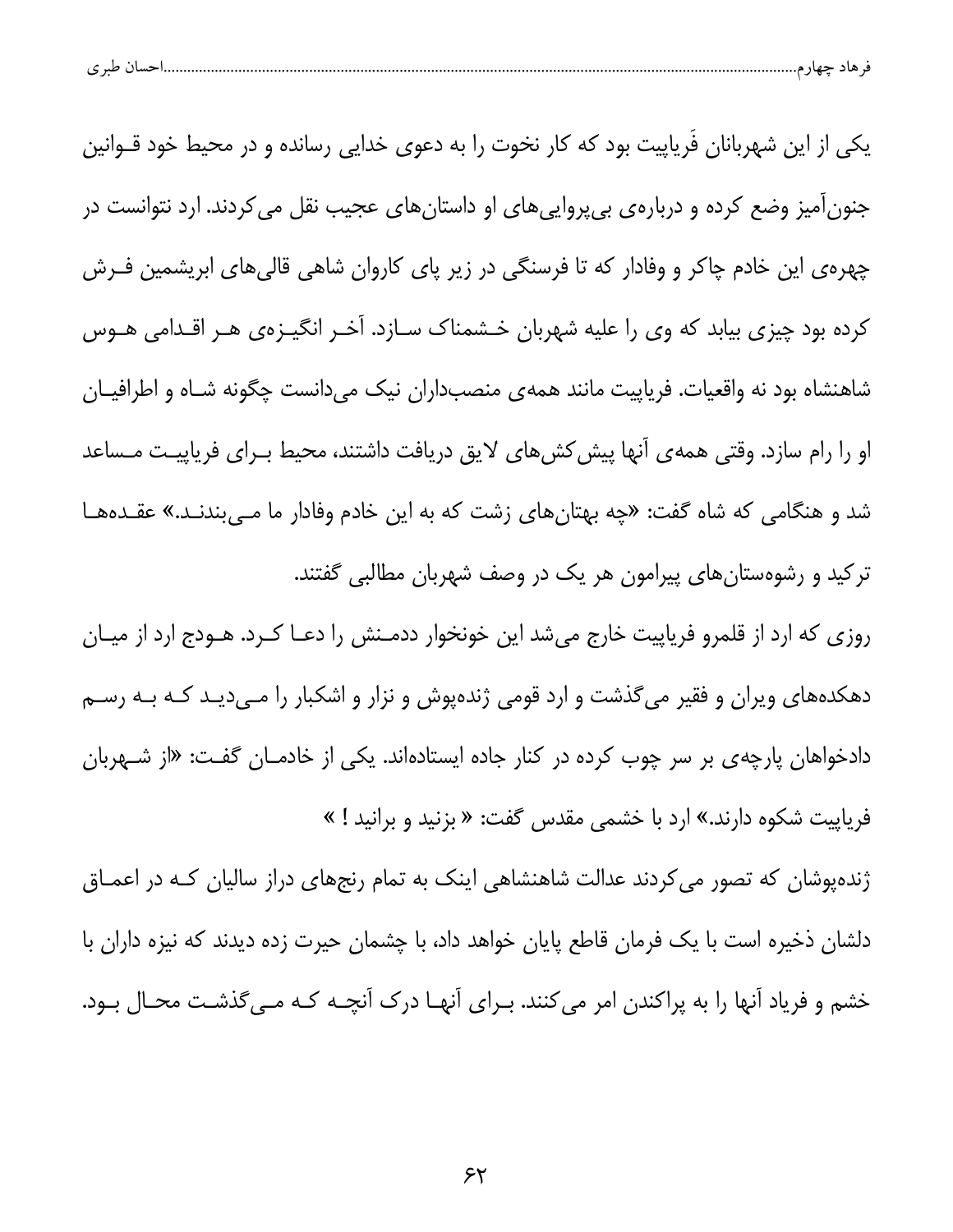| $\sim$ 10<br>້ |  |
|----------------|--|
|----------------|--|

یکی از این شهربانان فَریاپیت بود که کار نخوت را به دعوی خدایی رسانده و در محیط خود قــوانین جنون[میز وضع کرده و دربارهی بی پروایی های او داستان های عجیب نقل می کردند. ارد نتوانست در چهرهی این خادم چاکر و وفادار که تا فرسنگی در زیر پای کاروان شاهی قالیهای ابریشمین فـرش کرده بود چیزی بیابد که وی را علیه شهربان خـشمناک سـازد. آخـر انگیــزهی هــر اقــدامی هــوس شاهنشاه بود نه واقعیات. فریاپیت مانند همهی منصبداران نیک میدانست چگونه شـاه و اطرافیـان او را رام سازد. وقتی همهی آنها پیش کشهای لایق دریافت داشتند، محیط بـرای فریاپیـت مـساعد شد و هنگامی که شاه گفت: «چه بهتانهای زشت که به این خادم وفادار ما مـیبندنـد.» عقـدههـا ترکید و رشوهستانهای پیرامون هر یک در وصف شهربان مطالبی گفتند. روزی که ارد از قلمرو فریاپیت خارج میشد این خونخوار ددمـنش را دعـا کـرد. هـودج ارد از میـان دهکدههای ویران و فقیر میگذشت و ارد قومی ژندهپوش و نزار و اشکبار را مـیدیـد کـه بـه رسـم

دادخواهان پارچهی بر سر چوب کرده در کنار جاده ایستادهاند. یکی از خادمـان گفـت: «از شـهربان فریاپیت شکوه دارند.» ارد با خشمی مقدس گفت: « بزنید و برانید ! »

ژندهپوشان که تصور می کردند عدالت شاهنشاهی اینک به تمام رنجهای دراز سالیان کـه در اعمـاق دلشان ذخیره است با یک فرمان قاطع پایان خواهد داد، با چشمان حیرت زده دیدند که نیزه داران با خشم و فریاد آنها را به پراکندن امر می کنند. بـرای آنهـا درک آنچــه کــه مــی گذشــت محــال بــود.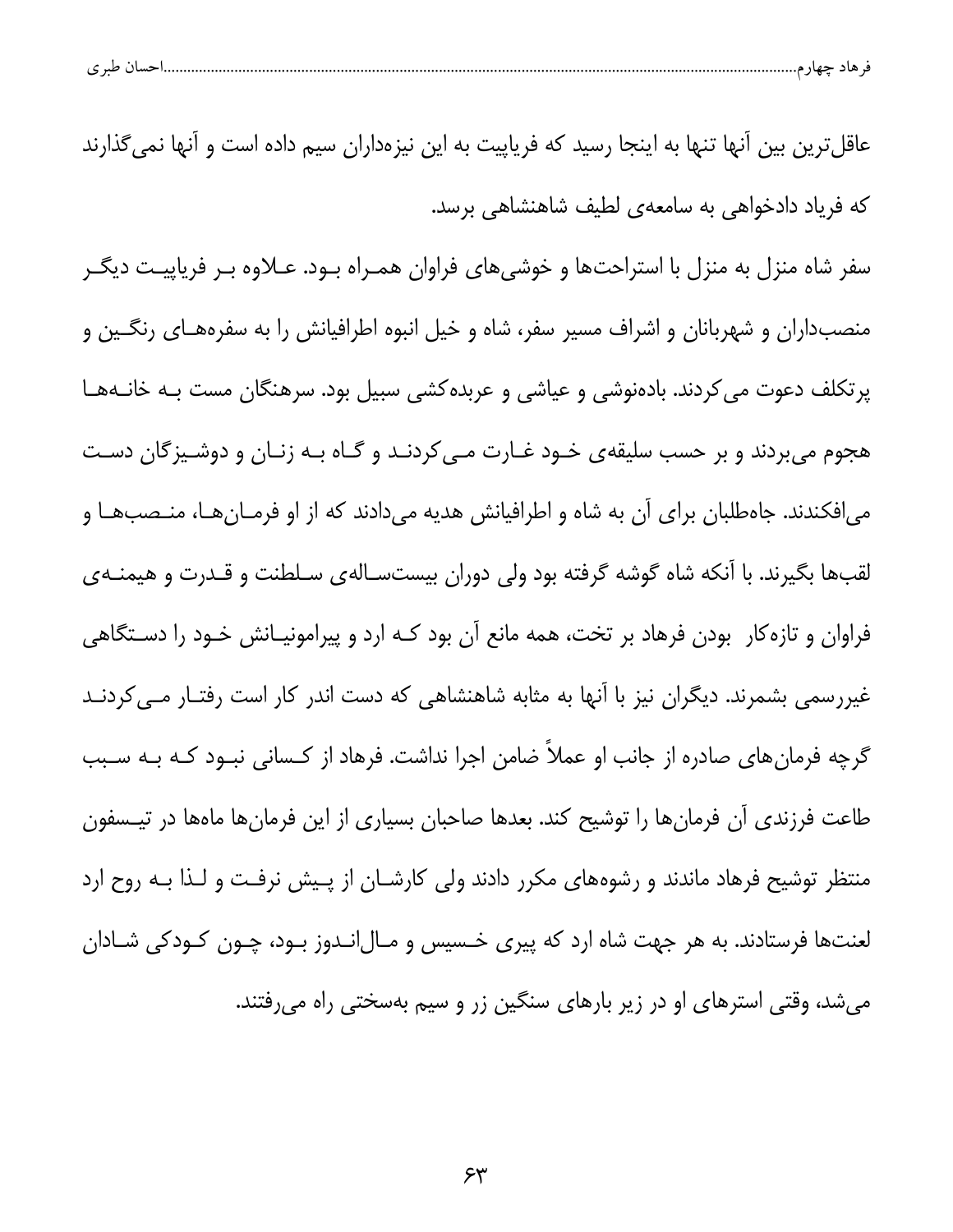| طبر ی | تس ر | هاد حصار<br>┱ |  |
|-------|------|---------------|--|
|       |      |               |  |

عاقلترین بین آنها تنها به اینجا رسید که فریاپیت به این نیزهداران سیم داده است و آنها نمی گذارند که فریاد دادخواهی به سامعهی لطیف شاهنشاهی برسد.

سفر شاه منزل به منزل با استراحتها و خوشیهای فراوان همـراه بـود. عـلاوه بـر فریاپیـت دیگـر منصبداران و شهربانان و اشراف مسیر سفر، شاه و خیل انبوه اطرافیانش را به سفرههـای رنگـین و پرتکلف دعوت می کردند. بادهنوشی و عیاشی و عربده کشی سبیل بود. سرهنگان مست بـه خانـههـا هجوم میبردند و بر حسب سلیقهی خـود غـارت مـی کردنـد و گـاه بـه زنـان و دوشـیزگان دسـت می|فکندند. جاهطلبان برای آن به شاه و اطرافیانش هدیه میدادند که از او فرمـانهـا، منـصبهـا و لقبها بگیرند. با آنکه شاه گوشه گرفته بود ولی دوران بیستسـالهی سـلطنت و قـدرت و هیمنـهی فراوان و تازه کار بودن فرهاد بر تخت، همه مانع آن بود کـه ارد و پیرامونیـانش خـود را دســتگاهی غیررسمی بشمرند. دیگران نیز با آنها به مثابه شاهنشاهی که دست اندر کار است رفتـار مـی کردنـد گرچه فرمانهای صادره از جانب او عملاً ضامن اجرا نداشت. فرهاد از کـسانی نبــود کــه بــه ســبب طاعت فرزندی آن فرمانها را توشیح کند. بعدها صاحبان بسیاری از این فرمانها ماهها در تیـسفون منتظر توشیح فرهاد ماندند و رشوههای مکرر دادند ولی کارشـان از پـیش نرفـت و لـذا بـه روح ارد لعنتها فرستادند. به هر جهت شاه ارد که پیری خـسیس و مـال|نـدوز بـود، چـون کـودکی شـادان می شد، وقتی استرهای او در زیر بارهای سنگین زر و سیم بهسختی راه می رفتند.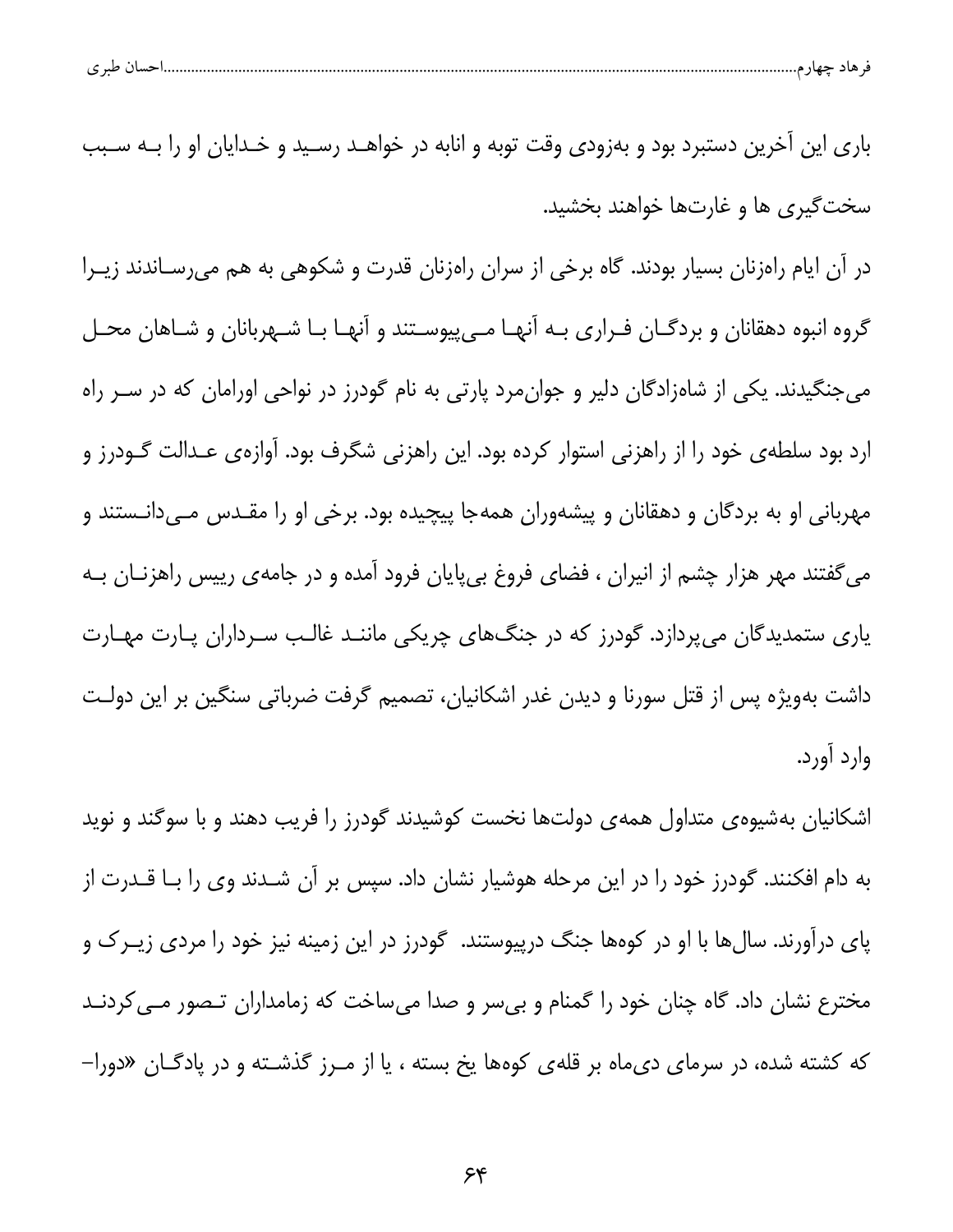| حساں طبر ی<br>هاد حصار<br>᠊ᢐ |  |  |
|------------------------------|--|--|
|------------------------------|--|--|

باری این آخرین دستبرد بود و بهزودی وقت توبه و انابه در خواهـد رسـید و خـدایان او را بـه سـبب سخت گیری ها و غارتها خواهند بخشید.

در آن ایام راهزنان بسیار بودند. گاه برخی از سران راهزنان قدرت و شکوهی به هم میرسـاندند زیـرا گروه انبوه دهقانان و بردگـان فـراري بـه آنهـا مـيپيوسـتند و آنهـا بـا شـهربانان و شـاهان محـل می جنگیدند. یکی از شاهزادگان دلیر و جوان مرد پارتی به نام گودرز در نواحی اورامان که در سـر راه ارد بود سلطهى خود را از راهزنى استوار كرده بود. اين راهزنى شگرف بود. آوازهى عـدالت گــودرز و مهربانی او به بردگان و دهقانان و پیشهوران همهجا پیچیده بود. برخی او را مقـدس مـیدانـستند و می گفتند مهر هزار چشم از انیران ، فضای فروغ بیپایان فرود آمده و در جامهی رییس راهزنــان بــه یاری ستمدیدگان میپردازد. گودرز که در جنگهای چریکی ماننـد غالـب سـرداران پـارت مهـارت داشت بهویژه پس از قتل سورنا و دیدن غدر اشکانیان، تصمیم گرفت ضرباتی سنگین بر این دولت وارد آورد.

اشکانیان بهشیوهی متداول همهی دولتها نخست کوشیدند گودرز را فریب دهند و با سوگند و نوید به دام افکنند. گودرز خود را در این مرحله هوشیار نشان داد. سپس بر آن شـدند وی را بــا قــدرت از پای درآورند. سالها با او در کوهها جنگ درپیوستند. گودرز در این زمینه نیز خود را مردی زیــرک و مخترع نشان داد. گاه چنان خود را گمنام و بی سر و صدا می ساخت که زمامداران تـصور مـی کردنـد که کشته شده، در سرمای دی.ماه بر قلهی کوهها یخ بسته ، یا از مـرز گذشـته و در پادگـان «دورا–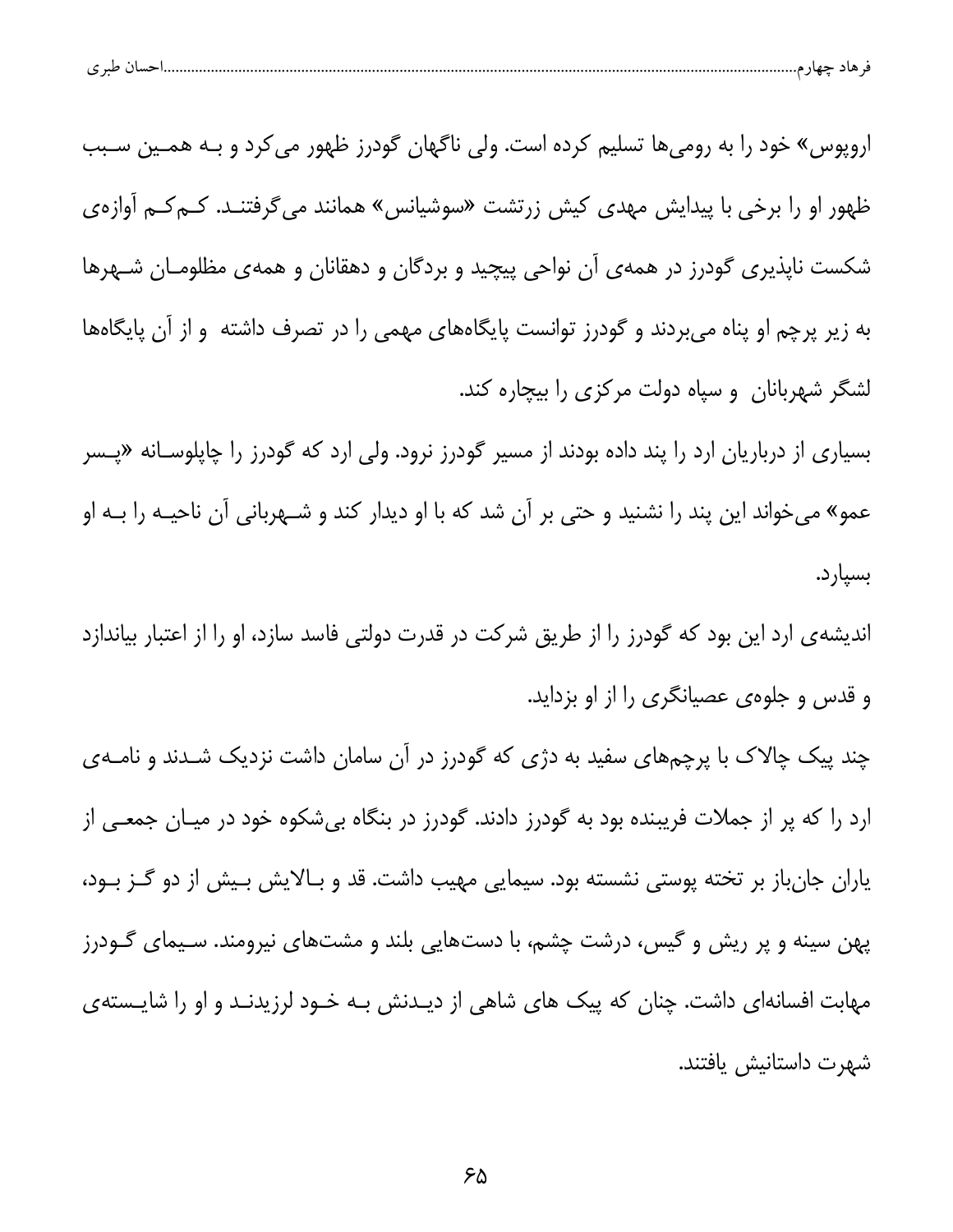| پ | $\sim$ $\sim$ |  |  |  |  |
|---|---------------|--|--|--|--|
|---|---------------|--|--|--|--|

اروپوس» خود را به رومیها تسلیم کرده است. ولی ناگهان گودرز ظهور می کرد و بـه همـین سـبب ظهور او را برخی با پیدایش مهدی کیش زرتشت «سوشیانس» همانند می گرفتنـد. کــم کــم آوازهی شکست ناپذیری گودرز در همهی آن نواحی پیچید و بردگان و دهقانان و همهی مظلومـان شـهرها به زیر پرچم او پناه میبردند و گودرز توانست پایگاههای مهمی را در تصرف داشته و از آن پایگاهها لشگر شهربانان و سپاه دولت مرکزی را بیچاره کند.

بسیاری از درباریان ارد را پند داده بودند از مسیر گودرز نرود. ولی ارد که گودرز را چاپلوسـانه «پـسر عمو» میخواند این پند را نشنید و حتی بر آن شد که با او دیدار کند و شـهربانی آن ناحیـه را بـه او بسیار د.

اندیشه ی ارد این بود که گودرز را از طریق شرکت در قدرت دولتی فاسد سازد، او را از اعتبار بیاندازد و قدس و جلوهي عصيانگري را از او بزدايد.

چند پیک چالاک با پرچمهای سفید به دژی که گودرز در آن سامان داشت نزدیک شـدند و نامــهی ارد را که پر از جملات فریبنده بود به گودرز دادند. گودرز در بنگاه بیشکوه خود در میـان جمعــی از یاران جانباز بر تخته پوستی نشسته بود. سیمایی مهیب داشت. قد و بـالایش بـیش از دو گــز بــود، پهن سینه و پر ریش و گیس، درشت چشم، با دستهایی بلند و مشتهای نیرومند. سـیمای گـودرز مهابت افسانهای داشت. چنان که پیک های شاهی از دیـدنش بـه خـود لرزیدنـد و او را شایـستهی شهرت داستانیش یافتند.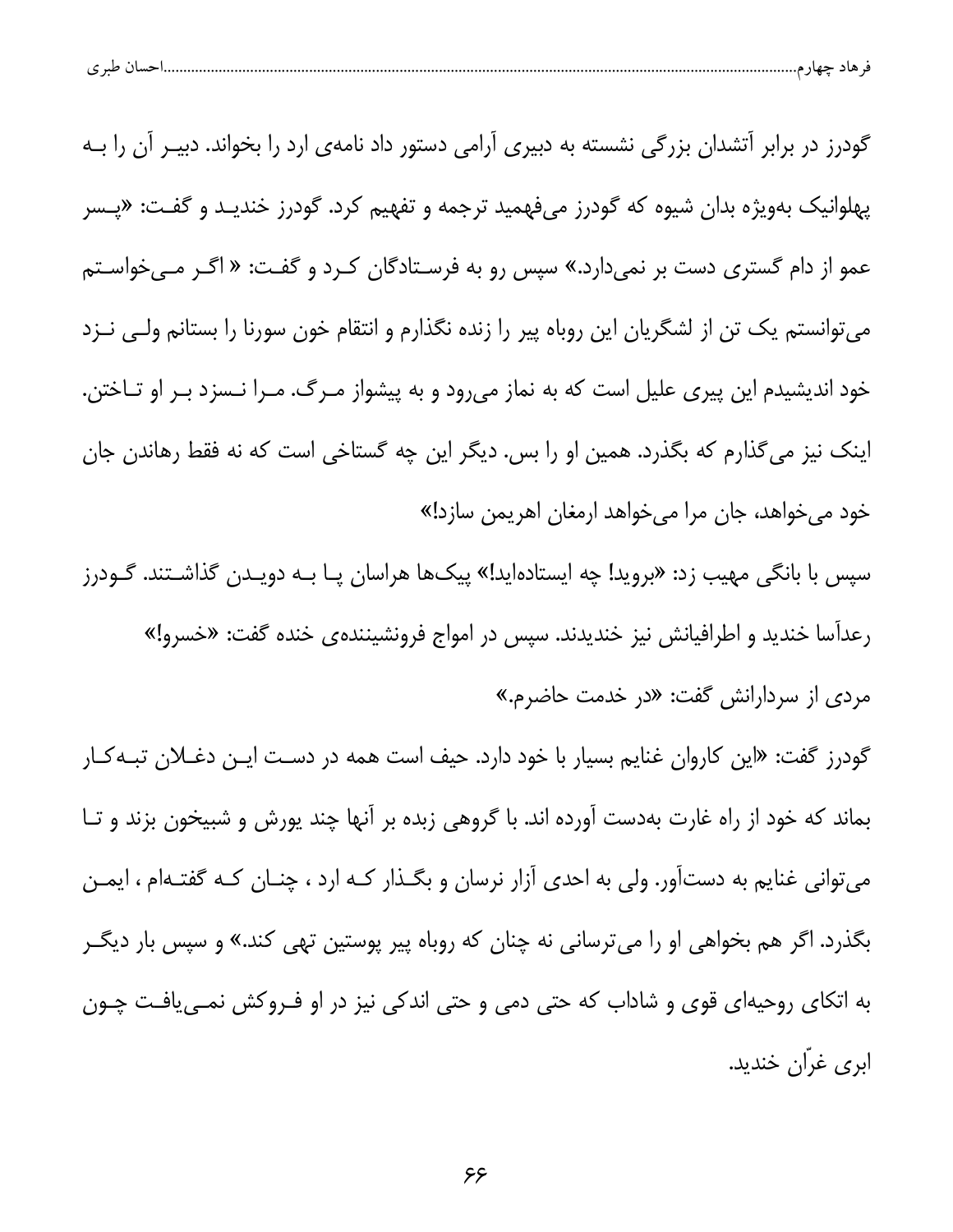| ۔ ساتے حیاز م………………<br>سى<br>77<br>ັ | طبہ م |  |  |  |
|--------------------------------------|-------|--|--|--|
|--------------------------------------|-------|--|--|--|

گودرز در برابر آتشدان بزرگی نشسته به دبیری آرامی دستور داد نامهی ارد را بخواند. دبیـر آن را بـه پهلوانیک بهویژه بدان شیوه که گودرز میفهمید ترجمه و تفهیم کرد. گودرز خندیـد و گفـت: «پـسر عمو از دام گستری دست بر نمیدارد.» سپس رو به فرسـتادگان کـرد و گفـت: « اگـر مــیخواسـتم می توانستم یک تن از لشگریان این روباه پیر را زنده نگذارم و انتقام خون سورنا را بستانم ولـی نــزد خود اندیشیدم این پیری علیل است که به نماز میرود و به پیشواز مـرگ. مـرا نـسزد بـر او تـاختن. اینک نیز می گذارم که بگذرد. همین او را بس. دیگر این چه گستاخی است که نه فقط رهاندن جان خود میخواهد، جان مرا میخواهد ارمغان اهریمن سازد!»

سپس با بانگی مهیب زد: «بروید! چه ایستادهاید!» پیکها هراسان پـا بـه دویـدن گذاشـتند. گـودرز رعداسا خندید و اطرافیانش نیز خندیدند. سپس در امواج فرونشینندهی خنده گفت: «خسرو!» مردی از سردارانش گفت: «در خدمت حاضرم.»

گودرز گفت: «این کاروان غنایم بسیار با خود دارد. حیف است همه در دسـت ایـن دغــلان تبــهکــار بماند که خود از راه غارت بهدست آورده اند. با گروهی زبده بر آنها چند پورش و شبیخون بزند و تـا می توانی غنایم به دستآور. ولی به احدی آزار نرسان و بگـذار کـه ارد ، چنـان کـه گفتـهام ، ایمـن بگذرد. اگر هم بخواهی او را میترسانی نه چنان که روباه پیر پوستین تهی کند.» و سپس بار دیگـر به اتکای روحیهای قوی و شاداب که حتی دمی و حتی اندکی نیز در او فـروکش نمـی یافـت چـون ابري غرّان خنديد.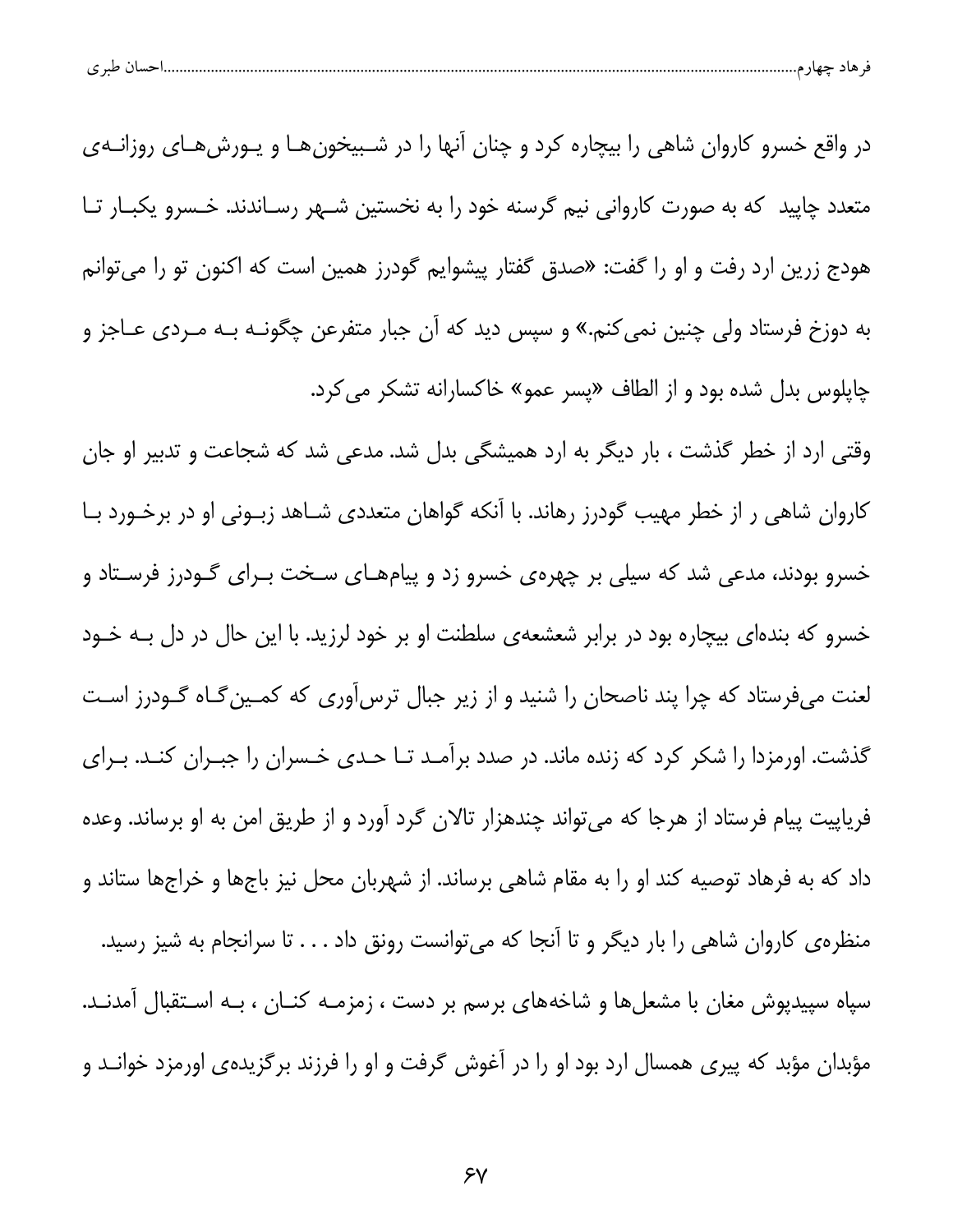| احسال طبر ی |
|-------------|
|-------------|

در واقع خسرو کاروان شاهی را بیچاره کرد و چنان آنها را در شـبیخونهـا و یـورشهـای روزانـهی متعدد چاپید که به صورت کاروانی نیم گرسنه خود را به نخستین شـهر رسـاندند. خـسرو یکبـار تـا هودج زرین ارد رفت و او را گفت: «صدق گفتار پیشوایم گودرز همین است که اکنون تو را می *ت*وانم به دوزخ فرستاد ولی چنین نمی کنم.» و سپس دید که آن جبار متفرعن چگونـه بـه مـرد*ی* عــاجز و چاپلوس بدل شده بود و از الطاف «پسر عمو» خاکسارانه تشکر می کرد.

وقتی ارد از خطر گذشت ، بار دیگر به ارد همیشگی بدل شد. مدعی شد که شجاعت و تدبیر او جان کاروان شاهی ر از خطر مهیب گودرز رهاند. با آنکه گواهان متعددی شـاهد زبـونی او در برخـورد بـا خسرو بودند، مدعی شد که سیلی بر چهرهی خسرو زد و پیامهـای سـخت بـرای گـودرز فرسـتاد و خسرو که بندهای بیچاره بود در برابر شعشعهی سلطنت او بر خود لرزید. با این حال در دل بـه خـود لعنت میفرستاد که چرا پند ناصحان را شنید و از زیر جبال ترس[وری که کمـینِ گـاه گـودرز اسـت گذشت. اورمزدا را شکر کرد که زنده ماند. در صدد برآمـد تـا حـدی خـسران را جبـران کنـد. بـرای فریاپیت پیام فرستاد از هرجا که میتواند چندهزار تالان گرد آورد و از طریق امن به او برساند. وعده داد که به فرهاد توصیه کند او را به مقام شاهی برساند. از شهربان محل نیز باجها و خراجها ستاند و منظرهی کاروان شاهی را بار دیگر و تا آنجا که میتوانست رونق داد . . . تا سرانجام به شیز رسید. سپاه سپیدپوش مغان با مشعلها و شاخههای برسم بر دست ، زمزمــه کنــان ، بــه اســتقبال آمدنــد. مؤبدان مؤبد که پیری همسال ارد بود او را در آغوش گرفت و او را فرزند برگزیدهی اورمزد خوانـد و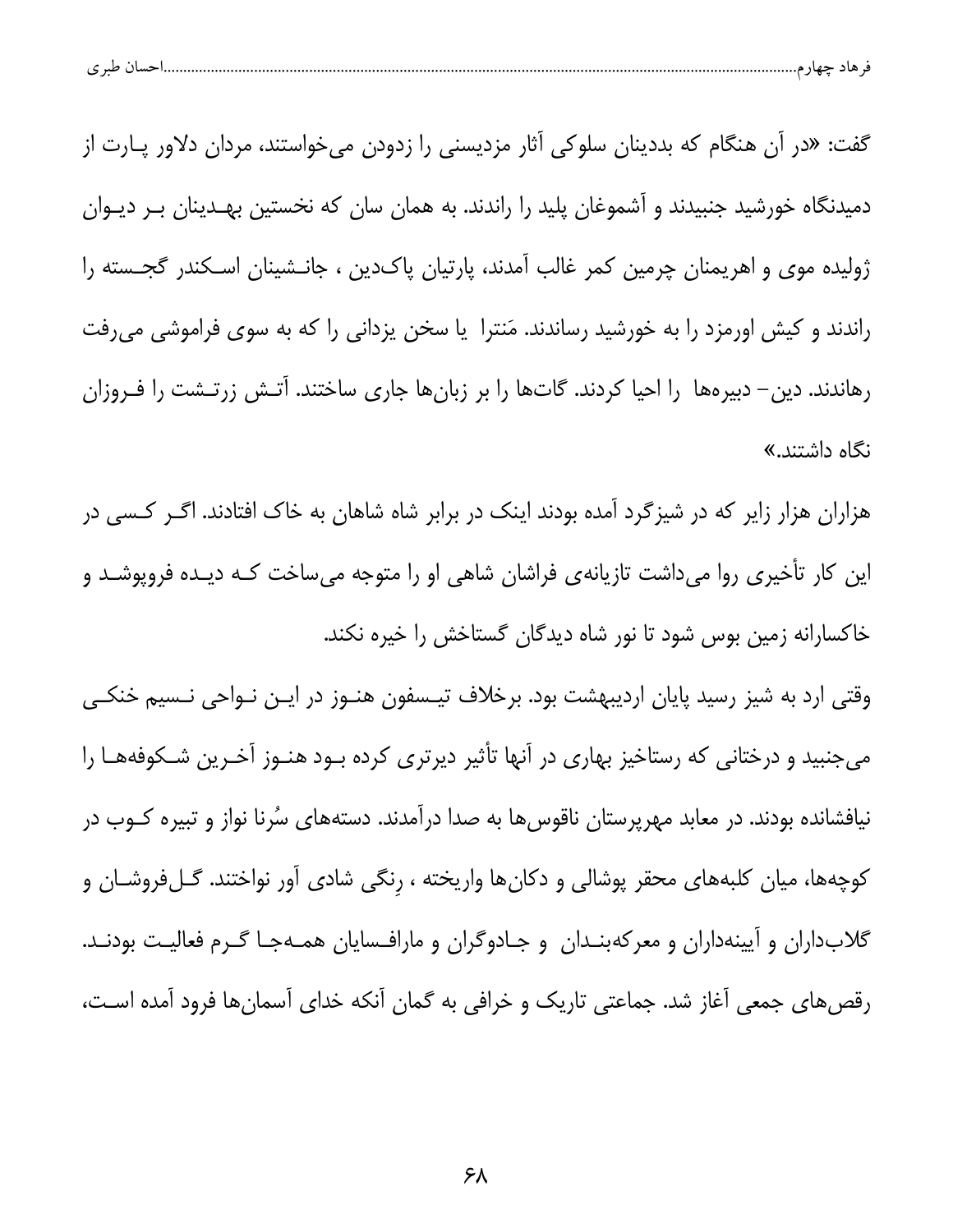| احسال طبر ی<br>قر هاد چهار م |  |  |
|------------------------------|--|--|
|                              |  |  |

گفت: «در آن هنگام که بددینان سلوکی آثار مزدیسنی را زدودن می خواستند، مردان دلاور پـارت از دمیدنگاه خورشید جنبیدند و آشموغان پلید را راندند. به همان سان که نخستین بهـدینان بـر دیـوان ژولیده موی و اهریمنان چرمین کمر غالب آمدند، پارتیان پاکدین ، جانـشینان اسـکندر گجــسته را راندند و کیش اورمزد را به خورشید رساندند. مَنترا یا سخن یزدانی را که به سوی فراموشی می رفت رهاندند. دین– دبیرهها ً را احیا کردند. گاتها را بر زبانها جاری ساختند. آتـش زرتـشت را فـروزان نگاه داشتن*د*.»

هزاران هزار زایر که در شیزگرد آمده بودند اینک در برابر شاه شاهان به خاک افتادند. اگـر کـسی در این کار تأخیری روا میداشت تازیانهی فراشان شاهی او را متوجه میساخت کـه دیـده فروپوشـد و خاکسارانه زمین بوس شود تا نور شاه دیدگان گستاخش را خیره نکند.

وقتی ارد به شیز رسید پایان اردیبهشت بود. برخلاف تیـسفون هنـوز در ایـن نـواحی نـسیم خنکـی میجنبید و درختانی که رستاخیز بهاری در آنها تأثیر دیرتری کرده بود هنـوز آخـرین شـکوفههـا را نیافشانده بودند. در معابد مهرپرستان ناقوس ها به صدا درآمدند. دستههای سُرنا نواز و تبیره کــوب در کوچهها، میان کلبههای محقر پوشالی و دکانها واریخته ، رنگی شادی آور نواختند. گـلفروشـان و گلابداران و آیینهداران و معرکهبنـدان و جـادوگران و مارافـسایان همـهجـا گـرم فعالیـت بودنـد. رقصهای جمعی آغاز شد. جماعتی تاریک و خرافی به گمان آنکه خدای آسمانها فرود آمده است،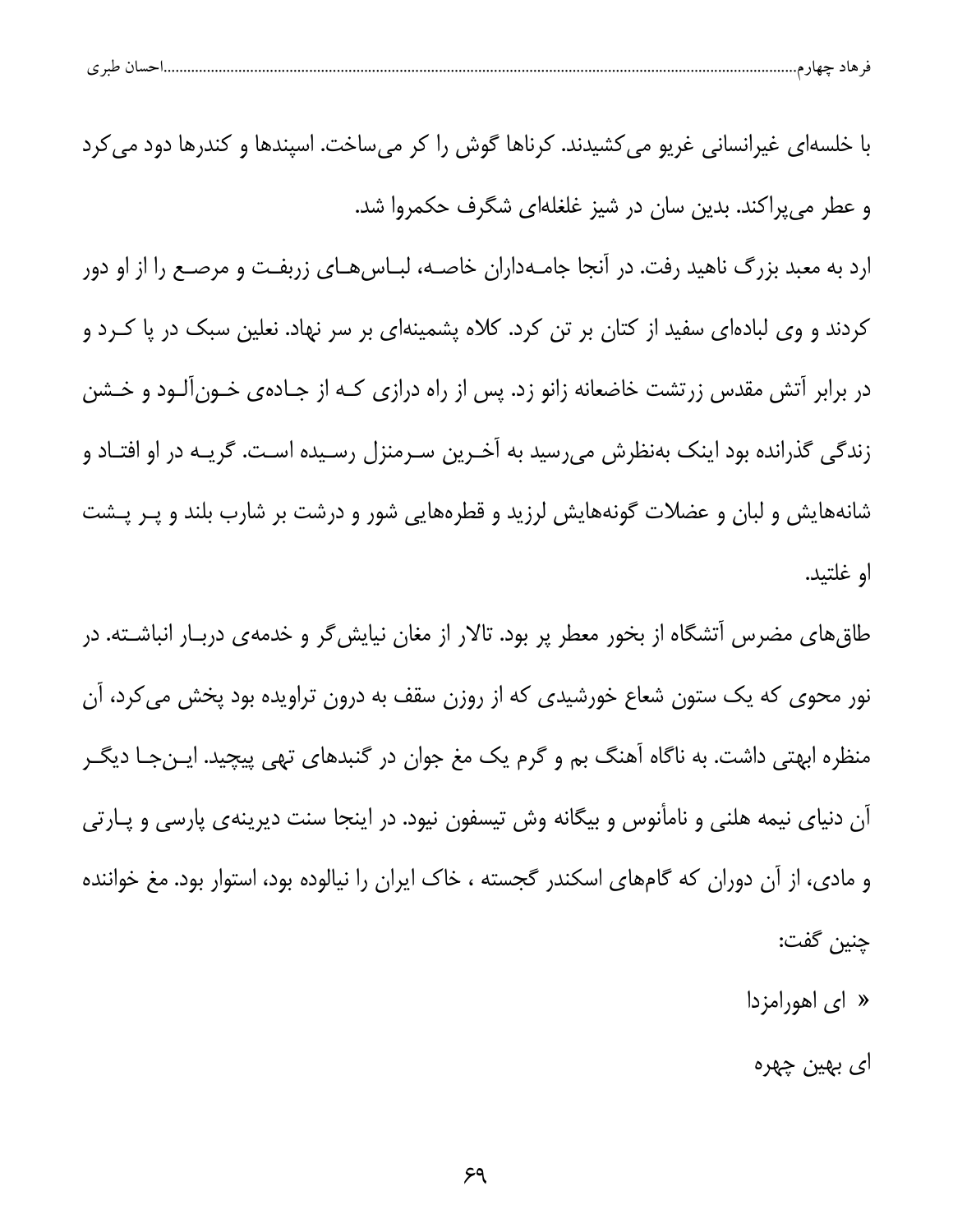| ن طبہ م<br>ັ | حساد | ۔ ماد جهاز م | $\mathbf{H}$ |  |
|--------------|------|--------------|--------------|--|
|              |      |              |              |  |

| با خلسهای غیرانسانی غریو می کشیدند. کرناها گوش را کر میساخت. اسپندها و کندرها دود می کرد |  |  |
|------------------------------------------------------------------------------------------|--|--|

و عطر می پراکند. بدین سان در شیز غلغلهای شگرف حکمروا شد.

ارد به معبد بزرگ ناهید رفت. در آنجا جامـهداران خاصـه، لبـاس۱هـای زربفـت و مرصـع را از او دور کردند و وی لبادهای سفید از کتان بر تن کرد. کلاه پشمینهای بر سر نهاد. نعلین سبک در پا کـرد و در برابر آتش مقدس زرتشت خاضعانه زانو زد. پس از راه درازی کـه از جـادهی خـونآلـود و خـشن زندگی گذرانده بود اینک بهنظرش میرسید به آخـرین سـرمنزل رسـیده اسـت. گریــه در او افتــاد و شانههایش و لبان و عضلات گونههایش لرزید و قطرههایی شور و درشت بر شارب بلند و پـر پـشت او غلتىد.

طاق های مضرس آتشگاه از بخور معطر پر بود. تالار از مغان نیایش گر و خدمهی دربـار انباشـته. در نور محوی که یک ستون شعاع خورشیدی که از روزن سقف به درون تراویده بود پخش می کرد، آن منظره ابهتی داشت. به ناگاه آهنگ بم و گرم یک مغ جوان در گنبدهای تهی پیچید. ایـنجـا دیگـر آن دنیای نیمه هلنی و نامأنوس و بیگانه وش تیسفون نیود. در اینجا سنت دیرینهی پارسی و پـارتی و مادی، از آن دوران که گامهای اسکندر گجسته ، خاک ایران را نیالوده بود، استوار بود. مغ خواننده چنين گفت:

 $\ket{a}$  ای اهورامزدا

ا*ی* بھين چھره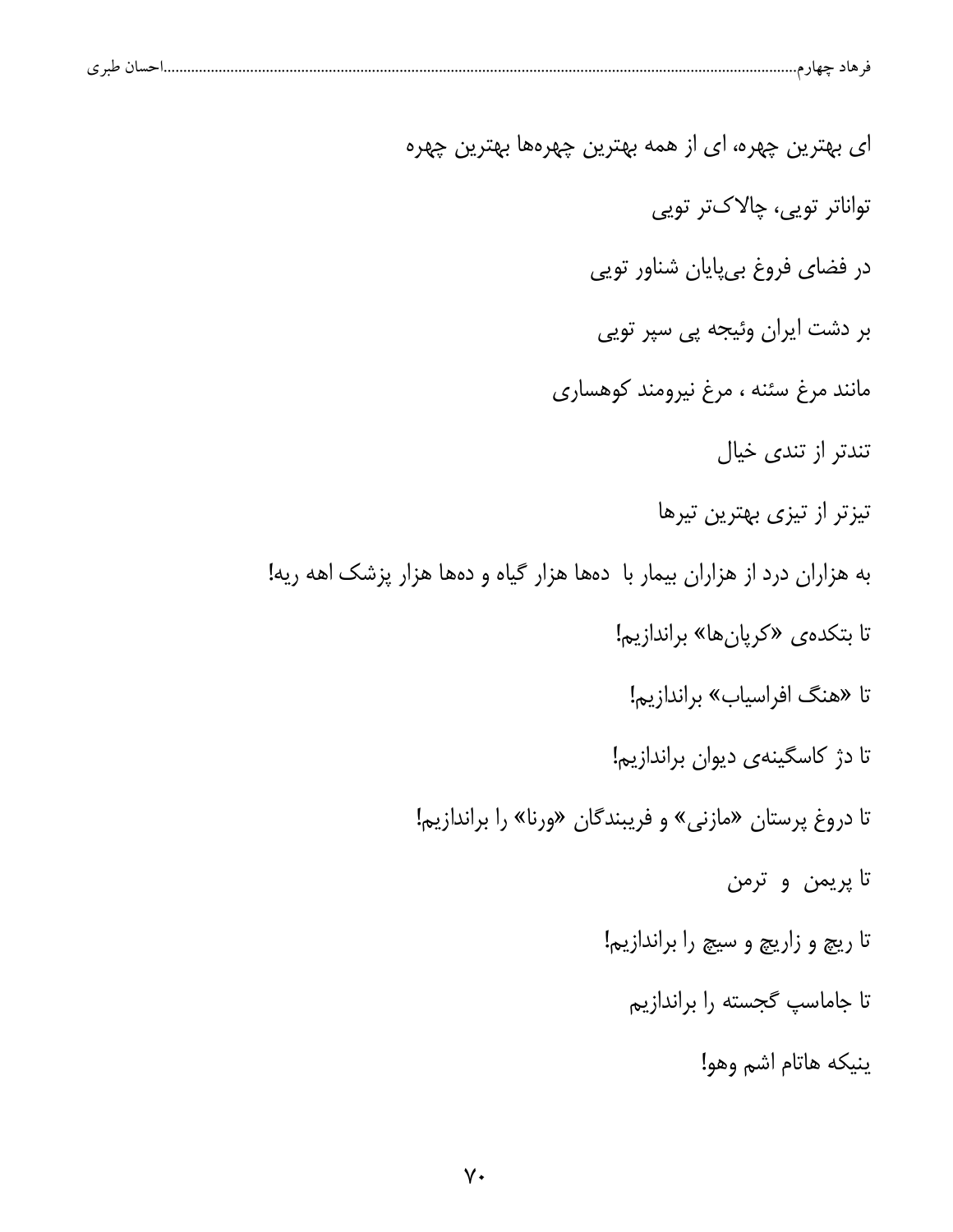| حسال طبر ی |  |  |
|------------|--|--|
|            |  |  |

ای بهترین چهره، ای از همه بهترین چهرهها بهترین چهره تواناتر تويى، چالاکتر تويى در فضای فروغ بیپایان شناور توپی بر دشت ایران وئیجه پی سپر تویی مانند مرغ سئنه ، مرغ نيرومند كوهسارى تندتر از تندی خیال تیزتر از تیزی بهترین تیرها به هزاران درد از هزاران بیمار با دهها هزار گیاه و دهها هزار پزشک اهه ریه! تا بتكدهى «كريان ها» براندازيم! تا «هنگ افراسیاب» براندازیم! تا دژ کاسگینهی دیوان براندازیم! تا دروغ پرستان «مازنی» و فریبندگان «ورنا» را براندازیم! تا پريمن و ترمن تا ريچ و زاريچ و سيچ را براندازيم! تا جاماسپ گجسته را براندازیم ينيكه هاتام اشم وهو!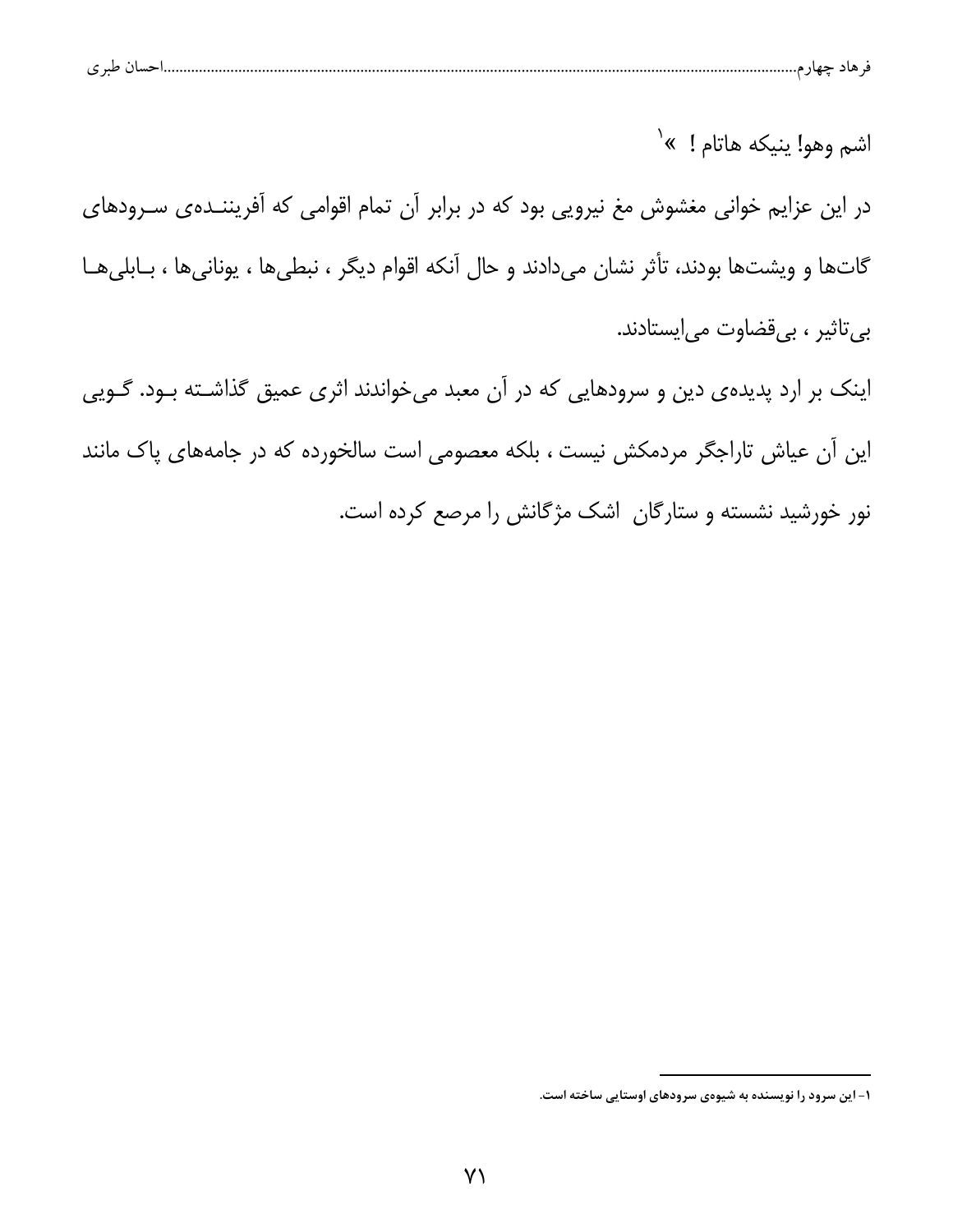|   | $\sim$ $\sim$ |  |  |  |
|---|---------------|--|--|--|
| ີ |               |  |  |  |

اشم وهو! ينيكه هاتام ! »<sup>٬</sup> در این عزایم خوانی مغشوش مغ نیرویی بود که در برابر آن تمام اقوامی که آفریننـدهی سـرودهای گاتها و ویشتها بودند، تأثر نشان میدادند و حال آنکه اقوام دیگر ، نبطیها ، یونانیها ، بـابلیهـا بي تاثير ، بي قضاوت مي ايستادند.

اینک بر ارد پدیدهی دین و سرودهایی که در آن معبد میخواندند اثری عمیق گذاشته بود. گـویی این آن عیاش تاراجگر مردمکش نیست ، بلکه معصومی است سالخورده که در جامههای پاک مانند نور خورشید نشسته و ستارگان اشک مژگانش را مرصع کرده است.

۱- این سرود را نویسنده به شیوهی سرودهای اوستایی ساخته است.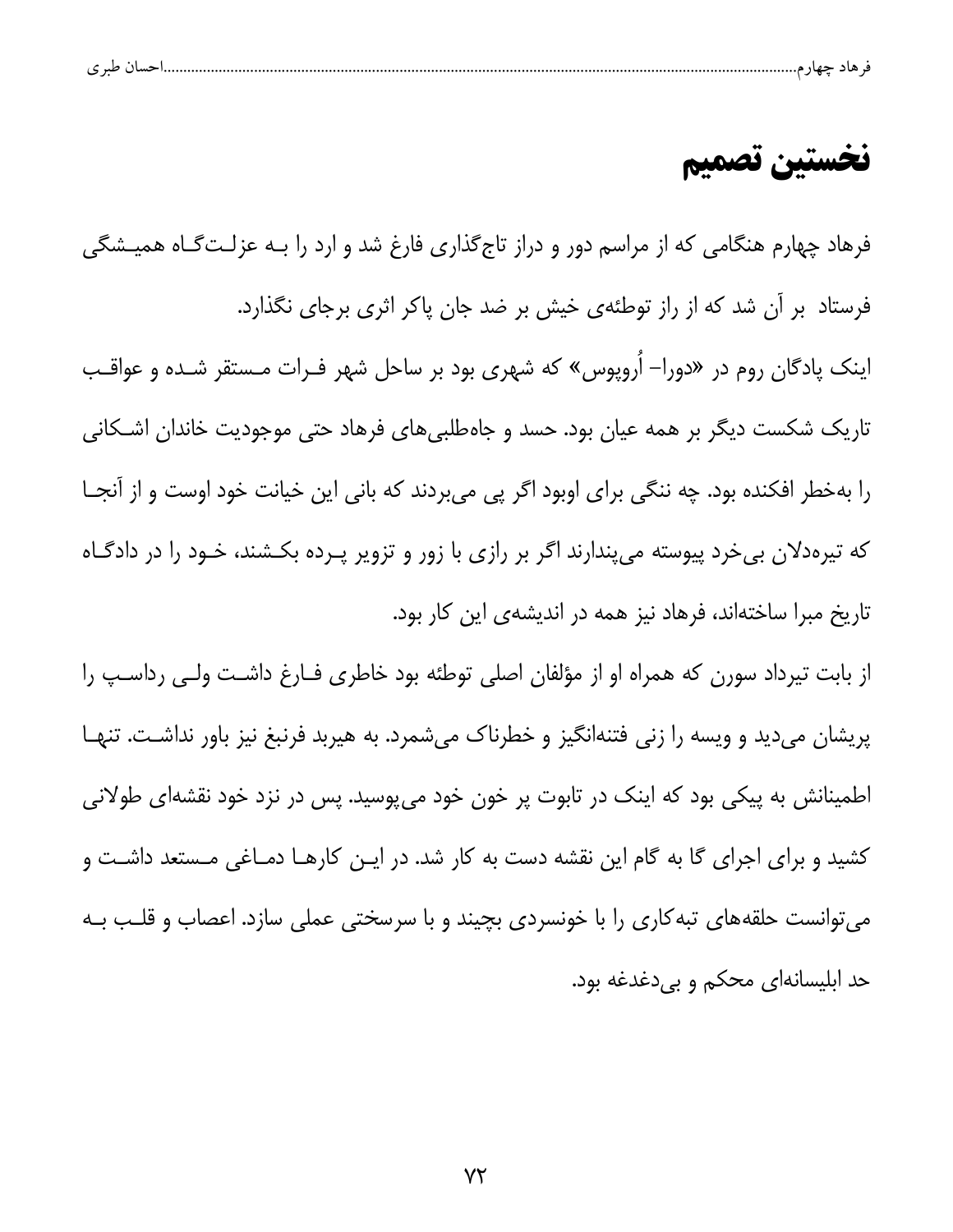| ، طبر ی |  |  |  |  |  |  |  |  |
|---------|--|--|--|--|--|--|--|--|
|---------|--|--|--|--|--|--|--|--|

### نخستين تصميم

فرهاد چهارم هنگامی که از مراسم دور و دراز تاج گذاری فارغ شد و ارد را بـه عزلـتگـاه همیـشگی فرستاد بر آن شد که از راز توطئهی خیش بر ضد جان پاکر اثری برجای نگذارد. اینک پادگان روم در «دورا– اُروپوس» که شهری بود بر ساحل شهر فـرات مـستقر شـده و عواقـب تاریک شکست دیگر بر همه عیان بود. حسد و جاهطلبیهای فرهاد حتی موجودیت خاندان اشـکانی را بهخطر افکنده بود. چه ننگی برای اوبود اگر پی میبردند که بانی این خیانت خود اوست و از آنجـا که تیرهدلان بی خرد پیوسته می پندارند اگر بر رازی با زور و تزویر پـرده بکـشند، خـود را در دادگـاه تاریخ مبرا ساختهاند، فرهاد نیز همه در اندیشهی این کار بود.

از بابت تیرداد سورن که همراه او از مؤلفان اصلی توطئه بود خاطری فـارغ داشـت ولـی رداسـپ را پریشان میدید و ویسه را زنی فتنهانگیز و خطرناک میشمرد. به هیربد فرنبغ نیز باور نداشـت. تنهـا اطمینانش به پیکی بود که اینک در تابوت پر خون خود میپوسید. پس در نزد خود نقشهای طولانی کشید و برای اجرای گا به گام این نقشه دست به کار شد. در ایـن کارهـا دمـاغی مـستعد داشـت و می توانست حلقههای تبه کاری را با خونسردی بچیند و با سرسختی عملی سازد. اعصاب و قلـب بـه حد ابلیسانهای محکم و بی دغدغه بود.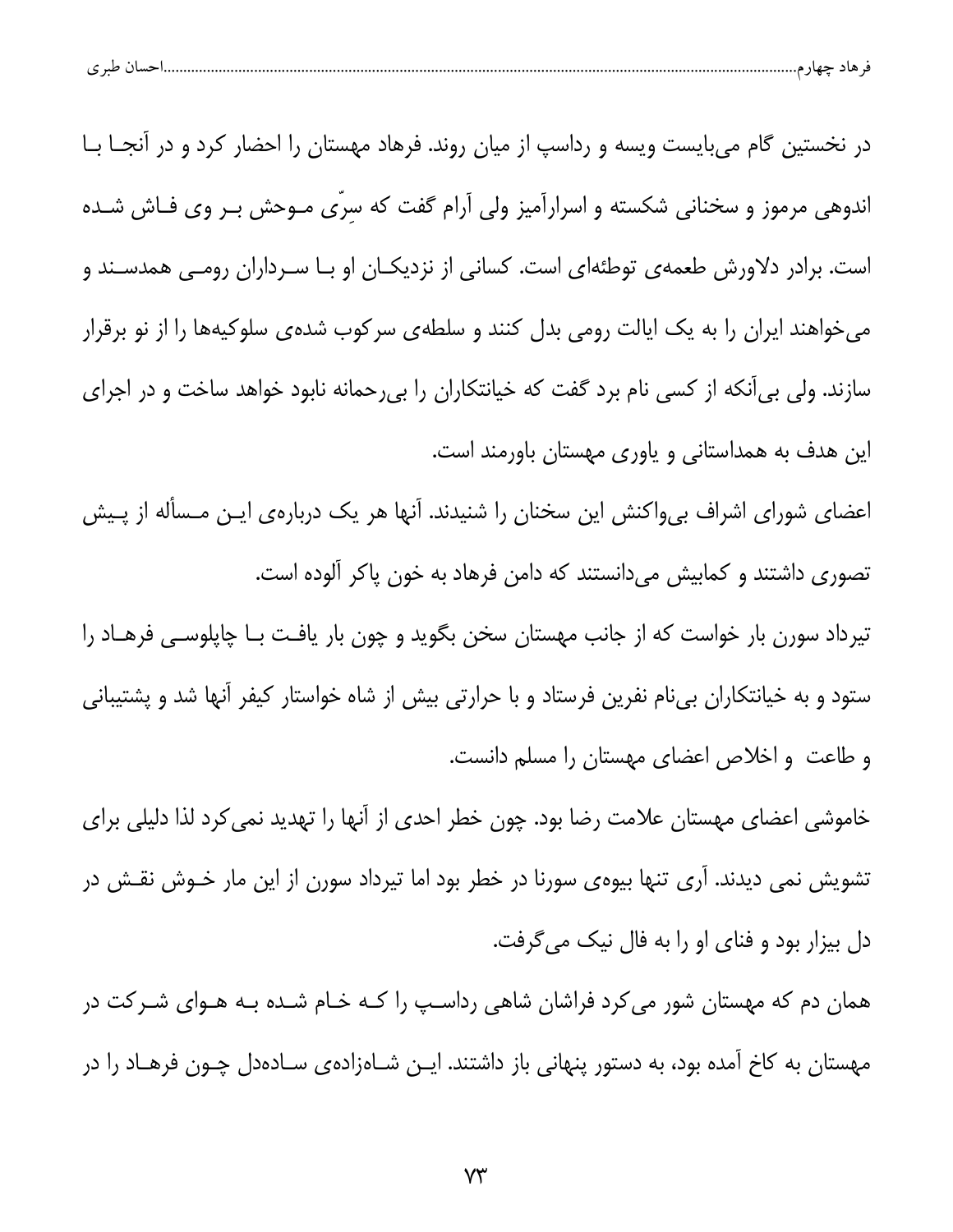|  | $\sim$<br>نسب<br>້ |  |  |  |  |
|--|--------------------|--|--|--|--|
|--|--------------------|--|--|--|--|

در نخستین گام میبایست ویسه و رداسپ از میان روند. فرهاد مهستان را احضار کرد و در آنجــا بــا اندوهی مرموز و سخنانی شکسته و اسرارآمیز ولی آرام گفت که سرّی مـوحش بـر وی فـاش شـده است. برادر دلاورش طعمهی توطئهای است. کسانی از نزدیکـان او بـا سـرداران رومـی همدسـند و میخواهند ایران را به یک ایالت رومی بدل کنند و سلطهی سرکوب شدهی سلوکیهها را از نو برقرار سازند. ولی بی آنکه از کسی نام برد گفت که خیانتکاران را بی رحمانه نابود خواهد ساخت و در اجرای این هدف به همداستانی و یاوری مهستان باورمند است.

اعضای شورای اشراف بیeاکنش این سخنان را شنیدند. آنها هر یک دربارهی ایـن مـسأله از پـیش تصوری داشتند و کمابیش میدانستند که دامن فرهاد به خون پاکر آلوده است.

تیرداد سورن بار خواست که از جانب مهستان سخن بگوید و چون بار یافت بـا چاپلوسـی فرهـاد را ستود و به خیانتکاران بیiام نفرین فرستاد و با حرارتی بیش از شاه خواستار کیفر آنها شد و پشتیبانی و طاعت و اخلاص اعضای مهستان را مسلم دانست.

خاموشی اعضای مهستان علامت رضا بود. چون خطر احدی از آنها را تهدید نمی کرد لذا دلیلی برای تشویش نمی دیدند. آری تنها بیوهی سورنا در خطر بود اما تیرداد سورن از این مار خـوش نقـش در دل بیزار بود و فنای او را به فال نیک می گرفت.

همان دم که مهستان شور می کرد فراشان شاهی رداسـپ را کـه خـام شـده بـه هـوای شـرکت در مهستان به کاخ آمده بود، به دستور پنهانی باز داشتند. ایــن شــاهزادهی ســادهدل چــون فرهــاد را در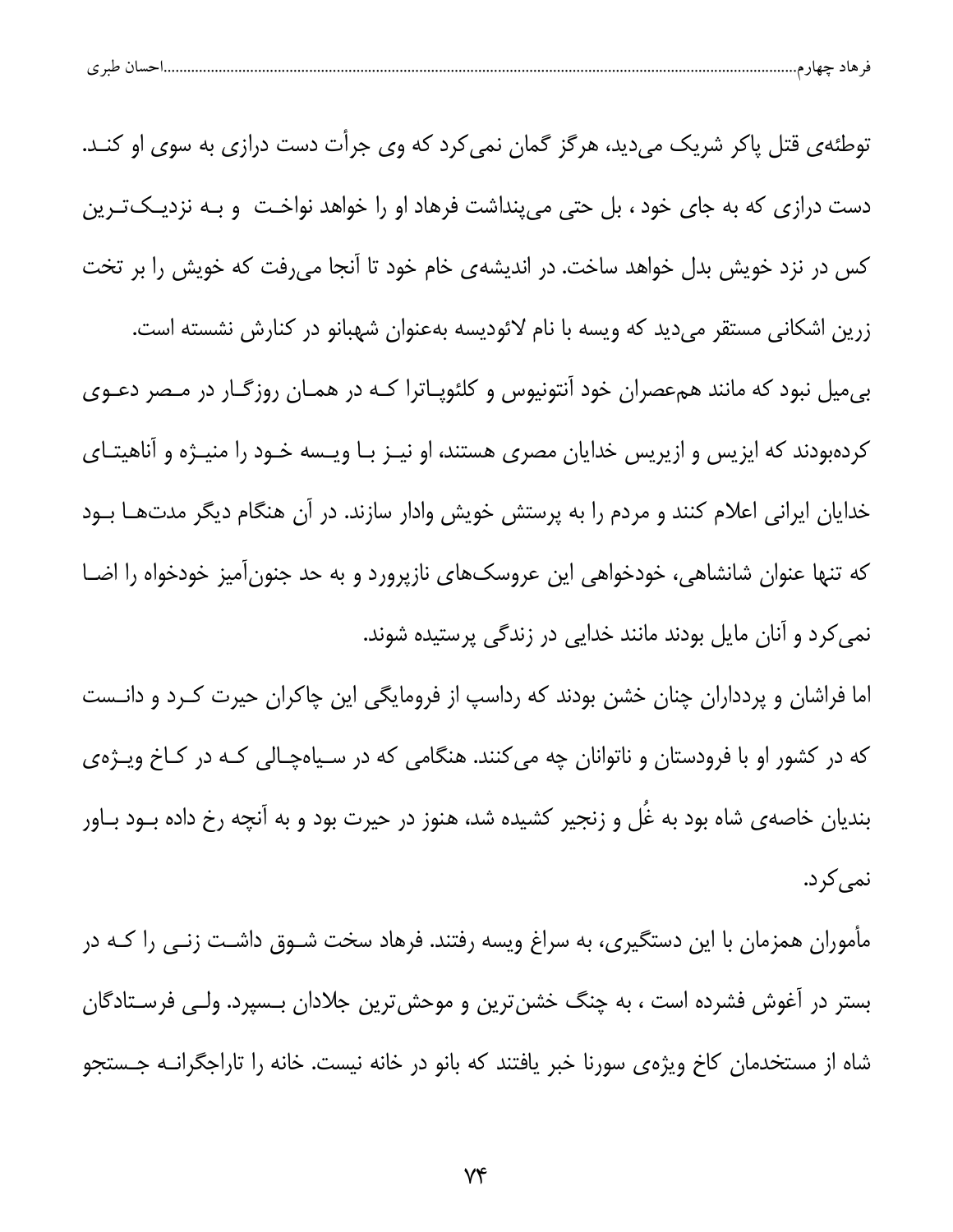| $\sim$ 10<br>້ |  |
|----------------|--|
|----------------|--|

توطئهی قتل پاکر شریک می دید، هرگز گمان نمی کرد که وی جرأت دست درازی به سوی او کنـد. دست درازی که به جای خود ، بل حتی می پنداشت فرهاد او را خواهد نواخت و بـه نزدیــکتـرین کس در نزد خویش بدل خواهد ساخت. در اندیشهی خام خود تا آنجا میرفت که خویش را بر تخت زرین اشکانی مستقر میدید که ویسه با نام لائودیسه بهعنوان شهبانو در کنارش نشسته است. بی میل نبود که مانند همءصران خود آنتونیوس و کلئوپـاترا کـه در همـان روزگـار در مـصر دعـوی کردهبودند که ایزیس و ازیریس خدایان مصری هستند، او نیـز بـا ویـسه خـود را منیـژه و آناهیتـای خدایان ایرانی اعلام کنند و مردم را به پرستش خویش وادار سازند. در آن هنگام دیگر مدتهـا بــود که تنها عنوان شانشاهی، خودخواهی این عروسکهای نازپرورد و به حد جنونآمیز خودخواه را اضا نمی کرد و آنان مایل بودند مانند خدایی در زندگی پرستیده شوند.

اما فراشان و پردداران چنان خشن بودند که رداسپ از فرومایگی این چاکران حیرت کـرد و دانـست که در کشور او با فرودستان و ناتوانان چه میکنند. هنگامی که در سیاهچالی کـه در کـاخ ویـژهی بندیان خاصهی شاه بود به غُل و زنجیر کشیده شد، هنوز در حیرت بود و به آنچه رخ داده بــود بــاور نمى كرد.

مأموران همزمان با این دستگیری، به سراغ ویسه رفتند. فرهاد سخت شـوق داشـت زنـی را کـه در بستر در آغوش فشرده است ، به چنگ خشن ترین و موحش ترین جلادان بـسپرد. ولـی فرسـتادگان شاه از مستخدمان کاخ ویژهی سورنا خبر یافتند که بانو در خانه نیست. خانه را تاراجگرانــه جــستجو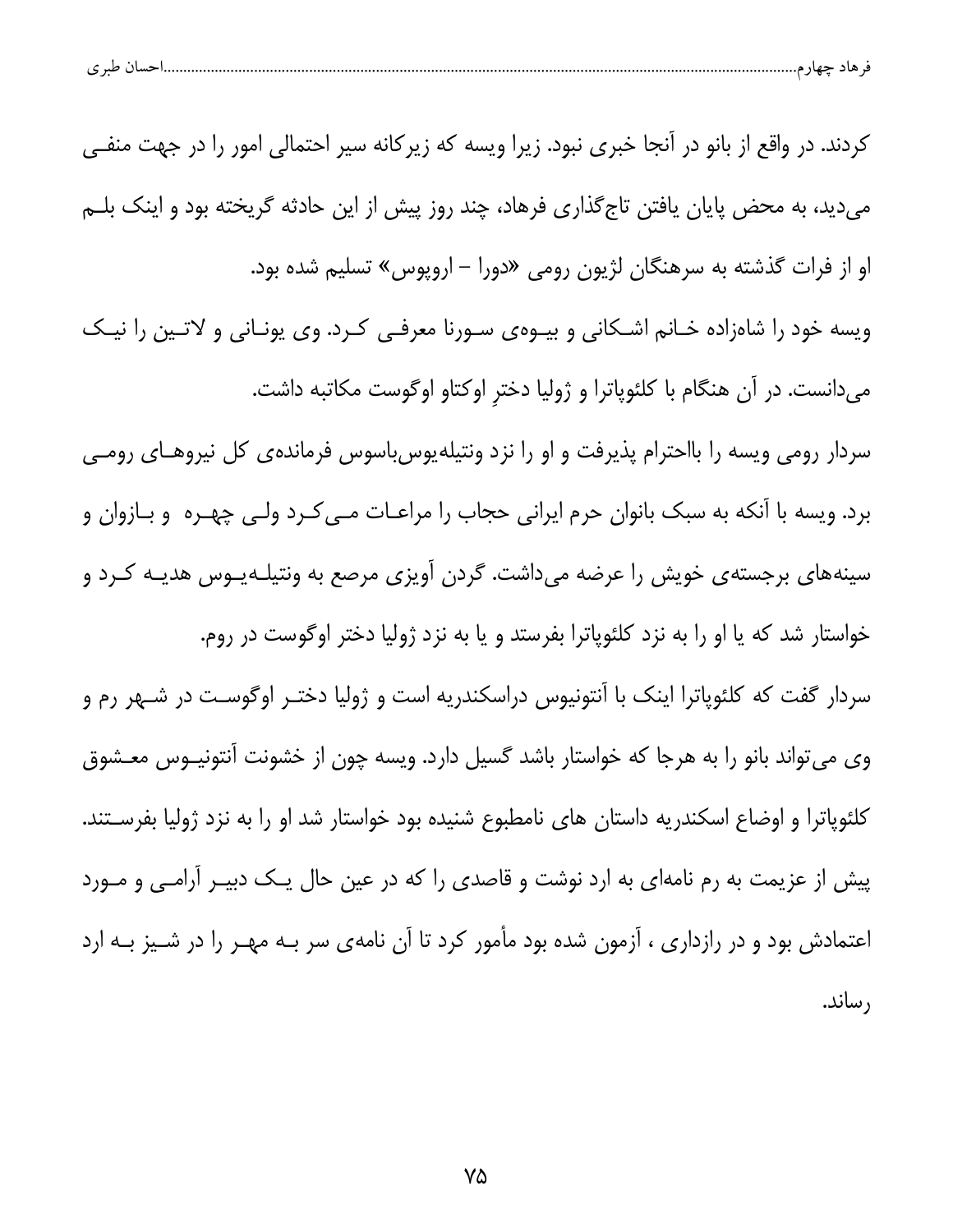| - ط. ـ | خسا ۱ |  |  |
|--------|-------|--|--|
|        |       |  |  |

کردند. در واقع از بانو در آنجا خبری نبود. زیرا ویسه که زیرکانه سیر احتمالی امور را در جهت منفـی می دید، به محض پایان یافتن تاج گذاری فرهاد، چند روز پیش از این حادثه گریخته بود و اینک بلــم او از فرات گذشته به سرهنگان لژیون رومی «دورا – اروپوس» تسلیم شده بود. ویسه خود را شاهزاده خـانم اشـكانى و بيـوهى سـورنا معرفـى كـرد. وى يونـانى و لاتـين را نيـك میدانست. در آن هنگام با کلئوپاترا و ژولیا دختر اوکتاو اوگوست مکاتبه داشت. سردار رومی ویسه را بااحترام پذیرفت و او را نزد ونتیلهپوس باسوس فرمانده یکل نیروهـای رومـی برد. ویسه با آنکه به سبک بانوان حرم ایرانی حجاب را مراعـات مـی کـرد ولـی چهـره و بـازوان و سینههای برجستهی خویش را عرضه میداشت. گردن آویزی مرصع به ونتیلـهیـوس هدیـه کـرد و خواستار شد که یا او را به نزد کلئوپاترا بفرستد و یا به نزد ژولیا دختر اوگوست در روم. سردار گفت که کلئوپاترا اینک با آنتونیوس دراسکندریه است و ژولیا دختـر اوگوسـت در شـهر رم و وی میتواند بانو را به هرجا که خواستار باشد گسیل دارد. ویسه چون از خشونت آنتونیـوس معـشوق کلئوپاترا و اوضاع اسکندریه داستان های نامطبوع شنیده بود خواستار شد او را به نزد ژولیا بفرسـتند. پیش از عزیمت به رم نامهای به ارد نوشت و قاصدی را که در عین حال یـک دبیـر آرامـی و مـورد اعتمادش بود و در رازداری ، آزمون شده بود مأمور کرد تا آن نامهی سر بـه مهـر را در شـيز بـه ارد , ساند.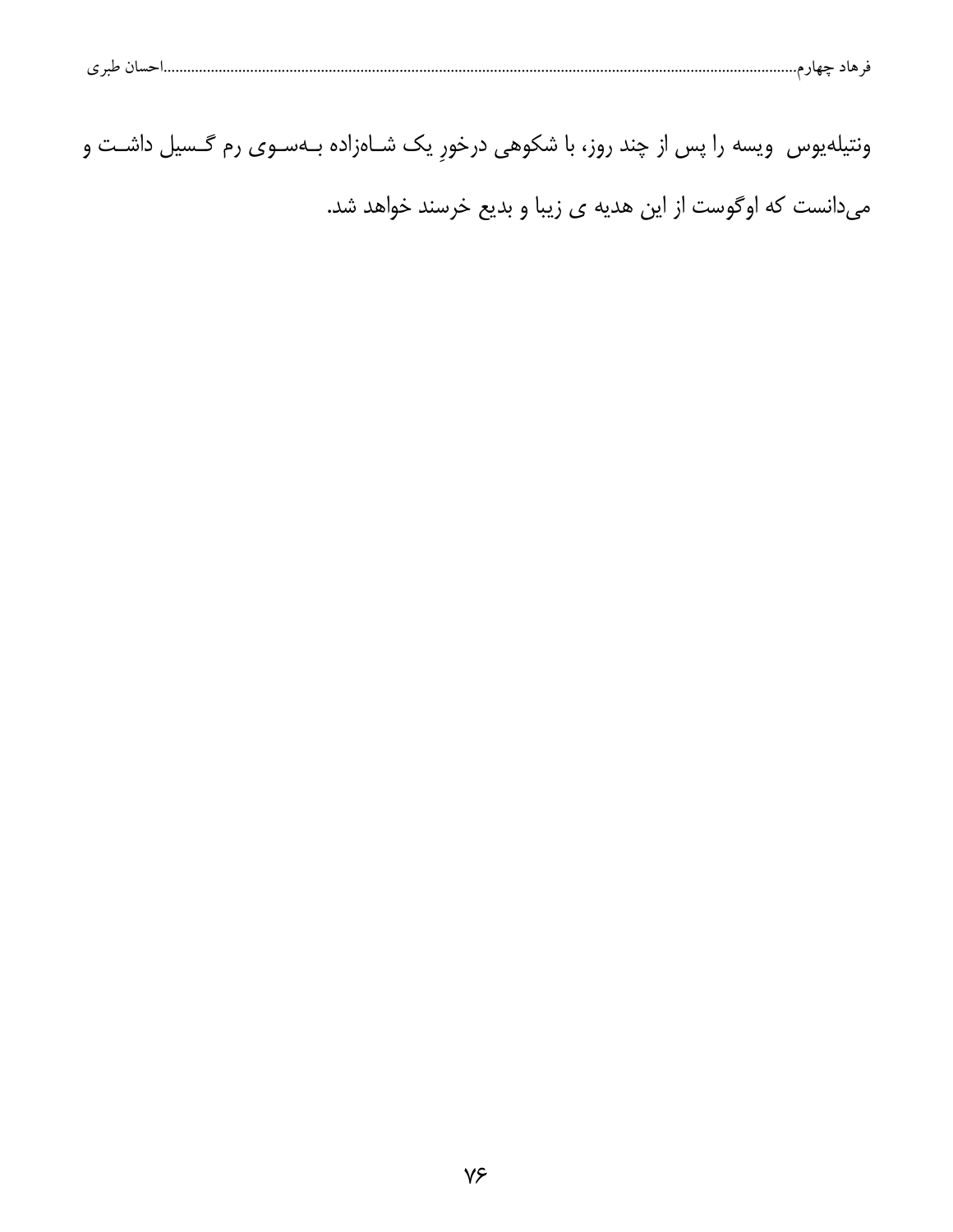| مان طد ی<br>۔ هاد جهار م |  |  |  |  |
|--------------------------|--|--|--|--|
|--------------------------|--|--|--|--|

| ونتیلهیوس  ویسه را پس از چند روز، با شکوهی درخورِ یک شــاهزاده بــهسـوی رم گــسیل داشــت و |  |                                                             |
|--------------------------------------------------------------------------------------------|--|-------------------------------------------------------------|
|                                                                                            |  | میدانست که اوگوست از این هدیه ی زیبا و بدیع خرسند خواهد شد. |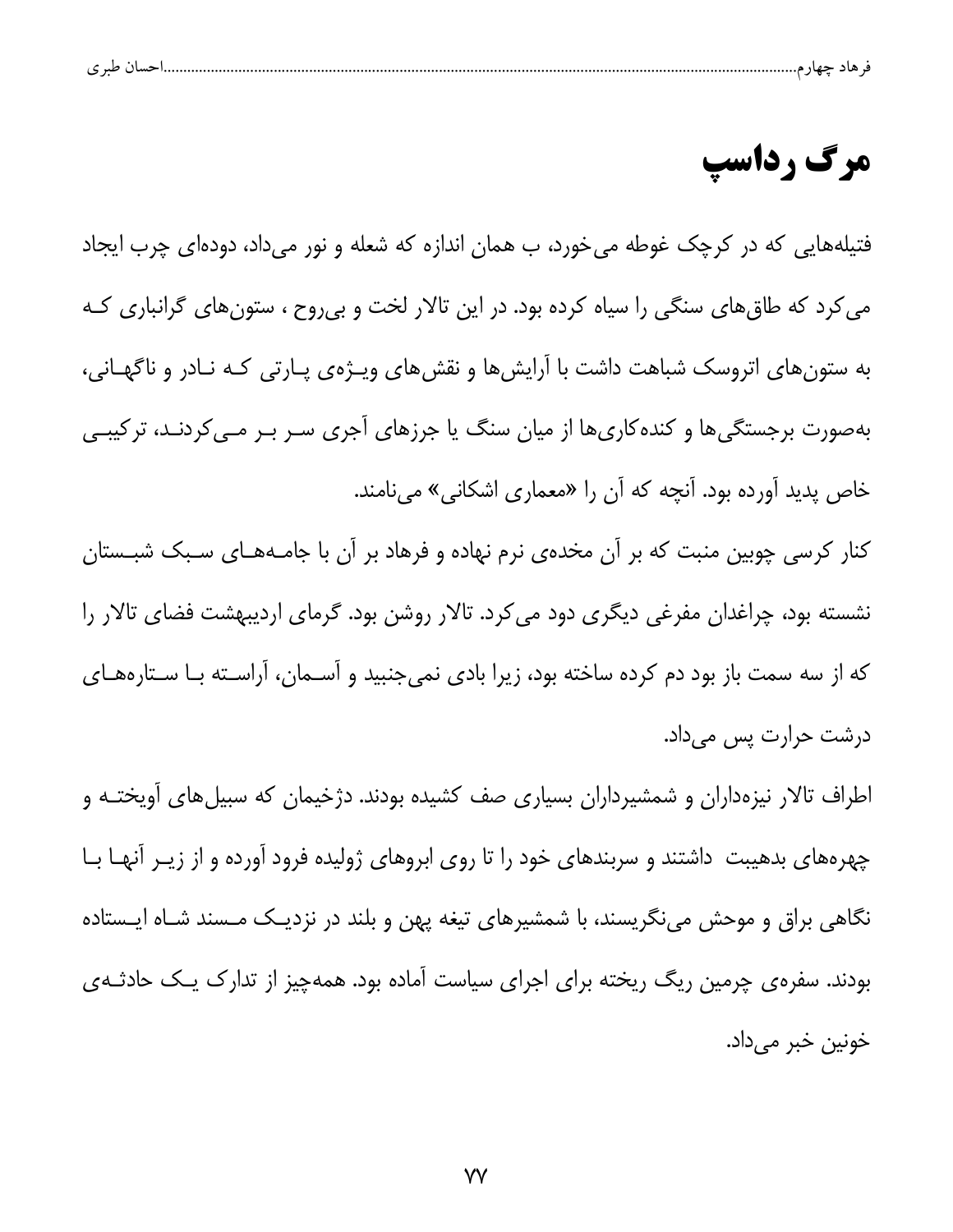| $\sim$<br>ت |  |  |  |  |
|-------------|--|--|--|--|
|             |  |  |  |  |

## مرگ رداسپ

فتیلههایی که در کرچک غوطه میخورد، ب همان اندازه که شعله و نور میداد، دودهای چرب ایجاد می کرد که طاق های سنگی را سیاه کرده بود. در این تالار لخت و بی روح ، ستون های گرانباری کـه به ستون های اتروسک شباهت داشت با آرایش ها و نقش های ویـژهی پـارتی کـه نـادر و ناگهـانی، بهصورت برجستگی ها و کنده کاری ها از میان سنگ یا جرزهای آجری سـر بـر مـی کردنـد، ترکیبـی خاص پدید آورده بود. آنچه که آن را «معماری اشکانی» مینامند.

کنار کرسی چوبین منبت که بر آن مخدهی نرم نهاده و فرهاد بر آن با جامـههـای سـبک شبـستان نشسته بود، چراغدان مفرغی دیگری دود می کرد. تالار روشن بود. گرمای اردیبهشت فضای تالار را که از سه سمت باز بود دم کرده ساخته بود، زیرا بادی نمیجنبید و آسـمان، آراسـته بـا سـتارههـای درشت حرارت پس میداد.

اطراف تالار نیزهداران و شمشیرداران بسیاری صف کشیده بودند. دژخیمان که سبیلهای آویختـه و چهرههای بدهیبت داشتند و سربندهای خود را تا روی ابروهای ژولیده فرود آورده و از زیـر آنهـا بـا نگاهی براق و موحش مینگریسند، با شمشیرهای تیغه پهن و بلند در نزدیک مـسند شـاه ایـستاده بودند. سفرهی چرمین ریگ ریخته برای اجرای سیاست آماده بود. همهچیز از تدارک یـک حادثـهی خونين خبر مي داد.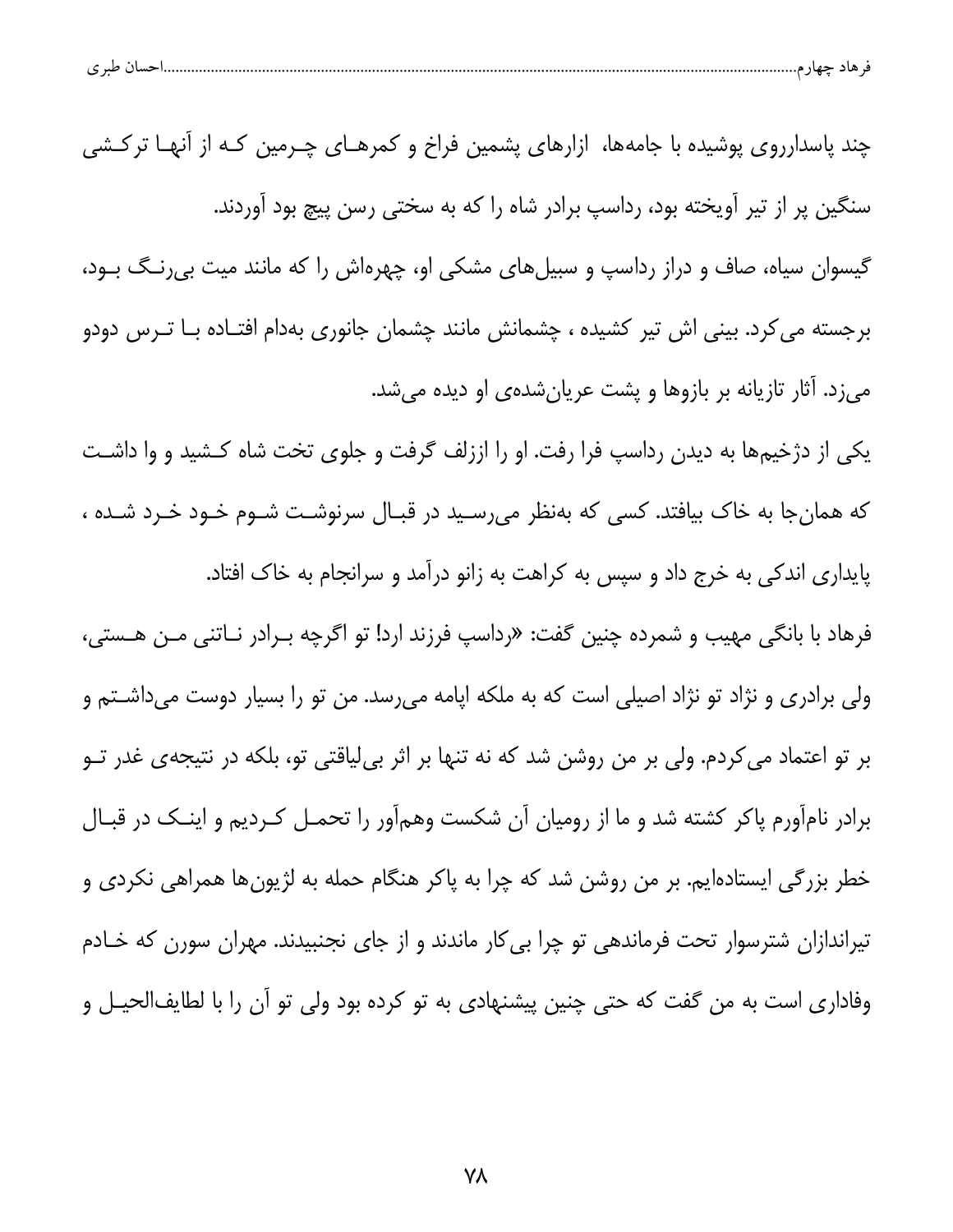| حساں طبر ی<br>۔ هاد جهار م |  |  |
|----------------------------|--|--|
|----------------------------|--|--|

| چند پاسدارروی پوشیده با جامهها، ازارهای پشمین فراخ و کمرهـای چـرمین کـه از آنهـا ترکـشی                  |
|----------------------------------------------------------------------------------------------------------|
| سنگین پر از تیر آویخته بود، رداسپ برادر شاه را که به سختی رسن پیچ بود آوردند.                            |
| گیسوان سیاه، صاف و دراز رداسپ و سبیلهای مشکی او، چهرهاش را که مانند میت بی رنگ بـود،                     |
| برجسته م <i>ی ک</i> رد. بینی اش تیر کشیده ، چشمانش مانند چشمان جانوری بهدام افتـاده بـا تـرس دودو        |
| میزد. آثار تازیانه بر بازوها و پشت عریانشدهی او دیده میشد.                                               |
| یکی از دژخیمها به دیدن رداسپ فرا رفت. او را اززلف گرفت و جلوی تخت شاه کـشید و وا داشـت                   |
| که همانجا به خاک بیافتد. کسی که بهنظر میرسـید در قبـال سرنوشـت شـوم خـود خـرد شـده ،                     |
| پایداری اندکی به خرج داد و سپس به کراهت به زانو درآمد و سرانجام به خاک افتاد.                            |
| فرهاد با بانگی مهیب و شمرده چنین گفت: «رداسپ فرزند ارد! تو اگرچه بـرادر نــاتنی مــن هــستی،             |
| ولی برادری و نژاد تو نژاد اصیلی است که به ملکه اپامه میرسد. من تو را بسیار دوست میداشـتم و               |
| بر تو اعتماد م <i>ی ک</i> ردم. ولی بر من روشن شد که نه تنها بر اثر بیِلیاقتی تو، بلکه در نتیجهی غدر تــو |
| برادر نامآورم پاکر کشته شد و ما از رومیان آن شکست وهمآور را تحمـل کـردیم و اینـک در قبـال                |
| خطر بزرگی ایستادهایم. بر من روشن شد که چرا به پاکر هنگام حمله به لژیونها همراهی نکردی و                  |
| تیراندازان شترسوار تحت فرماندهی تو چرا بی کار ماندند و از جای نجنبیدند. مهران سورن که خـادم              |
| وفاداری است به من گفت که حتی چنین پیشنهادی به تو کرده بود ولی تو آن را با لطایفالحیـل و                  |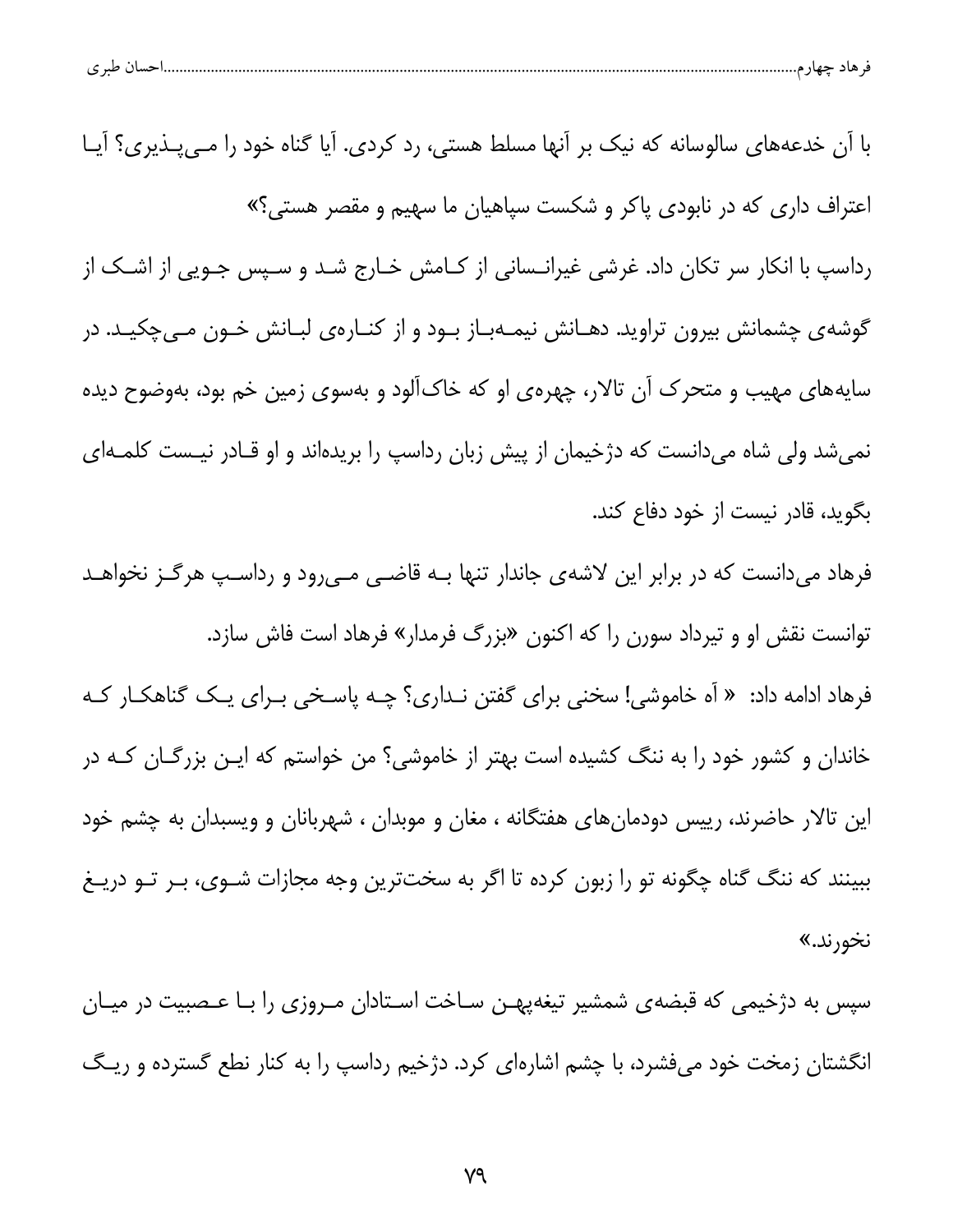| حسال طبر ی | - 67 |  |
|------------|------|--|
|            |      |  |

با آن خدعههای سالوسانه که نیک بر آنها مسلط هستی، رد کردی. آیا گناه خود را مےپذیری؟ آیا اعتراف داری که در نابودی پاکر و شکست سپاهیان ما سهیم و مقصر هستی؟» رداسپ با انکار سر تکان داد. غرشی غیرانـسانی از کـامش خـارج شـد و سـپس جـویی از اشـک از گوشهی چشمانش بیرون تراوید. دهـانش نیمـهبـاز بـود و از کنـارهی لبـانش خـون مـیچکیـد. در سایههای مهیب و متحرک آن تالار، چهرهی او که خاکآلود و بهسوی زمین خم بود، بهوضوح دیده نمیشد ولی شاه میدانست که دژخیمان از پیش زبان رداسپ را بریدهاند و او قـادر نیـست کلمـهای بگوید، قادر نیست از خود دفاع کند. فرهاد میدانست که در برابر این لاشهی جاندار تنها بـه قاضـی مـیرود و رداسـپ هرگـز نخواهـد توانست نقش او و تیرداد سورن را که اکنون «بزرگ فرمدار» فرهاد است فاش سازد. فرهاد ادامه داد: « اَه خاموشی! سخنی برای گفتن نـداری؟ چـه پاسـخی بـرای یـک گناهکـار کـه خاندان و کشور خود را به ننگ کشیده است بهتر از خاموشی؟ من خواستم که ایـن بزرگـان کـه در این تالار حاضرند، رییس دودمانهای هفتگانه ، مغان و موبدان ، شهربانان و ویسبدان به چشم خود ببینند که ننگ گناه چگونه تو را زبون کرده تا اگر به سختترین وجه مجازات شـوی، بـر تـو دریـغ نخورند.»

سپس به دژخیمی که قبضهی شمشیر تیغهپهـن سـاخت اسـتادان مـروزی را بـا عـصبیت در میـان انگشتان زمخت خود میفشرد، با چشم اشارهای کرد. دژخیم رداسپ را به کنار نطع گسترده و ریـگ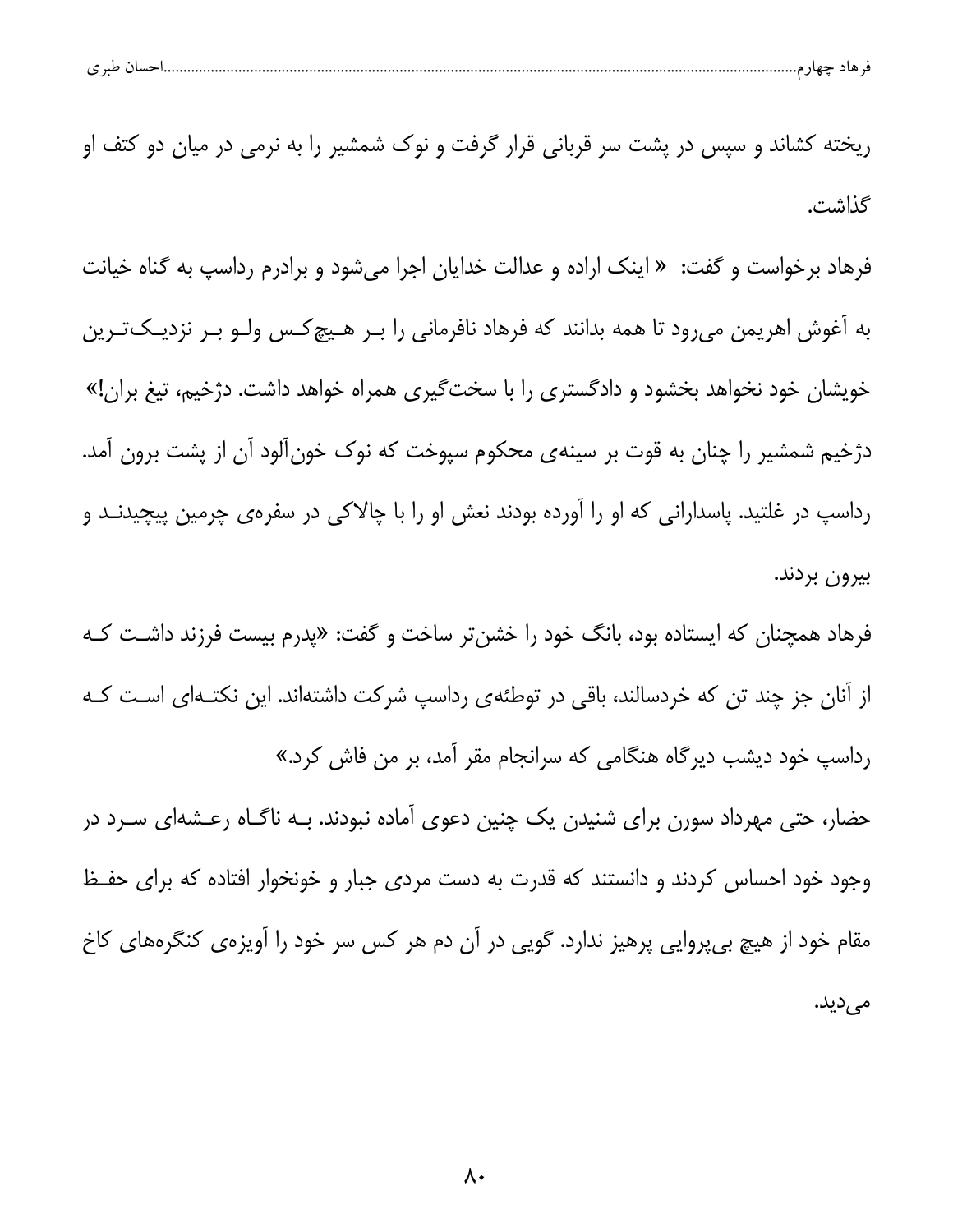| حساں طبر ی<br>۳۰ هاد جهار م<br>᠊ᢐ |  |  |
|-----------------------------------|--|--|
|                                   |  |  |

ریخته کشاند و سپس در پشت سر قربانی قرار گرفت و نوک شمشیر را به نرمی در میان دو کتف او گذاشت.

فرهاد برخواست و گفت: « اینک اراده و عدالت خدایان اجرا میشود و برادرم رداسپ به گناه خیانت به آغوش اهریمن میرود تا همه بدانند که فرهاد نافرمانی را بـر هـیچ کـس ولـو بـر نزدیـکتـرین خویشان خود نخواهد بخشود و دادگستری را با سخت *گ*یری همراه خواهد داشت. دژخیم، تیغ بران!» دژخیم شمشیر را چنان به قوت بر سینهی محکوم سپوخت که نوک خونآلود آن از پشت برون آمد. رداسپ در غلتید. پاسدارانی که او را آورده بودند نعش او را با چالاکی در سفرهی چرمین پیچیدنـد و بيرون بردند.

فرهاد همچنان که ایستاده بود، بانگ خود را خشنتر ساخت و گفت: «پدرم بیست فرزند داشـت کـه از آنان جز چند تن که خردسالند، باقی در توطئهی رداسپ شرکت داشتهاند. این نکتـهای اسـت کـه رداسپ خود دیشب دیرگاه هنگامی که سرانجام مقر آمد، بر من فاش کرد.»

حضار، حتی مهرداد سورن برای شنیدن یک چنین دعوی آماده نبودند. بـه ناگـاه رعـشهای ســرد در وجود خود احساس کردند و دانستند که قدرت به دست مردی جبار و خونخوار افتاده که برای حفـظ مقام خود از هیچ بیپروایی پرهیز ندارد. گویی در آن دم هر کس سر خود را آویزهی کنگرههای کاخ می دید.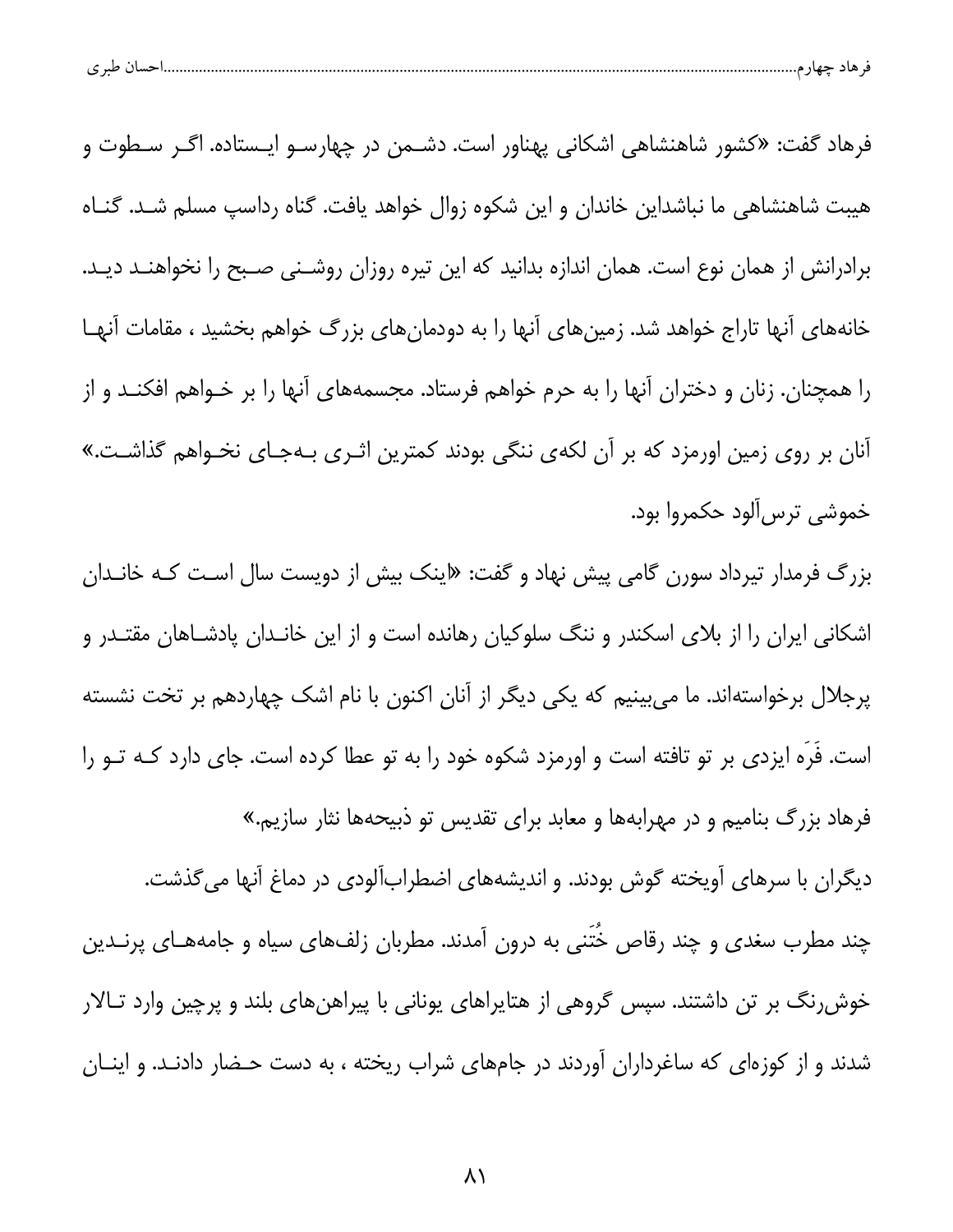|  | احسال طبر ی |  |  |  |  |
|--|-------------|--|--|--|--|
|--|-------------|--|--|--|--|

فرهاد گفت: «کشور شاهنشاهی اشکانی پهناور است. دشـمن در چهارسـو ایـستاده. اگـر سـطوت و هیبت شاهنشاهی ما نباشداین خاندان و این شکوه زوال خواهد یافت. گناه رداسپ مسلم شـد. گنـاه برادرانش از همان نوع است. همان اندازه بدانید که این تیره روزان روشـنی صـبح را نخواهنـد دیـد. خانههای آنها تاراج خواهد شد. زمینهای آنها را به دودمانهای بزرگ خواهم بخشید ، مقامات آنهـا را همچنان. زنان و دختران آنها را به حرم خواهم فرستاد. مجسمههای آنها را بر خـواهم افکنــد و از آنان بر روی زمین اورمزد که بر آن لکهی ننگی بودند کمترین اثـری بـهجـای نخـواهم گذاشـت.» خموشي ترس آلود حكمروا بود.

بزرگ فرمدار تیرداد سورن گامی پیش نهاد و گفت: «اینک بیش از دویست سال است کـه خانـدان اشکانی ایران را از بلای اسکندر و ننگ سلوکیان رهانده است و از این خانـدان پادشـاهان مقتـدر و پرجلال برخواستهاند. ما می بینیم که یکی دیگر از آنان اکنون با نام اشک چهاردهم بر تخت نشسته است. فَرَه ایزدی بر تو تافته است و اورمزد شکوه خود را به تو عطا کرده است. جای دارد کـه تــو را فرهاد بزرگ بنامیم و در مهرابهها و معابد برای تقدیس تو ذبیحهها نثار سازیم.»

دیگران با سرهای آویخته گوش بودند. و اندیشههای اضطرابآلودی در دماغ آنها میگذشت. چند مطرب سغدی و چند رقاص خُتَنی به درون آمدند. مطربان زلفهای سیاه و جامههـای پرنــدین خوش رنگ بر تن داشتند. سپس گروهی از هتایراهای یونانی با پیراهنهای بلند و پرچین وارد تـالار شدند و از کوزهای که ساغرداران آوردند در جامهای شراب ریخته ، به دست حـضار دادنـد. و اینـان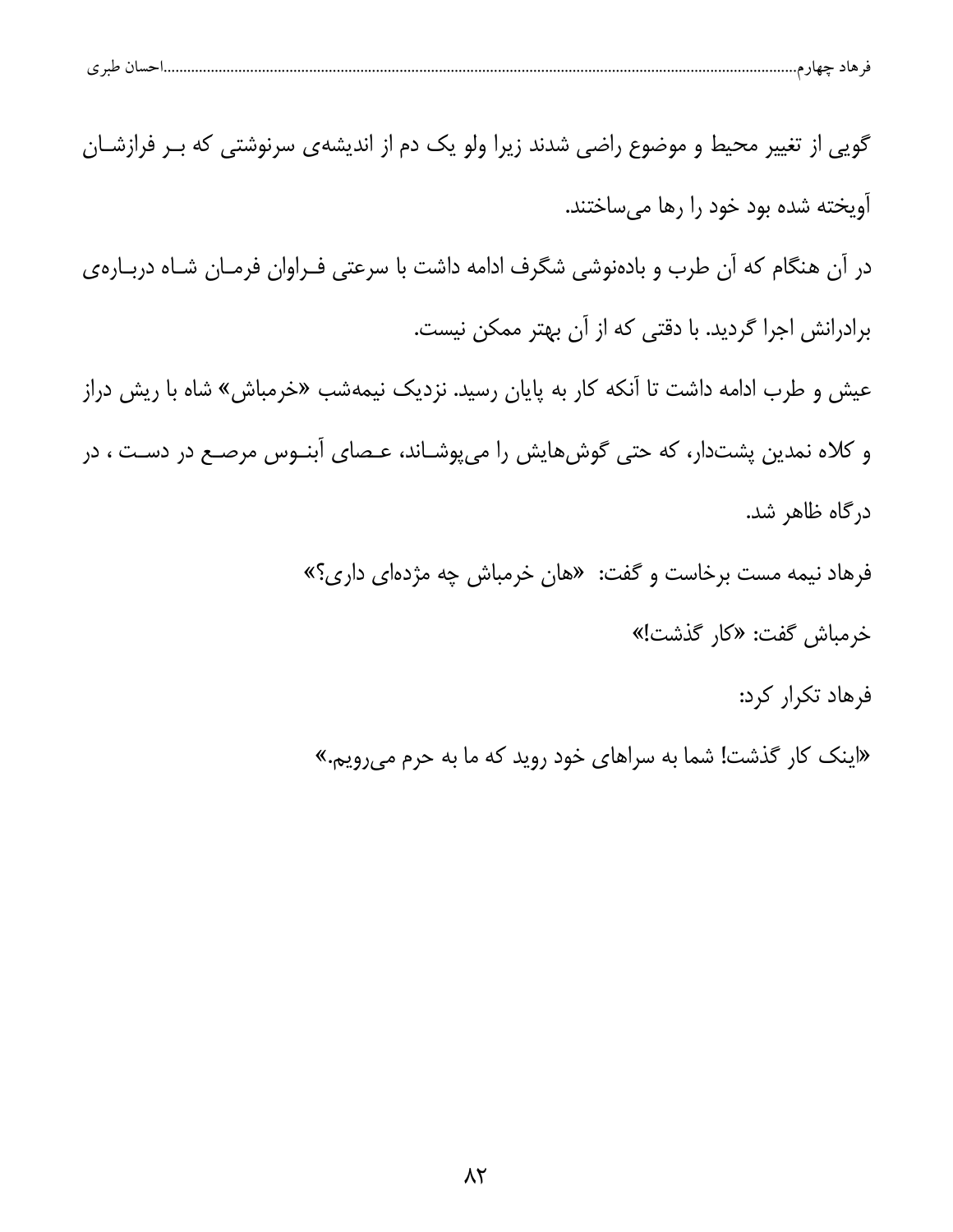| احسال طبر ی<br>۔ هاد چهارم |
|----------------------------|
|----------------------------|

گویی از تغییر محیط و موضوع راضی شدند زیرا ولو یک دم از اندیشهی سرنوشتی که بـر فرازشـان آویخته شده بود خود را رها مے ساختند. در آن هنگام که آن طرب و بادهنوشی شگرف ادامه داشت با سرعتی فـراوان فرمـان شـاه دربـارهی برادرانش اجرا گردید. با دقتی که از آن بهتر ممکن نیست. عیش و طرب ادامه داشت تا آنکه کار به پایان رسید. نزدیک نیمهشب «خرمباش» شاه با ریش دراز و کلاه نمدین پشتدار، که حتی گوشهایش را میپوشـاند، عـصای آبنـوس مرصـع در دسـت ، در در گاه ظاهر شد. فرهاد نیمه مست برخاست و گفت: «هان خرمباش چه مژدهای داری؟» خرمباش گفت: «كار گذشت!» فرهاد تكرار كرد:

«اینک کار گذشت! شما به سراهای خود روید که ما به حرم می رویم.»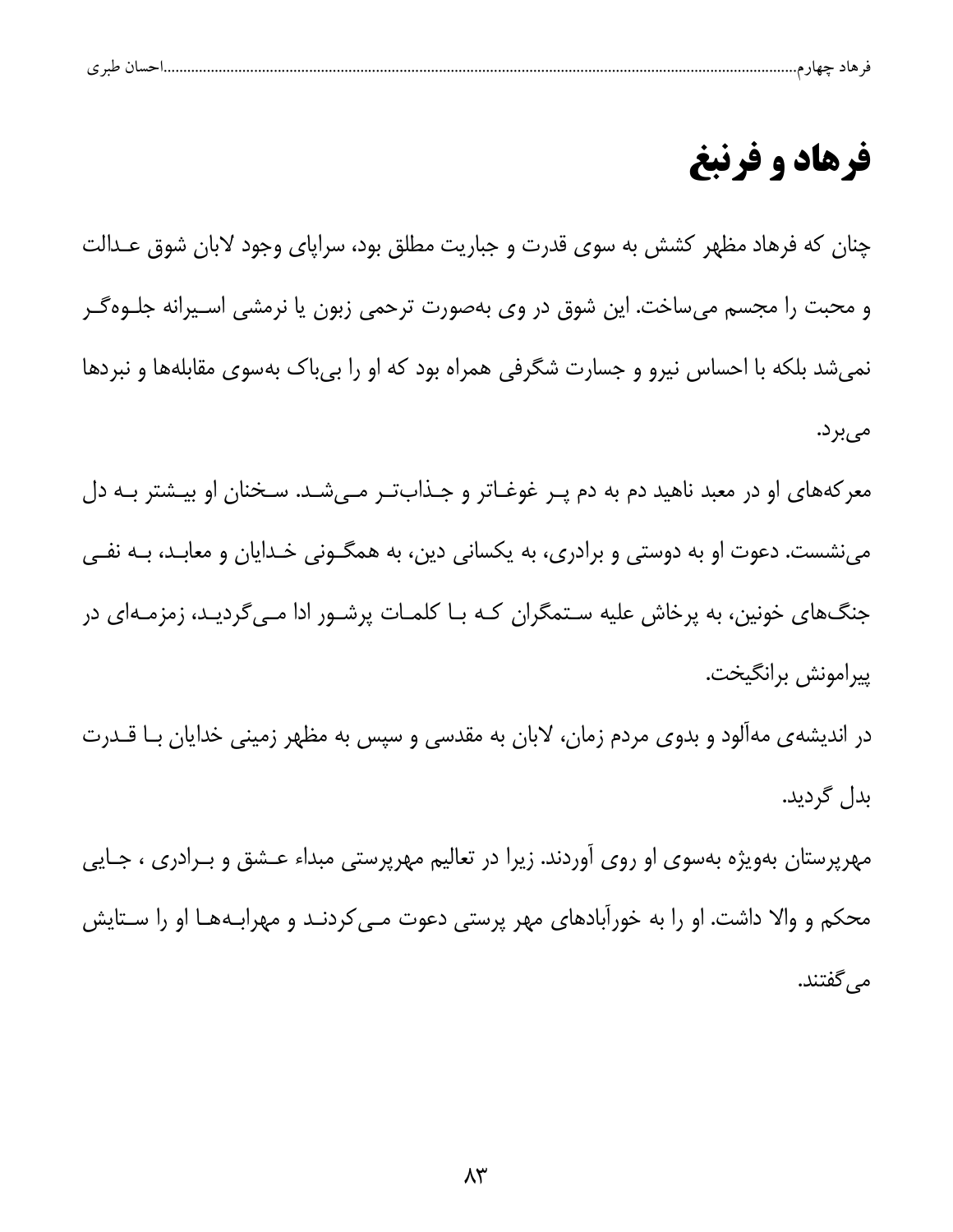| ، طبر ی |  |  |  |  |  |  |  |  |
|---------|--|--|--|--|--|--|--|--|
|---------|--|--|--|--|--|--|--|--|

# فرهاد و فرنبغ

چنان که فرهاد مظهر کشش به سوی قدرت و جباریت مطلق بود، سراپای وجود لابان شوق عـدالت و محبت را مجسم میساخت. این شوق در وی بهصورت ترحمی زبون یا نرمشی اسـیرانه جلـوهگـر نمیشد بلکه با احساس نیرو و جسارت شگرفی همراه بود که او را بی باک بهسوی مقابلهها و نبردها مىبرد.

معرکههای او در معبد ناهید دم به دم پـر غوغـاتر و جـذابتـر مـیشـد. سـخنان او بیـشتر بـه دل مینشست. دعوت او به دوستی و برادری، به یکسانی دین، به همگـونی خـدایان و معابـد، بـه نفـی جنگ@ای خونین، به پرخاش علیه سـتمگران کـه بـا کلمـات پرشـور ادا مـی۶گردیـد، زمزمـهای در پيرامونش برانگيخت.

در اندیشه ی مه آلود و بدوی مردم زمان، لابان به مقدسی و سپس به مظهر زمینی خدایان بــا قــدرت بدل گردید.

مهرپرستان بهویژه بهسوی او روی آوردند. زیرا در تعالیم مهرپرستی مبداء عــشق و بــرادری ، جــایی محکم و والا داشت. او را به خورآبادهای مهر پرستی دعوت مـی کردنـد و مهرابـههـا او را سـتايش می گفتند.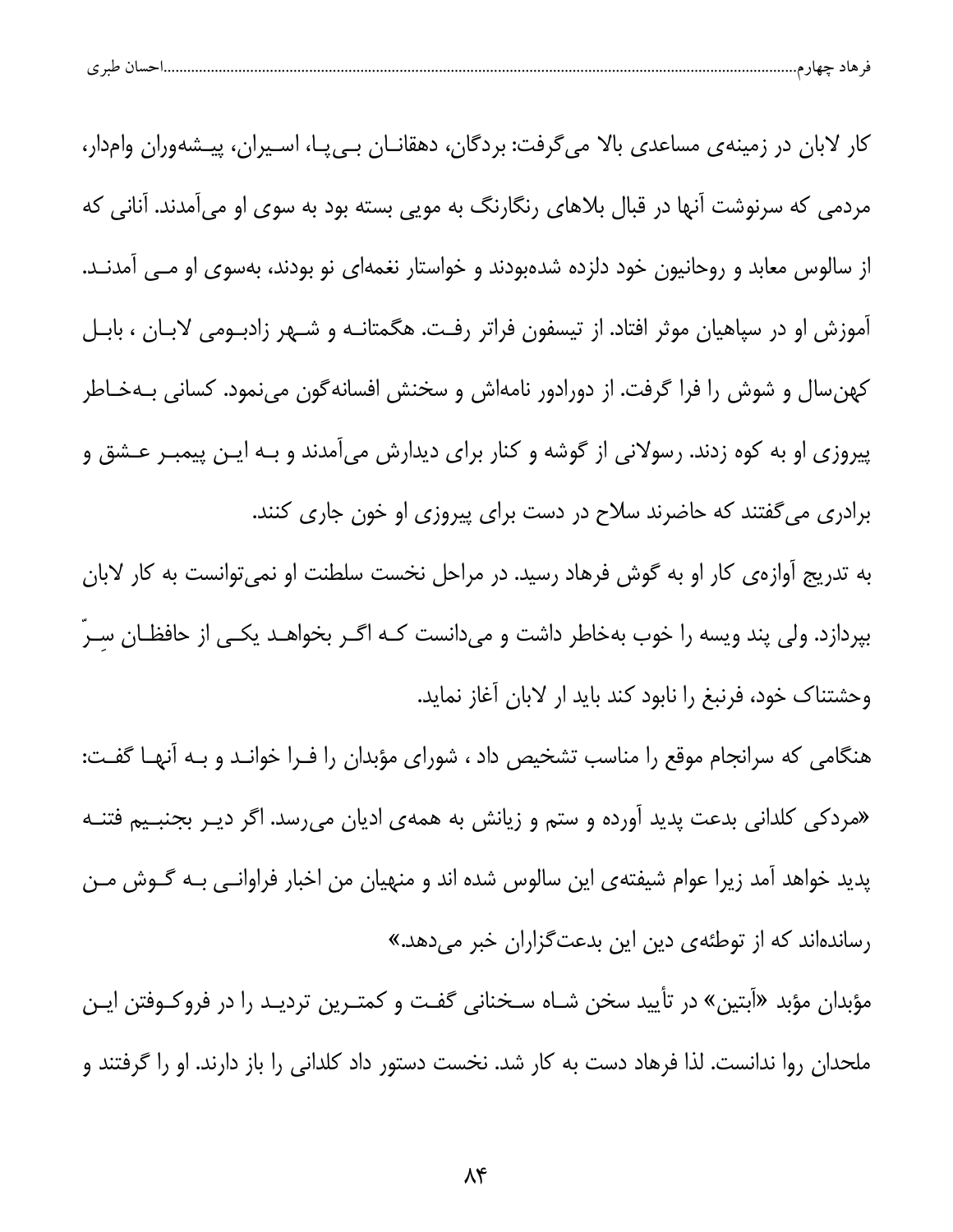| احسال طبر ی<br>قر هاد چهار م |  |  |
|------------------------------|--|--|
|                              |  |  |

کار لابان در زمینهی مساعدی بالا میگرفت: بردگان، دهقانــان بــیپــا، اســیران، پیــشهوران وامدار، مردمی که سرنوشت آنها در قبال بلاهای رنگارنگ به مویی بسته بود به سوی او میآمدند. آنانی که از سالوس معابد و روحانیون خود دلزده شدهبودند و خواستار نغمهای نو بودند، بهسوی او مــی آمدنــد. آموزش او در سپاهیان موثر افتاد. از تیسفون فراتر رفت. هگمتانـه و شـهر زادبـومی لابـان ، بابـل کهن سال و شوش را فرا گرفت. از دورادور نامهاش و سخنش افسانهگون مینمود. کسانی بـهخـاطر پیروزی او به کوه زدند. رسولانی از گوشه و کنار برای دیدارش میآمدند و بـه ایـن پیمبـر عـشق و برادری می گفتند که حاضرند سلاح در دست برای پیروزی او خون جاری کنند.

به تدریج آوازهی کار او به گوش فرهاد رسید. در مراحل نخست سلطنت او نمی توانست به کار لابان بپردازد. ولی پند ویسه را خوب بهخاطر داشت و میدانست کـه اگـر بخواهـد یکـی از حافظـان سـرّ وحشتناك خود، فرنبغ را نابود كند بايد ار لابان آغاز نمايد.

هنگامی که سرانجام موقع را مناسب تشخیص داد ، شورای مؤبدان را فـرا خوانـد و بـه آنهـا گفـت: «مردکی کلدانی بدعت پدید آورده و ستم و زیانش به همهی ادیان میرسد. اگر دیـر بجنبـیم فتنــه پدید خواهد آمد زیرا عوام شیفتهی این سالوس شده اند و منهیان من اخبار فراوانــی بــه گــوش مــن رساندهاند که از توطئهی دین این بدعتگزاران خبر میدهد.»

مؤبدان مؤبد «آبتین» در تأیید سخن شـاه سـخنانی گفـت و کمتـرین تردیـد را در فروکـوفتن ایـن ملحدان روا ندانست. لذا فرهاد دست به کار شد. نخست دستور داد کلدانی را باز دارند. او را گرفتند و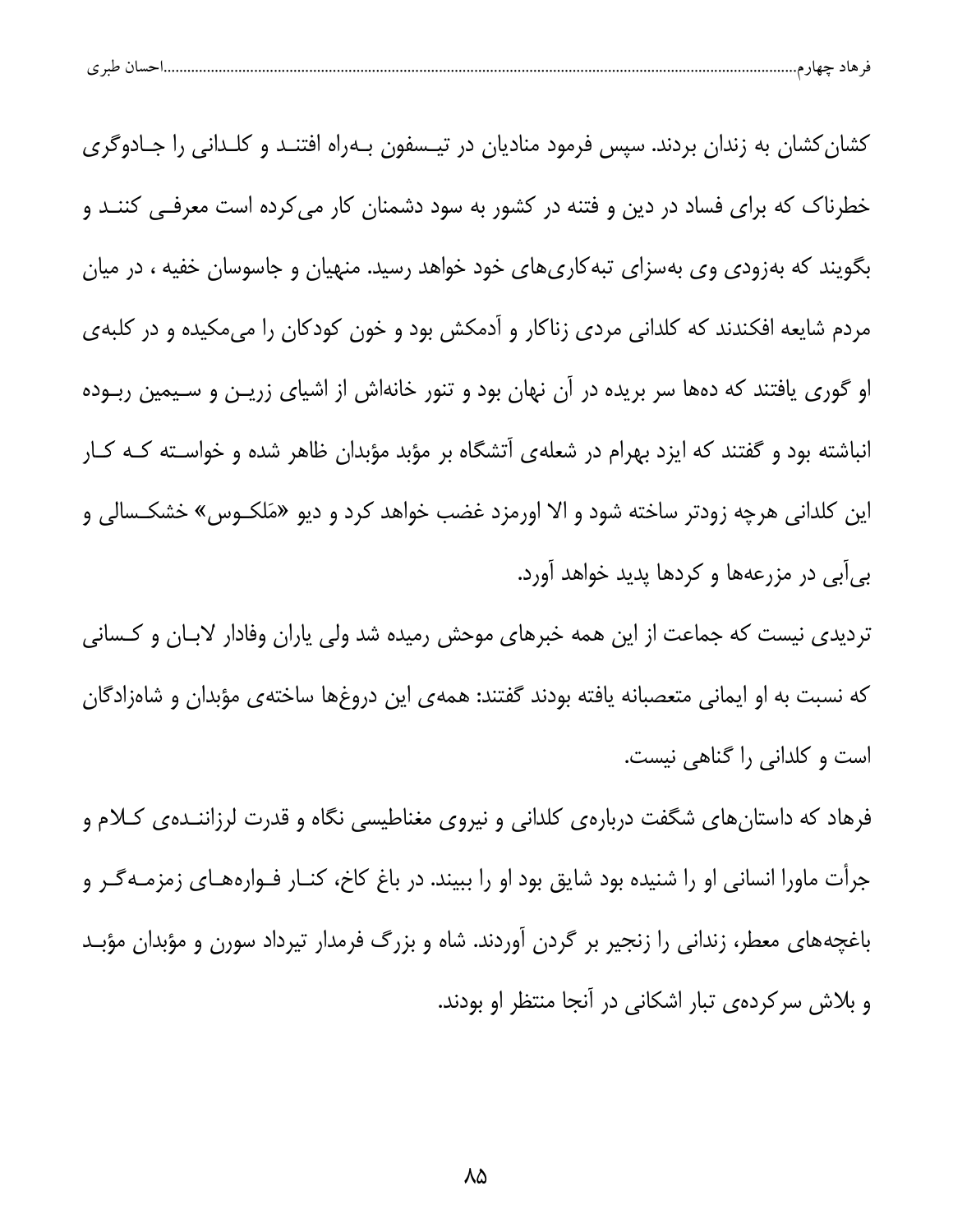| احسال طبر ی |
|-------------|
|-------------|

کشان کشان به زندان بردند. سپس فرمود منادیان در تیـسفون بـهراه افتنـد و کلـدانی را جـادوگری خطرناک که برای فساد در دین و فتنه در کشور به سود دشمنان کار می کرده است معرفـی کننــد و بگویند که بهزودی وی بهسزای تبه کاریهای خود خواهد رسید. منهیان و جاسوسان خفیه ، در میان مردم شایعه افکندند که کلدانی مردی زناکار و آدمکش بود و خون کودکان را میمکیده و در کلبهی او گوری یافتند که دهها سر بریده در آن نهان بود و تنور خانهاش از اشیای زریـن و سـیمین ربـوده انباشته بود و گفتند که ایزد بهرام در شعلهی آتشگاه بر مؤبد مؤبدان ظاهر شده و خواسـته کـه کـار این کلدانی هرچه زودتر ساخته شود و الا اورمزد غضب خواهد کرد و دیو «مَلکـوس» خشکـسالی و بي آبي در مزرعهها و كردها پديد خواهد آورد.

تردیدی نیست که جماعت از این همه خبرهای موحش رمیده شد ولی یاران وفادار لابـان و کـسانی كه نسبت به او ايماني متعصبانه يافته بودند گفتند: همهى اين دروغها ساختهى مؤبدان و شاهزادگان است و کلدانی را گناهی نیست.

فرهاد که داستانهای شگفت دربارهی کلدانی و نیروی مغناطیسی نگاه و قدرت لرزاننــدهی کــلام و جرأت ماورا انسانی او را شنیده بود شایق بود او را ببیند. در باغ کاخ، کنــار فــوارههــای زمزمــهگــر و باغچههای معطر، زندانی را زنجیر بر گردن آوردند. شاه و بزرگ فرمدار تیرداد سورن و مؤبدان مؤبـد و بلاش سرکردهی تبار اشکانی در آنجا منتظر او بودند.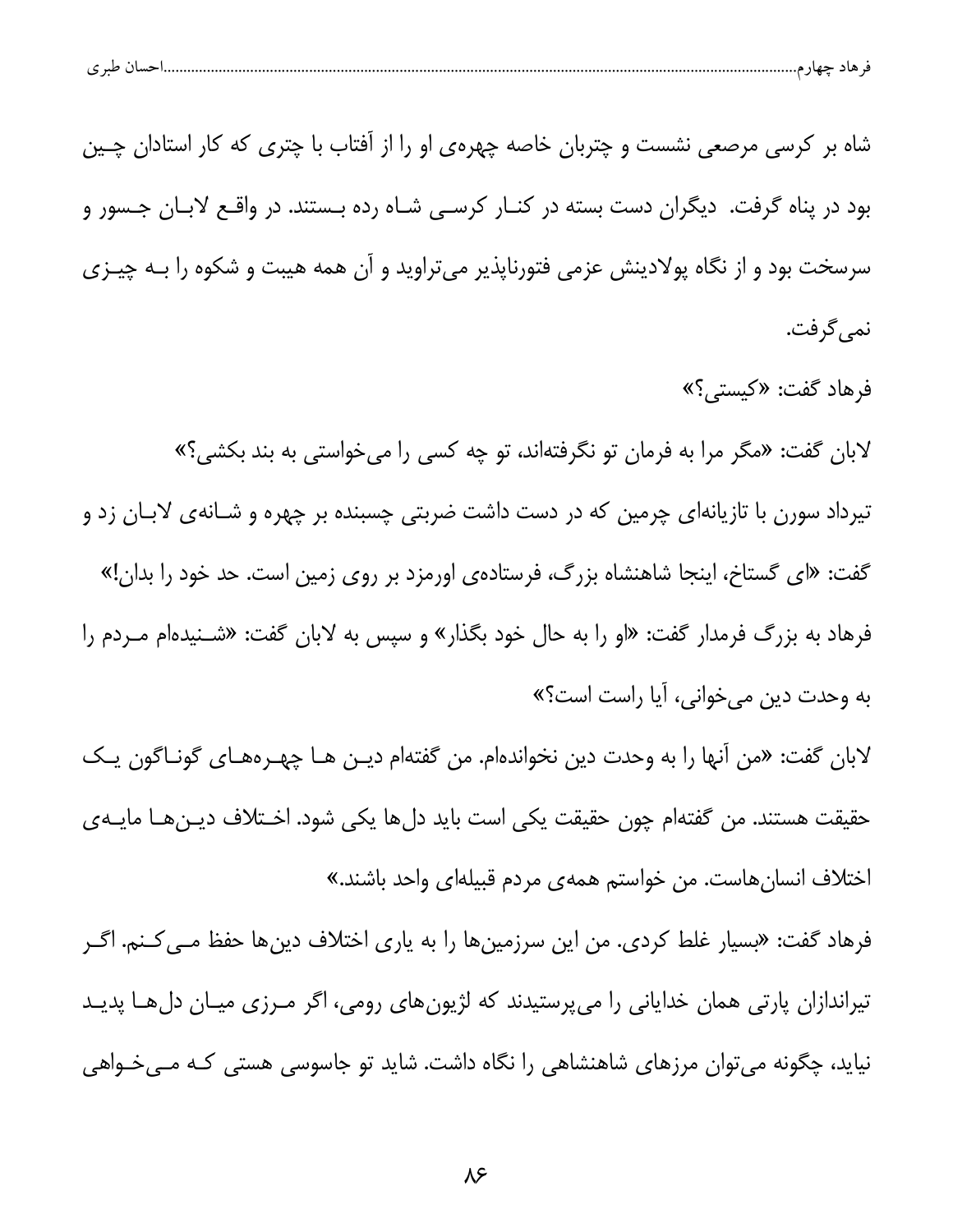| — . | حسال طبر ی |  |  |
|-----|------------|--|--|
|     |            |  |  |

شاه بر کرسی مرصعی نشست و چتربان خاصه چهرهی او را از آفتاب با چتری که کار استادان چـین بود در یناه گرفت. دیگران دست بسته در کنـار کرسـی شـاه رده بـستند. در واقـع لابـان جـسور و سرسخت بود و از نگاه پولادینش عزمی فتورناپذیر میتراوید و آن همه هیبت و شکوه را بـه چیـزی نمي گرفت.

فرهاد گفت: «کیستی؟» لابان گفت: «مگر مرا به فرمان تو نگرفتهاند، تو چه کسی را میخواستی به بند بکشی؟» تیرداد سورن با تازیانهای چرمین که در دست داشت ضربتی چسبنده بر چهره و شـانهی لابـان زد و گفت: «ای گستاخ، اینجا شاهنشاه بزرگ، فرستادهی اورمزد بر روی زمین است. حد خود را بدان!» فرهاد به بزرگ فرمدار گفت: «او را به حال خود بگذار» و سپس به لابان گفت: «شــنیدهام مــردم را به وحدت دین میخوانی، آیا راست است؟»

لابان گفت: «من آنها را به وحدت دین نخواندهام. من گفتهام دیـن هـا چهـرههـای گونــاگون یـک حقيقت هستند. من گفتهام چون حقيقت يكي است بايد دلها يكي شود. اخـتلاف ديـنهــا مايــهى اختلاف انسانِهاست. من خواستم همهى مردم قبيلهاى واحد باشند.»

فرهاد گفت: «بسیار غلط کردی. من این سرزمینها را به یاری اختلاف دینها حفظ م*ـی کـ*نم. اگـر تیراندازان پارتی همان خدایانی را میپرستیدند که لژیونهای رومی، اگر مـرزی میـان دلهـا پدیـد نیاید، چگونه می توان مرزهای شاهنشاهی را نگاه داشت. شاید تو جاسوسی هستی کـه مــیخـواهی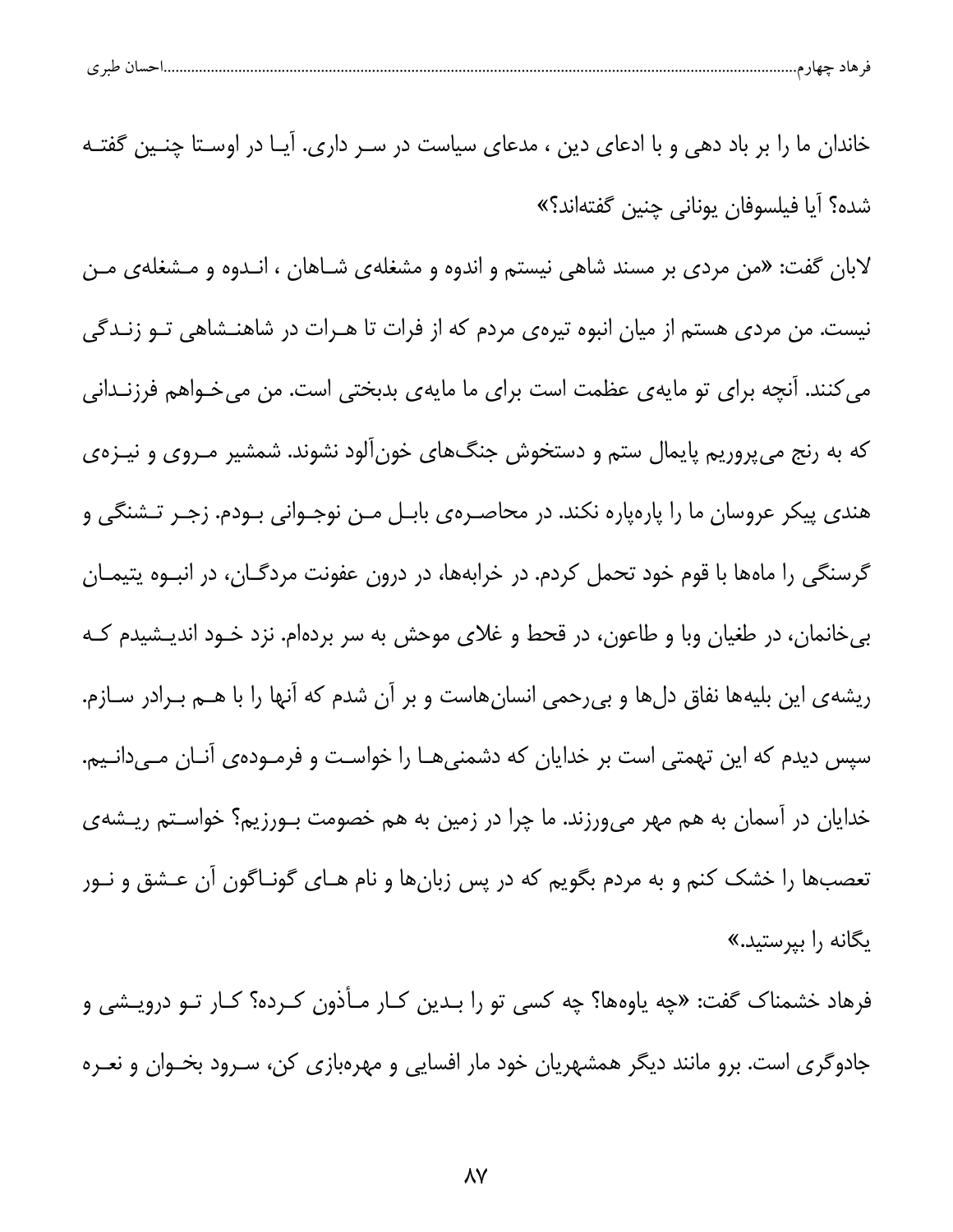| $\sim$ $\sim$<br>ີ |  |  |
|--------------------|--|--|
|--------------------|--|--|

خاندان ما را بر باد دهی و با ادعای دین ، مدعای سیاست در سـر داری. آیـا در اوسـتا چنـین گفتـه شده؟ آيا فيلسوفان يوناني چنين گفتهاند؟» لابان گفت: «من مردی بر مسند شاهی نیستم و اندوه و مشغلهی شـاهان ، انـدوه و مـشغلهی مـن نیست. من مردی هستم از میان انبوه تیرهی مردم که از فرات تا هـرات در شاهنـشاهی تـو زنـدگی می کنند. آنچه برای تو مایهی عظمت است برای ما مایهی بدبختی است. من میخـواهم فرزنـدانی که به رنج میپروریم پایمال ستم و دستخوش جنگهای خونآلود نشوند. شمشیر مـروی و نیـزهی هندي پيکر عروسان ما را پارهپاره نکند. در محاصـرهي بابـل مـن نوجـواني بـودم. زجـر تـشنگي و گرسنگی را ماهها با قوم خود تحمل کردم. در خرابهها، در درون عفونت مردگـان، در انبـوه يتيمـان بی خانمان، در طغیان وبا و طاعون، در قحط و غلای موحش به سر بردهام. نزد خــود اندیــشیدم کــه ریشهی این بلیهها نفاق دلها و بیرحمی انسانهاست و بر آن شدم که آنها را با هــم بــرادر ســازم. سپس دیدم که این تهمتی است بر خدایان که دشمنیهـا را خواسـت و فرمـودهی آنـان مـیدانـیم. خدایان در آسمان به هم مهر می<code>ورزند. ما چرا در زمین به هم خصومت بـورزیم؟ خواسـتم ریــشهی</code> تعصبها را خشک کنم و به مردم بگویم که در پس زبانها و نام هـای گونـاگون آن عـشق و نـور یگانه را بپرستید.»

فرهاد خشمناک گفت: «چه یاوهها؟ چه کسی تو را بـدین کـار مـأذون کـرده؟ کـار تــو درویــشی و جادوگری است. برو مانند دیگر همشهریان خود مار افسایی و مهرهبازی کن، سـرود بخـوان و نعـره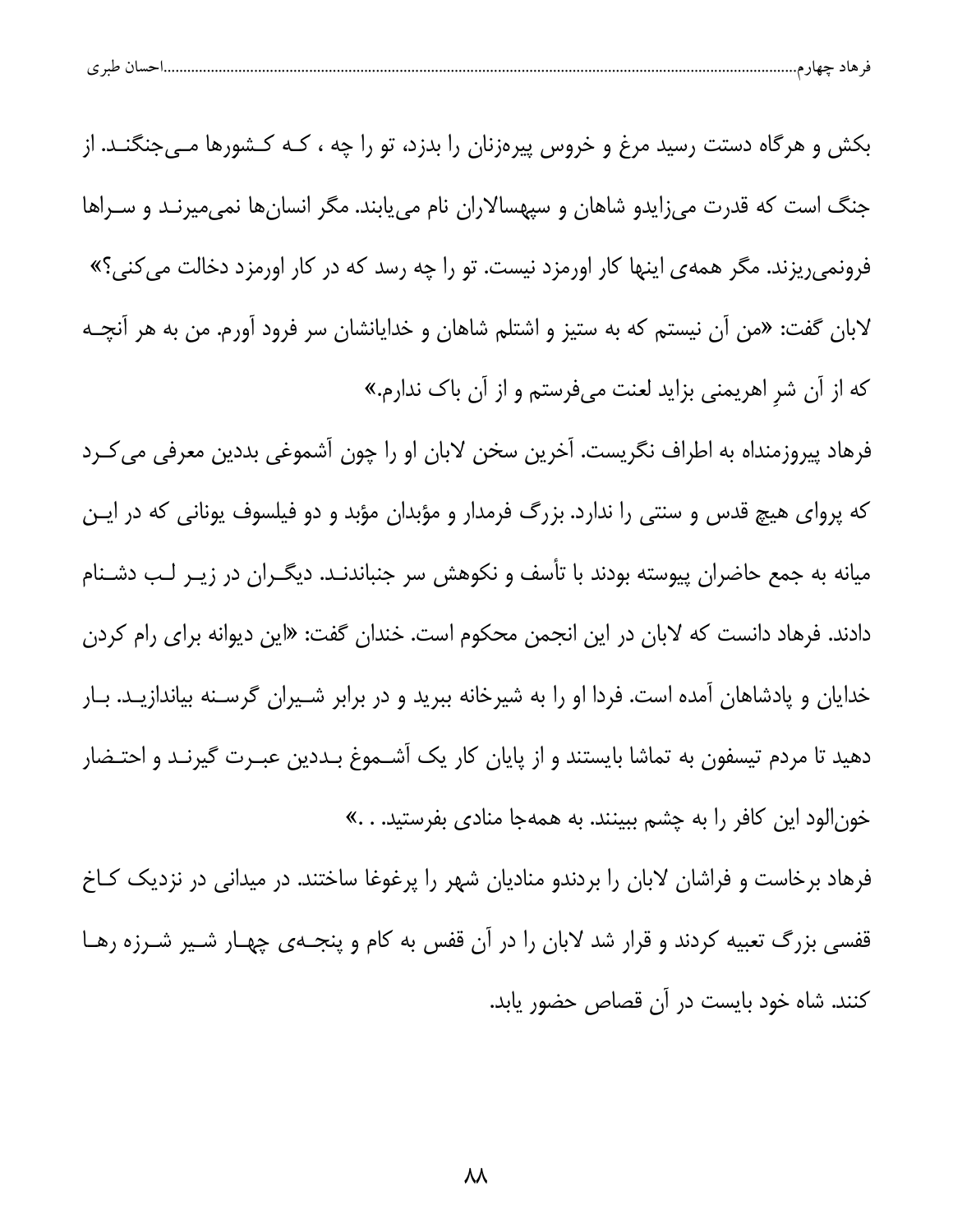| ້ |
|---|
|---|

بکش و هرگاه دستت رسید مرغ و خروس پیرهزنان را بدزد، تو را چه ، کـه کـشورها مـیجنگنـد. از جنگ است که قدرت می;ایدو شاهان و سپهسالاران نام می،یابند. مگر انسان ها نمی،میرنـد و سـراها فرونمی ریزند. مگر همهی اینها کار اورمزد نیست. تو را چه رسد که در کار اورمزد دخالت می کنی؟» لابان گفت: «من آن نیستم که به ستیز و اشتلم شاهان و خدایانشان سر فرود آورم. من به هر آنچـه که از آن شر اهریمنی بزاید لعنت میفرستم و از آن باک ندارم.»

فرهاد پیروزمنداه به اطراف نگریست. آخرین سخن لابان او را چون آشموغی بددین معرفی می کـرد که پروای هیچ قدس و سنتی را ندارد. بزرگ فرمدار و مؤبدان مؤبد و دو فیلسوف یونانی که در ایـن میانه به جمع حاضران پیوسته بودند با تأسف و نکوهش سر جنباندنـد. دیگـران در زیـر لـب دشـنام دادند. فرهاد دانست که لابان در این انجمن محکوم است. خندان گفت: «این دیوانه برای رام کردن خدایان و پادشاهان آمده است. فردا او را به شیرخانه ببرید و در برابر شـیران گرسـنه بیاندازیـد. بـار دهید تا مردم تیسفون به تماشا بایستند و از پایان کار یک آشــموغ بــددین عبــرت گیرنــد و احتــضار خونالود این کافر را به چشم ببینند. به همهجا مناد*ی* بفرستید. . .»

فرهاد برخاست و فراشان لابان را بردندو منادیان شهر را پرغوغا ساختند. در میدانی در نزدیک کـاخ قفسی بزرگ تعبیه کردند و قرار شد لابان را در آن قفس به کام و پنجـهی چهـار شـیر شـرزه رهـا کنند. شاه خود بایست در آن قصاص حضور یابد.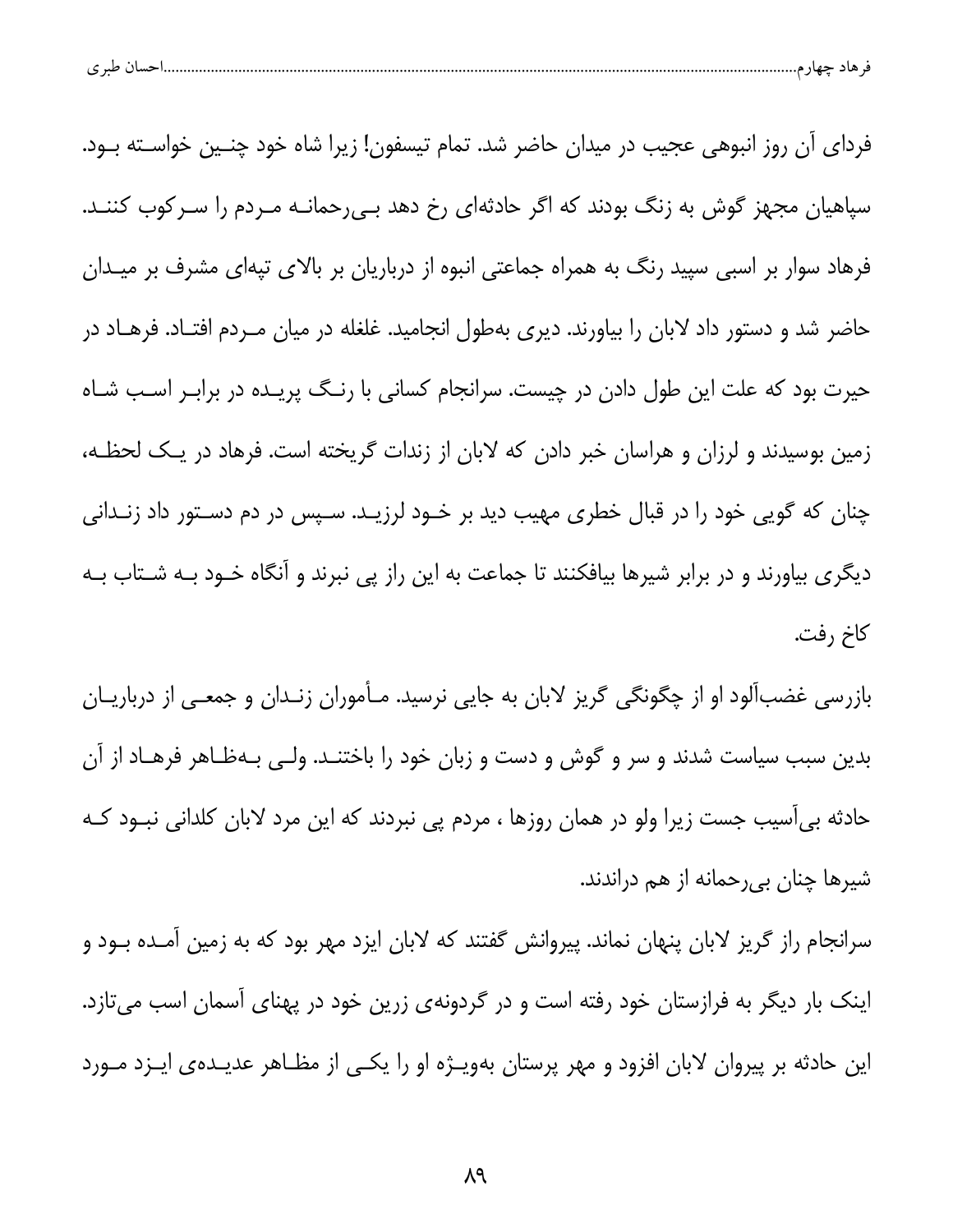|  | $\sim$<br>້ |  |  |  |  |
|--|-------------|--|--|--|--|
|--|-------------|--|--|--|--|

فردای آن روز انبوهی عجیب در میدان حاضر شد. تمام تیسفون! زیرا شاه خود چنـین خواسـته بـود. سپاهیان مجهز گوش به زنگ بودند که اگر حادثهای رخ دهد بـیرحمانـه مـردم را سـرکوب کننـد. فرهاد سوار بر اسبی سپید رنگ به همراه جماعتی انبوه از درباریان بر بالای تپهای مشرف بر میـدان حاضر شد و دستور داد لابان را بیاورند. دیری بهطول انجامید. غلغله در میان مـردم افتـاد. فرهـاد در حیرت بود که علت این طول دادن در چیست. سرانجام کسانی با رنـگ پریـده در برابـر اسـب شـاه زمین بوسیدند و لرزان و هراسان خبر دادن که لابان از زندات گریخته است. فرهاد در یک لحظـه، چنان که گویی خود را در قبال خطری مهیب دید بر خــود لرزیــد. ســپس در دم دســتور داد زنــدانی دیگری بیاورند و در برابر شیرها بیافکنند تا جماعت به این راز پی نبرند و آنگاه خــود بــه شــتاب بــه كاخ رفت.

بازرسی غضبآلود او از چگونگی گریز لابان به جایی نرسید. مـأموران زنـدان و جمعـی از درباریـان بدین سبب سیاست شدند و سر و گوش و دست و زبان خود را باختنــد. ولــی بــهظـاهر فرهــاد از آن حادثه بی[سیب جست زیرا ولو در همان روزها ، مردم پی نبردند که این مرد لابان کلدانی نبــود کــه شیرها چنان بیرحمانه از هم دراندند.

سرانجام راز گریز لابان پنهان نماند. پیروانش گفتند که لابان ایزد مهر بود که به زمین آمـده بــود و اینک بار دیگر به فرازستان خود رفته است و در گردونهی زرین خود در پهنای آسمان اسب میتازد. این حادثه بر پیروان لابان افزود و مهر پرستان بهویـژه او را یکـی از مظـاهر عدیـدهی ایـزد مـورد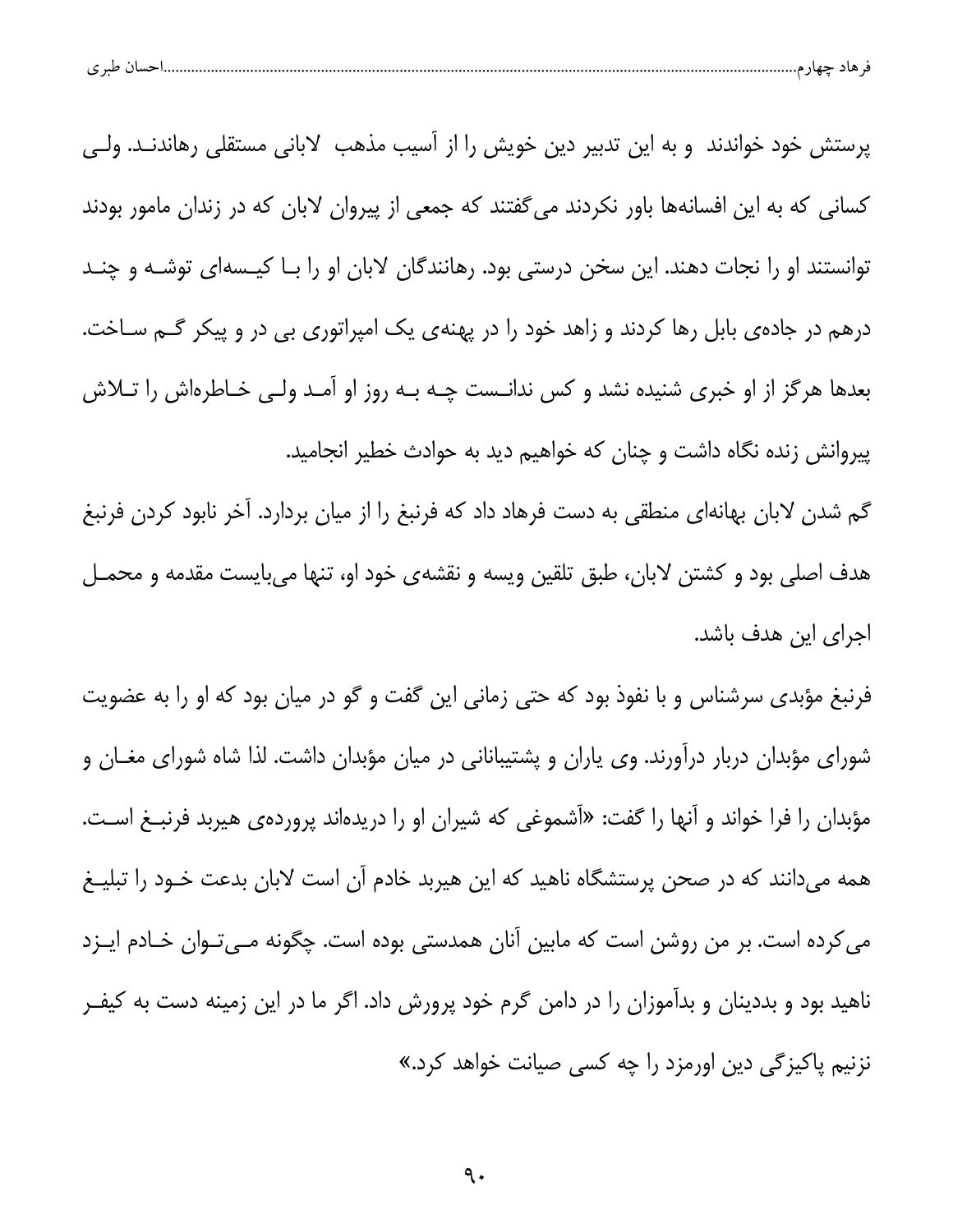|  | $\sim$<br>نسب<br>້ |  |  |  |  |
|--|--------------------|--|--|--|--|
|--|--------------------|--|--|--|--|

پرستش خود خواندند و به این تدبیر دین خویش را از آسیب مذهب لابانی مستقلی رهاندنــد. ولــی کسانی که به این افسانهها باور نکردند می گفتند که جمعی از پیروان لابان که در زندان مامور بودند توانستند او را نجات دهند. این سخن درستی بود. رهانندگان لابان او را بـا کیــسهای توشــه و چنــد درهم در جاده ی بابل رها کردند و زاهد خود را در پهنهی یک امپراتوری بی در و پیکر گـم سـاخت. بعدها هرگز از او خبری شنیده نشد و کس ندانـست چـه بـه روز او آمـد ولـی خـاطرهاش را تــلاش پیروانش زنده نگاه داشت و چنان که خواهیم دید به حوادث خطیر انجامید.

گم شدن لابان بهانهای منطقی به دست فرهاد داد که فرنبغ را از میان بردارد. آخر نابود کردن فرنبغ هدف اصلی بود و کشتن لابان، طبق تلقین ویسه و نقشهی خود او، تنها میبایست مقدمه و محمـل اجرا*ی* این هدف باشد.

فرنبغ مؤبدی سرشناس و با نفوذ بود که حتی زمانی این گفت و گو در میان بود که او را به عضویت شورای مؤبدان دربار درآورند. وی یاران و پشتیبانانی در میان مؤبدان داشت. لذا شاه شورای مغــان و مؤبدان را فرا خواند و آنها را گفت: «آشموغی که شیران او را دریدهاند پروردهی هیربد فرنبـغ اسـت. همه میدانند که در صحن پرستشگاه ناهید که این هیربد خادم آن است لابان بدعت خــود را تبلیــغ می کرده است. بر من روشن است که مابین آنان همدستی بوده است. چگونه مـیتوان خـادم ایـزد ناهید بود و بددینان و بدآموزان را در دامن گرم خود پرورش داد. اگر ما در این زمینه دست به کیفـر نزنیم پاکیز *گی* دین اورمزد را چه کسی صیانت خواهد کرد.»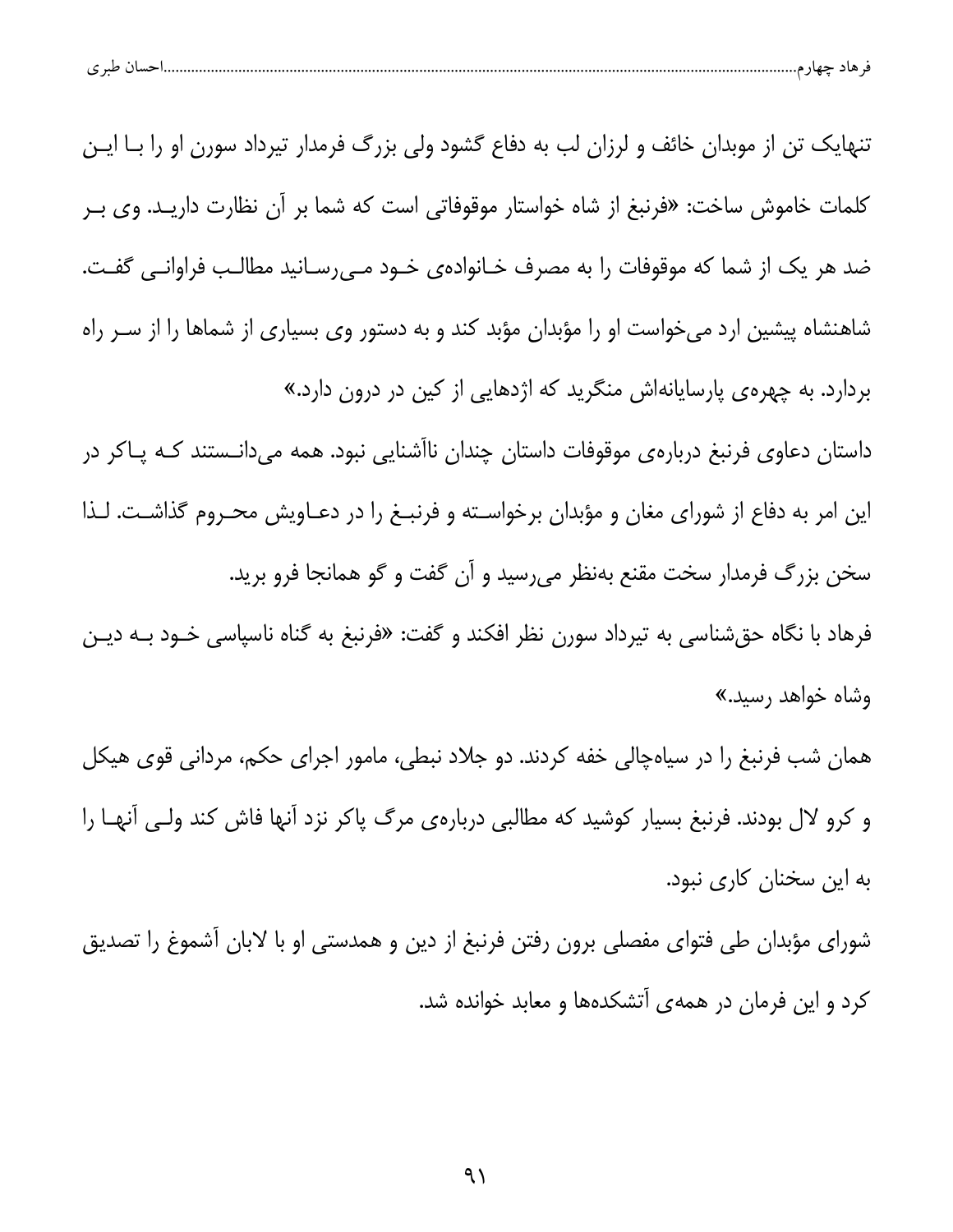| طبہ م<br>ີ | حساد | $-$ |  |
|------------|------|-----|--|
|            |      |     |  |

تنهایک تن از موبدان خائف و لرزان لب به دفاع گشود ولی بزرگ فرمدار تیرداد سورن او را بـا ایـن كلمات خاموش ساخت: «فرنبغ از شاه خواستار موقوفاتی است كه شما بر آن نظارت داریـد. وی بـر ضد هر یک از شما که موقوفات را به مصرف خـانوادهی خـود مـیرسـانید مطالـب فراوانـی گفـت. شاهنشاه پیشین ارد می خواست او را مؤبدان مؤبد کند و به دستور وی بسیاری از شماها را از سـر راه بردارد. به چهرهی پارسایانهاش منگرید که اژدهایی از کین در درون دارد.»

داستان دعاوی فرنبغ دربارهی موقوفات داستان چندان ناآشنایی نبود. همه میدانـستند کـه پـاکر در این امر به دفاع از شورای مغان و مؤبدان برخواسته و فرنبـغ را در دعـاویش محـروم گذاشـت. لـذا سخن بزرگ فرمدار سخت مقنع بهنظر میرسید و آن گفت و گو همانجا فرو برید. فرهاد با نگاه حقشناسی به تیرداد سورن نظر افکند و گفت: «فرنبغ به گناه ناسپاسی خـود بــه دیــن وشاه خواهد رسید.»

همان شب فرنبغ را در سیاهچالی خفه کردند. دو جلاد نبطی، مامور اجرای حکم، مردانی قوی هیکل و کرو لال بودند. فرنبغ بسیار کوشید که مطالبی دربارهی مرگ پاکر نزد آنها فاش کند ولـی آنهـا را به این سخنان کاری نبود.

شورای مؤبدان طی فتوای مفصلی برون رفتن فرنبغ از دین و همدستی او با لابان آشموغ را تصدیق کرد و این فرمان در همهی آتشکدهها و معابد خوانده شد.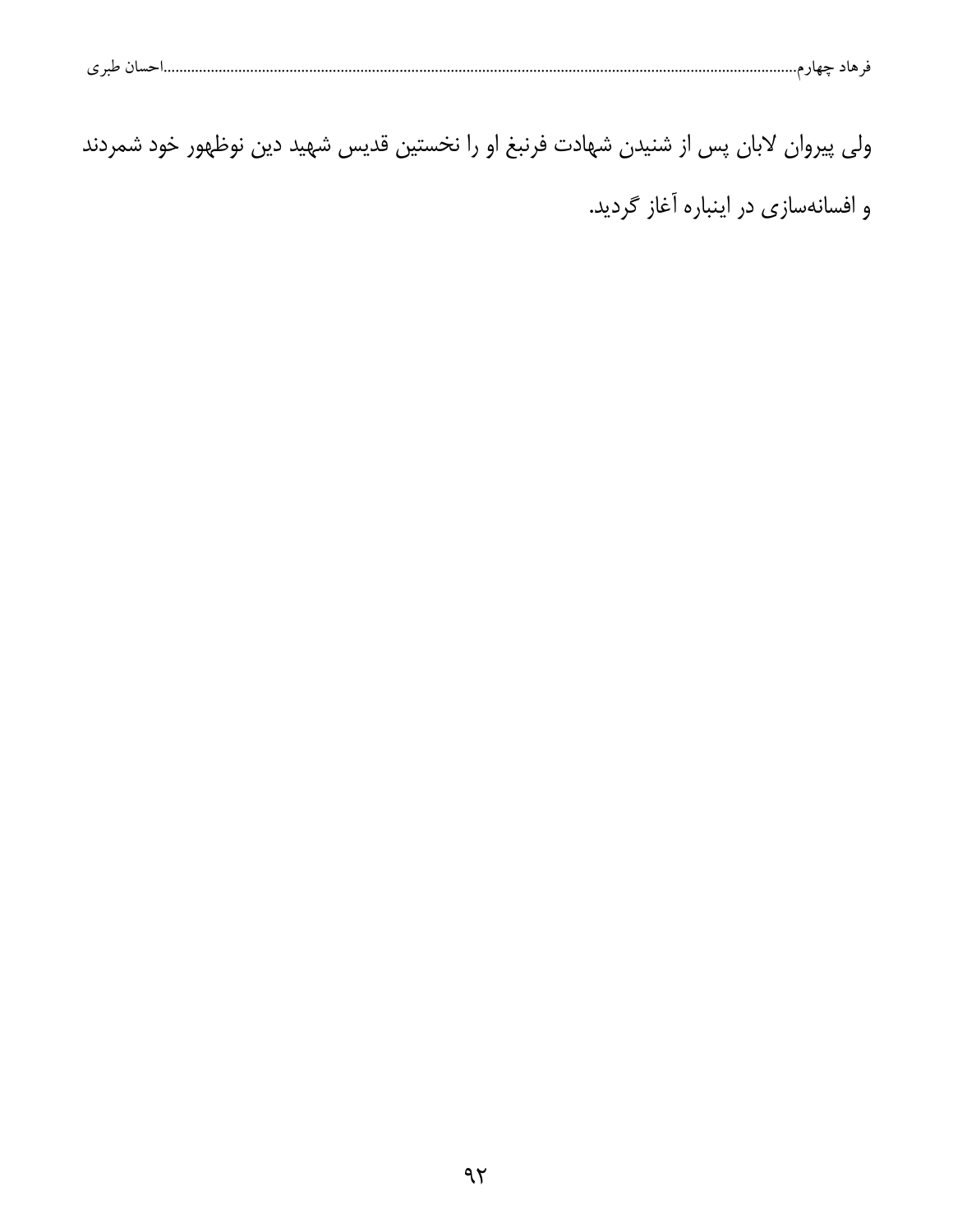| ۱۱ طبی تار<br>ے |  |  |
|-----------------|--|--|
|                 |  |  |

ولی پیروان لابان پس از شنیدن شهادت فرنبغ او را نخستین قدیس شهید دین نوظهور خود شمردند و افسانهسازی در اینباره آغاز گردید.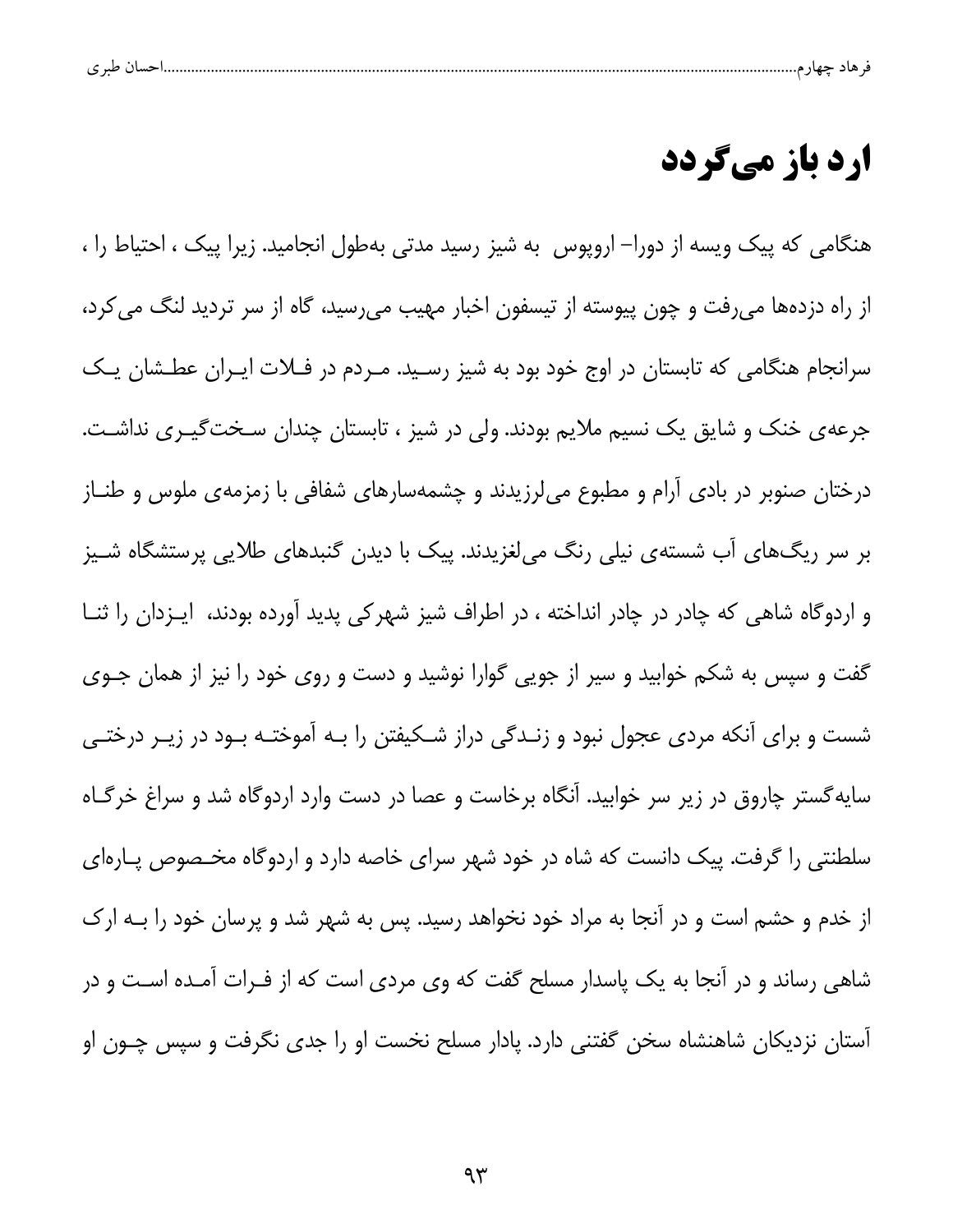| ت | $\cdot$ . Moreover, $\sim$ |  |  |  |
|---|----------------------------|--|--|--|
|   |                            |  |  |  |

## **ارد باز میگردد**

هنگامی که پیک ویسه از دورا– اروپوس به شیز رسید مدتی بهطول انجامید. زیرا پیک ، احتیاط را ، از راه دزدهها میرفت و چون پیوسته از تیسفون اخبار مهیب میرسید، گاه از سر تردید لنگ می کرد، سرانجام هنگامی که تابستان در اوج خود بود به شیز رسـید. مـردم در فـلات ایـران عطـشان یـک جرعهی خنک و شایق یک نسیم ملایم بودند. ولی در شیز ، تابستان چندان سـختگیــری نداشـت. درختان صنوبر در بادی آرام و مطبوع میلرزیدند و چشمهسارهای شفافی با زمزمهی ملوس و طنــاز بر سر ریگهای آب شستهی نیلی رنگ میلغزیدند. پیک با دیدن گنبدهای طلایی پرستشگاه شـیز و اردوگاه شاهی که چادر در چادر انداخته ، در اطراف شیز شهرکی پدید آورده بودند، ایـزدان را ثنـا گفت و سپس به شکم خوابید و سیر از جویی گوارا نوشید و دست و روی خود را نیز از همان جـوی شست و برای آنکه مردی عجول نبود و زنـدگی دراز شـکیفتن را بـه آموختـه بـود در زیـر درختـی سایهگستر چاروق در زیر سر خوابید. آنگاه برخاست و عصا در دست وارد اردوگاه شد و سراغ خرگـاه سلطنتی را گرفت. پیک دانست که شاه در خود شهر سرای خاصه دارد و اردوگاه مخـصوص پـارهای از خدم و حشم است و در آنجا به مراد خود نخواهد رسید. پس به شهر شد و پرسان خود را بـه ارک شاهی رساند و در آنجا به یک پاسدار مسلح گفت که وی مردی است که از فـرات آمـده اسـت و در آستان نزدیکان شاهنشاه سخن گفتنی دارد. پادار مسلح نخست او را جدی نگرفت و سپس چـون او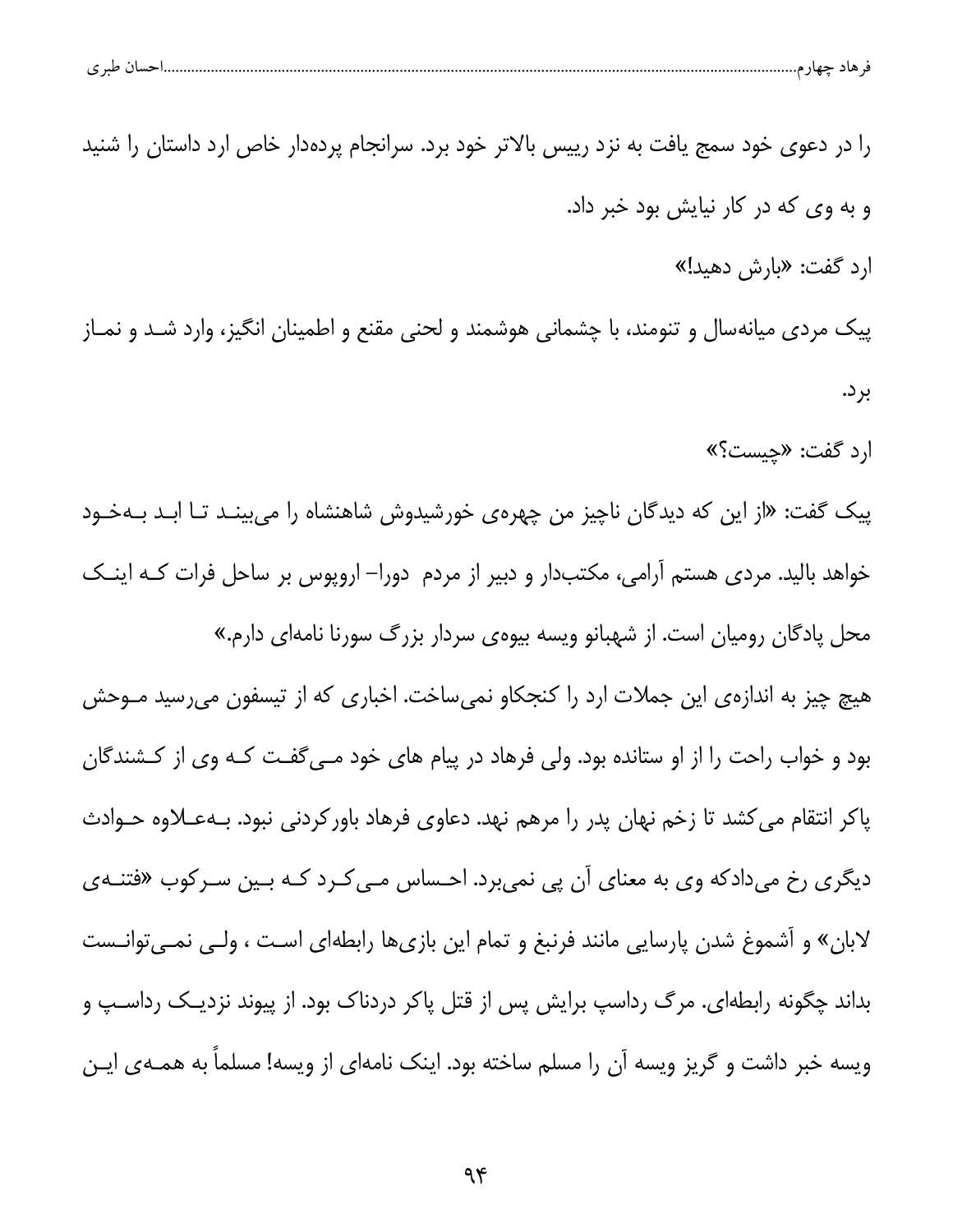| ں طبر ی | صىبا (<br>۔ ماد حیا؛ م<br>┱ |  |
|---------|-----------------------------|--|
|         |                             |  |

را در دعوی خود سمج یافت به نزد رییس بالاتر خود برد. سرانجام پردهدار خاص ارد داستان را شنید و به وي كه در كار نيايش بود خبر داد. ارد گفت: «بارش دهید!» پيک مردي ميانهسال و تنومند، با چشماني هوشمند و لحني مقنع و اطمينان انگيز، وارد شــد و نمــاز بر د. ارد گفت: «چیست؟» پیک گفت: «از این که دیدگان ناچیز من چهرهی خورشیدوش شاهنشاه را میبینـد تـا ابـد بــهخـود خواهد بالید. مردی هستم آرامی، مکتبدار و دبیر از مردم دورا– اروپوس بر ساحل فرات کـه اینــک محل پادگان رومیان است. از شهبانو ویسه بیوهی سردار بزرگ سورنا نامهای دارم.» هیچ چیز به اندازهی این جملات ارد را کنجکاو نمی ساخت. اخباری که از تیسفون می رسید مــوحش بود و خواب راحت را از او ستانده بود. ولی فرهاد در پیام های خود مـی5فـت کـه وی از کـشندگان پاکر انتقام می کشد تا زخم نهان پدر را مرهم نهد. دعاوی فرهاد باورکردنی نبود. بـهعــلاوه حــوادث دیگری رخ میدادکه وی به معنای آن پی نمیبرد. احساس مـی کـرد کـه بـین سـرکوب «فتنــهی لابان» و آشموغ شدن پارسایی مانند فرنبغ و تمام این بازیها رابطهای است ، ولـی نمـی توانـست بداند چگونه رابطهای. مرگ رداسپ برایش پس از قتل پاکر دردناک بود. از پیوند نزدیــک رداســپ و ویسه خبر داشت و گریز ویسه آن را مسلم ساخته بود. اینک نامهای از ویسه! مسلماً به همـهی ایـن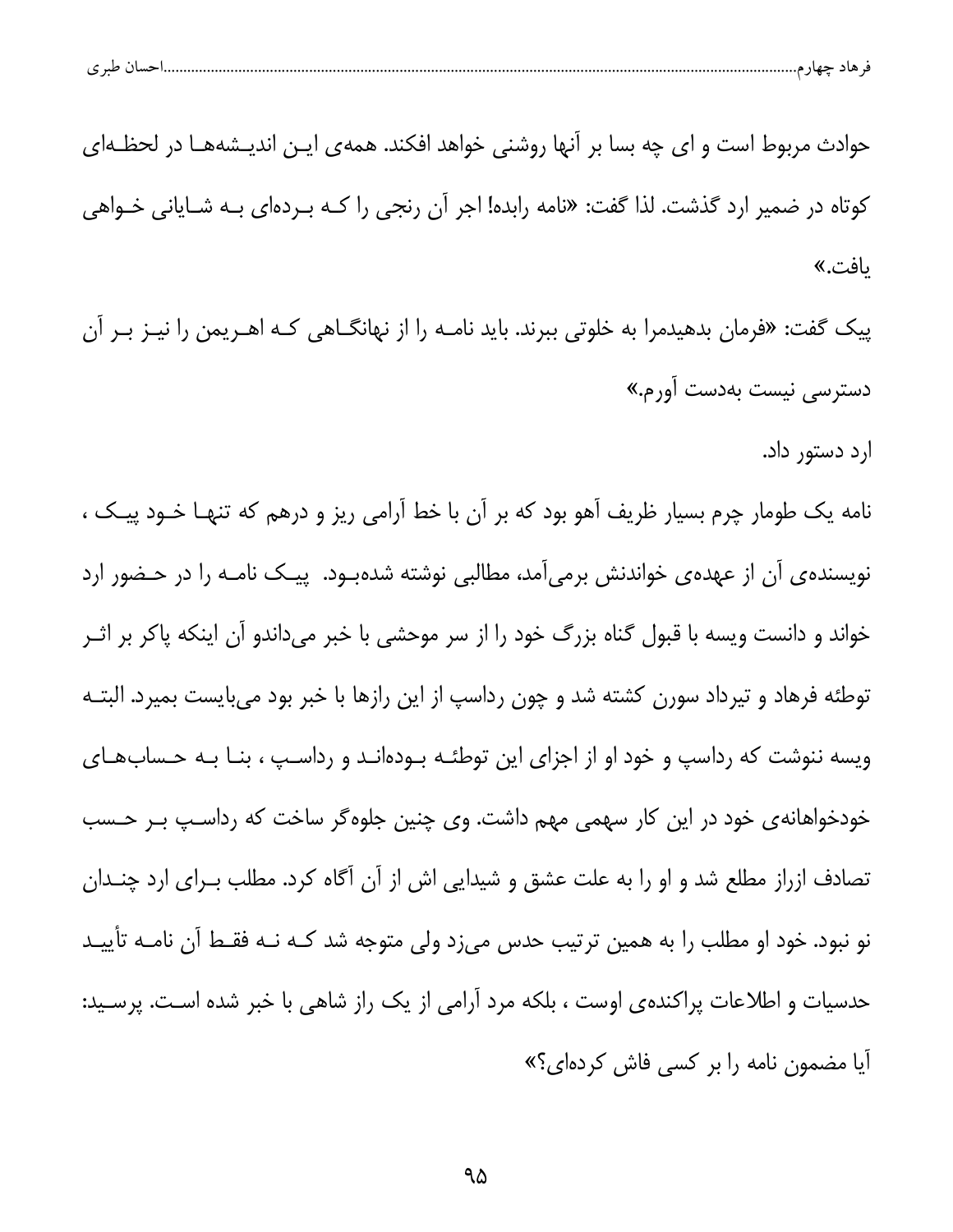| احساں طبر ی |  |  |
|-------------|--|--|
|             |  |  |

حوادث مربوط است و ای چه بسا بر آنها روشنی خواهد افکند. همهی ایـن اندیـشههـا در لحظـهای کوتاه در ضمیر ارد گذشت. لذا گفت: «نامه رابده! اجر آن رنجی را کــه بــردهای بــه شــایانی خــواهی ىافت.»

پیک گفت: «فرمان بدهیدمرا به خلوتی ببرند. باید نامـه را از نهانگــاهی کـه اهــریمن را نیــز بــر آن دسترس*ی* نیست بهدست آورم.»

ارد دستور داد.

نامه یک طومار چرم بسیار ظریف آهو بود که بر آن با خط آرامی ریز و درهم که تنهـا خــود پیــک ، نویسنده ی آن از عهده ی خواندنش برمیآمد، مطالبی نوشته شدهبـود. پیـک نامـه را در حـضور ارد خواند و دانست ویسه با قبول گناه بزرگ خود را از سر موحشی با خبر میداندو آن اینکه پاکر بر اثــر توطئه فرهاد و تیرداد سورن کشته شد و چون رداسپ از این رازها با خبر بود میبایست بمیرد. البتـه ویسه ننوشت که رداسپ و خود او از اجزای این توطئــه بــودهانــد و رداســپ ، بنــا بــه حــسابـهــای خودخواهانه ی خود در این کار سهمی مهم داشت. وی چنین جلوه گر ساخت که رداسـپ بـر حـسب تصادف ازراز مطلع شد و او را به علت عشق و شیدایی اش از آن آگاه کرد. مطلب بـرای ارد چنـدان نو نبود. خود او مطلب را به همین ترتیب حدس میزد ولی متوجه شد کـه نـه فقـط آن نامـه تأییـد حدسیات و اطلاعات پراکندهی اوست ، بلکه مرد آرامی از یک راز شاهی با خبر شده است. پرسـید: آیا مضمون نامه را بر کسی فاش کردهای؟»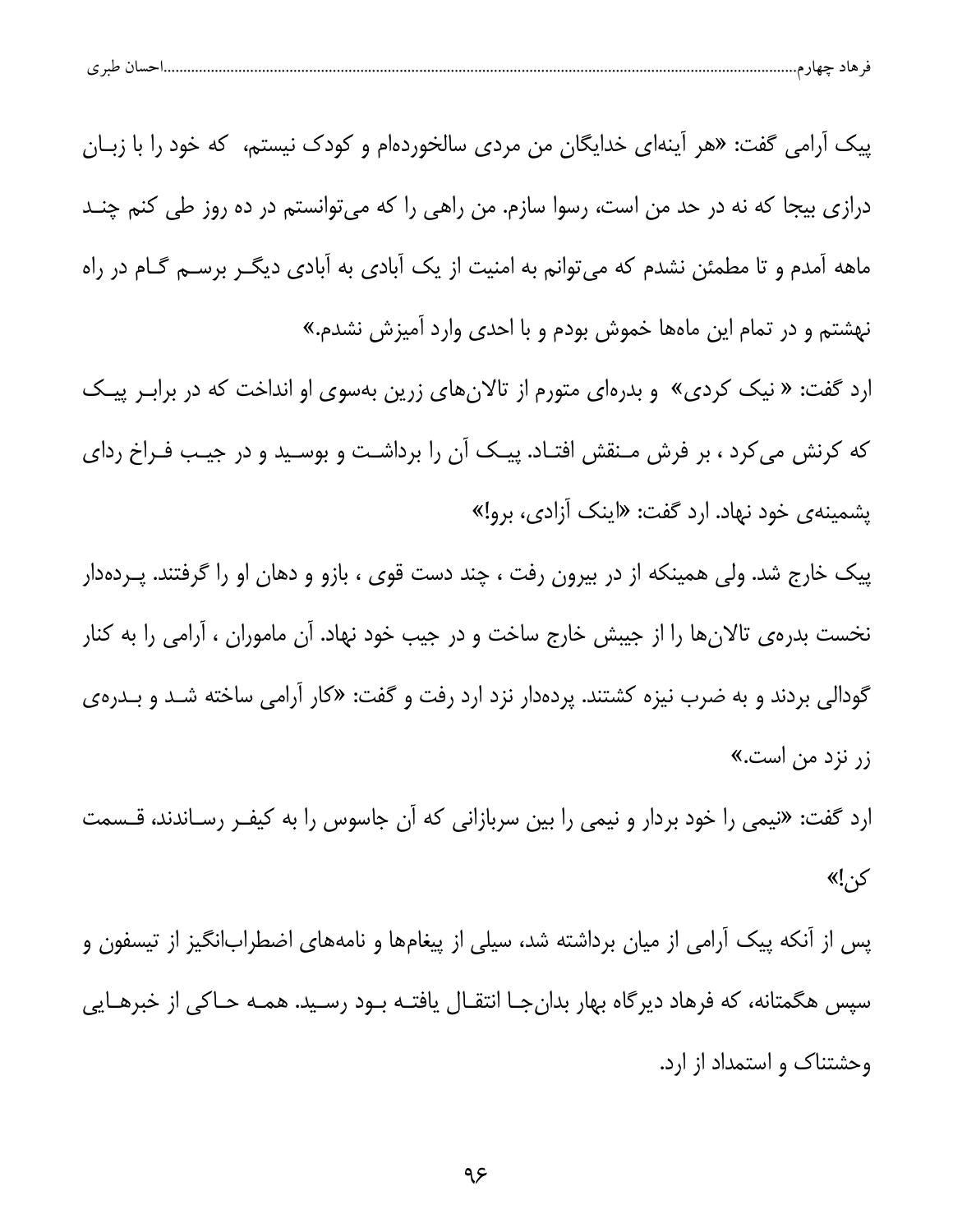|  | $\sim$<br>هاد حهاز م<br>تسب ا<br>ີ |  | $\mathbf{H}$ |  |  |
|--|------------------------------------|--|--------------|--|--|
|--|------------------------------------|--|--------------|--|--|

پیک آرامی گفت: «هر آینهای خدایگان من مردی سالخوردهام و کودک نیستم، که خود را با زبـان درازی بیجا که نه در حد من است، رسوا سازم. من راهی را که می توانستم در ده روز طی کنم چنــد ماهه آمدم و تا مطمئن نشدم که می توانم به امنیت از یک آبادی به آبادی دیگ ربرسه گـام در راه نهشتم و در تمام این ماهها خموش بودم و با احدی وارد آمیزش نشدم.»

ارد گفت: « نیک کردی» و بدرهای متورم از تالانهای زرین بهسوی او انداخت که در برابـر پیـک که کرنش می کرد ، بر فرش مـنقش افتـاد. پیـک آن را برداشـت و بوسـید و در جیـب فـراخ ردای پشمینهی خود نهاد. ارد گفت: «اینک آزادی، برو!»

پیک خارج شد. ولی همینکه از در بیرون رفت ، چند دست قوی ، بازو و دهان او را گرفتند. پـردهدار نخست بدره ی تالانها را از جیبش خارج ساخت و در جیب خود نهاد. آن ماموران ، آرامی را به کنار گودالی بردند و به ضرب نیزه کشتند. پردهدار نزد ارد رفت و گفت: «کار آرامی ساخته شـد و بـدرهی زر نزد من است.»

ارد گفت: «نیمی را خود بردار و نیمی را بین سربازانی که آن جاسوس را به کیفـر رسـاندند، قــسمت کن!»

پس از آنکه پیک آرامی از میان برداشته شد، سیلی از پیغامها و نامههای اضطرابانگیز از تیسفون و سپس هگمتانه، که فرهاد دیرگاه بهار بدان جـا انتقــال یافتــه بــود رســید. همــه حــاکی از خبرهــایی وحشتناک و استمداد از ارد.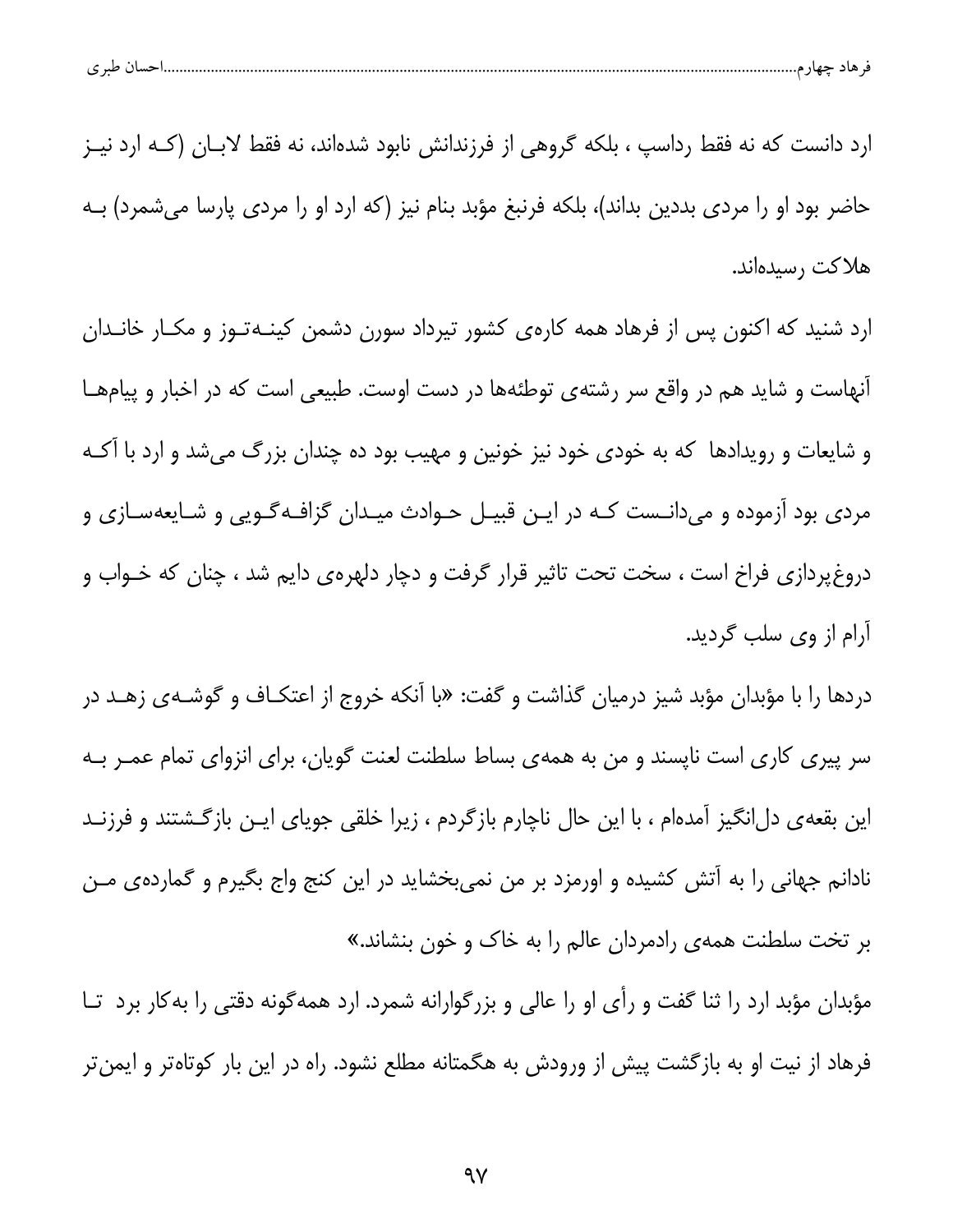| طبری | . حسا( ۰ | $\cdots$ | حصاد | میں |  |
|------|----------|----------|------|-----|--|
|      |          |          |      |     |  |

ارد دانست که نه فقط رداسپ ، بلکه گروهی از فرزندانش نابود شدهاند، نه فقط لابــان (کــه ارد نيــز حاضر بود او را مردی بددین بداند)، بلکه فرنبغ مؤبد بنام نیز (که ارد او را مردی پارسا میشمرد) بــه هلاكت رسيدهاند.

ارد شنید که اکنون پس از فرهاد همه کارهی کشور تیرداد سورن دشمن کینـهتـوز و مکـار خانـدان آنهاست و شاید هم در واقع سر رشتهی توطئهها در دست اوست. طبیعی است که در اخبار و پیامهـا و شایعات و رویدادها که به خودی خود نیز خونین و مهیب بود ده چندان بزرگ میشد و ارد با آکـه مردی بود آزموده و میدانـست کـه در ایـن قبیـل حـوادث میـدان گزافـهگـویی و شـایعهسـازی و دروغ دازی فراخ است ، سخت تحت تاثیر قرار گرفت و دچار دلهره ی دایم شد ، چنان که خـواب و آرام از وی سلب گردید.

دردها را با مؤبدان مؤبد شیز درمیان گذاشت و گفت: «با آنکه خروج از اعتکـاف و گوشـهى زهـد در سر پیری کاری است ناپسند و من به همهی بساط سلطنت لعنت گویان، برای انزوای تمام عمـر بـه این بقعهی دل|نگیز آمدهام ، با این حال ناچارم بازگردم ، زیرا خلقی جویای ایــن بازگــشتند و فرزنــد نادانم جهانی را به آتش کشیده و اورمزد بر من نمیبخشاید در این کنج واج بگیرم و گمارده یمن بر تخت سلطنت همهی رادمردان عالم را به خاک و خون بنشاند.»

مؤبدان مؤبد ارد را ثنا گفت و رأى او را عالى و بزرگوارانه شمرد. ارد همهگونه دقتى را به كار برد تــا فرهاد از نیت او به بازگشت پیش از ورودش به هگمتانه مطلع نشود. راه در این بار کوتاهتر و ایمنتر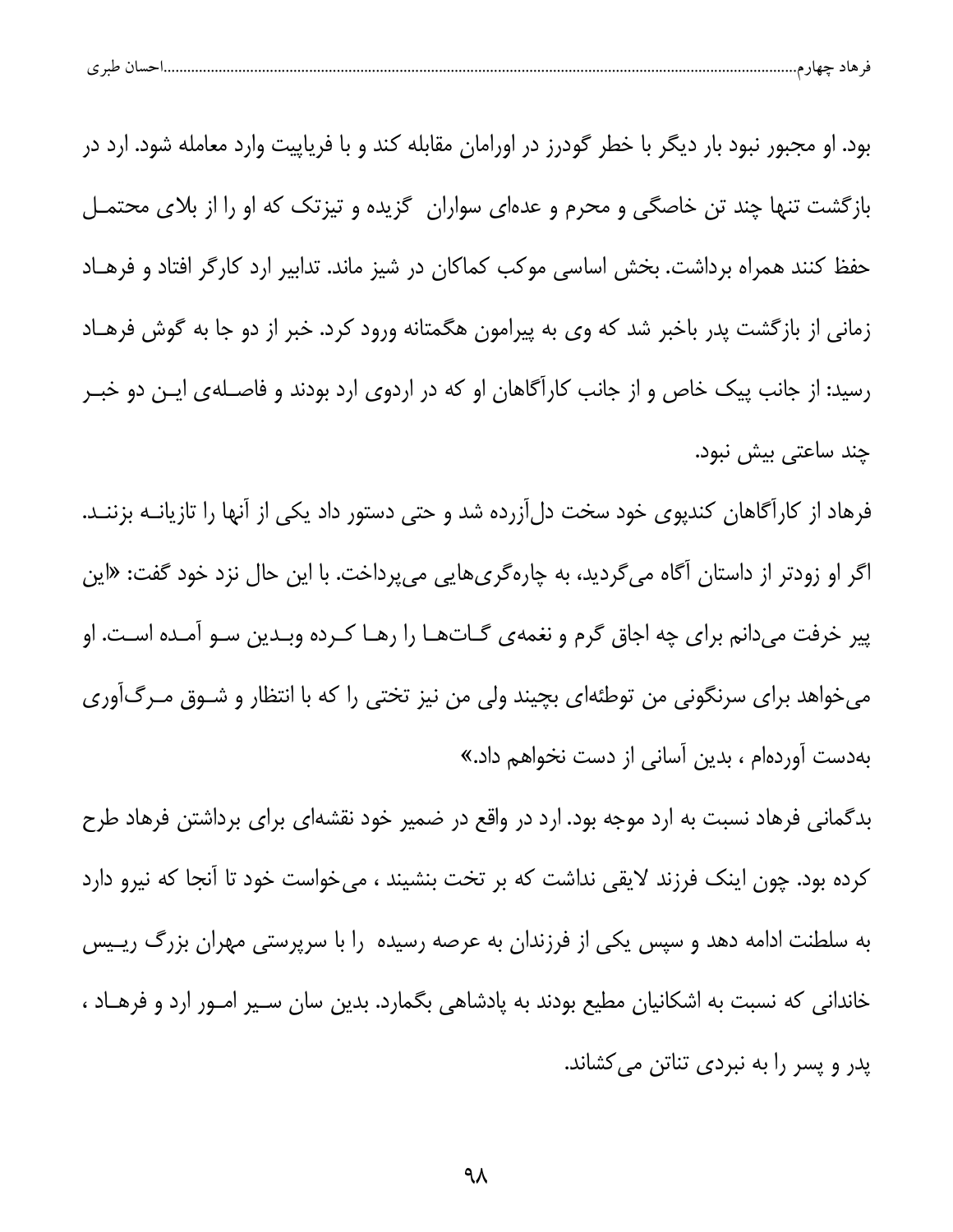|--|--|--|

بود. او مجبور نبود بار دیگر با خطر گودرز در اورامان مقابله کند و با فریاپیت وارد معامله شود. ارد در بازگشت تنها چند تن خاصگی و محرم و عدهای سواران گزیده و تیزتک که او را از بلای محتمـل حفظ کنند همراه برداشت. بخش اساسی موکب کماکان در شیز ماند. تدابیر ارد کارگر افتاد و فرهـاد زمانی از بازگشت پدر باخبر شد که وی به پیرامون هگمتانه ورود کرد. خبر از دو جا به گوش فرهـاد رسید: از جانب پیک خاص و از جانب کارآگاهان او که در اردوی ارد بودند و فاصـلهی ایـن دو خبـر چند ساعتی بیش نبود.

فرهاد از کارآگاهان کندپوی خود سخت دلآزرده شد و حتی دستور داد یکی از آنها را تازیانـه بزننـد. اگر او زودتر از داستان آگاه میگردید، به چارهگریهایی میپرداخت. با این حال نزد خود گفت: «این پیر خرفت میدانم برای چه اجاق گرم و نغمهی گــاتهــا را رهــا کــرده وبــدین ســو آمــده اســت. او میخواهد برای سرنگونی من توطئهای بچیند ولی من نیز تختی را که با انتظار و شـوق مـرگ[وری بهدست آوردهام ، بدین آسانی از دست نخواهم داد.»

بدگمانی فرهاد نسبت به ارد موجه بود. ارد در واقع در ضمیر خود نقشهای برای برداشتن فرهاد طرح كرده بود. چون اينك فرزند لايقى نداشت كه بر تخت بنشيند ، مىخواست خود تا آنجا كه نيرو دارد به سلطنت ادامه دهد و سپس یکی از فرزندان به عرصه رسیده را با سرپرستی مهران بزرگ ریــیس خاندانی که نسبت به اشکانیان مطیع بودند به پادشاهی بگمارد. بدین سان سـیر امـور ارد و فرهـاد ، پدر و پسر را به نبردی تناتن می کشاند.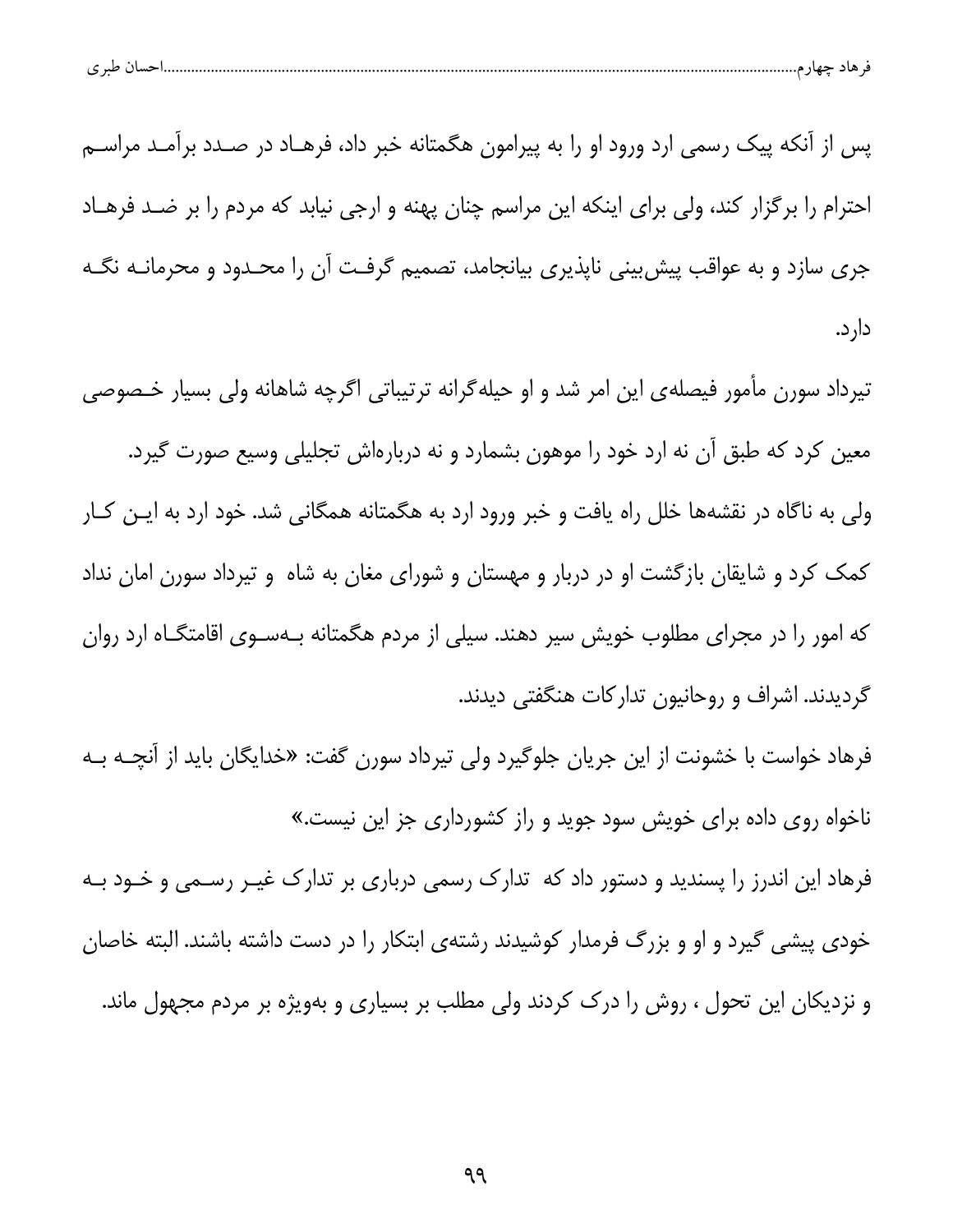|  | $\sim$<br>هاد حهاز م<br>تسب ا<br>ີ |  | $\mathbf{H}$ |  |  |
|--|------------------------------------|--|--------------|--|--|
|--|------------------------------------|--|--------------|--|--|

پس از آنکه پیک رسمی ارد ورود او را به پیرامون هگمتانه خبر داد، فرهـاد در صـدد برآمـد مراسـم احترام را برگزار کند، ولی برای اینکه این مراسم چنان پهنه و ارجی نیابد که مردم را بر ضـد فرهـاد جری سازد و به عواقب پیش بینی ناپذیری بیانجامد، تصمیم گرفت آن را محـدود و محرمانــه نگــه دار د.

تیرداد سورن مأمور فیصلهی این امر شد و او حیله گرانه ترتیباتی اگرچه شاهانه ولی بسیار خـصوصی معین کرد که طبق آن نه ارد خود را موهون بشمارد و نه دربارهاش تجلیلی وسیع صورت گیرد. ولی به ناگاه در نقشهها خلل راه یافت و خبر ورود ارد به هگمتانه همگانی شد. خود ارد به ایـن کـار کمک کرد و شایقان بازگشت او در دربار و مهستان و شورای مغان به شاه و تیرداد سورن امان نداد که امور را در مجرای مطلوب خویش سیر دهند. سیلی از مردم هگمتانه بـهسـوی اقامتگــاه ارد روان گردیدند. اشراف و روحانیون تدارکات هنگفتی دیدند.

فرهاد خواست با خشونت از این جریان جلوگیرد ولی تیرداد سورن گفت: «خدایگان باید از آنچـه بـه ناخواه روی داده برای خویش سود جوید و راز کشورداری جز این نیست.»

فرهاد این اندرز را پسندید و دستور داد که تدارک رسمی درباری بر تدارک غیــر رســمی و خــود بــه خودی پیشی گیرد و او و بزرگ فرمدار کوشیدند رشتهی ابتکار را در دست داشته باشند. البته خاصان و نزدیکان این تحول ، روش را درک کردند ولی مطلب بر بسیاری و بهویژه بر مردم مجهول ماند.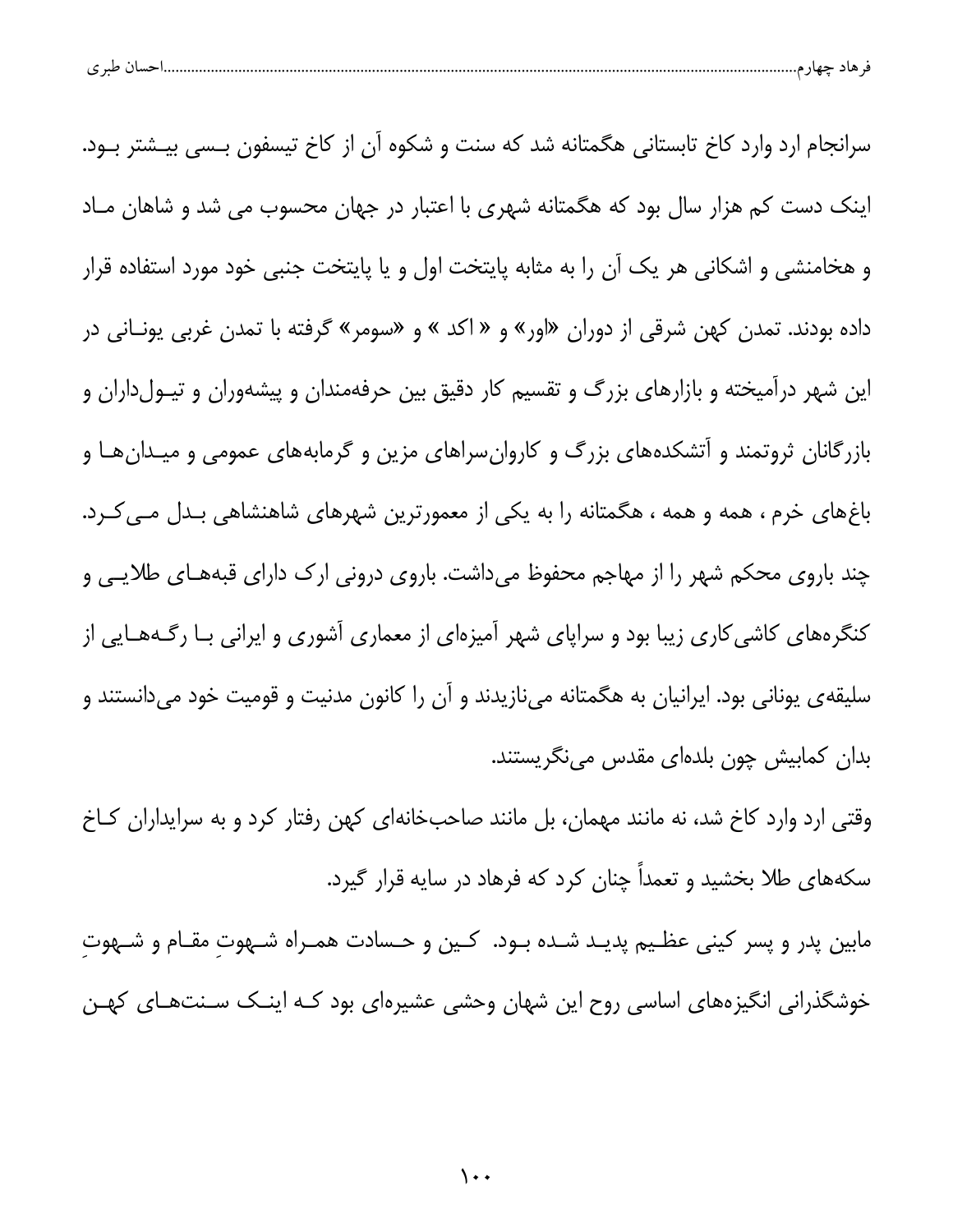سرانجام ارد وارد کاخ تابستانی هگمتانه شد که سنت و شکوه آن از کاخ تیسفون بـسی بیـشتر بـود. اینک دست کم هزار سال بود که هگمتانه شهری با اعتبار در جهان محسوب می شد و شاهان مـاد و هخامنشی و اشکانی هر یک آن را به مثابه پایتخت اول و یا پایتخت جنبی خود مورد استفاده قرار داده بودند. تمدن کهن شرقی از دوران «اور» و « اکد » و «سومر» گرفته با تمدن غربی یونـانی در این شهر درآمیخته و بازارهای بزرگ و تقسیم کار دقیق بین حرفهمندان و پیشهوران و تیـولداران و بازرگانان ثروتمند و آتشکدههای بزرگ و کاروان سراهای مزین و گرمابههای عمومی و میـدانهـا و باغهای خرم ، همه و همه ، هگمتانه را به یکی از معمورترین شهرهای شاهنشاهی بـدل مـی کـرد. چند باروی محکم شهر را از مهاجم محفوظ میداشت. باروی درونی ارک دارای قبههـای طلایـی و کنگرههای کاشی کاری زیبا بود و سراپای شهر آمیزهای از معماری آشوری و ایرانی بـا رگـههـایی از سلیقه ی یونانی بود. ایرانیان به هگمتانه مینازیدند و آن را کانون مدنیت و قومیت خود میدانستند و بدان كمابيش چون بلدهای مقدس مینگریستند.

وقتی ارد وارد کاخ شد، نه مانند مهمان، بل مانند صاحبخانهای کهن رفتار کرد و به سرایداران کاخ سکههای طلا بخشید و تعمداً چنان کرد که فرهاد در سایه قرار گیرد.

مابين پدر و پسر كينى عظـيم پديـد شـده بـود. كـين و حـسادت همـراه شـهوتِ مقـام و شـهوتِ خوشگذرانی انگیزههای اساسی روح این شهان وحشی عشیرهای بود کـه اینــک سـنتهــای کهــن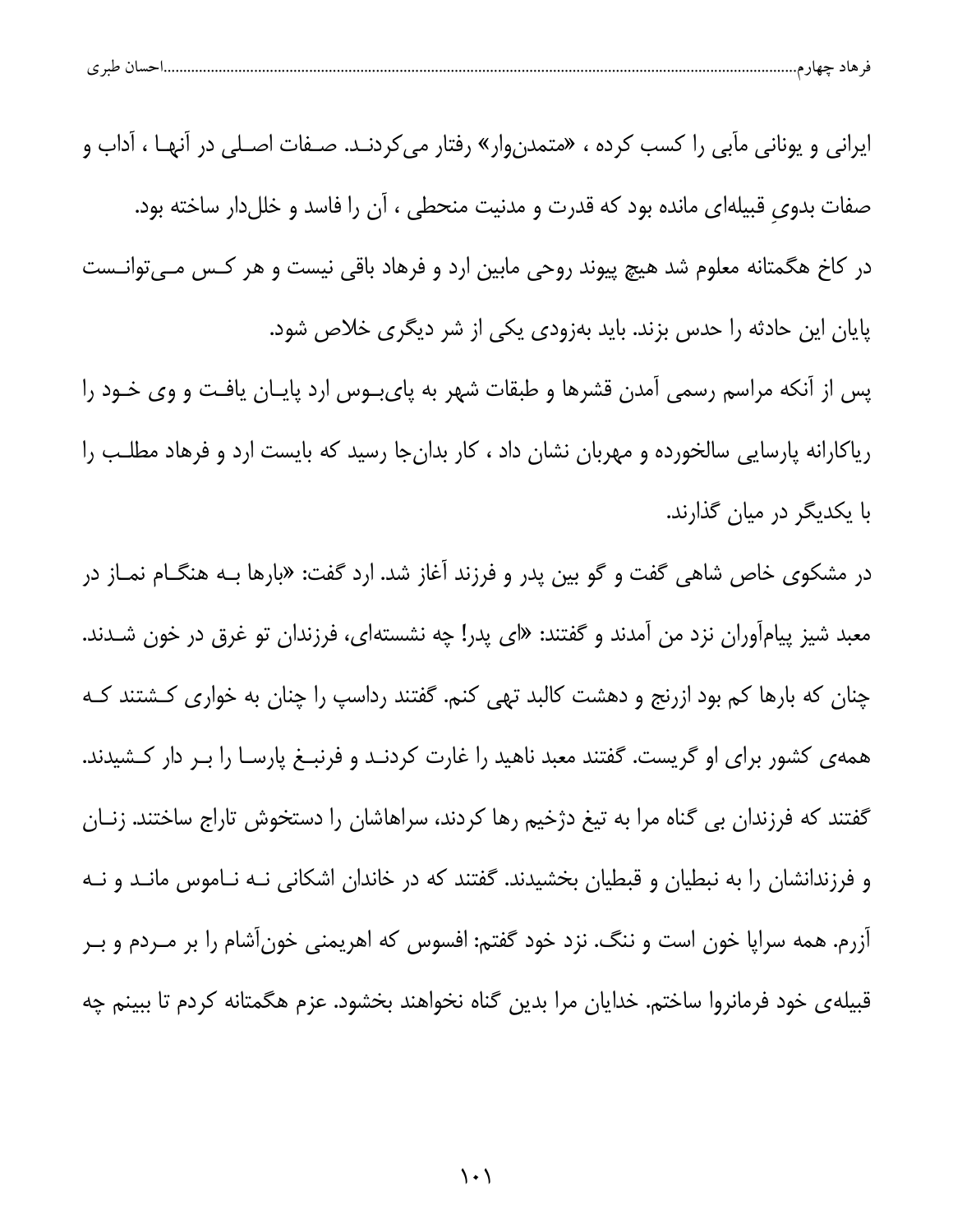| $\sim$ 10<br>پ |
|----------------|
|----------------|

ایرانی و یونانی مآبی را کسب کرده ، «متمدنوار» رفتار میکردنـد. صـفات اصـلی در آنهـا ، آداب و صفات بدوی قبیلهای مانده بود که قدرت و مدنیت منحطی ، آن را فاسد و خللدار ساخته بود. در کاخ هگمتانه معلوم شد هیچ پیوند روحی مابین ارد و فرهاد باقی نیست و هر کـس مـیتوانـست پایان این حادثه را حدس بزند. باید بهزودی یکی از شر دیگری خلاص شود. پس از آنکه مراسم رسمی آمدن قشرها و طبقات شهر به پای بوس ارد پایان یافت و وی خـود را ریاکارانه پارسایی سالخورده و مهربان نشان داد ، کار بدان جا رسید که بایست ارد و فرهاد مطلب را

```
با یکدیگر در میان گذارند.
```
در مشکوی خاص شاهی گفت و گو بین پدر و فرزند آغاز شد. ارد گفت: «بارها بـه هنگــام نمــاز در معبد شیز پیامآوران نزد من آمدند و گفتند: «ای پدر! چه نشستهای، فرزندان تو غرق در خون شـدند. چنان که بارها کم بود ازرنج و دهشت کالبد تهی کنم. گفتند رداسپ را چنان به خواری کـشتند کـه همه ی کشور برای او گریست. گفتند معبد ناهید را غارت کردنـد و فرنبـغ پارسـا را بـر دار کـشیدند. گفتند که فرزندان بی گناه مرا به تیغ دژخیم رها کردند، سراهاشان را دستخوش تاراج ساختند. زنـان و فرزندانشان را به نبطیان و قبطیان بخشیدند. گفتند که در خاندان اشکانی نـه نـاموس مانـد و نـه آزرم. همه سراپا خون است و ننگ. نزد خود گفتم: افسوس که اهریمنی خونآشام را بر مــردم و بــر قبیلهی خود فرمانروا ساختم. خدایان مرا بدین گناه نخواهند بخشود. عزم هگمتانه کردم تا ببینم چه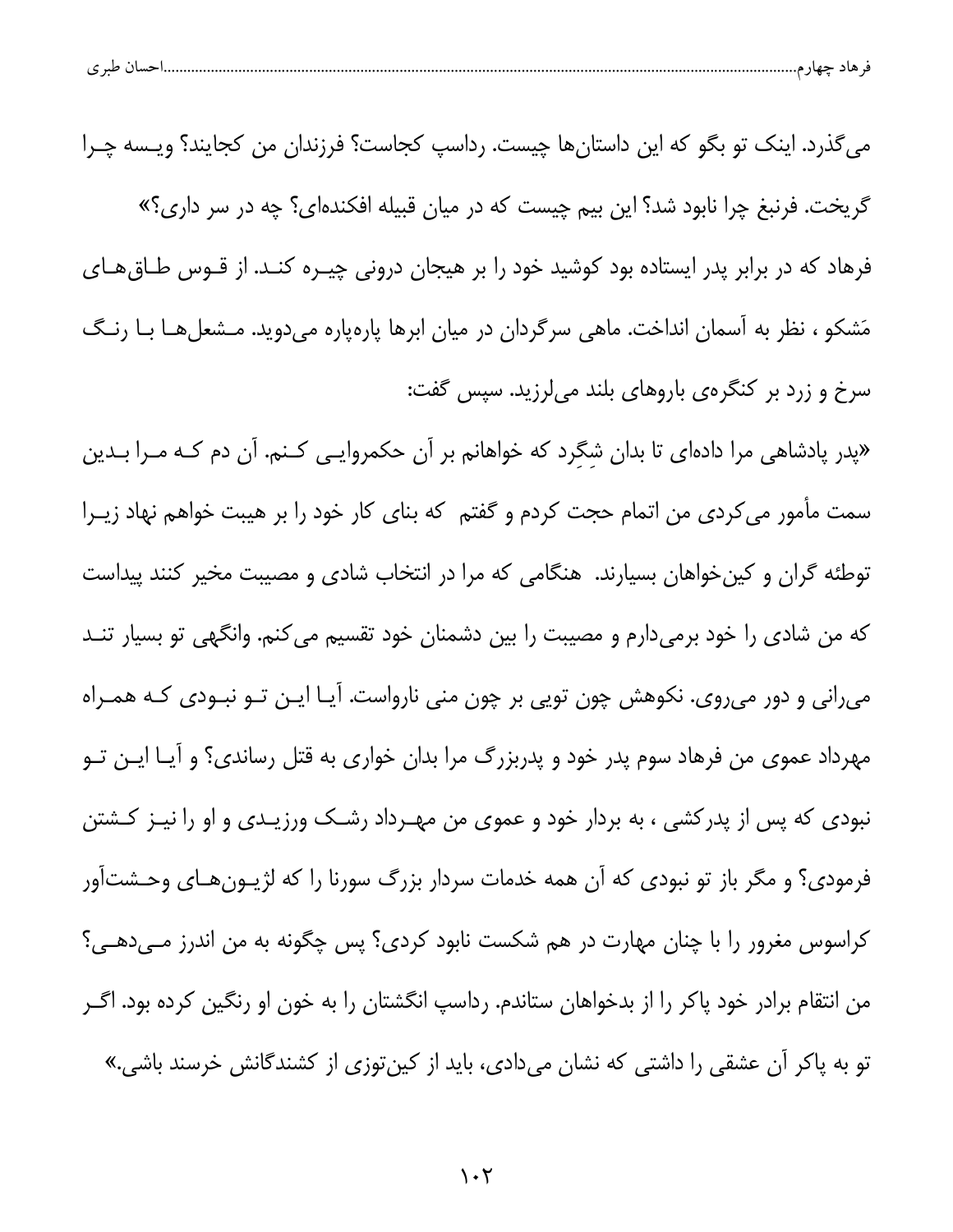|  | $\sim$<br>້ |  |  |  |  |
|--|-------------|--|--|--|--|
|--|-------------|--|--|--|--|

می گذرد. اینک تو بگو که این داستانها چیست. رداسپ کجاست؟ فرزندان من کجایند؟ ویـسه چـرا گریخت. فرنبغ چرا نابود شد؟ این بیم چیست که در میان قبیله افکندهای؟ چه در سر داری؟» فرهاد که در برابر پدر ایستاده بود کوشید خود را بر هیجان درونی چیـره کنـد. از قـوس طـاق&ـای مَشکو ، نظر به آسمان انداخت. ماهی سرگردان در میان ابرها پارهپاره میدوید. مـشعلهـا بـا رنـگ سرخ و زرد بر کنگرهی باروهای بلند میلرزید. سپس گفت:

«پدر پادشاهی مرا دادهای تا بدان شگرد که خواهانم بر آن حکمروایی کنم. آن دم کـه مـرا بـدین سمت مأمور می کردی من اتمام حجت کردم و گفتم که بنای کار خود را بر هیبت خواهم نهاد زیـرا توطئه گران و کین خواهان بسیارند. هنگامی که مرا در انتخاب شادی و مصیبت مخیر کنند پیداست که من شادی را خود برمیدارم و مصیبت را بین دشمنان خود تقسیم می کنم. وانگهی تو بسیار تنــد میرانی و دور میروی. نکوهش چون تویی بر چون منی نارواست. آیـا ایـن تـو نبـودی کـه همـراه مهرداد عموی من فرهاد سوم پدر خود و پدربزرگ مرا بدان خواری به قتل رساندی؟ و آیــا ایــن تــو نبودی که پس از پدرکشی ، به بردار خود و عموی من مهـرداد رشــک ورزیــدی و او را نیــز کــشتن فرمودی؟ و مگر باز تو نبودی که آن همه خدمات سردار بزرگ سورنا را که لژیــونِهـای وحـشتآور کراسوس مغرور را با چنان مهارت در هم شکست نابود کردی؟ پس چگونه به من اندرز مـیدهـی؟ من انتقام برادر خود پاکر را از بدخواهان ستاندم. رداسپ انگشتان را به خون او رنگین کرده بود. اگــر تو به پاکر آن عشقی را داشتی که نشان میدادی، باید از کینتوزی از کشندگانش خرسند باشی.»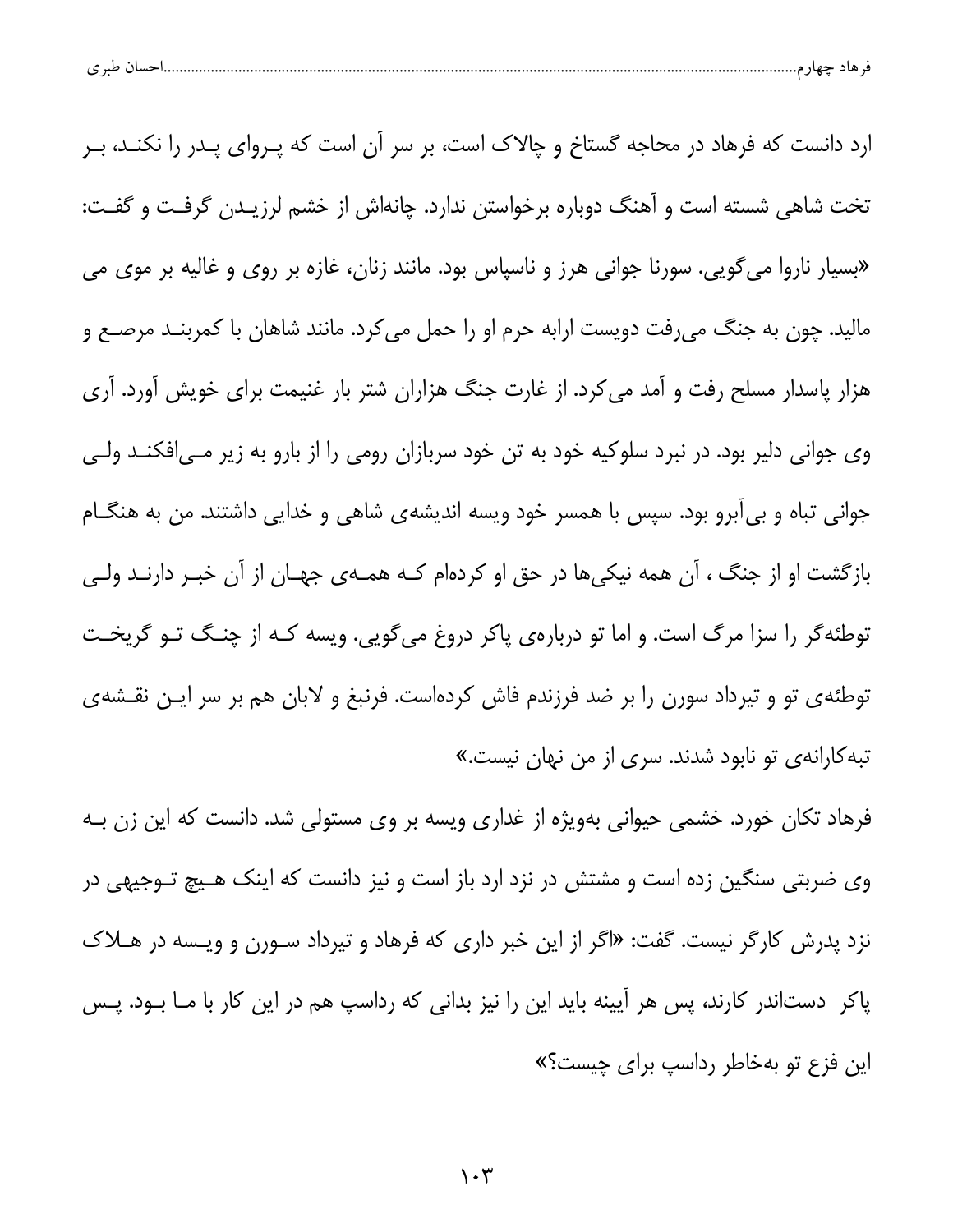| احسال طبري |  |  |  |
|------------|--|--|--|
|------------|--|--|--|

ارد دانست که فرهاد در محاجه گستاخ و چالاک است، بر سر آن است که پـروای پـدر را نکنـد، بـر تخت شاهی شسته است و آهنگ دوباره برخواستن ندارد. چانهاش از خشم لرزیـدن گرفـت و گفـت: «بسیار ناروا می گویی. سورنا جوانی هرز و ناسپاس بود. مانند زنان، غازه بر روی و غالیه بر موی می مالید. چون به جنگ میرفت دویست ارابه حرم او را حمل می کرد. مانند شاهان با کمربنـد مرصـع و هزار پاسدار مسلح رفت و آمد می کرد. از غارت جنگ هزاران شتر بار غنیمت برای خویش آورد. آری وی جوانی دلیر بود. در نبرد سلوکیه خود به تن خود سربازان رومی را از بارو به زیر مـی|فکنـد ولـی جوانی تباه و بیآبرو بود. سپس با همسر خود ویسه اندیشهی شاهی و خدایی داشتند. من به هنگـام بازگشت او از جنگ ، آن همه نیکیها در حق او کردهام کـه همـهی جهـان از آن خبـر دارنـد ولـی توطئه گر را سزا مرگ است. و اما تو دربارهی پاکر دروغ میگویی. ویسه کـه از چنـگ تـو گریخـت توطئهی تو و تیرداد سورن را بر ضد فرزندم فاش کردهاست. فرنبغ و لابان هم بر سر ایـن نقـشهی تبه کارانهی تو نابود شدند. سری از من نهان نیست.»

فرهاد تکان خورد. خشمی حیوانی بهویژه از غداری ویسه بر وی مستولی شد. دانست که این زن بـه وی ضربتی سنگین زده است و مشتش در نزد ارد باز است و نیز دانست که اینک هـیچ تـوجیهی در نزد پدرش کارگر نیست. گفت: «اگر از این خبر داری که فرهاد و تیرداد سـورن و ویـسه در هــلاک پاکر دستاندر کارند، پس هر آیینه باید این را نیز بدانی که رداسپ هم در این کار با مــا بــود. پــس این فزع تو بهخاطر رداسپ برای چیست؟»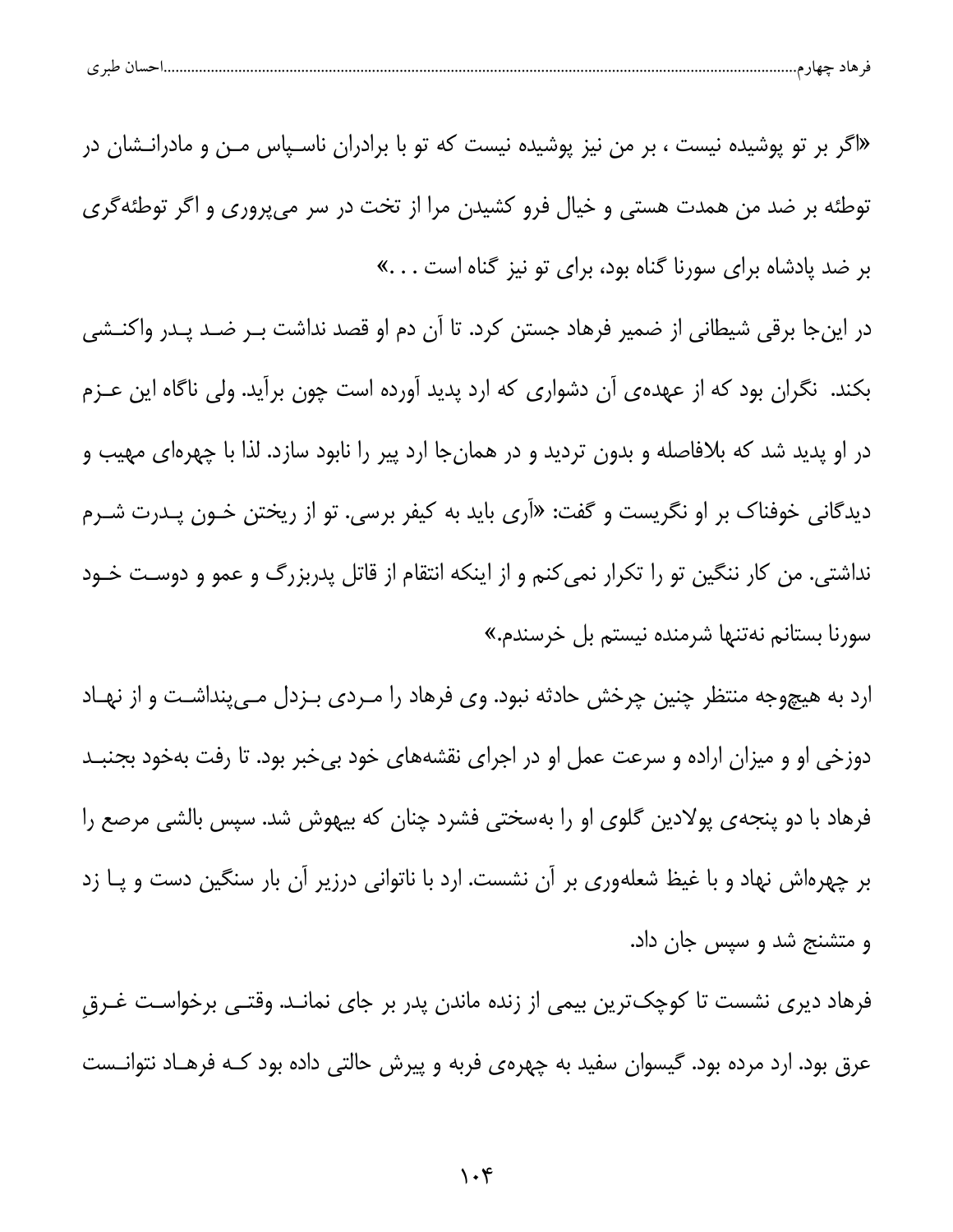| ້ |
|---|
|---|

«اگر بر تو پوشیده نیست ، بر من نیز پوشیده نیست که تو با برادران ناسـیاس مـن و مادرانــشان در توطئه بر ضد من همدت هستی و خیال فرو کشیدن مرا از تخت در سر می پروری و اگر توطئه گری بر ضد پادشاه برای سورنا گناه بود، برای تو نیز گناه است …»

در اینجا برقی شیطانی از ضمیر فرهاد جستن کرد. تا آن دم او قصد نداشت بـر ضـد پـدر واکنـشی بکند. نگران بود که از عهدهی آن دشواری که ارد پدید آورده است چون برآید. ولی ناگاه این عـزم در او پدید شد که بلافاصله و بدون تردید و در همانجا ارد پیر را نابود سازد. لذا با چهرهای مهیب و دیدگانی خوفناک بر او نگریست و گفت: «آری باید به کیفر برسی. تو از ریختن خـون پـدرت شـرم نداشتی. من کار ننگین تو را تکرار نمی کنم و از اینکه انتقام از قاتل پدربزرگ و عمو و دوست خـود سورنا بستانم نەتنها شرمندە نيستم بل خرسندم.»

ارد به هیچوجه منتظر چنین چرخش حادثه نبود. وی فرهاد را مـردی بـزدل مـیپنداشـت و از نهـاد دوزخی او و میزان اراده و سرعت عمل او در اجرای نقشههای خود بیخبر بود. تا رفت بهخود بجنبـد فرهاد با دو پنجهی پولادین گلوی او را بهسختی فشرد چنان که بیهوش شد. سپس بالشی مرصع را بر چهرهاش نهاد و با غیظ شعلهوری بر آن نشست. ارد با ناتوانی درزیر آن بار سنگین دست و پــا زد و متشنج شد و سپس جان داد.

فرهاد دیری نشست تا کوچکترین بیمی از زنده ماندن پدر بر جای نمانـد. وقتـی برخواسـت غـرق عرق بود. ارد مرده بود. گیسوان سفید به چهرهی فربه و پیرش حالتی داده بود کـه فرهـاد نتوانــست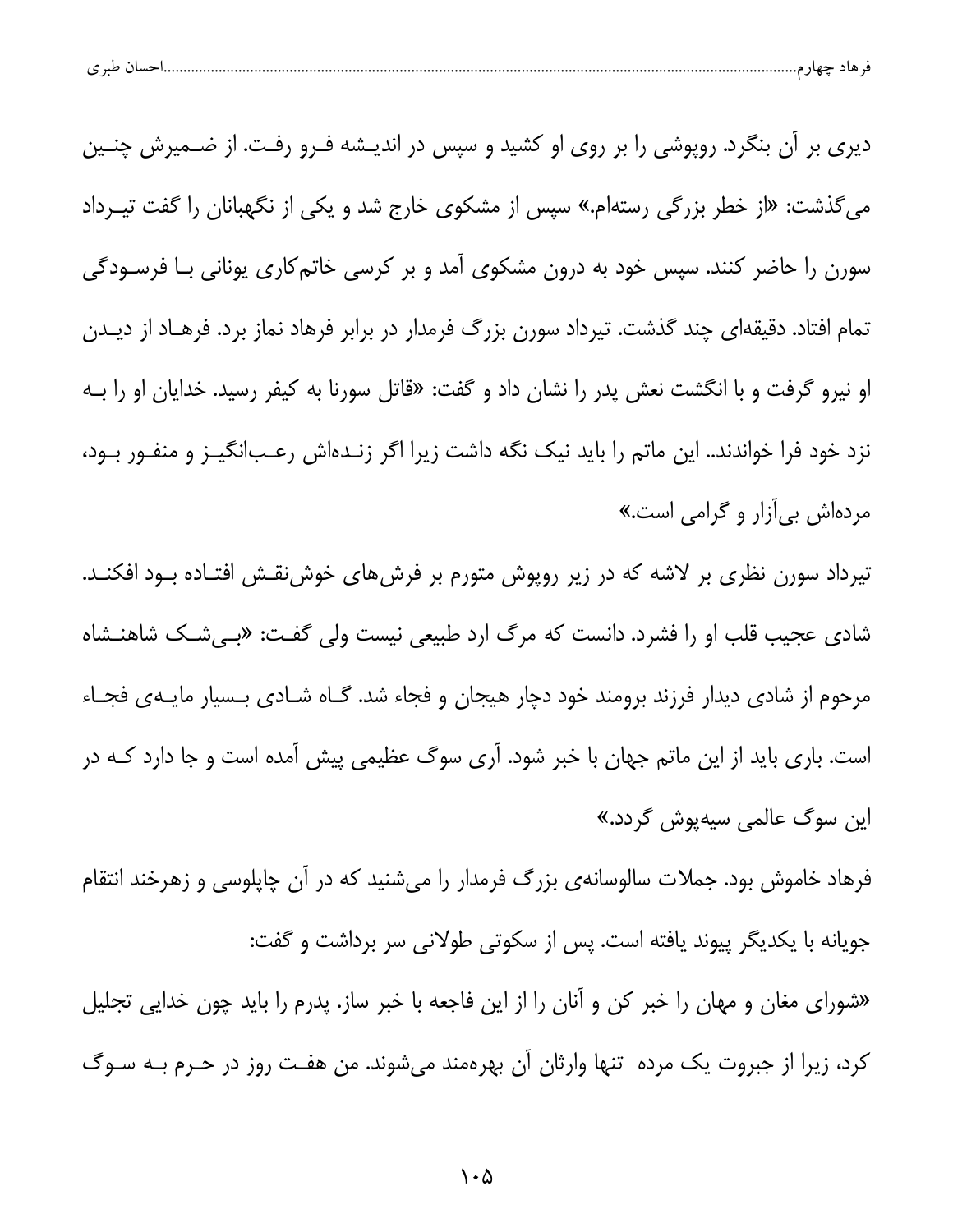| احسال طبر ی |
|-------------|
|-------------|

دیری بر آن بنگرد. روپوشی را بر روی او کشید و سپس در اندیـشه فـرو رفـت. از ضـمیرش چنـین می گذشت: «از خطر بزرگی رستهام.» سپس از مشکوی خارج شد و یکی از نگهبانان را گفت تیـرداد سورن را حاضر کنند. سپس خود به درون مشکوی آمد و بر کرسی خاتمکاری یونانی بـا فرسـودگی تمام افتاد. دقیقهای چند گذشت. تیرداد سورن بزرگ فرمدار در برابر فرهاد نماز برد. فرهـاد از دیـدن او نیرو گرفت و با انگشت نعش پدر را نشان داد و گفت: «قاتل سورنا به کیفر رسید. خدایان او را بـه نزد خود فرا خواندند.. این ماتم را باید نیک نگه داشت زیرا اگر زنـدهاش رعـبانگیـز و منفـور بـود، مردهاش بی آزار و گرامی است.»

تیرداد سورن نظری بر لاشه که در زیر روپوش متورم بر فرشهای خوشنقش افتـاده بــود افکنــد. شاد*ی* عجیب قلب او را فشرد. دانست که مرگ ارد طبیعی نیست ولی گفت: «بـیشـک شاهنـشاه مرحوم از شادی دیدار فرزند برومند خود دچار هیجان و فجاء شد. گـاه شـادی بـسیار مایـهی فجـاء است. باری باید از این ماتم جهان با خبر شود. آری سوگ عظیمی پیش آمده است و جا دارد کـه در این سوگ عالمی سیهپوش گردد.»

فرهاد خاموش بود. جملات سالوسانهی بزرگ فرمدار را میشنید که در آن چاپلوسی و زهرخند انتقام جویانه با یکدیگر پیوند یافته است. پس از سکوتی طولانی سر برداشت و گفت:

«شورای مغان و مهان را خبر کن و آنان را از این فاجعه با خبر ساز. پدرم را باید چون خدایی تجلیل كرد، زيرا از جبروت يك مرده تنها وارثان آن بهرهمند مىشوند. من هفت روز در حـرم بـه سـوگ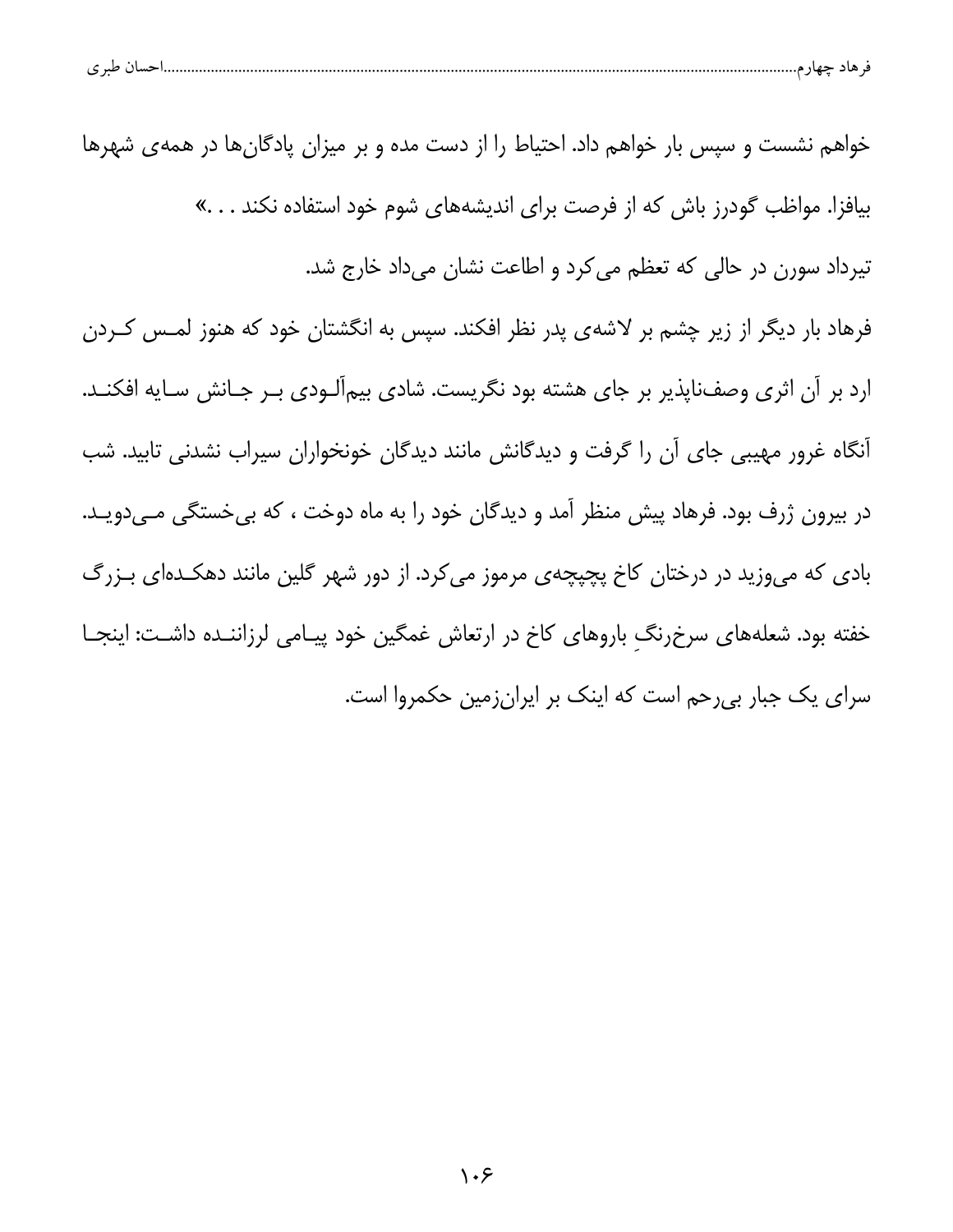|  | <b>صسال طبر ی</b> |  |  |  |  |
|--|-------------------|--|--|--|--|
|--|-------------------|--|--|--|--|

خواهم نشست و سپس بار خواهم داد. احتیاط را از دست مده و بر میزان پادگانها در همهی شهرها بیافزا. مواظب گودرز باش که از فرصت برای اندیشههای شوم خود استفاده نکند . . . » تیرداد سورن در حالی که تعظم می کرد و اطاعت نشان میداد خارج شد. فرهاد بار دیگر از زیر چشم بر لاشهی پدر نظر افکند. سپس به انگشتان خود که هنوز لمـس کـردن ارد بر آن اثری وصف:اپذیر بر جای هشته بود نگریست. شادی بیمآلـودی بـر جـانش سـایه افکنـد. آنگاه غرور مهیبی جای آن را گرفت و دیدگانش مانند دیدگان خونخواران سیراب نشدنی تابید. شب در بیرون ژرف بود. فرهاد پیش منظر آمد و دیدگان خود را به ماه دوخت ، که بی خستگی مـیدویـد. بادی که میوزید در درختان کاخ پچپچهی مرموز میکرد. از دور شهر گلین مانند دهکدهای بـزرگ خفته بود. شعلههای سرخرنگ باروهای کاخ در ارتعاش غمگین خود پیـامی لرزاننـده داشـت: اینجـا سرای یک جبار بی رحم است که اینک بر ایرانزمین حکمروا است.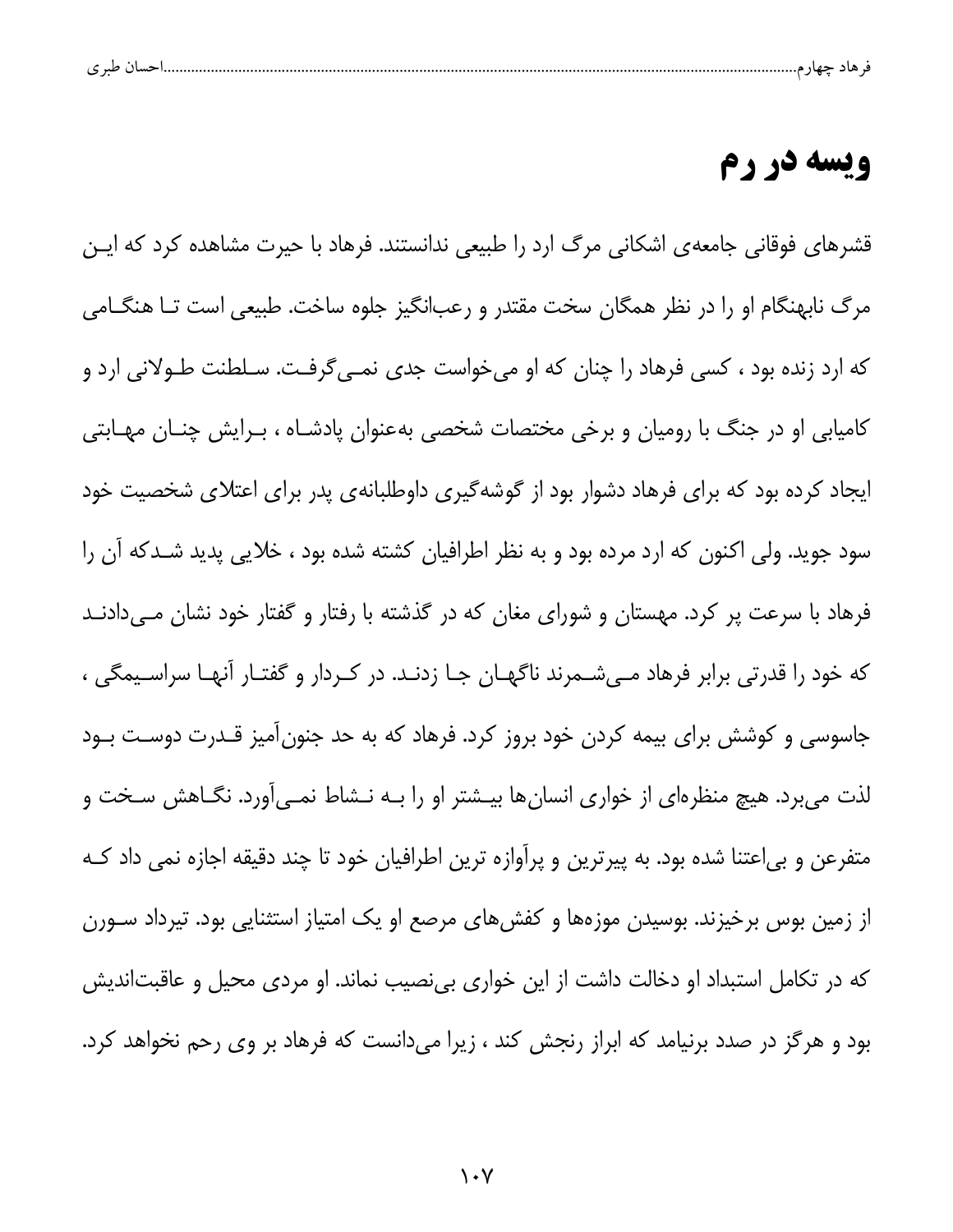| $\sim$<br>ت |  | - 13 |  |  |
|-------------|--|------|--|--|
|             |  |      |  |  |

#### ويسه در رم

قشرهای فوقانی جامعهی اشکانی مرگ ارد را طبیعی ندانستند. فرهاد با حیرت مشاهده کرد که ایـن مرگ نابهنگام او را در نظر همگان سخت مقتدر و رعبانگیز جلوه ساخت. طبیعی است تــا هنگــامی که ارد زنده بود ، کسی فرهاد را چنان که او میخواست جدی نمـی5رفـت. سـلطنت طـولانی ارد و کامیابی او در جنگ با رومیان و برخی مختصات شخصی بهعنوان پادشـاه ، بـرایش چنـان مهـابتی ایجاد کرده بود که برای فرهاد دشوار بود از گوشهگیری داوطلبانهی پدر برای اعتلای شخصیت خود سود جوید. ولی اکنون که ارد مرده بود و به نظر اطرافیان کشته شده بود ، خلایی پدید شـدکه آن را فرهاد با سرعت پر کرد. مهستان و شورای مغان که در گذشته با رفتار و گفتار خود نشان مـیدادنـد که خود را قدرتی برابر فرهاد مـیشـمرند ناگهـان جـا زدنـد. در کـردار و گفتـار آنهـا سراسـيمگی ، جاسوسی و کوشش برای بیمه کردن خود بروز کرد. فرهاد که به حد جنونآمیز قـدرت دوسـت بـود لذت میبرد. هیچ منظرهای از خواری انسانها بیـشتر او را بـه نـشاط نمـیآورد. نگـاهش سـخت و متفرعن و بی|عتنا شده بود. به پیرترین و پرآوازه ترین اطرافیان خود تا چند دقیقه اجازه نمی داد کـه از زمین بوس برخیزند. بوسیدن موزهها و کفشهای مرصع او یک امتیاز استثنایی بود. تیرداد ســورن که در تکامل استبداد او دخالت داشت از این خواری بینصیب نماند. او مردی محیل و عاقبتاندیش بود و هرگز در صدد برنیامد که ابراز رنجش کند ، زیرا میدانست که فرهاد بر وی رحم نخواهد کرد.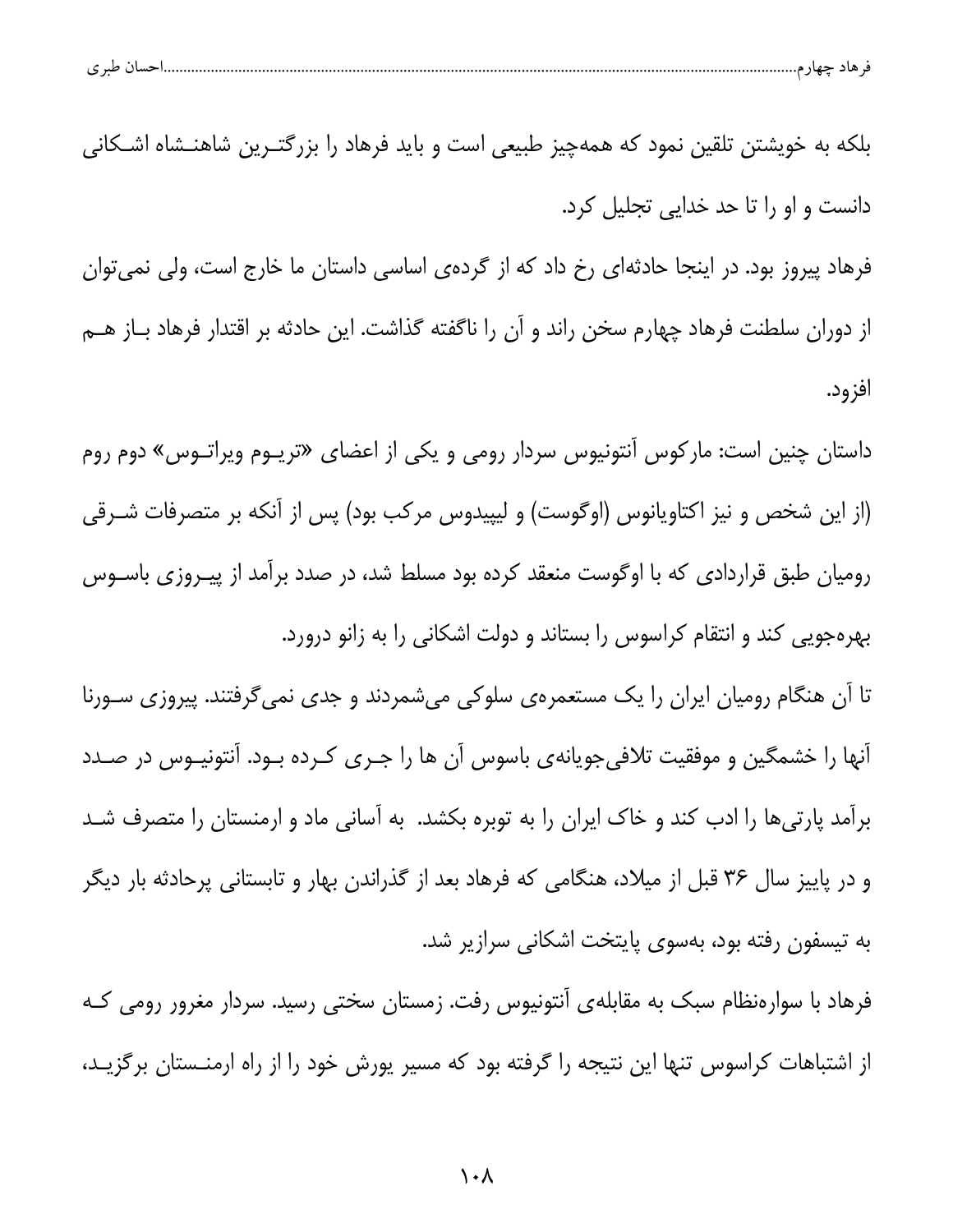| ، طبر ی | حساد<br><br>᠊ᢐ | هاد حصار |  |
|---------|----------------|----------|--|
|         |                |          |  |

بلکه به خویشتن تلقین نمود که همهچیز طبیعی است و باید فرهاد را بزرگتـرین شاهنــشاه اشــکانی دانست و او را تا حد خدایی تجلیل کرد.

فرهاد پیروز بود. در اینجا حادثهای رخ داد که از گردهی اساسی داستان ما خارج است، ولی نمی توان از دوران سلطنت فرهاد چهارم سخن راند و آن را ناگفته گذاشت. این حادثه بر اقتدار فرهاد بـاز هــم افزود.

داستان چنین است: مارکوس آنتونیوس سردار رومی و یکی از اعضای «تریـوم ویراتـوس» دوم روم (از این شخص و نیز اکتاویانوس (اوگوست) و لیپیدوس مرکب بود) پس از آنکه بر متصرفات شـرقی رومیان طبق قراردادی که با اوگوست منعقد کرده بود مسلط شد، در صدد برآمد از پیـروزی باسـوس بهرهجویی کند و انتقام کراسوس را بستاند و دولت اشکانی را به زانو درورد.

تا آن هنگام رومیان ایران را یک مستعمرهی سلوکی میشمردند و جدی نمیگرفتند. پیروزی سـورنا آنها را خشمگین و موفقیت تلافیجویانهی باسوس آن ها را جـری کـرده بـود. آنتونیـوس در صـدد برآمد پارتیها را ادب کند و خاک ایران را به توبره بکشد. به آسانی ماد و ارمنستان را متصرف شـد و در پاییز سال ۳۶ قبل از میلاد، هنگامی که فرهاد بعد از گذراندن بهار و تابستانی پرحادثه بار دیگر به تیسفون رفته بود، بهسوی پایتخت اشکانی سرازیر شد.

فرهاد با سوارهنظام سبک به مقابلهی آنتونیوس رفت. زمستان سختی رسید. سردار مغرور رومی کـه از اشتباهات کراسوس تنها این نتیجه را گرفته بود که مسیر پورش خود را از راه ارمنــستان برگزیــد،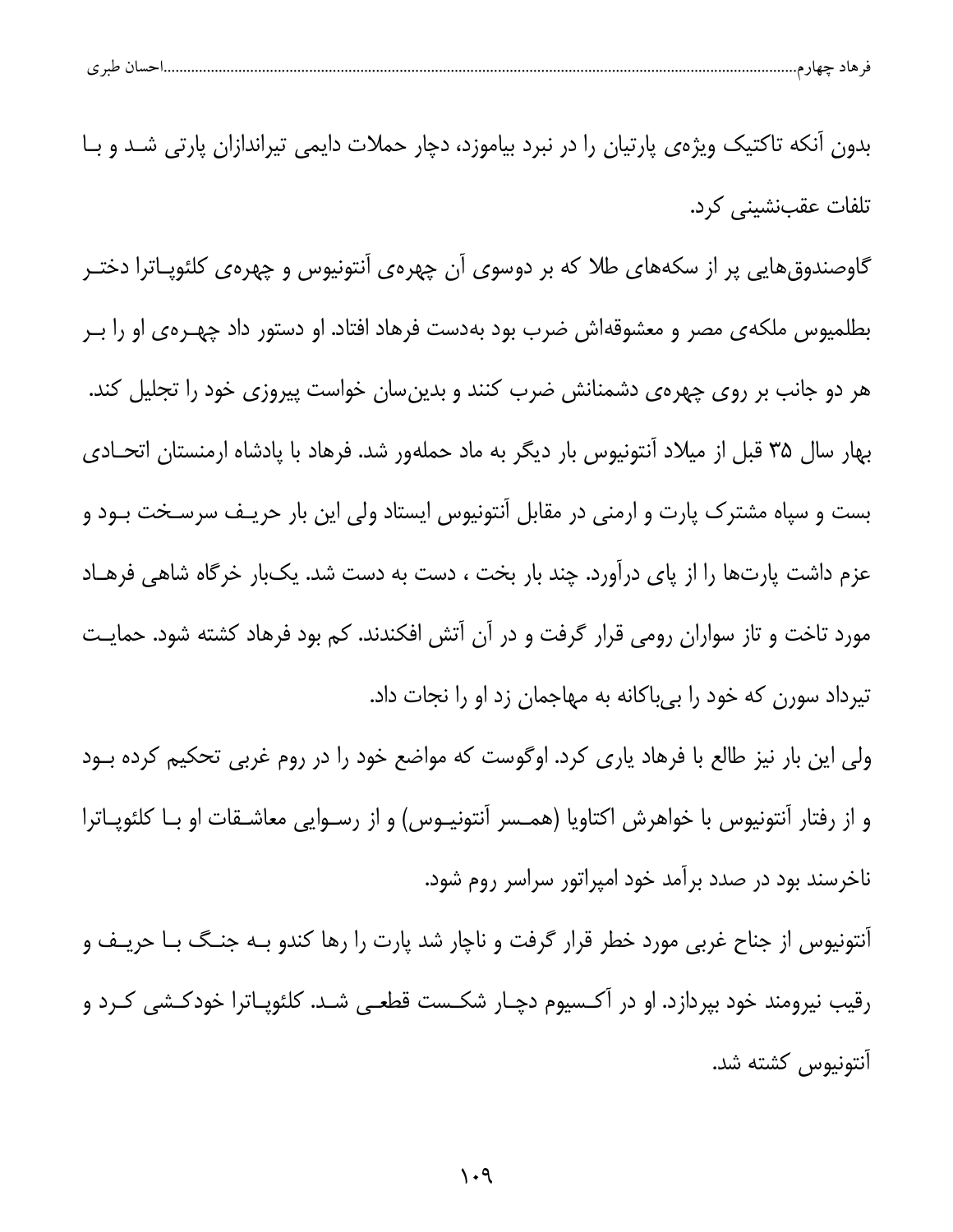| طبہ م<br>پ | ـس |  |  |
|------------|----|--|--|
|            |    |  |  |

بدون آنکه تاکتیک ویژهی پارتیان را در نبرد بیاموزد، دچار حملات دایمی تیراندازان پارتی شـد و بـا تلفات عقبنشینی کرد.

گاوصندوق هایی پر از سکههای طلا که بر دوسوی آن چهرهی آنتونیوس و چهرهی کلئوپـاترا دختـر بطلمیوس ملکهی مصر و معشوقهاش ضرب بود بهدست فرهاد افتاد. او دستور داد چهـرهی او را بـر هر دو جانب بر روی چهرهی دشمنانش ضرب کنند و بدینسان خواست پیروزی خود را تجلیل کند. بهار سال ۳۵ قبل از میلاد آنتونیوس بار دیگر به ماد حملهور شد. فرهاد با پادشاه ارمنستان اتحادی بست و سپاه مشترک پارت و ارمنی در مقابل آنتونیوس ایستاد ولی این بار حریـف سرسـخت بــود و عزم داشت پارتها را از پای درآورد. چند بار بخت ، دست به دست شد. یکبار خرگاه شاهی فرهـاد مورد تاخت و تاز سواران رومی قرار گرفت و در آن آتش افکندند. کم بود فرهاد کشته شود. حمایت تیرداد سورن که خود را بیباکانه به مهاجمان زد او را نجات داد.

ولی این بار نیز طالع با فرهاد یاری کرد. اوگوست که مواضع خود را در روم غربی تحکیم کرده بـود و از رفتار آنتونیوس با خواهرش اکتاویا (همـسر آنتونیـوس) و از رسـوایی معاشـقات او بـا کلئوپـاترا ناخرسند بود در صدد برآمد خود امپراتور سراسر روم شود.

آنتونیوس از جناح غربی مورد خطر قرار گرفت و ناچار شد پارت را رها کندو بـه جنـگ بـا حریـف و رقیب نیرومند خود بپردازد. او در آکـسیوم دچـار شکـست قطعــی شــد. کلئوپـاترا خودکـشی کــرد و أنتونيوس كشته شد.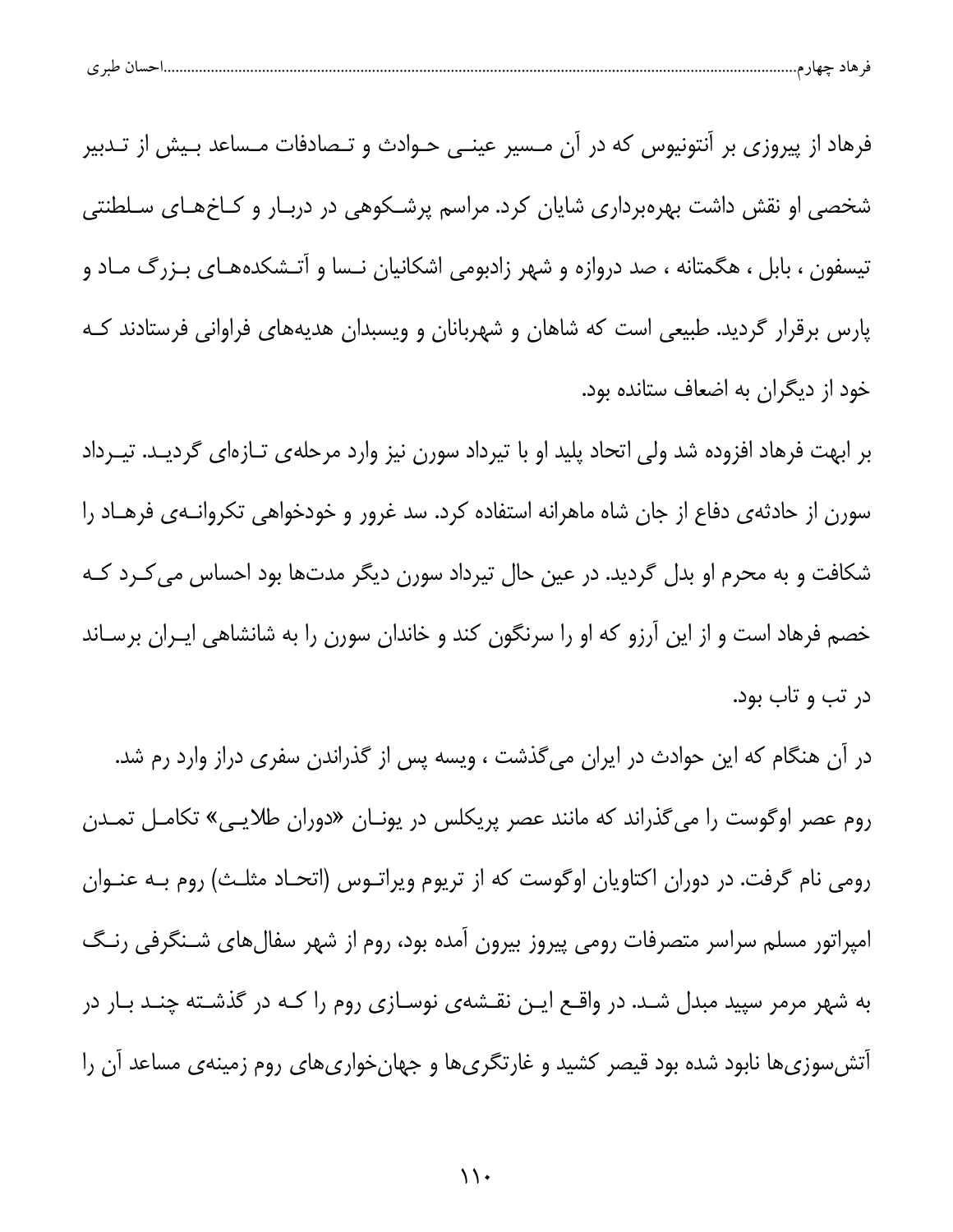| طبہ م<br>پ |  |  |  |
|------------|--|--|--|
|            |  |  |  |

فرهاد از پیروزی بر آنتونیوس که در آن مـسیر عینـی حـوادث و تـصادفات مـساعد بـیش از تـدبیر شخصی او نقش داشت بهرهبرداری شایان کرد. مراسم پرشـکوهی در دربـار و کـاخهـای سـلطنتی تیسفون ، بابل ، هگمتانه ، صد دروازه و شهر زادبومی اشکانیان نـسا و آتـشکدههـای بـزرگ مـاد و پارس برقرار گردید. طبیعی است که شاهان و شهربانان و ویسبدان هدیههای فراوانی فرستادند کـه خود از دیگران به اضعاف ستانده بود.

بر ابهت فرهاد افزوده شد ولی اتحاد پلید او با تیرداد سورن نیز وارد مرحلهی تـازهای گردیـد. تیـرداد سورن از حادثه ی دفاع از جان شاه ماهرانه استفاده کرد. سد غرور و خودخواهی تکروانـهی فرهـاد را شکافت و به محرم او بدل گردید. در عین حال تیرداد سورن دیگر مدتها بود احساس می کـرد کـه خصم فرهاد است و از این آرزو که او را سرنگون کند و خاندان سورن را به شانشاهی ایـران برسـاند در تب و تاب بود.

در آن هنگام که این حوادث در ایران میگذشت ، ویسه پس از گذراندن سفری دراز وارد رم شد. روم عصر اوگوست را میگذراند که مانند عصر پریکلس در یونـان «دوران طلایـی» تکامـل تمـدن رومی نام گرفت. در دوران اکتاویان اوگوست که از تریوم ویراتـوس (اتحـاد مثلـث) روم بـه عنـوان امپراتور مسلم سراسر متصرفات رومی پیروز بیرون آمده بود، روم از شهر سفالهای شـنگرفی رنـگ به شهر مرمر سپید مبدل شـد. در واقــع ایــن نقــشهى نوســازى روم را كــه در گذشــته چنــد بــار در آتشسوزیها نابود شده بود قیصر کشید و غارتگریها و جهانخواریهای روم زمینهی مساعد آن را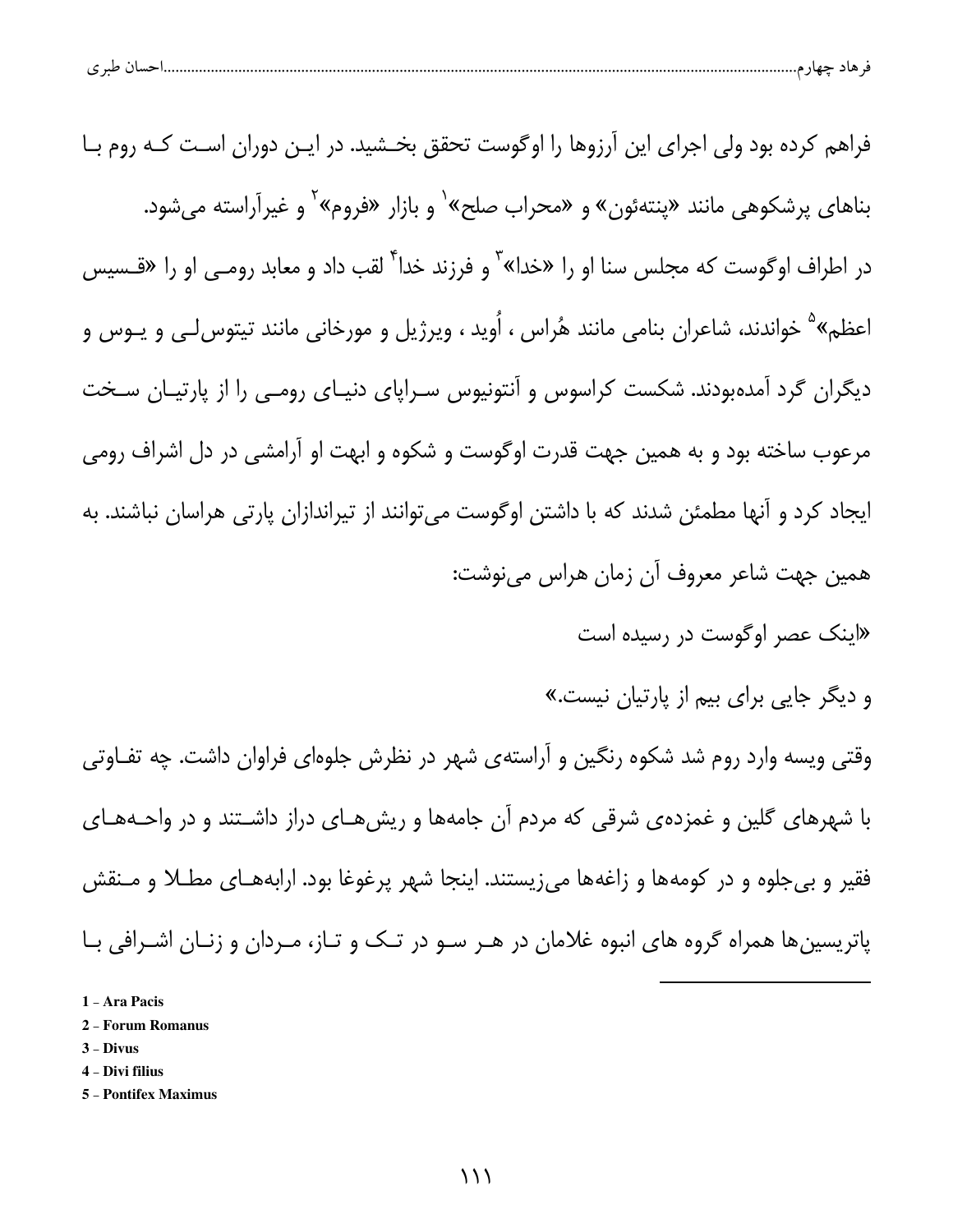| $\checkmark$ | احسان طبری |  |  |
|--------------|------------|--|--|
|              |            |  |  |

| فراهم کرده بود ولی اجرای این آرزوها را اوگوست تحقق بخـشید. در ایـن دوران اسـت کـه روم بـا                         |
|-------------------------------------------------------------------------------------------------------------------|
| بناهای پرشکوهی مانند «پنتهئون» و «محراب صلح» <sup>۱</sup> و بازار «فروم» <sup>۲</sup> و غیرآراسته میشود.          |
| در اطراف اوگوست که مجلس سنا او را «خدا» <sup>۳</sup> و فرزند خدا <sup>۴</sup> لقب داد و معابد رومـی او را «قــسیس |
| اعظم» <sup>۵</sup> خواندند، شاعران بنامی مانند هُراس ، اُوید ، ویرژیل و مورخانی مانند تیتوسLی و یـوس و            |
| دیگران گرد آمدهبودند. شکست کراسوس و آنتونیوس سـراپای دنیـای رومـی را از پارتیـان سـخت                             |
| مرعوب ساخته بود و به همین جهت قدرت اوگوست و شکوه و ابهت او آرامشی در دل اشراف رومی                                |
| ایجاد کرد و آنها مطمئن شدند که با داشتن اوگوست میتوانند از تیراندازان پارتی هراسان نباشند. به                     |
| همین جهت شاعر معروف آن زمان هراس مینوشت:                                                                          |
| «اینک عصر اوگوست در رسیده است                                                                                     |
| و دیگر جایی برای بیم از پارتیان نیست.»                                                                            |

وقتی ویسه وارد روم شد شکوه رنگین و آراستهی شهر در نظرش جلوهای فراوان داشت. چه تفـاوتی با شهرهای گلین و غمزدهی شرقی که مردم آن جامهها و ریشهای دراز داشتند و در واحـههـای فقیر و بی جلوه و در کومهها و زاغهها میزیستند. اینجا شهر پرغوغا بود. ارابههـای مطـلا و مـنقش پاتریسینها همراه گروه های انبوه غلامان در هـر سـو در تـک و تـاز، مـردان و زنـان اشـرافی بـا

- 1 Ara Pacis
- 2 Forum Romanus
- $3 Divus$
- 4 Divi filius
- 5 Pontifex Maximus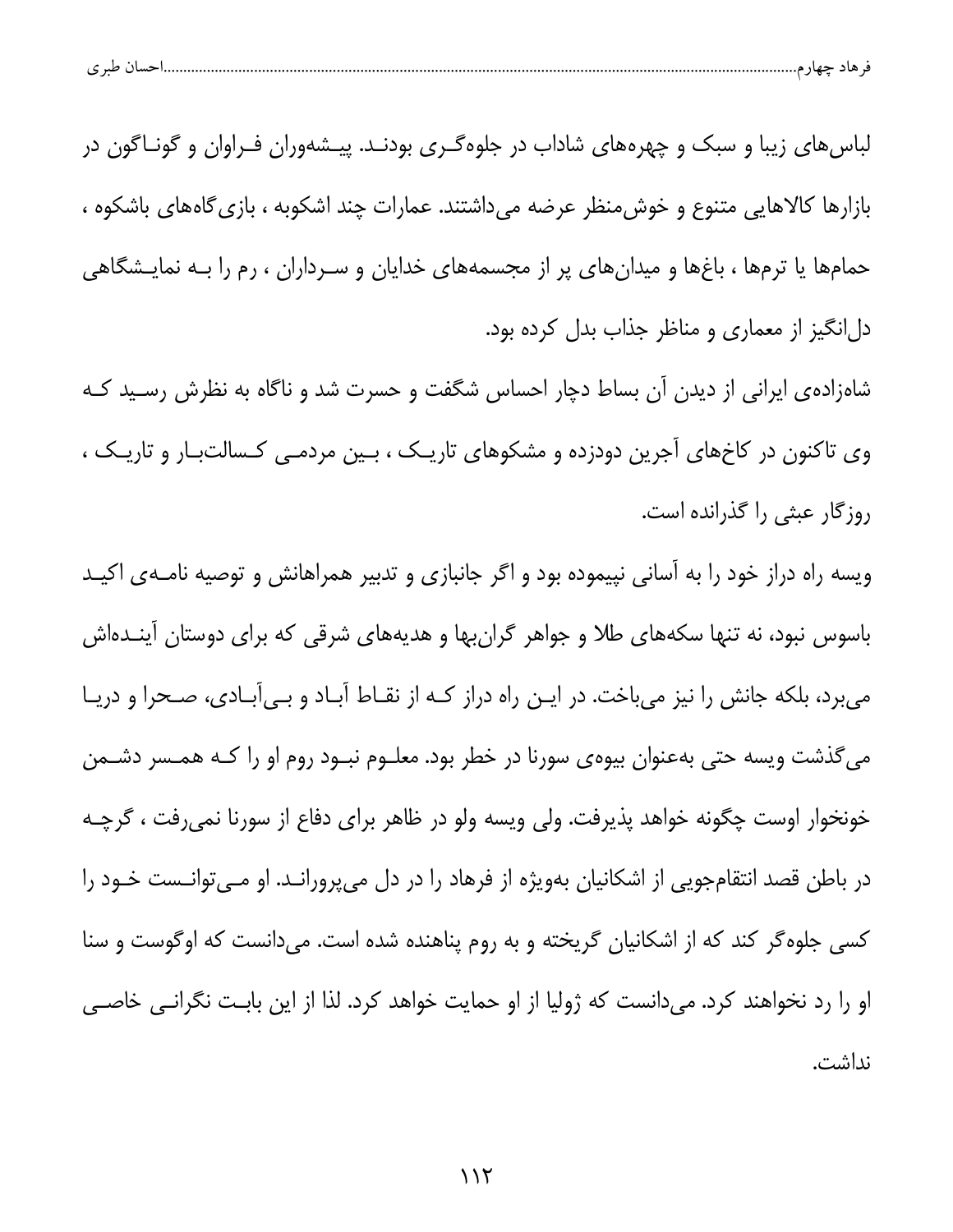| احسال طبر ی |
|-------------|
|-------------|

لباس های زیبا و سبک و چهرههای شاداب در جلوهگـری بودنـد. پیـشهوران فـراوان و گونـاگون در بازارها كالاهايي متنوع و خوش منظر عرضه مي داشتند. عمارات چند اشكوبه ، بازي گاههاي باشكوه ، حمامها یا ترمها ، باغها و میدانهای پر از مجسمههای خدایان و سـرداران ، رم را بــه نمایـشگاهی دلانگیز از معماری و مناظر جذاب بدل کرده بود.

شاهزادهی ایرانی از دیدن آن بساط دچار احساس شگفت و حسرت شد و ناگاه به نظرش رسـید کـه وی تاکنون در کاخهای آجرین دودزده و مشکوهای تاریک ، بین مردمـی کـسالتبـار و تاریـک ، روزگار عبثی را گذرانده است.

ویسه راه دراز خود را به آسانی نپیموده بود و اگر جانبازی و تدبیر همراهانش و توصیه نامـهی اکیـد باسوس نبود، نه تنها سکههای طلا و جواهر گرانبها و هدیههای شرقی که برای دوستان آینـدهاش می برد، بلکه جانش را نیز می باخت. در ایـن راه دراز کـه از نقـاط آبـاد و بـیآبـادی، صـحرا و دریـا میگذشت ویسه حتی بهعنوان بیوهی سورنا در خطر بود. معلــوم نبــود روم او را کــه همــسر دشــمن خونخوار اوست چگونه خواهد پذیرفت. ولی ویسه ولو در ظاهر برای دفاع از سورنا نمیرفت ، گرچـه در باطن قصد انتقامجویی از اشکانیان بهویژه از فرهاد را در دل میپرورانـد. او مـیتوانـست خـود را کسی جلوه گر کند که از اشکانیان گریخته و به روم پناهنده شده است. میدانست که اوگوست و سنا او را رد نخواهند کرد. می دانست که ژولیا از او حمایت خواهد کرد. لذا از این بابت نگرانی خاصی نداشت.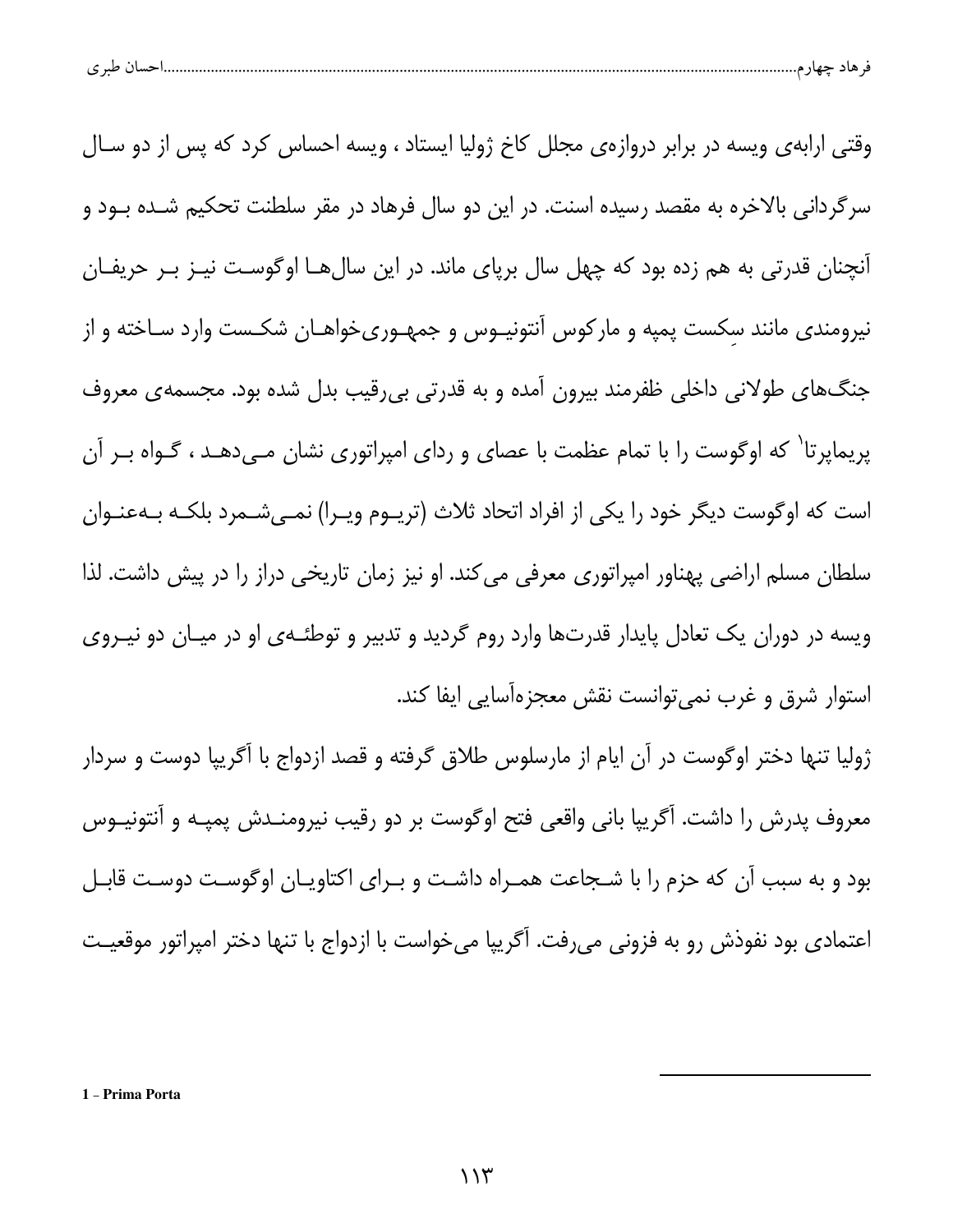|  | $\sim$ $\sim$<br>ے |  | حبت د |  |  |
|--|--------------------|--|-------|--|--|
|--|--------------------|--|-------|--|--|

وقتی ارابهی ویسه در برابر دروازهی مجلل کاخ ژولیا ایستاد ، ویسه احساس کرد که پس از دو سـال سرگردانی بالاخره به مقصد رسیده اسنت. در این دو سال فرهاد در مقر سلطنت تحکیم شــده بــود و آنچنان قدرتی به هم زده بود که چهل سال برپای ماند. در این سالهــا اوگوسـت نیــز بــر حریفــان نیرومندی مانند سکست پمپه و مارکوس آنتونیـوس و جمهـوریخواهـان شکـست وارد سـاخته و از جنگ های طولانی داخلی ظفرمند بیرون آمده و به قدرتی بی رقیب بدل شده بود. مجسمه ی معروف پریماپرتا<sup>\</sup> که اوگوست را با تمام عظمت با عصای و ردای امپراتوری نشان مـیدهـد ، گـواه بـر آن است که اوگوست دیگر خود را یکی از افراد اتحاد ثلاث (تریــوم ویــرا) نمــیشــمرد بلکــه بــهعنــوان سلطان مسلم اراضی پهناور امپراتوری معرفی میکند. او نیز زمان تاریخی دراز را در پیش داشت. لذا ویسه در دوران یک تعادل پایدار قدرتها وارد روم گردید و تدبیر و توطئـهى او در میـان دو نیــروى استوار شرق و غرب نمیٍ توانست نقش معجزهآسایی ایفا کند.

ژولیا تنها دختر اوگوست در آن ایام از مارسلوس طلاق گرفته و قصد ازدواج با آگریپا دوست و سردار معروف پدرش را داشت. آگریپا بانی واقعی فتح اوگوست بر دو رقیب نیرومنـدش پمپـه و آنتونیــوس بود و به سبب آن که حزم را با شـجاعت همـراه داشـت و بـرای اکتاویـان اوگوسـت دوسـت قابـل اعتمادی بود نفوذش رو به فزونی میرفت. آگریپا میخواست با ازدواج با تنها دختر امپراتور موقعیت

1 - Prima Porta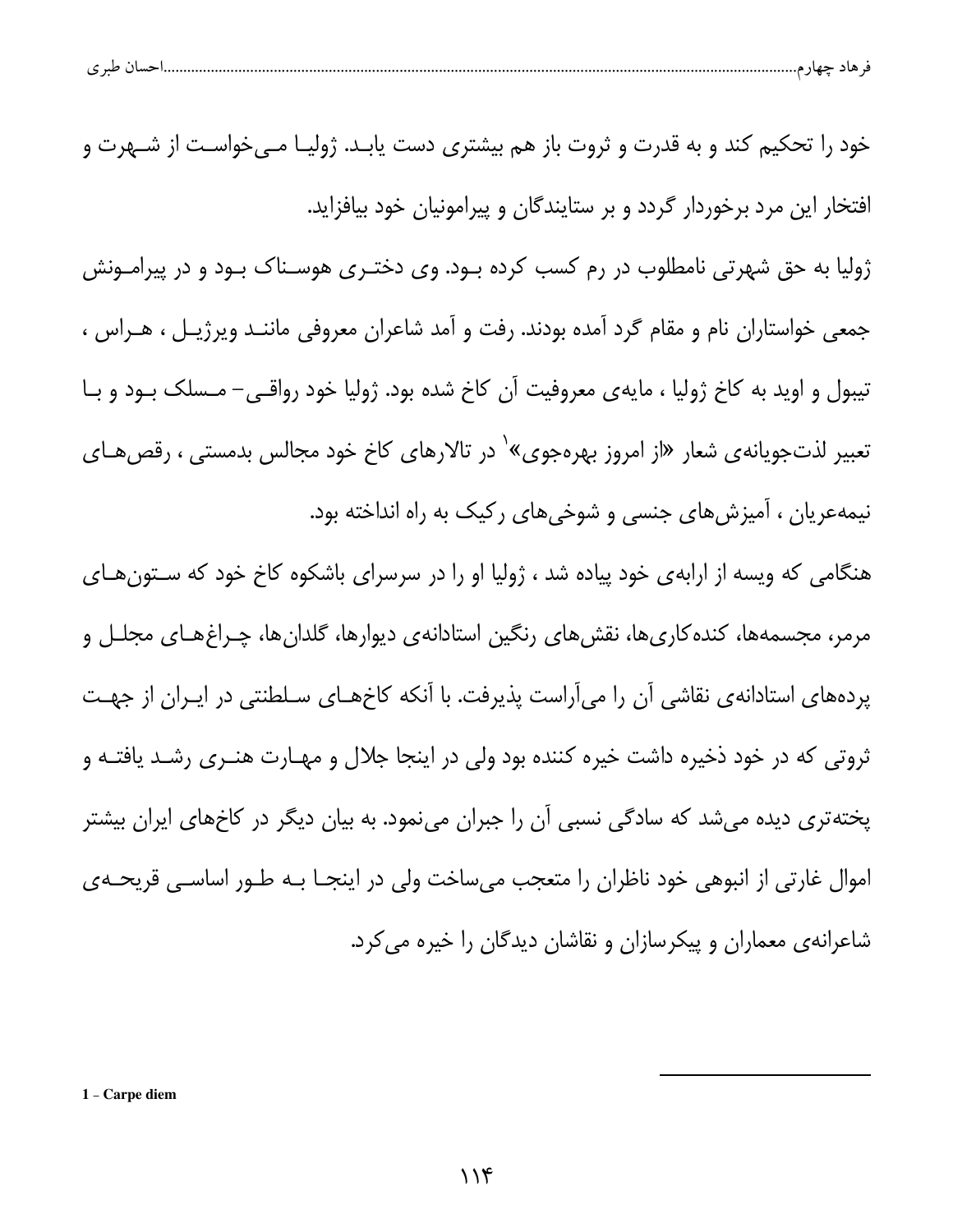|  |  | حساں طبر ی |  |  |  |  |
|--|--|------------|--|--|--|--|
|--|--|------------|--|--|--|--|

خود را تحکیم کند و به قدرت و ثروت باز هم بیشتری دست یابـد. ژولیـا مـی خواسـت از شــهرت و افتخار این مرد برخوردار گردد و بر ستایندگان و پیرامونیان خود بیافزاید. ژولیا به حق شهرتی نامطلوب در رم کسب کرده بـود. وی دختـری هوسـناک بـود و در پیرامـونش جمعی خواستاران نام و مقام گرد آمده بودند. رفت و آمد شاعران معروفی ماننـد ویرژیـل ، هـراس ، تیبول و اوید به کاخ ژولیا ، مایهی معروفیت آن کاخ شده بود. ژولیا خود رواقبی– مـسلک بـود و بـا تعبیر لذتجویانهی شعار «از امروز بهرهجوی»` در تالارهای کاخ خود مجالس بدمستی ، رقص هـای نیمهعریان ، آمیزشهای جنسی و شوخیهای رکیک به راه انداخته بود. هنگامی که ویسه از ارابهی خود پیاده شد ، ژولیا او را در سرسرای باشکوه کاخ خود که سـتون هـای مرمر، مجسمهها، کنده کاریها، نقشهای رنگین استادانهی دیوارها، گلدانها، چـراغهـای مجلـل و

پردههای استادانهی نقاشی آن را میآراست پذیرفت. با آنکه کاخهـای سـلطنتی در ایــران از جهــت ثروتی که در خود ذخیره داشت خیره کننده بود ولی در اینجا جلال و مهـارت هنـری رشـد یافتـه و یختهتری دیده میشد که سادگی نسبی آن را جبران مینمود. به بیان دیگر در کاخهای ایران بیشتر اموال غارتی از انبوهی خود ناظران را متعجب میساخت ولی در اینجـا بــه طــور اساســی قریحــهی شاعرانهی معماران و پیکرسازان و نقاشان دیدگان را خیره می کرد.

1 - Carpe diem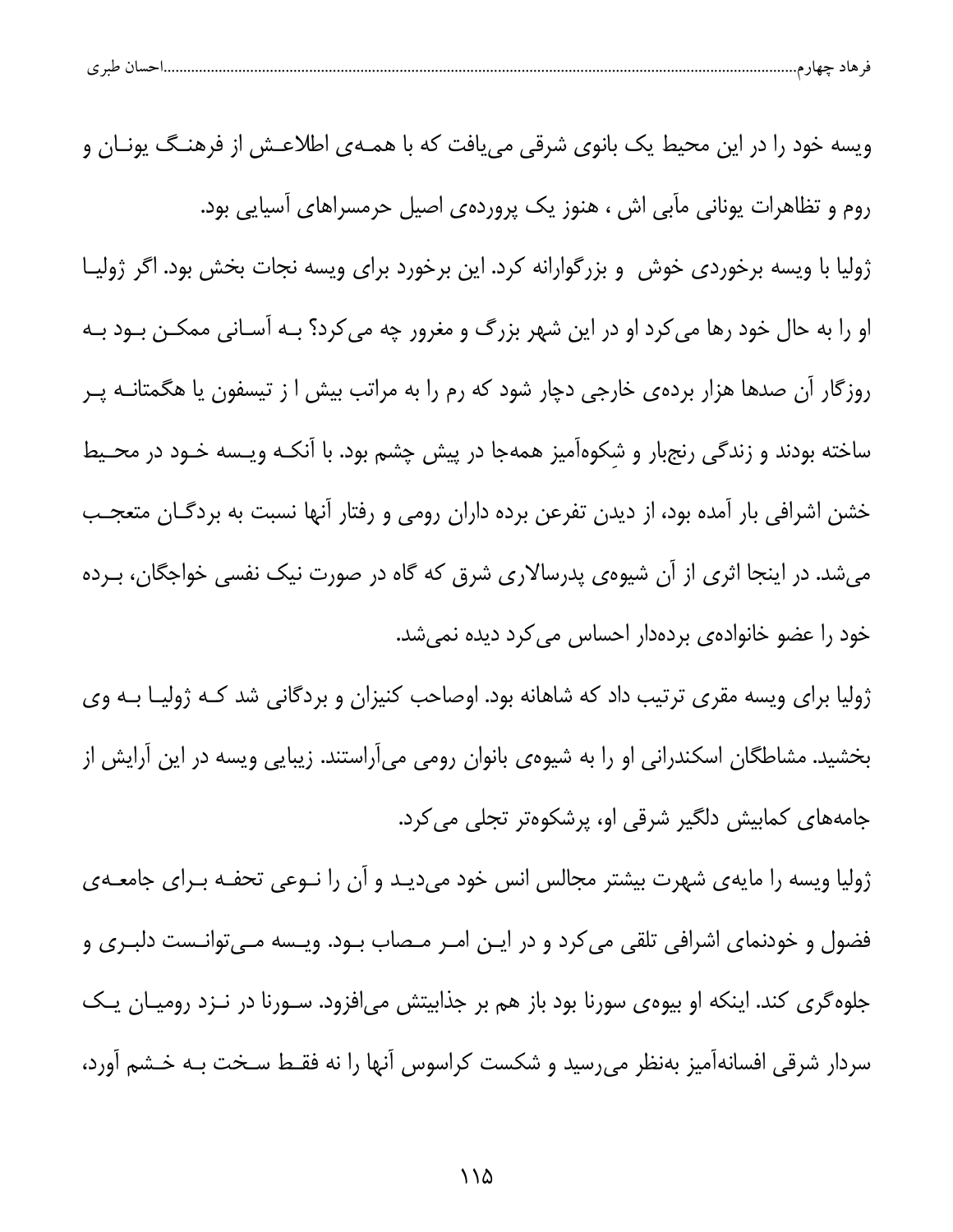| طب م<br>ັ | . |  |  |
|-----------|---|--|--|
|           |   |  |  |

ویسه خود را در این محیط یک بانوی شرقی می یافت که با همـهی اطلاعـش از فرهنـگ یونـان و روم و تظاهرات یونانی مآبی اش ، هنوز یک پروردهی اصیل حرمسراهای آسیایی بود. ژولیا با ویسه برخوردی خوش و بزرگوارانه کرد. این برخورد برای ویسه نجات بخش بود. اگر ژولیـا او را به حال خود رها می کرد او در این شهر بزرگ و مغرور چه می کرد؟ بـه آسـانی ممکــن بــود بــه روزگار آن صدها هزار بردهی خارجی دچار شود که رم را به مراتب بیش ا ز تیسفون یا هگمتانــه پــر ساخته بودند و زندگی رنجبار و شکوهآمیز همهجا در پیش چشم بود. با آنکـه ویـسه خـود در محـیط خشن اشرافی بار آمده بود، از دیدن تفرعن برده داران رومی و رفتار آنها نسبت به بردگـان متعجـب میشد. در اینجا اثری از آن شیوهی پدرسالاری شرق که گاه در صورت نیک نفسی خواجگان، بـرده خود را عضو خانوادهی بردهدار احساس می کرد دیده نمیشد.

ژولیا برای ویسه مقری ترتیب داد که شاهانه بود. اوصاحب کنیزان و بردگانی شد کـه ژولیـا بـه وی بخشید. مشاطگان اسکندرانی او را به شیوهی بانوان رومی میآراستند. زیبایی ویسه در این آرایش از جامههای کمابیش دلگیر شرقی او، پرشکوهتر تجلی می کرد.

ژولیا ویسه را مایهی شهرت بیشتر مجالس انس خود میدید و آن را نــوعی تحفــه بــرای جامعــهی فضول و خودنمای اشرافی تلقی می کرد و در ایـن امـر مـصاب بـود. ویـسه مـیتوانـست دلبـری و جلوه گری کند. اینکه او بیوهی سورنا بود باز هم بر جذابیتش می|فزود. سـورنا در نـزد رومیــان یــک سردار شرقی افسانهآمیز بهنظر می رسید و شکست کراسوس آنها را نه فقـط سـخت بـه خـشم آورد،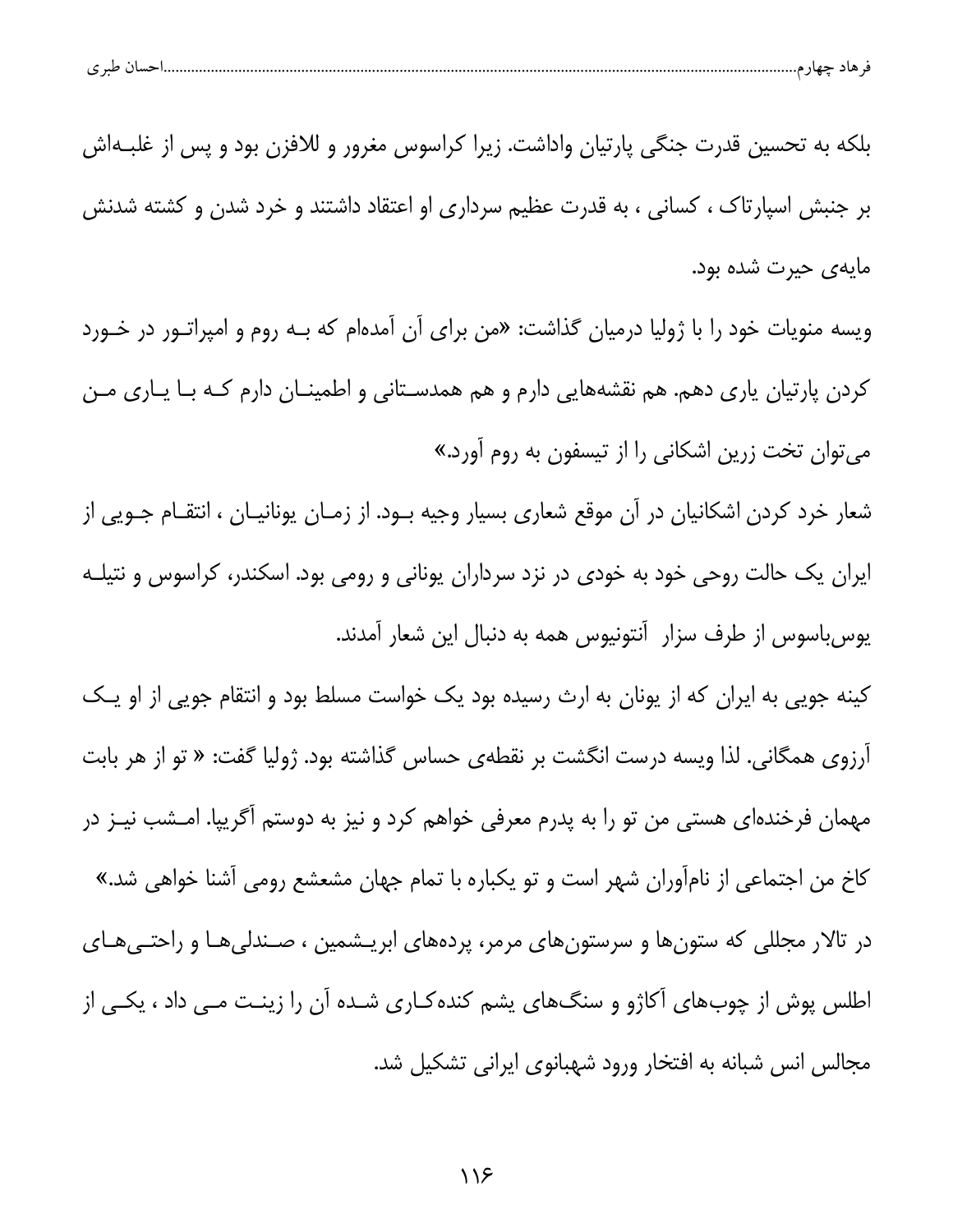| احسال طبر ی |
|-------------|
|-------------|

بلکه به تحسین قدرت جنگی پارتیان واداشت. زیرا کراسوس مغرور و للافزن بود و پس از غلبـهاش بر جنبش اسپارتاک ، کسانی ، به قدرت عظیم سرداری او اعتقاد داشتند و خرد شدن و کشته شدنش مايەي حيرت شده بود.

ویسه منویات خود را با ژولیا درمیان گذاشت: «من برای آن آمدهام که بـه روم و امپراتـور در خـورد کردن پارتیان یاری دهم. هم نقشههایی دارم و هم همدسـتانی و اطمینـان دارم کـه بـا یـاری مـن می توان تخت زرین اشکانی را از تیسفون به روم آورد.»

شعار خرد کردن اشکانیان در آن موقع شعاری بسیار وجیه بـود. از زمـان یونانیـان ، انتقـام جـویی از ایران یک حالت روحی خود به خودی در نزد سرداران یونانی و رومی بود. اسکندر، کراسوس و نتیلـه یوسباسوس از طرف سزار آنتونیوس همه به دنبال این شعار آمدند.

کینه جویی به ایران که از یونان به ارث رسیده بود یک خواست مسلط بود و انتقام جویی از او یک آرزوی همگانی. لذا ویسه درست انگشت بر نقطهی حساس گذاشته بود. ژولیا گفت: « تو از هر بابت مهمان فرخندهای هستی من تو را به پدرم معرفی خواهم کرد و نیز به دوستم آگریپا. امــشب نیــز در كاخ من اجتماعي از نام[ّوران شهر است و تو يكباره با تمام جهان مشعشع رومي آشنا خواهي شد.» در تالار مجللی که ستونها و سرستونهای مرمر، پردههای ابریـشمین ، صـندلیهـا و راحتـیهـای اطلس پوش از چوبهای آکاژو و سنگهای پشم کنده کـاری شـده آن را زینـت مـی داد ، یکـی از مجالس انس شبانه به افتخار ورود شهبانوی ایرانی تشکیل شد.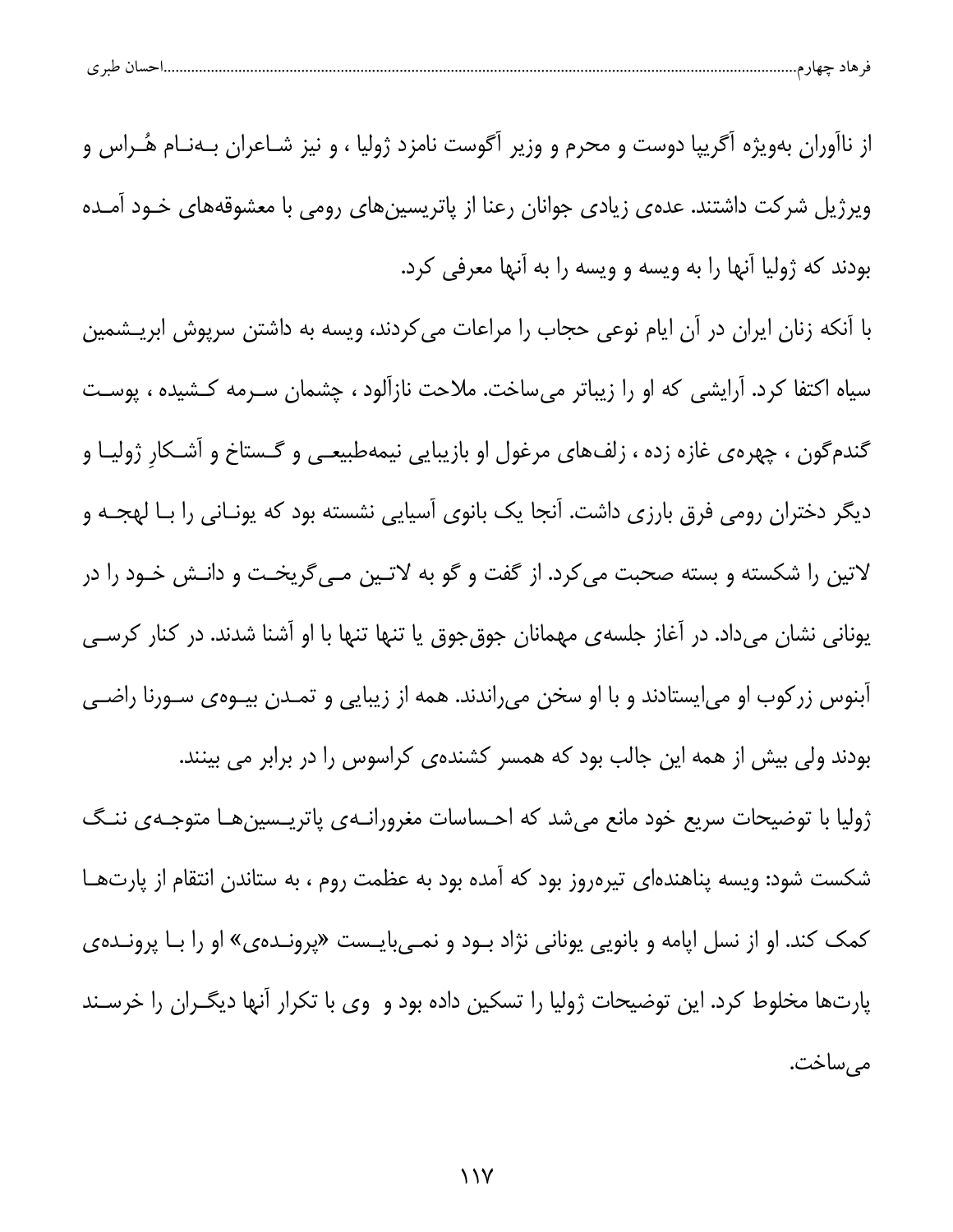| احسال طبري |
|------------|
|------------|

از ناآوران بهویژه آگریپا دوست و محرم و وزیر آگوست نامزد ژولیا ، و نیز شـاعران بـهنـام هُـراس و ویرژیل شرکت داشتند. عدهی زیادی جوانان رعنا از پاتریسینهای رومی با معشوقههای خـود آمـده بودند كه ژوليا آنها را به ويسه و ويسه را به آنها معرفي كرد.

با آنکه زنان ایران در آن ایام نوعی حجاب را مراعات می کردند، ویسه به داشتن سرپوش ابریـشمین سیاه اکتفا کرد. آرایشی که او را زیباتر میساخت. ملاحت نازآلود ، چشمان سـرمه کـشیده ، پوسـت گندمگون ، چهرهی غازه زده ، زلفهای مرغول او بازیبایی نیمهطبیعی و گستاخ و آشکار ژولیـا و دیگر دختران رومی فرق بارزی داشت. آنجا یک بانوی آسیایی نشسته بود که یونـانی را بـا لهجـه و لاتین را شکسته و بسته صحبت می *ک*رد. از گفت و گو به لاتـین مـی5ریخـت و دانـش خـود را در یونانی نشان میداد. در آغاز جلسهی مهمانان جوق جوق یا تنها تنها با او آشنا شدند. در کنار کرسـی آبنوس زرکوب او می|یستادند و با او سخن میراندند. همه از زیبایی و تمـدن بیــوهی ســورنا راضــی بودند ولی بیش از همه این جالب بود که همسر کشندهی کراسوس را در برابر می بینند. ژولیا با توضیحات سریع خود مانع می شد که احساسات مغرورانــهی پاتریــسینهــا متوجـهی ننــگ شکست شود: ویسه پناهندهای تیرهروز بود که آمده بود به عظمت روم ، به ستاندن انتقام از پارتهـا کمک کند. او از نسل اپامه و بانویی یونانی نژاد بود و نمـیبایـست «پرونـدهی» او را بـا پرونـدهی

پارتها مخلوط کرد. این توضیحات ژولیا را تسکین داده بود و وی با تکرار آنها دیگـران را خرسـند مىساخت.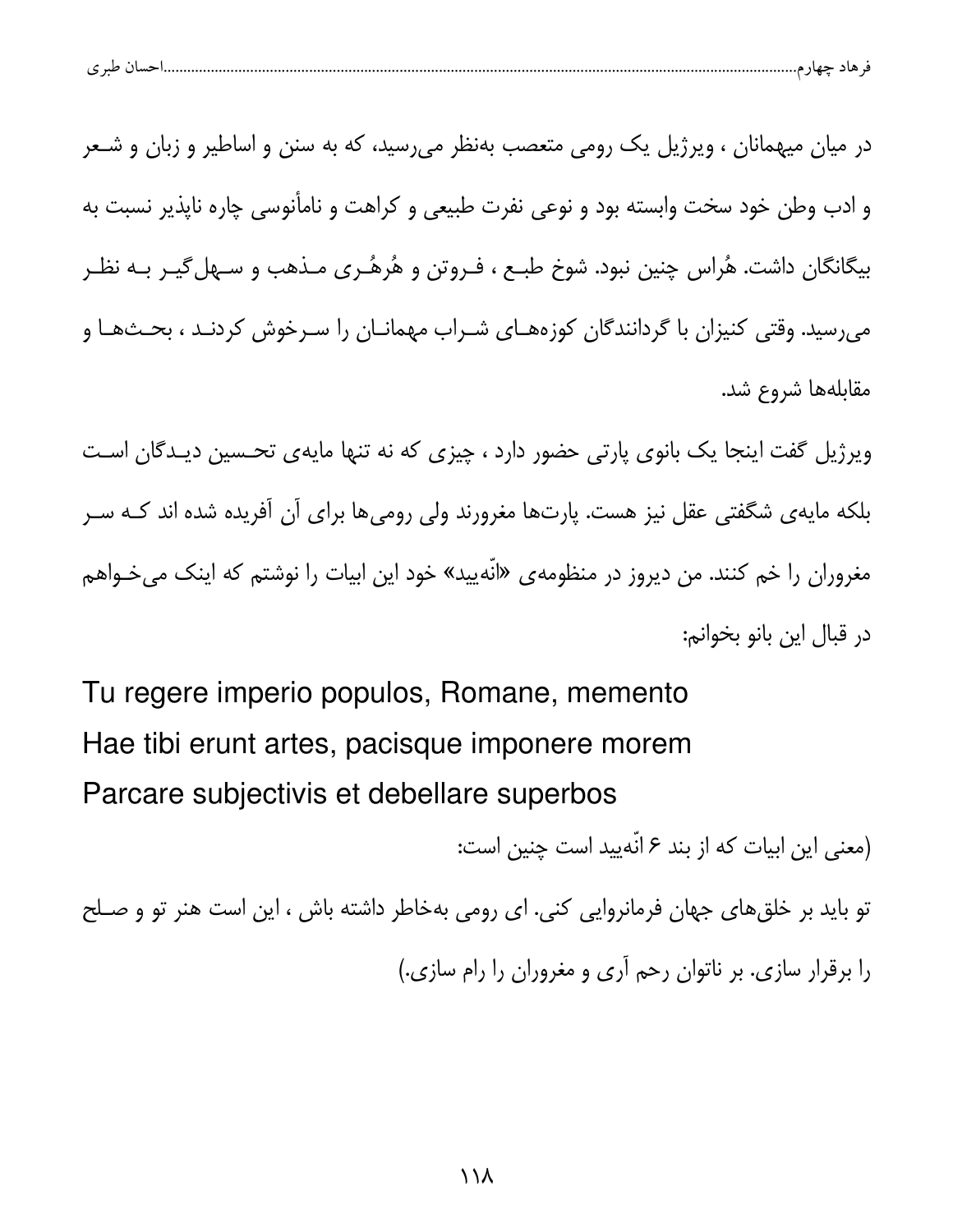| $\sim$ $\sim$<br>ີ |  |  |
|--------------------|--|--|
|                    |  |  |

در میان میهمانان ، ویرژیل یک رومی متعصب بهنظر می رسید، که به سنن و اساطیر و زبان و شـعر و ادب وطن خود سخت وابسته بود و نوعی نفرت طبیعی و کراهت و نامأنوسی چاره ناپذیر نسبت به بیگانگان داشت. هُراس چنین نبود. شوخ طبـع ، فـروتن و هُرهُـری مـذهب و سـهل۴گیـر بـه نظـر میرسید. وقتی کنیزان با گردانندگان کوزههـای شـراب مهمانـان را سـرخوش کردنـد ، بحـثهـا و مقابلهها شروع شد.

ویرژیل گفت اینجا یک بانوی پارتی حضور دارد ، چیزی که نه تنها مایهی تحسین دیـدگان اسـت بلکه مایهی شگفتی عقل نیز هست. پارتها مغرورند ولی رومیها برای آن آفریده شده اند کـه سـر مغروران را خم کنند. من دیروز در منظومهی «انّهیید» خود این ابیات را نوشتم که اینک میخـواهم در قبال اين بانو بخوانم:

Tu regere imperio populos, Romane, memento Hae tibi erunt artes, pacisque imponere morem Parcare subjectivis et debellare superbos

(معنى اين ابيات كه از بند ۶ انّهييد است چنين است:

تو باید بر خلقهای جهان فرمانروایی کنی. ای رومی بهخاطر داشته باش ، این است هنر تو و صلح را برقرار سازی. بر ناتوان رحم آری و مغروران را رام سازی.)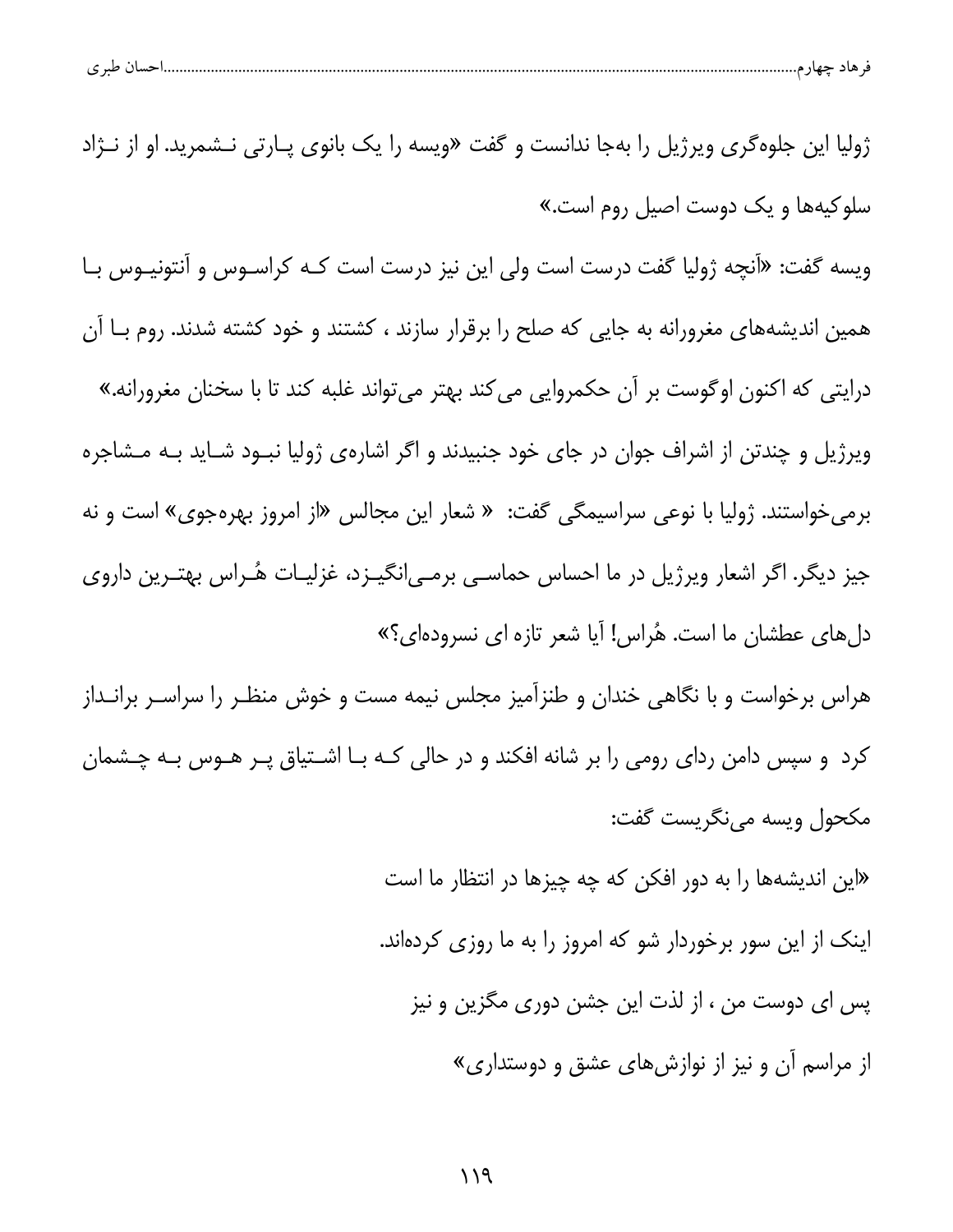| احسال طبر ی |
|-------------|
|-------------|

ژولیا این جلوهگری ویرژیل را بهجا ندانست و گفت «ویسه را یک بانوی پـارتی نــشمرید. او از نــژاد سلوکیهها و یک دوس*ت* اصیل روم است.» ویسه گفت: «آنچه ژولیا گفت درست است ولی این نیز درست است کـه کراسـوس و آنتونیـوس بـا همین اندیشههای مغرورانه به جایی که صلح را برقرار سازند ، کشتند و خود کشته شدند. روم بـا آن درایتی که اکنون اوگوست بر آن حکمروایی میکند بهتر میتواند غلبه کند تا با سخنان مغرورانه.» ویرژیل و چندتن از اشراف جوان در جای خود جنبیدند و اگر اشارهی ژولیا نبـود شـاید بـه مــشاجره برمی خواستند. ژولیا با نوعی سراسیمگی گفت: « شعار این مجالس «از امروز بهرهجوی» است و نه جیز دیگر. اگر اشعار ویرژیل در ما احساس حماسـی برمـی|نگیــزد، غزلیــات هٔــراس بهتــرین داروی دلهای عطشان ما است. هُراس! آیا شعر تازه ای نسرودهای؟» هراس برخواست و با نگاهی خندان و طنزآمیز مجلس نیمه مست و خوش منظـر را سراسـر برانـداز

کرد و سپس دامن ردای رومی را بر شانه افکند و در حالی کـه بـا اشـتیاق پـر هـوس بـه چـشمان مكحول ويسه مىنگريست گفت:

> «این اندیشهها را به دور افکن که چه چیزها در انتظار ما است اینک از این سور برخوردار شو که امروز را به ما روزی کردهاند. يس اي دوست من ، از لذت اين جشن دوري مگزين و نيز از مراسم آن و نیز از نوازشهای عشق و دوستداری»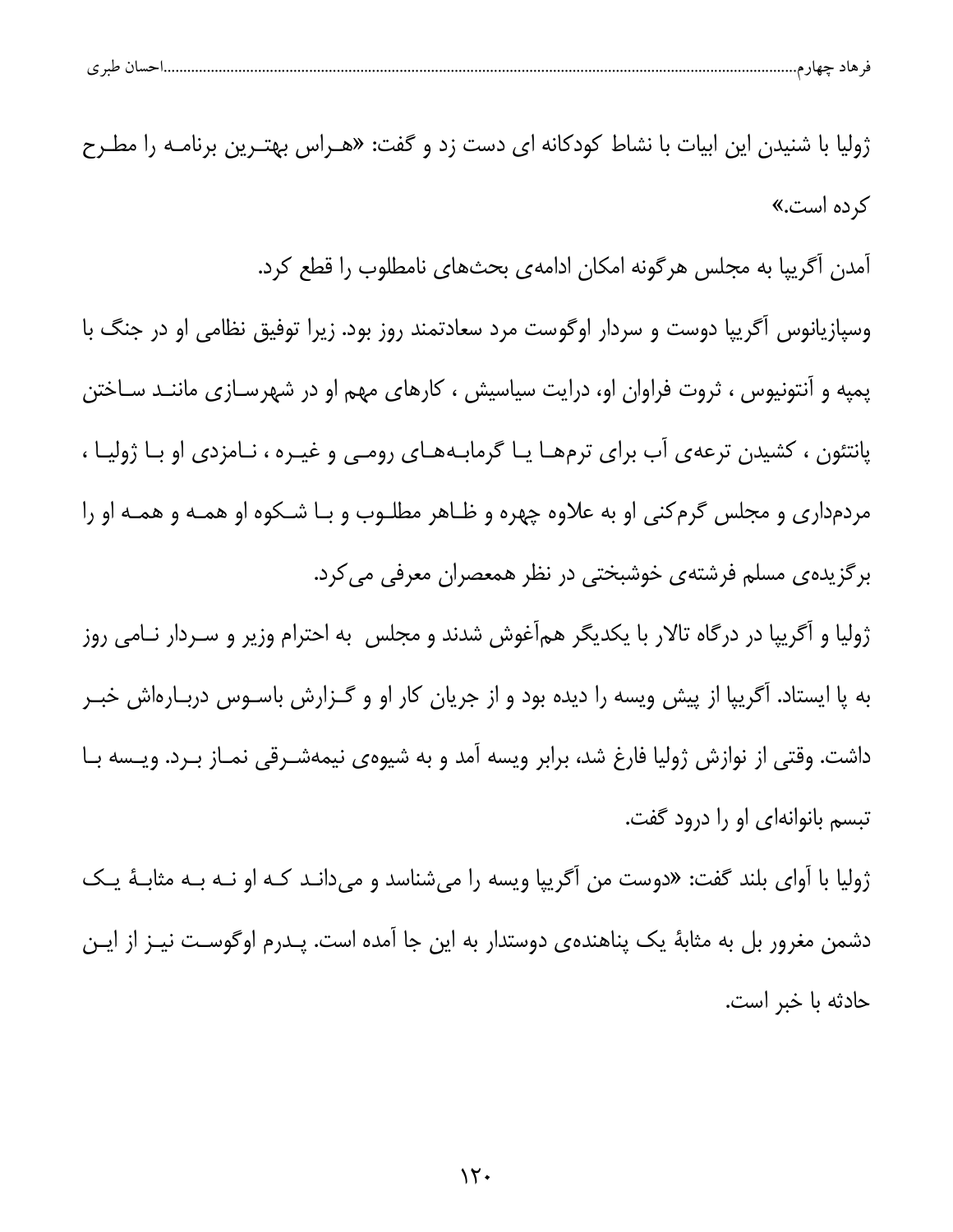| حساں طبر ی |
|------------|
|------------|

ژولیا با شنیدن این ابیات با نشاط کودکانه ای دست زد و گفت: «هـراس بهتـرین برنامـه را مطـرح کرده اس*ت*.» آمدن آگریپا به مجلس هرگونه امکان ادامهی بحثهای نامطلوب را قطع کرد. وسپازیانوس آگریپا دوست و سردار اوگوست مرد سعادتمند روز بود. زیرا توفیق نظامی او در جنگ با پمپه و آنتونیوس ، ثروت فراوان او، درایت سیاسیش ، کارهای مهم او در شهرسـازی ماننــد ســاختن پانتئون ، کشیدن ترعهی آب برای ترمهـا یـا گرمابـههـای رومـی و غیـره ، نـامزدی او بـا ژولیـا ، مردمداری و مجلس گرم کنی او به علاوه چهره و ظـاهر مطلـوب و بـا شـکوه او همـه و همـه او را برگزیدهی مسلم فرشتهی خوشبختی در نظر همعصران معرفی می کرد. ژولیا و آگریپا در درگاه تالار با یکدیگر همآغوش شدند و مجلس به احترام وزیر و سـردار نـامی روز به پا ایستاد. آگریپا از پیش ویسه را دیده بود و از جریان کار او و گـزارش باسـوس دربـارهاش خبـر داشت. وقتی از نوازش ژولیا فارغ شد، برابر ویسه آمد و به شیوهی نیمهشـرقی نمـاز بــرد. ویــسه بــا تبسم بانوانهای او را درود گفت. ژولیا با آوای بلند گفت: «دوست من أگريپا ويسه را ميشناسد و ميدانـد كـه او نـه بـه مثابـهٔ يـك

دشمن مغرور بل به مثابهٔ یک پناهندهی دوستدار به این جا آمده است. پـدرم اوگوسـت نیـز از ایـن حادثه يا خبر است.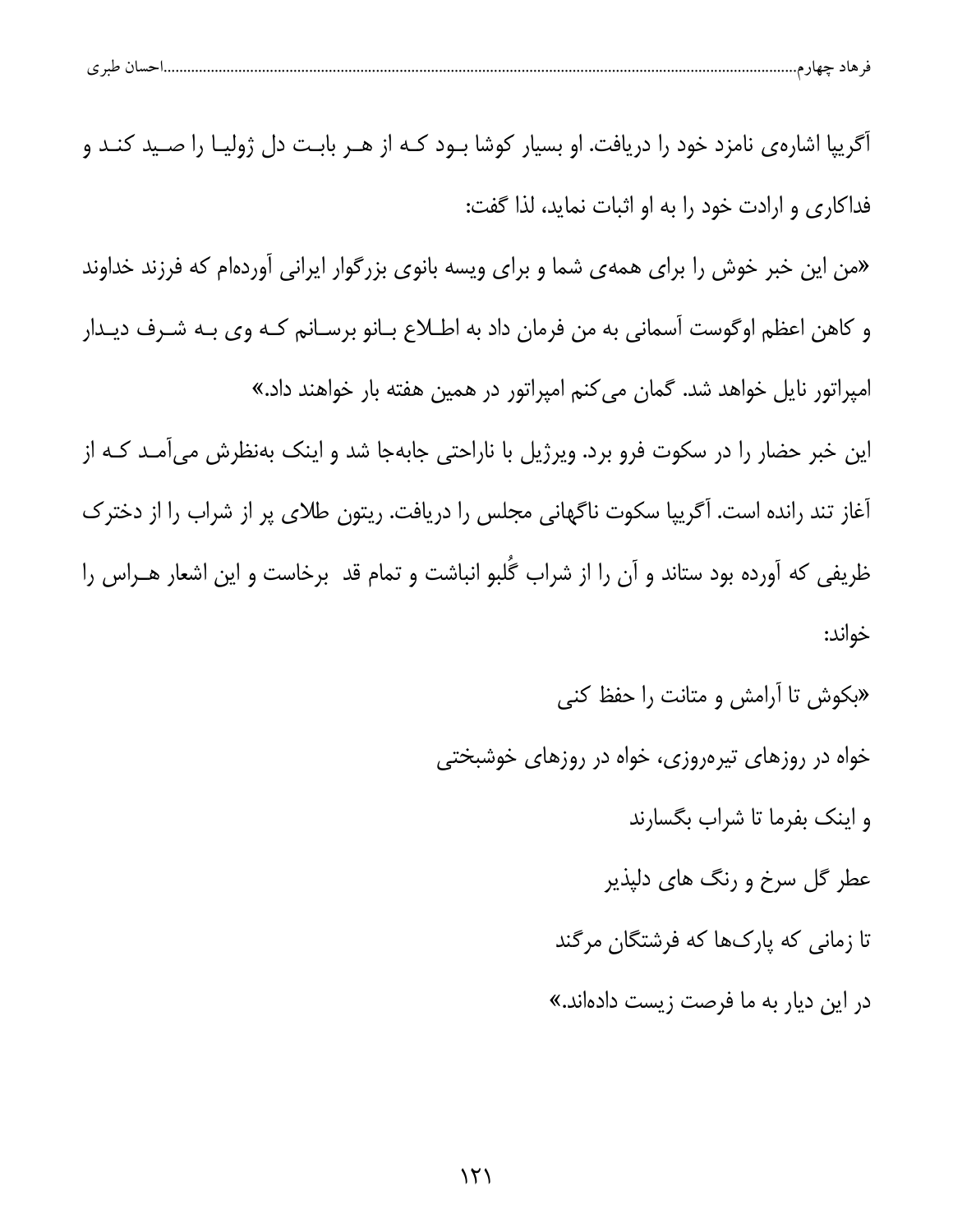| $\sim$ $\sim$<br>حرصا دحيها (م<br>ຸ |  |  |
|-------------------------------------|--|--|
|-------------------------------------|--|--|

| اًگریپا اشارهی نامزد خود را دریافت. او بسیار کوشا بـود کـه از هـر بابـت دل ژولیـا را صـید کنـد و |
|--------------------------------------------------------------------------------------------------|
| فداکاری و ارادت خود را به او اثبات نماید، لذا گفت:                                               |
| «من این خبر خوش را برای همهی شما و برای ویسه بانوی بزرگوار ایرانی آوردهام که فرزند خداوند        |
| و کاهن اعظم اوگوست آسمانی به من فرمان داد به اطــلاع بــانو برســانم کــه وی بــه شــرف دیــدار  |
| امپراتور نایل خواهد شد. گمان میکنم امپراتور در همین هفته بار خواهند داد.»                        |
| این خبر حضار را در سکوت فرو برد. ویرژیل با ناراحتی جابهجا شد و اینک بهنظرش میآمـد کـه از         |
| آغاز تند رانده است. آگریپا سکوت ناگهانی مجلس را دریافت. ریتون طلای پر از شراب را از دخترک        |
| ظریفی که آورده بود ستاند و آن را از شراب گُلبو انباشت و تمام قد  برخاست و این اشعار هــراس را    |
| خواند:                                                                                           |
| «بکوش تا آرامش و متانت را حفظ کنی                                                                |
| خواه در روزهای تیرهروزی، خواه در روزهای خوشبختی                                                  |
| و اینک بفرما تا شراب بگسارند                                                                     |
| عطر گل سرخ و رنگ های دلپذیر                                                                      |
| تا زمانی که پارکها که فرشتگان مرگند                                                              |

در این دیار به ما فرصت زیست دادهاند.»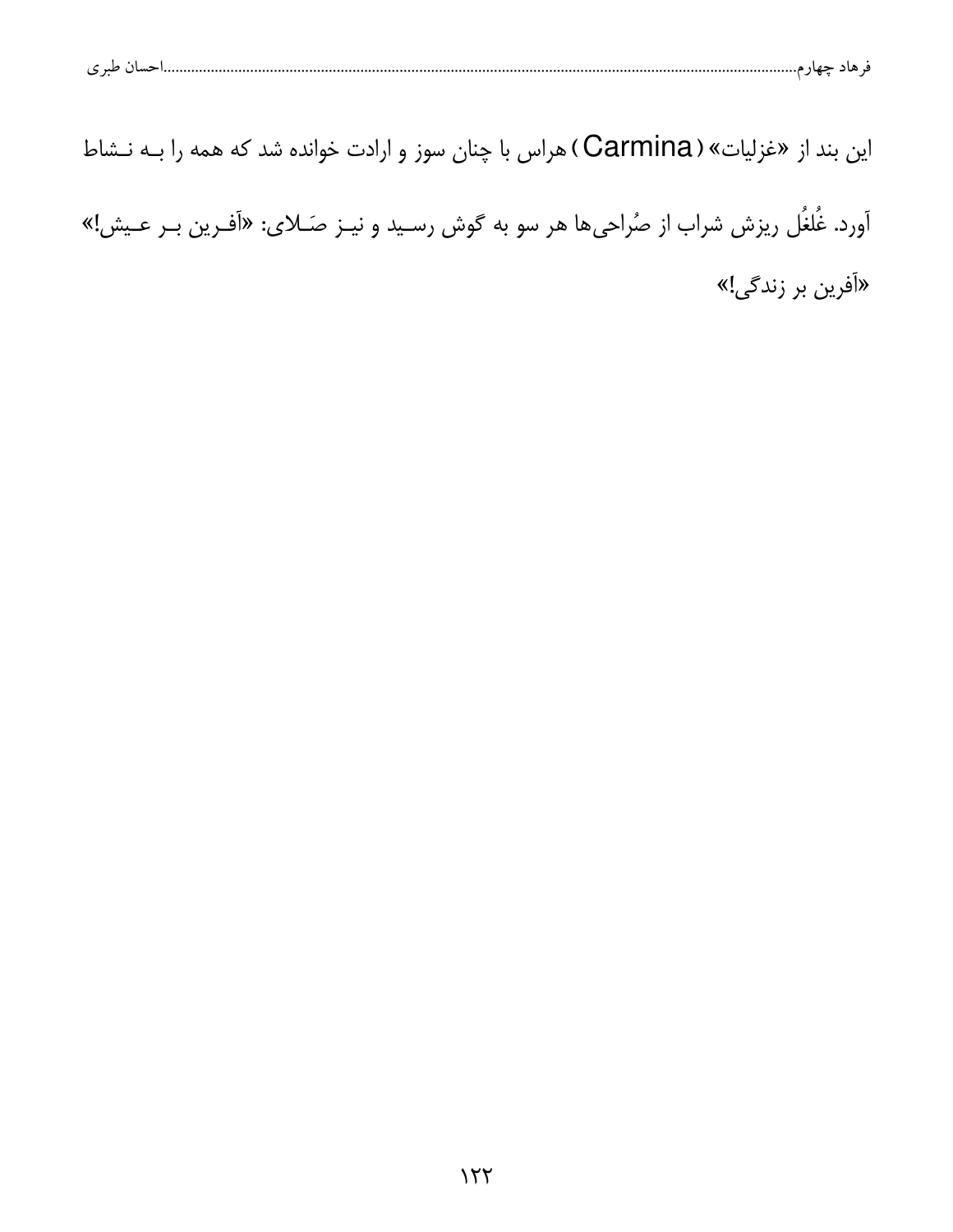این بند از «غزلیات» ( Carmina) هراس با چنان سوز و ارادت خوانده شد که همه را بـه نـشاط

آورد. غُلغُل ریزش شراب از صُراحیها هر سو به گوش رسـید و نیــز صـَـلای: «آفـرین بــر عــیش!» «آفرین بر زندگی!»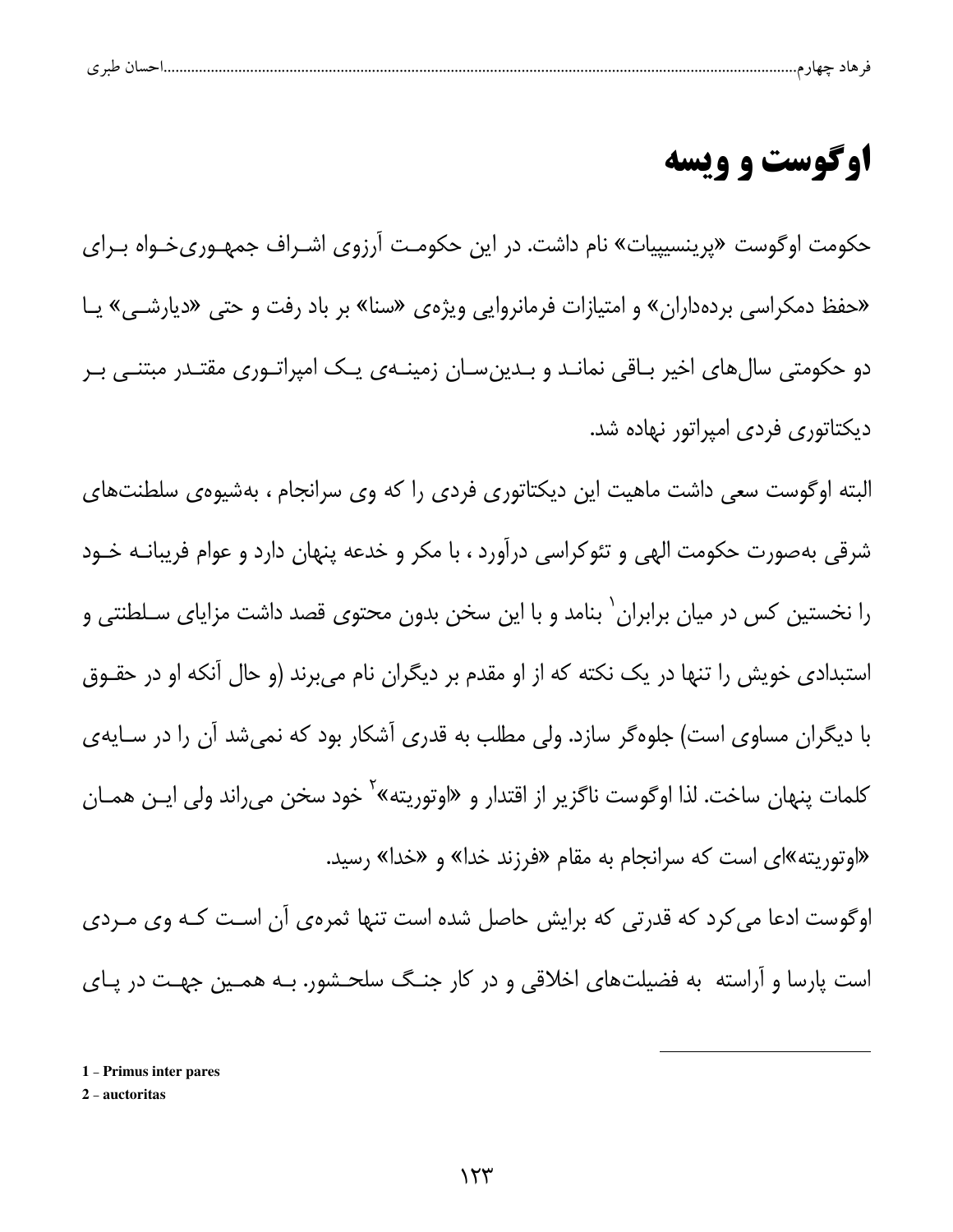| $\sim$<br>ت |  | - 13 |  |  |
|-------------|--|------|--|--|
|             |  |      |  |  |

## **اوگوست و ویسه**

حکومت اوگوست «پرینسیپیات» نام داشت. در این حکومـت آرزوی اشـراف جمهـوریخـواه بـرای «حفظ دمکراسی بردهداران» و امتیازات فرمانروایی ویژهی «سنا» بر باد رفت و حتی «دیارشــی» یــا دو حکومتی سال های اخیر بــاقی نمانــد و بــدین ســان زمینــهای یــک امیراتــوری مقتــدر مبتنــی بــر دیکتاتوری فردی امپراتور نهاده شد.

البته اوگوست سعی داشت ماهیت این دیکتاتوری فردی را که وی سرانجام ، بهشیوهی سلطنتهای شرقی بهصورت حکومت الهی و تئوکراسی درآورد ، با مکر و خدعه پنهان دارد و عوام فریبانــه خــود را نخستین کس در میان برابران <sup>۱</sup> بنامد و با این سخن بدون محتوی قصد داشت مزایای سـلطنتی و استبدادی خویش را تنها در یک نکته که از او مقدم بر دیگران نام میبرند (و حال آنکه او در حقــوق با دیگران مساوی است) جلوهگر سازد. ولی مطلب به قدری آشکار بود که نمیشد آن را در ســایهی کلمات پنهان ساخت. لذا اوگوست ناگزیر از اقتدار و «اوتوریته»<sup>۲</sup> خود سخن میراند ولی ایـن همـان «اوتوریته»ای است که سرانجام به مقام «فرزند خدا» و «خدا» رسید.

اوگوست ادعا می کرد که قدرتی که برایش حاصل شده است تنها ثمرهی آن است کـه وی مـردی است پارسا و آراسته به فضیلتهای اخلاقی و در کار جنـگ سلحـشور. بـه همـین جهـت در پـای

1 - Primus inter pares

2 - auctoritas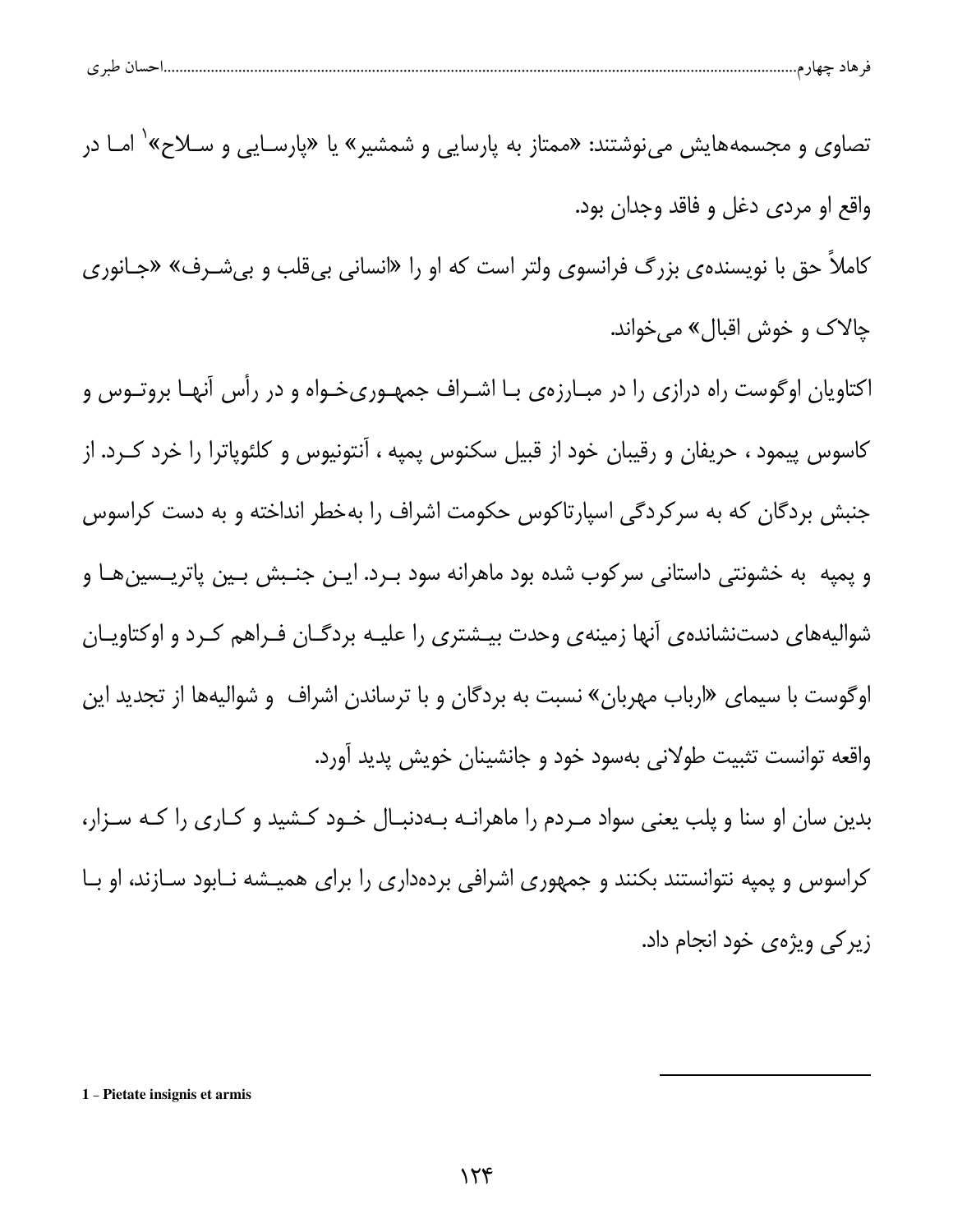| ۔ ساتے حیاز م………………<br>سى<br>77<br>ັ | طبہ م |  |  |  |
|--------------------------------------|-------|--|--|--|
|--------------------------------------|-------|--|--|--|

تصاوی و مجسمههایش مینوشتند: «ممتاز به پارسایی و شمشیر» یا «پارسـایی و ســلاح» ٰ امــا در واقع او مردي دغل و فاقد وجدان بود. کاملا حق با نویسنده ی بزرگ فرانسوی ولتر است که او را «انسانی بی قلب و بی شـرف» «جـانوری

چالاک و خوش اقبال» ميخواند.

اکتاویان اوگوست راه درازی را در مبـارزهی بـا اشـراف جمهـوریخـواه و در رأس آنهـا بروتـوس و کاسوس پیمود ، حریفان و رقیبان خود از قبیل سکنوس پمپه ، آنتونیوس و کلئوپاترا را خرد کـرد. از جنبش بردگان که به سرکردگی اسپارتاکوس حکومت اشراف را بهخطر انداخته و به دست کراسوس و پمپه به خشونتی داستانی سرکوب شده بود ماهرانه سود بـرد. ایـن جنـبش بـین پاتریـسینهـا و شوالیههای دستنشاندهی آنها زمینهی وحدت بیـشتری را علیـه بردگـان فـراهم کـرد و اوکتاویـان اوگوست با سیمای «ارباب مهربان» نسبت به بردگان و با ترساندن اشراف و شوالیهها از تجدید این واقعه توانست تثبیت طولانی بهسود خود و جانشینان خویش پدید آورد. بدین سان او سنا و پلب یعنی سواد مـردم را ماهرانـه بـهدنبـال خـود کـشید و کـاری را کـه سـزار،

کراسوس و پمپه نتوانستند بکنند و جمهوری اشرافی بردهداری را برای همیـشه نـابود سـازند، او بـا زیر کی ویژهی خود انجام داد.

1 - Pietate insignis et armis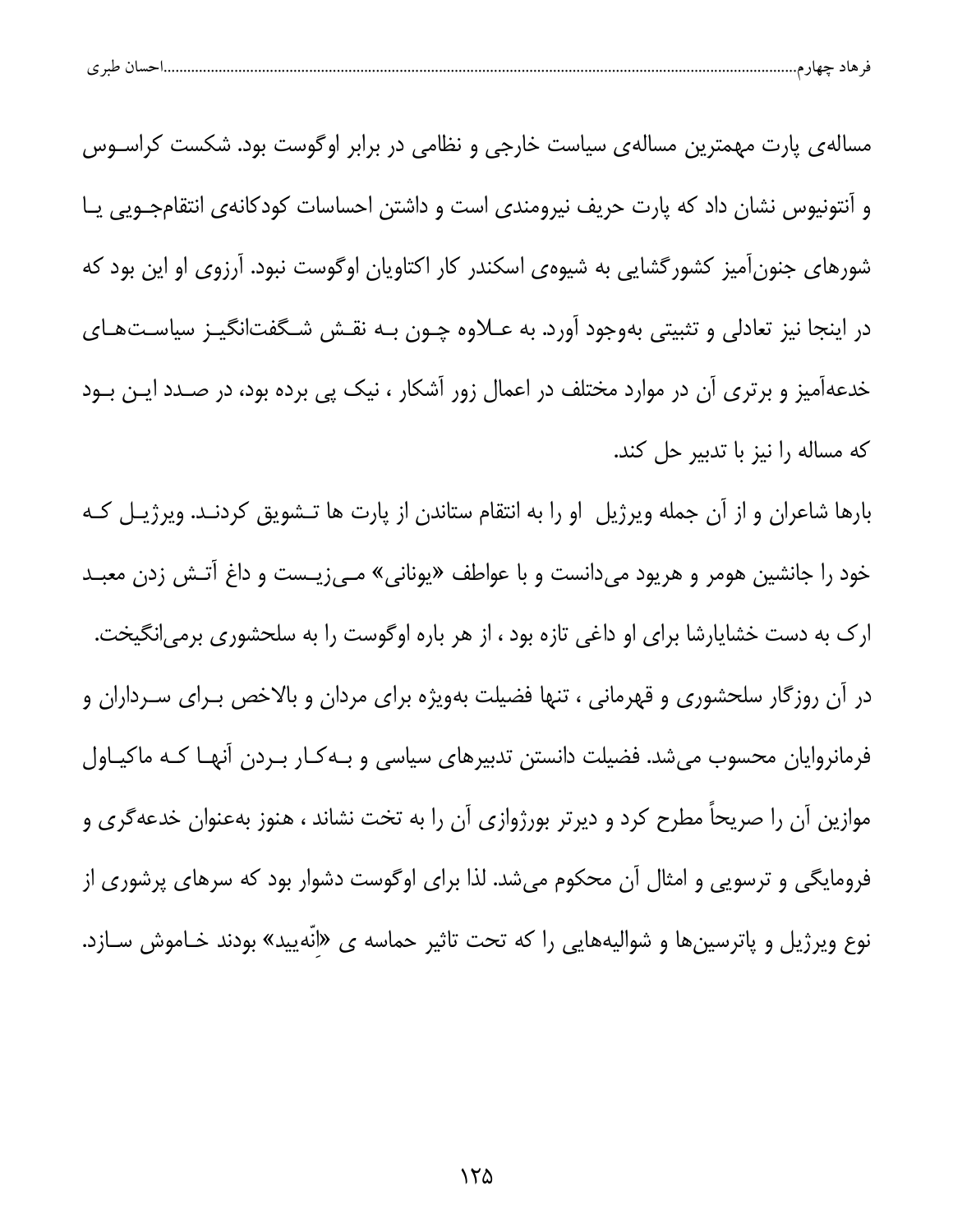| احسال طبر ی |
|-------------|
|-------------|

مساله ی پارت مهمترین مساله ی سیاست خارجی و نظامی در برابر اوگوست بود. شکست کراسـوس و اَنتونیوس نشان داد که پارت حریف نیرومندی است و داشتن احساسات کودکانهی انتقامجــویی یــا شورهای جنونآمیز کشورگشایی به شیوهی اسکندر کار اکتاویان اوگوست نبود. آرزوی او این بود که در اینجا نیز تعادلی و تثبیتی بهوجود آورد. به عــلاوه چــون بــه نقــش شــگفتانگیــز سیاسـتهـای خدعهآمیز و برتری آن در موارد مختلف در اعمال زور آشکار ، نیک پی برده بود، در صـدد ایـن بـود كه مساله را نيز با تدبير حل كند.

بارها شاعران و از آن جمله ویرژیل او را به انتقام ستاندن از پارت ها تـشویق کردنـد. ویرژیـل کـه خود را جانشین هومر و هریود میدانست و با عواطف «یونانی» مـیiپـست و داغ آتـش زدن معبـد ارک به دست خشایارشا برای او داغی تازه بود ، از هر باره اوگوست را به سلحشوری برمی|نگیخت. در آن روزگار سلحشوری و قهرمانی ، تنها فضیلت بهویژه برای مردان و بالاخص بـرای سـرداران و فرمانروایان محسوب میشد. فضیلت دانستن تدبیرهای سیاسی و بـهکـار بـردن آنهـا کـه ماکیـاول موازین آن را صریحاً مطرح کرد و دیرتر بورژوازی آن را به تخت نشاند ، هنوز بهعنوان خدعهگری و فرومایگی و ترسویی و امثال آن محکوم میشد. لذا برای اوگوست دشوار بود که سرهای پرشوری از نوع ويرژيل و پاترسينها و شواليههايي را كه تحت تاثير حماسه ي «انّهييد» بودند خـاموش ســازد.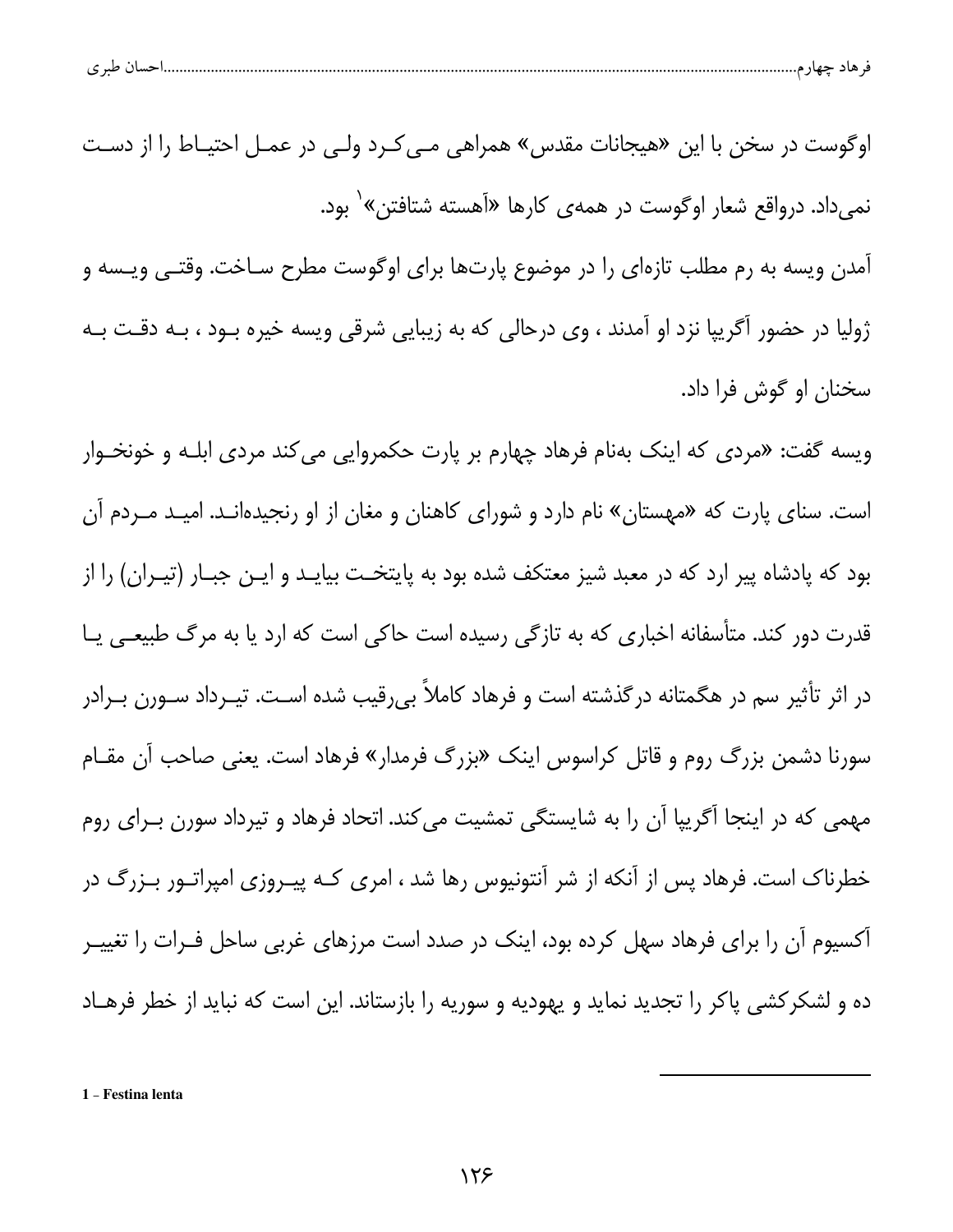| طبہ م<br>پ |  |  |  |
|------------|--|--|--|
|            |  |  |  |

اوگوست در سخن با این «هیجانات مقدس» همراهی مـی *کـ*رد ولـی در عمـل احتیـاط را از دسـت نمیداد. درواقع شعار اوگوست در همهی کارها «آهسته شتافتن»<sup>۱</sup> بود. آمدن ویسه به رم مطلب تازهای را در موضوع پارتها برای اوگوست مطرح سـاخت. وقتــی ویــسه و ژولیا در حضور آگریپا نزد او آمدند ، وی درحالی که به زیبایی شرقی ویسه خیره بــود ، بــه دقــت بــه سخنان او گوش فرا داد. ویسه گفت: «مردی که اینک بهنام فرهاد چهارم بر پارت حکمروایی می کند مردی ابلـه و خونخـوار است. سنای پارت که «مهستان» نام دارد و شورای کاهنان و مغان از او رنجیدهانـد. امیـد مـردم آن بود که یادشاه پیر ارد که در معبد شیز معتکف شده بود به پایتخـت بیایـد و ایـن جبـار (تیـران) را از قدرت دور کند. متأسفانه اخباری که به تازگی رسیده است حاکی است که ارد یا به مرگ طبیعـی یــا در اثر تأثیر سم در هگمتانه درگذشته است و فرهاد کاملاً بی٫قیب شده اسـت. تیـرداد سـورن بـرادر

سورنا دشمن بزرگ روم و قاتل کراسوس اینک «بزرگ فرمدار» فرهاد است. یعنی صاحب آن مقــام مهمی که در اینجا آگریپا آن را به شایستگی تمشیت میکند. اتحاد فرهاد و تیرداد سورن بـرای روم خطرناک است. فرهاد پس از آنکه از شر آنتونیوس رها شد ، امری کـه پیـروزی امپراتـور بـزرگ در آکسیوم آن را برای فرهاد سهل کرده بود، اینک در صدد است مرزهای غربی ساحل فـرات را تغییــر ده و لشکر کشی یاکر را تجدید نماید و یهودیه و سوریه را بازستاند. این است که نباید از خطر فرهـاد

1 - Festina lenta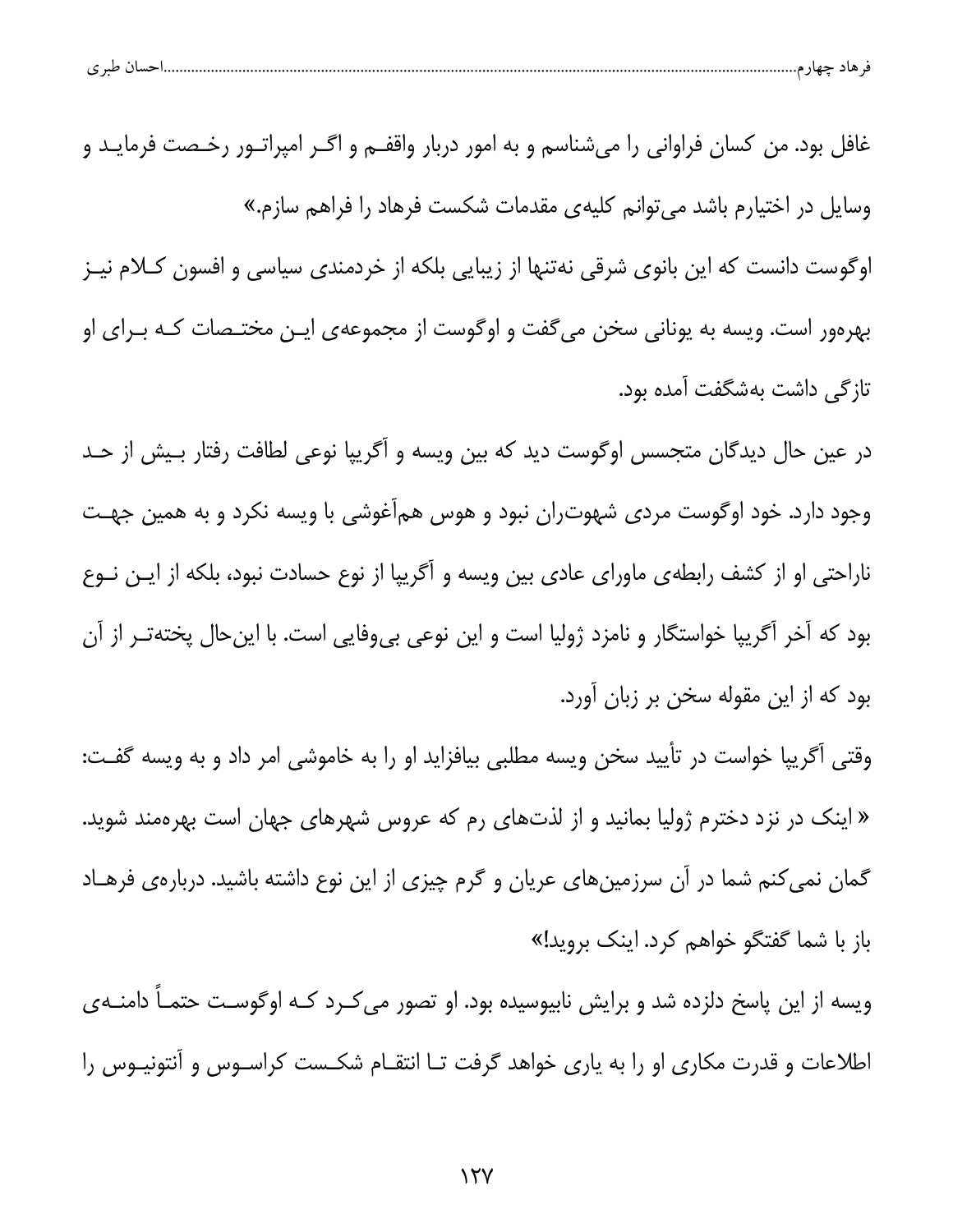| طبر ی | تسب ر | هاد حصاف<br>᠇ |  |
|-------|-------|---------------|--|
|       |       |               |  |

غافل بود. من کسان فراوانی را میشناسم و به امور دربار واقفــم و اگــر امپراتــور رخـصت فرمايــد و وسایل در اختیارم باشد می توانم کلیهی مقدمات شکست فرهاد را فراهم سازم.» اوگوست دانست که این بانوی شرقی نهتنها از زیبایی بلکه از خردمندی سیاسی و افسون کـلام نیـز بهرهور است. ويسه به يوناني سخن مي گفت و اوگوست از مجموعهي ايـن مختـصات كـه بـراي او تازگی داشت بهشگفت آمده بود.

در عین حال دیدگان متجسس اوگوست دید که بین ویسه و آگریپا نوعی لطافت رفتار بـیش از حـد وجود دارد. خود اوگوست مردی شهوتران نبود و هوس همآغوشی با ویسه نکرد و به همین جهـت ناراحتی او از کشف رابطهی ماورای عادی بین ویسه و آگریپا از نوع حسادت نبود، بلکه از ایـن نــوع بود که آخر آگریپا خواستگار و نامزد ژولیا است و این نوعی بیeفایی است. با اینحال پختهتـر از آن بود که از این مقوله سخن بر زبان آورد.

وقتی آگریپا خواست در تأیید سخن ویسه مطلبی بیافزاید او را به خاموشی امر داد و به ویسه گفت: « اینک در نزد دخترم ژولیا بمانید و از لذتهای رم که عروس شهرهای جهان است بهرهمند شوید. گمان نمی کنم شما در آن سرزمینهای عریان و گرم چیزی از این نوع داشته باشید. دربارهی فرهـاد باز با شما گفتگو خواهم کرد. اینک بروید!»

ویسه از این پاسخ دلزده شد و برایش نابیوسیده بود. او تصور می کـرد کـه اوگوسـت حتمـآ دامنــهی اطلاعات و قدرت مکاری او را به پاری خواهد گرفت تـا انتقــام شکــست کراســوس و آنتونيــوس را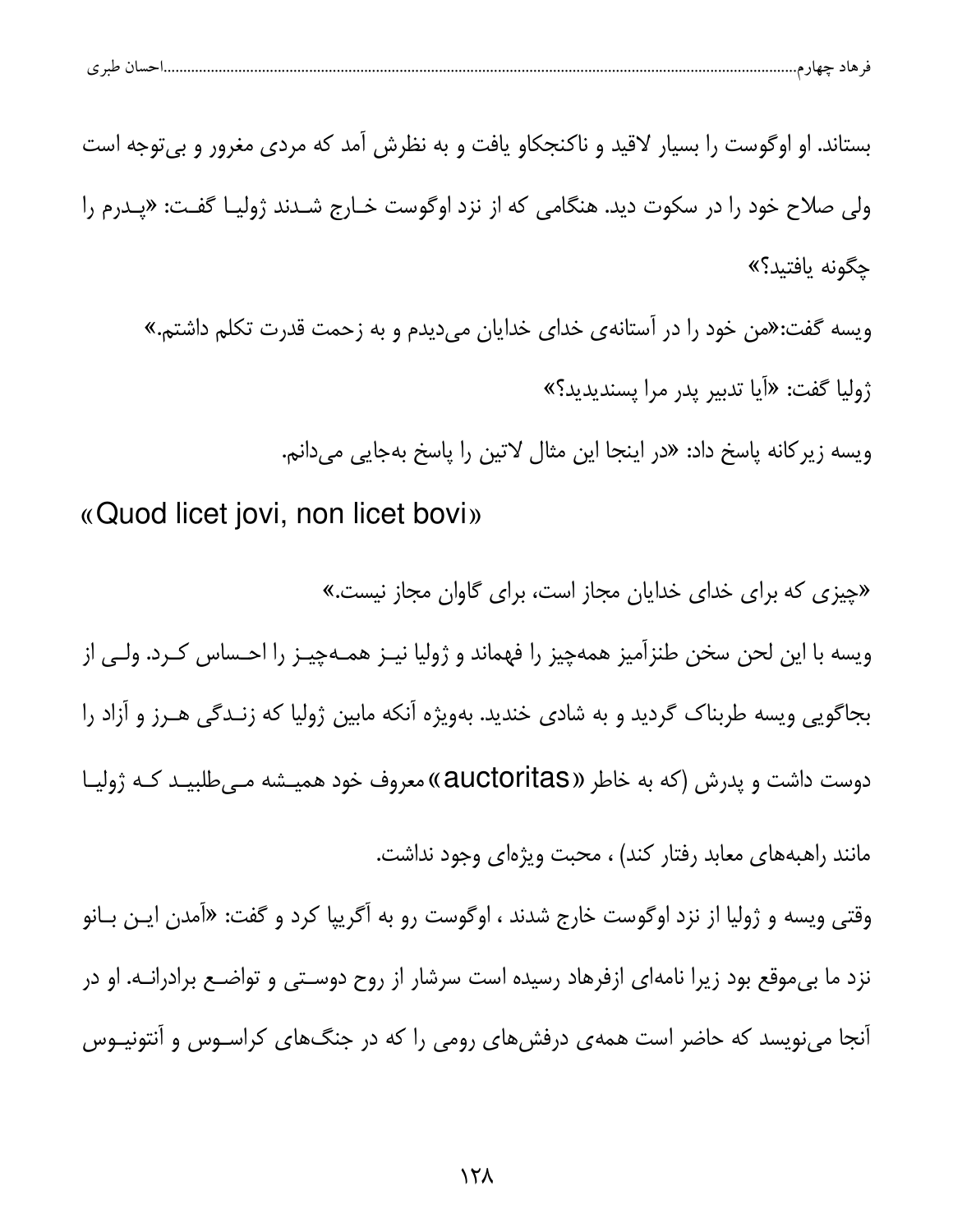| احسال طبر ی |
|-------------|
|-------------|

بستاند. او اوگوست را بسیار لاقید و ناکنجکاو یافت و به نظرش آمد که مردی مغرور و بی توجه است ولي صلاح خود را در سكوت ديد. هنگامي كه از نزد اوگوست خـارج شـدند ژوليـا گفـت: «يـدرم را حگونه بافتيد؟»

ویسه گفت:«من خود را در آستانهی خدای خدایان میدیدم و به زحمت قدرت تکلم داشتم.» ژوليا گفت: «آيا تدبير پدر مرا پسنديديد؟»

ويسه زير كانه پاسخ داد: «در اينجا اين مثال لاتين را پاسخ بهجايي ميدانم.

«Quod licet jovi, non licet bovi»

«چیزی که برای خدای خدایان مجاز است، برای گاوان مجاز نیست.» ویسه با این لحن سخن طنزآمیز همهچیز را فهماند و ژولیا نیـز همـهچیـز را احـساس کـرد. ولـی از بجاگویی ویسه طربناک گردید و به شادی خندید. بهویژه آنکه مابین ژولیا که زنـدگی هـرز و آزاد را دوست داشت و پدرش (که به خاطر «auctoritas») معروف خود همیـشه مـیEطلبیـد کـه ژولیـا مانند راهبههای معابد رفتار کند) ، محبت ویژهای وجود نداشت.

وقتی ویسه و ژولیا از نزد اوگوست خارج شدند ، اوگوست رو به آگریپا کرد و گفت: «آمدن ایـن بـانو نزد ما بی موقع بود زیرا نامهای ازفرهاد رسیده است سرشار از روح دوسـتی و تواضـع برادرانــه. او در آنجا مینویسد که حاضر است همهی درفشهای رومی را که در جنگهای کراسـوس و آنتونیـوس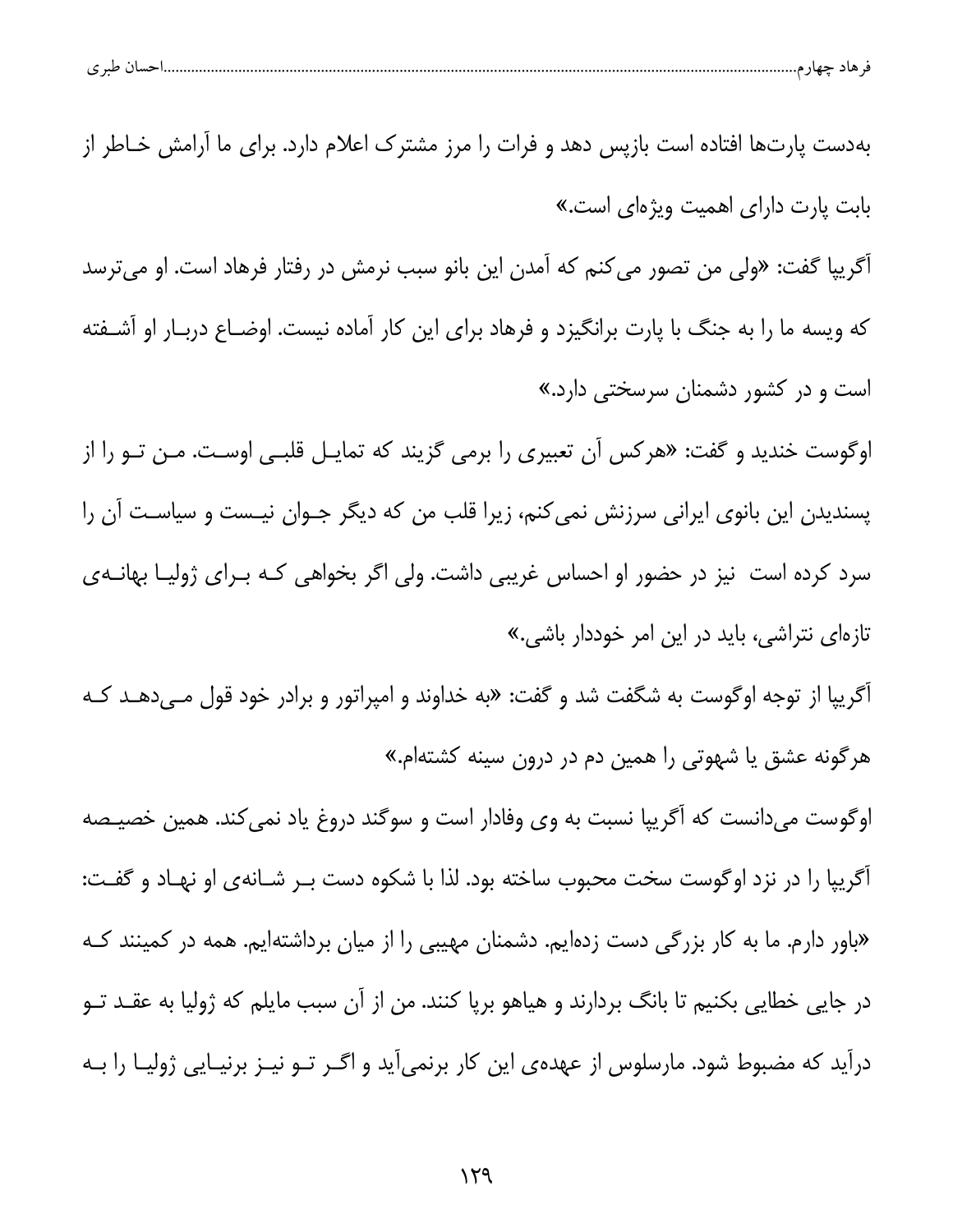بهدست یارتها افتاده است بازیس دهد و فرات را مرز مشترک اعلام دارد. برای ما آرامش خـاطر از بابت یارت دارای اهمیت ویژهای است.» آگریپا گفت: «ولی من تصور می کنم که آمدن این بانو سبب نرمش در رفتار فرهاد است. او میترسد که ویسه ما را به جنگ با پارت برانگیزد و فرهاد برای این کار آماده نیست. اوضـاع دربـار او آشــفته است و در کشور دشمنان سرسختی دارد.» اوگوست خندید و گفت: «هرکس آن تعبیری را برمی گزیند که تمایـل قلبـی اوسـت. مـن تـو را از پسندیدن این بانوی ایرانی سرزنش نمی کنم، زیرا قلب من که دیگر جـوان نیـست و سیاسـت آن را سرد کرده است نیز در حضور او احساس غریبی داشت. ولی اگر بخواهی کـه بـرای ژولیـا بهانــهی تازمای نتراشی، باید در این امر خوددار باشی.» آگریپا از توجه اوگوست به شگفت شد و گفت: «به خداوند و امپراتور و برادر خود قول مـىدهــد كــه هرگونه عشق یا شهوتی را همین دم در درون سینه کشتهام.» اوگوست میدانست که آگریپا نسبت به وی وفادار است و سوگند دروغ یاد نمیکند. همین خصیـصه أگريپا را در نزد اوگوست سخت محبوب ساخته بود. لذا با شكوه دست بـر شـانهى او نهـاد و گفـت: «باور دارم. ما به کار بزرگی دست زدهایم. دشمنان مهیبی را از میان برداشتهایم. همه در کمینند کـه در جایی خطایی بکنیم تا بانگ بردارند و هیاهو برپا کنند. من از آن سبب مایلم که ژولیا به عقـد تــو درآید که مضبوط شود. مارسلوس از عهدهی این کار برنمیآید و اگـر تـو نیـز برنیـایی ژولیـا را بـه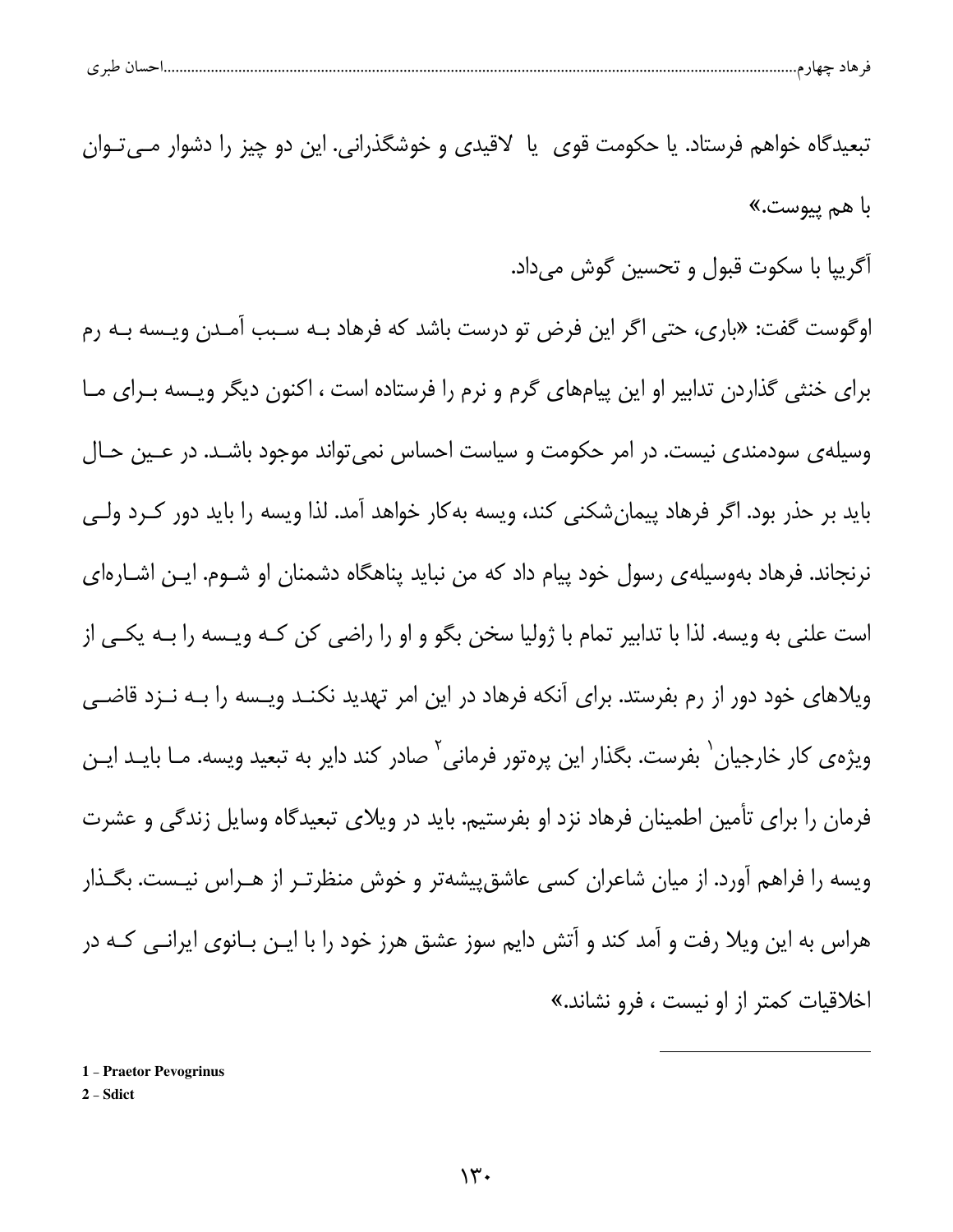| حساں طبر ی |
|------------|
|------------|

تبعيدگاه خواهم فرستاد. يا حكومت قوي يا لاقيدي و خوشگذراني. اين دو چيز را دشوار مــي تـوان با هم پيوس*ت*.»

آگرييا با سکوت قبول و تحسين گوش ميداد.

اوگوست گفت: «باری، حتی اگر این فرض تو درست باشد که فرهاد بـه سـبب آمـدن ویـسه بـه رم برای خنثی گذاردن تدابیر او این پیامهای گرم و نرم را فرستاده است ، اکنون دیگر ویـسه بـرای مـا وسیله ی سودمندی نیست. در امر حکومت و سیاست احساس نمی تواند موجود باشـد. در عـین حـال باید بر حذر بود. اگر فرهاد پیمانِشکنی کند، ویسه بهکار خواهد آمد. لذا ویسه را باید دور کـرد ولـی نرنجاند. فرهاد بهوسیلهی رسول خود پیام داد که من نباید پناهگاه دشمنان او شــوم. ایــن اشــارهای است علنی به ویسه. لذا با تدابیر تمام با ژولیا سخن بگو و او را راضی کن کـه ویـسه را بـه یکـی از ویلاهای خود دور از رم بفرستد. برای آنکه فرهاد در این امر تهدید نکنـد ویـسه را بـه نـزد قاضـی ویژهی کار خارجیان <sup>۱</sup> بفرست. بگذار این پرهتور فرمانی<sup>۲</sup> صادر کند دایر به تبعید ویسه. مـا بایــد ایــن فرمان را برای تأمین اطمینان فرهاد نزد او بفرستیم. باید در ویلای تبعیدگاه وسایل زندگی و عشرت ویسه را فراهم آورد. از میان شاعران کسی عاشقپیشهتر و خوش منظرتـر از هـراس نیـست. بگـذار هراس به این ویلا رفت و آمد کند و آتش دایم سوز عشق هرز خود را با ایـن بـانوی ایرانـی کـه در اخلاقيات كمتر از او نيست ، فرو نشاند.»

1 - Praetor Pevogrinus

2 - Sdict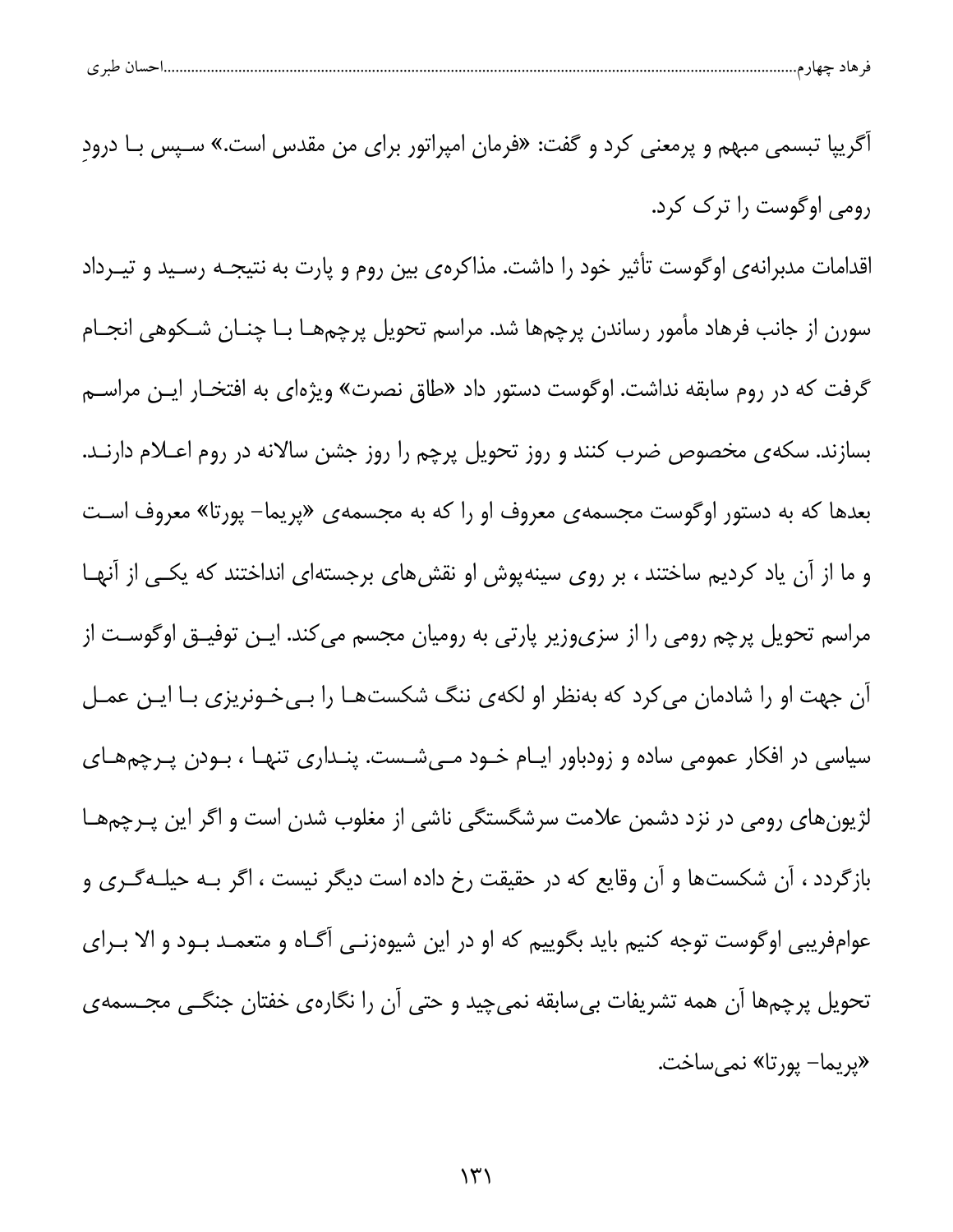| ۱، طبہ م<br>ی هاد حهار م<br>. |  |  |  |
|-------------------------------|--|--|--|
|-------------------------------|--|--|--|

| اًگریپا تبسمی مبهم و پرمعنی کرد و گفت: «فرمان امپراتور برای من مقدس است.» سـپس بـا درودِ     |
|----------------------------------------------------------------------------------------------|
| رومی اوگوست را ترک کرد.                                                                      |
| اقدامات مدبرانهی اوگوست تأثیر خود را داشت. مذاکرهی بین روم و پارت به نتیجـه رسـید و تیــرداد |
| سورن از جانب فرهاد مأمور رساندن پرچمها شد. مراسم تحویل پرچمهـا بـا چنـان شـکوهی انجـام       |
| گرفت که در روم سابقه نداشت. اوگوست دستور داد «طاق نصرت» ویژهای به افتخـار ایـن مراســم       |
| بسازند. سکهی مخصوص ضرب کنند و روز تحویل پرچم را روز جشن سالانه در روم اعــلام دارنــد.       |
| بعدها که به دستور اوگوست مجسمهی معروف او را که به مجسمهی «پریما– پورتا» معروف اسـت           |
| و ما از آن یاد کردیم ساختند ، بر روی سینهپوش او نقشهای برجستهای انداختند که یکـی از آنهـا    |
| مراسم تحویل پرچم رومی را از سزیوزیر پارتی به رومیان مجسم میکند. ایـن توفیـق اوگوسـت از       |
| آن جهت او را شادمان می <i>ک</i> رد که بهنظر او لکهی ننگ شکستهـا را بـیخـونریزی بـا ایـن عمـل |
| سیاسی در افکار عمومی ساده و زودباور ایـام خـود مـیشـست. پنـداری تنهـا ، بـودن پـرچمهـای      |
| لژیونهای رومی در نزد دشمن علامت سرشگستگی ناشی از مغلوب شدن است و اگر این پـرچمهـا            |
| بازگردد ، آن شکستها و آن وقایع که در حقیقت رخ داده است دیگر نیست ، اگر بـه حیلـهگـری و       |
| عوامفریبی اوگوست توجه کنیم باید بگوییم که او در این شیوهزنـی آگـاه و متعمـد بـود و الا بـرای |
| تحویل پرچمها آن همه تشریفات بیسابقه نمیچید و حتی آن را نگارهی خفتان جنگــی مجــسمهی          |
| «پريما– پورتا» نميساخت.                                                                      |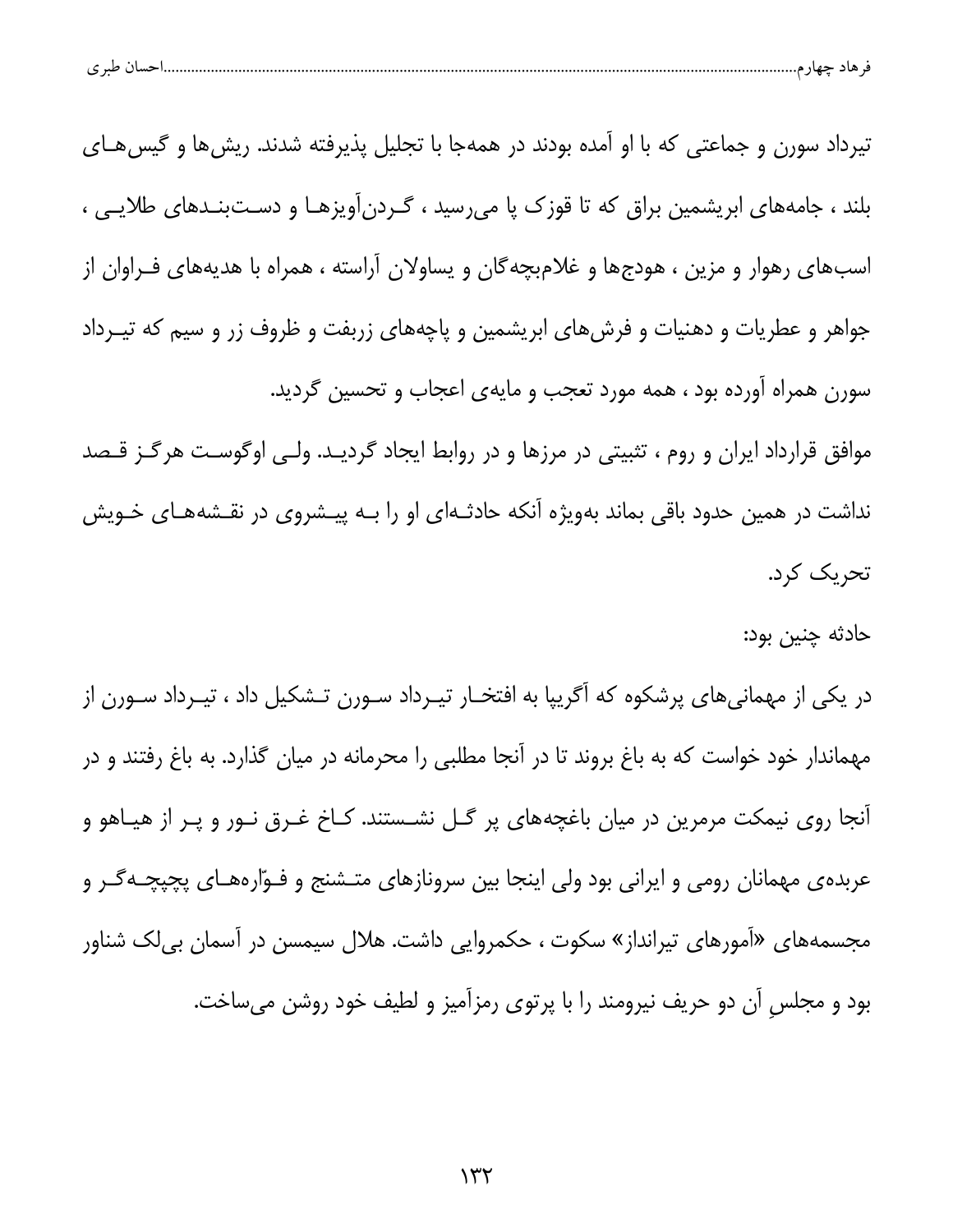| طبہ م<br>ັ | تسب ر |  |  |
|------------|-------|--|--|
|            |       |  |  |

تیرداد سورن و جماعتی که با او آمده بودند در همهجا با تجلیل پذیرفته شدند. ریش ها و گیس هـای بلند ، جامههای ابریشمین براق که تا قوزک یا می٫رسید ، گـردن[ویزهـا و دسـتبنـدهای طلایـی ، اسبهای رهوار و مزین ، هودجها و غلامبچهگان و یساولان آراسته ، همراه با هدیههای فـراوان از جواهر و عطریات و دهنیات و فرشهای ابریشمین و پاچههای زربفت و ظروف زر و سیم که تیـرداد سورن همراه آورده بود ، همه مورد تعجب و مایهی اعجاب و تحسین گردید. موافق قرارداد ایران و روم ، تثبیتی در مرزها و در روابط ایجاد گردیـد. ولـی اوگوسـت هرگـز قـصد نداشت در همین حدود باقی بماند بهویژه آنکه حادثـهای او را بـه پیـشروی در نقـشههـای خـویش تحریک کرد.

حادثه چنین بود:

در یکی از مهمانیهای پرشکوه که آگریپا به افتخـار تیـرداد سـورن تـشکیل داد ، تیـرداد سـورن از مهماندار خود خواست که به باغ بروند تا در آنجا مطلبی را محرمانه در میان گذارد. به باغ رفتند و در آنجا روی نیمکت مرمرین در میان باغچههای پر گـل نشـستند. کـاخ غـرق نـور و پـر از هیـاهو و عربده مهمانان رومی و ایرانی بود ولی اینجا بین سرونازهای متـشنج و فـوّارههـای پچپچـه گـر و مجسمههای «آمورهای تیرانداز» سکوت ، حکمروایی داشت. هلال سیمسن در آسمان بیلک شناور بود و مجلس آن دو حریف نیرومند را با پرتوی رمزآمیز و لطیف خود روشن میساخت.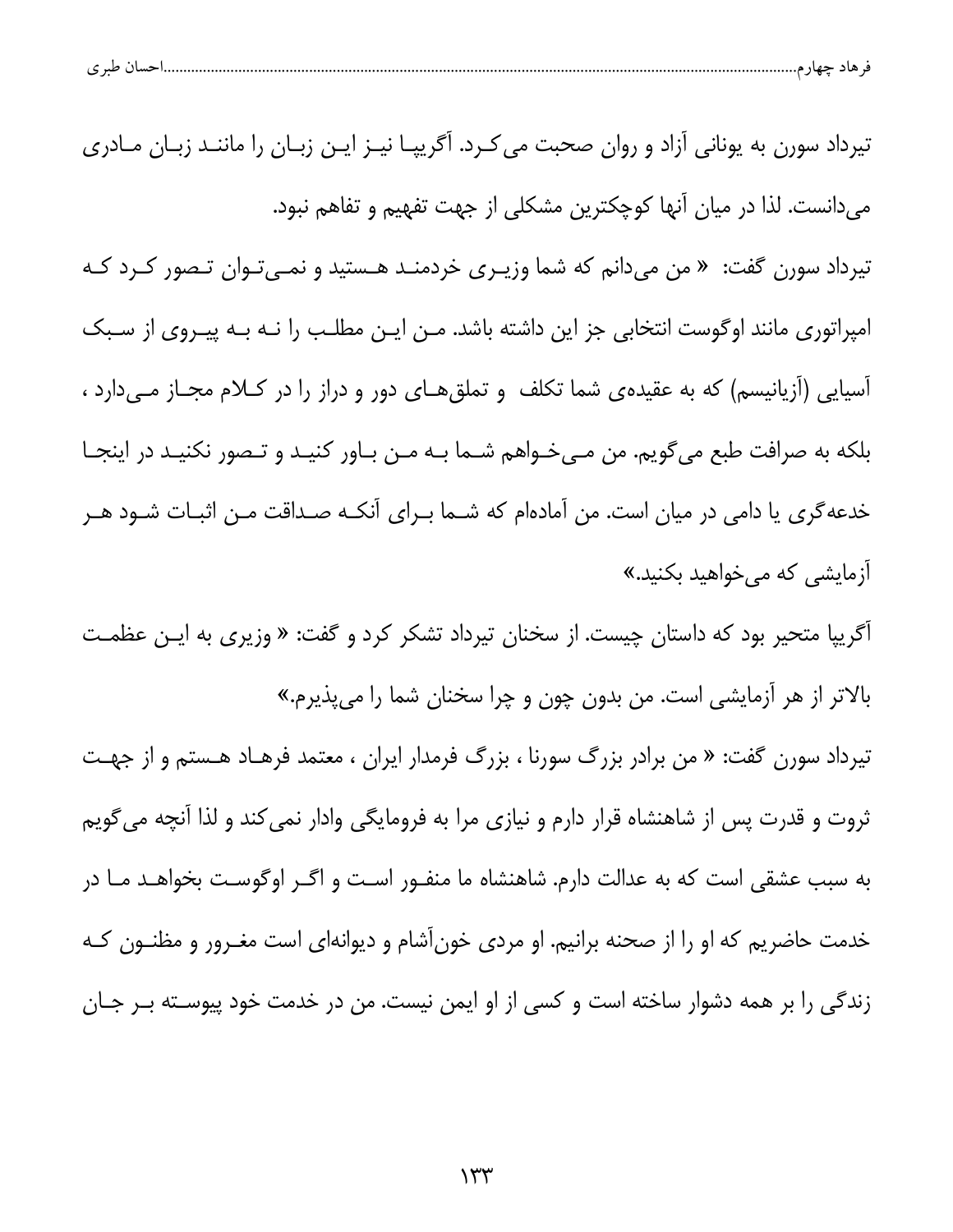| طب ی<br>ັ | تسب ر |  |  |
|-----------|-------|--|--|
|           |       |  |  |

تیرداد سورن به یونانی آزاد و روان صحبت می کـرد. آگریپـا نیـز ایـن زبـان را ماننـد زبـان مـادری می دانست. لذا در میان آنها کوچکترین مشکلی از جهت تفهیم و تفاهم نبود. تیرداد سورن گفت: « من میدانم که شما وزیـری خردمنـد هـستید و نمـیتوان تـصور کـرد کـه امپراتوری مانند اوگوست انتخابی جز این داشته باشد. مـن ایـن مطلـب را نـه بـه پیـروی از سـبک آسیایی (آزیانیسم) که به عقیده یشما تکلف و تملق هـای دور و دراز را در کـلام مجـاز مـیدارد ، بلکه به صرافت طبع می گویم. من مـیخـواهم شـما بـه مـن بـاور کنیـد و تـصور نکنیـد در اینجـا خدعه گری یا دامی در میان است. من آمادهام که شــما بــرای آنکــه صــداقت مــن اثبــات شــود هــر آزمایشی که می خواهید بکنید.»

آگریپا متحیر بود که داستان چیست. از سخنان تیرداد تشکر کرد و گفت: « وزیری به ایـن عظمـت بالاتر از هر آزمایشی است. من بدون چون و چرا سخنان شما را می پذیرم.»

تیرداد سورن گفت: « من برادر بزرگ سورنا ، بزرگ فرمدار ایران ، معتمد فرهـاد هـستم و از جهـت ثروت و قدرت پس از شاهنشاه قرار دارم و نیازی مرا به فرومایگی وادار نمی کند و لذا آنچه می گویم به سبب عشقی است که به عدالت دارم. شاهنشاه ما منفـور اسـت و اگـر اوگوسـت بخواهـد مـا در خدمت حاضریم که او را از صحنه برانیم. او مردی خونآشام و دیوانهای است مغــرور و مظنــون کــه زندگی را بر همه دشوار ساخته است و کسی از او ایمن نیست. من در خدمت خود پیوسـته بــر جــان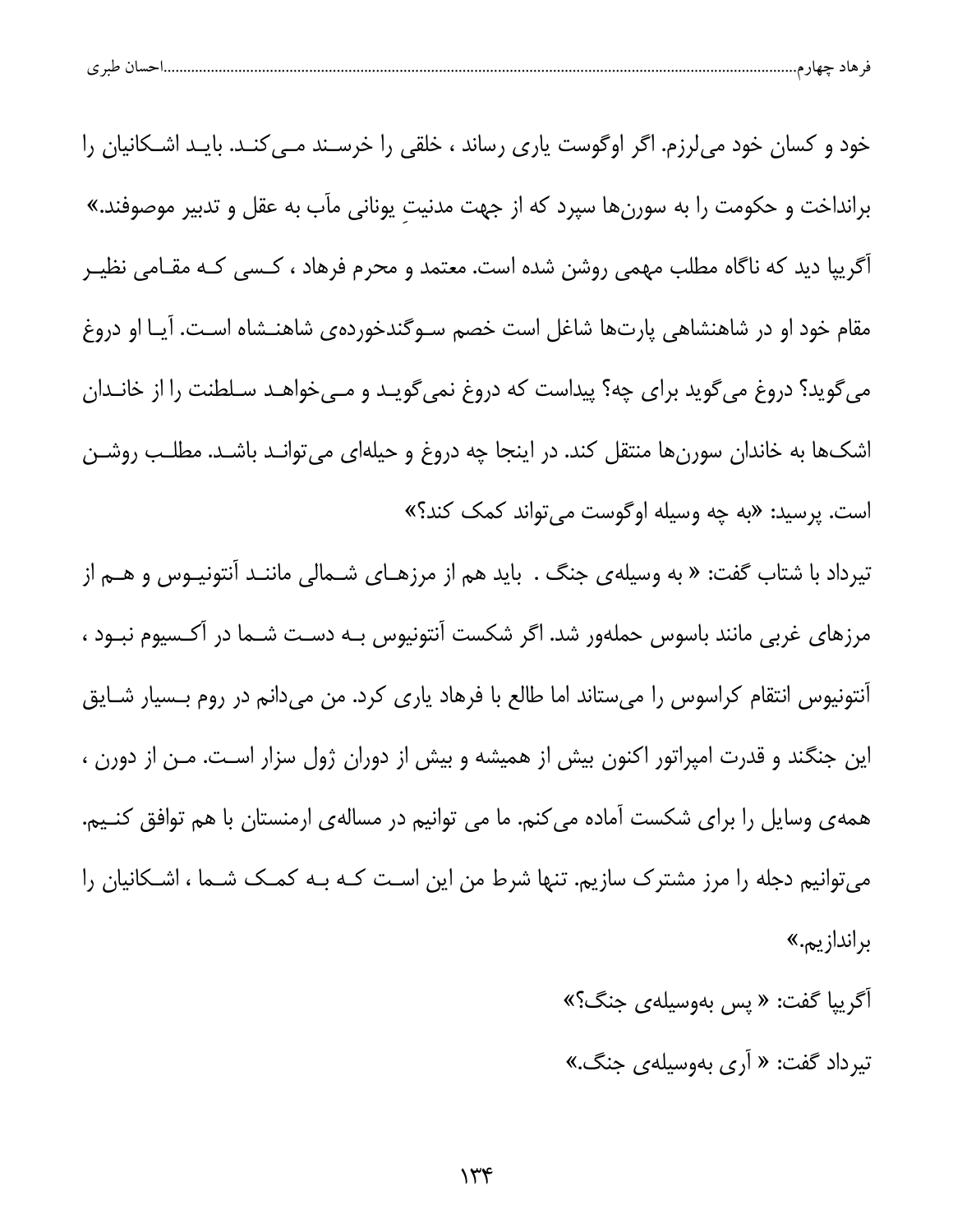| احسال طبر ی |
|-------------|
|-------------|

خود و کسان خود میلرزم. اگر اوگوست یاری رساند ، خلقی را خرسـند مــی کنــد. بایــد اشــکانیان را برانداخت و حکومت را به سورنها سپرد که از جهت مدنیت یونانی مآب به عقل و تدبیر موصوفند.» آگریپا دید که ناگاه مطلب مهمی روشن شده است. معتمد و محرم فرهاد ، کـسی کـه مقـامی نظیــر مقام خود او در شاهنشاهی پارتها شاغل است خصم سـوگندخوردهی شاهنـشاه اسـت. آیـا او دروغ می گوید؟ دروغ می گوید برای چه؟ پیداست که دروغ نمی گویـد و مـیخواهـد سـلطنت را از خانـدان اشکها به خاندان سورنها منتقل کند. در اینجا چه دروغ و حیلهای میتوانـد باشـد. مطلـب روشـن است. پرسید: «به چه وسیله اوگوست میتواند کمک کند؟» تیرداد با شتاب گفت: « به وسیلهی جنگ . باید هم از مرزهـای شــمالی ماننــد آنتونیــوس و هــم از

مرزهای غربی مانند باسوس حملهور شد. اگر شکست آنتونیوس بـه دسـت شـما در آکـسیوم نبـود ، آنتونیوس انتقام کراسوس را میستاند اما طالع با فرهاد یاری کرد. من میدانم در روم بـسیار شـایق این جنگند و قدرت امپراتور اکنون بیش از همیشه و بیش از دوران ژول سزار است. مـن از دورن ، همه ی وسایل را برای شکست آماده میکنم. ما می توانیم در مساله ی ارمنستان با هم توافق کنــیم. می توانیم دجله را مرز مشترک سازیم. تنها شرط من این است کـه بـه کمـک شـما ، اشـکانیان را براندازيم.»

> آگرييا گفت: « پس بهوسيلهي جنگ؟» تيرداد گفت: « آرى بهوسيلهى جنگ.»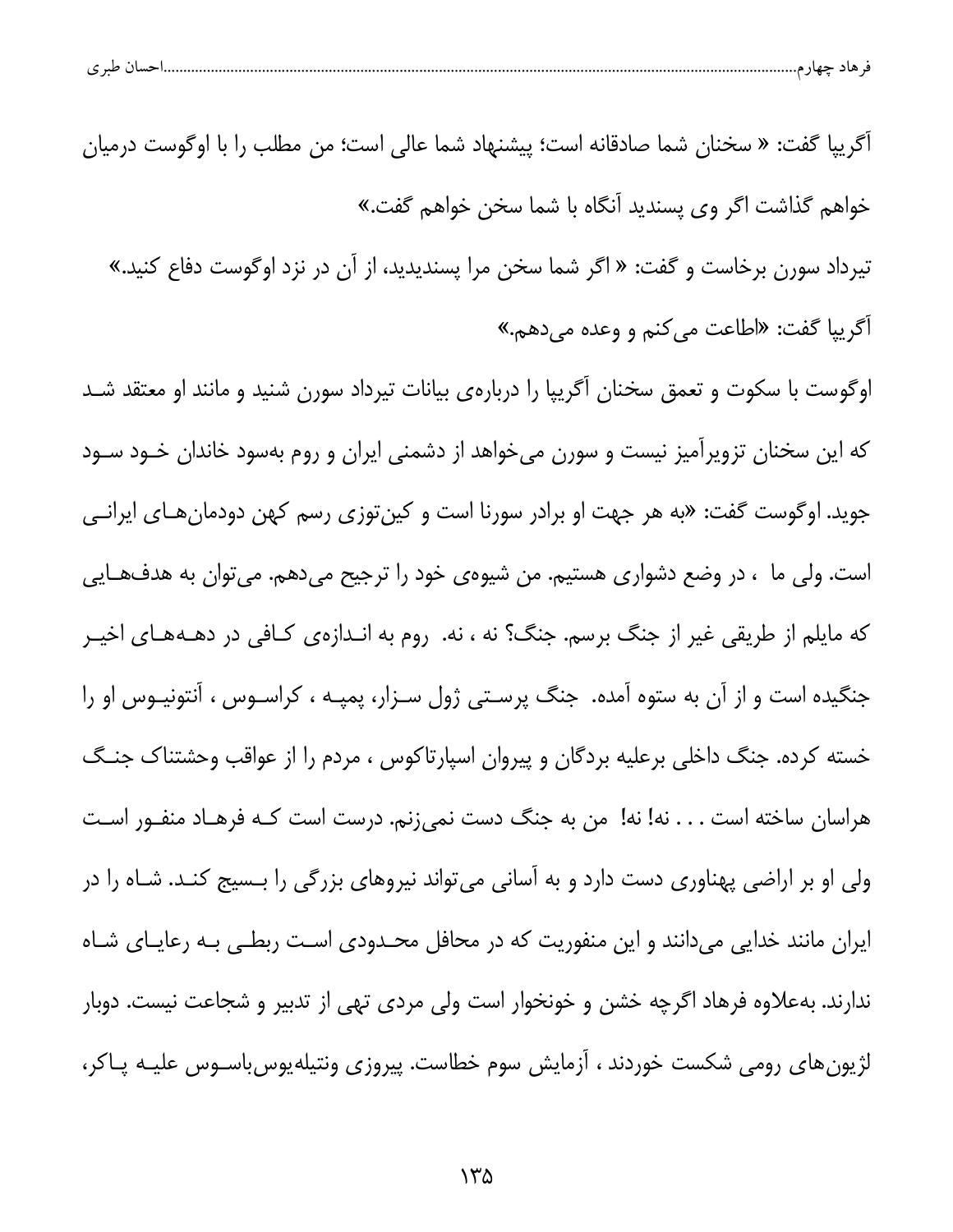|  | طبہ م<br>. . | حساد | $-$ |  |  |
|--|--------------|------|-----|--|--|
|--|--------------|------|-----|--|--|

آكرييا گفت: « سخنان شما صادقانه است؛ پيشنهاد شما عالي است؛ من مطلب را با اوگوست درميان خواهم گذاشت اگر وي پسنديد اَنگاه با شما سخن خواهم گفت.»

تیرداد سورن برخاست و گفت: « اگر شما سخن مرا پسندیدید، از آن در نزد اوگوست دفاع کنید.» أكريپا گفت: «اطاعت مي كنم و وعده مي دهم.»

اوگوست با سکوت و تعمق سخنان آگریپا را دربارهی بیانات تیرداد سورن شنید و مانند او معتقد شـد که این سخنان تزویرآمیز نیست و سورن میخواهد از دشمنی ایران و روم بهسود خاندان خـود سـود جوید. اوگوست گفت: «به هر جهت او برادر سورنا است و کینتوزی رسم کهن دودمانهـای ایرانـی است. ولي ما ، در وضع دشواري هستيم. من شيوهي خود را ترجيح ميدهم. مي توان به هدفهـايي که مایلم از طریقی غیر از جنگ برسم. جنگ؟ نه ، نه. روم به انـدازهی کـافی در دهــههـای اخیــر جنگیده است و از آن به ستوه آمده. جنگ پرسـتی ژول سـزار، پمپـه ، کراسـوس ، آنتونیــوس او را خسته کرده. جنگ داخلی برعلیه بردگان و پیروان اسپارتاکوس ، مردم را از عواقب وحشتناک جنگ هراسان ساخته است . . . نه! نه! من به جنگ دست نمی;نم. درست است کـه فرهـاد منفـور اسـت ولی او بر اراضی پهناوری دست دارد و به آسانی میتواند نیروهای بزرگی را بـسیج کنـد. شـاه را در ایران مانند خدایی میدانند و این منفوریت که در محافل محـدودی اسـت ربطـی بـه رعایـای شـاه ندارند. بهعلاوه فرهاد اگرچه خشن و خونخوار است ولی مردی تهی از تدبیر و شجاعت نیست. دوبار لژیونهای رومی شکست خوردند ، آزمایش سوم خطاست. پیروزی ونتیلهیوس باسـوس علیـه پـاکر،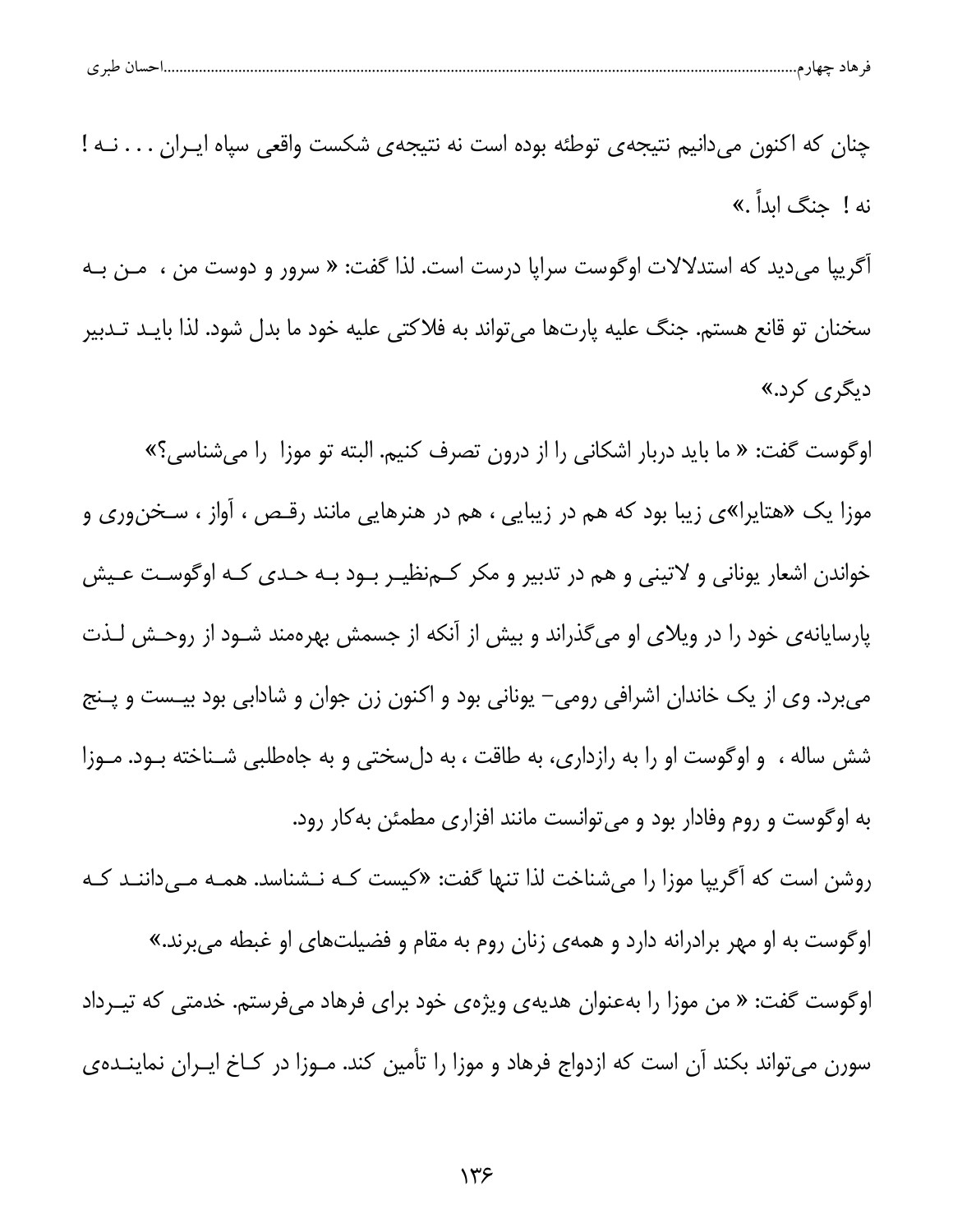| -<br>- 14 |  |  |
|-----------|--|--|
|-----------|--|--|

| چنان که اکنون میدانیم نتیجهی توطئه بوده است نه نتیجهی شکست واقعی سپاه ایـران نــه !            |
|------------------------------------------------------------------------------------------------|
| نه ! جنگ ابداً .»                                                                              |
| أگريپا مىديد كه استدلالات اوگوست سراپا درست است. لذا گفت: « سرور و دوست من ،  مــن بــه        |
| سخنان تو قانع هستم. جنگ علیه پارتها میتواند به فلاکتی علیه خود ما بدل شود. لذا بایـد تـدبیر    |
| دیگر <i>ی</i> کرد.»                                                                            |
| اوگوست گفت: « ما باید دربار اشکانی را از درون تصرف کنیم. البته تو موزا  را میشناسی؟»           |
| موزا یک «هتایرا»ی زیبا بود که هم در زیبایی ، هم در هنرهایی مانند رقـص ، آواز ، سـخنوری و       |
| خواندن اشعار یونانی و لاتینی و هم در تدبیر و مکر کــمنظیــر بــود بــه حــدی کـه اوگوسـت عــیش |
| پارسایانهی خود را در ویلای او میگذراند و بیش از آنکه از جسمش بهرهمند شـود از روحـش لـذت        |
| میبرد. وی از یک خاندان اشرافی رومی– یونانی بود و اکنون زن جوان و شادابی بود بیـست و پـنج       |
| شش ساله ،  و اوگوست او را به رازداری، به طاقت ، به دلسختی و به جاهطلبی شـناخته بـود. مـوزا     |
| به اوگوست و روم وفادار بود و میتوانست مانند افزاری مطمئن بهکار رود.                            |
| روشن است که آگریپا موزا را میشناخت لذا تنها گفت: «کیست کـه نـشناسد. همـه مـیداننـد کـه         |
| اوگوست به او مهر برادرانه دارد و همهی زنان روم به مقام و فضیلتهای او غبطه میبرند.»             |
| اوگوست گفت: « من موزا را بهعنوان هدیهی ویژهی خود برای فرهاد میفرستم. خدمتی که تیــرداد         |
| سورن میتواند بکند آن است که ازدواج فرهاد و موزا را تأمین کند. مـوزا در کـاخ ایـران نماینـدهی   |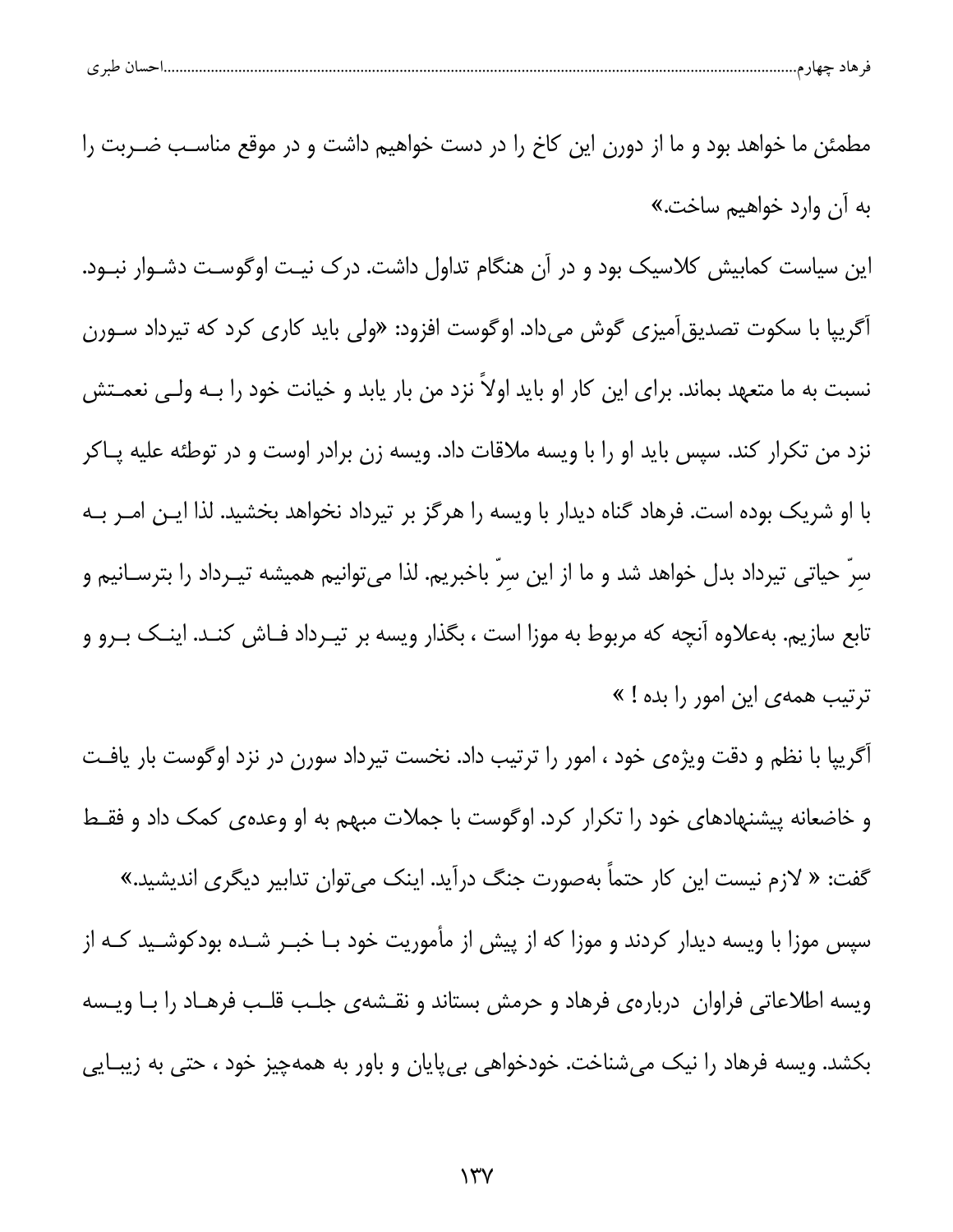مطمئن ما خواهد بود و ما از دورن این کاخ را در دست خواهیم داشت و در موقع مناسـب ضـربت را به آن وارد خواهیم ساخت.» این سیاست کمابیش کلاسیک بود و در آن هنگام تداول داشت. درک نیـت اوگوسـت دشـوار نبـود. آگریپا با سکوت تصدیق[میزی گوش میداد. اوگوست افزود: «ولی باید کاری کرد که تیرداد سـورن نسبت به ما متعهد بماند. برای این کار او باید اولاً نزد من بار یابد و خیانت خود را بــه ولــی نعمــتش نزد من تکرار کند. سپس باید او را با ویسه ملاقات داد. ویسه زن برادر اوست و در توطئه علیه پــاکر با او شریک بوده است. فرهاد گناه دیدار با ویسه را هرگز بر تیرداد نخواهد بخشید. لذا ایـن امـر بـه سرّ حیاتی تیرداد بدل خواهد شد و ما از این سرّ باخبریم. لذا می¤وانیم همیشه تیــرداد را بترســانیم و تابع سازیم. بهعلاوه آنچه که مربوط به موزا است ، بگذار ویسه بر تیــرداد فــاش کنــد. اینــک بــرو و ترتیب همهی این امور را بده ! »

آگریپا با نظم و دقت ویژهی خود ، امور را ترتیب داد. نخست تیرداد سورن در نزد اوگوست بار یافت و خاضعانه پیشنهادهای خود را تکرار کرد. اوگوست با جملات مبهم به او وعدهی کمک داد و فقـط گفت: « لازم نیست این کار حتماً بهصورت جنگ درآید. اینک می¤وان تدابیر دیگری اندیشید.»

سپس موزا با ویسه دیدار کردند و موزا که از پیش از مأموریت خود بـا خبــر شــده بودکوشــید کــه از ویسه اطلاعاتی فراوان ِ دربارهی فرهاد و حرمش بستاند و نقـشهی جلـب قلـب فرهـاد را بـا ویـسه بکشد. ویسه فرهاد را نیک میشناخت. خودخواهی بیپایان و باور به همهچیز خود ، حتی به زیبـایی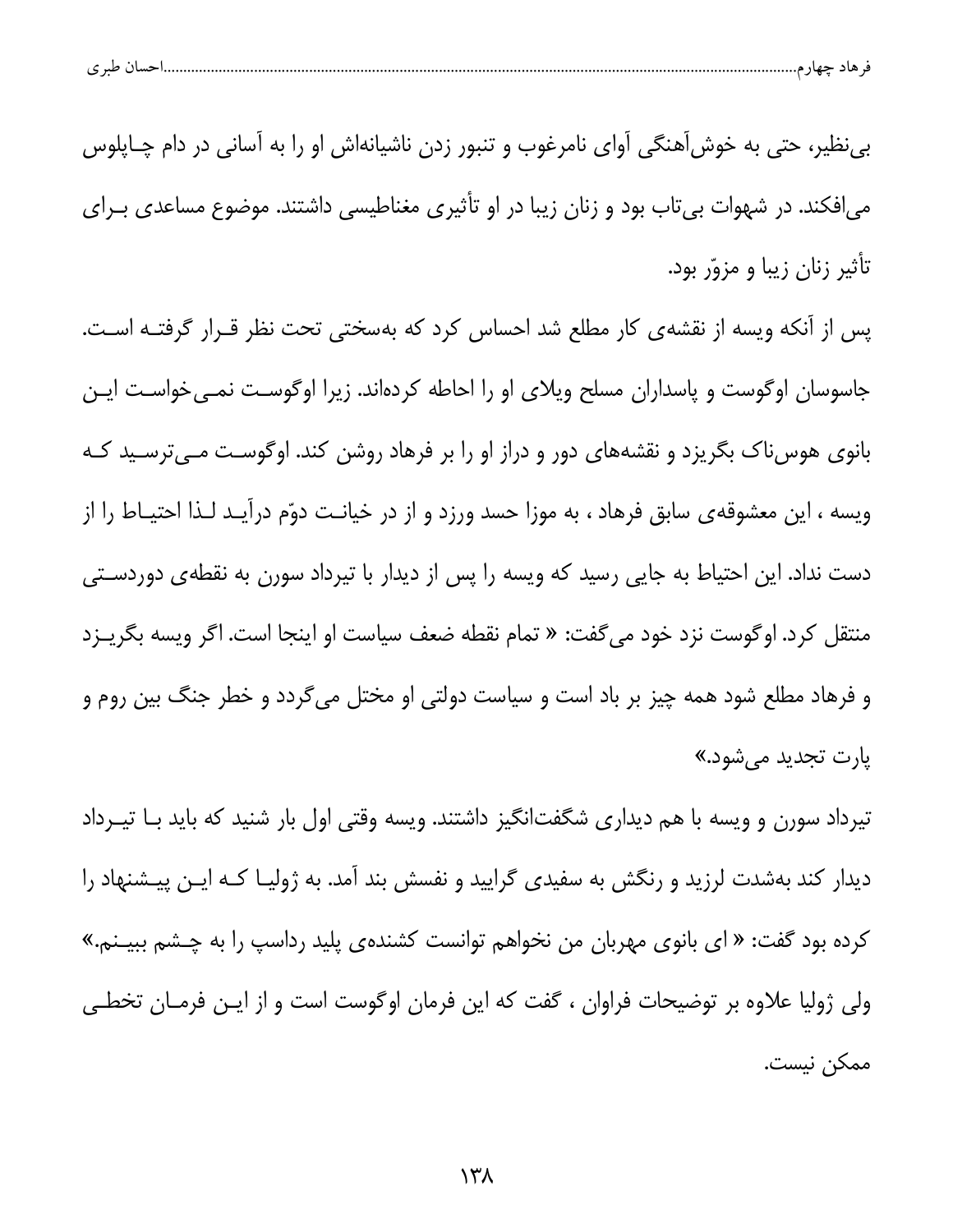| ے | $\sim$ |  |  |
|---|--------|--|--|
|   |        |  |  |

بی نظیر، حتی به خوش آهنگی آوای نامرغوب و تنبور زدن ناشیانهاش او را به آسانی در دام چـاپلوس می افکند. در شهوات بی تاب بود و زنان زیبا در او تأثیری مغناطیسی داشتند. موضوع مساعدی بـرای تأثیر زنان زیبا و مزوّر بود.

پس از آنکه ویسه از نقشهی کار مطلع شد احساس کرد که بهسختی تحت نظر قــرار گرفتــه اسـت. جاسوسان اوگوست و پاسداران مسلح ویلای او را احاطه کردهاند. زیرا اوگوست نمـی خواسـت ایـن بانوی هوسiاک بگریزد و نقشههای دور و دراز او را بر فرهاد روشن کند. اوگوست مـیترسـید کـه ویسه ، این معشوقهی سابق فرهاد ، به موزا حسد ورزد و از در خیانـت دوّم درآیـد لـذا احتیـاط را از دست نداد. این احتیاط به جایی رسید که ویسه را پس از دیدار با تیرداد سورن به نقطهی دوردسـتی منتقل کرد. اوگوست نزد خود می گفت: « تمام نقطه ضعف سیاست او اینجا است. اگر ویسه بگریــزد و فرهاد مطلع شود همه چیز بر باد است و سیاست دولتی او مختل می گردد و خطر جنگ بین روم و يارت تجديد مي شود.»

تیرداد سورن و ویسه با هم دیداری شگفتانگیز داشتند. ویسه وقتی اول بار شنید که باید بـا تیــرداد دیدار کند بهشدت لرزید و رنگش به سفیدی گرایید و نفسش بند آمد. به ژولیــا کــه ایــن پیــشنهاد را کرده بود گفت: « ای بانوی مهربان من نخواهم توانست کشندهی پلید رداسپ را به چـشم ببیـنم.» ولی ژولیا علاوه بر توضیحات فراوان ، گفت که این فرمان اوگوست است و از ایـن فرمـان تخطـی ممكن نيست.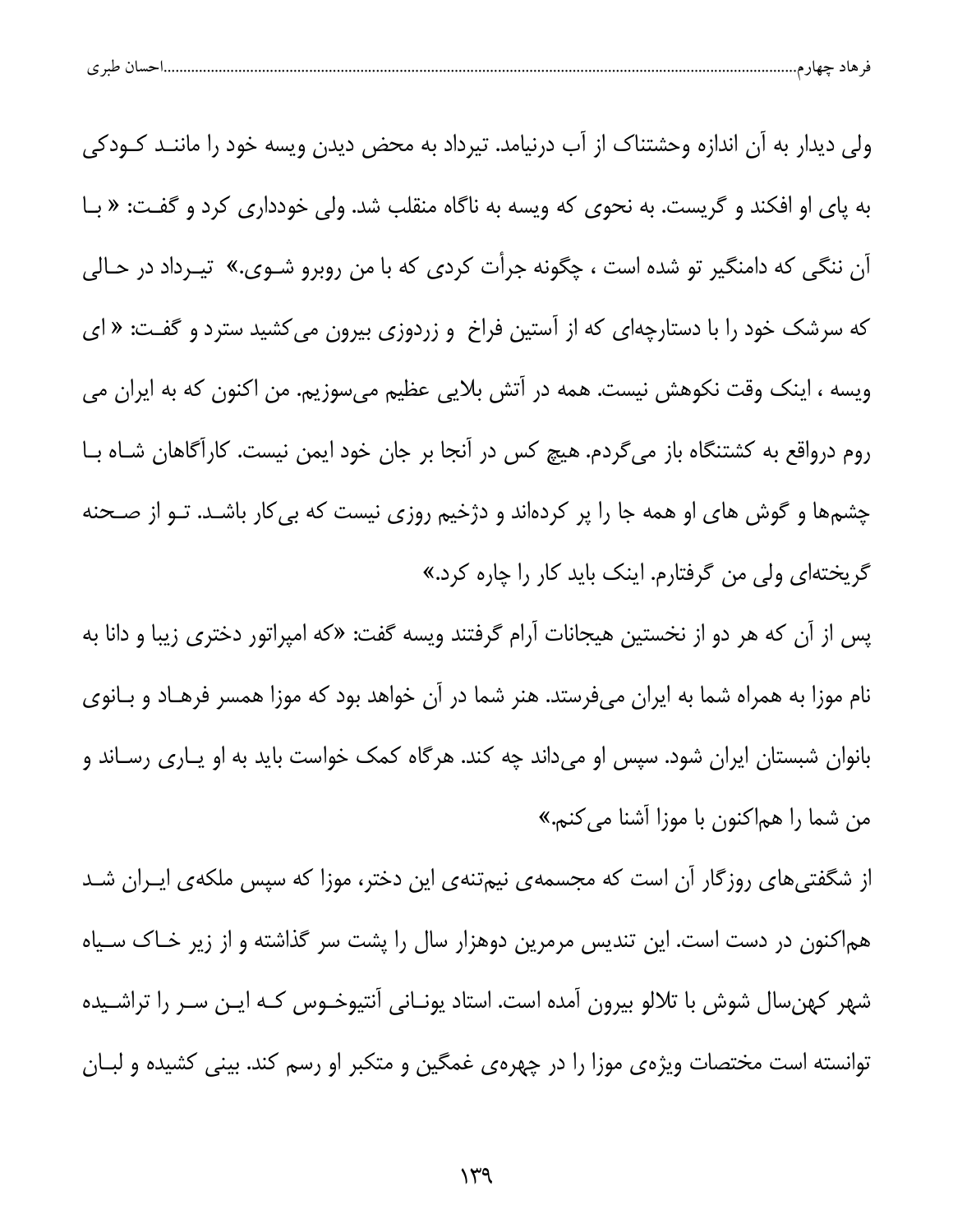| احسال طبر ی |
|-------------|
|-------------|

ولی دیدار به آن اندازه وحشتناک از آب درنیامد. تیرداد به محض دیدن ویسه خود را ماننـد کـودکی به پای او افکند و گریست. به نحوی که ویسه به ناگاه منقلب شد. ولی خودداری کرد و گفت: « بـا آن ننگی که دامنگیر تو شده است ، چگونه جرأت کردی که با من روبرو شـوی.» تیـرداد در حـالی که سرشک خود را با دستارچهای که از آستین فراخ و زردوزی بیرون میکشید سترد و گفت: « ای ویسه ، اینک وقت نکوهش نیست. همه در آتش بلایی عظیم میسوزیم. من اکنون که به ایران می روم درواقع به کشتنگاه باز میگردم. هیچ کس در آنجا بر جان خود ایمن نیست. کارآگاهان شـاه بـا چشمها و گوش های او همه جا را پر کردهاند و دژخیم روزی نیست که بی کار باشـد. تــو از صـحنه گریختهای ولی من گرفتارم. اینک باید کار را چاره کرد.»

پس از آن که هر دو از نخستین هیجانات آرام گرفتند ویسه گفت: «که امپراتور دختری زیبا و دانا به نام موزا به همراه شما به ایران میفرستد. هنر شما در آن خواهد بود که موزا همسر فرهـاد و بـانوی بانوان شبستان ایران شود. سپس او میداند چه کند. هرگاه کمک خواست باید به او یـاری رسـاند و من شما را هماكنون با موزا آشنا ميكنم.»

از شگفتیهای روزگار آن است که مجسمهی نیمتنهی این دختر، موزا که سپس ملکهی ایـران شـد هم|کنون در دست است. این تندیس مرمرین دوهزار سال را پشت سر گذاشته و از زیر خـاک سـیاه شهر کهنِ سال شوش با تلالو بیرون آمده است. استاد یونـانی آنتیوخـوس کـه ایـن سـر را تراشـیده توانسته است مختصات ویژهی موزا را در چهرهی غمگین و متکبر او رسم کند. بینی کشیده و لبـان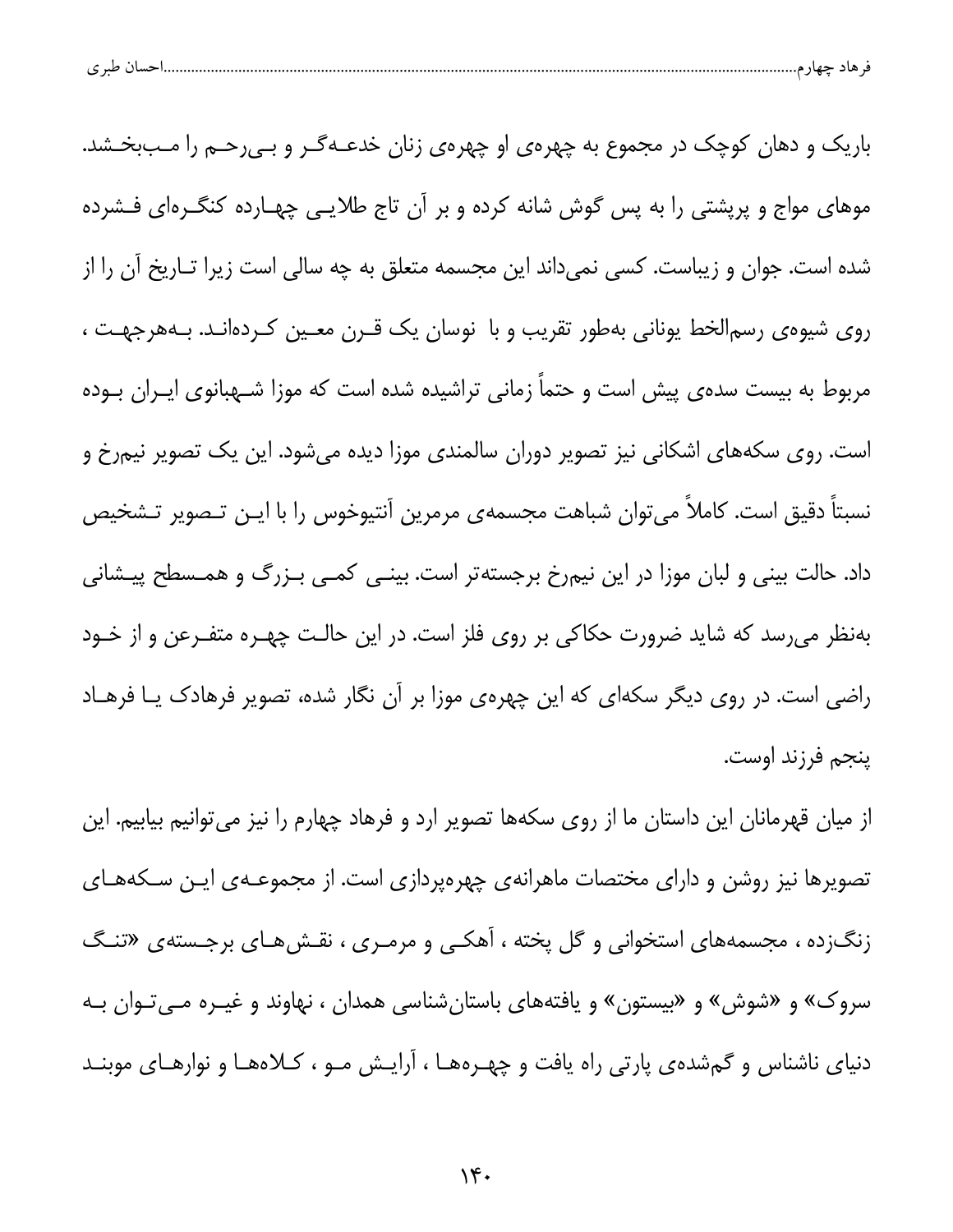| ، صد ی<br>. پ |  |  |  |  |
|---------------|--|--|--|--|
|---------------|--|--|--|--|

باریک و دهان کوچک در مجموع به چهرهی او چهرهی زنان خدعـهگـر و بـی٫حـم را مـببخـشد. موهای مواج و پرپشتی را به پس گوش شانه کرده و بر آن تاج طلایـی چهـارده کنگـرهای فـشرده شده است. جوان و زیباست. کسی نمیداند این مجسمه متعلق به چه سالی است زیرا تـاریخ آن را از روی شیوهی رسم الخط یونانی بهطور تقریب و با نوسان یک قـرن معـین کـردهانـد. بـههرجهـت ، مربوط به بیست سدهی پیش است و حتماً زمانی تراشیده شده است که موزا شـهبانوی ایـران بـوده است. روی سکههای اشکانی نیز تصویر دوران سالمندی موزا دیده میشود. این یک تصویر نیمرخ و نسبتاً دقیق است. کاملاً می¤وان شباهت مجسمهی مرمرین آنتیوخوس را با ایـن تـصویر تـشخیص داد. حالت بینی و لبان موزا در این نیمرخ برجستهتر است. بینـی کمـی بـزرگ و همـسطح پیـشانی بهنظر میرسد که شاید ضرورت حکاکی بر روی فلز است. در این حالت چهـره متفـرعن و از خـود راضی است. در روی دیگر سکهای که این چهرهی موزا بر آن نگار شده، تصویر فرهادک یـا فرهـاد ينجم فرزند اوست.

از میان قهرمانان این داستان ما از روی سکهها تصویر ارد و فرهاد چهارم را نیز میتوانیم بیابیم. این تصویرها نیز روشن و دارای مختصات ماهرانهی چهرهپردازی است. از مجموعــهی ایــن ســکههــای زنگزده ، مجسمههای استخوانی و گل پخته ، آهکـی و مرمـری ، نقـشهـای برجـستهی «تنـگ سروک» و «شوش» و «بیستون» و یافتههای باستانِشناسی همدان ، نهاوند و غیـره مـیتـوان بـه دنیای ناشناس و گمشدهی پارتی راه یافت و چهـرههـا ، آرایـش مـو ، کــلاههـا و نوارهـای موبنــد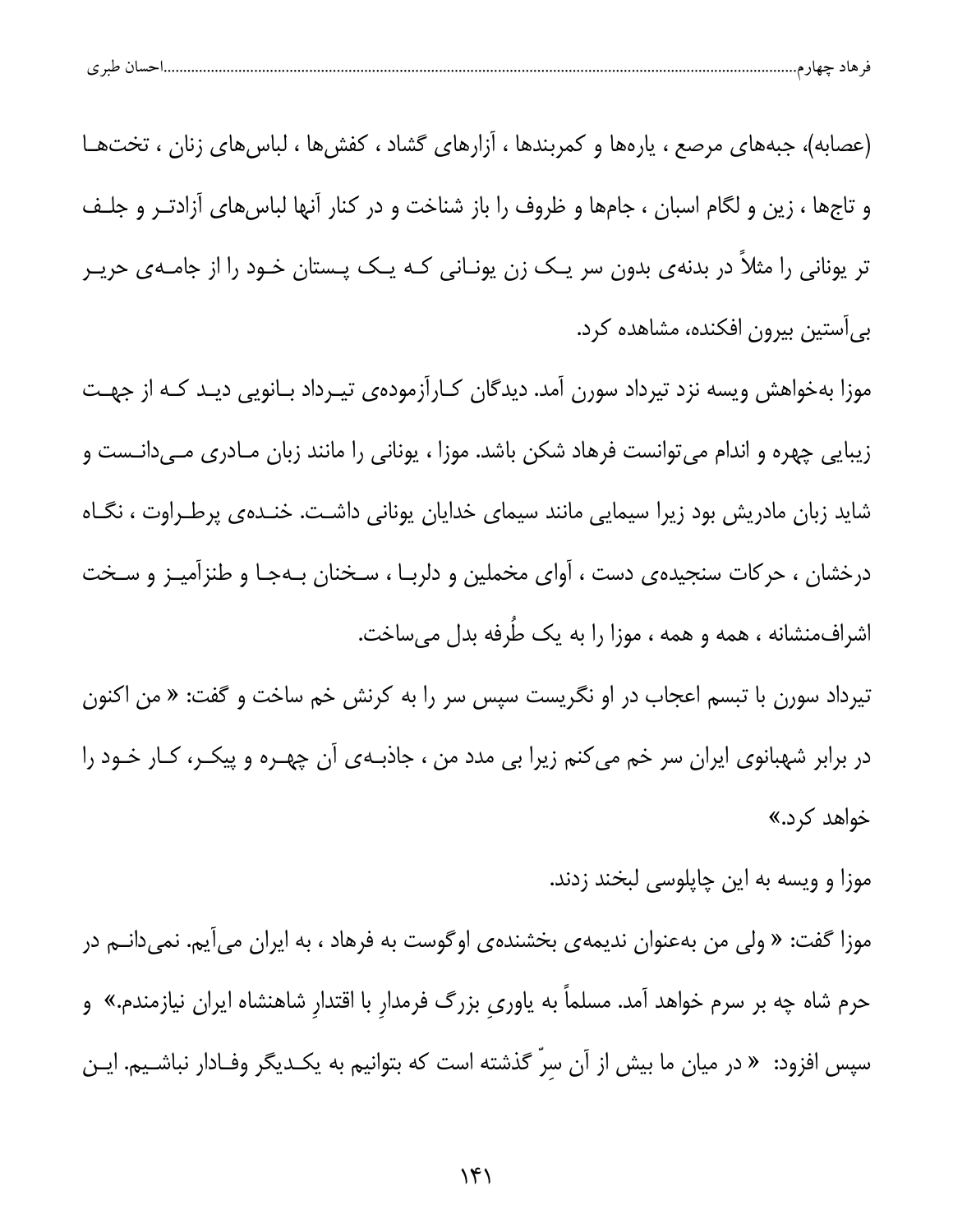|--|

(عصابه)، جبههای مرصع ، یارهها و کمربندها ، آزارهای گشاد ، کفشها ، لباسهای زنان ، تختها و تاجها ، زین و لگام اسبان ، جامها و ظروف را باز شناخت و در کنار آنها لباس های آزادت و جلف تر یونانی را مثلاً در بدنهی بدون سر یک زن یونـانی کـه یـک پـستان خـود را از جامـهی حریـر بي آستين بيرون افكنده، مشاهده كرد.

موزا بهخواهش ویسه نزد تیرداد سورن آمد. دیدگان کـارآزمودهی تیـرداد بـانویی دیـد کـه از جهـت زیبایی چهره و اندام میتوانست فرهاد شکن باشد. موزا ، یونانی را مانند زبان مـادری مـیدانـست و شاید زبان مادریش بود زیرا سیمایی مانند سیمای خدایان یونانی داشت. خنـدهی پرطـراوت ، نگـاه درخشان ، حرکات سنجیدهی دست ، آوای مخملین و دلربـا ، سـخنان بـهجـا و طنزآمیـز و سـخت اشرافمنشانه ، همه و همه ، موزا را به یک طُرفه بدل میساخت.

تیرداد سورن با تبسم اعجاب در او نگریست سپس سر را به کرنش خم ساخت و گفت: « من اکنون در برابر شهبانوی ایران سر خم می کنم زیرا بی مدد من ، جاذبـهی آن چهـره و پیکـر، کـار خـود را خواهد کرد.»

موزا و ویسه به این چاپلوسی لبخند زدند.

موزا گفت: « ولی من بهعنوان ندیمهی بخشندهی اوگوست به فرهاد ، به ایران میآیم. نمیدانــم در حرم شاه چه بر سرم خواهد آمد. مسلماً به یاوری بزرگ فرمدار با اقتدارِ شاهنشاه ایران نیازمندم.» و سپس افزود: « در میان ما بیش از آن سرّ گذشته است که بتوانیم به یکـدیگر وفـادار نباشــیم. ایـن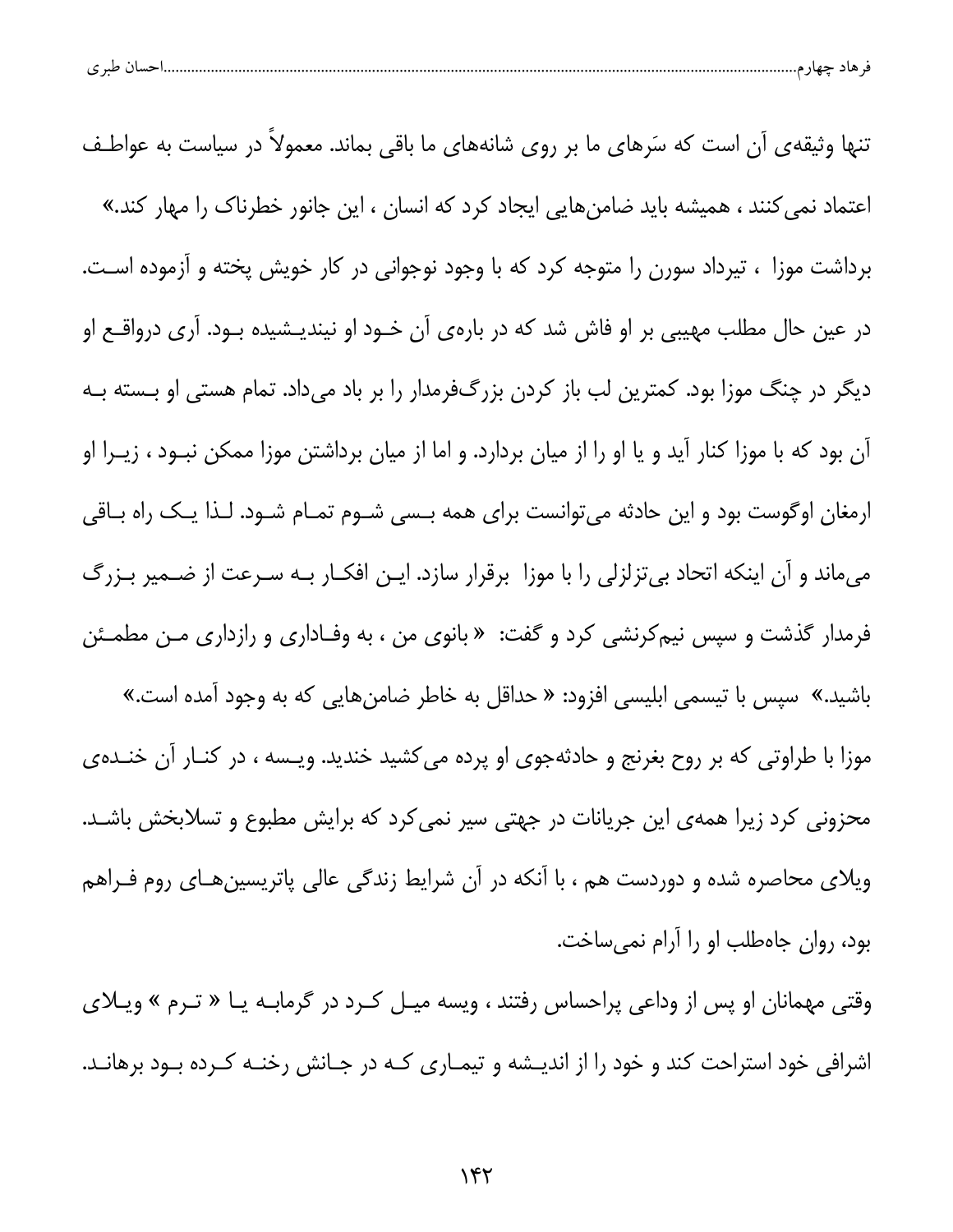|  | طبہ م<br>. . | حساد | $-$ |  |  |
|--|--------------|------|-----|--|--|
|--|--------------|------|-----|--|--|

تنها وثیقهی آن است که سَرهای ما بر روی شانههای ما باقی بماند. معمولاً در سیاست به عواطـف اعتماد نمی کنند ، همیشه باید ضامنهایی ایجاد کرد که انسان ، این جانور خطرناک را مهار کند.» برداشت موزا ، تیرداد سورن را متوجه کرد که با وجود نوجوانی در کار خویش پخته و آزموده اسـت. در عین حال مطلب مهیبی بر او فاش شد که در بارهی آن خــود او نیندیــشیده بــود. آری درواقــع او دیگر در چنگ موزا بود. کمترین لب باز کردن بزرگفرمدار را بر باد میداد. تمام هستی او بـسته بـه آن بود که با موزا کنار آید و یا او را از میان بردارد. و اما از میان برداشتن موزا ممکن نبــود ، زیــرا او ارمغان اوگوست بود و این حادثه میتوانست برای همه بسی شـوم تمـام شـود. لـذا یـک راه بـاقی میماند و آن اینکه اتحاد بیتزلزلی را با موزا برقرار سازد. ایـن افکـار بـه سـرعت از ضـمیر بـزرگ فرمدار گذشت و سپس نیم کرنشی کرد و گفت: « بانوی من ، به وفـاداری و رازداری مـن مطمـئن باشید.» سپس با تیسمی ابلیسی افزود: « حداقل به خاطر ضامنِ هایی که به وجود آمده است.» موزا با طراوتی که بر روح بغرنج و حادثهجوی او پرده میکشید خندید. ویسه ، در کنـار آن خنـدهی محزونی کرد زیرا همهی این جریانات در جهتی سیر نمی کرد که برایش مطبوع و تسلابخش باشـد. ویلای محاصره شده و دوردست هم ، با آنکه در آن شرایط زندگی عالی پاتریسین هـای روم فـراهم بود، روان جاهطلب او را آرام نمیساخت.

وقتی مهمانان او پس از وداعی پراحساس رفتند ، ویسه میـل کـرد در گرمابـه یـا « تـرم » ویـلای اشرافی خود استراحت کند و خود را از اندیـشه و تیمـاری کـه در جـانش رخنـه کـرده بـود برهانـد.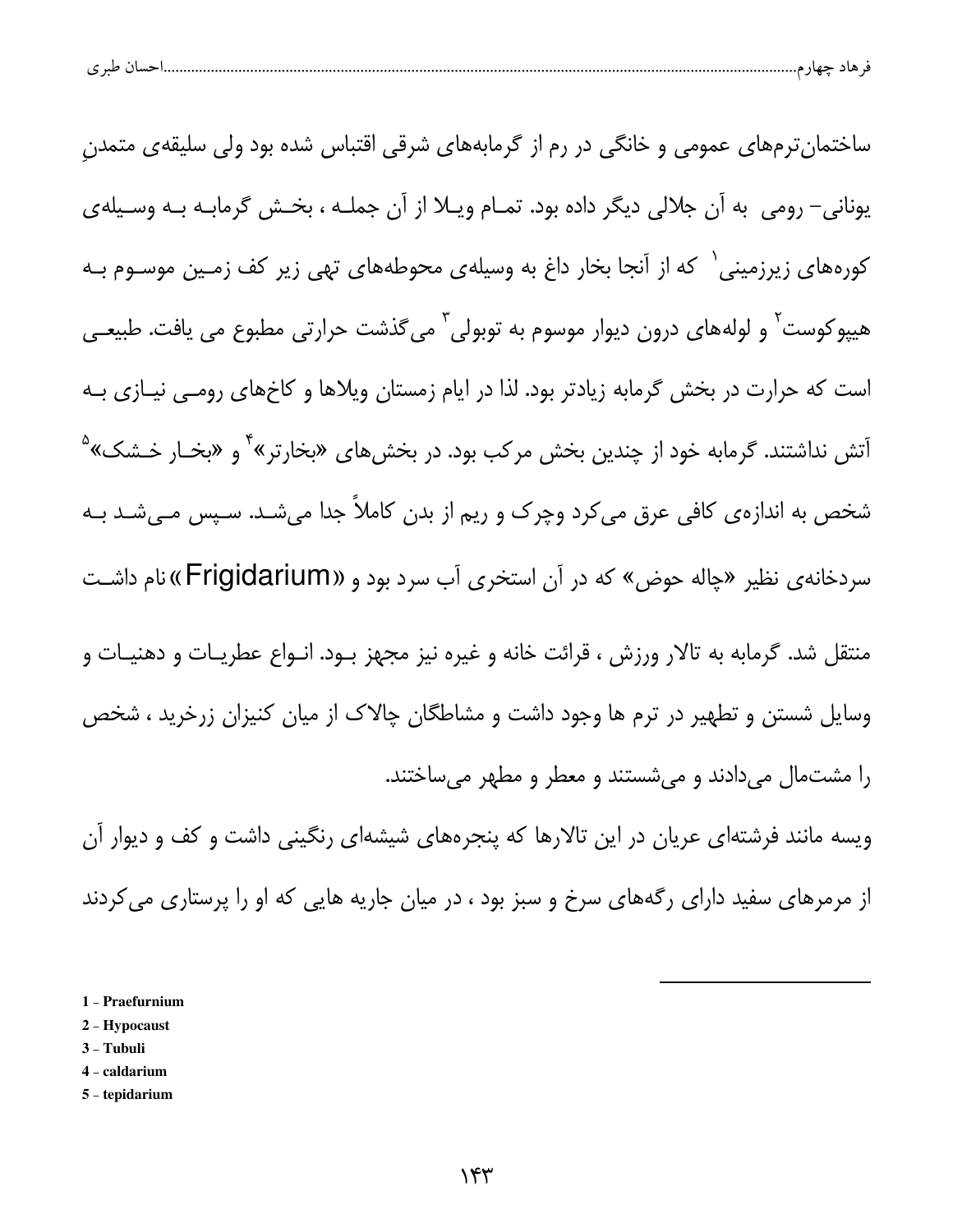| حساں طبر ی |
|------------|
|------------|

ساختمان ترمهای عمومی و خانگی در رم از گرمابههای شرقی اقتباس شده بود ولی سلیقهی متمدن یونانی- رومی به آن جلالی دیگر داده بود. تمـام ویـلا از آن جملـه ، بخـش گرمابـه بـه وسـیلهی کورههای زیرزمینی` که از آنجا بخار داغ به وسیلهی محوطههای تهی زیر کف زمـین موسـوم بـه هیپوکوست<sup>۲</sup> و لولههای درون دیوار موسوم به توبولی<sup>۳</sup> می5ذشت حرارتی مطبوع می یافت. طبیعـی است که حرارت در بخش گرمابه زیادتر بود. لذا در ایام زمستان ویلاها و کاخهای رومـی نیــازی بــه آتش نداشتند. گرمابه خود از چندین بخش مرکب بود. در بخش های «بخارتر»<sup>۴</sup> و «بخـار خـشک»<sup>۵</sup> شخص به اندازهی کافی عرق میکرد وچرک و ریم از بدن کاملاً جدا میشـد. سـپس مـیشـد بـه سردخانه ی نظیر «چاله حوض» که در آن استخری آب سرد بود و «Frigidarium» نام داشت منتقل شد. گرمابه به تالار ورزش ، قرائت خانه و غیره نیز مجهز بــود. انــواع عطریــات و دهنیــات و وسایل شستن و تطهیر در ترم ها وجود داشت و مشاطگان چالاک از میان کنیزان زرخرید ، شخص را مشتمال می دادند و می شستند و معطر و مطهر می ساختند. ویسه مانند فرشتهای عریان در این تالارها که پنجرههای شیشهای رنگینی داشت و کف و دیوار آن

از مرمرهای سفید دارای رگههای سرخ و سبز بود ، در میان جاریه هایی که او را پرستاری می کردند

- 1 Praefurnium
- 2 Hypocaust
- 3 Tubuli
- 4 caldarium
- 5 tepidarium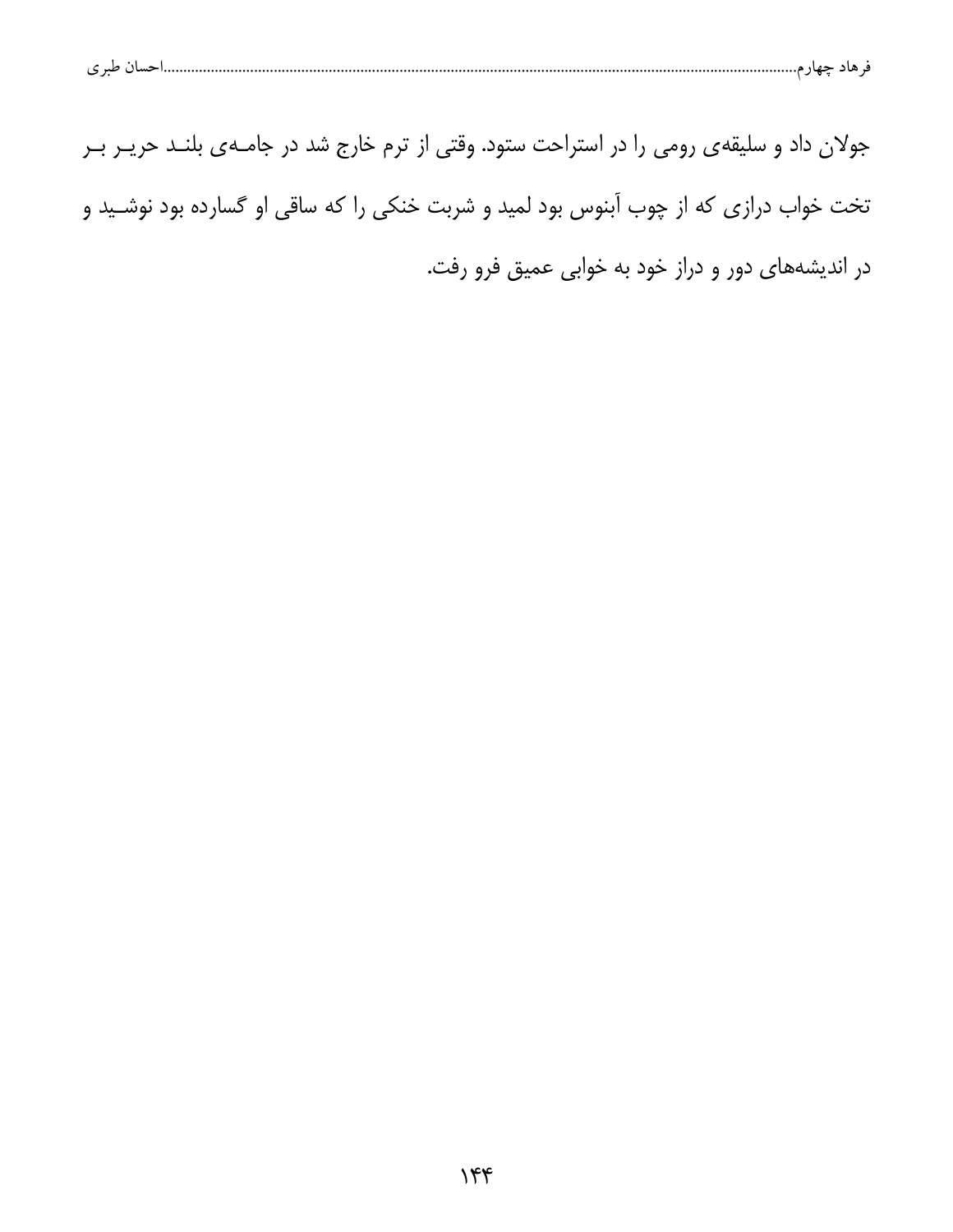| حسال طبر ی | هاد حهار م |  | . 9 |
|------------|------------|--|-----|
|            |            |  |     |

جولان داد و سلیقهی رومی را در استراحت ستود. وقتی از ترم خارج شد در جامـهی بلنـد حریـر بـر تخت خواب درازی که از چوب آبنوس بود لمید و شربت خنکی را که ساقی او گسارده بود نوشـید و در اندیشههای دور و دراز خود به خوابی عمیق فرو رفت.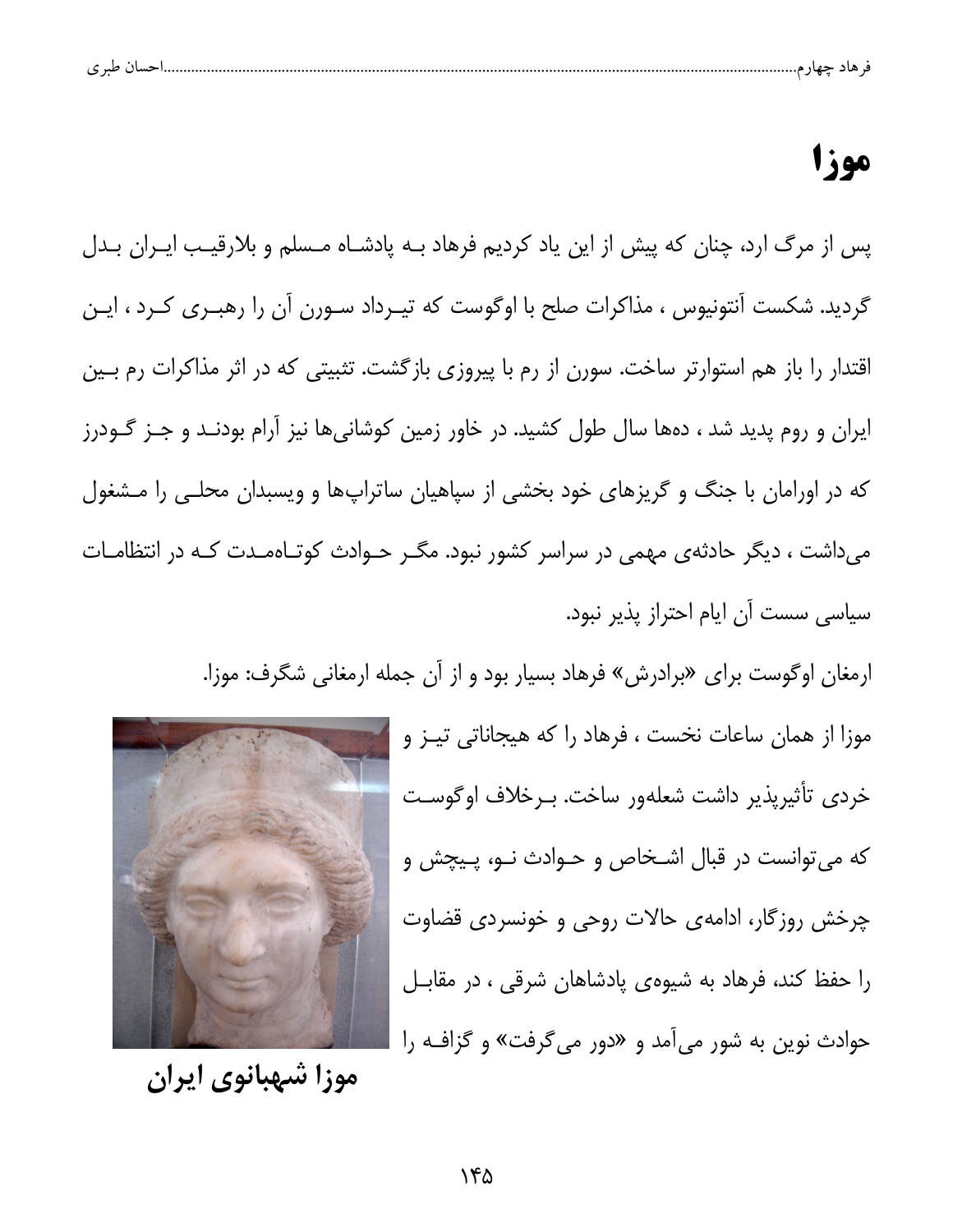| طبری<br>حساد |  |
|--------------|--|
|--------------|--|

## موزا

یس از مرگ ارد، چنان که پیش از این یاد کردیم فرهاد بـه پادشـاه مـسلم و بلارقیـب ایـران بـدل گردید. شکست آنتونیوس ، مذاکرات صلح با اوگوست که تیـرداد سـورن آن را رهبـری کـرد ، ایـن اقتدار را باز هم استوارتر ساخت. سورن از رم با پیروزی بازگشت. تثبیتی که در اثر مذاکرات رم بـین ایران و روم پدید شد ، دهها سال طول کشید. در خاور زمین کوشانیها نیز آرام بودنـد و جـز گـودرز که در اورامان با جنگ و گریزهای خود بخشی از سپاهیان ساتراپها و ویسبدان محلـی را مـشغول می داشت ، دیگر حادثهی مهمی در سراسر کشور نبود. مگـر حـوادث کوتـاهمـدت کـه در انتظامـات سیاسی سست آن ایام احتراز پذیر نبود.

ارمغان اوگوست برای «برادرش» فرهاد بسیار بود و از آن جمله ارمغانی شگرف: موزا.

موزا از همان ساعات نخست ، فرهاد را که هیجاناتی تیـز و خردی تأثیرپذیر داشت شعلهور ساخت. بـرخلاف اوگوسـت که می توانست در قبال اشـخاص و حـوادث نــو، پــیچش و چرخش روزگار، ادامهی حالات روحی و خونسردی قضاوت را حفظ کند، فرهاد به شیوهی پادشاهان شرقی ، در مقابـل حوادث نوین به شور میآمد و «دور می گرفت» و گزافــه را



موزا شهبانوي ايران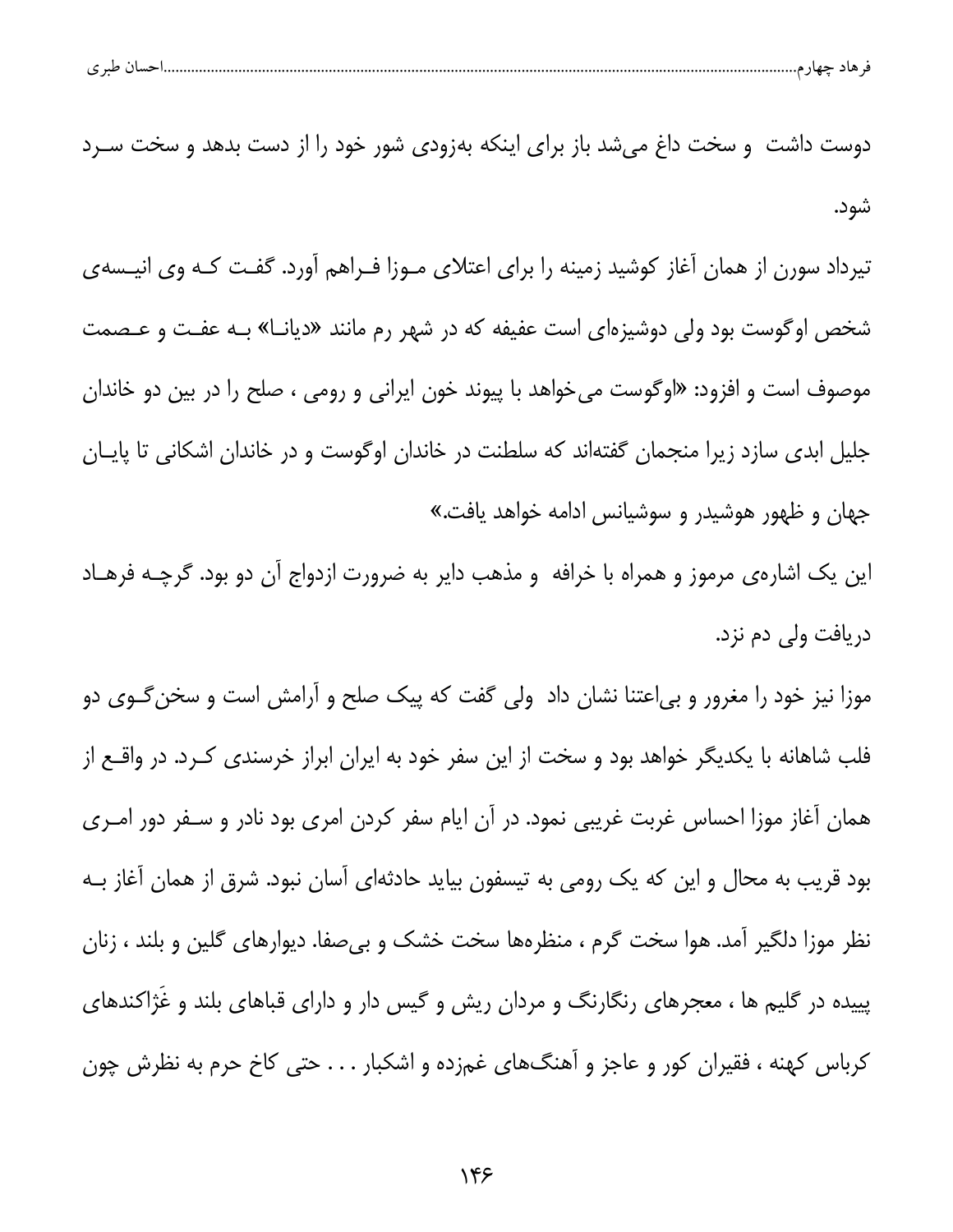| .احسان طبری<br>┱. |
|-------------------|
|-------------------|

دوست داشت و سخت داغ می شد باز برای اینکه بهزودی شور خود را از دست بدهد و سخت سـرد شود.

تیرداد سورن از همان آغاز کوشید زمینه را برای اعتلای مـوزا فـراهم آورد. گفـت کـه وی انیـسهی شخص اوگوست بود ولی دوشیزهای است عفیفه که در شهر رم مانند «دیانـا» بـه عفـت و عـصمت موصوف است و افزود: «اوگوست میخواهد با پیوند خون ایرانی و رومی ، صلح را در بین دو خاندان جلیل ابدی سازد زیرا منجمان گفتهاند که سلطنت در خاندان اوگوست و در خاندان اشکانی تا پایـان جهان و ظهور هوشیدر و سوشیانس ادامه خواهد یافت.»

این یک اشارهی مرموز و همراه با خرافه و مذهب دایر به ضرورت ازدواج آن دو بود. گرچـه فرهـاد دريافت ولي دم نزد.

موزا نیز خود را مغرور و بی|عتنا نشان داد ولی گفت که پیک صلح و آرامش است و سخن *گ*ـوی دو فلب شاهانه با یکدیگر خواهد بود و سخت از این سفر خود به ایران ابراز خرسندی کـرد. در واقــع از همان آغاز موزا احساس غربت غريبي نمود. در آن ايام سفر كردن امرى بود نادر و سـفر دور امـرى بود قریب به محال و این که یک رومی به تیسفون بیاید حادثهای آسان نبود. شرق از همان آغاز بــه نظر موزا دلگیر آمد. هوا سخت گرم ، منظرهها سخت خشک و بیصفا. دیوارهای گلین و بلند ، زنان پییده در گلیم ها ، معجرهای رنگارنگ و مردان ریش و گیس دار و دارای قباهای بلند و غژاکندهای کرباس کهنه ، فقیران کور و عاجز و آهنگهای غمزده و اشکبار . . . حتی کاخ حرم به نظرش چون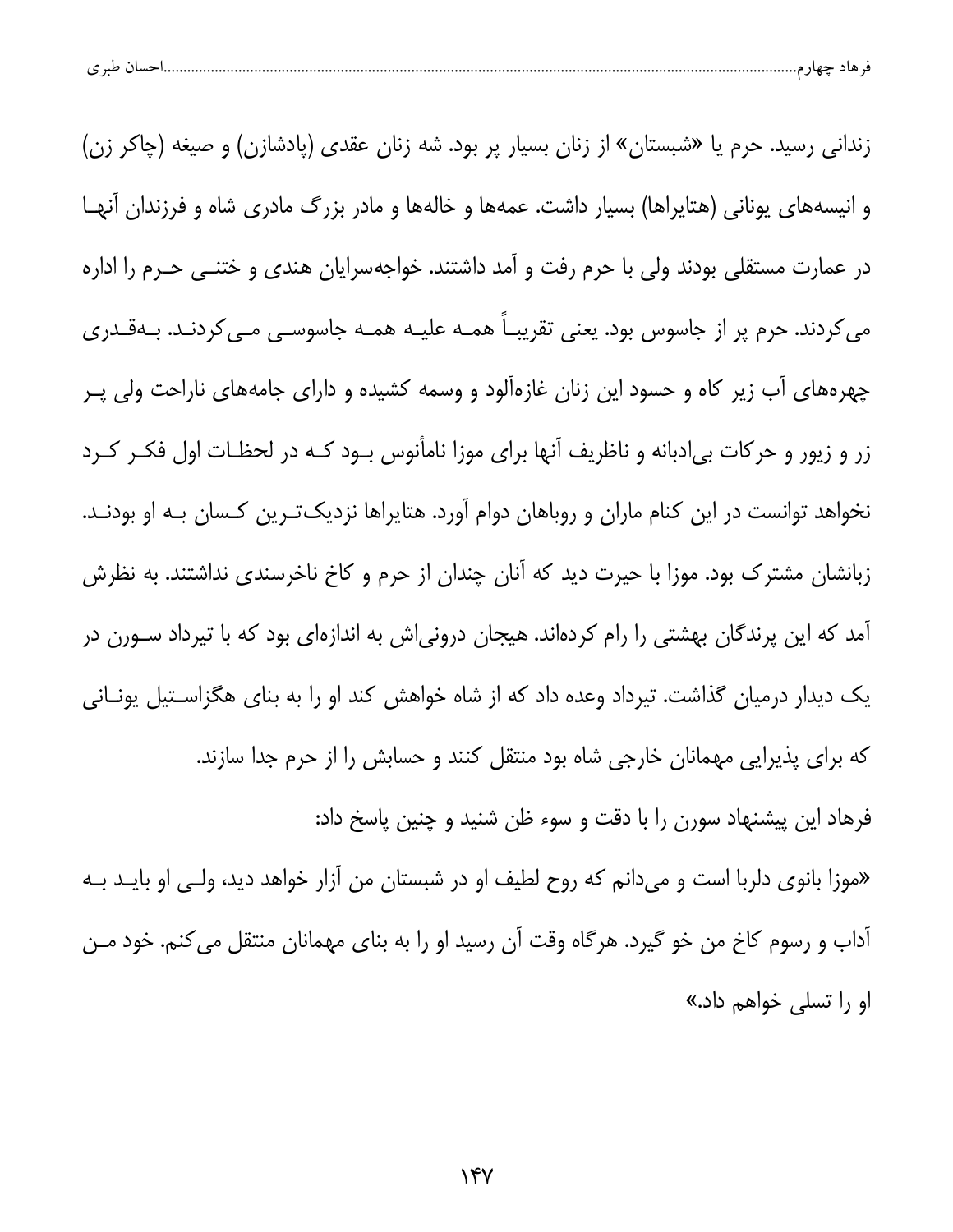| طبہ م<br>ີ | حساد | $-$ |  |
|------------|------|-----|--|
|            |      |     |  |

زندانی رسید. حرم یا «شبستان» از زنان بسیار پر بود. شه زنان عقدی (پادشازن) و صیغه (چاکر زن) و انیسههای یونانی (هتایراها) بسیار داشت. عمهها و خالهها و مادر بزرگ مادری شاه و فرزندان آنهـا در عمارت مستقلی بودند ولی با حرم رفت و آمد داشتند. خواجهسرایان هندی و ختنــی حــرم را اداره می کردند. حرم پر از جاسوس بود. یعنی تقریبـاً همـه علیـه همـه جاسوسـی مـی کردنـد. بـهقـدری چهرههای آب زیر کاه و حسود این زنان غازهآلود و وسمه کشیده و دارای جامههای ناراحت ولی پـر زر و زیور و حرکات بی|دبانه و ناظریف آنها برای موزا نامأنوس بود کـه در لحظـات اول فکـر کـرد نخواهد توانست در این کنام ماران و روباهان دوام آورد. هتایراها نزدیکترین کسان بـه او بودنـد. زبانشان مشترک بود. موزا با حیرت دید که آنان چندان از حرم و کاخ ناخرسندی نداشتند. به نظرش آمد که این پرندگان بهشتی را رام کردهاند. هیجان درونی|ش به اندازهای بود که با تیرداد ســورن در یک دیدار درمیان گذاشت. تیرداد وعده داد که از شاه خواهش کند او را به بنای هگزاسـتیل یونـانی که برای پذیرایی مهمانان خارجی شاه بود منتقل کنند و حسابش را از حرم جدا سازند. فرهاد این پیشنهاد سورن را با دقت و سوء ظن شنید و چنین پاسخ داد: «موزا بانوی دلربا است و میدانم که روح لطیف او در شبستان من آزار خواهد دید، ولـی او بایــد بــه آداب و رسوم كاخ من خو گيرد. هرگاه وقت آن رسيد او را به بناى مهمانان منتقل مى كنم. خود مـن او را تسلی خواهم داد.»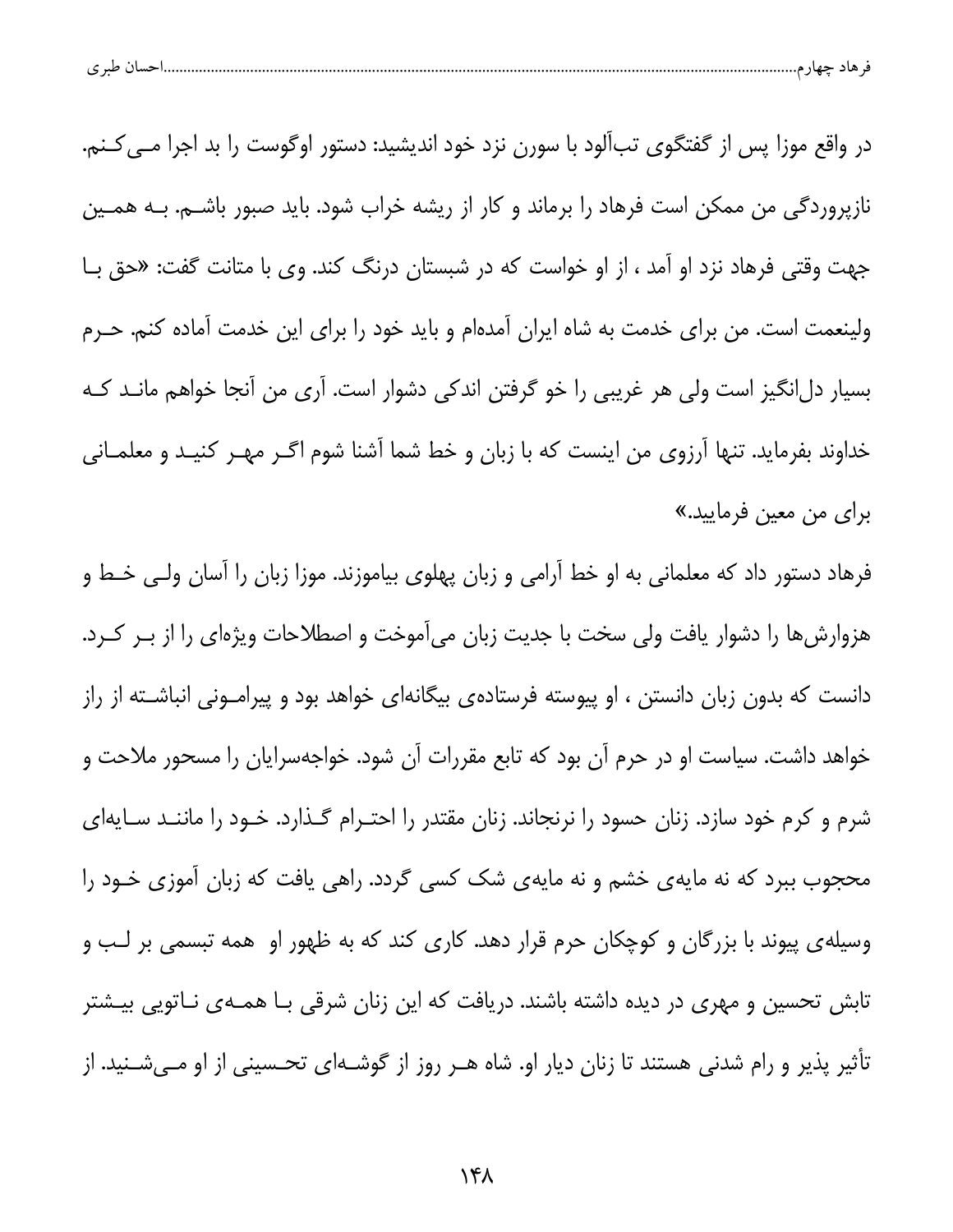| .<br><b>LAA4</b><br>. . |
|-------------------------|
|-------------------------|

در واقع موزا پس از گفتگوی تبآلود با سورن نزد خود اندیشید: دستور اوگوست را بد اجرا مــی کــنم. نازپروردگی من ممکن است فرهاد را برماند و کار از ریشه خراب شود. باید صبور باشــم. بــه همــین جهت وقتی فرهاد نزد او آمد ، از او خواست که در شبستان درنگ کند. وی با متانت گفت: «حق بـا ولینعمت است. من برای خدمت به شاه ایران آمدهام و باید خود را برای این خدمت آماده کنم. حـرم بسیار دلانگیز است ولی هر غریبی را خو گرفتن اندکی دشوار است. آری من آنجا خواهم مانـد کـه خداوند بفرماید. تنها آرزوی من اینست که با زبان و خط شما آشنا شوم اگـر مهـر کنیـد و معلمـانی براي من معين فرماييد.»

فرهاد دستور داد که معلمانی به او خط آرامی و زبان پهلوی بیاموزند. موزا زبان را آسان ولـی خـط و هزوارش ها را دشوار یافت ولی سخت با جدیت زبان می آموخت و اصطلاحات ویژهای را از بـر کـرد. دانست که بدون زبان دانستن ، او پیوسته فرستادهی بیگانهای خواهد بود و پیرامـونی انباشـته از راز خواهد داشت. سیاست او در حرم آن بود که تابع مقررات آن شود. خواجهسرایان را مسحور ملاحت و شرم و کرم خود سازد. زنان حسود را نرنجاند. زنان مقتدر را احتـرام گـذارد. خـود را ماننـد سـایهای محجوب ببرد که نه مایهی خشم و نه مایهی شک کسی گردد. راهی یافت که زبان آموزی خـود را وسیله ی پیوند با بزرگان و کوچکان حرم قرار دهد. کاری کند که به ظهور او همه تبسمی بر لـب و تابش تحسین و مهری در دیده داشته باشند. دریافت که این زنان شرقی بـا همــهی نــاتویی بیــشتر تأثیر پذیر و رام شدنی هستند تا زنان دیار او. شاه هـر روز از گوشـهای تحـسینی از او مـیشـنید. از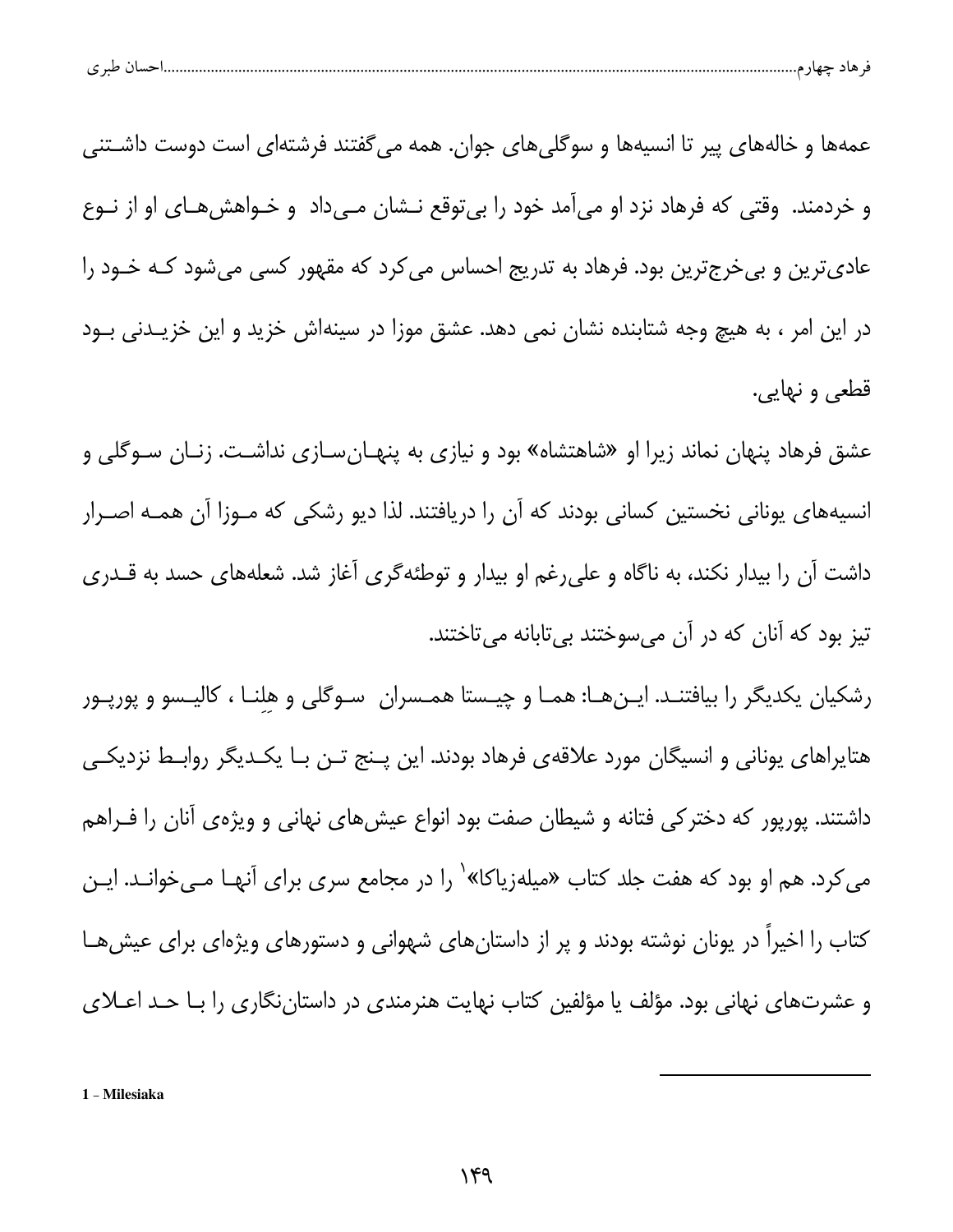| $\sim$ 10<br>پ |
|----------------|
|----------------|

عمهها و خالههای پیر تا انسیهها و سوگلی های جوان. همه می گفتند فرشتهای است دوست داشـتنی و خردمند. وقتی که فرهاد نزد او میآمد خود را بیتوقع نـشان مـیداد و خـواهشهـای او از نـوع عادیترین و بیخرجترین بود. فرهاد به تدریج احساس میکرد که مقهور کسی میشود کـه خـود را در این امر ، به هیچ وجه شتابنده نشان نمی دهد. عشق موزا در سینهاش خزید و این خزیـدنی بـود قطعي و نهايي.

عشق فرهاد پنهان نماند زیرا او «شاهتشاه» بود و نیازی به پنهـانِسـازی نداشـت. زنـان ســوگلی و انسیههای یونانی نخستین کسانی بودند که آن را دریافتند. لذا دیو رشکی که مـوزا آن همـه اصـرار داشت أن را بیدار نکند، به ناگاه و علیرغم او بیدار و توطئهگری آغاز شد. شعلههای حسد به قــدری تیز بود که آنان که در آن میسوختند بی تابانه می تاختند.

رشکیان یکدیگر را بیافتنـد. ایـنهـا: همـا و چیـستا همـسران سـوگلی و هلنـا ، کالیـسو و پورپـور هتایراهای یونانی و انسیگان مورد علاقهی فرهاد بودند. این پـنج تـن بـا یکـدیگر روابـط نزدیکـی داشتند. پورپور که دخترکی فتانه و شیطان صفت بود انواع عیشهای نهانی و ویژهی آنان را فـراهم می کرد. هم او بود که هفت جلد کتاب «میلهزیاکا»٬ را در مجامع سری برای آنهـا مــیخوانــد. ایــن کتاب را اخیرا در یونان نوشته بودند و پر از داستانهای شهوانی و دستورهای ویژهای برای عیشهـا و عشرتهای نهانی بود. مؤلف یا مؤلفین کتاب نهایت هنرمندی در داستاننگاری را بـا حـد اعــلای

1 - Milesiaka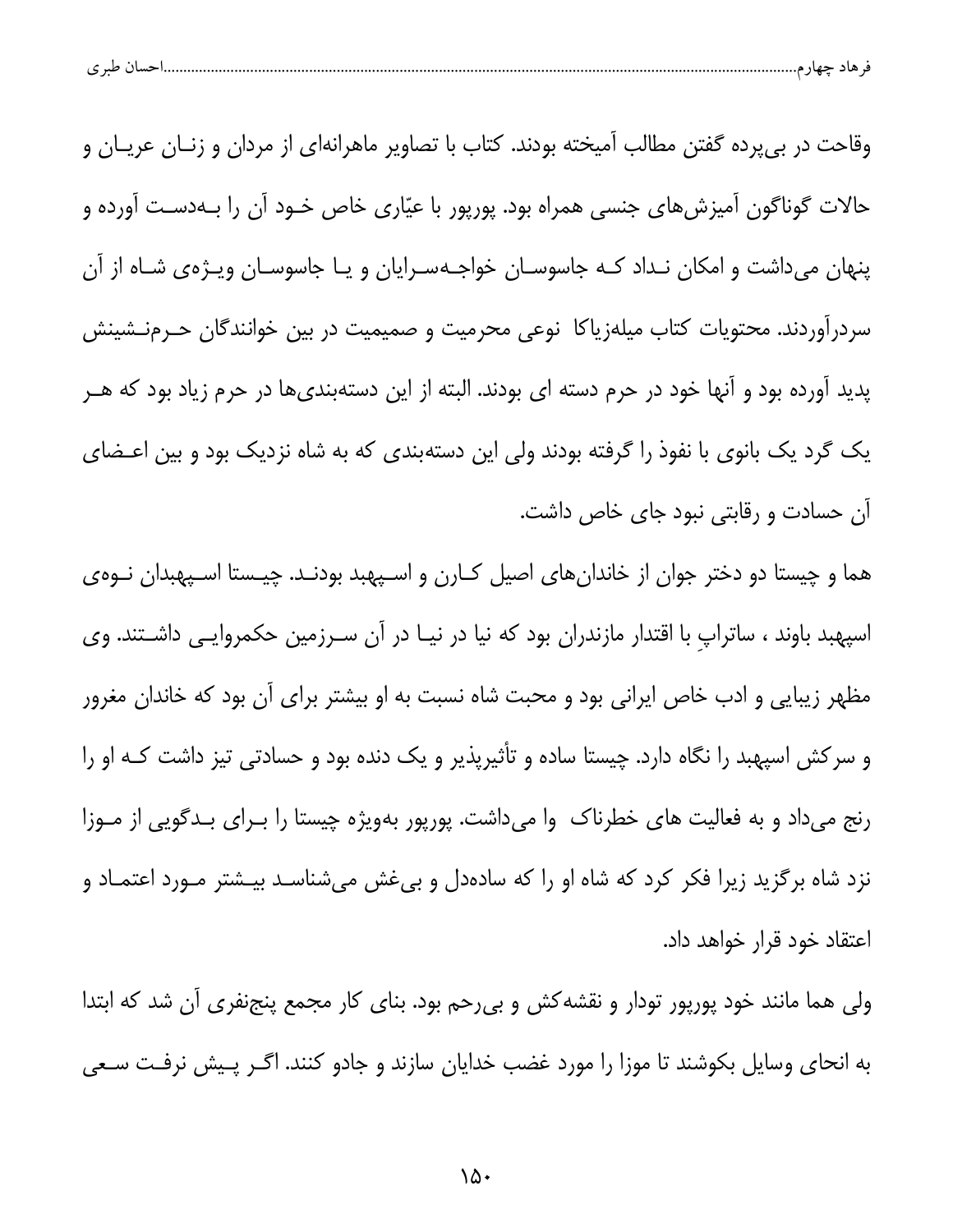| -- |  |  |
|----|--|--|
|----|--|--|

وقاحت در بی،پرده گفتن مطالب آمیخته بودند. کتاب با تصاویر ماهرانهای از مردان و زنــان عریــان و حالات گوناگون آمیزشهای جنسی همراه بود. پورپور با عیّاری خاص خـود آن را بــهدسـت آورده و پنهان میداشت و امکان نـداد کـه جاسوسـان خواجـهسـرایان و یـا جاسوسـان ویـژهی شـاه از آن سردرآوردند. محتویات کتاب میلهزیاکا نوعی محرمیت و صمیمیت در بین خوانندگان حـرمنــشینش پدید آورده بود و آنها خود در حرم دسته ای بودند. البته از این دستهبندیها در حرم زیاد بود که هــر یک گرد یک بانوی با نفوذ را گرفته بودند ولی این دستهبندی که به شاه نزدیک بود و بین اعـضای آن حسادت و رقابتی نبود جای خاص داشت.

هما و چیستا دو دختر جوان از خاندانهای اصیل کـارن و اسـپهبد بودنـد. چیـستا اسـپهبدان نــوهی اسپهبد باوند ، ساتراپ با اقتدار مازندران بود که نیا در نیـا در آن سـرزمین حکمروایـی داشـتند. وی مظهر زیبایی و ادب خاص ایرانی بود و محبت شاه نسبت به او بیشتر برای آن بود که خاندان مغرور و سرکش اسپهبد را نگاه دارد. چیستا ساده و تأثیرپذیر و یک دنده بود و حسادتی تیز داشت کـه او را رنج میداد و به فعالیت های خطرناک وا میداشت. پورپور بهویژه چیستا را بـرای بـدگویی از مـوزا نزد شاه برگزید زیرا فکر کرد که شاه او را که سادهدل و بیغش میشناسـد بیـشتر مـورد اعتمـاد و اعتقاد خود قرار خواهد داد.

ولی هما مانند خود پورپور تودار و نقشه کش و بی رحم بود. بنای کار مجمع پنجنفری آن شد که ابتدا به انحای وسایل بکوشند تا موزا را مورد غضب خدایان سازند و جادو کنند. اگـر پـیش نرفـت سـعی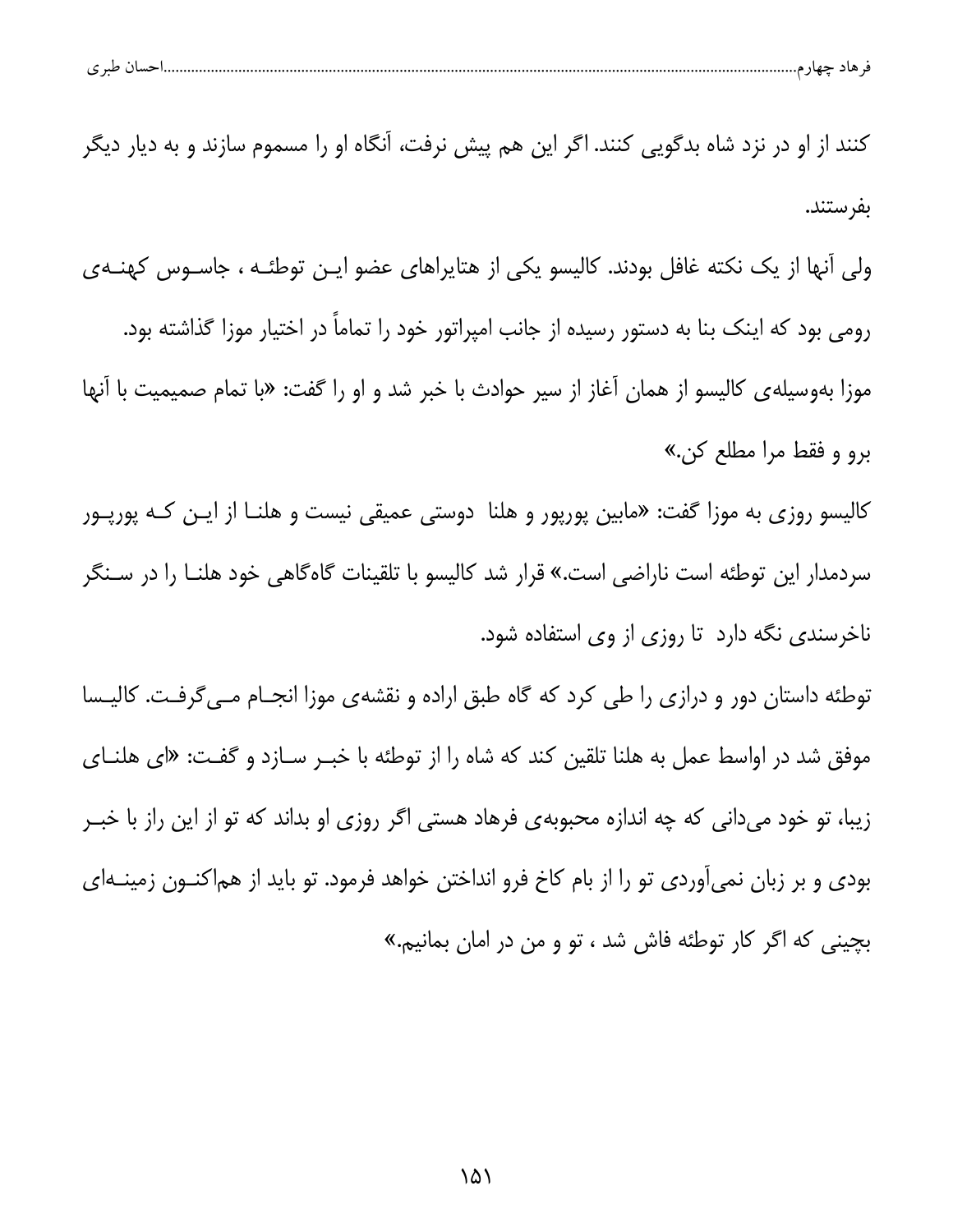| احسان طہ ی |  |  |
|------------|--|--|
|            |  |  |

کنند از او در نزد شاه بدگویی کنند. اگر این هم پیش نرفت، آنگاه او را مسموم سازند و به دیار دیگر بفرستند.

ولی آنها از یک نکته غافل بودند. کالیسو یکی از هتایراهای عضو ایـن توطئـه ، جاسـوس کهنـهی رومی بود که اینک بنا به دستور رسیده از جانب امپراتور خود را تماماً در اختیار موزا گذاشته بود. موزا بهوسیله ی کالیسو از همان آغاز از سیر حوادث با خبر شد و او را گفت: «با تمام صمیمیت با آنها برو و فقط مرا مطلع كن.»

کالیسو روزی به موزا گفت: «مابین پورپور و هلنا دوستی عمیقی نیست و هلنــا از ایــن کــه پورپــور سردمدار این توطئه است ناراضی است.» قرار شد کالیسو با تلقینات گاهگاهی خود هلنـا را در سـنگر ناخرسندی نگه دارد تا روزی از وی استفاده شود.

توطئه داستان دور و درازی را طی کرد که گاه طبق اراده و نقشهی موزا انجام مےگرفت. کالیسا موفق شد در اواسط عمل به هلنا تلقین کند که شاه را از توطئه با خبـر سـازد و گفـت: «ای هلنـای زیبا، تو خود میدانی که چه اندازه محبوبهی فرهاد هستی اگر روزی او بداند که تو از این راز با خبـر بودی و بر زبان نمیآوردی تو را از بام کاخ فرو انداختن خواهد فرمود. تو باید از هماکنــون زمینــهای بچینی که اگر کار توطئه فاش شد ، تو و من در امان بمانیم.»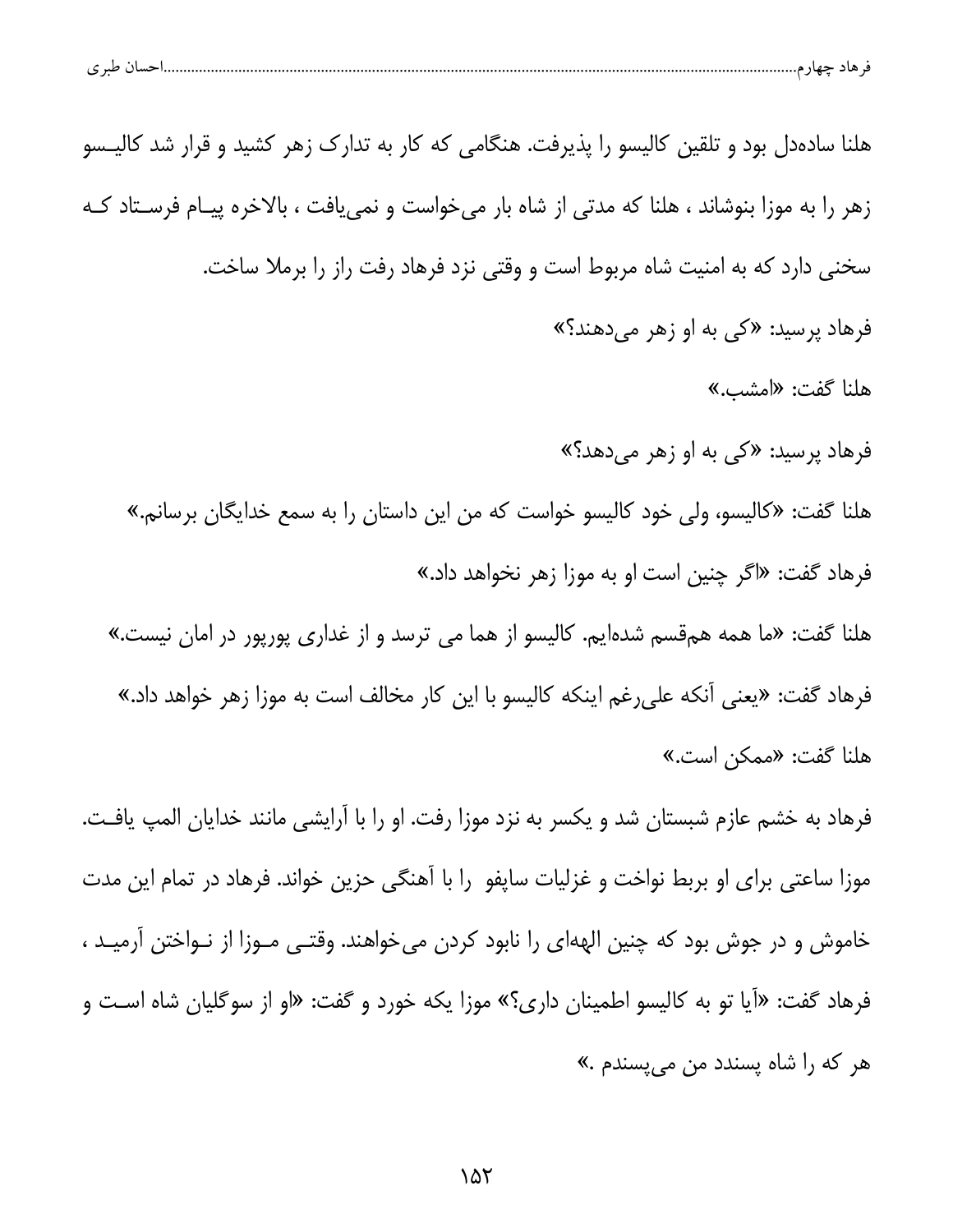| حساں طبر ی |  |  |
|------------|--|--|
|            |  |  |

هلنا سادهدل بود و تلقین کالیسو را پذیرفت. هنگامی که کار به تدارک زهر کشید و قرار شد کالیـسو زهر را به موزا بنوشاند ، هلنا که مدتی از شاه بار می خواست و نمی یافت ، بالاخره پیـام فرسـتاد کـه سخنی دارد که به امنیت شاه مربوط است و وقتی نزد فرهاد رفت راز را برملا ساخت. فرهاد پرسید: «کی به او زهر میدهند؟» هلنا گفت: «امشب.» فرهاد پرسید: «کی به او زهر میدهد؟» هلنا گفت: «كاليسو، ولي خود كاليسو خواست كه من اين داستان را به سمع خدايگان برسانم.» فرهاد گفت: «اگر چنین است او به موزا زهر نخواهد داد.» هلنا گفت: «ما همه همقسم شدهایم. کالیسو از هما می ترسد و از غداری پورپور در امان نیست.» فرهاد گفت: «يعني آنكه على رغم اينكه كاليسو با اين كار مخالف است به موزا زهر خواهد داد.» هلنا گفت: «ممكن است.» فرهاد به خشم عازم شبستان شد و یکسر به نزد موزا رفت. او را با آرایشی مانند خدایان المپ یافت. موزا ساعتی برای او بربط نواخت و غزلیات ساپفو را با آهنگی حزین خواند. فرهاد در تمام این مدت خاموش و در جوش بود که چنین الههای را نابود کردن میخواهند. وقتـی مـوزا از نـواختن آرمیـد ،

فرهاد گفت: «آیا تو به کالیسو اطمینان داری؟» موزا یکه خورد و گفت: «او از سوگلیان شاه اسـت و هر که را شاه پسندد من می پسندم .»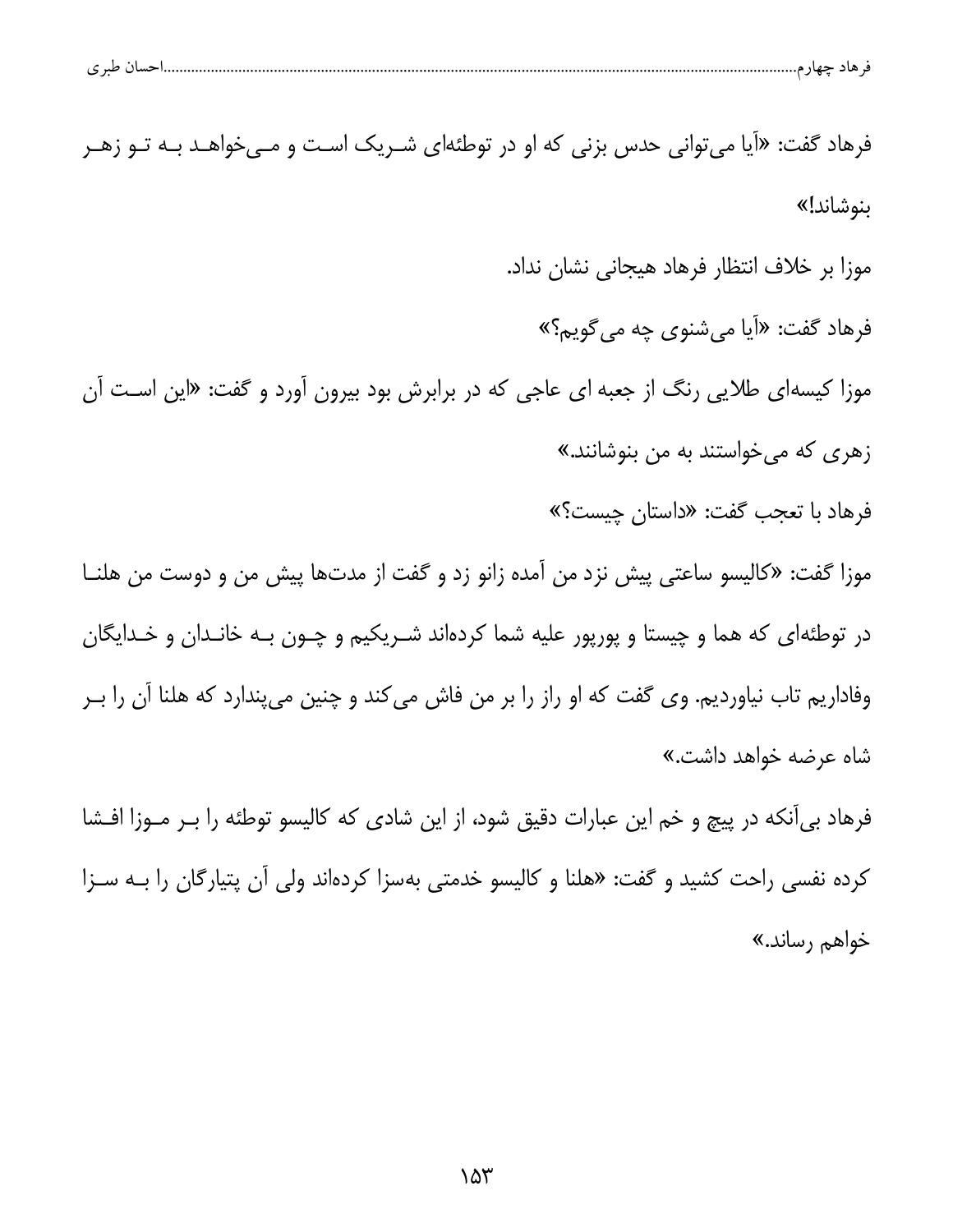|  | ۱۱، طبہ م<br>ے | حساء | - 67 |  |  |
|--|----------------|------|------|--|--|
|--|----------------|------|------|--|--|

فرهاد گفت: «آیا می توانی حدس بزنی که او در توطئهای شـریک اسـت و مـیخواهـد بـه تـو زهـر ىنوشاند!» موزا بر خلاف انتظار فرهاد هيجاني نشان نداد. فرهاد گفت: «اَیا میشنوی چه می گویم؟» موزا کیسهای طلایی رنگ از جعبه ای عاجی که در برابرش بود بیرون آورد و گفت: «این است آن زهری که میخواستند به من بنوشانند.» فرهاد با تعجب گفت: «داستان چیست؟» موزا گفت: «كاليسو ساعتي پيش نزد من آمده زانو زد و گفت از مدتها پيش من و دوست من هلنـا در توطئهای که هما و چیستا و پورپور علیه شما کردهاند شـریکیم و چـون بـه خانـدان و خـدایگان وفاداریم تاب نیاوردیم. وی گفت که او راز را بر من فاش میکند و چنین میپندارد که هلنا آن را بـر شاه عرضه خواهد داش*ت*.» فرهاد بی آنکه در پیچ و خم این عبارات دقیق شود، از این شادی که کالیسو توطئه را بـر مـوزا افـشا کرده نفسی راحت کشید و گفت: «هلنا و کالیسو خدمتی بهسزا کردهاند ولی آن پتیارگان را بـه سـزا خواهم رساند.»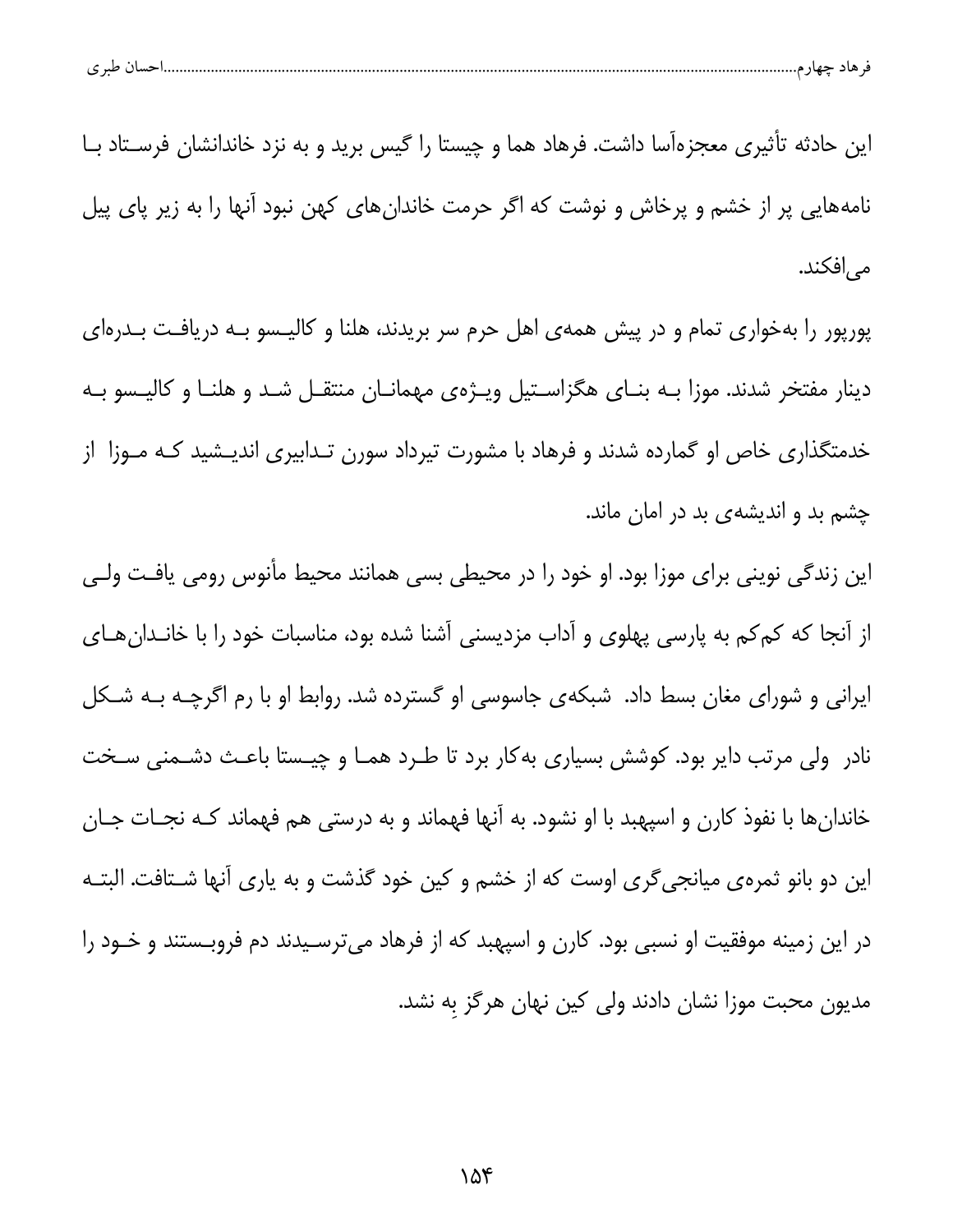| احسال طبر ی |
|-------------|
|-------------|

این حادثه تأثیری معجزهآسا داشت. فرهاد هما و چیستا را گیس برید و به نزد خاندانشان فرسـتاد بــا نامههایی پر از خشم و پرخاش و نوشت که اگر حرمت خاندانهای کهن نبود آنها را به زیر پای پیل مى|فكند.

پورپور را بهخواری تمام و در پیش همهی اهل حرم سر بریدند، هلنا و کالیـسو بـه دریافـت بـدرهای دینار مفتخر شدند. موزا بـه بنـای هگزاسـتیل ویـژهی مهمانـان منتقـل شـد و هلنـا و کالیـسو بـه خدمتگذاری خاص او گمارده شدند و فرهاد با مشورت تیرداد سورن تـدابیری اندیـشید کـه مـوزا از چشم بد و اندیشهی بد در امان ماند.

این زندگی نوینی برای موزا بود. او خود را در محیطی بسی همانند محیط مأنوس رومی یافت ولـی از آنجا که کمکم به پارسی پهلوی و آداب مزدیسنی آشنا شده بود، مناسبات خود را با خانـدانهـای ایرانی و شورای مغان بسط داد. شبکهی جاسوسی او گسترده شد. روابط او با رم اگرچـه بـه شـکل نادر ولی مرتب دایر بود. کوشش بسیاری بهکار برد تا طـرد همـا و چیـستا باعـث دشـمنی سـخت خاندانها با نفوذ کارن و اسپهبد با او نشود. به آنها فهماند و به درستی هم فهماند کـه نجـات جـان این دو بانو ثمرهی میانجیگری اوست که از خشم و کین خود گذشت و به یاری آنها شـتافت. البتـه در این زمینه موفقیت او نسبی بود. کارن و اسپهبد که از فرهاد میترسـیدند دم فروبـستند و خــود را مدیون محبت موزا نشان دادند ولی کین نهان هرگز به نشد.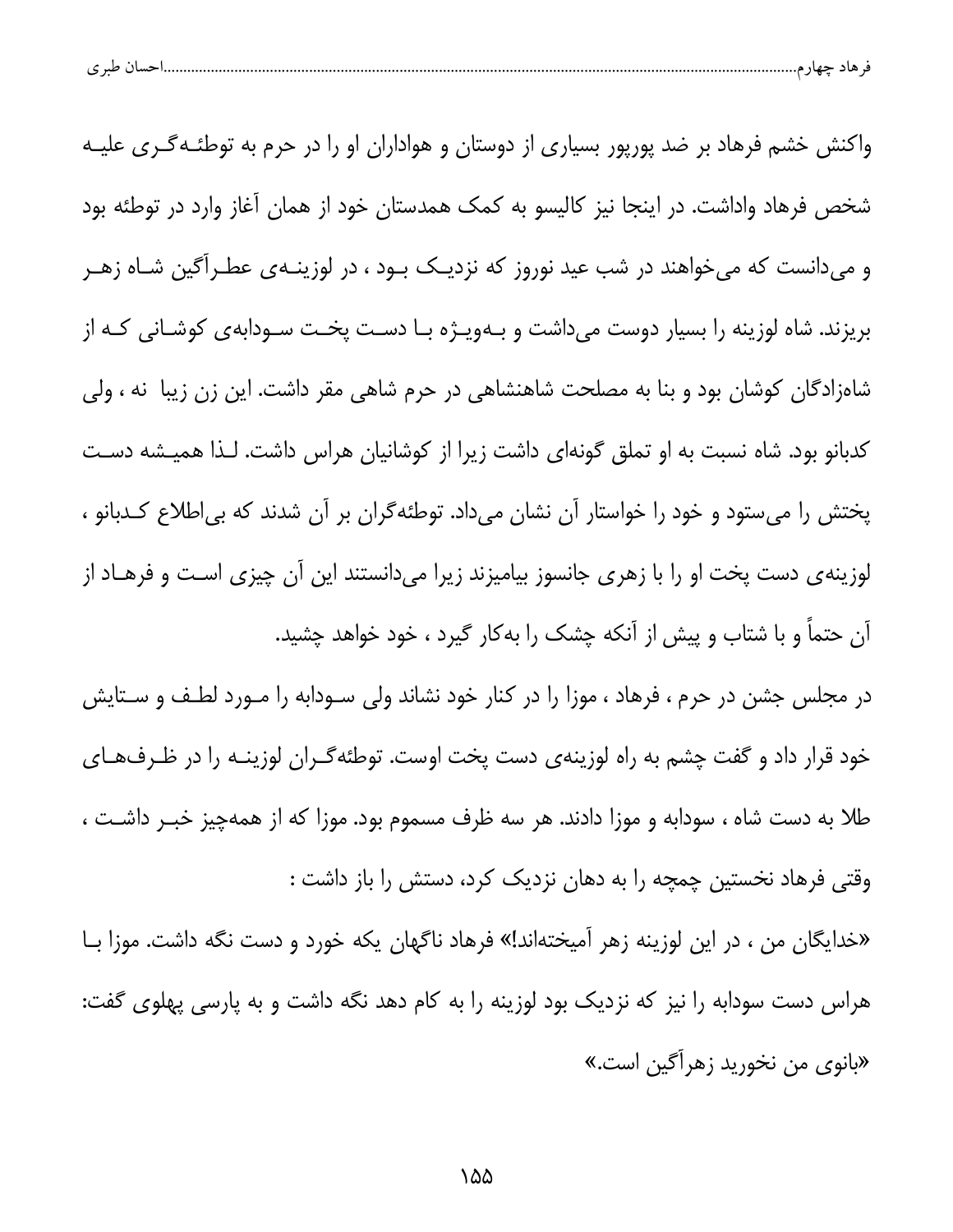| پ | $\sim$ $\sim$ |  |  |  |  |
|---|---------------|--|--|--|--|
|---|---------------|--|--|--|--|

واکنش خشم فرهاد بر ضد پورپور بسیاری از دوستان و هواداران او را در حرم به توطئـهگـری علیـه شخص فرهاد واداشت. در اینجا نیز کالیسو به کمک همدستان خود از همان آغاز وارد در توطئه بود و میدانست که میخواهند در شب عید نوروز که نزدیـک بـود ، در لوزینـهی عطـرآگین شـاه زهـر بریزند. شاه لوزینه را بسیار دوست میداشت و بـهویـژه بـا دسـت پخـت سـودابهى كوشـانى كـه از شاهزادگان کوشان بود و بنا به مصلحت شاهنشاهی در حرم شاهی مقر داشت. این زن زیبا نه ، ولی کدبانو بود. شاه نسبت به او تملق گونهای داشت زیرا از کوشانیان هراس داشت. لـذا همیـشه دسـت پختش را میستود و خود را خواستار آن نشان میداد. توطئهگران بر آن شدند که بیاطلاع کـدبانو ، لوزینهی دست پخت او را با زهری جانسوز بیامیزند زیرا میدانستند این آن چیزی اسـت و فرهـاد از آن حتماً و با شتاب و پیش از آنکه چشک را بهکار گیرد ، خود خواهد چشید.

در مجلس جشن در حرم ، فرهاد ، موزا را در کنار خود نشاند ولی سـودابه را مـورد لطـف و سـتايش خود قرار داد و گفت چشم به راه لوزینهی دست پخت اوست. توطئهگـران لوزینــه را در ظـرفهـای طلا به دست شاه ، سودابه و موزا دادند. هر سه ظرف مسموم بود. موزا که از همهچیز خبـر داشـت ، وقتی فرهاد نخستین چمچه را به دهان نزدیک کرد، دستش را باز داشت :

«خدایگان من ، در این لوزینه زهر آمیختهاند!» فرهاد ناگهان یکه خورد و دست نگه داشت. موزا بـا هراس دست سودابه را نیز که نزدیک بود لوزینه را به کام دهد نگه داشت و به پارسی پهلوی گفت: «بانوی من نخورید زهرآگین است.»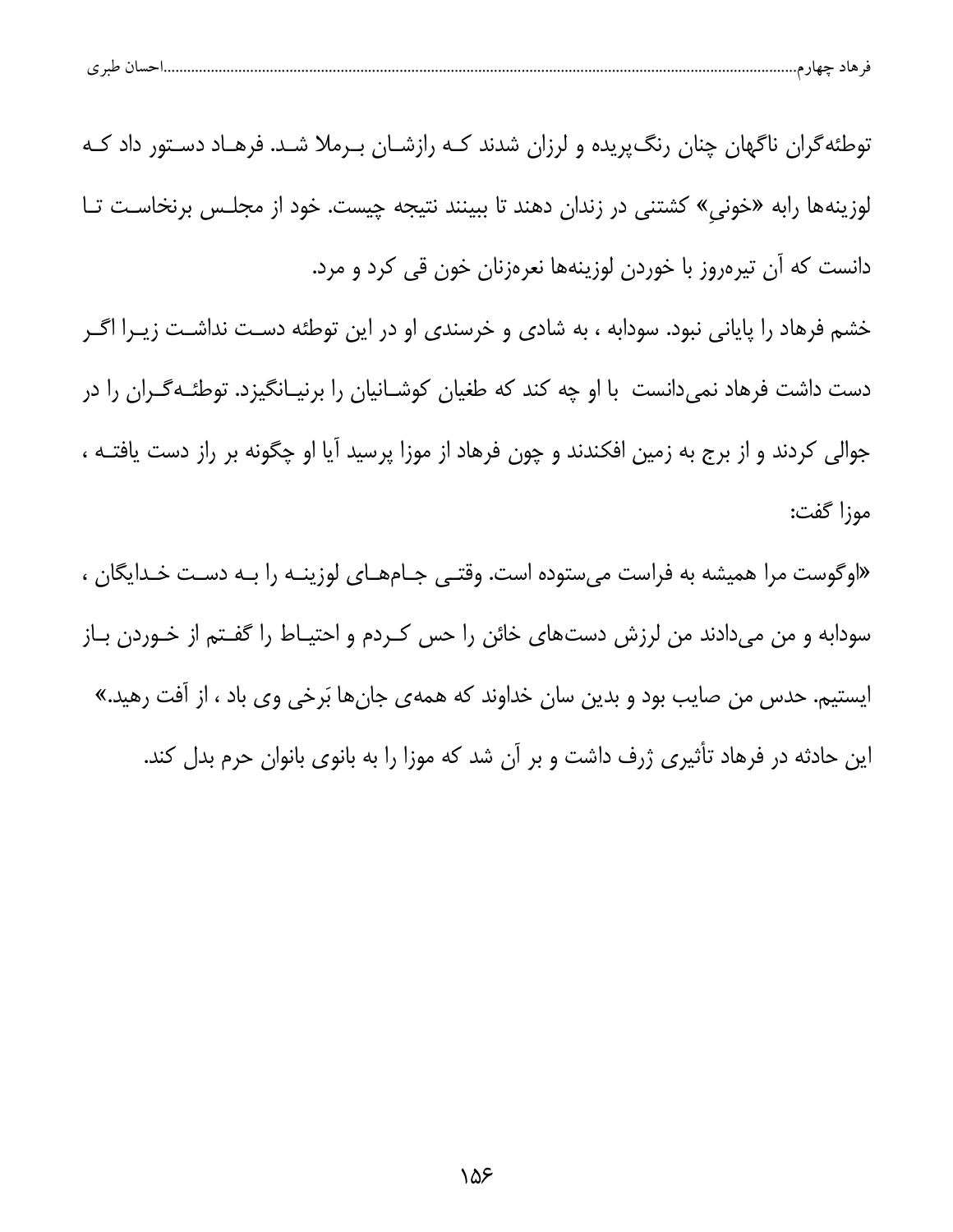| - ط. ـ | خسا ۱ |  |  |
|--------|-------|--|--|
|        |       |  |  |

توطئه گران ناگهان چنان رنگ پریده و لرزان شدند کـه رازشـان بـرملا شـد. فرهـاد دسـتور داد کـه لوزینهها رابه «خونی» کشتنی در زندان دهند تا ببینند نتیجه چیست. خود از مجلـس برنخاسـت تـا دانست که آن تیرهروز با خوردن لوزینهها نعرهزنان خون قی کرد و مرد.

خشم فرهاد را پایانی نبود. سودابه ، به شادی و خرسندی او در این توطئه دست نداشـت زیــرا اگــر دست داشت فرهاد نمیدانست با او چه کند که طغیان کوشـانیان را برنیـانگیزد. توطئـهگـران را در جوالی کردند و از برج به زمین افکندند و چون فرهاد از موزا پرسید آیا او چگونه بر راز دست یافتــه ، موزا گفت:

«اوگوست مرا همیشه به فراست می ستوده است. وقتـی جـامهـای لوزینـه را بـه دسـت خـدایگان ، سودابه و من میدادند من لرزش دستهای خائن را حس کـردم و احتیـاط را گفـتم از خـوردن بـاز ایستیم. حدس من صایب بود و بدین سان خداوند که همهی جانها بَرخی وی باد ، از آفت رهید.» این حادثه در فرهاد تأثیری ژرف داشت و بر آن شد که موزا را به بانوی بانوان حرم بدل کند.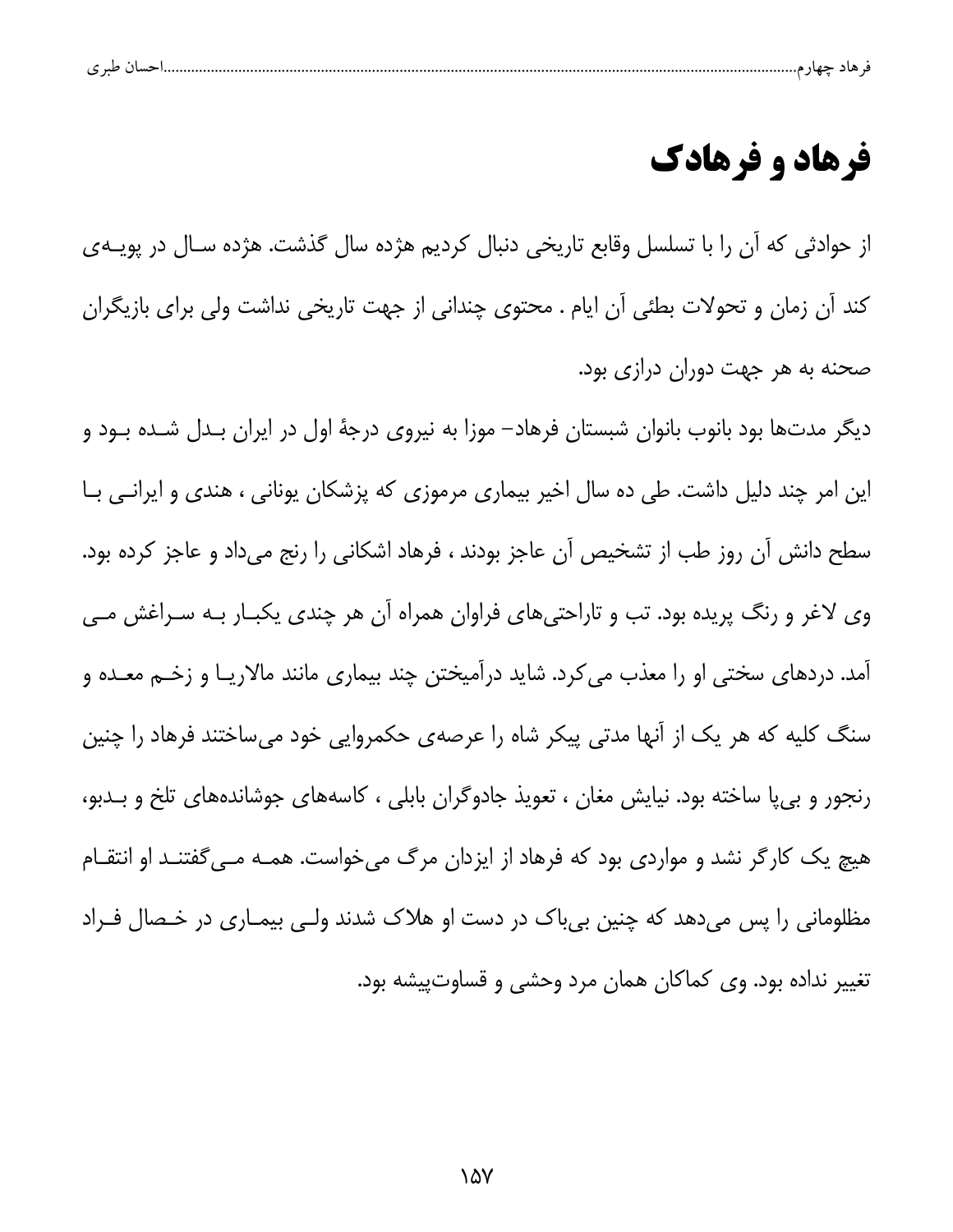|   | . . |  |  |  |
|---|-----|--|--|--|
| ے |     |  |  |  |

## فرهاد و فرهادك

از حوادثی که آن را با تسلسل وقابع تاریخی دنبال کردیم هژده سال گذشت. هژده سـال در پویــهی كند آن زمان و تحولات بطئي آن ايام . محتوى چندانى از جهت تاريخى نداشت ولى براى بازيگران صحنه به هر جهت دوران درازی بود.

دیگر مدتها بود بانوب بانوان شبستان فرهاد– موزا به نیروی درجهٔ اول در ایران بـدل شـده بــود و این امر چند دلیل داشت. طی ده سال اخیر بیماری مرموزی که پزشکان یونانی ، هندی و ایرانـی بـا سطح دانش آن روز طب از تشخیص آن عاجز بودند ، فرهاد اشکانی را رنج میداد و عاجز کرده بود. وی لاغر و رنگ پریده بود. تب و تاراحتیهای فراوان همراه آن هر چندی یکبـار بـه سـراغش مـی آمد. دردهای سختی او را معذب می کرد. شاید درآمیختن چند بیماری مانند مالاریـا و زخـم معــده و سنگ کلیه که هر یک از آنها مدتی پیکر شاه را عرصهی حکمروایی خود میساختند فرهاد را چنین رنجور و بی پا ساخته بود. نیایش مغان ، تعویذ جادوگران بابلی ، کاسههای جوشاندههای تلخ و بـدبو، هیچ یک کارگر نشد و مواردی بود که فرهاد از ایزدان مرگ میخواست. همـه مـی گفتنـد او انتقـام مظلومانی را پس میدهد که چنین بیباک در دست او هلاک شدند ولـی بیمـاری در خـصال فـراد تغییر نداده بود. وی کماکان همان مرد وحشی و قساوتپیشه بود.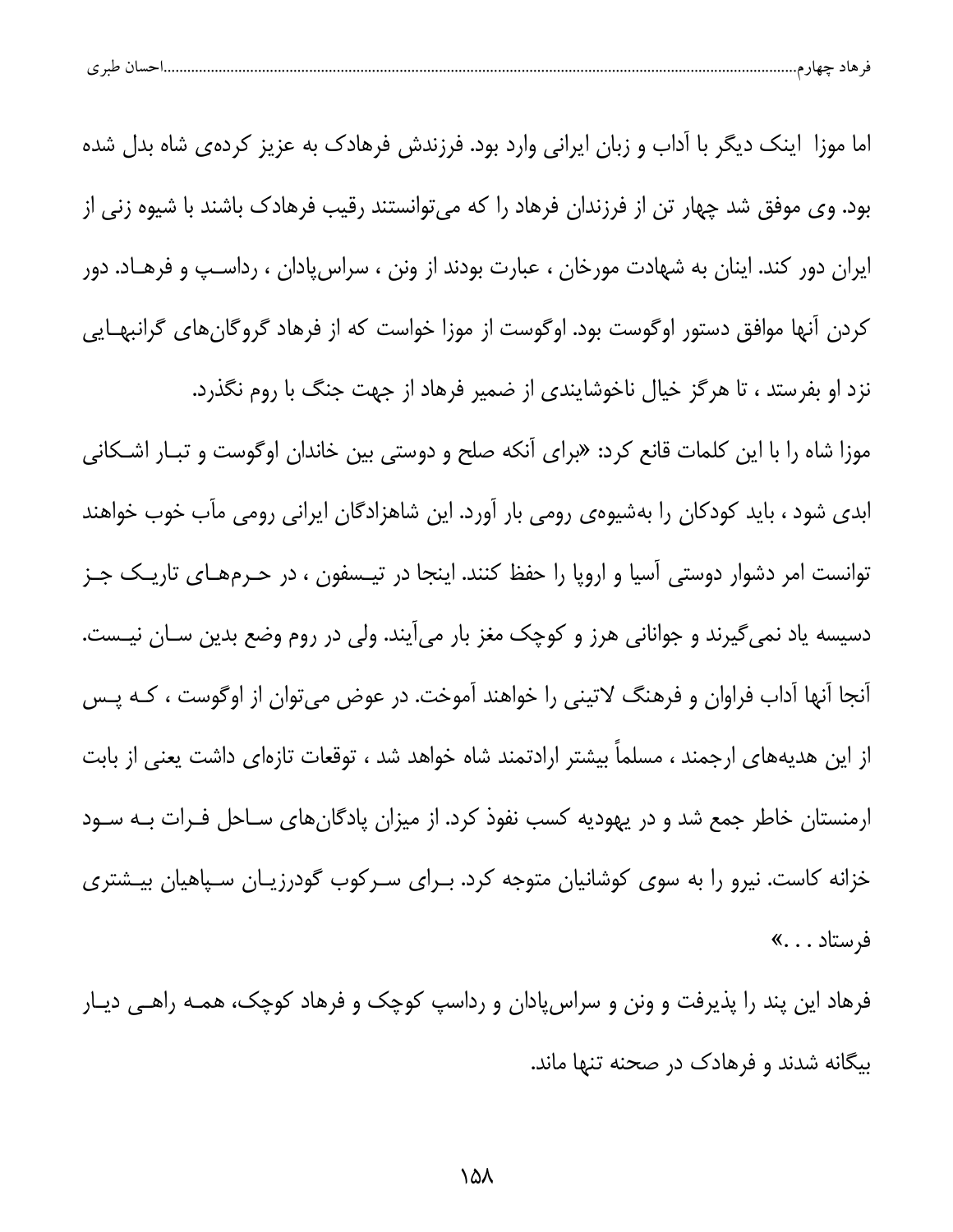| $\sim$<br>شهاد م<br>. . |
|-------------------------|
|-------------------------|

اما موزا اینک دیگر با آداب و زبان ایرانی وارد بود. فرزندش فرهادک به عزیز کردهی شاه بدل شده بود. وی موفق شد چهار تن از فرزندان فرهاد را که می توانستند رقیب فرهادک باشند با شیوه زنی از ایران دور کند. اینان به شهادت مورخان ، عبارت بودند از ونن ، سراسپادان ، رداسـپ و فرهــاد. دور کردن آنها موافق دستور اوگوست بود. اوگوست از موزا خواست که از فرهاد گروگانهای گرانبهـایی نزد او بفرستد ، تا هرگز خیال ناخوشایندی از ضمیر فرهاد از جهت جنگ با روم نگذرد. موزا شاه را با این کلمات قانع کرد: «برای آنکه صلح و دوستی بین خاندان اوگوست و تبـار اشـکانی ابدی شود ، باید کودکان را بهشیوهی رومی بار آورد. این شاهزادگان ایرانی رومی مآب خوب خواهند توانست امر دشوار دوستی آسیا و اروپا را حفظ کنند. اینجا در تیـسفون ، در حـرمهـای تاریـک جـز دسیسه یاد نمیگیرند و جوانانی هرز و کوچک مغز بار میآیند. ولی در روم وضع بدین سـان نیــست. آنجا آنها آداب فراوان و فرهنگ لاتینی را خواهند آموخت. در عوض میتوان از اوگوست ، کـه پـس از این هدیههای ارجمند ، مسلماً بیشتر ارادتمند شاه خواهد شد ، توقعات تازهای داشت یعنی از بابت ارمنستان خاطر جمع شد و در یهودیه کسب نفوذ کرد. از میزان پادگانهای سـاحل فـرات بـه سـود خزانه کاست. نیرو را به سوی کوشانیان متوجه کرد. بـرای سـرکوب گودرزیـان سـپاهیان بیـشتری فرستاد . . . »

فرهاد این پند را پذیرفت و ونن و سراس یادان و رداسپ کوچک و فرهاد کوچک، همـه راهـی دیـار بیگانه شدند و فرهادک در صحنه تنها ماند.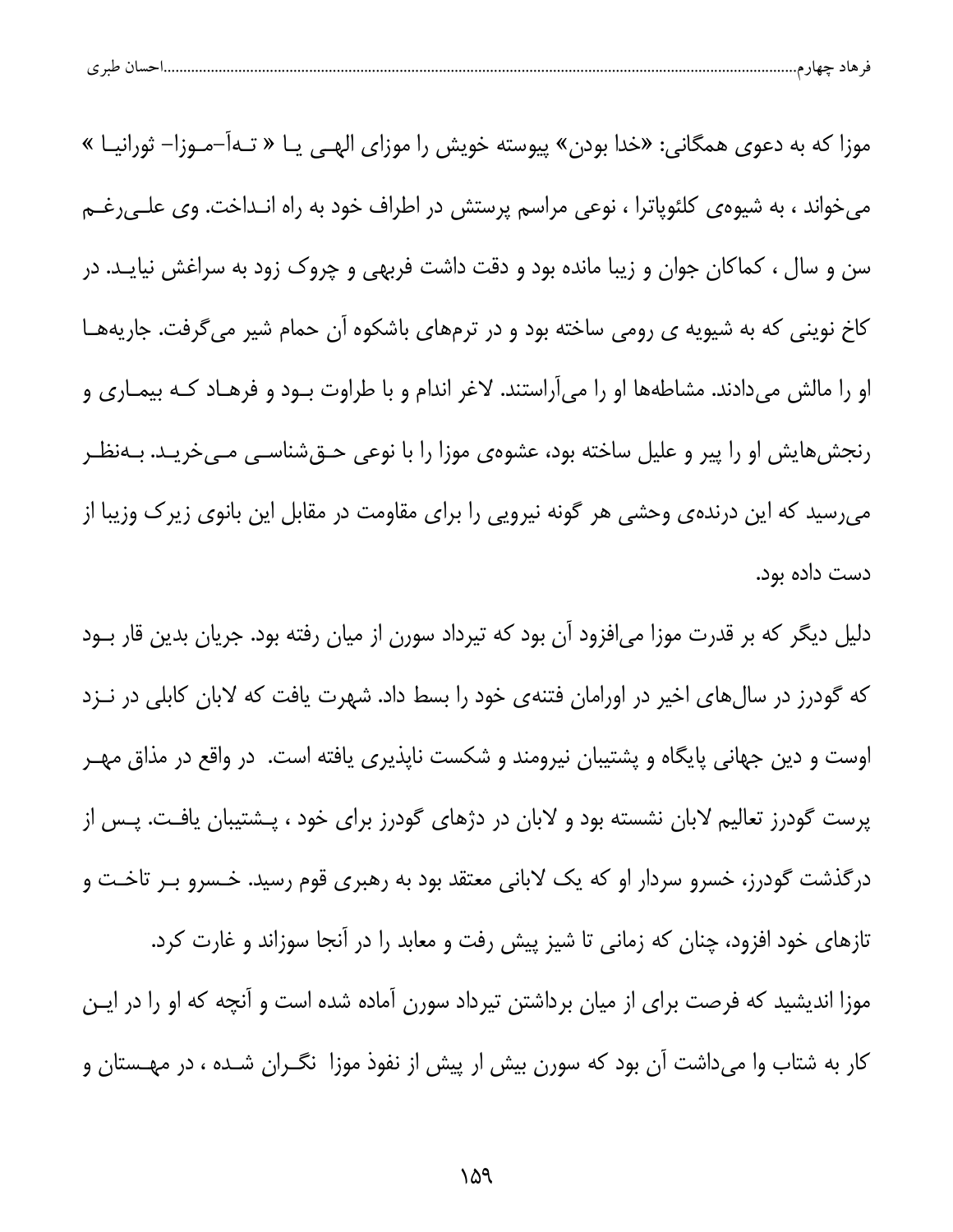| پ | $\sim$ $\sim$ |  |  |  |  |
|---|---------------|--|--|--|--|
|---|---------------|--|--|--|--|

موزا که به دعوی همگانی: «خدا بودن» پیوسته خویش را موزای الهــی یــا « تــهاً–مــوزا– ثورانیــا » میخواند ، به شیوهی کلئوپاترا ، نوعی مراسم پرستش در اطراف خود به راه انـداخت. وی علـیرغـم سن و سال ، کماکان جوان و زیبا مانده بود و دقت داشت فربهی و چروک زود به سراغش نیایـد. در کاخ نوینی که به شیویه ی رومی ساخته بود و در ترمهای باشکوه آن حمام شیر می گرفت. جاریههـا او را مالش میدادند. مشاطهها او را میآراستند. لاغر اندام و با طراوت بـود و فرهـاد کـه بیمـاری و رنجشهایش او را پیر و علیل ساخته بود، عشوهی موزا را با نوعی حـقشناسـی مـیخریـد. بـهنظـر میرسید که این درندهی وحشی هر گونه نیرویی را برای مقاومت در مقابل این بانوی زیرک وزیبا از دست داده بود.

دلیل دیگر که بر قدرت موزا میافزود آن بود که تیرداد سورن از میان رفته بود. جریان بدین قار بـود که گودرز در سالهای اخیر در اورامان فتنهی خود را بسط داد. شهرت یافت که لابان کابلی در نـزد اوست و دین جهانی پایگاه و پشتیبان نیرومند و شکست ناپذیری یافته است. در واقع در مذاق مهـر پرست گودرز تعالیم لابان نشسته بود و لابان در دژهای گودرز برای خود ، پـشتیبان یافـت. پـس از درگذشت گودرز، خسرو سردار او که یک لابانی معتقد بود به رهبری قوم رسید. خـسرو بـر تاخـت و تازهای خود افزود، چنان که زمانی تا شیز پیش رفت و معابد را در آنجا سوزاند و غارت کرد. موزا اندیشید که فرصت برای از میان برداشتن تیرداد سورن آماده شده است و آنچه که او را در ایـن کار به شتاب وا میداشت آن بود که سورن بیش ار پیش از نفوذ موزا نگـران شـده ، در مهـستان و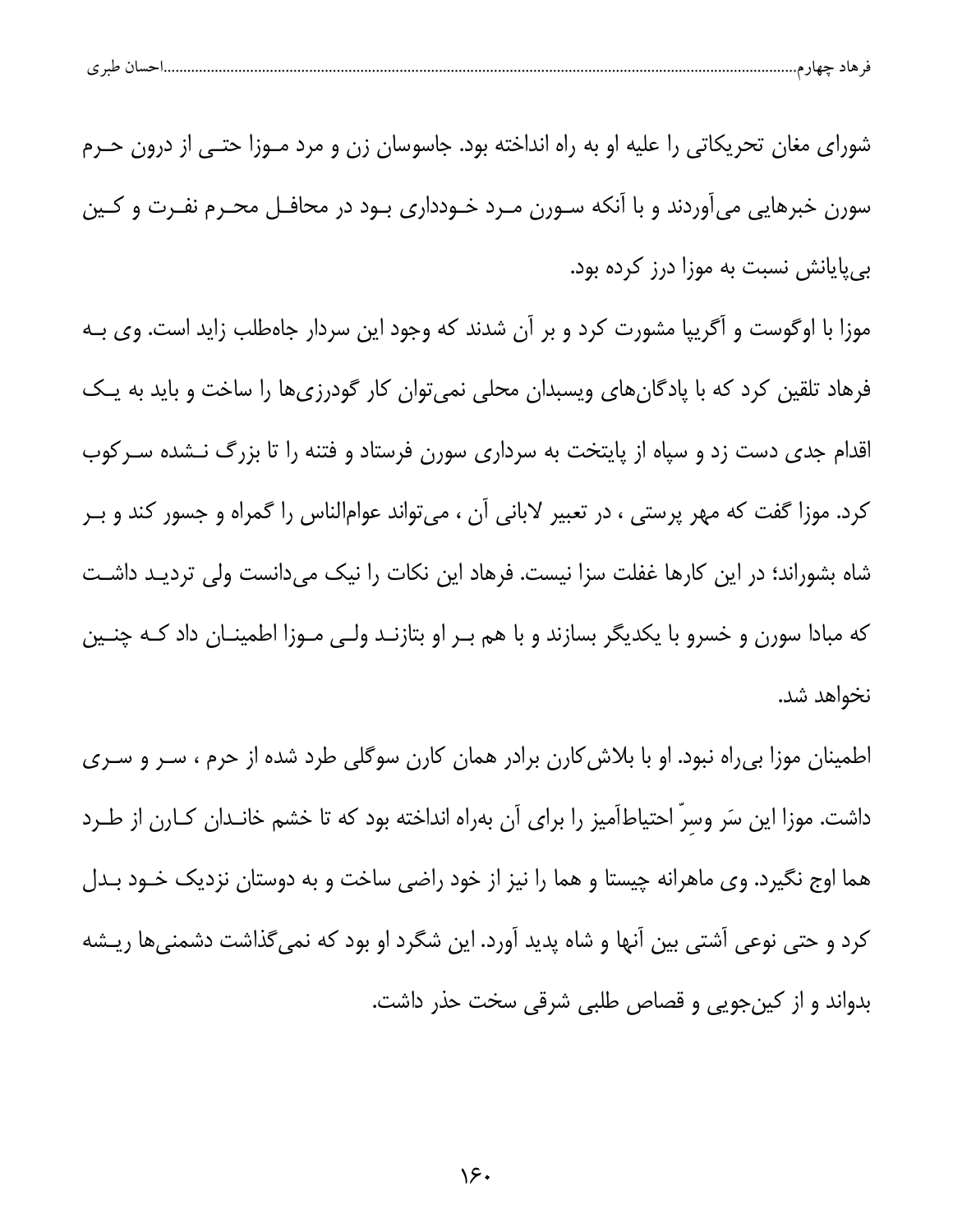شورای مغان تحریکاتی را علیه او به راه انداخته بود. جاسوسان زن و مرد مـوزا حتـی از درون حـرم سورن خبرهایی میآوردند و با آنکه سـورن مـرد خـودداری بـود در محافـل محـرم نفـرت و کـین بی پایانش نسبت به موزا درز کرده بود.

موزا با اوگوست و آگریپا مشورت کرد و بر آن شدند که وجود این سردار جاهطلب زاید است. وی بـه فرهاد تلقین کرد که با پادگانهای ویسبدان محلی نمیتوان کار گودرزیها را ساخت و باید به یک اقدام جدی دست زد و سپاه از پایتخت به سرداری سورن فرستاد و فتنه را تا بزرگ نـشده سـر کوب کرد. موزا گفت که مهر پرستی ، در تعبیر لابانی آن ، میتواند عوامالناس را گمراه و جسور کند و بـر شاه بشوراند؛ در این کارها غفلت سزا نیست. فرهاد این نکات را نیک میدانست ولی تردیـد داشـت که مبادا سورن و خسرو با یکدیگر بسازند و با هم بـر او بتازنـد ولـی مـوزا اطمینــان داد کـه چنــین نخواهد شد.

اطمینان موزا بی راه نبود. او با بلاش کارن برادر همان کارن سوگلی طرد شده از حرم ، سـر و سـری داشت. موزا این سَر وسرِّ احتیاطاًمیز را برای آن بهراه انداخته بود که تا خشم خانـدان کـارن از طـرد هما اوج نگیرد. وی ماهرانه چیستا و هما را نیز از خود راضی ساخت و به دوستان نزدیک خـود بـدل کرد و حتی نوعی آشتی بین آنها و شاه پدید آورد. این شگرد او بود که نمیگذاشت دشمنیها ریـشه بدواند و از کینجویی و قصاص طلبی شرقی سخت حذر داشت.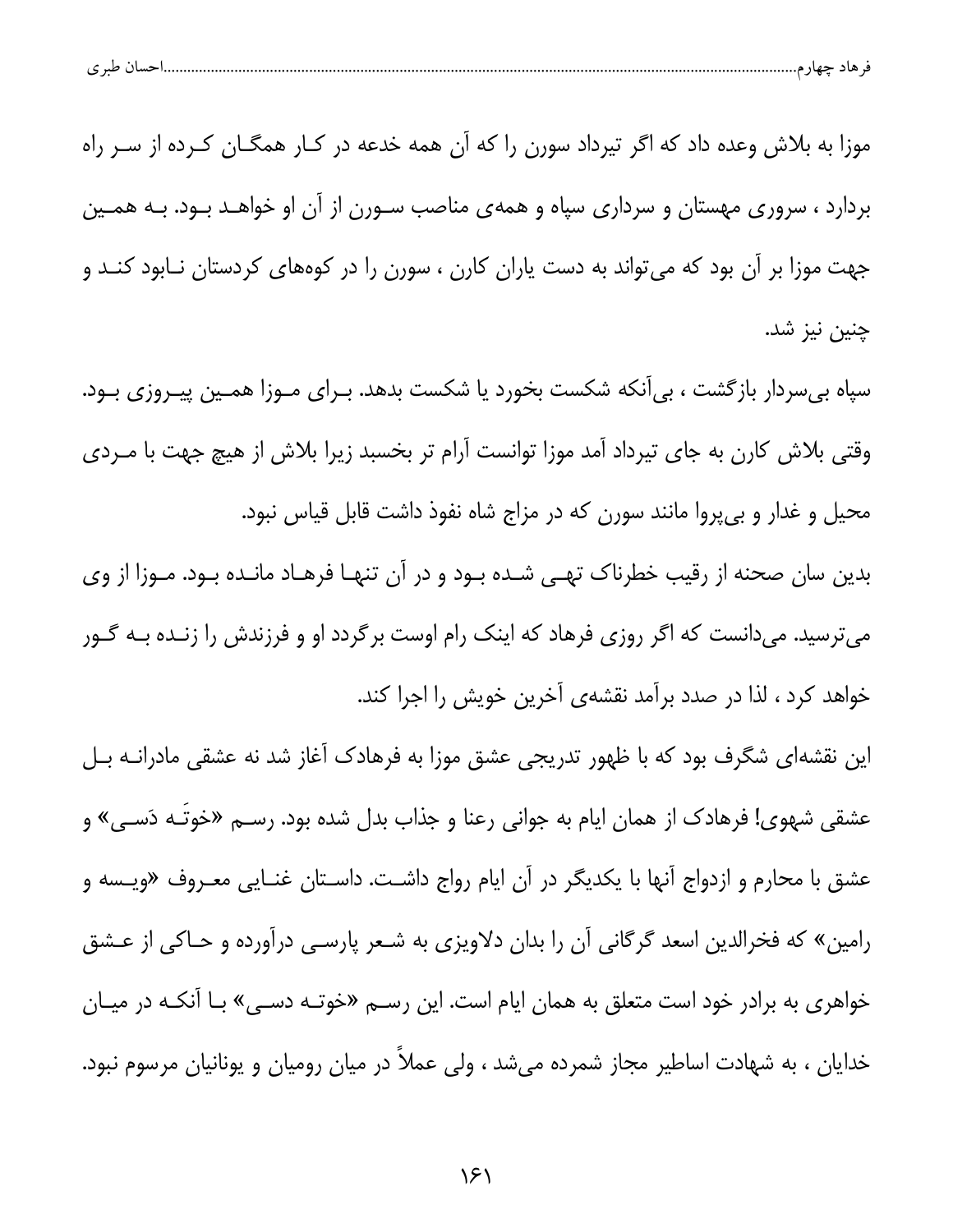| احسال طبر ی<br>قر هاد چهار م |  |  |
|------------------------------|--|--|
|                              |  |  |

موزا به بلاش وعده داد که اگر تیرداد سورن را که آن همه خدعه در کـار همگـان کـرده از سـر راه بردارد ، سروری مهستان و سرداری سپاه و همهی مناصب سـورن از آن او خواهـد بـود. بـه همـین جهت موزا بر آن بود که میتواند به دست یاران کارن ، سورن را در کوههای کردستان نـابود کنـد و چنين نيز شد.

سپاه بی سردار بازگشت ، بی[نکه شکست بخورد یا شکست بدهد. بـرای مـوزا همـین پیـروزی بـود. وقتی بلاش کارن به جای تیرداد آمد موزا توانست آرام تر بخسبد زیرا بلاش از هیچ جهت با مـردی محیل و غدار و بیپروا مانند سورن که در مزاج شاه نفوذ داشت قابل قیاس نبود.

بدین سان صحنه از رقیب خطرناک تهـی شـده بـود و در آن تنهـا فرهـاد مانـده بـود. مـوزا از وی میترسید. میدانست که اگر روزی فرهاد که اینک رام اوست برگردد او و فرزندش را زنـده بـه گـور خواهد کرد ، لذا در صدد برآمد نقشهی آخرین خویش را اجرا کند.

این نقشهای شگرف بود که با ظهور تدریجی عشق موزا به فرهادک آغاز شد نه عشقی مادرانــه بــل عشقی شهوی! فرهادک از همان ایام به جوانی رعنا و جذاب بدل شده بود. رســم «خوتــه دَســی» و عشق با محارم و ازدواج آنها با یکدیگر در آن ایام رواج داشـت. داسـتان غنـایی معـروف «ویـسه و رامین» که فخرالدین اسعد گرگانی آن را بدان دلاویزی به شـعر پارسـی درآورده و حـاکی از عـشق خواهری به برادر خود است متعلق به همان ایام است. این رســم «خوتــه دســی» بــا آنکــه در میــان خدایان ، به شهادت اساطیر مجاز شمرده میشد ، ولی عملاً در میان رومیان و یونانیان مرسوم نبود.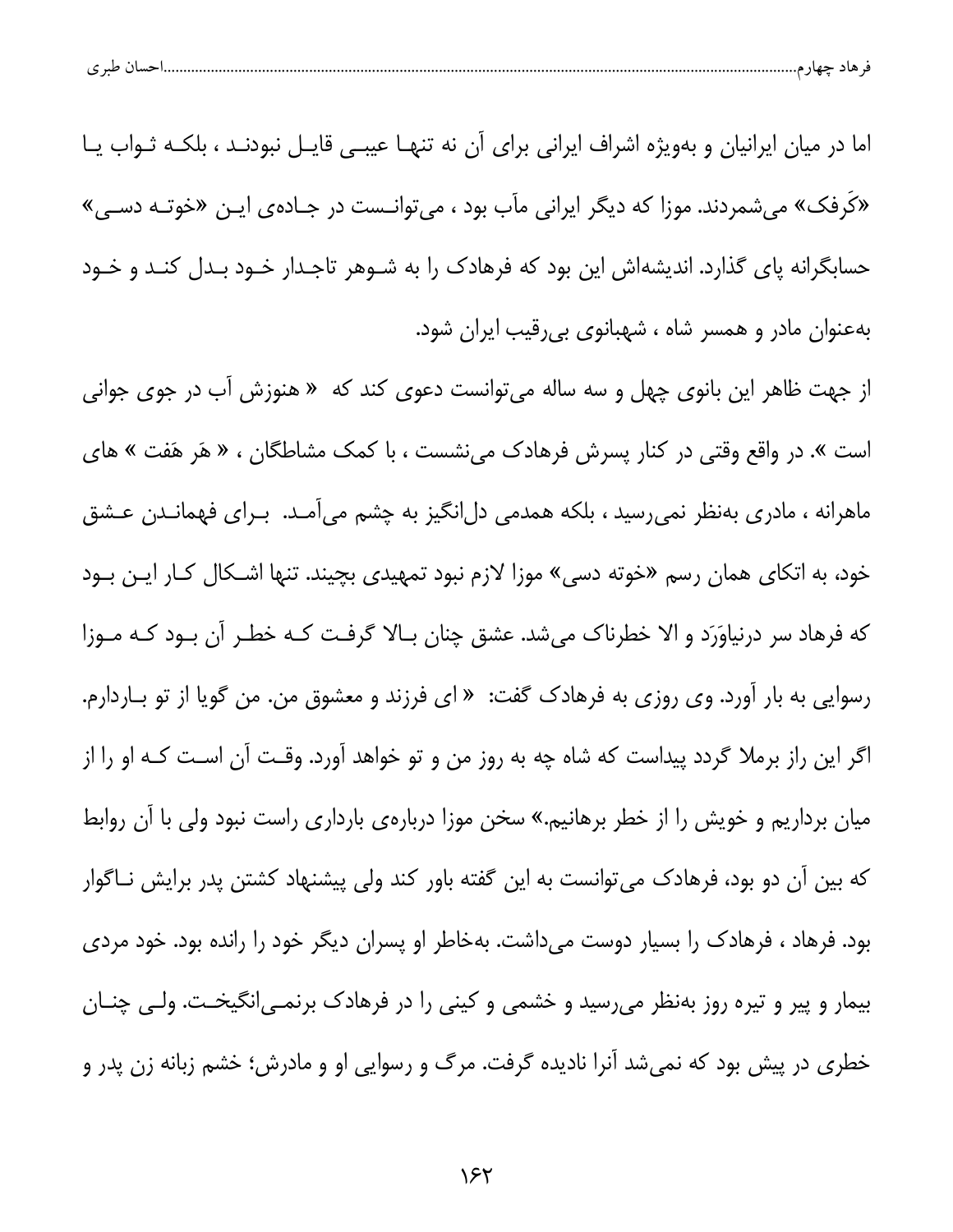|  | احسال طبر ی |  |  |  |  |
|--|-------------|--|--|--|--|
|--|-------------|--|--|--|--|

اما در میان ایرانیان و بهویژه اشراف ایرانی برای آن نه تنهـا عیبـی قایـل نبودنـد ، بلکـه ثـواب یـا «کَرفک» می شمردند. موزا که دیگر ایرانی مآب بود ، می توانـست در جـادهی ایـن «خوتـه دسـی» حسابگرانه پای گذارد. اندیشهاش این بود که فرهادک را به شـوهر تاجـدار خـود بـدل کنـد و خـود بهعنوان مادر و همسر شاه ، شهبانوی بی رقیب ایران شود.

از جهت ظاهر این بانوی چهل و سه ساله میتوانست دعوی کند که « هنوزش آب در جوی جوانی است ». در واقع وقتی در کنار پسرش فرهادک می نشست ، با کمک مشاطگان ، « هَر هَفت » های ماهرانه ، مادری بهنظر نمی رسید ، بلکه همدمی دل|نگیز به چشم می|مـد. بـرای فهمانـدن عـشق خود، به اتکای همان رسم «خوته دسی» موزا لازم نبود تمهیدی بچیند. تنها اشـکال کـار ایـن بـود که فرهاد سر درنیاوَرَد و الا خطرناک میشد. عشق چنان بـالا گرفت کـه خطـر آن بـود کـه مـوزا رسوایی به بار آورد. وی روزی به فرهادک گفت: « ای فرزند و معشوق من. من گویا از تو بـاردارم. اگر این راز برملا گردد پیداست که شاه چه به روز من و تو خواهد آورد. وقـت آن اسـت کـه او را از میان برداریم و خویش را از خطر برهانیم.» سخن موزا درباره یبارداری راست نبود ولی با آن روابط که بین آن دو بود، فرهادک میتوانست به این گفته باور کند ولی پیشنهاد کشتن پدر برایش نــاگوار بود. فرهاد ، فرهادک را بسیار دوست میداشت. بهخاطر او پسران دیگر خود را رانده بود. خود مردی بیمار و پیر و تیره روز بهنظر میرسید و خشمی و کینی را در فرهادک برنمـی|نگیخـت. ولـی چنـان خطری در پیش بود که نمیشد آنرا نادیده گرفت. مرگ و رسوایی او و مادرش؛ خشم زبانه زن پدر و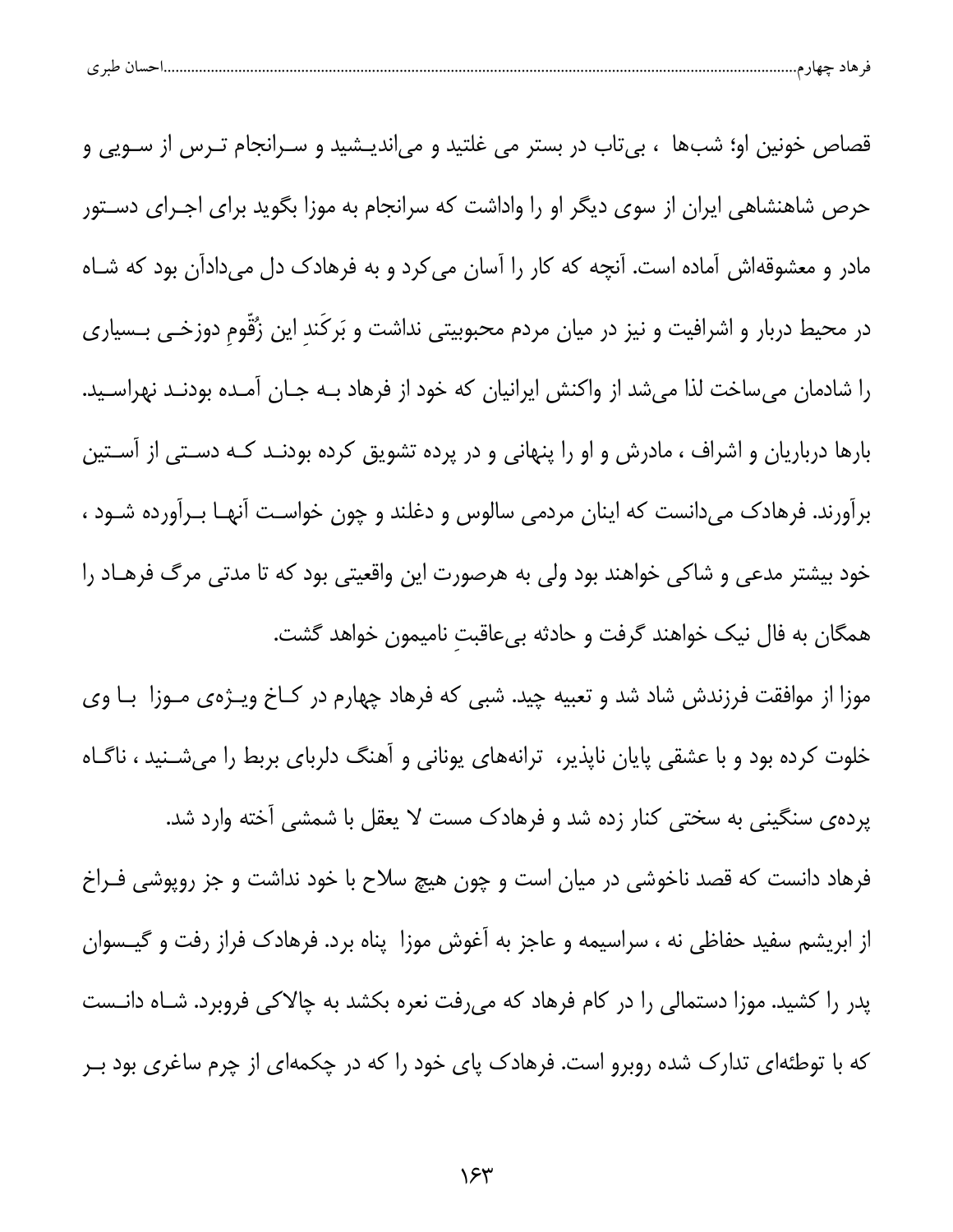| احسال طبري |  |  |  |
|------------|--|--|--|
|------------|--|--|--|

قصاص خونین او؛ شبها ، بی تاب در بستر می غلتید و میاندیـشید و سـرانجام تـرس از سـویی و حرص شاهنشاهی ایران از سوی دیگر او را واداشت که سرانجام به موزا بگوید برای اجـرای دسـتور مادر و معشوقهاش آماده است. آنچه که کار را آسان می کرد و به فرهادک دل میدادآن بود که شـاه در محیط دربار و اشرافیت و نیز در میان مردم محبوبیتی نداشت و بَرکَند این زُقّوم دوزخـی بـسیاری را شادمان میساخت لذا میشد از واکنش ایرانیان که خود از فرهاد بـه جـان آمـده بودنـد نهراسـید. بارها درباریان و اشراف ، مادرش و او را پنهانی و در پرده تشویق کرده بودنـد کـه دسـتی از آسـتین برآورند. فرهادک میدانست که اینان مردمی سالوس و دغلند و چون خواست آنهـا بـرآورده شــود ، خود بیشتر مدعی و شاکی خواهند بود ولی به هرصورت این واقعیتی بود که تا مدتی مرگ فرهـاد را همگان به فال نیک خواهند گرفت و حادثه بیعاقبت نامیمون خواهد گشت.

موزا از موافقت فرزندش شاد شد و تعبیه چید. شبی که فرهاد چهارم در کـاخ ویـژهی مـوزا بـا وی خلوت کرده بود و با عشقی پایان ناپذیر، ترانههای یونانی و آهنگ دلربای بربط را میشـنید ، ناگـاه

پردهی سنگینی به سختی کنار زده شد و فرهادک مست لا یعقل با شمشی آخته وارد شد. فرهاد دانست که قصد ناخوشی در میان است و چون هیچ سلاح با خود نداشت و جز روپوشی فـراخ از ابریشم سفید حفاظی نه ، سراسیمه و عاجز به آغوش موزا پناه برد. فرهادک فراز رفت و گیــسوان پدر را کشید. موزا دستمالی را در کام فرهاد که میرفت نعره بکشد به چالاکی فروبرد. شـاه دانـست که با توطئهای تدارک شده روبرو است. فرهادک پای خود را که در چکمهای از چرم ساغری بود بــر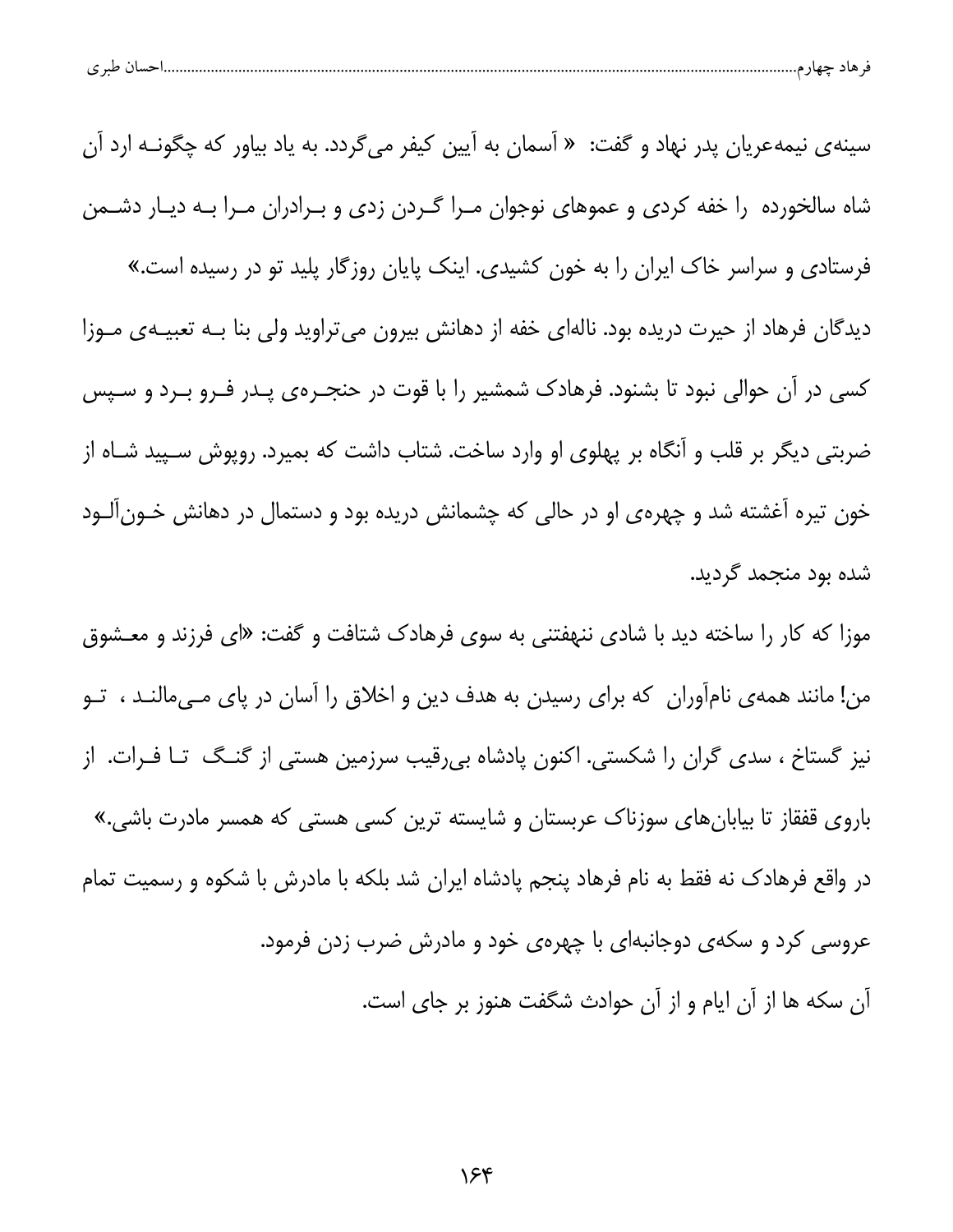| طبہ م<br>حساد<br>ັ |  |  |  |  |
|--------------------|--|--|--|--|
|--------------------|--|--|--|--|

سینه ی نیمه عریان پدر نهاد و گفت: « آسمان به آیین کیفر می گردد. به یاد بیاور که چگونــه ارد آن شاه سالخورده را خفه کردی و عموهای نوجوان مـرا گـردن زدی و بـرادران مـرا بـه دیـار دشــمن فرستاد*ی* و سراسر خاک ایران را به خون کشیدی. اینک پایان روزگار پلید تو در رسیده است.» دیدگان فرهاد از حیرت دریده بود. نالهای خفه از دهانش بیرون میتراوید ولی بنا بـه تعبیـهی مـوزا کسی در آن حوالی نبود تا بشنود. فرهادک شمشیر را با قوت در حنجــرهی پــدر فــرو بــرد و ســپس ضربتی دیگر بر قلب و آنگاه بر پهلوی او وارد ساخت. شتاب داشت که بمیرد. روپوش سـپید شـاه از خون تیره آغشته شد و چهرهی او در حالی که چشمانش دریده بود و دستمال در دهانش خـونآلـود شده بود منجمد گردید.

موزا که کار را ساخته دید با شادی ننهفتنی به سوی فرهادک شتافت و گفت: «ای فرزند و معـشوق من! مانند همهى نامآوران كه براى رسيدن به هدف دين و اخلاق را آسان در پاى مـىمالنـد ، تــو نیز گستاخ ، سدی گران را شکستی. اکنون پادشاه بیرقیب سرزمین هستی از گنـگ تـا فـرات. از باروی قفقاز تا بیابانهای سوزناک عربستان و شایسته ترین کسی هستی که همسر مادرت باشی.» در واقع فرهادک نه فقط به نام فرهاد پنجم پادشاه ایران شد بلکه با مادرش با شکوه و رسمیت تمام عروسی کرد و سکهی دوجانبهای با چهرهی خود و مادرش ضرب زدن فرمود. آن سکه ها از آن ایام و از آن حوادث شگفت هنوز بر جای است.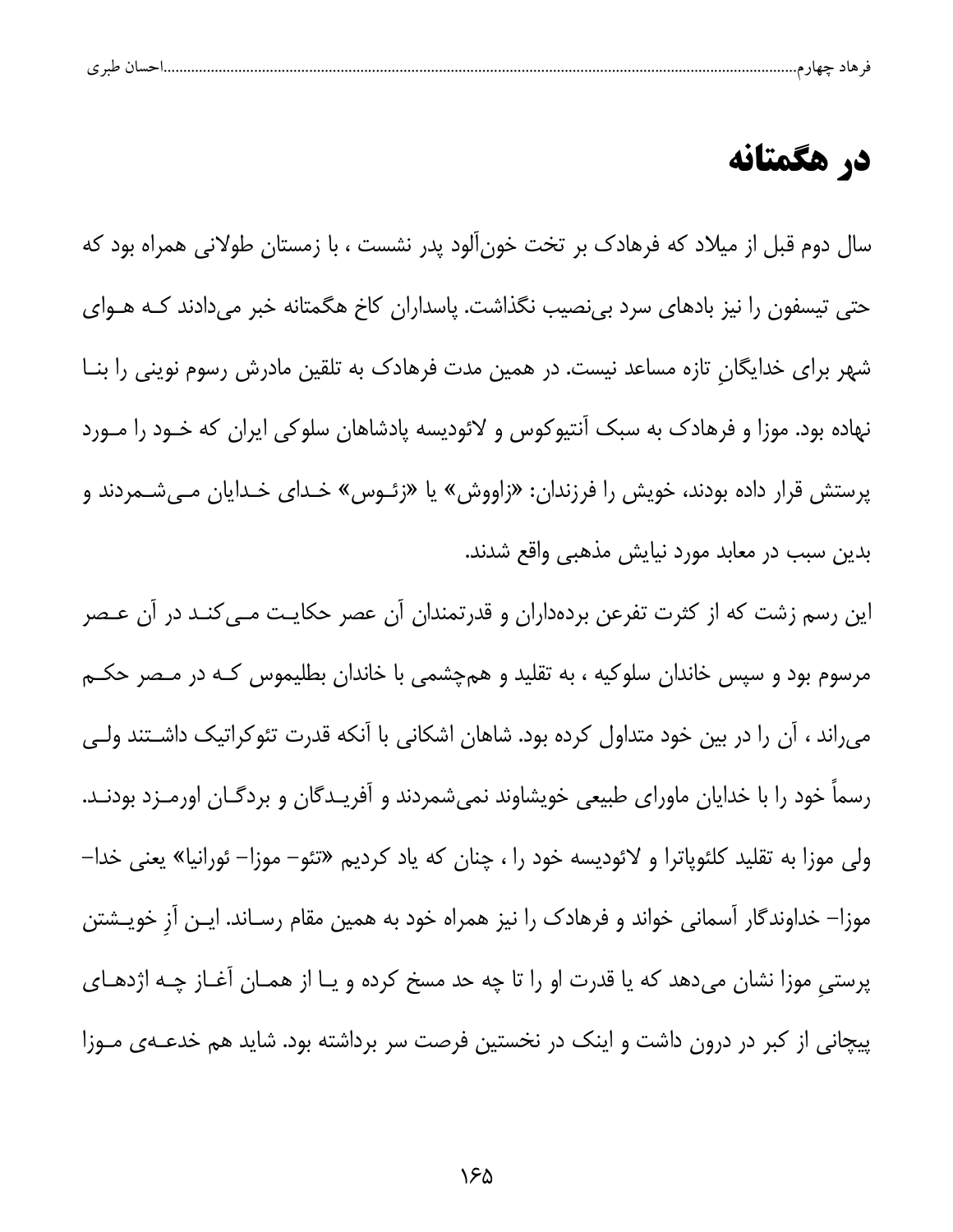| حساب طن م<br>۶ ت |  |  |  |
|------------------|--|--|--|
|------------------|--|--|--|

## در هگمتانه

سال دوم قبل از میلاد که فرهادک بر تخت خونآلود پدر نشست ، با زمستان طولانی همراه بود که حتی تیسفون را نیز بادهای سرد بینصیب نگذاشت. پاسداران کاخ هگمتانه خبر میدادند کـه هــوای شهر برای خدایگان تازه مساعد نیست. در همین مدت فرهادک به تلقین مادرش رسوم نوینی را بنــا نهاده بود. موزا و فرهادک به سبک آنتیوکوس و لائودیسه پادشاهان سلوکی ایران که خـود را مـورد پرستش قرار داده بودند، خویش را فرزندان: «زاووش» یا «زئـوس» خـدای خـدایان مـیشـمردند و بدین سبب در معابد مورد نیایش مذهبی واقع شدند.

این رسم زشت که از کثرت تفرعن بردهداران و قدرتمندان آن عصر حکایـت مــیکنـد در آن عــصر مرسوم بود و سپس خاندان سلوکیه ، به تقلید و همچشمی با خاندان بطلیموس کـه در مـصر حکـم می راند ، آن را در بین خود متداول کرده بود. شاهان اشکانی با آنکه قدرت تئوکراتیک داشتند ولی رسماً خود را با خدایان ماورای طبیعی خویشاوند نمیشمردند و آفریـدگان و بردگـان اورمـزد بودنـد. ولی موزا به تقلید کلئوپاترا و لائودیسه خود را ، چنان که یاد کردیم «تئو– موزا– ئورانیا» یعنی خدا– موزا– خداوندگار آسمانی خواند و فرهادک را نیز همراه خود به همین مقام رسـاند. ایـن آز خویـشتن پرستی موزا نشان میدهد که یا قدرت او را تا چه حد مسخ کرده و یـا از همـان آغـاز چـه اژدهـای پیچانی از کبر در درون داشت و اینک در نخستین فرصت سر برداشته بود. شاید هم خدعــهی مــوزا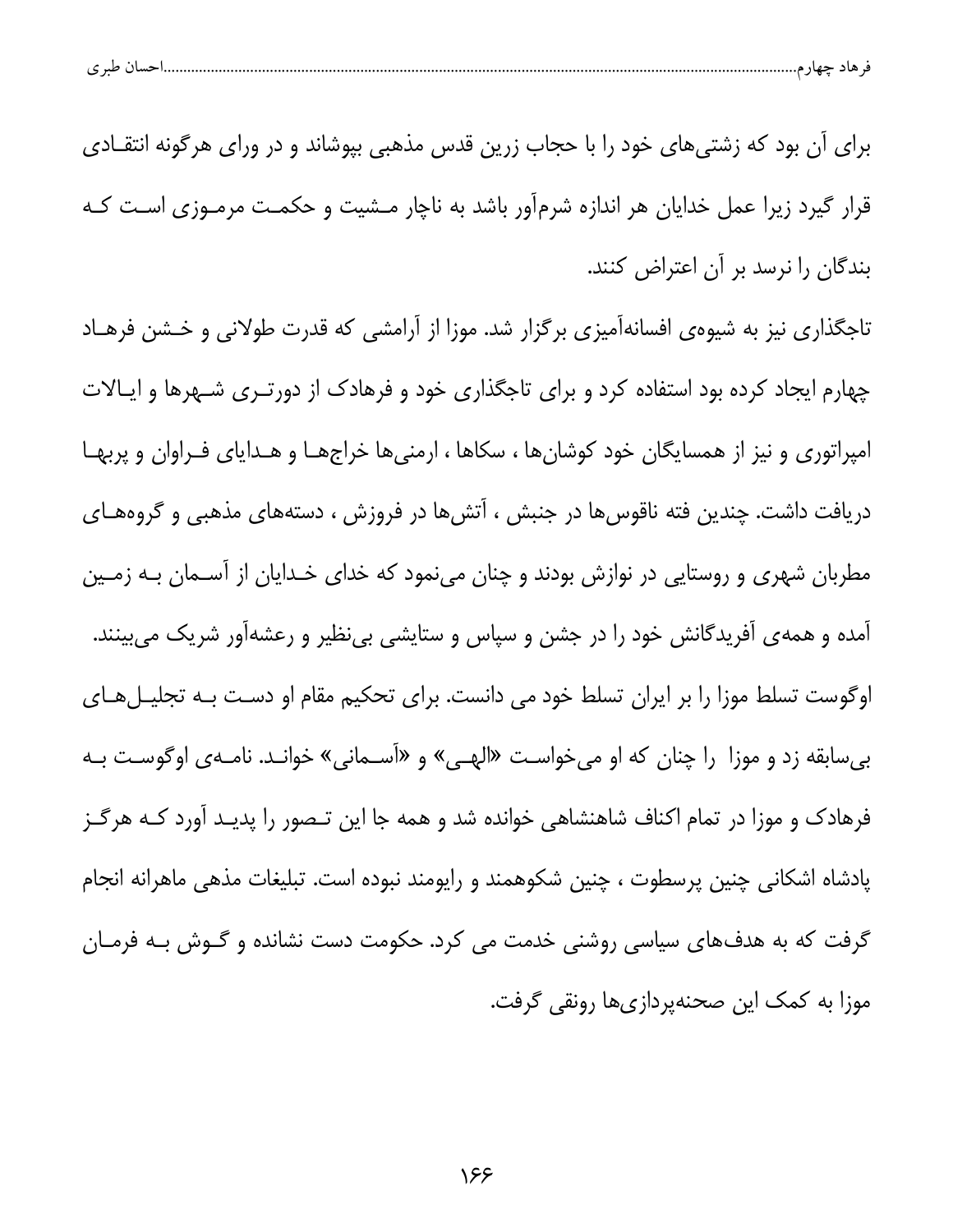| احسال طبر ی |
|-------------|
|-------------|

برای آن بود که زشتیهای خود را با حجاب زرین قدس مذهبی بپوشاند و در ورای هرگونه انتقـادی قرار گیرد زیرا عمل خدایان هر اندازه شرمآور باشد به ناچار مـشیت و حکمـت مرمـوزی اسـت کـه بندگان را نرسد بر آن اعتراض کنند.

تاجگذاری نیز به شیوهی افسانهآمیزی برگزار شد. موزا از آرامشی که قدرت طولانی و خـشن فرهـاد چهارم ایجاد کرده بود استفاده کرد و برای تاجگذاری خود و فرهادک از دورتـری شـهرها و ایـالات امپراتوری و نیز از همسایگان خود کوشانها ، سکاها ، ارمنیها خراجهـا و هـدایای فـراوان و پربهـا دریافت داشت. چندین فته ناقوسها در جنبش ، آتشها در فروزش ، دستههای مذهبی و گروههـای مطربان شهری و روستایی در نوازش بودند و چنان مینمود که خدای خـدایان از آسـمان بـه زمـین آمده و همهی آفریدگانش خود را در جشن و سپاس و ستایشی بینظیر و رعشهآور شریک میبینند. اوگوست تسلط موزا را بر ایران تسلط خود می دانست. برای تحکیم مقام او دست بـه تجلیـلهـای بی سابقه زد و موزا را چنان که او میخواست «الهـی» و «آسـمانی» خوانـد. نامـهی اوگوسـت بـه فرهادک و موزا در تمام اکناف شاهنشاهی خوانده شد و همه جا این تـصور را پدیـد آورد کـه هرگـز پادشاه اشکانی چنین پرسطوت ، چنین شکوهمند و رایومند نبوده است. تبلیغات مذهی ماهرانه انجام گرفت که به هدفهای سیاسی روشنی خدمت می کرد. حکومت دست نشانده و گـوش بـه فرمـان موزا به کمک این صحنهپردازی ها رونقی گرفت.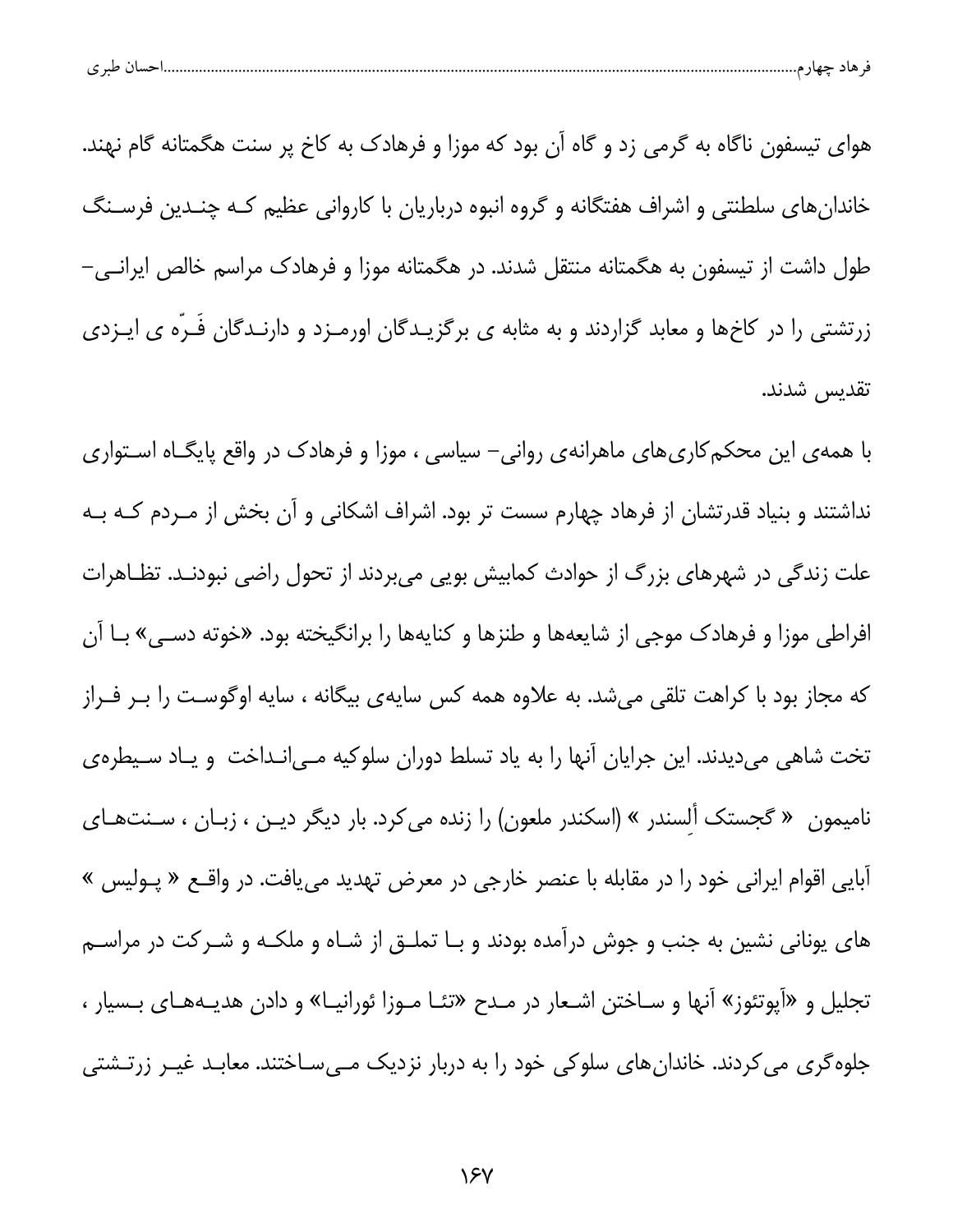| پ | $\sim$ $\sim$ |  |  |  |  |
|---|---------------|--|--|--|--|
|---|---------------|--|--|--|--|

هوای تیسفون ناگاه به گرمی زد و گاه آن بود که موزا و فرهادک به کاخ پر سنت هگمتانه گام نهند. خاندان های سلطنتی و اشراف هفتگانه و گروه انبوه درباریان با کاروانی عظیم کـه چنــدین فرسـنگ طول داشت از تیسفون به هگمتانه منتقل شدند. در هگمتانه موزا و فرهادک مراسم خالص ایرانـی– زرتشتی را در کاخها و معابد گزاردند و به مثابه ی برگزیـدگان اورمـزد و دارنـدگان فَـرّه ی ایـزدی تقديس شدند.

با همهی این محکم کاری های ماهرانهی روانی– سیاسی ، موزا و فرهادک در واقع پایگـاه اسـتواری نداشتند و بنیاد قدرتشان از فرهاد چهارم سست تر بود. اشراف اشکانی و آن بخش از مـردم کـه بـه علت زندگی در شهرهای بزرگ از حوادث کمابیش بویی میبردند از تحول راضی نبودنـد. تظـاهرات افراطی موزا و فرهادک موجی از شایعهها و طنزها و کنایهها را برانگیخته بود. «خوته دسـی» بـا آن که مجاز بود با کراهت تلقی میشد. به علاوه همه کس سایهی بیگانه ، سایه اوگوست را بـر فـراز تخت شاهی میدیدند. این جرایان آنها را به یاد تسلط دوران سلوکیه مـیانـداخت و یـاد سـیطرهی نامیمون « گجستک ألسندر » (اسکندر ملعون) را زنده می کرد. بار دیگر دیـن ، زبـان ، سـنتهـای آبایی اقوام ایرانی خود را در مقابله با عنصر خارجی در معرض تهدید مییافت. در واقــع « پــولیس » های یونانی نشین به جنب و جوش درآمده بودند و بـا تملـق از شـاه و ملکـه و شـرکت در مراسـم تجلیل و «آپوتئوز» آنها و سـاختن اشـعار در مـدح «تئـا مـوزا ئورانیـا» و دادن هدیـههـای بـسیار ، جلوه گری می کردند. خاندان های سلوکی خود را به دربار نزدیک مـیسـاختند. معابـد غیـر زرتـشتی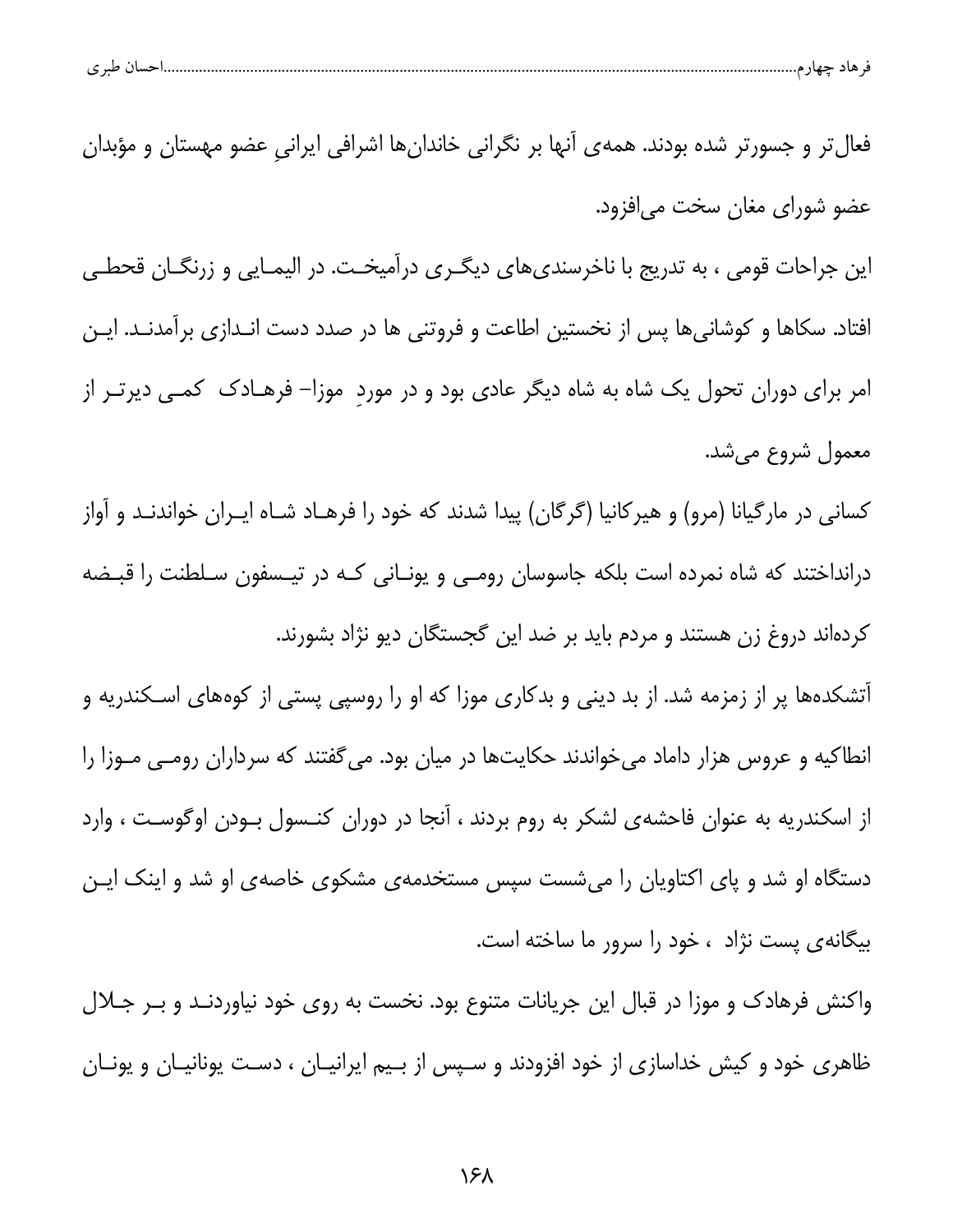| حساں طبری | ъ. | هاد حصار |  |
|-----------|----|----------|--|
|           |    |          |  |

فعال تر و جسور تر شده بودند. همه ی آنها بر نگرانی خاندان ها اشرافی ایرانی عضو مهستان و مؤبدان عضو شورای مغان سخت می|فزود.

این جراحات قومی ، به تدریج با ناخرسندیهای دیگـری درآمیخـت. در الیمـایی و زرنگـان قحطـی افتاد. سكاها و كوشانيها پس از نخستين اطاعت و فروتني ها در صدد دست انـدازي برآمدنـد. ايـن امر برای دوران تحول یک شاه به شاه دیگر عادی بود و در مورد ٍموزا– فرهـادک ِ کمـی دیرتـر از معمول شروع می شد.

کسانی در مارگیانا (مرو) و هیرکانیا (گرگان) پیدا شدند که خود را فرهـاد شـاه ایــران خواندنـد و آواز درانداختند که شاه نمرده است بلکه جاسوسان رومـی و یونـانی کـه در تیـسفون سـلطنت را قبـضه کردهاند دروغ زن هستند و مردم باید بر ضد این گجستگان دیو نژاد بشورند.

آتشکدهها پر از زمزمه شد. از بد دینی و بدکاری موزا که او را روسپی پستی از کوههای اسـکندریه و انطاکیه و عروس هزار داماد میخواندند حکایتها در میان بود. می گفتند که سرداران رومـی مـوزا را از اسکندریه به عنوان فاحشهی لشکر به روم بردند ، آنجا در دوران کنـسول بـودن اوگوسـت ، وارد دستگاه او شد و پای اکتاویان را می شست سپس مستخدمهی مشکوی خاصهی او شد و اینک ایـن بیگانهی پست نژاد ، خود را سرور ما ساخته است.

واکنش فرهادک و موزا در قبال این جریانات متنوع بود. نخست به روی خود نیاوردنـد و بـر جــلال ظاهری خود و کیش خداسازی از خود افزودند و سـپس از بـیم ایرانیـان ، دسـت یونانیـان و یونـان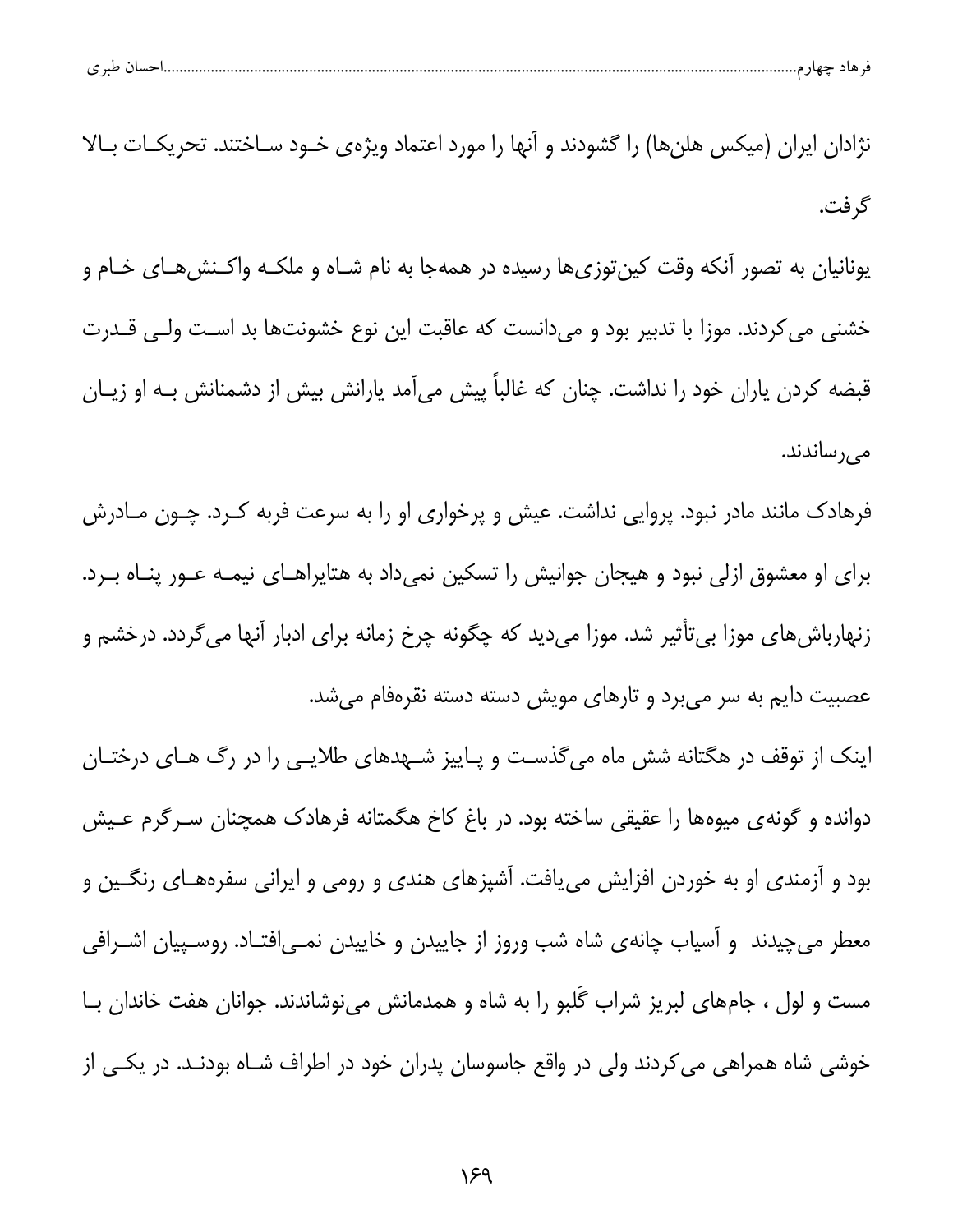| ۔ صد ی<br>$\check{~}$ | 112<br>هاد چهار م |  |  |
|-----------------------|-------------------|--|--|
|                       |                   |  |  |

نژادان ایران (میکس هلنها) را گشودند و آنها را مورد اعتماد ویژهی خـود سـاختند. تحریکـات بـالا گر فت.

یونانیان به تصور آنکه وقت کینتوزیها رسیده در همهجا به نام شـاه و ملکـه واکـنش۱هـای خـام و خشنی می کردند. موزا با تدبیر بود و میدانست که عاقبت این نوع خشونتها بد است ولـی قــدرت قبضه کردن پاران خود را نداشت. چنان که غالباً پیش میآمد پارانش بیش از دشمنانش بـه او زیـان مى رساندند.

فرهادک مانند مادر نبود. پروایی نداشت. عیش و پرخواری او را به سرعت فربه کـرد. چـون مـادرش برای او معشوق ازلی نبود و هیجان جوانیش را تسکین نمی داد به هتایراهـای نیمـه عـور پنـاه بـرد. زنهارباش های موزا بی تأثیر شد. موزا میدید که چگونه چرخ زمانه برای ادبار آنها میگردد. درخشم و عصبیت دایم به سر میبرد و تارهای مویش دسته دسته نقرهفام میشد.

اینک از توقف در هگتانه شش ماه میگذست و پـاییز شـهدهای طلایـی را در رگ هـای درختـان دوانده و گونهی میوهها را عقیقی ساخته بود. در باغ کاخ هگمتانه فرهادک همچنان سـرگرم عـیش بود و آزمندی او به خوردن افزایش مییافت. آشپزهای هندی و رومی و ایرانی سفرههـای رنگـین و معطر میچیدند ً و اسیاب چانه ی شاه شب وروز از جاییدن و خاییدن نمـی|فتـاد. روسـپیان اشـرافی مست و لول ، جامهای لبریز شراب گلبو را به شاه و همدمانش مینوشاندند. جوانان هفت خاندان بـا خوشی شاه همراهی می کردند ولی در واقع جاسوسان پدران خود در اطراف شـاه بودنـد. در یکـی از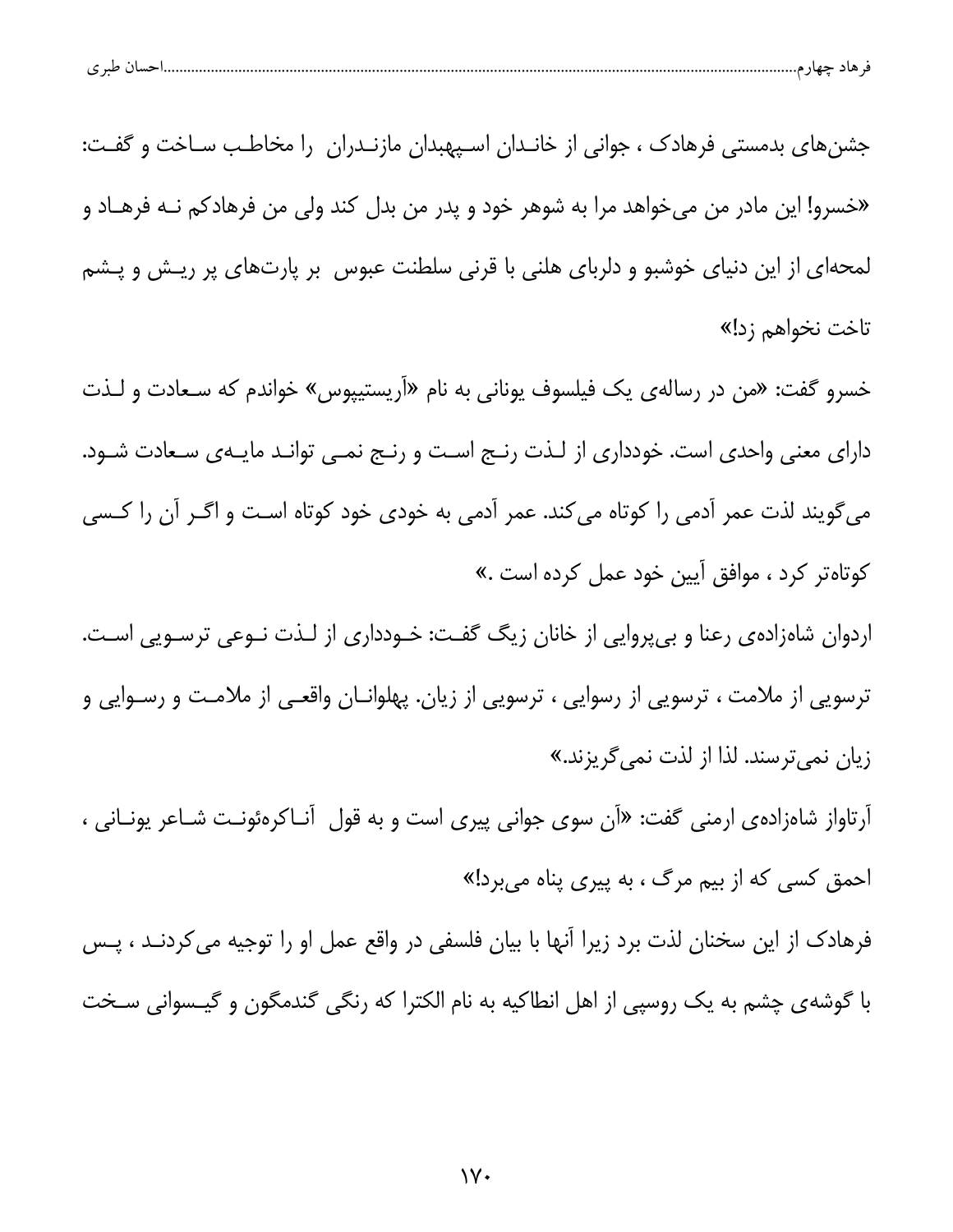| احسال طبر ی<br>قر هاد چهار م |  |  |
|------------------------------|--|--|
|                              |  |  |

جشنهای بدمستی فرهادک ، جوانی از خانـدان اسـپهبدان مازنـدران را مخاطـب سـاخت و گفـت: «خسرو! این مادر من می خواهد مرا به شوهر خود و پدر من بدل کند ولی من فرهادکم نــه فرهــاد و لمحهای از این دنیای خوشبو و دلربای هلنی با قرنی سلطنت عبوس بر پارتهای پر ریـش و پـشم تاخت نخواهم زد!»

خسرو گفت: «من در رسالهى يک فيلسوف يونانى به نام «آريستيپوس» خواندم که سـعادت و لـذت دارای معنی واحدی است. خودداری از لـذت رنـج اسـت و رنـج نمـی توانـد مایـهی سـعادت شـود. می گویند لذت عمر آدمی را کوتاه می کند. عمر آدمی به خودی خود کوتاه است و اگـر آن را کـسی كوتاهتر كرد ، موافق آيين خود عمل كرده است .»

اردوان شاهزاده ی رعنا و بی پروایی از خانان زیگ گفت: خـودداری از لـذت نـوعی ترسـویی اسـت. ترسویی از ملامت ، ترسویی از رسوایی ، ترسویی از زیان. پهلوانـان واقعـی از ملامـت و رسـوایی و زیان نمیترسند. لذا از لذت نمی گریزند.»

آرتاواز شاهزاده یارمنی گفت: «آن سوی جوانی پیری است و به قول آنـاکرهئونـت شـاعر یونـانی ، احمق کسی که از بیم مرگ ، به پیری پناه میبرد!»

فرهادک از این سخنان لذت برد زیرا آنها با بیان فلسفی در واقع عمل او را توجیه می کردنـد ، پـس با گوشهى چشم به يک روسپى از اهل انطاكيه به نام الكترا كه رنگى گندمگون و گيـسوانى سـخت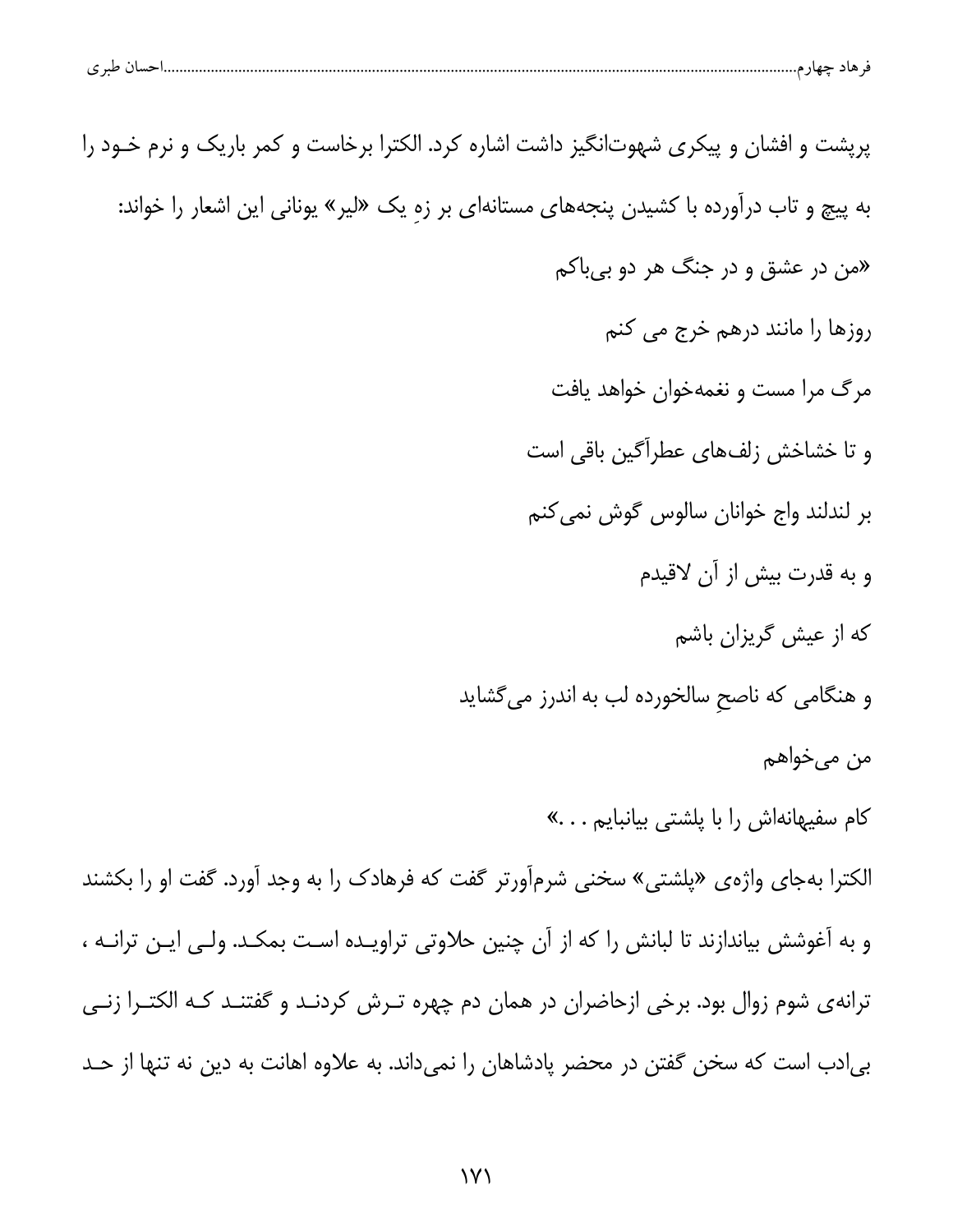| پرپشت و افشان و پیکری شهوتانگیز داشت اشاره کرد. الکترا برخاست و کمر باریک و نرم خـود را       |
|-----------------------------------------------------------------------------------------------|
| به پیچ و تاب درآورده با کشیدن پنجههای مستانهای بر زهِ یک «لیر» یونانی این اشعار را خواند:     |
| «من در عشق و در جنگ هر دو بیباکم                                                              |
| روزها را مانند درهم خرج می کنم                                                                |
| مرگ مرا مست و نغمهخوان خواهد یافت                                                             |
| و تا خشاخش زلفهای عطراًگین باقی است                                                           |
| بر لندلند واج خوانان سالوس گوش نمی کنم                                                        |
| و به قدرت بیش از آن لاقیدم                                                                    |
| که از عیش گریزان باشم                                                                         |
| و هنگامی که ناصح سالخورده لب به اندرز میگشاید                                                 |
| من میخواهم                                                                                    |
| کام سفیهانهاش را با پلشتی بیانبایم»                                                           |
| الکترا بهجای واژهی «پلشتی» سخنی شرمآورتر گفت که فرهادک را به وجد آورد. گفت او را بکشند        |
| و به آغوشش بیاندازند تا لبانش را که از آن چنین حلاوتی تراویـده اسـت بمکـد. ولـی ایـن ترانـه ، |
| ترانهی شوم زوال بود. برخی ازحاضران در همان دم چهره تـرش کردنـد و گفتنـد کـه الکتـرا زنـی      |
| بی دب است که سخن گفتن در محضر پادشاهان را نمیداند. به علاوه اهانت به دین نه تنها از حـد       |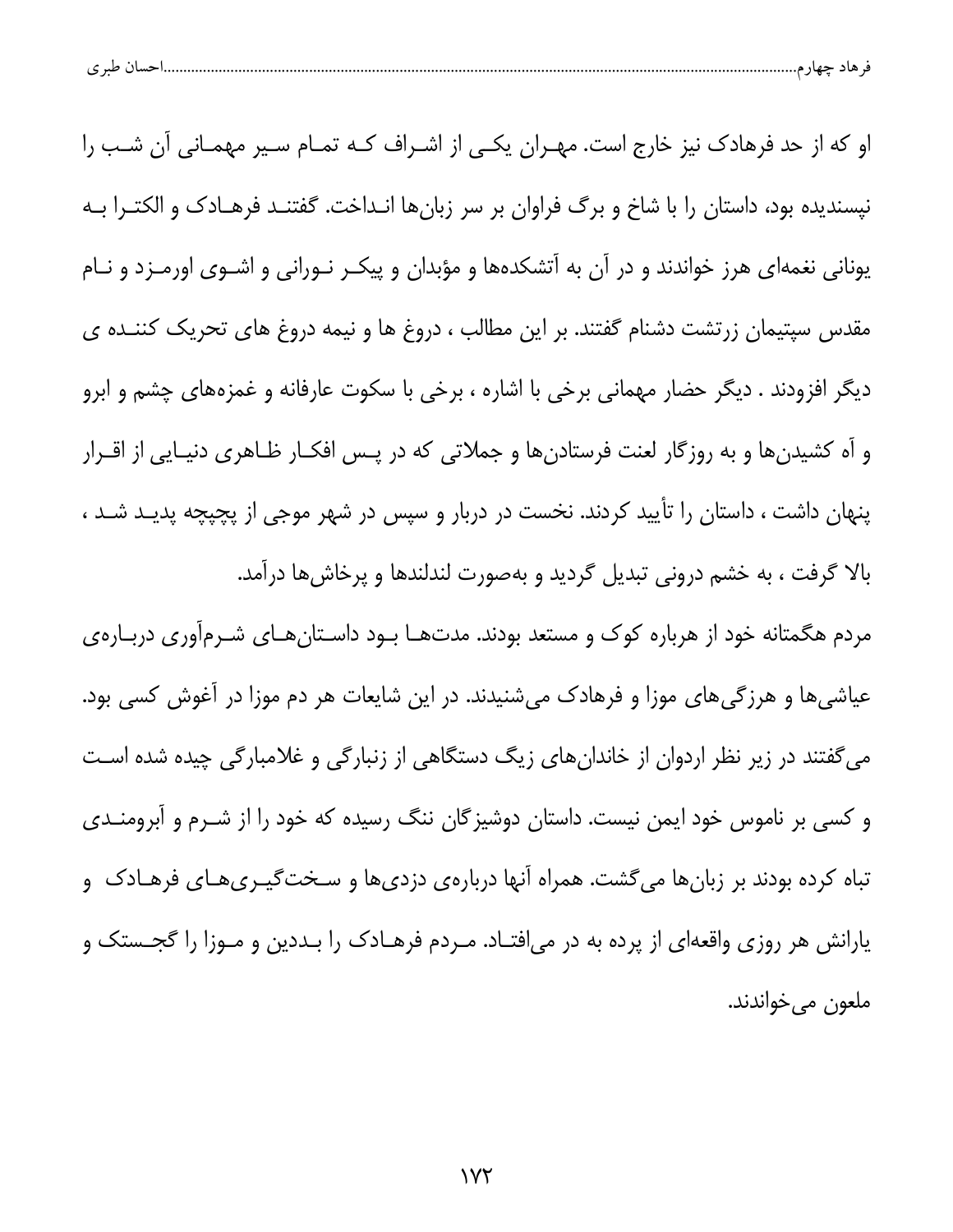| ن صد ی<br>ے | 11. <del>.</del> | 77 |  |
|-------------|------------------|----|--|
|             |                  |    |  |

او که از حد فرهادک نیز خارج است. مهـران یکـی از اشـراف کـه تمـام سـیر مهمـانی آن شـب را نیسندیده بود، داستان را با شاخ و برگ فراوان بر سر زبانها انـداخت. گفتنـد فرهـادک و الکتـرا بـه یونانی نغمهای هرز خواندند و در آن به آتشکدهها و مؤبدان و پیکـر نـورانی و اشـوی اورمـزد و نـام مقدس سپتیمان زرتشت دشنام گفتند. بر این مطالب ، دروغ ها و نیمه دروغ های تحریک کننــده ی دیگر افزودند . دیگر حضار مهمانی برخی با اشاره ، برخی با سکوت عارفانه و غمزههای چشم و ابرو و آه کشیدنها و به روزگار لعنت فرستادنها و جملاتی که در پـس افکـار ظـاهری دنیـایی از اقـرار پنهان داشت ، داستان را تأیید کردند. نخست در دربار و سپس در شهر موجی از پچپچه پدیـد شــد ، بالا گرفت ، به خشم درونی تبدیل گردید و بهصورت لندلندها و پرخاشها درآمد. مردم هگمتانه خود از هرباره کوک و مستعد بودند. مدتهـا بــود داســتانِهــای شــرمآوری دربــارهی عیاشی ها و هرزگی های موزا و فرهادک می شنیدند. در این شایعات هر دم موزا در آغوش کسی بود. میگفتند در زیر نظر اردوان از خاندانهای زیگ دستگاهی از زنبارگی و غلامبارگی چیده شده است

و کسی بر ناموس خود ایمن نیست. داستان دوشیزگان ننگ رسیده که خود را از شـرم و آبرومنــدی تباه کرده بودند بر زبانها میگشت. همراه آنها دربارهی دزدیها و سـختگیــریهـای فرهـادک و یارانش هر روزی واقعهای از پرده به در میافتـاد. مـردم فرهـادک را بـددین و مـوزا را گجــستک و ملعون مي خواندند.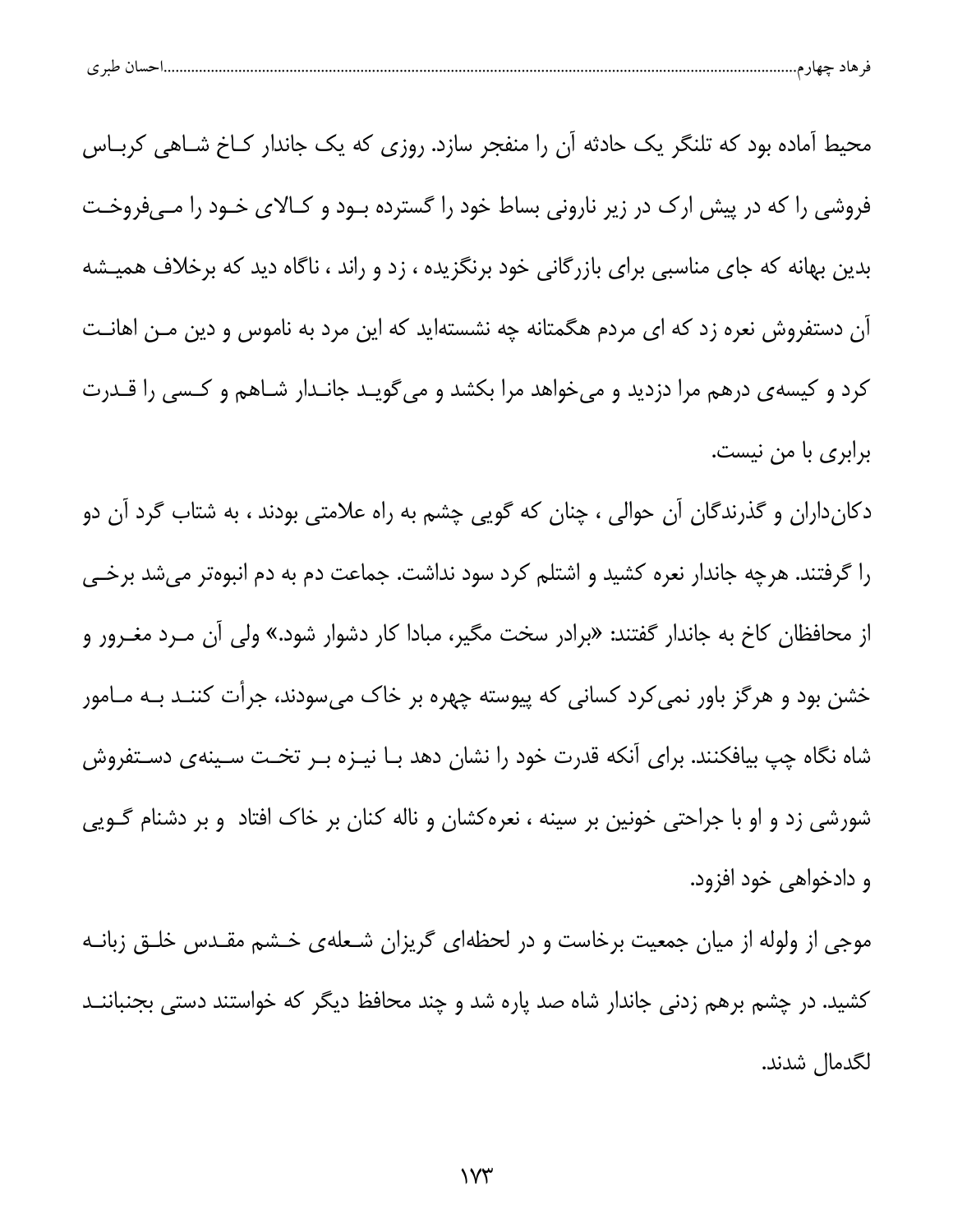|  | طبہ م<br>. . | حساد | $-$ |  |  |
|--|--------------|------|-----|--|--|
|--|--------------|------|-----|--|--|

محیط آماده بود که تلنگر یک حادثه آن را منفجر سازد. روزی که یک جاندار کـاخ شـاهی کربـاس فروشی را که در پیش ارک در زیر نارونی بساط خود را گسترده بـود و کـالای خـود را مـیفروخـت بدین بهانه که جای مناسبی برای بازرگانی خود برنگزیده ، زد و راند ، ناگاه دید که برخلاف همیـشه آن دستفروش نعره زد که ای مردم هگمتانه چه نشستهاید که این مرد به ناموس و دین مـن اهانـت کرد و کیسهی درهم مرا دزدید و میخواهد مرا بکشد و میگویـد جانـدار شـاهم و کـسی را قـدرت برابری با من نیست.

دکانداران و گذرندگان آن حوالی ، چنان که گویی چشم به راه علامتی بودند ، به شتاب گرد آن دو را گرفتند. هرچه جاندار نعره کشید و اشتلم کرد سود نداشت. جماعت دم به دم انبوهتر میشد برخـی از محافظان کاخ به جاندار گفتند: «برادر سخت مگیر، مبادا کار دشوار شود.» ولی آن مــرد مغــرور و خشن بود و هرگز باور نمی کرد کسانی که پیوسته چهره بر خاک میسودند، جرأت کننـد بـه مـامور شاه نگاه چپ بیافکنند. برای آنکه قدرت خود را نشان دهد بـا نیـزه بـر تخـت سـینهی دسـتفروش شورشی زد و او با جراحتی خونین بر سینه ، نعرهکشان و ناله کنان بر خاک افتاد و بر دشنام گـویی و دادخواهي خود افزود.

موجی از ولوله از میان جمعیت برخاست و در لحظهای گریزان شـعلهی خـشم مقـدس خلـق زبانــه کشید. در چشم برهم زدنی جاندار شاه صد یاره شد و چند محافظ دیگر که خواستند دستی بجنباننــد لگدمال شدند.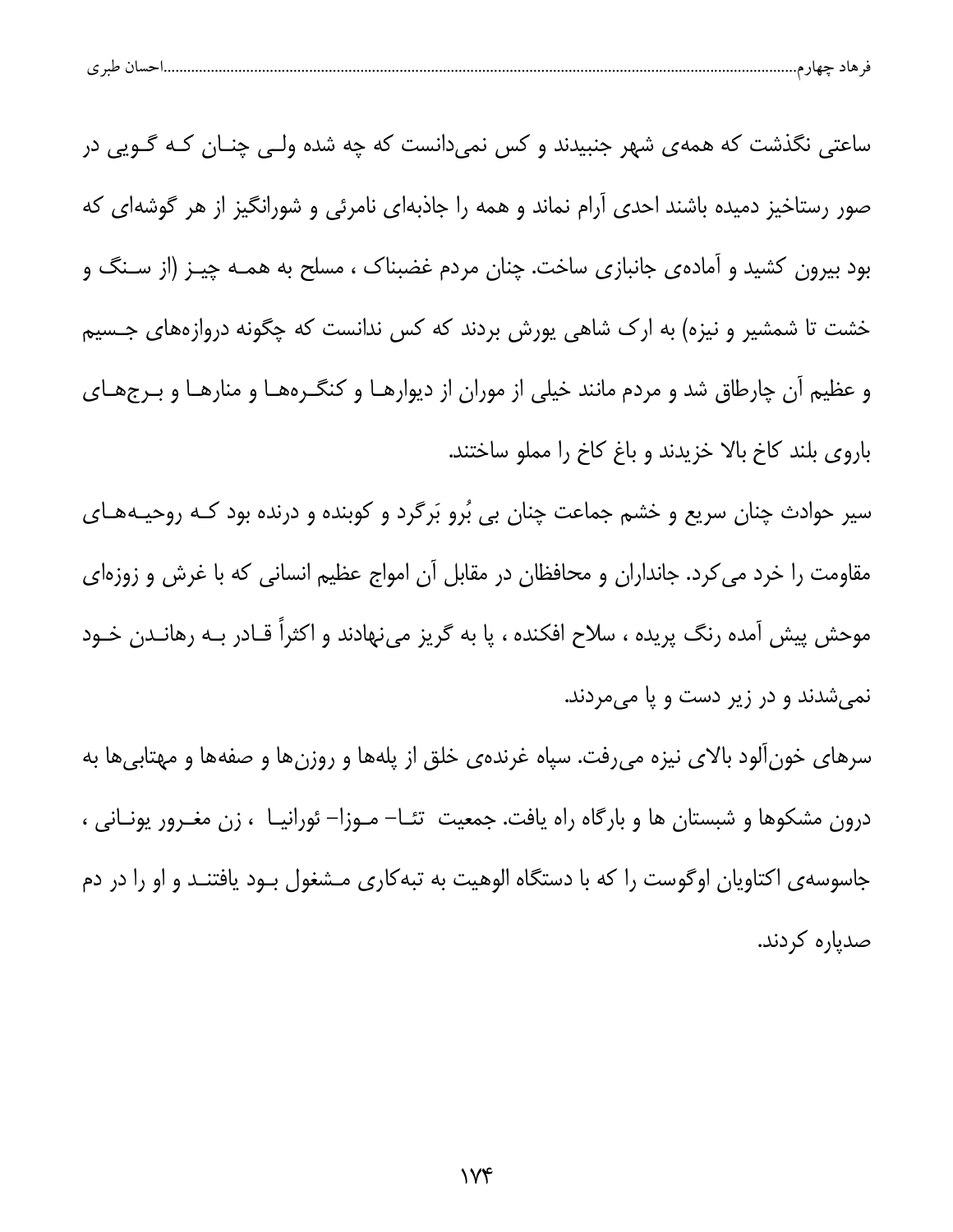|--|--|--|

ساعتی نگذشت که همهی شهر جنبیدند و کس نمیدانست که چه شده ولـی چنـان کـه گـویی در صور رستاخیز دمیده باشند احدی آرام نماند و همه را جاذبهای نامرئی و شورانگیز از هر گوشهای که بود بیرون کشید و آمادهی جانبازی ساخت. چنان مردم غضبناک ، مسلح به همـه چیـز (از سـنگ و خشت تا شمشیر و نیزه) به ارک شاهی یورش بردند که کس ندانست که چگونه دروازههای جـسیم و عظیم آن چارطاق شد و مردم مانند خیلی از موران از دیوارهـا و کنگـرههـا و منارهـا و بـرجهـای باروی بلند کاخ بالا خزیدند و باغ کاخ را مملو ساختند.

سیر حوادث چنان سریع و خشم جماعت چنان بی بُرو بَرگرد و کوبنده و درنده بود کـه روحیـههـای مقاومت را خرد می کرد. جانداران و محافظان در مقابل آن امواج عظیم انسانی که با غرش و زوزهای موحش پیش آمده رنگ پریده ، سلاح افکنده ، پا به گریز مینهادند و اکثراً قـادر بـه رهانــدن خـود نمي شدند و در زير دست و يا مي مردند.

سرهای خونآلود بالای نیزه میرفت. سپاه غرندهی خلق از پلهها و روزنها و صفهها و مهتابیها به درون مشکوها و شبستان ها و بارگاه راه یافت. جمعیت تئـا– مـوزا– ئورانیـا ، زن مغـرور یونـانی ، جاسوسه ی اکتاویان اوگوست را که با دستگاه الوهیت به تبه کاری مـشغول بــود یافتنــد و او را در دم صدیارہ کردند.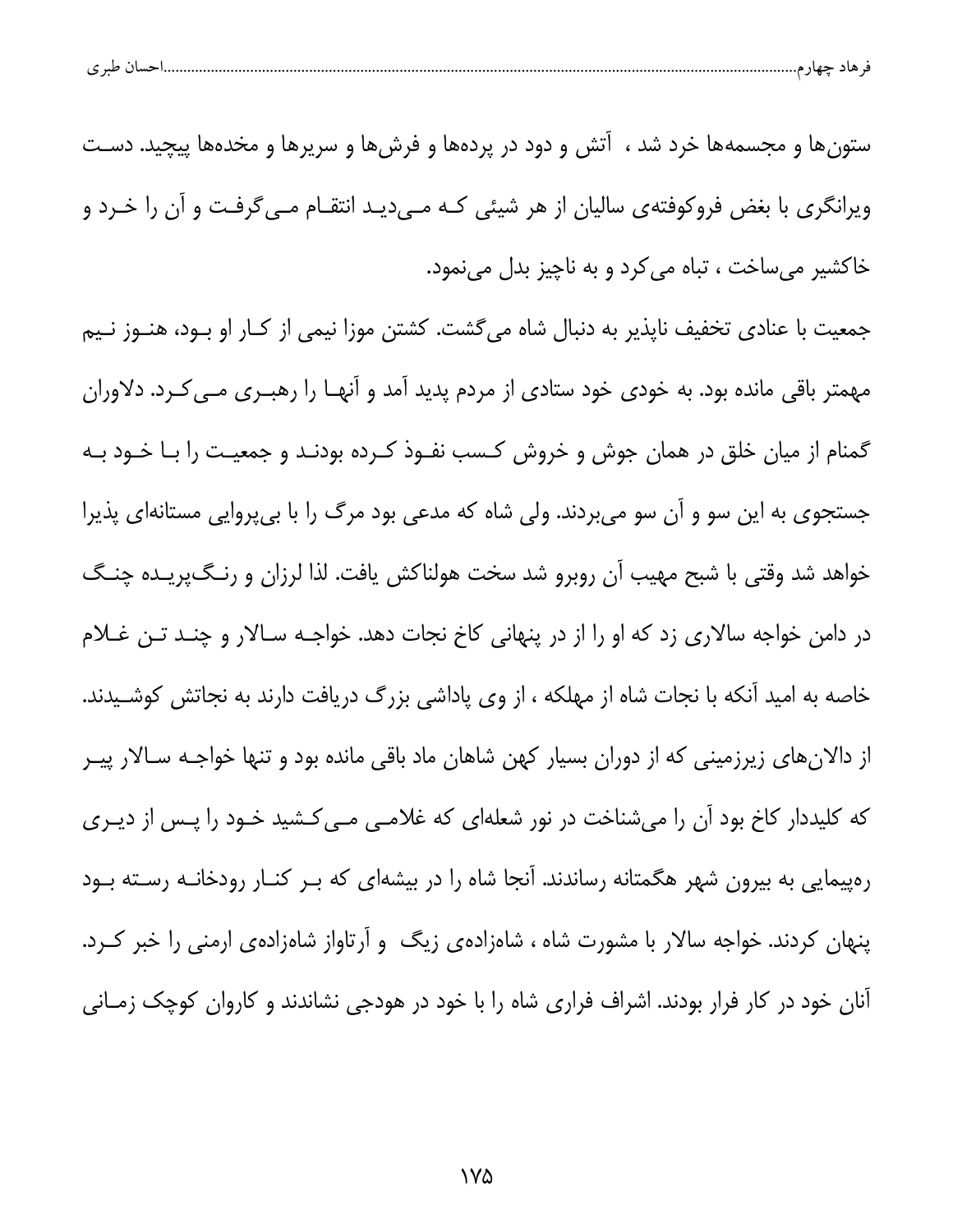| $\sim$ $\sim$<br>پ |  |  |
|--------------------|--|--|
|--------------------|--|--|

ستونها و مجسمهها خرد شد ، آتش و دود در پردهها و فرشها و سریرها و مخدهها پیچید. دسـت ویرانگری با بغض فروکوفتهی سالیان از هر شیئی کـه مـی۱دیـد انتقـام مـی۶گرفـت و آن را خـرد و خاکشیر میساخت ، تباه می کرد و به ناچیز بدل مینمود.

جمعیت با عنادی تخفیف ناپذیر به دنبال شاه میگشت. کشتن موزا نیمی از کـار او بـود، هنـوز نـیم مهمتر باقی مانده بود. به خودی خود ستادی از مردم پدید آمد و آنهـا را رهبـری مـی کـرد. دلاوران گمنام از میان خلق در همان جوش و خروش کـسب نفـوذ کـرده بودنـد و جمعیـت را بـا خـود بـه جستجوی به این سو و آن سو میبردند. ولی شاه که مدعی بود مرگ را با بیپروایی مستانهای پذیرا خواهد شد وقتی با شبح مهیب آن روبرو شد سخت هولناکش یافت. لذا لرزان و رنگپریـده چنـگ در دامن خواجه سالاری زد که او را از در پنهانی کاخ نجات دهد. خواجـه سـالار و چنـد تـن غــلام خاصه به امید آنکه با نجات شاه از مهلکه ، از وی پاداشی بزرگ دریافت دارند به نجاتش کوشـیدند. از دالانهای زیرزمینی که از دوران بسیار کهن شاهان ماد باقی مانده بود و تنها خواجـه سـالار پیـر که کلیددار کاخ بود آن را میشناخت در نور شعلهای که غلامـی مـی کـشید خـود را پـس از دیـری رهپیمایی به بیرون شهر هگمتانه رساندند. آنجا شاه را در بیشهای که بـر کنـار رودخانـه رسـته بـود پنهان کردند. خواجه سالار با مشورت شاه ، شاهزادهی زیگ و آرتاواز شاهزادهی ارمنی را خبر کـرد. آنان خود در کار فرار بودند. اشراف فراری شاه را با خود در هودجی نشاندند و کاروان کوچک زمـانی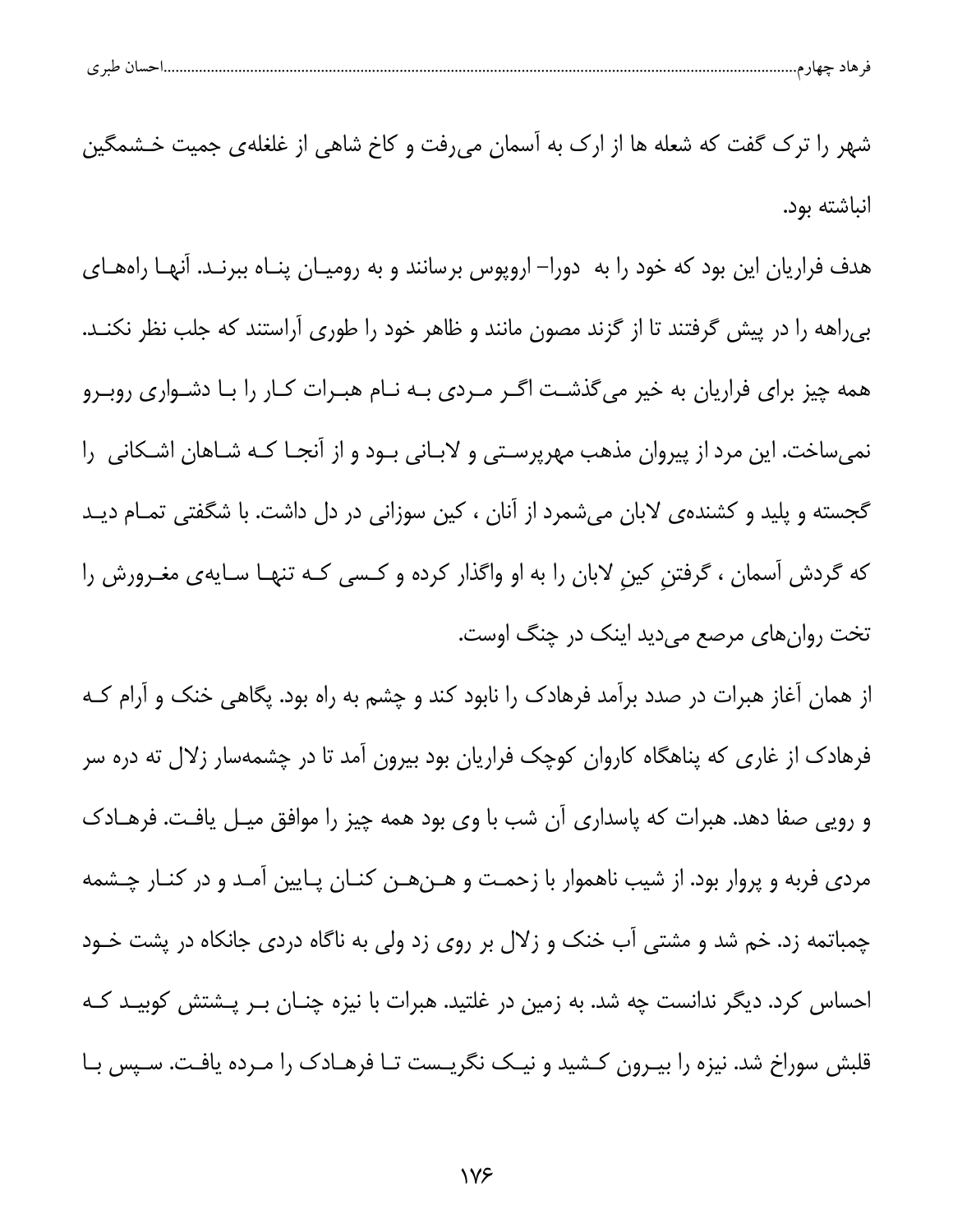| احسال طبر ی<br>۔ هاد حصر م |  |  |  |
|----------------------------|--|--|--|
|----------------------------|--|--|--|

شهر را ترک گفت که شعله ها از ارک به آسمان میرفت و کاخ شاهی از غلغلهی جمیت خـشمگین انىاشتە بود.

هدف فراریان این بود که خود را به دورا– اروپوس برسانند و به رومیـان پنــاه ببرنــد. آنهــا راههــای بی راهه را در پیش گرفتند تا از گزند مصون مانند و ظاهر خود را طوری آراستند که جلب نظر نکنـد. همه چیز برای فراریان به خیر میگذشت اگـر مـردی بـه نـام هبـرات كـار را بـا دشـواری روبـرو نمیساخت. این مرد از پیروان مذهب مهرپرستی و لابانی بود و از آنجـا کـه شـاهان اشـکانی 5را گجسته و پلید و کشندهی لابان میشمرد از آنان ، کین سوزانی در دل داشت. با شگفتی تمـام دیـد که گردش آسمان ، گرفتن کین لابان را به او واگذار کرده و کـسی کـه تنهـا سـایهی مغـرورش را تخت روانهای مرصع میدید اینک در چنگ اوست.

از همان آغاز هبرات در صدد برآمد فرهادک را نابود کند و چشم به راه بود. پگاهی خنک و آرام کـه فرهادک از غاری که پناهگاه کاروان کوچک فراریان بود بیرون آمد تا در چشمهسار زلال ته دره سر و رویی صفا دهد. هبرات که پاسداری آن شب با وی بود همه چیز را موافق میـل یافـت. فرهـادک مردی فربه و پروار بود. از شیب ناهموار با زحمت و هـنهـن کنـان پـایین آمـد و در کنـار چـشمه چمباتمه زد. خم شد و مشتی آب خنک و زلال بر روی زد ولی به ناگاه دردی جانکاه در پشت خـود احساس کرد. دیگر ندانست چه شد. به زمین در غلتید. هبرات با نیزه چنــان بــر پــشتش کوبیــد کــه قلبش سوراخ شد. نیزه را بیـرون کـشید و نیـک نگریـست تـا فرهـادک را مـرده یافـت. سـپس بـا